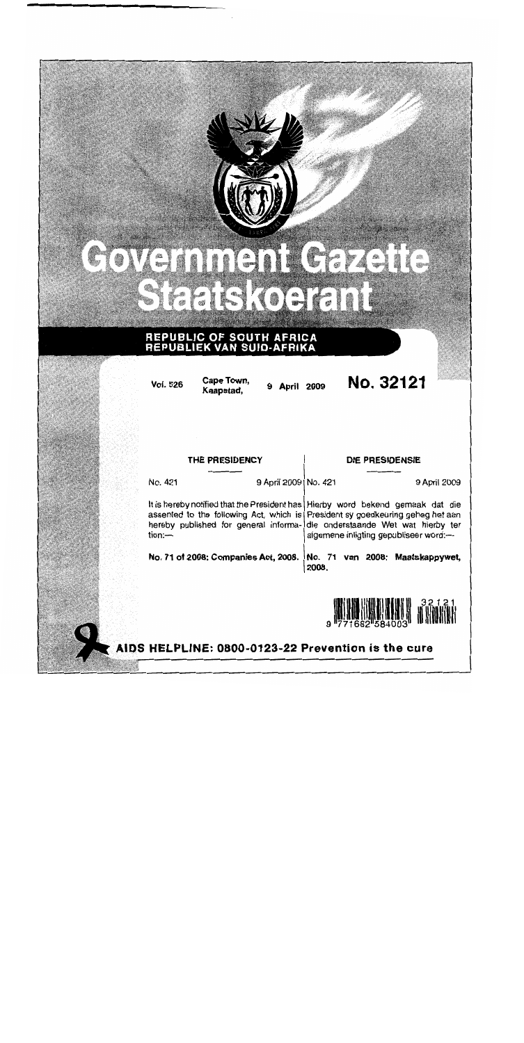|                 | <b>ANTIQUE</b>                                                                                                                                                                                                | $\mathbb{C}$<br>a<br>S | 鱻                                                                            |
|-----------------|---------------------------------------------------------------------------------------------------------------------------------------------------------------------------------------------------------------|------------------------|------------------------------------------------------------------------------|
|                 |                                                                                                                                                                                                               | <b>TOEFFETTE</b>       |                                                                              |
|                 | REPUBLIC OF SOUTH AFRICA<br>REPUBLIEK VAN SUID-AFRIKA                                                                                                                                                         |                        |                                                                              |
|                 |                                                                                                                                                                                                               |                        |                                                                              |
| <b>Vol. 526</b> | Cape Town,<br>April 2009<br>9<br>Kaapstad,                                                                                                                                                                    |                        | <b>No. 32121</b>                                                             |
|                 |                                                                                                                                                                                                               |                        |                                                                              |
|                 | THE PRESIDENCY                                                                                                                                                                                                |                        | <b>DIE PRESIDENSIE</b>                                                       |
| No. 421         | 9 April 2009   No. 421                                                                                                                                                                                        |                        | 9 April 2009                                                                 |
| tion:-          | It is hereby notified that the President has   Hierby word bekend gemaak dat die<br>assented to the following Act, which is   President sy goedkeuring geheg het aan<br>hereby published for general informa- |                        | die onderstaande Wet wat hierby ter<br>algemene inligting gepubliseer word:- |
|                 | No. 71 of 2008: Companies Act, 2008.                                                                                                                                                                          | 2008.                  | No. 71 van 2008: Maatskappywet,                                              |
|                 |                                                                                                                                                                                                               |                        | 3212                                                                         |
|                 | AIDS HELPLINE: 0800-0123-22 Prevention is the cure                                                                                                                                                            |                        |                                                                              |

 $\frac{1}{2}$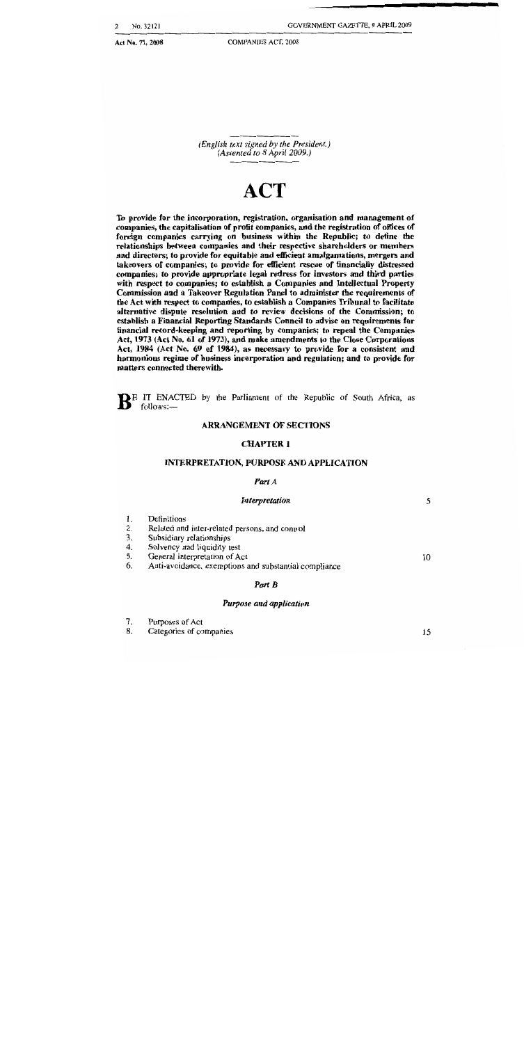$\mathfrak{D}$ No. 32121

Act No. 71, 2008

**COMPANIES ACT, 2008** 

(English text signed by the President.) (Assented to  $8$  April 2009.)

# **ACT**

To provide for the incorporation, registration, organisation and management of companies, the capitalisation of profit companies, and the registration of offices of foreign companies carrying on business within the Republic; to define the relationships between companies and their respective shareholders or members and directors; to provide for equitable and efficient amalgamations, mergers and takeovers of companies; to provide for efficient rescue of financially distressed companies; to provide appropriate legal redress for investors and third parties with respect to companies; to establish a Companies and Intellectual Property Commission and a Takeover Regulation Panel to administer the requirements of the Act with respect to companies, to establish a Companies Tribunal to facilitate alternative dispute resolution and to review decisions of the Commission; to establish a Financial Reporting Standards Council to advise on requirements for financial record-keeping and reporting by companies; to repeal the Companies Act, 1973 (Act No. 61 of 1973), and make amendments to the Close Corporations Act, 1984 (Act No. 69 of 1984), as necessary to provide for a consistent and harmonious regime of business incorporation and regulation; and to provide for matters connected therewith.

BE IT ENACTED by the Parliament of the Republic of South Africa, as follows:—

#### **ARRANGEMENT OF SECTIONS**

#### **CHAPTER 1**

#### **INTERPRETATION, PURPOSE AND APPLICATION**

#### Part A

#### Interpretation

- 1. Definitions
- Related and inter-related persons, and control 2.
- $3.$ Subsidiary relationships
- $4.$ Solvency and liquidity test
- 5. General interpretation of Act
- 6. Anti-avoidance, exemptions and substantial compliance

## Part B

## Purpose and application

- 7. Purposes of Act
- 8. Categories of companies

15

5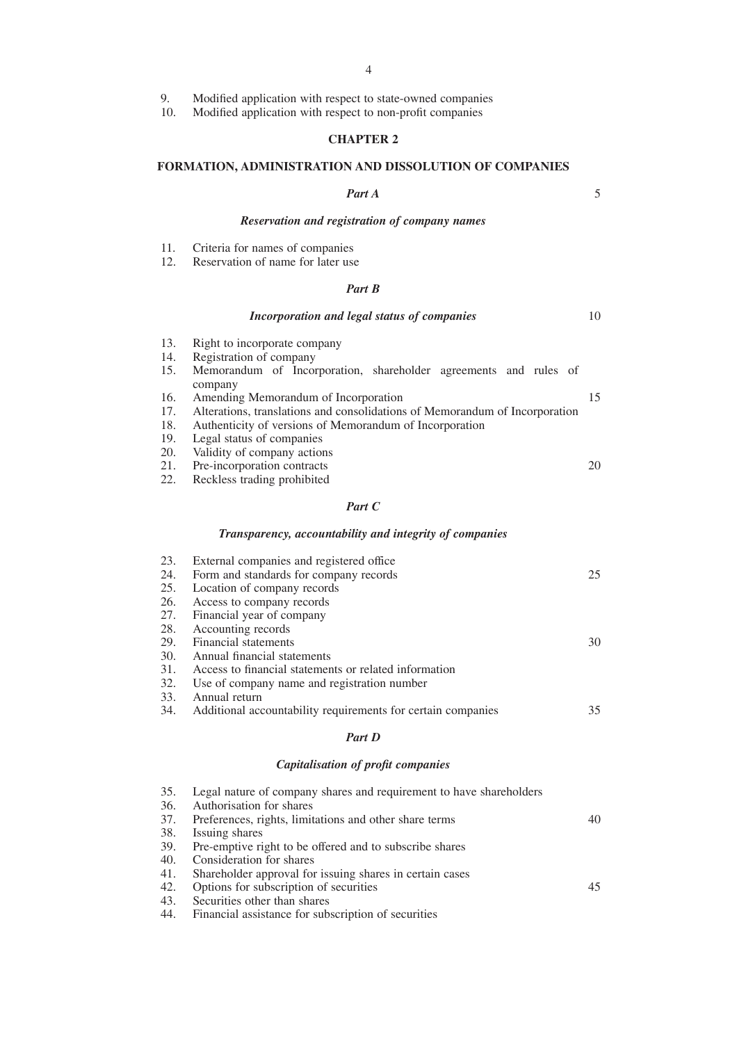9. Modified application with respect to state-owned companies<br>10. Modified application with respect to non-profit companies

Modified application with respect to non-profit companies

#### **CHAPTER 2**

#### **FORMATION, ADMINISTRATION AND DISSOLUTION OF COMPANIES**

# *Part A*

# *Reservation and registration of company names*

5

30

11. Criteria for names of companies<br>12. Reservation of name for later use

Reservation of name for later use

#### *Part B*

|     | Incorporation and legal status of companies                                 | 10 |
|-----|-----------------------------------------------------------------------------|----|
| 13. | Right to incorporate company                                                |    |
| 14. | Registration of company                                                     |    |
| 15. | Memorandum of Incorporation, shareholder agreements and rules of<br>company |    |
| 16. | Amending Memorandum of Incorporation                                        | 15 |
| 17. | Alterations, translations and consolidations of Memorandum of Incorporation |    |
| 18. | Authenticity of versions of Memorandum of Incorporation                     |    |
| 19. | Legal status of companies                                                   |    |
| 20. | Validity of company actions                                                 |    |
| 21. | Pre-incorporation contracts                                                 | 20 |
| 22. | Reckless trading prohibited                                                 |    |
|     | Part C                                                                      |    |
|     | Transparency, accountability and integrity of companies                     |    |
| 23. | External companies and registered office.                                   |    |
| 24. | Form and standards for company records                                      | 25 |
| 25. | Location of company records                                                 |    |
| 26. | Access to company records                                                   |    |

- 27. Financial year of company
- 28. Accounting records<br>29. Financial statements Financial statements
- 30. Annual financial statements<br>31. Access to financial statements
- 31. Access to financial statements or related information<br>32. Use of company name and registration number 32. Use of company name and registration number
- 
- 33. Annual return<br>34. Additional acc 34. Additional accountability requirements for certain companies 35

# *Part D*

# *Capitalisation of profit companies*

| 35.                                                                                                                                                                                                                                                                                                                                                                                  | Legal nature of company shares and requirement to have shareholders |    |
|--------------------------------------------------------------------------------------------------------------------------------------------------------------------------------------------------------------------------------------------------------------------------------------------------------------------------------------------------------------------------------------|---------------------------------------------------------------------|----|
| 36.                                                                                                                                                                                                                                                                                                                                                                                  | Authorisation for shares                                            |    |
| 37.                                                                                                                                                                                                                                                                                                                                                                                  | Preferences, rights, limitations and other share terms              | 40 |
| 38.                                                                                                                                                                                                                                                                                                                                                                                  | Issuing shares                                                      |    |
| 39.                                                                                                                                                                                                                                                                                                                                                                                  | Pre-emptive right to be offered and to subscribe shares             |    |
| 40.                                                                                                                                                                                                                                                                                                                                                                                  | Consideration for shares                                            |    |
| 41.                                                                                                                                                                                                                                                                                                                                                                                  | Shareholder approval for issuing shares in certain cases            |    |
| 42.                                                                                                                                                                                                                                                                                                                                                                                  | Options for subscription of securities                              | 45 |
| 43.                                                                                                                                                                                                                                                                                                                                                                                  | Securities other than shares                                        |    |
| $\overline{A}$ $\overline{A}$ $\overline{A}$ $\overline{A}$ $\overline{A}$ $\overline{A}$ $\overline{A}$ $\overline{A}$ $\overline{A}$ $\overline{A}$ $\overline{A}$ $\overline{A}$ $\overline{A}$ $\overline{A}$ $\overline{A}$ $\overline{A}$ $\overline{A}$ $\overline{A}$ $\overline{A}$ $\overline{A}$ $\overline{A}$ $\overline{A}$ $\overline{A}$ $\overline{A}$ $\overline{$ | — 11 . <i>0</i> 1 . 0                                               |    |

44. Financial assistance for subscription of securities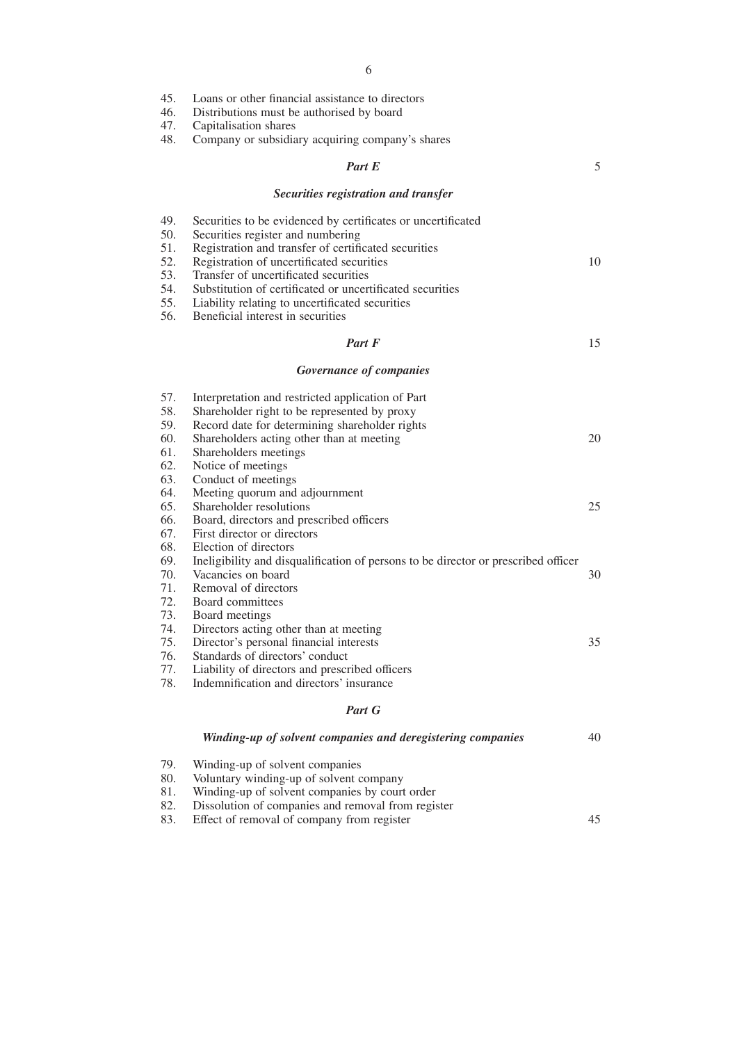| Loans or other financial assistance to directors<br>45. |  |
|---------------------------------------------------------|--|
|---------------------------------------------------------|--|

- 46. Distributions must be authorised by board
- 47. Capitalisation shares
- 48. Company or subsidiary acquiring company's shares

# *Part E*

5

# *Securities registration and transfer*

|     | Part F                                                       |    |
|-----|--------------------------------------------------------------|----|
| 56. | Beneficial interest in securities                            |    |
| 55. | Liability relating to uncertificated securities              |    |
| 54. | Substitution of certificated or uncertificated securities    |    |
| 53. | Transfer of uncertificated securities                        |    |
| 52. | Registration of uncertificated securities                    | 10 |
| 51. | Registration and transfer of certificated securities         |    |
| 50. | Securities register and numbering                            |    |
| 49. | Securities to be evidenced by certificates or uncertificated |    |

# *Governance of companies*

| 57. | Interpretation and restricted application of Part                                  |    |
|-----|------------------------------------------------------------------------------------|----|
| 58. | Shareholder right to be represented by proxy                                       |    |
| 59. | Record date for determining shareholder rights                                     |    |
| 60. | Shareholders acting other than at meeting                                          | 20 |
| 61. | Shareholders meetings                                                              |    |
| 62. | Notice of meetings                                                                 |    |
| 63. | Conduct of meetings                                                                |    |
| 64. | Meeting quorum and adjournment                                                     |    |
| 65. | Shareholder resolutions                                                            | 25 |
| 66. | Board, directors and prescribed officers                                           |    |
| 67. | First director or directors                                                        |    |
| 68. | Election of directors                                                              |    |
| 69. | Ineligibility and disqualification of persons to be director or prescribed officer |    |
| 70. | Vacancies on board                                                                 | 30 |
| 71. | Removal of directors                                                               |    |
| 72. | Board committees                                                                   |    |
| 73. | Board meetings                                                                     |    |
| 74. | Directors acting other than at meeting                                             |    |
| 75. | Director's personal financial interests                                            | 35 |
| 76. | Standards of directors' conduct                                                    |    |
| 77. | Liability of directors and prescribed officers                                     |    |
| 78. | Indemnification and directors' insurance                                           |    |
|     | Part G                                                                             |    |
|     | Winding-up of solvent companies and deregistering companies                        | 40 |
|     |                                                                                    |    |

- 79. Winding-up of solvent companies
- 80. Voluntary winding-up of solvent company
- 81. Winding-up of solvent companies by court order
- 82. Dissolution of companies and removal from register
- 83. Effect of removal of company from register 45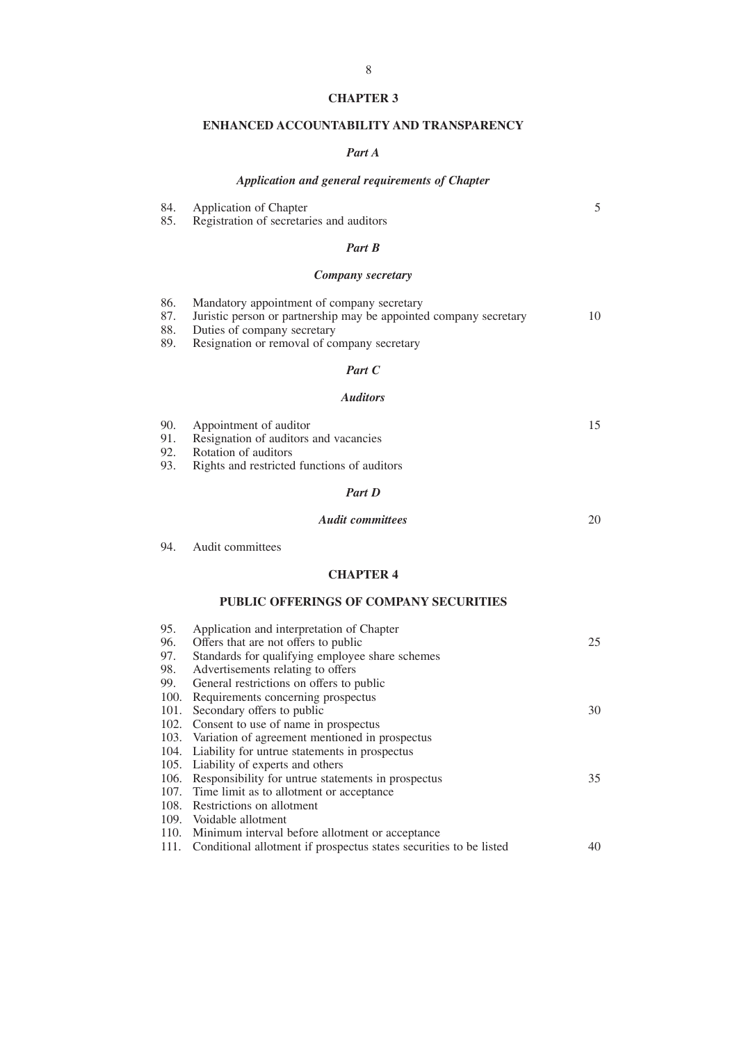# **CHAPTER 3**

8

# **ENHANCED ACCOUNTABILITY AND TRANSPARENCY**

# *Part A*

# *Application and general requirements of Chapter*

| 84.<br>85.                          | Application of Chapter<br>Registration of secretaries and auditors                                                                                                                                     | 5  |
|-------------------------------------|--------------------------------------------------------------------------------------------------------------------------------------------------------------------------------------------------------|----|
|                                     | Part B                                                                                                                                                                                                 |    |
|                                     | Company secretary                                                                                                                                                                                      |    |
| 86.<br>87.<br>88.<br>89.            | Mandatory appointment of company secretary<br>Juristic person or partnership may be appointed company secretary<br>Duties of company secretary<br>Resignation or removal of company secretary          | 10 |
|                                     | Part C                                                                                                                                                                                                 |    |
|                                     | <b>Auditors</b>                                                                                                                                                                                        |    |
| 90.<br>91.<br>92.<br>93.            | Appointment of auditor<br>Resignation of auditors and vacancies<br>Rotation of auditors<br>Rights and restricted functions of auditors                                                                 | 15 |
|                                     | Part D                                                                                                                                                                                                 |    |
|                                     | <b>Audit committees</b>                                                                                                                                                                                | 20 |
| 94.                                 | Audit committees                                                                                                                                                                                       |    |
|                                     | <b>CHAPTER 4</b>                                                                                                                                                                                       |    |
|                                     | <b>PUBLIC OFFERINGS OF COMPANY SECURITIES</b>                                                                                                                                                          |    |
| 95.<br>96.<br>97.<br>98.            | Application and interpretation of Chapter<br>Offers that are not offers to public<br>Standards for qualifying employee share schemes<br>Advertisements relating to offers                              | 25 |
| 99.<br>100.<br>101.<br>102.<br>103. | General restrictions on offers to public<br>Requirements concerning prospectus<br>Secondary offers to public<br>Consent to use of name in prospectus<br>Variation of agreement mentioned in prospectus | 30 |
| 104.<br>105.<br>106.<br>107.        | Liability for untrue statements in prospectus<br>Liability of experts and others<br>Responsibility for untrue statements in prospectus<br>Time limit as to allotment or acceptance                     | 35 |
| 108.<br>109.<br>110.<br>111.        | Restrictions on allotment<br>Voidable allotment<br>Minimum interval before allotment or acceptance<br>Conditional allotment if prospectus states securities to be listed                               | 40 |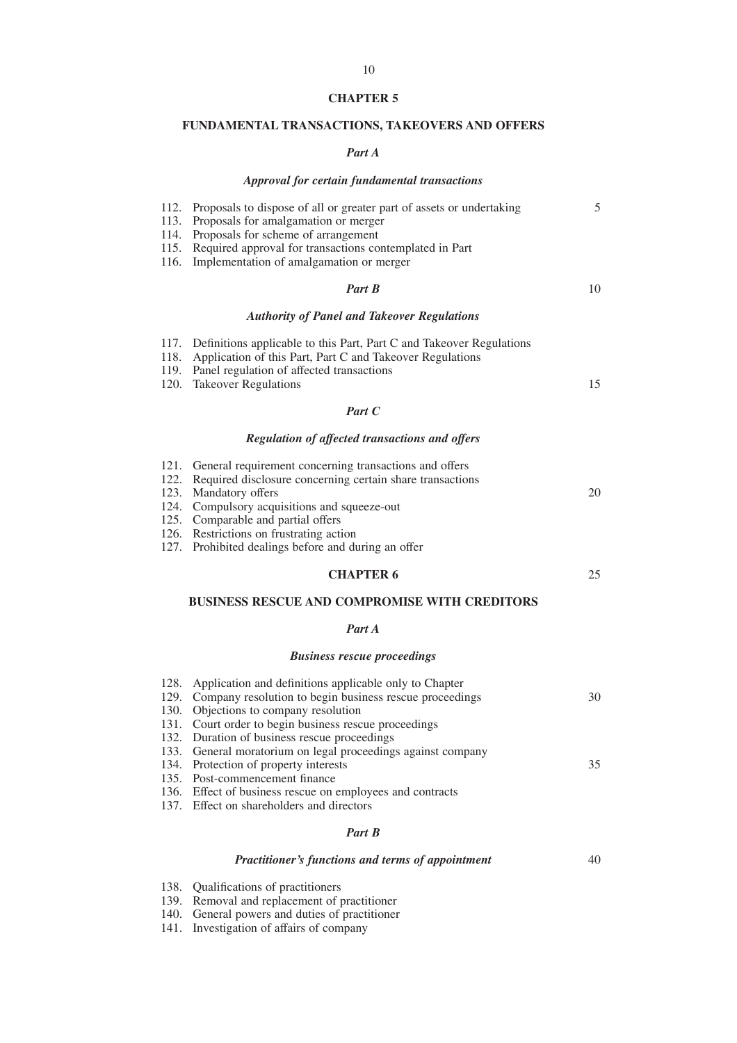# **CHAPTER 5**

# **FUNDAMENTAL TRANSACTIONS, TAKEOVERS AND OFFERS**

# *Part A*

# *Approval for certain fundamental transactions*

| 112. | Proposals to dispose of all or greater part of assets or undertaking | 5  |
|------|----------------------------------------------------------------------|----|
| 113. | Proposals for amalgamation or merger                                 |    |
| 114. | Proposals for scheme of arrangement                                  |    |
| 115. | Required approval for transactions contemplated in Part              |    |
| 116. | Implementation of amalgamation or merger                             |    |
|      | <b>Part B</b>                                                        | 10 |
|      | <b>Authority of Panel and Takeover Regulations</b>                   |    |
| 117. | Definitions applicable to this Part, Part C and Takeover Regulations |    |
| 118. | Application of this Part, Part C and Takeover Regulations            |    |
| 119. | Panel regulation of affected transactions                            |    |
| 120. | <b>Takeover Regulations</b>                                          | 15 |
|      | Part C                                                               |    |
|      | Regulation of affected transactions and offers                       |    |
| 121. | General requirement concerning transactions and offers               |    |
| 122  | Required disclosure concerning certain share transactions            |    |

|  | 122. In additional and concertainty conditions and a disactions |    |
|--|-----------------------------------------------------------------|----|
|  | 123. Mandatory offers                                           | 20 |
|  | 124. Compulsory acquisitions and squeeze-out                    |    |
|  | 125. Comparable and partial offers                              |    |
|  | 126. Restrictions on frustrating action                         |    |
|  |                                                                 |    |

25

40

127. Prohibited dealings before and during an offer

# **CHAPTER 6**

**BUSINESS RESCUE AND COMPROMISE WITH CREDITORS**

# *Part A*

# *Business rescue proceedings*

| 128. Application and definitions applicable only to Chapter  |    |
|--------------------------------------------------------------|----|
| 129. Company resolution to begin business rescue proceedings | 30 |
| 130. Objections to company resolution                        |    |
| 131. Court order to begin business rescue proceedings        |    |
| 132. Duration of business rescue proceedings                 |    |
| 133. General moratorium on legal proceedings against company |    |
| 134. Protection of property interests                        | 35 |
| 135. Post-commencement finance                               |    |
| 136. Effect of business rescue on employees and contracts    |    |
| 137. Effect on shareholders and directors                    |    |
|                                                              |    |
| Part B                                                       |    |

# *Practitioner's functions and terms of appointment*

- 138. Qualifications of practitioners
- 139. Removal and replacement of practitioner
- 140. General powers and duties of practitioner
- 141. Investigation of affairs of company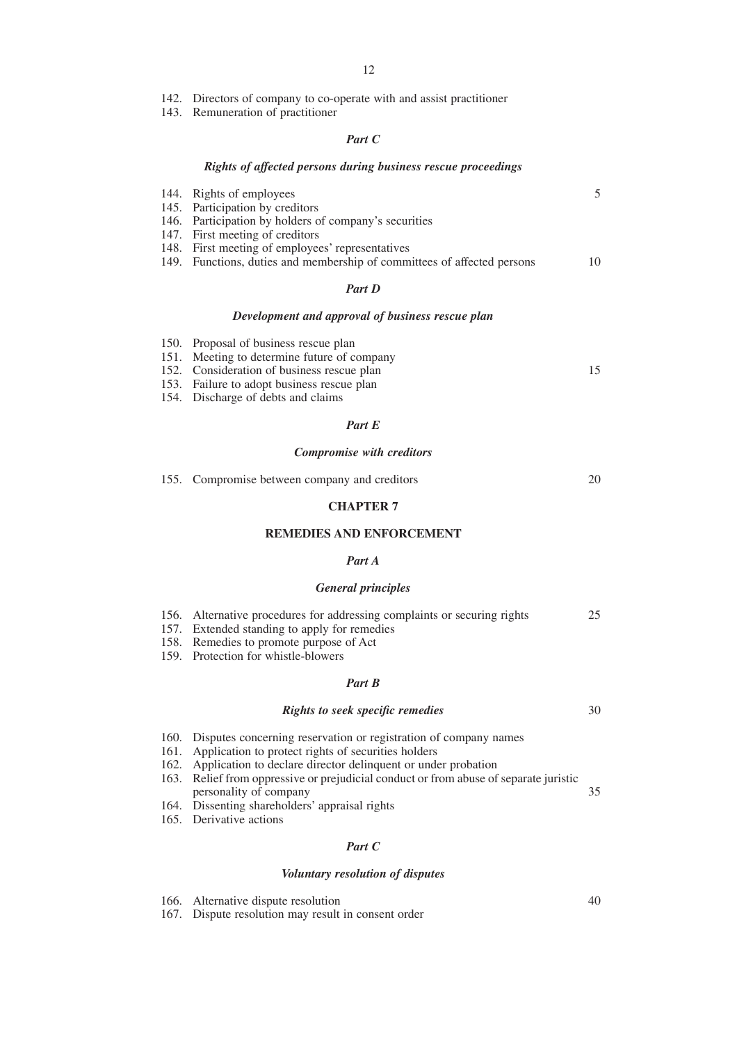- 142. Directors of company to co-operate with and assist practitioner
- 143. Remuneration of practitioner

# *Part C*

#### *Rights of affected persons during business rescue proceedings*

| 144. Rights of employees                                                | 5  |
|-------------------------------------------------------------------------|----|
| 145. Participation by creditors                                         |    |
| 146. Participation by holders of company's securities                   |    |
| 147. First meeting of creditors                                         |    |
| 148. First meeting of employees' representatives                        |    |
| 149. Functions, duties and membership of committees of affected persons | 10 |
|                                                                         |    |
| $\mathbf n$ $\mathbf n$                                                 |    |

# *Part D*

#### *Development and approval of business rescue plan*

| 150. Proposal of business rescue plan       |    |
|---------------------------------------------|----|
| 151. Meeting to determine future of company |    |
| 152. Consideration of business rescue plan  | 15 |
| 153. Failure to adopt business rescue plan  |    |

154. Discharge of debts and claims

#### *Part E*

#### *Compromise with creditors*

155. Compromise between company and creditors 20

## **CHAPTER 7**

#### **REMEDIES AND ENFORCEMENT**

#### *Part A*

# *General principles*

- 156. Alternative procedures for addressing complaints or securing rights 25
- 157. Extended standing to apply for remedies
- 158. Remedies to promote purpose of Act
- 159. Protection for whistle-blowers

## *Part B*

# *Rights to seek specific remedies*

30

- 160. Disputes concerning reservation or registration of company names
- 161. Application to protect rights of securities holders
- 162. Application to declare director delinquent or under probation
- 163. Relief from oppressive or prejudicial conduct or from abuse of separate juristic personality of company 35
- 164. Dissenting shareholders' appraisal rights
- 165. Derivative actions

# *Part C*

# *Voluntary resolution of disputes*

166. Alternative dispute resolution

167. Dispute resolution may result in consent order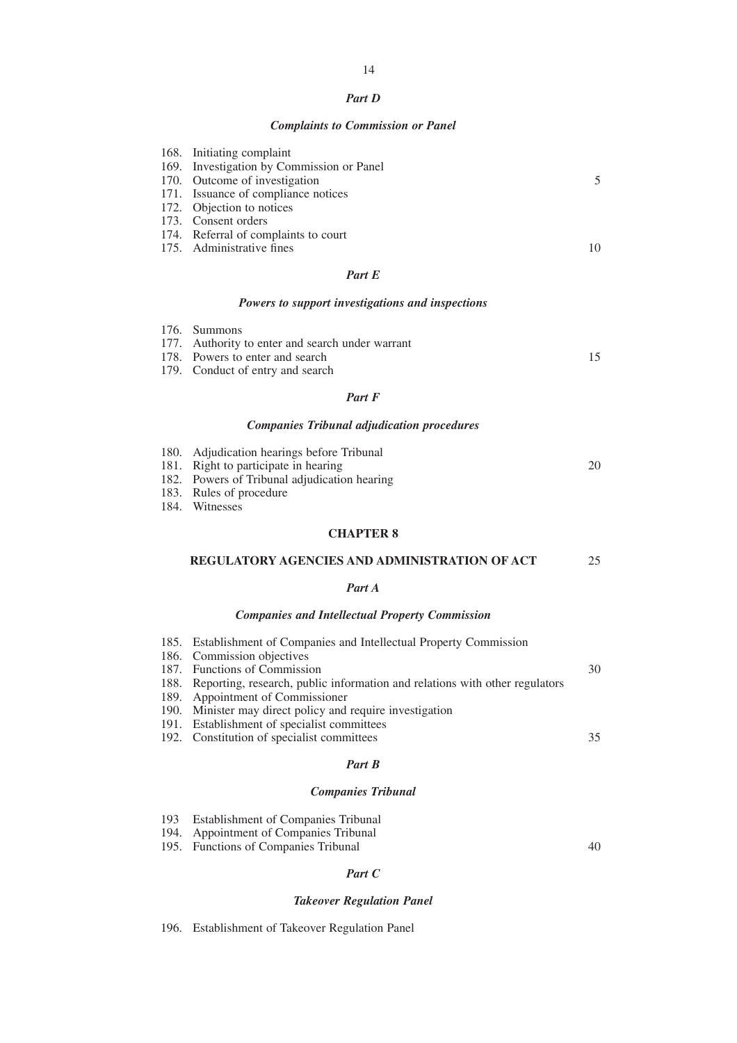# *Part D*

# *Complaints to Commission or Panel*

| 168. Initiating complaint                 |    |
|-------------------------------------------|----|
| 169. Investigation by Commission or Panel |    |
| 170. Outcome of investigation             | 5  |
| 171. Issuance of compliance notices       |    |
| 172. Objection to notices                 |    |
| 173. Consent orders                       |    |
| 174. Referral of complaints to court      |    |
| 175. Administrative fines                 | 10 |
|                                           |    |

# *Part E*

# *Powers to support investigations and inspections*

| 176. Summons                                     |    |
|--------------------------------------------------|----|
| 177. Authority to enter and search under warrant |    |
| 178. Powers to enter and search                  | 15 |
| 179. Conduct of entry and search                 |    |

# *Part F*

# *Companies Tribunal adjudication procedures*

| 180. Adjudication hearings before Tribunal   |    |
|----------------------------------------------|----|
| 181. Right to participate in hearing         | 20 |
| 182. Powers of Tribunal adjudication hearing |    |
| 183. Rules of procedure                      |    |
| 184. Witnesses                               |    |

# **CHAPTER 8**

#### **REGULATORY AGENCIES AND ADMINISTRATION OF ACT** 25

# *Part A*

# *Companies and Intellectual Property Commission*

|  | 185. Establishment of Companies and Intellectual Property Commission             |    |
|--|----------------------------------------------------------------------------------|----|
|  | 186. Commission objectives                                                       |    |
|  | 187. Functions of Commission                                                     | 30 |
|  | 188. Reporting, research, public information and relations with other regulators |    |
|  | 189. Appointment of Commissioner                                                 |    |
|  | 190. Minister may direct policy and require investigation                        |    |
|  | 191. Establishment of specialist committees                                      |    |
|  | 192. Constitution of specialist committees                                       | 35 |
|  |                                                                                  |    |

# *Part B*

# *Companies Tribunal*

| 193 Establishment of Companies Tribunal |    |
|-----------------------------------------|----|
| 194. Appointment of Companies Tribunal  |    |
| 195. Functions of Companies Tribunal    | 40 |

# *Part C*

# *Takeover Regulation Panel*

196. Establishment of Takeover Regulation Panel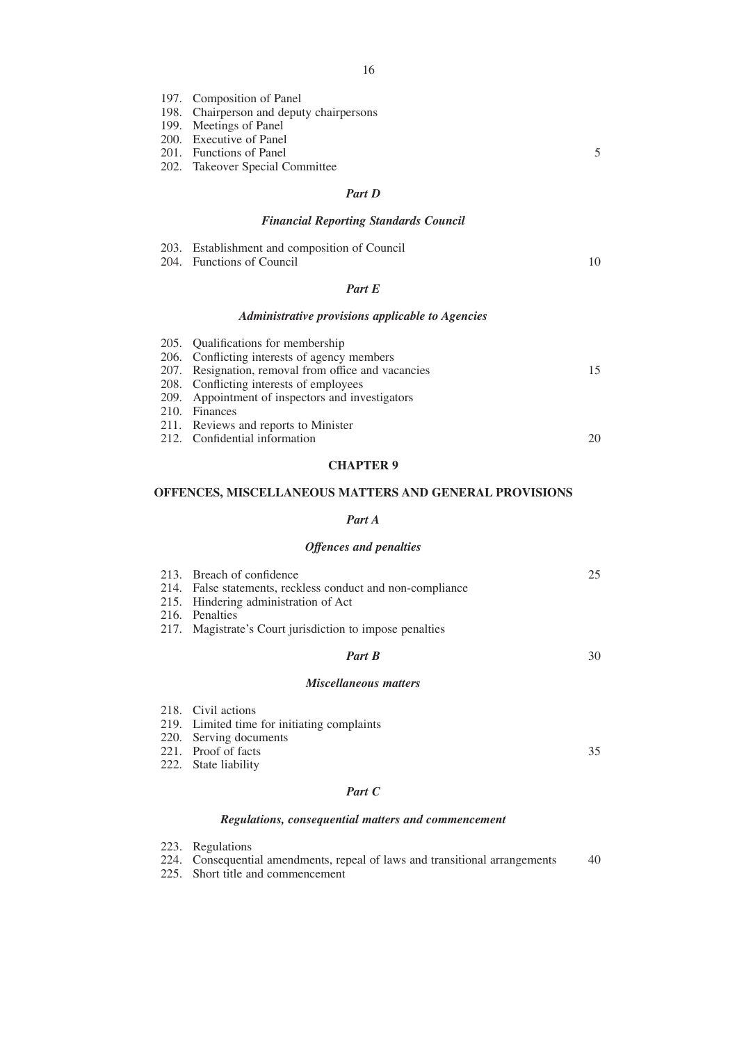| 197. Composition of Panel                |  |  |  |
|------------------------------------------|--|--|--|
| 198. Chairperson and deputy chairpersons |  |  |  |
| 199. Meetings of Panel                   |  |  |  |
| 200. Executive of Panel                  |  |  |  |
| 201. Functions of Panel                  |  |  |  |
| 202. Takeover Special Committee          |  |  |  |
|                                          |  |  |  |
| Part D                                   |  |  |  |

5

# *Financial Reporting Standards Council*

|                           | 203. Establishment and composition of Council |    |
|---------------------------|-----------------------------------------------|----|
| 204. Functions of Council |                                               | 10 |
|                           | <b>Part E</b>                                 |    |

# *Administrative provisions applicable to Agencies*

|  | 205. Qualifications for membership                  |    |
|--|-----------------------------------------------------|----|
|  | 206. Conflicting interests of agency members        |    |
|  | 207. Resignation, removal from office and vacancies | 15 |
|  | 208. Conflicting interests of employees             |    |
|  | 209. Appointment of inspectors and investigators    |    |
|  | 210. Finances                                       |    |
|  | 211. Reviews and reports to Minister                |    |
|  | 212. Confidential information                       | 20 |
|  |                                                     |    |

# **CHAPTER 9**

# **OFFENCES, MISCELLANEOUS MATTERS AND GENERAL PROVISIONS**

# *Part A*

# *Offences and penalties*

| 213. Breach of confidence                                  | 25                                                    |  |  |  |
|------------------------------------------------------------|-------------------------------------------------------|--|--|--|
| 214. False statements, reckless conduct and non-compliance |                                                       |  |  |  |
| 215. Hindering administration of Act                       |                                                       |  |  |  |
| 216. Penalties                                             |                                                       |  |  |  |
| 217. Magistrate's Court jurisdiction to impose penalties   |                                                       |  |  |  |
|                                                            |                                                       |  |  |  |
|                                                            | 30                                                    |  |  |  |
| <i>Miscellaneous matters</i>                               |                                                       |  |  |  |
| 218. Civil actions                                         |                                                       |  |  |  |
|                                                            |                                                       |  |  |  |
| 220. Serving documents                                     |                                                       |  |  |  |
| 221. Proof of facts                                        | 35                                                    |  |  |  |
|                                                            | Part B<br>219. Limited time for initiating complaints |  |  |  |

# 222. State liability

# *Part C*

# *Regulations, consequential matters and commencement*

223. Regulations

|  |  |  |  |  | 224. Consequential amendments, repeal of laws and transitional arrangements |  | 40 |
|--|--|--|--|--|-----------------------------------------------------------------------------|--|----|
|--|--|--|--|--|-----------------------------------------------------------------------------|--|----|

225. Short title and commencement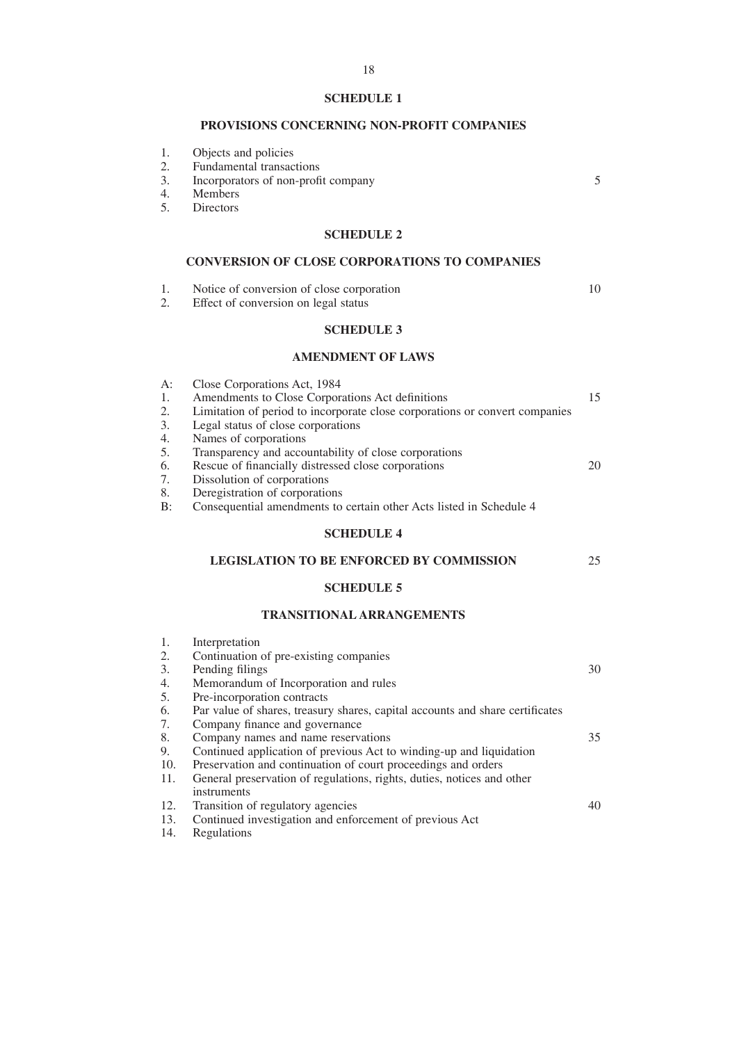# **SCHEDULE 1**

# **PROVISIONS CONCERNING NON-PROFIT COMPANIES**

| 1.<br>2.<br>3.<br>4.<br>5.         | Objects and policies<br>Fundamental transactions<br>Incorporators of non-profit company<br><b>Members</b><br><b>Directors</b>                                                                                                                                                                                                                                                           | 5  |
|------------------------------------|-----------------------------------------------------------------------------------------------------------------------------------------------------------------------------------------------------------------------------------------------------------------------------------------------------------------------------------------------------------------------------------------|----|
|                                    | <b>SCHEDULE 2</b>                                                                                                                                                                                                                                                                                                                                                                       |    |
|                                    | <b>CONVERSION OF CLOSE CORPORATIONS TO COMPANIES</b>                                                                                                                                                                                                                                                                                                                                    |    |
| 1.<br>$\overline{2}$ .             | Notice of conversion of close corporation<br>Effect of conversion on legal status                                                                                                                                                                                                                                                                                                       | 10 |
|                                    | <b>SCHEDULE 3</b>                                                                                                                                                                                                                                                                                                                                                                       |    |
|                                    | <b>AMENDMENT OF LAWS</b>                                                                                                                                                                                                                                                                                                                                                                |    |
| A:<br>1.<br>2.<br>3.               | Close Corporations Act, 1984<br>Amendments to Close Corporations Act definitions<br>Limitation of period to incorporate close corporations or convert companies<br>Legal status of close corporations                                                                                                                                                                                   | 15 |
| 4.<br>5.<br>6.<br>7.<br>8.<br>B:   | Names of corporations<br>Transparency and accountability of close corporations<br>Rescue of financially distressed close corporations<br>Dissolution of corporations<br>Deregistration of corporations<br>Consequential amendments to certain other Acts listed in Schedule 4                                                                                                           | 20 |
|                                    | <b>SCHEDULE 4</b>                                                                                                                                                                                                                                                                                                                                                                       |    |
|                                    | <b>LEGISLATION TO BE ENFORCED BY COMMISSION</b>                                                                                                                                                                                                                                                                                                                                         | 25 |
|                                    | <b>SCHEDULE 5</b>                                                                                                                                                                                                                                                                                                                                                                       |    |
|                                    | <b>TRANSITIONAL ARRANGEMENTS</b>                                                                                                                                                                                                                                                                                                                                                        |    |
| 1.<br>2.<br>3.<br>4.<br>5.         | Interpretation<br>Continuation of pre-existing companies<br>Pending filings<br>Memorandum of Incorporation and rules<br>Pre-incorporation contracts                                                                                                                                                                                                                                     | 30 |
| 6.<br>7.<br>8.<br>9.<br>10.<br>11. | Par value of shares, treasury shares, capital accounts and share certificates<br>Company finance and governance<br>Company names and name reservations<br>Continued application of previous Act to winding-up and liquidation<br>Preservation and continuation of court proceedings and orders<br>General preservation of regulations, rights, duties, notices and other<br>instruments | 35 |
| 12.                                | Transition of regulatory agencies                                                                                                                                                                                                                                                                                                                                                       | 40 |

- 13. Continued investigation and enforcement of previous Act
- 14. Regulations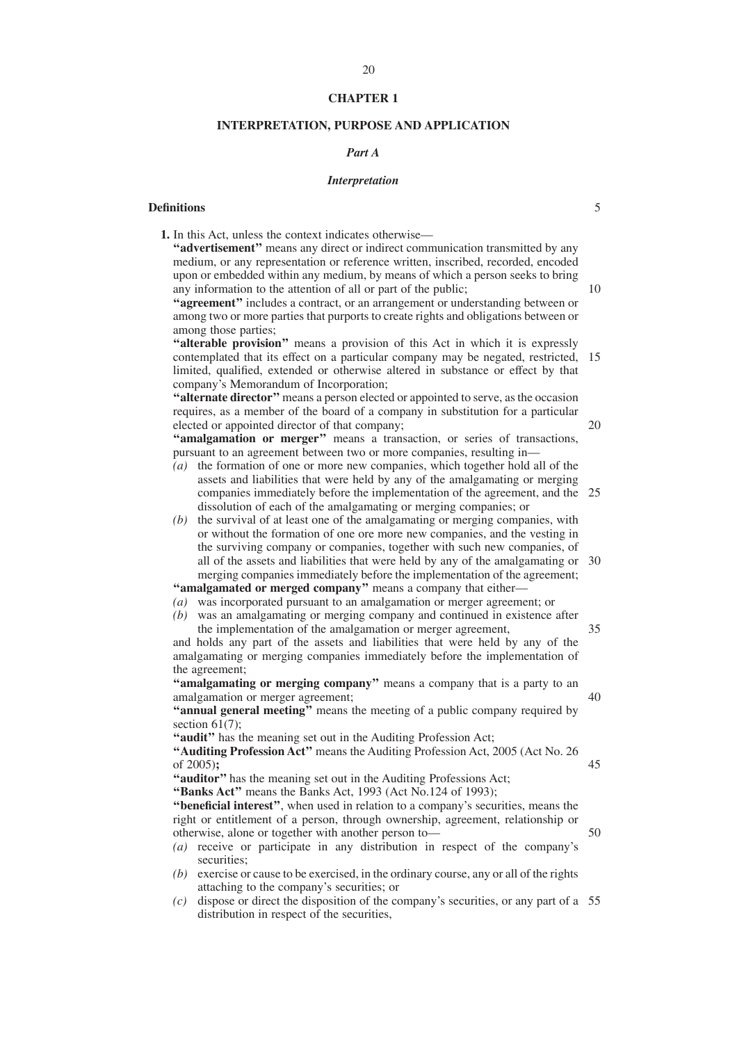#### **CHAPTER 1**

### **INTERPRETATION, PURPOSE AND APPLICATION**

## *Part A*

#### *Interpretation*

#### **Definitions**

**1.** In this Act, unless the context indicates otherwise—

**''advertisement''** means any direct or indirect communication transmitted by any medium, or any representation or reference written, inscribed, recorded, encoded upon or embedded within any medium, by means of which a person seeks to bring any information to the attention of all or part of the public;

**''agreement''** includes a contract, or an arrangement or understanding between or among two or more parties that purports to create rights and obligations between or among those parties;

"alterable provision" means a provision of this Act in which it is expressly contemplated that its effect on a particular company may be negated, restricted, 15 limited, qualified, extended or otherwise altered in substance or effect by that company's Memorandum of Incorporation;

**''alternate director''** means a person elected or appointed to serve, as the occasion requires, as a member of the board of a company in substitution for a particular elected or appointed director of that company;

**''amalgamation or merger''** means a transaction, or series of transactions, pursuant to an agreement between two or more companies, resulting in—

- *(a)* the formation of one or more new companies, which together hold all of the assets and liabilities that were held by any of the amalgamating or merging companies immediately before the implementation of the agreement, and the 25 dissolution of each of the amalgamating or merging companies; or
- *(b)* the survival of at least one of the amalgamating or merging companies, with or without the formation of one ore more new companies, and the vesting in the surviving company or companies, together with such new companies, of all of the assets and liabilities that were held by any of the amalgamating or 30 merging companies immediately before the implementation of the agreement;

**''amalgamated or merged company''** means a company that either—

- *(a)* was incorporated pursuant to an amalgamation or merger agreement; or
- *(b)* was an amalgamating or merging company and continued in existence after the implementation of the amalgamation or merger agreement,

and holds any part of the assets and liabilities that were held by any of the amalgamating or merging companies immediately before the implementation of the agreement;

**''amalgamating or merging company''** means a company that is a party to an amalgamation or merger agreement;

**''annual general meeting''** means the meeting of a public company required by section  $61(7)$ ;

**''audit''** has the meaning set out in the Auditing Profession Act;

**''Auditing Profession Act''** means the Auditing Profession Act, 2005 (Act No. 26 of 2005)**;**

**''auditor''** has the meaning set out in the Auditing Professions Act; **''Banks Act''** means the Banks Act, 1993 (Act No.124 of 1993);

**''beneficial interest''**, when used in relation to a company's securities, means the right or entitlement of a person, through ownership, agreement, relationship or otherwise, alone or together with another person to—

- *(a)* receive or participate in any distribution in respect of the company's securities;
- *(b)* exercise or cause to be exercised, in the ordinary course, any or all of the rights attaching to the company's securities; or
- *(c)* dispose or direct the disposition of the company's securities, or any part of a 55distribution in respect of the securities,

40

45

50

35

5

10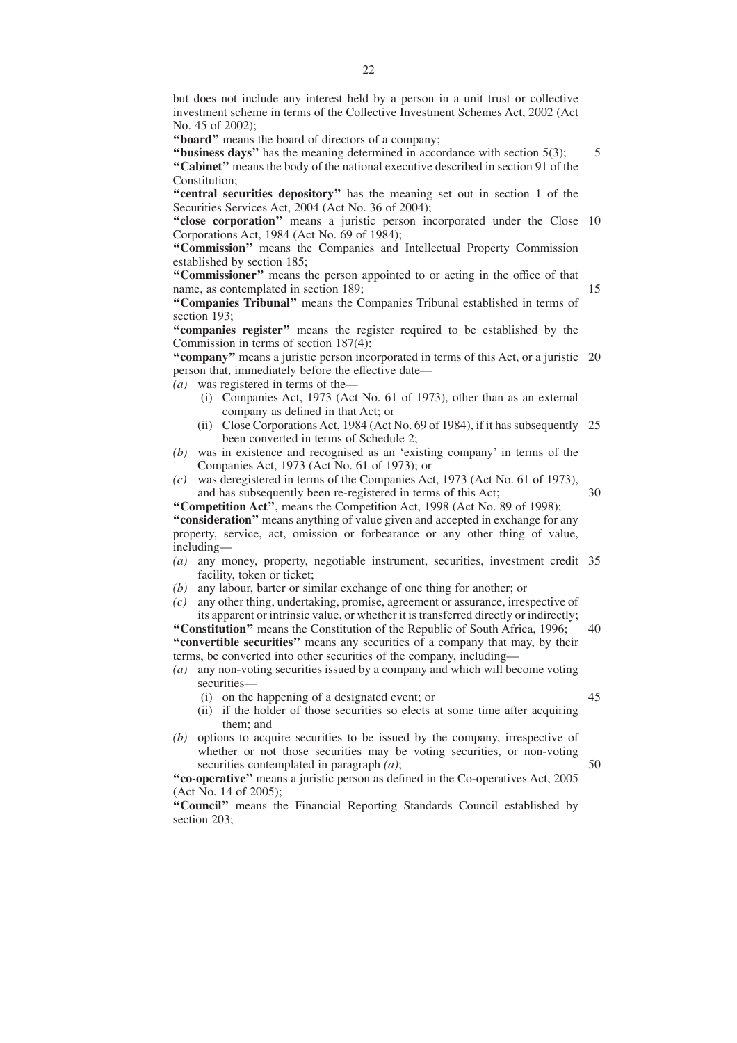but does not include any interest held by a person in a unit trust or collective investment scheme in terms of the Collective Investment Schemes Act, 2002 (Act No. 45 of 2002);

**''board''** means the board of directors of a company;

**''business days''** has the meaning determined in accordance with section 5(3); **''Cabinet''** means the body of the national executive described in section 91 of the Constitution;

**''central securities depository''** has the meaning set out in section 1 of the Securities Services Act, 2004 (Act No. 36 of 2004);

"close corporation" means a juristic person incorporated under the Close 10 Corporations Act, 1984 (Act No. 69 of 1984);

**''Commission''** means the Companies and Intellectual Property Commission established by section 185;

**''Commissioner''** means the person appointed to or acting in the office of that name, as contemplated in section 189;

**''Companies Tribunal''** means the Companies Tribunal established in terms of section 193;

**''companies register''** means the register required to be established by the Commission in terms of section 187(4);

**"company"** means a juristic person incorporated in terms of this Act, or a juristic 20 person that, immediately before the effective date—

*(a)* was registered in terms of the—

- (i) Companies Act, 1973 (Act No. 61 of 1973), other than as an external company as defined in that Act; or
- (ii) Close Corporations Act, 1984 (Act No. 69 of 1984), if it has subsequently 25 been converted in terms of Schedule 2;
- *(b)* was in existence and recognised as an 'existing company' in terms of the Companies Act, 1973 (Act No. 61 of 1973); or
- *(c)* was deregistered in terms of the Companies Act, 1973 (Act No. 61 of 1973), and has subsequently been re-registered in terms of this Act; 30

**''Competition Act''**, means the Competition Act, 1998 (Act No. 89 of 1998); **''consideration''** means anything of value given and accepted in exchange for any property, service, act, omission or forbearance or any other thing of value, including—

- *(a)* any money, property, negotiable instrument, securities, investment credit 35 facility, token or ticket;
- *(b)* any labour, barter or similar exchange of one thing for another; or
- *(c)* any other thing, undertaking, promise, agreement or assurance, irrespective of its apparent or intrinsic value, or whether it is transferred directly or indirectly;

**''Constitution''** means the Constitution of the Republic of South Africa, 1996; **''convertible securities''** means any securities of a company that may, by their terms, be converted into other securities of the company, including— 40

- *(a)* any non-voting securities issued by a company and which will become voting securities—
	- (i) on the happening of a designated event; or
	- (ii) if the holder of those securities so elects at some time after acquiring them; and
- *(b)* options to acquire securities to be issued by the company, irrespective of whether or not those securities may be voting securities, or non-voting securities contemplated in paragraph *(a)*;

**''co-operative''** means a juristic person as defined in the Co-operatives Act, 2005 (Act No. 14 of 2005);

**''Council''** means the Financial Reporting Standards Council established by section 203;

45

50

15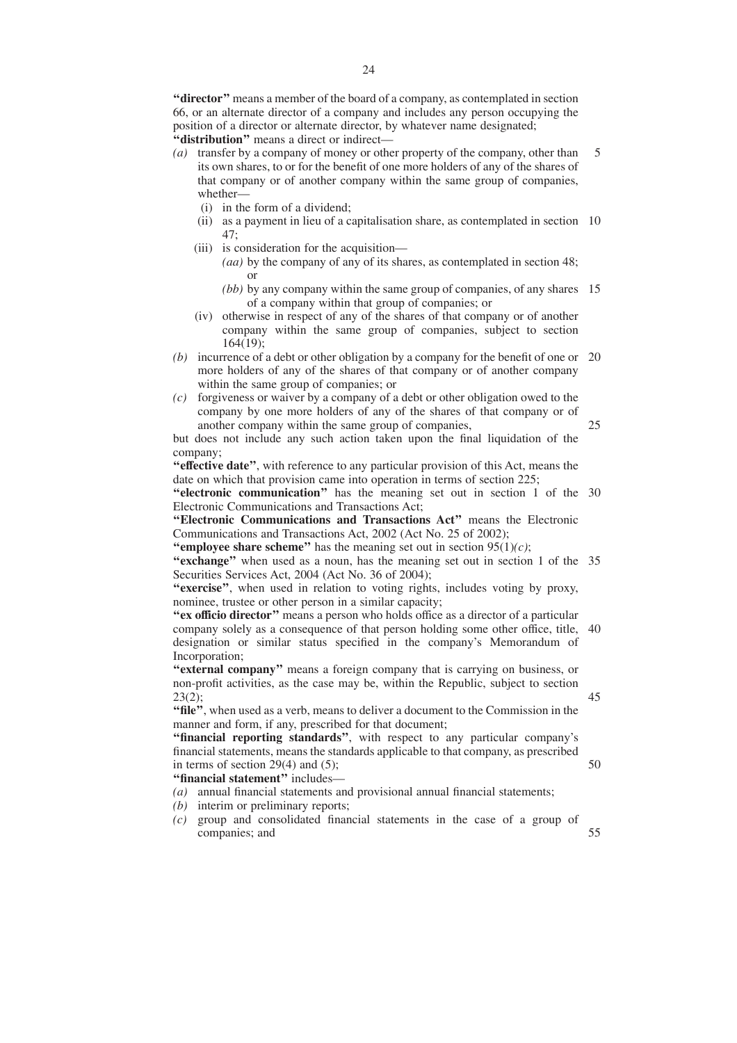**''director''** means a member of the board of a company, as contemplated in section 66, or an alternate director of a company and includes any person occupying the position of a director or alternate director, by whatever name designated; **''distribution''** means a direct or indirect—

- *(a)* transfer by a company of money or other property of the company, other than its own shares, to or for the benefit of one more holders of any of the shares of that company or of another company within the same group of companies, whether— 5
	- (i) in the form of a dividend;
	- (ii) as a payment in lieu of a capitalisation share, as contemplated in section 10 47;
	- (iii) is consideration for the acquisition—
		- *(aa)* by the company of any of its shares, as contemplated in section 48; or
		- *(bb)* by any company within the same group of companies, of any shares 15 of a company within that group of companies; or
	- (iv) otherwise in respect of any of the shares of that company or of another company within the same group of companies, subject to section 164(19);
- *(b)* incurrence of a debt or other obligation by a company for the benefit of one or 20 more holders of any of the shares of that company or of another company within the same group of companies; or
- *(c)* forgiveness or waiver by a company of a debt or other obligation owed to the company by one more holders of any of the shares of that company or of another company within the same group of companies,

but does not include any such action taken upon the final liquidation of the company;

**''effective date''**, with reference to any particular provision of this Act, means the date on which that provision came into operation in terms of section 225;

"electronic communication" has the meaning set out in section 1 of the 30 Electronic Communications and Transactions Act;

**''Electronic Communications and Transactions Act''** means the Electronic Communications and Transactions Act, 2002 (Act No. 25 of 2002);

**''employee share scheme''** has the meaning set out in section  $95(1)(c)$ ;

"exchange" when used as a noun, has the meaning set out in section 1 of the 35 Securities Services Act, 2004 (Act No. 36 of 2004);

"exercise", when used in relation to voting rights, includes voting by proxy, nominee, trustee or other person in a similar capacity;

**''ex officio director''** means a person who holds office as a director of a particular company solely as a consequence of that person holding some other office, title, 40 designation or similar status specified in the company's Memorandum of Incorporation;

**''external company''** means a foreign company that is carrying on business, or non-profit activities, as the case may be, within the Republic, subject to section 23(2); 45

**''file''**, when used as a verb, means to deliver a document to the Commission in the manner and form, if any, prescribed for that document;

"financial reporting standards", with respect to any particular company's financial statements, means the standards applicable to that company, as prescribed in terms of section 29(4) and (5);

**''financial statement''** includes—

*(a)* annual financial statements and provisional annual financial statements;

*(b)* interim or preliminary reports;

- *(c)* group and consolidated financial statements in the case of a group of companies; and
	- 55

50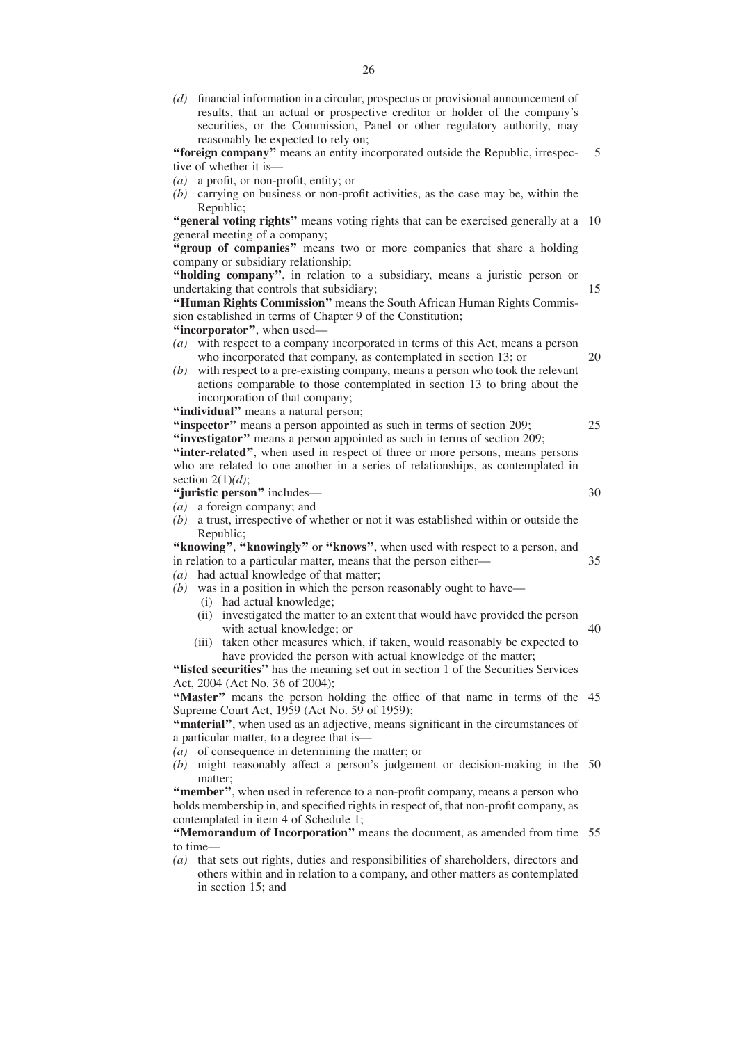*(d)* financial information in a circular, prospectus or provisional announcement of results, that an actual or prospective creditor or holder of the company's securities, or the Commission, Panel or other regulatory authority, may reasonably be expected to rely on;

**''foreign company''** means an entity incorporated outside the Republic, irrespective of whether it is— 5

- *(a)* a profit, or non-profit, entity; or
- *(b)* carrying on business or non-profit activities, as the case may be, within the Republic;

**"general voting rights"** means voting rights that can be exercised generally at a 10 general meeting of a company;

"group of companies" means two or more companies that share a holding company or subsidiary relationship;

**''holding company''**, in relation to a subsidiary, means a juristic person or undertaking that controls that subsidiary;

**''Human Rights Commission''** means the South African Human Rights Commission established in terms of Chapter 9 of the Constitution;

**''incorporator''**, when used—

- *(a)* with respect to a company incorporated in terms of this Act, means a person who incorporated that company, as contemplated in section 13; or
- *(b)* with respect to a pre-existing company, means a person who took the relevant actions comparable to those contemplated in section 13 to bring about the incorporation of that company;

**''individual''** means a natural person;

"inspector" means a person appointed as such in terms of section 209; "investigator" means a person appointed as such in terms of section 209; 25

"inter-related", when used in respect of three or more persons, means persons who are related to one another in a series of relationships, as contemplated in section 2(1)*(d)*;

**''juristic person''** includes—

*(a)* a foreign company; and

*(b)* a trust, irrespective of whether or not it was established within or outside the Republic;

**''knowing''**, **''knowingly''** or **''knows''**, when used with respect to a person, and in relation to a particular matter, means that the person either— 35

- *(a)* had actual knowledge of that matter;
- *(b)* was in a position in which the person reasonably ought to have— (i) had actual knowledge;
	- (ii) investigated the matter to an extent that would have provided the person with actual knowledge; or
	- (iii) taken other measures which, if taken, would reasonably be expected to have provided the person with actual knowledge of the matter;

**''listed securities''** has the meaning set out in section 1 of the Securities Services Act, 2004 (Act No. 36 of 2004);

"Master" means the person holding the office of that name in terms of the 45 Supreme Court Act, 1959 (Act No. 59 of 1959);

"material", when used as an adjective, means significant in the circumstances of a particular matter, to a degree that is—

*(a)* of consequence in determining the matter; or

*(b)* might reasonably affect a person's judgement or decision-making in the 50 matter;

"member", when used in reference to a non-profit company, means a person who holds membership in, and specified rights in respect of, that non-profit company, as contemplated in item 4 of Schedule 1;

"Memorandum of Incorporation" means the document, as amended from time 55 to time—

*(a)* that sets out rights, duties and responsibilities of shareholders, directors and others within and in relation to a company, and other matters as contemplated in section 15; and

30

40

15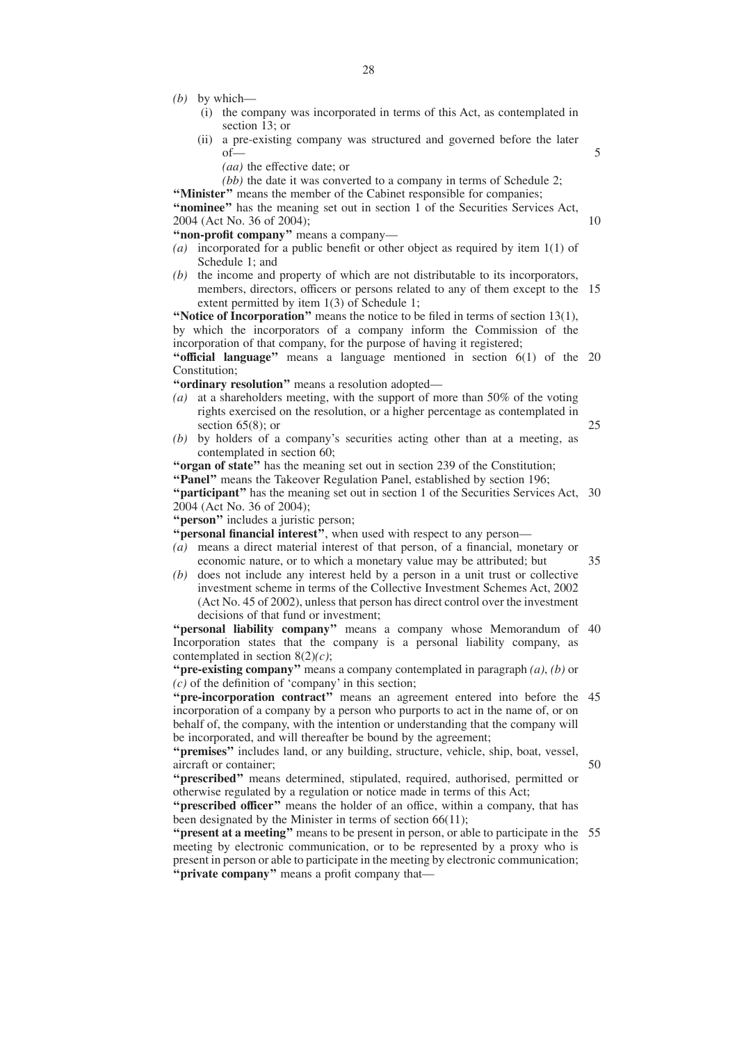*(b)* by which—

- (i) the company was incorporated in terms of this Act, as contemplated in section 13; or
- (ii) a pre-existing company was structured and governed before the later of—

*(aa)* the effective date; or

*(bb)* the date it was converted to a company in terms of Schedule 2;

**''Minister''** means the member of the Cabinet responsible for companies;

**''nominee''** has the meaning set out in section 1 of the Securities Services Act, 2004 (Act No. 36 of 2004);

**''non-profit company''** means a company—

- *(a)* incorporated for a public benefit or other object as required by item 1(1) of Schedule 1; and
- *(b)* the income and property of which are not distributable to its incorporators, members, directors, officers or persons related to any of them except to the 15 extent permitted by item 1(3) of Schedule 1;

**''Notice of Incorporation''** means the notice to be filed in terms of section 13(1), by which the incorporators of a company inform the Commission of the incorporation of that company, for the purpose of having it registered; "**official language**" means a language mentioned in section 6(1) of the 20 Constitution;

**''ordinary resolution''** means a resolution adopted—

- *(a)* at a shareholders meeting, with the support of more than 50% of the voting rights exercised on the resolution, or a higher percentage as contemplated in section 65(8); or
- *(b)* by holders of a company's securities acting other than at a meeting, as contemplated in section 60;

**''organ of state''** has the meaning set out in section 239 of the Constitution; "Panel" means the Takeover Regulation Panel, established by section 196; "**participant**" has the meaning set out in section 1 of the Securities Services Act, 30

2004 (Act No. 36 of 2004);

**''person''** includes a juristic person;

- **''personal financial interest''**, when used with respect to any person—
- *(a)* means a direct material interest of that person, of a financial, monetary or economic nature, or to which a monetary value may be attributed; but 35
- *(b)* does not include any interest held by a person in a unit trust or collective investment scheme in terms of the Collective Investment Schemes Act, 2002 (Act No. 45 of 2002), unless that person has direct control over the investment decisions of that fund or investment;

"personal liability company" means a company whose Memorandum of 40 Incorporation states that the company is a personal liability company, as contemplated in section 8(2)*(c)*;

**''pre-existing company''** means a company contemplated in paragraph *(a)*, *(b)* or *(c)* of the definition of 'company' in this section;

"**pre-incorporation contract**" means an agreement entered into before the 45 incorporation of a company by a person who purports to act in the name of, or on behalf of, the company, with the intention or understanding that the company will be incorporated, and will thereafter be bound by the agreement;

**''premises''** includes land, or any building, structure, vehicle, ship, boat, vessel, aircraft or container; **''prescribed''** means determined, stipulated, required, authorised, permitted or

50

otherwise regulated by a regulation or notice made in terms of this Act; **''prescribed officer''** means the holder of an office, within a company, that has been designated by the Minister in terms of section 66(11);

"**present at a meeting**" means to be present in person, or able to participate in the 55 meeting by electronic communication, or to be represented by a proxy who is present in person or able to participate in the meeting by electronic communication; **''private company''** means a profit company that—

10

5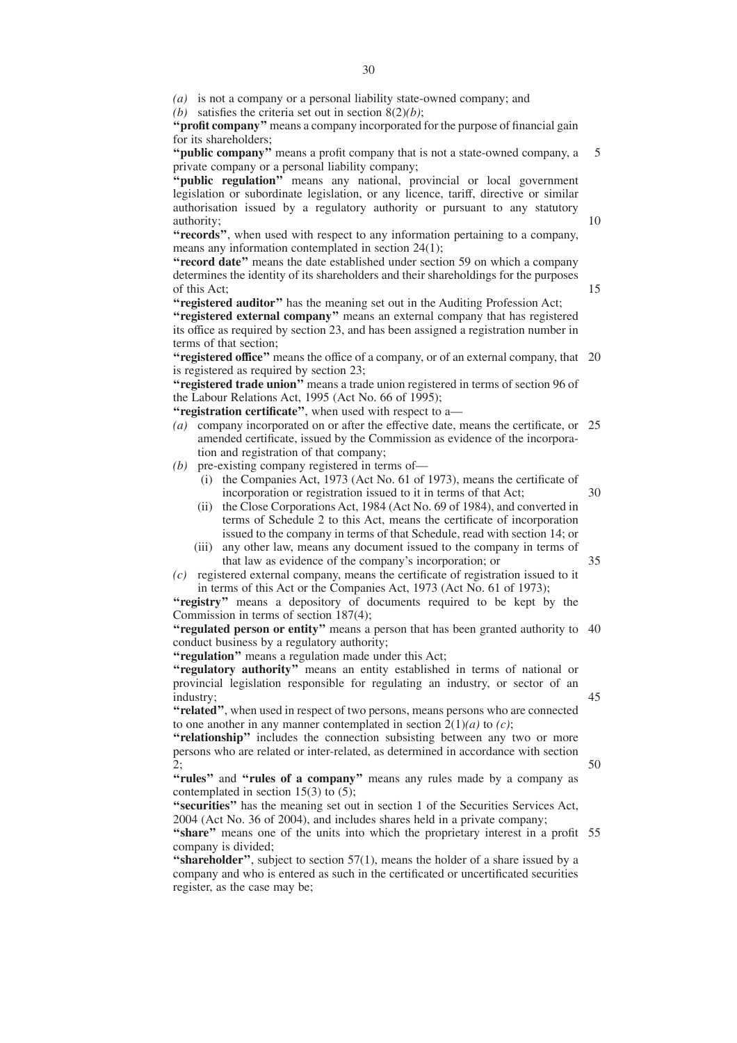*(a)* is not a company or a personal liability state-owned company; and

*(b)* satisfies the criteria set out in section 8(2)*(b)*;

**''profit company''** means a company incorporated for the purpose of financial gain for its shareholders;

"public company" means a profit company that is not a state-owned company, a private company or a personal liability company; 5

"public regulation" means any national, provincial or local government legislation or subordinate legislation, or any licence, tariff, directive or similar authorisation issued by a regulatory authority or pursuant to any statutory authority;

**''records''**, when used with respect to any information pertaining to a company, means any information contemplated in section 24(1);

**''record date''** means the date established under section 59 on which a company determines the identity of its shareholders and their shareholdings for the purposes of this Act;

**''registered auditor''** has the meaning set out in the Auditing Profession Act; **''registered external company''** means an external company that has registered its office as required by section 23, and has been assigned a registration number in terms of that section;

"registered office" means the office of a company, or of an external company, that 20 is registered as required by section 23;

**''registered trade union''** means a trade union registered in terms of section 96 of the Labour Relations Act, 1995 (Act No. 66 of 1995);

**''registration certificate''**, when used with respect to a—

*(a)* company incorporated on or after the effective date, means the certificate, or 25 amended certificate, issued by the Commission as evidence of the incorporation and registration of that company;

*(b)* pre-existing company registered in terms of—

- (i) the Companies Act, 1973 (Act No. 61 of 1973), means the certificate of incorporation or registration issued to it in terms of that Act;
	- 30

50

10

15

- (ii) the Close Corporations Act, 1984 (Act No. 69 of 1984), and converted in terms of Schedule 2 to this Act, means the certificate of incorporation issued to the company in terms of that Schedule, read with section 14; or
- (iii) any other law, means any document issued to the company in terms of that law as evidence of the company's incorporation; or 35
- *(c)* registered external company, means the certificate of registration issued to it in terms of this Act or the Companies Act, 1973 (Act No. 61 of 1973);

**''registry''** means a depository of documents required to be kept by the Commission in terms of section 187(4);

"regulated person or entity" means a person that has been granted authority to 40 conduct business by a regulatory authority;

**''regulation''** means a regulation made under this Act;

**''regulatory authority''** means an entity established in terms of national or provincial legislation responsible for regulating an industry, or sector of an industry; 45

**''related''**, when used in respect of two persons, means persons who are connected to one another in any manner contemplated in section  $2(1)(a)$  to  $(c)$ ;

**''relationship''** includes the connection subsisting between any two or more persons who are related or inter-related, as determined in accordance with section 2;

**''rules''** and **''rules of a company''** means any rules made by a company as contemplated in section 15(3) to (5);

**''securities''** has the meaning set out in section 1 of the Securities Services Act, 2004 (Act No. 36 of 2004), and includes shares held in a private company;

"share" means one of the units into which the proprietary interest in a profit 55 company is divided;

**''shareholder''**, subject to section 57(1), means the holder of a share issued by a company and who is entered as such in the certificated or uncertificated securities register, as the case may be;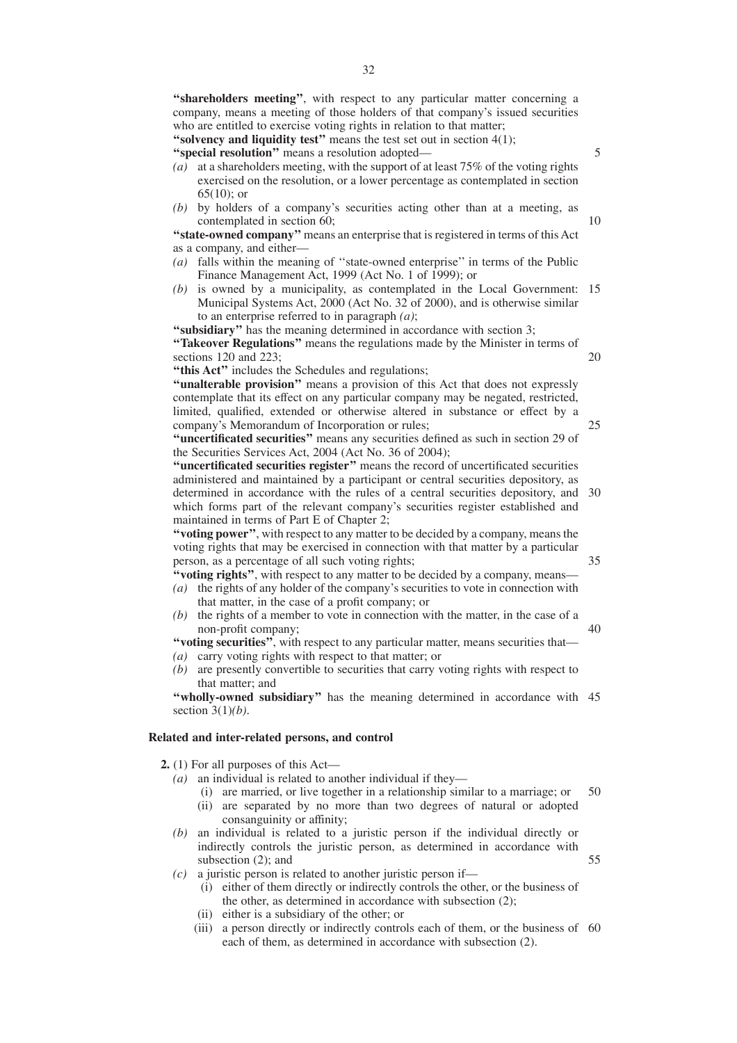**''shareholders meeting''**, with respect to any particular matter concerning a company, means a meeting of those holders of that company's issued securities who are entitled to exercise voting rights in relation to that matter;

**''solvency and liquidity test''** means the test set out in section 4(1); **''special resolution''** means a resolution adopted—

- *(a)* at a shareholders meeting, with the support of at least 75% of the voting rights exercised on the resolution, or a lower percentage as contemplated in section 65(10); or
- *(b)* by holders of a company's securities acting other than at a meeting, as contemplated in section 60;

**''state-owned company''** means an enterprise that is registered in terms of this Act as a company, and either—

- *(a)* falls within the meaning of ''state-owned enterprise'' in terms of the Public Finance Management Act, 1999 (Act No. 1 of 1999); or
- *(b)* is owned by a municipality, as contemplated in the Local Government: 15 Municipal Systems Act, 2000 (Act No. 32 of 2000), and is otherwise similar to an enterprise referred to in paragraph *(a)*;

**''subsidiary''** has the meaning determined in accordance with section 3; **''Takeover Regulations''** means the regulations made by the Minister in terms of sections 120 and 223; 20

**''this Act''** includes the Schedules and regulations;

**''unalterable provision''** means a provision of this Act that does not expressly contemplate that its effect on any particular company may be negated, restricted, limited, qualified, extended or otherwise altered in substance or effect by a company's Memorandum of Incorporation or rules;

**''uncertificated securities''** means any securities defined as such in section 29 of the Securities Services Act, 2004 (Act No. 36 of 2004);

**''uncertificated securities register''** means the record of uncertificated securities administered and maintained by a participant or central securities depository, as determined in accordance with the rules of a central securities depository, and which forms part of the relevant company's securities register established and maintained in terms of Part E of Chapter 2; 30

**''voting power''**, with respect to any matter to be decided by a company, means the voting rights that may be exercised in connection with that matter by a particular person, as a percentage of all such voting rights;

**''voting rights''**, with respect to any matter to be decided by a company, means—

- *(a)* the rights of any holder of the company's securities to vote in connection with that matter, in the case of a profit company; or
- *(b)* the rights of a member to vote in connection with the matter, in the case of a non-profit company;

**''voting securities''**, with respect to any particular matter, means securities that—

- *(a)* carry voting rights with respect to that matter; or
- *(b)* are presently convertible to securities that carry voting rights with respect to that matter; and

"wholly-owned subsidiary" has the meaning determined in accordance with 45 section 3(1)*(b)*.

# **Related and inter-related persons, and control**

**2.** (1) For all purposes of this Act—

- *(a)* an individual is related to another individual if they—
	- (i) are married, or live together in a relationship similar to a marriage; or (ii) are separated by no more than two degrees of natural or adopted 50
		- consanguinity or affinity;
- *(b)* an individual is related to a juristic person if the individual directly or indirectly controls the juristic person, as determined in accordance with subsection (2); and 55
- *(c)* a juristic person is related to another juristic person if—
	- (i) either of them directly or indirectly controls the other, or the business of the other, as determined in accordance with subsection (2);
	- (ii) either is a subsidiary of the other; or
	- (iii) a person directly or indirectly controls each of them, or the business of 60each of them, as determined in accordance with subsection (2).

25

35

40

5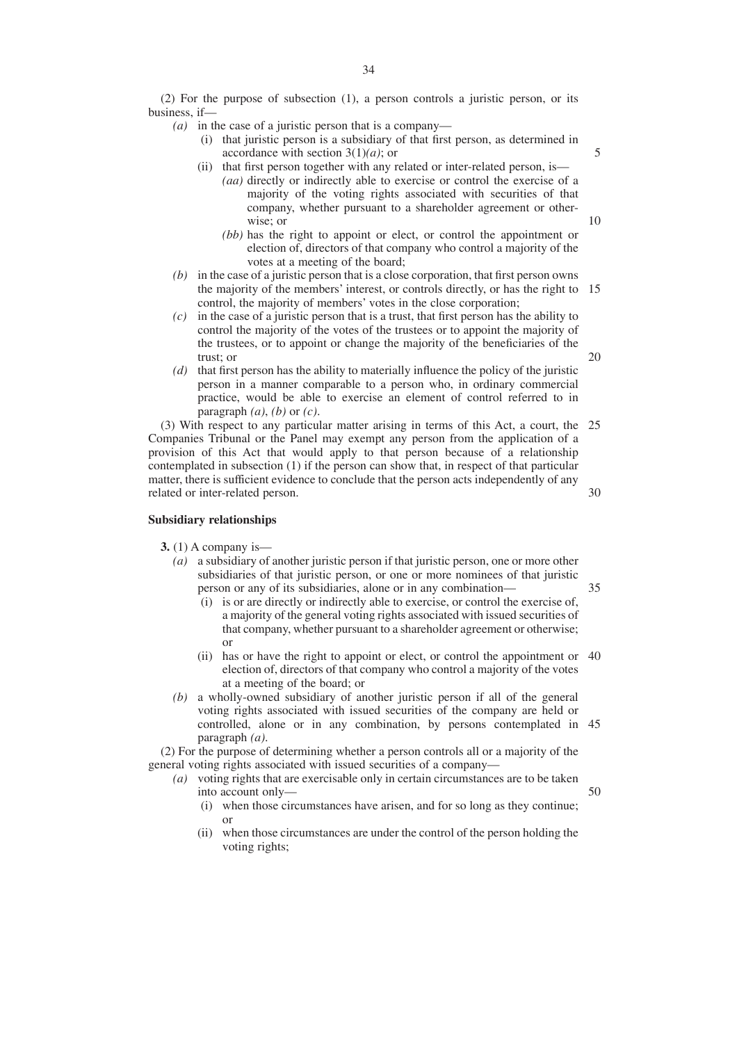(2) For the purpose of subsection (1), a person controls a juristic person, or its business, if—

- *(a)* in the case of a juristic person that is a company—
	- (i) that juristic person is a subsidiary of that first person, as determined in accordance with section 3(1)*(a)*; or
	- (ii) that first person together with any related or inter-related person, is— *(aa)* directly or indirectly able to exercise or control the exercise of a majority of the voting rights associated with securities of that company, whether pursuant to a shareholder agreement or otherwise; or
		- *(bb)* has the right to appoint or elect, or control the appointment or election of, directors of that company who control a majority of the votes at a meeting of the board;
- *(b)* in the case of a juristic person that is a close corporation, that first person owns the majority of the members' interest, or controls directly, or has the right to 15 control, the majority of members' votes in the close corporation;
- *(c)* in the case of a juristic person that is a trust, that first person has the ability to control the majority of the votes of the trustees or to appoint the majority of the trustees, or to appoint or change the majority of the beneficiaries of the trust; or
- *(d)* that first person has the ability to materially influence the policy of the juristic person in a manner comparable to a person who, in ordinary commercial practice, would be able to exercise an element of control referred to in paragraph  $(a)$ ,  $(b)$  or  $(c)$ .

(3) With respect to any particular matter arising in terms of this Act, a court, the 25 Companies Tribunal or the Panel may exempt any person from the application of a provision of this Act that would apply to that person because of a relationship contemplated in subsection (1) if the person can show that, in respect of that particular matter, there is sufficient evidence to conclude that the person acts independently of any related or inter-related person. 30

# **Subsidiary relationships**

**3.** (1) A company is—

- *(a)* a subsidiary of another juristic person if that juristic person, one or more other subsidiaries of that juristic person, or one or more nominees of that juristic person or any of its subsidiaries, alone or in any combination—
	- (i) is or are directly or indirectly able to exercise, or control the exercise of, a majority of the general voting rights associated with issued securities of that company, whether pursuant to a shareholder agreement or otherwise; or
	- (ii) has or have the right to appoint or elect, or control the appointment or 40 election of, directors of that company who control a majority of the votes at a meeting of the board; or
- *(b)* a wholly-owned subsidiary of another juristic person if all of the general voting rights associated with issued securities of the company are held or controlled, alone or in any combination, by persons contemplated in 45 paragraph *(a)*.

(2) For the purpose of determining whether a person controls all or a majority of the general voting rights associated with issued securities of a company—

- *(a)* voting rights that are exercisable only in certain circumstances are to be taken into account only—
	- (i) when those circumstances have arisen, and for so long as they continue; or
	- (ii) when those circumstances are under the control of the person holding the voting rights;

10

5

20

35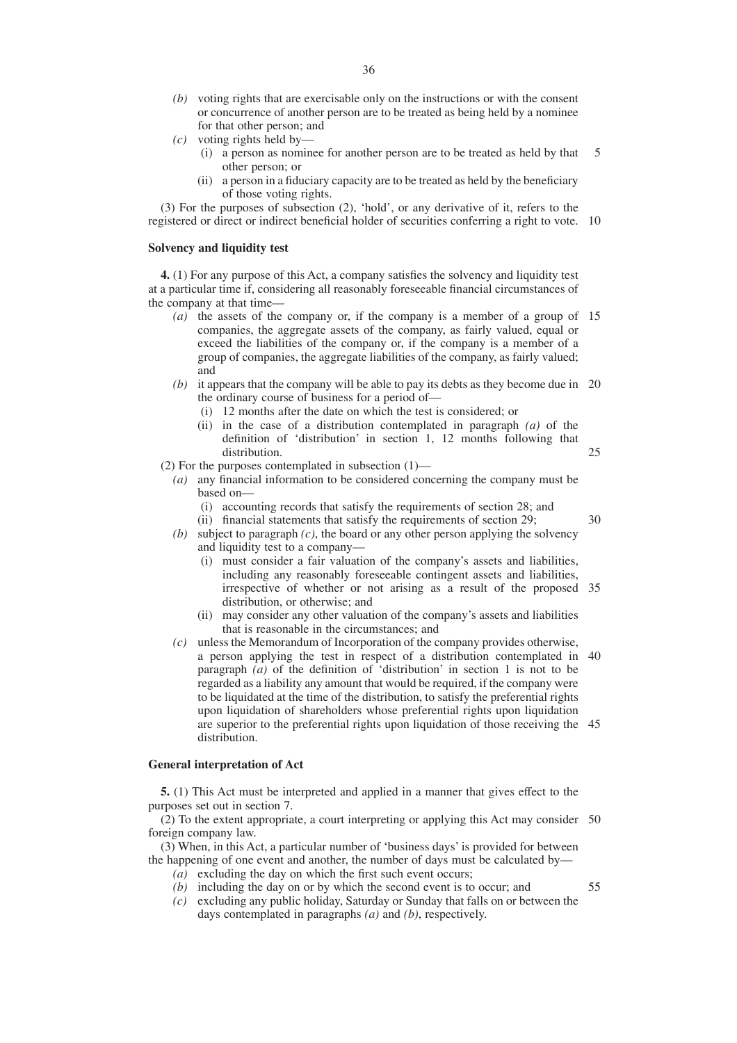- *(b)* voting rights that are exercisable only on the instructions or with the consent or concurrence of another person are to be treated as being held by a nominee for that other person; and
- *(c)* voting rights held by—
	- (i) a person as nominee for another person are to be treated as held by that other person; or 5
	- (ii) a person in a fiduciary capacity are to be treated as held by the beneficiary of those voting rights.

(3) For the purposes of subsection (2), 'hold', or any derivative of it, refers to the registered or direct or indirect beneficial holder of securities conferring a right to vote. 10

#### **Solvency and liquidity test**

**4.** (1) For any purpose of this Act, a company satisfies the solvency and liquidity test at a particular time if, considering all reasonably foreseeable financial circumstances of the company at that time—

- *(a)* the assets of the company or, if the company is a member of a group of 15 companies, the aggregate assets of the company, as fairly valued, equal or exceed the liabilities of the company or, if the company is a member of a group of companies, the aggregate liabilities of the company, as fairly valued; and
- *(b)* it appears that the company will be able to pay its debts as they become due in 20 the ordinary course of business for a period of—
	- (i) 12 months after the date on which the test is considered; or
	- (ii) in the case of a distribution contemplated in paragraph *(a)* of the definition of 'distribution' in section 1, 12 months following that distribution. 25

(2) For the purposes contemplated in subsection  $(1)$ —

- *(a)* any financial information to be considered concerning the company must be based on—
	- (i) accounting records that satisfy the requirements of section 28; and
	- (ii) financial statements that satisfy the requirements of section 29;
- *(b)* subject to paragraph *(c)*, the board or any other person applying the solvency and liquidity test to a company—
	- (i) must consider a fair valuation of the company's assets and liabilities, including any reasonably foreseeable contingent assets and liabilities, irrespective of whether or not arising as a result of the proposed 35 distribution, or otherwise; and

30

55

- (ii) may consider any other valuation of the company's assets and liabilities that is reasonable in the circumstances; and
- *(c)* unless the Memorandum of Incorporation of the company provides otherwise, a person applying the test in respect of a distribution contemplated in 40 paragraph *(a)* of the definition of 'distribution' in section 1 is not to be regarded as a liability any amount that would be required, if the company were to be liquidated at the time of the distribution, to satisfy the preferential rights upon liquidation of shareholders whose preferential rights upon liquidation are superior to the preferential rights upon liquidation of those receiving the 45 distribution.

#### **General interpretation of Act**

**5.** (1) This Act must be interpreted and applied in a manner that gives effect to the purposes set out in section 7.

(2) To the extent appropriate, a court interpreting or applying this Act may consider 50 foreign company law.

(3) When, in this Act, a particular number of 'business days' is provided for between the happening of one event and another, the number of days must be calculated by—

*(a)* excluding the day on which the first such event occurs;

*(b)* including the day on or by which the second event is to occur; and

*(c)* excluding any public holiday, Saturday or Sunday that falls on or between the days contemplated in paragraphs *(a)* and *(b)*, respectively.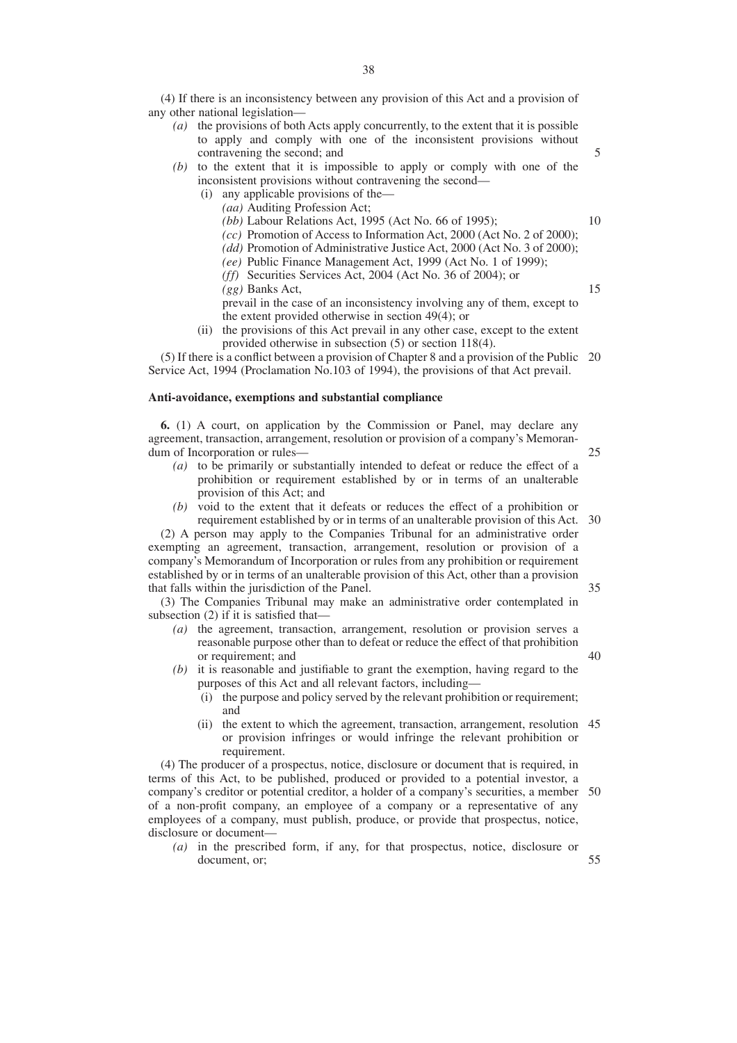(4) If there is an inconsistency between any provision of this Act and a provision of any other national legislation—

- *(a)* the provisions of both Acts apply concurrently, to the extent that it is possible to apply and comply with one of the inconsistent provisions without contravening the second; and
- *(b)* to the extent that it is impossible to apply or comply with one of the inconsistent provisions without contravening the second—
	- (i) any applicable provisions of the—
		- *(aa)* Auditing Profession Act;
		- *(bb)* Labour Relations Act, 1995 (Act No. 66 of 1995);
		- *(cc)* Promotion of Access to Information Act, 2000 (Act No. 2 of 2000);
		- *(dd)* Promotion of Administrative Justice Act, 2000 (Act No. 3 of 2000);
		- *(ee)* Public Finance Management Act, 1999 (Act No. 1 of 1999);
		- *(ff)* Securities Services Act, 2004 (Act No. 36 of 2004); or
		- *(gg)* Banks Act,

prevail in the case of an inconsistency involving any of them, except to the extent provided otherwise in section 49(4); or

(ii) the provisions of this Act prevail in any other case, except to the extent provided otherwise in subsection (5) or section 118(4).

(5) If there is a conflict between a provision of Chapter 8 and a provision of the Public 20 Service Act, 1994 (Proclamation No.103 of 1994), the provisions of that Act prevail.

# **Anti-avoidance, exemptions and substantial compliance**

**6.** (1) A court, on application by the Commission or Panel, may declare any agreement, transaction, arrangement, resolution or provision of a company's Memorandum of Incorporation or rules—

25

40

5

10

15

- *(a)* to be primarily or substantially intended to defeat or reduce the effect of a prohibition or requirement established by or in terms of an unalterable provision of this Act; and
- *(b)* void to the extent that it defeats or reduces the effect of a prohibition or requirement established by or in terms of an unalterable provision of this Act. 30

(2) A person may apply to the Companies Tribunal for an administrative order exempting an agreement, transaction, arrangement, resolution or provision of a company's Memorandum of Incorporation or rules from any prohibition or requirement established by or in terms of an unalterable provision of this Act, other than a provision that falls within the jurisdiction of the Panel. 35

(3) The Companies Tribunal may make an administrative order contemplated in subsection (2) if it is satisfied that—

- *(a)* the agreement, transaction, arrangement, resolution or provision serves a reasonable purpose other than to defeat or reduce the effect of that prohibition or requirement; and
- *(b)* it is reasonable and justifiable to grant the exemption, having regard to the purposes of this Act and all relevant factors, including—
	- (i) the purpose and policy served by the relevant prohibition or requirement; and
	- (ii) the extent to which the agreement, transaction, arrangement, resolution 45 or provision infringes or would infringe the relevant prohibition or requirement.

(4) The producer of a prospectus, notice, disclosure or document that is required, in terms of this Act, to be published, produced or provided to a potential investor, a company's creditor or potential creditor, a holder of a company's securities, a member 50 of a non-profit company, an employee of a company or a representative of any employees of a company, must publish, produce, or provide that prospectus, notice, disclosure or document—

*(a)* in the prescribed form, if any, for that prospectus, notice, disclosure or document, or;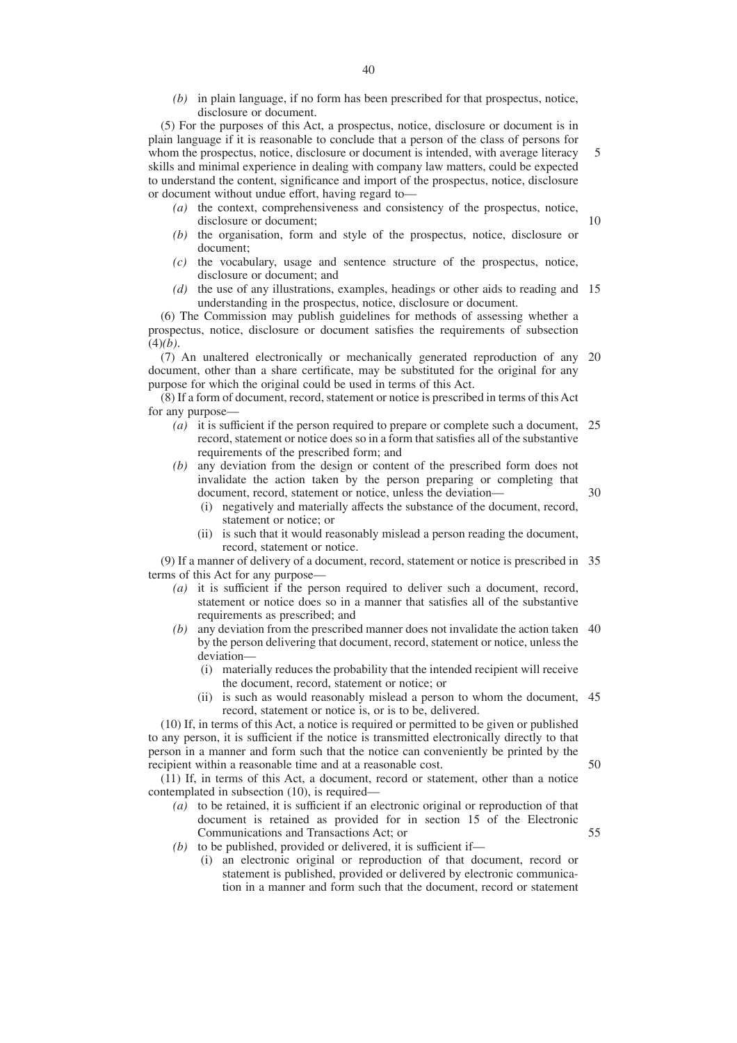*(b)* in plain language, if no form has been prescribed for that prospectus, notice, disclosure or document.

(5) For the purposes of this Act, a prospectus, notice, disclosure or document is in plain language if it is reasonable to conclude that a person of the class of persons for whom the prospectus, notice, disclosure or document is intended, with average literacy skills and minimal experience in dealing with company law matters, could be expected to understand the content, significance and import of the prospectus, notice, disclosure or document without undue effort, having regard to—

- *(a)* the context, comprehensiveness and consistency of the prospectus, notice, disclosure or document;
- *(b)* the organisation, form and style of the prospectus, notice, disclosure or document;
- *(c)* the vocabulary, usage and sentence structure of the prospectus, notice, disclosure or document; and
- *(d)* the use of any illustrations, examples, headings or other aids to reading and 15 understanding in the prospectus, notice, disclosure or document.

(6) The Commission may publish guidelines for methods of assessing whether a prospectus, notice, disclosure or document satisfies the requirements of subsection (4)*(b)*.

(7) An unaltered electronically or mechanically generated reproduction of any 20 document, other than a share certificate, may be substituted for the original for any purpose for which the original could be used in terms of this Act.

(8) If a form of document, record, statement or notice is prescribed in terms of this Act for any purpose—

- *(a)* it is sufficient if the person required to prepare or complete such a document, 25 record, statement or notice does so in a form that satisfies all of the substantive requirements of the prescribed form; and
- *(b)* any deviation from the design or content of the prescribed form does not invalidate the action taken by the person preparing or completing that document, record, statement or notice, unless the deviation—
- 30

50

55

5

10

- (i) negatively and materially affects the substance of the document, record, statement or notice; or
- (ii) is such that it would reasonably mislead a person reading the document, record, statement or notice.

(9) If a manner of delivery of a document, record, statement or notice is prescribed in 35 terms of this Act for any purpose—

- *(a)* it is sufficient if the person required to deliver such a document, record, statement or notice does so in a manner that satisfies all of the substantive requirements as prescribed; and
- *(b)* any deviation from the prescribed manner does not invalidate the action taken 40 by the person delivering that document, record, statement or notice, unless the deviation—
	- (i) materially reduces the probability that the intended recipient will receive the document, record, statement or notice; or
	- (ii) is such as would reasonably mislead a person to whom the document, 45 record, statement or notice is, or is to be, delivered.

(10) If, in terms of this Act, a notice is required or permitted to be given or published to any person, it is sufficient if the notice is transmitted electronically directly to that person in a manner and form such that the notice can conveniently be printed by the recipient within a reasonable time and at a reasonable cost.

(11) If, in terms of this Act, a document, record or statement, other than a notice contemplated in subsection (10), is required—

*(a)* to be retained, it is sufficient if an electronic original or reproduction of that document is retained as provided for in section 15 of the Electronic Communications and Transactions Act; or

*(b)* to be published, provided or delivered, it is sufficient if—

(i) an electronic original or reproduction of that document, record or statement is published, provided or delivered by electronic communication in a manner and form such that the document, record or statement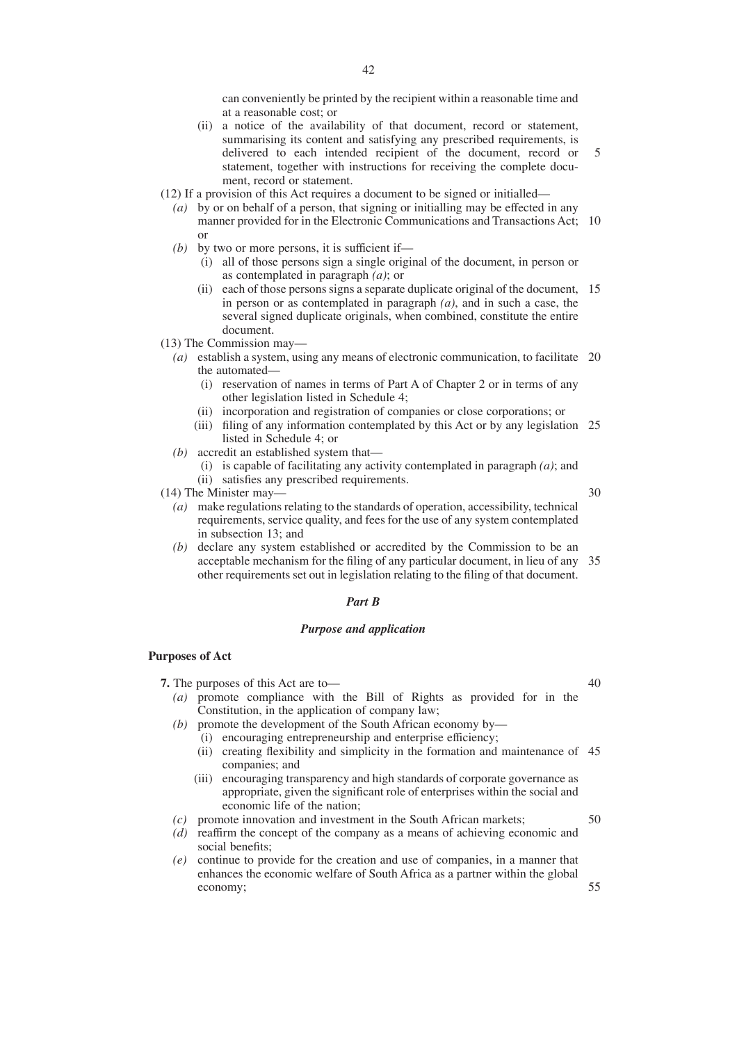can conveniently be printed by the recipient within a reasonable time and at a reasonable cost; or

- (ii) a notice of the availability of that document, record or statement, summarising its content and satisfying any prescribed requirements, is delivered to each intended recipient of the document, record or statement, together with instructions for receiving the complete document, record or statement. 5
- (12) If a provision of this Act requires a document to be signed or initialled—
	- *(a)* by or on behalf of a person, that signing or initialling may be effected in any manner provided for in the Electronic Communications and Transactions Act; 10 or
	- *(b)* by two or more persons, it is sufficient if—
		- (i) all of those persons sign a single original of the document, in person or as contemplated in paragraph *(a)*; or
		- (ii) each of those persons signs a separate duplicate original of the document, 15 in person or as contemplated in paragraph *(a)*, and in such a case, the several signed duplicate originals, when combined, constitute the entire document.
- (13) The Commission may—
	- *(a)* establish a system, using any means of electronic communication, to facilitate 20 the automated—
		- (i) reservation of names in terms of Part A of Chapter 2 or in terms of any other legislation listed in Schedule 4;
		- (ii) incorporation and registration of companies or close corporations; or
		- (iii) filing of any information contemplated by this Act or by any legislation 25 listed in Schedule 4; or
	- *(b)* accredit an established system that—
		- (i) is capable of facilitating any activity contemplated in paragraph *(a)*; and (ii) satisfies any prescribed requirements.
- (14) The Minister may—

30

- *(a)* make regulations relating to the standards of operation, accessibility, technical requirements, service quality, and fees for the use of any system contemplated in subsection 13; and
- *(b)* declare any system established or accredited by the Commission to be an acceptable mechanism for the filing of any particular document, in lieu of any 35 other requirements set out in legislation relating to the filing of that document.

#### *Part B*

# *Purpose and application*

#### **Purposes of Act**

**7.** The purposes of this Act are to—

- 40
- *(a)* promote compliance with the Bill of Rights as provided for in the Constitution, in the application of company law;
- *(b)* promote the development of the South African economy by—
	- (i) encouraging entrepreneurship and enterprise efficiency;
	- (ii) creating flexibility and simplicity in the formation and maintenance of 45 companies; and
	- (iii) encouraging transparency and high standards of corporate governance as appropriate, given the significant role of enterprises within the social and economic life of the nation;
- *(c)* promote innovation and investment in the South African markets;
- *(d)* reaffirm the concept of the company as a means of achieving economic and social benefits;
- *(e)* continue to provide for the creation and use of companies, in a manner that enhances the economic welfare of South Africa as a partner within the global economy;

55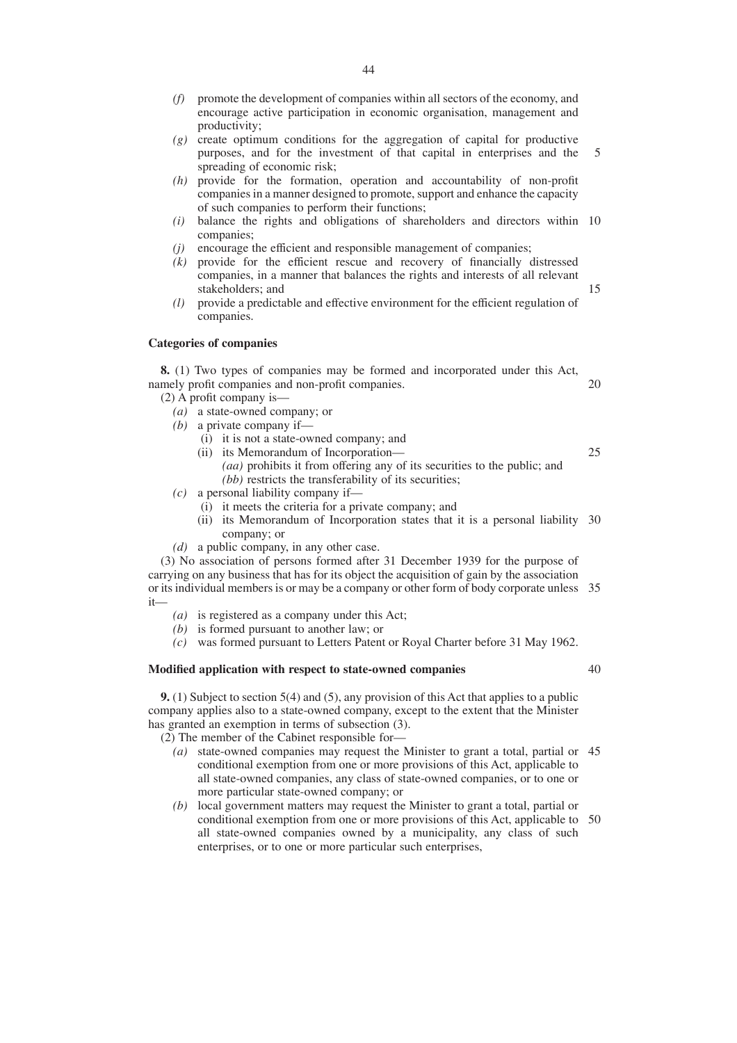- *(f)* promote the development of companies within all sectors of the economy, and encourage active participation in economic organisation, management and productivity;
- *(g)* create optimum conditions for the aggregation of capital for productive purposes, and for the investment of that capital in enterprises and the spreading of economic risk; 5
- *(h)* provide for the formation, operation and accountability of non-profit companies in a manner designed to promote, support and enhance the capacity of such companies to perform their functions;
- *(i)* balance the rights and obligations of shareholders and directors within 10 companies;
- *(j)* encourage the efficient and responsible management of companies;
- *(k)* provide for the efficient rescue and recovery of financially distressed companies, in a manner that balances the rights and interests of all relevant stakeholders; and
- *(l)* provide a predictable and effective environment for the efficient regulation of companies.

#### **Categories of companies**

**8.** (1) Two types of companies may be formed and incorporated under this Act, namely profit companies and non-profit companies. (2) A profit company is— 20

- *(a)* a state-owned company; or
- *(b)* a private company if—
	- (i) it is not a state-owned company; and
	- (ii) its Memorandum of Incorporation—
- 25
- *(aa)* prohibits it from offering any of its securities to the public; and *(bb)* restricts the transferability of its securities;
- *(c)* a personal liability company if—
	- (i) it meets the criteria for a private company; and
	- (ii) its Memorandum of Incorporation states that it is a personal liability 30 company; or
- *(d)* a public company, in any other case.

(3) No association of persons formed after 31 December 1939 for the purpose of carrying on any business that has for its object the acquisition of gain by the association or its individual members is or may be a company or other form of body corporate unless 35 it—

- *(a)* is registered as a company under this Act;
- *(b)* is formed pursuant to another law; or
- *(c)* was formed pursuant to Letters Patent or Royal Charter before 31 May 1962.

# **Modified application with respect to state-owned companies**

40

**9.** (1) Subject to section 5(4) and (5), any provision of this Act that applies to a public company applies also to a state-owned company, except to the extent that the Minister has granted an exemption in terms of subsection (3).

(2) The member of the Cabinet responsible for—

- *(a)* state-owned companies may request the Minister to grant a total, partial or 45 conditional exemption from one or more provisions of this Act, applicable to all state-owned companies, any class of state-owned companies, or to one or more particular state-owned company; or
- *(b)* local government matters may request the Minister to grant a total, partial or conditional exemption from one or more provisions of this Act, applicable to 50all state-owned companies owned by a municipality, any class of such enterprises, or to one or more particular such enterprises,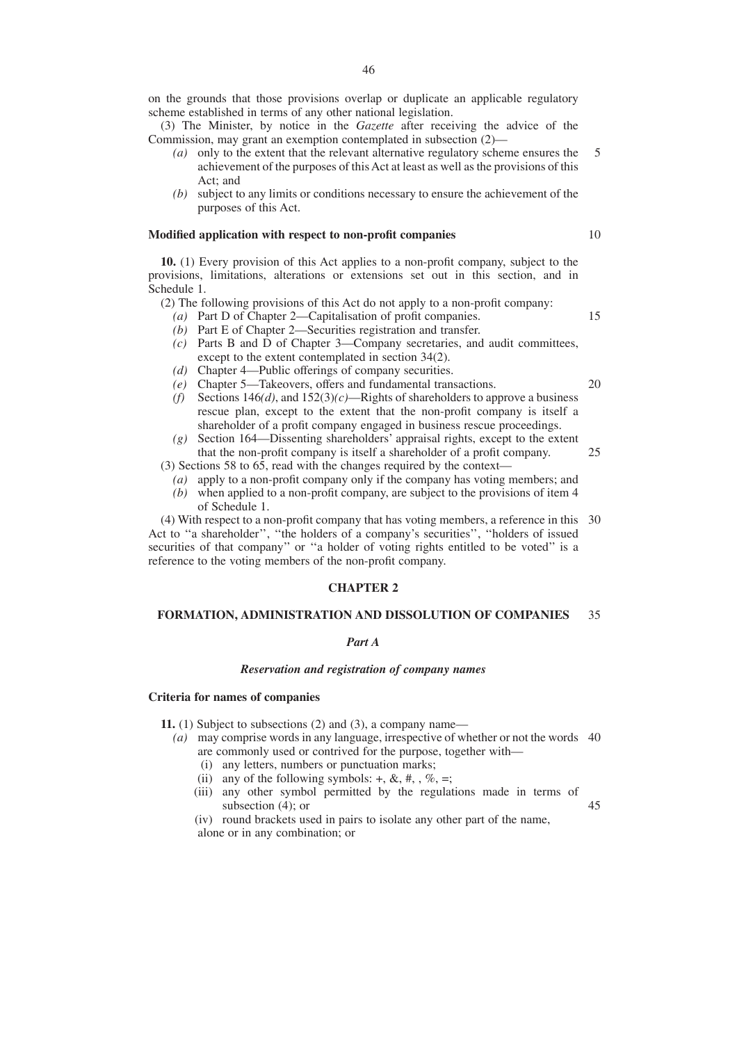on the grounds that those provisions overlap or duplicate an applicable regulatory scheme established in terms of any other national legislation.

(3) The Minister, by notice in the *Gazette* after receiving the advice of the Commission, may grant an exemption contemplated in subsection (2)—

- *(a)* only to the extent that the relevant alternative regulatory scheme ensures the achievement of the purposes of this Act at least as well as the provisions of this Act; and 5
- *(b)* subject to any limits or conditions necessary to ensure the achievement of the purposes of this Act.

#### **Modified application with respect to non-profit companies**

**10.** (1) Every provision of this Act applies to a non-profit company, subject to the provisions, limitations, alterations or extensions set out in this section, and in Schedule 1.

(2) The following provisions of this Act do not apply to a non-profit company: *(a)* Part D of Chapter 2—Capitalisation of profit companies.

15

20

- *(b)* Part E of Chapter 2—Securities registration and transfer.
- *(c)* Parts B and D of Chapter 3—Company secretaries, and audit committees, except to the extent contemplated in section 34(2).
- *(d)* Chapter 4—Public offerings of company securities.
- *(e)* Chapter 5—Takeovers, offers and fundamental transactions.
- *(f)* Sections 146*(d)*, and 152(3)*(c)*—Rights of shareholders to approve a business rescue plan, except to the extent that the non-profit company is itself a shareholder of a profit company engaged in business rescue proceedings.
- *(g)* Section 164—Dissenting shareholders' appraisal rights, except to the extent that the non-profit company is itself a shareholder of a profit company. 25
- (3) Sections 58 to 65, read with the changes required by the context—
	- *(a)* apply to a non-profit company only if the company has voting members; and *(b)* when applied to a non-profit company, are subject to the provisions of item 4
	- of Schedule 1.

(4) With respect to a non-profit company that has voting members, a reference in this 30 Act to ''a shareholder'', ''the holders of a company's securities'', ''holders of issued securities of that company'' or ''a holder of voting rights entitled to be voted'' is a reference to the voting members of the non-profit company.

## **CHAPTER 2**

#### **FORMATION, ADMINISTRATION AND DISSOLUTION OF COMPANIES** 35

#### *Part A*

#### *Reservation and registration of company names*

#### **Criteria for names of companies**

**11.** (1) Subject to subsections (2) and (3), a company name—

- *(a)* may comprise words in any language, irrespective of whether or not the words 40 are commonly used or contrived for the purpose, together with—
	- (i) any letters, numbers or punctuation marks;
	- (ii) any of the following symbols:  $+, \&, \#, \sqrt{\%}, =;$
	- (iii) any other symbol permitted by the regulations made in terms of subsection (4); or 45

(iv) round brackets used in pairs to isolate any other part of the name, alone or in any combination; or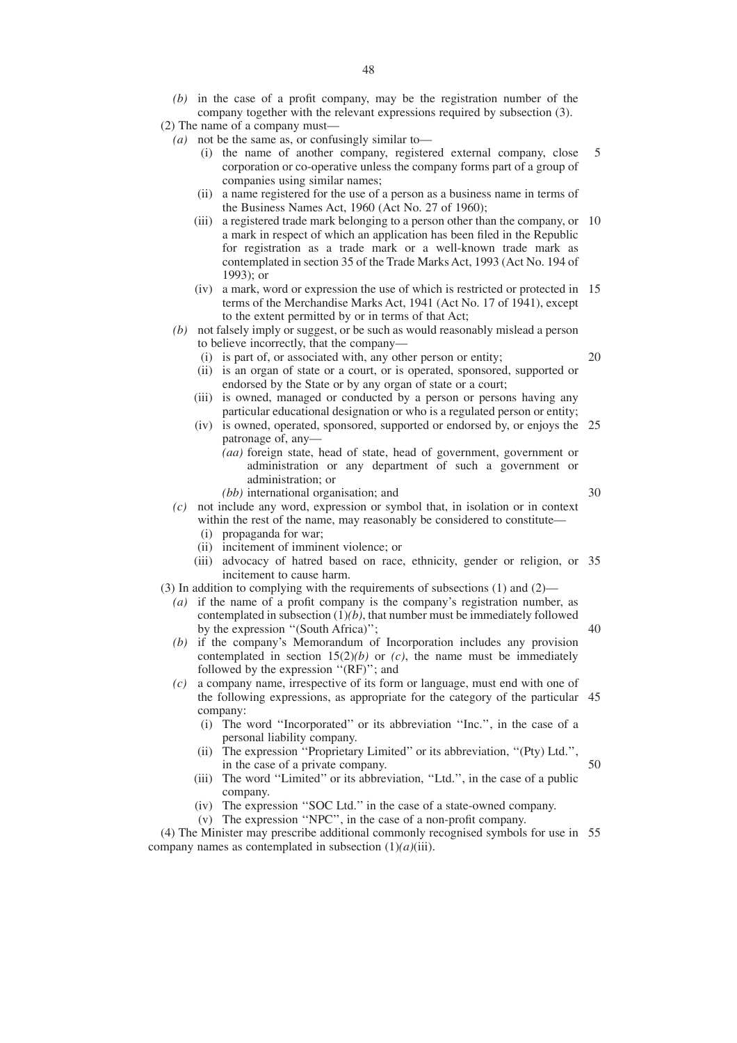(2) The name of a company must—

- *(a)* not be the same as, or confusingly similar to—
	- (i) the name of another company, registered external company, close corporation or co-operative unless the company forms part of a group of companies using similar names; 5
	- (ii) a name registered for the use of a person as a business name in terms of the Business Names Act, 1960 (Act No. 27 of 1960);
	- (iii) a registered trade mark belonging to a person other than the company, or 10 a mark in respect of which an application has been filed in the Republic for registration as a trade mark or a well-known trade mark as contemplated in section 35 of the Trade Marks Act, 1993 (Act No. 194 of  $1993$ ; or
	- (iv) a mark, word or expression the use of which is restricted or protected in 15 terms of the Merchandise Marks Act, 1941 (Act No. 17 of 1941), except to the extent permitted by or in terms of that Act;
- *(b)* not falsely imply or suggest, or be such as would reasonably mislead a person to believe incorrectly, that the company—
	- (i) is part of, or associated with, any other person or entity;
- 20
- (ii) is an organ of state or a court, or is operated, sponsored, supported or endorsed by the State or by any organ of state or a court;
- (iii) is owned, managed or conducted by a person or persons having any particular educational designation or who is a regulated person or entity;
- (iv) is owned, operated, sponsored, supported or endorsed by, or enjoys the 25 patronage of, any—
	- *(aa)* foreign state, head of state, head of government, government or administration or any department of such a government or administration; or
	- *(bb)* international organisation; and

30

50

# *(c)* not include any word, expression or symbol that, in isolation or in context within the rest of the name, may reasonably be considered to constitute—

- (i) propaganda for war;
- (ii) incitement of imminent violence; or
- (iii) advocacy of hatred based on race, ethnicity, gender or religion, or 35 incitement to cause harm.
- (3) In addition to complying with the requirements of subsections (1) and (2)—
	- *(a)* if the name of a profit company is the company's registration number, as contemplated in subsection  $(1)(b)$ , that number must be immediately followed by the expression ''(South Africa)''; 40
	- *(b)* if the company's Memorandum of Incorporation includes any provision contemplated in section  $15(2)(b)$  or *(c)*, the name must be immediately followed by the expression ''(RF)''; and
	- *(c)* a company name, irrespective of its form or language, must end with one of the following expressions, as appropriate for the category of the particular 45 company:
		- (i) The word ''Incorporated'' or its abbreviation ''Inc.'', in the case of a personal liability company.
		- (ii) The expression ''Proprietary Limited'' or its abbreviation, ''(Pty) Ltd.'', in the case of a private company.
		- (iii) The word ''Limited'' or its abbreviation, ''Ltd.'', in the case of a public company.
		- (iv) The expression ''SOC Ltd.'' in the case of a state-owned company.
		- (v) The expression ''NPC'', in the case of a non-profit company.

(4) The Minister may prescribe additional commonly recognised symbols for use in 55company names as contemplated in subsection (1)*(a)*(iii).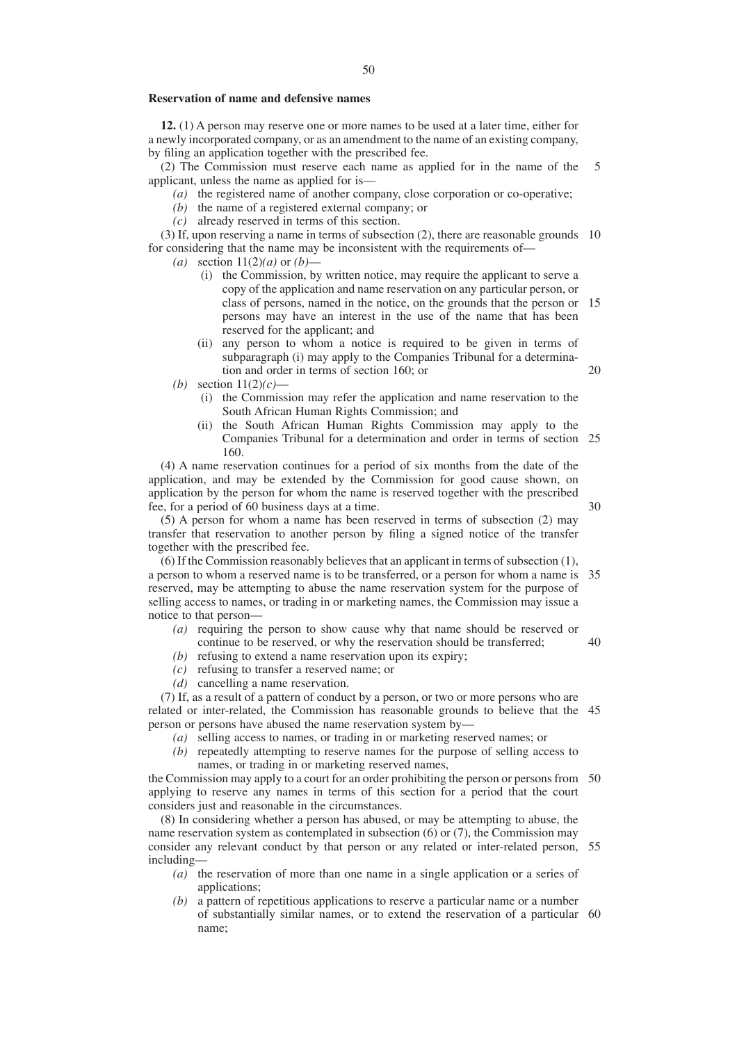#### **Reservation of name and defensive names**

**12.** (1) A person may reserve one or more names to be used at a later time, either for a newly incorporated company, or as an amendment to the name of an existing company, by filing an application together with the prescribed fee.

(2) The Commission must reserve each name as applied for in the name of the applicant, unless the name as applied for is— 5

*(a)* the registered name of another company, close corporation or co-operative;

*(b)* the name of a registered external company; or

*(c)* already reserved in terms of this section.

(3) If, upon reserving a name in terms of subsection (2), there are reasonable grounds 10 for considering that the name may be inconsistent with the requirements of—

*(a)* section 11(2)*(a)* or *(b)*—

- (i) the Commission, by written notice, may require the applicant to serve a copy of the application and name reservation on any particular person, or class of persons, named in the notice, on the grounds that the person or 15 persons may have an interest in the use of the name that has been reserved for the applicant; and
- (ii) any person to whom a notice is required to be given in terms of subparagraph (i) may apply to the Companies Tribunal for a determination and order in terms of section 160; or

*(b)* section 11(2)*(c)*—

- (i) the Commission may refer the application and name reservation to the South African Human Rights Commission; and
- (ii) the South African Human Rights Commission may apply to the Companies Tribunal for a determination and order in terms of section 25 160.

(4) A name reservation continues for a period of six months from the date of the application, and may be extended by the Commission for good cause shown, on application by the person for whom the name is reserved together with the prescribed fee, for a period of 60 business days at a time.

(5) A person for whom a name has been reserved in terms of subsection (2) may transfer that reservation to another person by filing a signed notice of the transfer together with the prescribed fee.

(6) If the Commission reasonably believes that an applicant in terms of subsection (1), a person to whom a reserved name is to be transferred, or a person for whom a name is 35 reserved, may be attempting to abuse the name reservation system for the purpose of selling access to names, or trading in or marketing names, the Commission may issue a notice to that person—

- *(a)* requiring the person to show cause why that name should be reserved or continue to be reserved, or why the reservation should be transferred; 40
- *(b)* refusing to extend a name reservation upon its expiry;
- *(c)* refusing to transfer a reserved name; or
- *(d)* cancelling a name reservation.

(7) If, as a result of a pattern of conduct by a person, or two or more persons who are related or inter-related, the Commission has reasonable grounds to believe that the 45 person or persons have abused the name reservation system by—

- *(a)* selling access to names, or trading in or marketing reserved names; or
- *(b)* repeatedly attempting to reserve names for the purpose of selling access to names, or trading in or marketing reserved names,

the Commission may apply to a court for an order prohibiting the person or persons from 50 applying to reserve any names in terms of this section for a period that the court considers just and reasonable in the circumstances.

(8) In considering whether a person has abused, or may be attempting to abuse, the name reservation system as contemplated in subsection (6) or (7), the Commission may consider any relevant conduct by that person or any related or inter-related person, 55 including—

- *(a)* the reservation of more than one name in a single application or a series of applications;
- *(b)* a pattern of repetitious applications to reserve a particular name or a number of substantially similar names, or to extend the reservation of a particular 60name;

30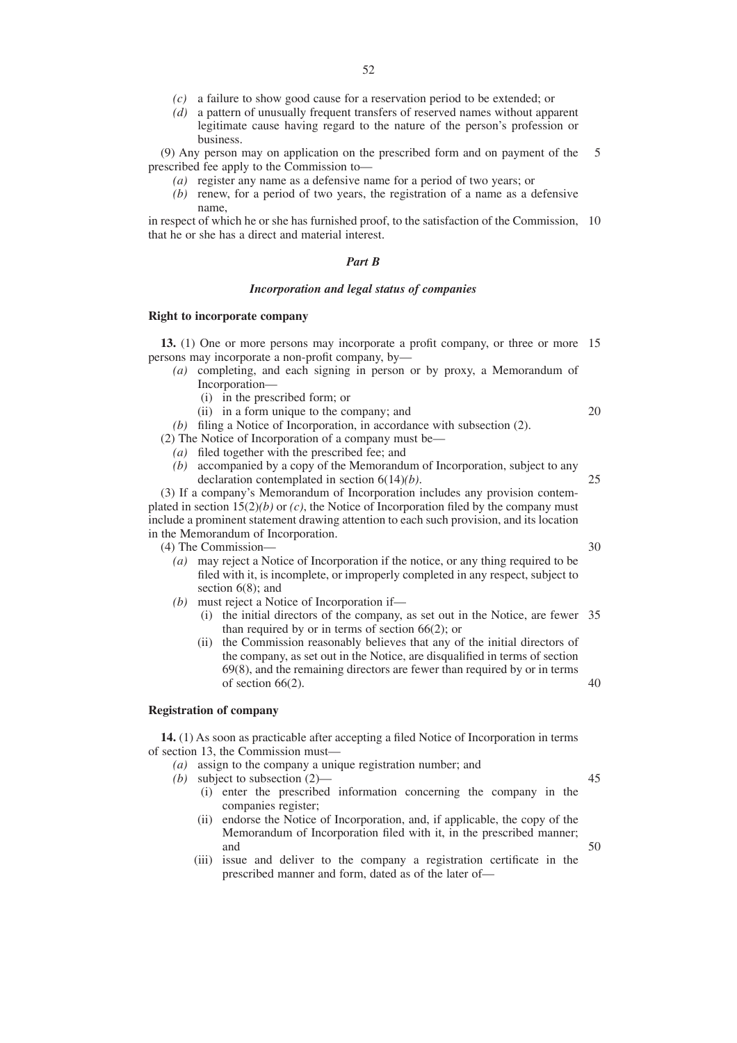- *(c)* a failure to show good cause for a reservation period to be extended; or
- *(d)* a pattern of unusually frequent transfers of reserved names without apparent legitimate cause having regard to the nature of the person's profession or business.

(9) Any person may on application on the prescribed form and on payment of the prescribed fee apply to the Commission to— 5

- *(a)* register any name as a defensive name for a period of two years; or
- *(b)* renew, for a period of two years, the registration of a name as a defensive name,

in respect of which he or she has furnished proof, to the satisfaction of the Commission, 10 that he or she has a direct and material interest.

# *Part B*

#### *Incorporation and legal status of companies*

#### **Right to incorporate company**

**13.** (1) One or more persons may incorporate a profit company, or three or more 15 persons may incorporate a non-profit company, by—

- *(a)* completing, and each signing in person or by proxy, a Memorandum of Incorporation—
	- (i) in the prescribed form; or
	- (ii) in a form unique to the company; and
- *(b)* filing a Notice of Incorporation, in accordance with subsection (2).

(2) The Notice of Incorporation of a company must be—

- *(a)* filed together with the prescribed fee; and
- *(b)* accompanied by a copy of the Memorandum of Incorporation, subject to any declaration contemplated in section 6(14)*(b)*. 25

(3) If a company's Memorandum of Incorporation includes any provision contemplated in section  $15(2)(b)$  or *(c)*, the Notice of Incorporation filed by the company must include a prominent statement drawing attention to each such provision, and its location in the Memorandum of Incorporation.

(4) The Commission—

- *(a)* may reject a Notice of Incorporation if the notice, or any thing required to be filed with it, is incomplete, or improperly completed in any respect, subject to section  $6(8)$ ; and
- *(b)* must reject a Notice of Incorporation if—
	- (i) the initial directors of the company, as set out in the Notice, are fewer 35 than required by or in terms of section 66(2); or
	- (ii) the Commission reasonably believes that any of the initial directors of the company, as set out in the Notice, are disqualified in terms of section 69(8), and the remaining directors are fewer than required by or in terms of section 66(2). 40

# **Registration of company**

**14.** (1) As soon as practicable after accepting a filed Notice of Incorporation in terms of section 13, the Commission must—

- *(a)* assign to the company a unique registration number; and
- *(b)* subject to subsection (2)—
	- (i) enter the prescribed information concerning the company in the companies register;
	- (ii) endorse the Notice of Incorporation, and, if applicable, the copy of the Memorandum of Incorporation filed with it, in the prescribed manner; and
	- (iii) issue and deliver to the company a registration certificate in the prescribed manner and form, dated as of the later of—

52

30

45

50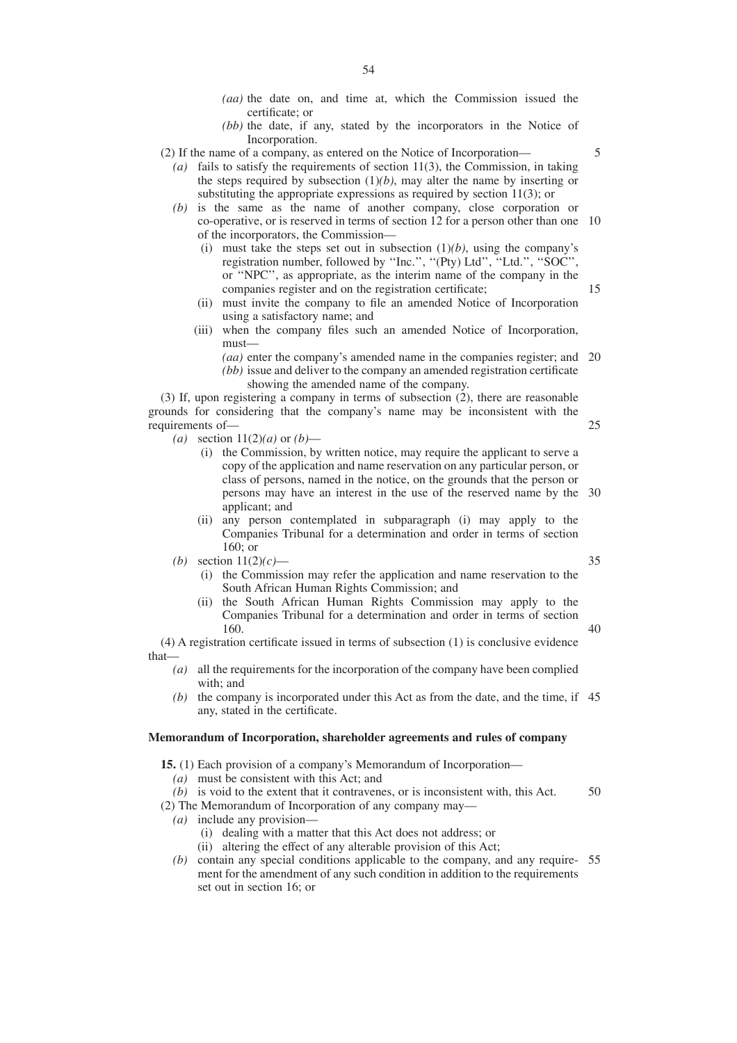*(bb)* the date, if any, stated by the incorporators in the Notice of Incorporation.

#### (2) If the name of a company, as entered on the Notice of Incorporation—

- *(a)* fails to satisfy the requirements of section 11(3), the Commission, in taking the steps required by subsection  $(1)(b)$ , may alter the name by inserting or substituting the appropriate expressions as required by section 11(3); or
- *(b)* is the same as the name of another company, close corporation or co-operative, or is reserved in terms of section 12 for a person other than one 10 of the incorporators, the Commission—
	- (i) must take the steps set out in subsection  $(1)(b)$ , using the company's registration number, followed by ''Inc.'', ''(Pty) Ltd'', ''Ltd.'', ''SOC'', or ''NPC'', as appropriate, as the interim name of the company in the companies register and on the registration certificate;
	- (ii) must invite the company to file an amended Notice of Incorporation using a satisfactory name; and
	- (iii) when the company files such an amended Notice of Incorporation, must—
		- *(aa)* enter the company's amended name in the companies register; and 20 *(bb)* issue and deliver to the company an amended registration certificate showing the amended name of the company.

(3) If, upon registering a company in terms of subsection (2), there are reasonable grounds for considering that the company's name may be inconsistent with the requirements of—

- *(a)* section 11(2)*(a)* or *(b)*
	- (i) the Commission, by written notice, may require the applicant to serve a copy of the application and name reservation on any particular person, or class of persons, named in the notice, on the grounds that the person or persons may have an interest in the use of the reserved name by the 30 applicant; and
	- (ii) any person contemplated in subparagraph (i) may apply to the Companies Tribunal for a determination and order in terms of section 160; or

*(b)* section 11(2)*(c)*—

- (i) the Commission may refer the application and name reservation to the South African Human Rights Commission; and
- (ii) the South African Human Rights Commission may apply to the Companies Tribunal for a determination and order in terms of section 160. 40

(4) A registration certificate issued in terms of subsection (1) is conclusive evidence that—

- *(a)* all the requirements for the incorporation of the company have been complied with; and
- *(b)* the company is incorporated under this Act as from the date, and the time, if 45 any, stated in the certificate.

# **Memorandum of Incorporation, shareholder agreements and rules of company**

**15.** (1) Each provision of a company's Memorandum of Incorporation—

- *(a)* must be consistent with this Act; and
- *(b)* is void to the extent that it contravenes, or is inconsistent with, this Act.

(2) The Memorandum of Incorporation of any company may—

- *(a)* include any provision—
	- (i) dealing with a matter that this Act does not address; or
	- (ii) altering the effect of any alterable provision of this Act;
- *(b)* contain any special conditions applicable to the company, and any require-55ment for the amendment of any such condition in addition to the requirements set out in section 16; or

15

5

25

35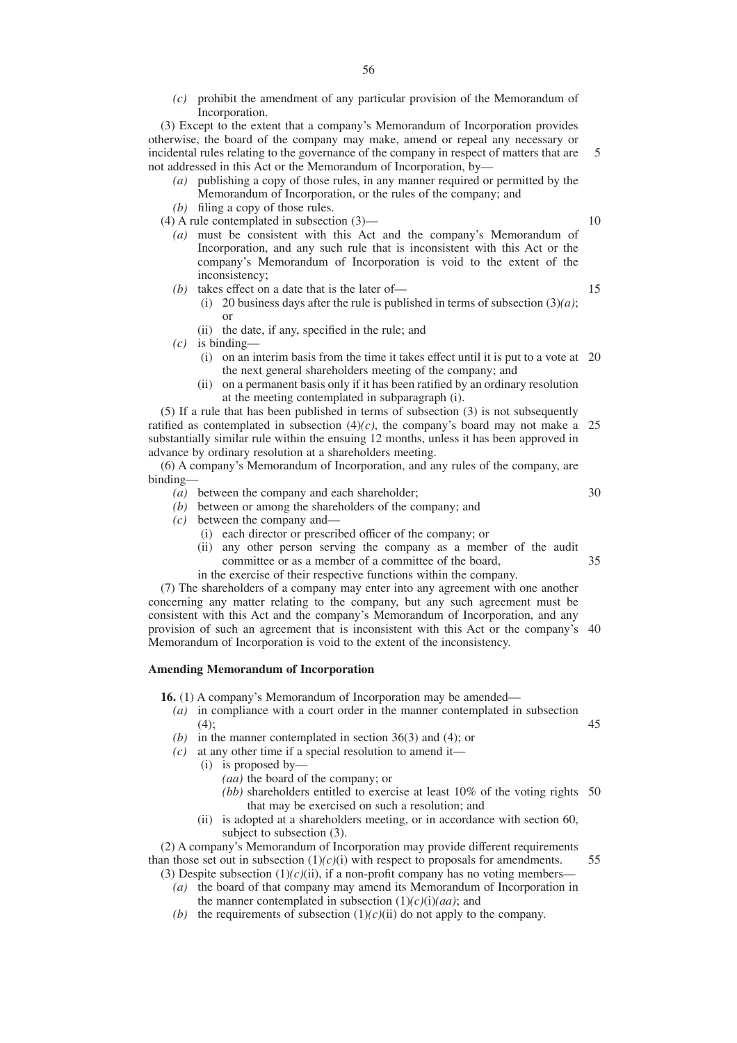*(c)* prohibit the amendment of any particular provision of the Memorandum of Incorporation.

(3) Except to the extent that a company's Memorandum of Incorporation provides otherwise, the board of the company may make, amend or repeal any necessary or incidental rules relating to the governance of the company in respect of matters that are not addressed in this Act or the Memorandum of Incorporation, by— 5

- *(a)* publishing a copy of those rules, in any manner required or permitted by the Memorandum of Incorporation, or the rules of the company; and
- *(b)* filing a copy of those rules.

(4) A rule contemplated in subsection (3)—

- *(a)* must be consistent with this Act and the company's Memorandum of Incorporation, and any such rule that is inconsistent with this Act or the company's Memorandum of Incorporation is void to the extent of the inconsistency;
- *(b)* takes effect on a date that is the later of—
	- (i) 20 business days after the rule is published in terms of subsection  $(3)(a)$ ; or
	- (ii) the date, if any, specified in the rule; and
- *(c)* is binding—
	- (i) on an interim basis from the time it takes effect until it is put to a vote at 20 the next general shareholders meeting of the company; and
	- (ii) on a permanent basis only if it has been ratified by an ordinary resolution at the meeting contemplated in subparagraph (i).

(5) If a rule that has been published in terms of subsection (3) is not subsequently ratified as contemplated in subsection  $(4)(c)$ , the company's board may not make a 25 substantially similar rule within the ensuing 12 months, unless it has been approved in advance by ordinary resolution at a shareholders meeting.

(6) A company's Memorandum of Incorporation, and any rules of the company, are binding—

*(a)* between the company and each shareholder;

30

10

15

- *(b)* between or among the shareholders of the company; and
- *(c)* between the company and—
	- (i) each director or prescribed officer of the company; or
	- (ii) any other person serving the company as a member of the audit committee or as a member of a committee of the board, 35
	- in the exercise of their respective functions within the company.

(7) The shareholders of a company may enter into any agreement with one another concerning any matter relating to the company, but any such agreement must be consistent with this Act and the company's Memorandum of Incorporation, and any provision of such an agreement that is inconsistent with this Act or the company's 40 Memorandum of Incorporation is void to the extent of the inconsistency.

#### **Amending Memorandum of Incorporation**

**16.** (1) A company's Memorandum of Incorporation may be amended—

- *(a)* in compliance with a court order in the manner contemplated in subsection  $(4)$ ; 45
- *(b)* in the manner contemplated in section 36(3) and (4); or
- $(c)$  at any other time if a special resolution to amend it—
	- (i) is proposed by—
		- *(aa)* the board of the company; or
		- *(bb)* shareholders entitled to exercise at least 10% of the voting rights 50 that may be exercised on such a resolution; and
	- (ii) is adopted at a shareholders meeting, or in accordance with section 60, subject to subsection (3).

(2) A company's Memorandum of Incorporation may provide different requirements than those set out in subsection  $(1)(c)(i)$  with respect to proposals for amendments. (3) Despite subsection  $(1)(c)(ii)$ , if a non-profit company has no voting members— 55

- *(a)* the board of that company may amend its Memorandum of Incorporation in
	- the manner contemplated in subsection  $(1)(c)(i)(aa)$ ; and
- *(b)* the requirements of subsection  $(1)(c)(ii)$  do not apply to the company.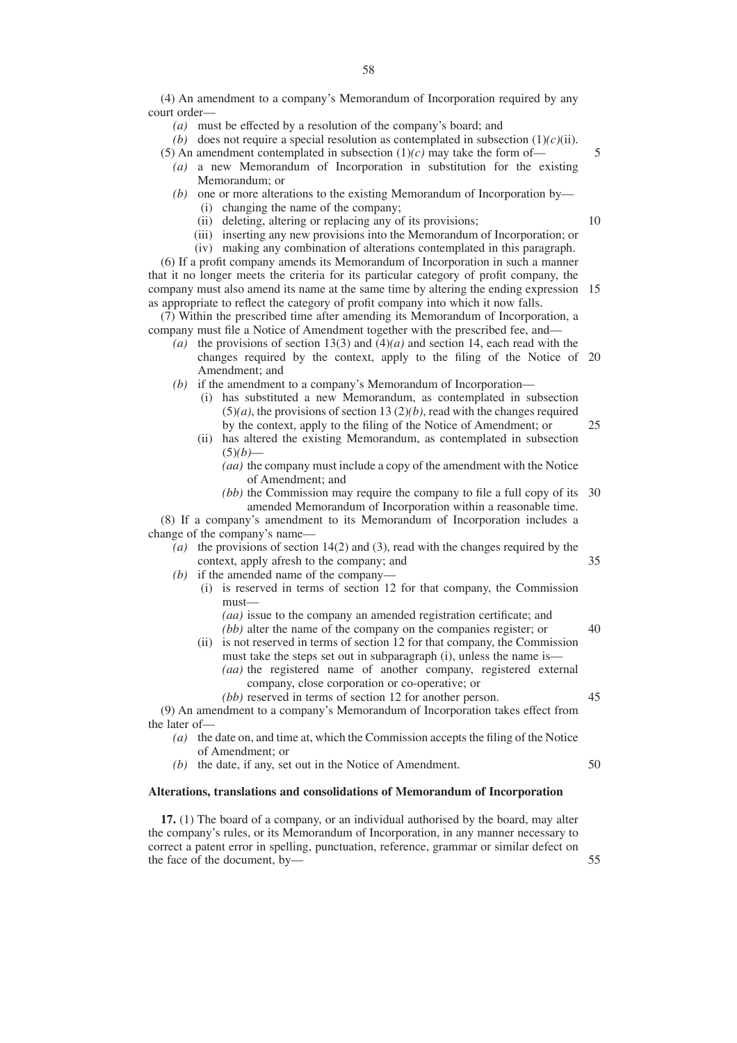(4) An amendment to a company's Memorandum of Incorporation required by any court order—

- *(a)* must be effected by a resolution of the company's board; and
- *(b)* does not require a special resolution as contemplated in subsection  $(1)/c$ *(ii)*.
- (5) An amendment contemplated in subsection  $(1)(c)$  may take the form of-
	- *(a)* a new Memorandum of Incorporation in substitution for the existing Memorandum; or
	- *(b)* one or more alterations to the existing Memorandum of Incorporation by— (i) changing the name of the company;
		- (ii) deleting, altering or replacing any of its provisions;
		- (iii) inserting any new provisions into the Memorandum of Incorporation; or
		- (iv) making any combination of alterations contemplated in this paragraph.

(6) If a profit company amends its Memorandum of Incorporation in such a manner that it no longer meets the criteria for its particular category of profit company, the company must also amend its name at the same time by altering the ending expression 15 as appropriate to reflect the category of profit company into which it now falls.

(7) Within the prescribed time after amending its Memorandum of Incorporation, a company must file a Notice of Amendment together with the prescribed fee, and—

- *(a)* the provisions of section 13(3) and (4)*(a)* and section 14, each read with the changes required by the context, apply to the filing of the Notice of 20 Amendment; and
- *(b)* if the amendment to a company's Memorandum of Incorporation—
	- (i) has substituted a new Memorandum, as contemplated in subsection  $(5)(a)$ , the provisions of section 13  $(2)(b)$ , read with the changes required by the context, apply to the filing of the Notice of Amendment; or
	- (ii) has altered the existing Memorandum, as contemplated in subsection  $(5)(b)$ —
		- *(aa)* the company must include a copy of the amendment with the Notice of Amendment; and
		- *(bb)* the Commission may require the company to file a full copy of its 30 amended Memorandum of Incorporation within a reasonable time.

(8) If a company's amendment to its Memorandum of Incorporation includes a change of the company's name—

- *(a)* the provisions of section 14(2) and (3), read with the changes required by the context, apply afresh to the company; and 35
- *(b)* if the amended name of the company—
	- (i) is reserved in terms of section 12 for that company, the Commission must—

*(aa)* issue to the company an amended registration certificate; and *(bb)* alter the name of the company on the companies register; or

- (ii) is not reserved in terms of section 12 for that company, the Commission must take the steps set out in subparagraph (i), unless the name is— *(aa)* the registered name of another company, registered external company, close corporation or co-operative; or
	- *(bb)* reserved in terms of section 12 for another person.

(9) An amendment to a company's Memorandum of Incorporation takes effect from the later of—

- *(a)* the date on, and time at, which the Commission accepts the filing of the Notice of Amendment; or
- *(b)* the date, if any, set out in the Notice of Amendment.

#### **Alterations, translations and consolidations of Memorandum of Incorporation**

**17.** (1) The board of a company, or an individual authorised by the board, may alter the company's rules, or its Memorandum of Incorporation, in any manner necessary to correct a patent error in spelling, punctuation, reference, grammar or similar defect on the face of the document, by—

10

25

5

45

40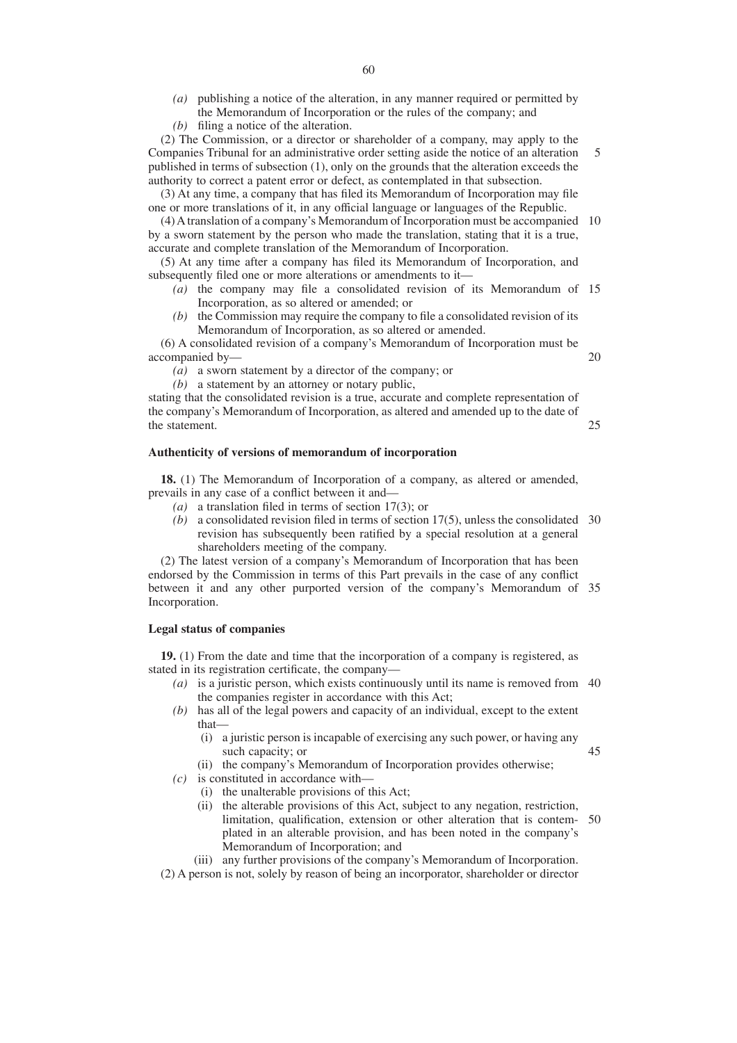- *(a)* publishing a notice of the alteration, in any manner required or permitted by the Memorandum of Incorporation or the rules of the company; and
- *(b)* filing a notice of the alteration.

(2) The Commission, or a director or shareholder of a company, may apply to the Companies Tribunal for an administrative order setting aside the notice of an alteration published in terms of subsection (1), only on the grounds that the alteration exceeds the authority to correct a patent error or defect, as contemplated in that subsection. 5

(3) At any time, a company that has filed its Memorandum of Incorporation may file one or more translations of it, in any official language or languages of the Republic.

(4) Atranslation of a company's Memorandum of Incorporation must be accompanied 10 by a sworn statement by the person who made the translation, stating that it is a true, accurate and complete translation of the Memorandum of Incorporation.

(5) At any time after a company has filed its Memorandum of Incorporation, and subsequently filed one or more alterations or amendments to it—

- *(a)* the company may file a consolidated revision of its Memorandum of 15 Incorporation, as so altered or amended; or
- *(b)* the Commission may require the company to file a consolidated revision of its Memorandum of Incorporation, as so altered or amended.

(6) A consolidated revision of a company's Memorandum of Incorporation must be accompanied by—

20

25

45

- *(a)* a sworn statement by a director of the company; or
- *(b)* a statement by an attorney or notary public,

stating that the consolidated revision is a true, accurate and complete representation of the company's Memorandum of Incorporation, as altered and amended up to the date of the statement.

#### **Authenticity of versions of memorandum of incorporation**

**18.** (1) The Memorandum of Incorporation of a company, as altered or amended, prevails in any case of a conflict between it and—

- *(a)* a translation filed in terms of section 17(3); or
- $(b)$  a consolidated revision filed in terms of section 17(5), unless the consolidated 30 revision has subsequently been ratified by a special resolution at a general shareholders meeting of the company.

(2) The latest version of a company's Memorandum of Incorporation that has been endorsed by the Commission in terms of this Part prevails in the case of any conflict between it and any other purported version of the company's Memorandum of 35 Incorporation.

# **Legal status of companies**

**19.** (1) From the date and time that the incorporation of a company is registered, as stated in its registration certificate, the company—

- *(a)* is a juristic person, which exists continuously until its name is removed from 40 the companies register in accordance with this Act;
- *(b)* has all of the legal powers and capacity of an individual, except to the extent that—
	- (i) a juristic person is incapable of exercising any such power, or having any such capacity; or
	- (ii) the company's Memorandum of Incorporation provides otherwise;
- *(c)* is constituted in accordance with—
	- (i) the unalterable provisions of this Act;
	- (ii) the alterable provisions of this Act, subject to any negation, restriction, limitation, qualification, extension or other alteration that is contemplated in an alterable provision, and has been noted in the company's Memorandum of Incorporation; and 50
	- (iii) any further provisions of the company's Memorandum of Incorporation.

(2) A person is not, solely by reason of being an incorporator, shareholder or director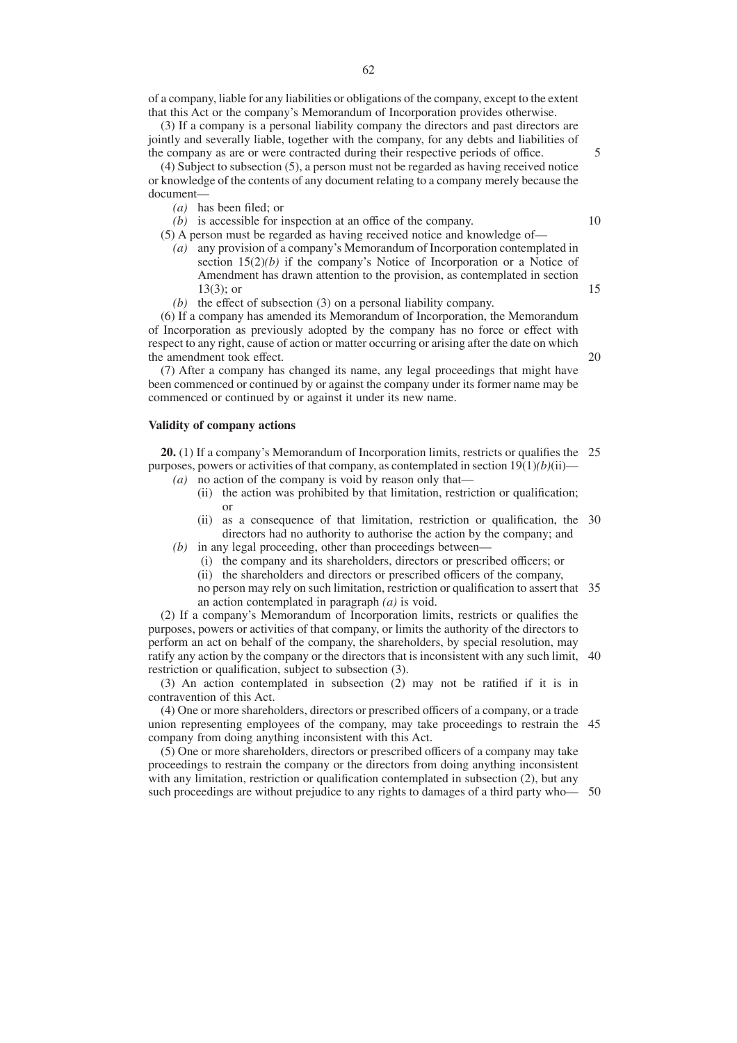of a company, liable for any liabilities or obligations of the company, except to the extent that this Act or the company's Memorandum of Incorporation provides otherwise.

(3) If a company is a personal liability company the directors and past directors are jointly and severally liable, together with the company, for any debts and liabilities of the company as are or were contracted during their respective periods of office.

(4) Subject to subsection (5), a person must not be regarded as having received notice or knowledge of the contents of any document relating to a company merely because the document—

*(a)* has been filed; or

- *(b)* is accessible for inspection at an office of the company.
- (5) A person must be regarded as having received notice and knowledge of—
	- *(a)* any provision of a company's Memorandum of Incorporation contemplated in section 15(2)*(b)* if the company's Notice of Incorporation or a Notice of Amendment has drawn attention to the provision, as contemplated in section 13(3); or
	- *(b)* the effect of subsection (3) on a personal liability company.

(6) If a company has amended its Memorandum of Incorporation, the Memorandum of Incorporation as previously adopted by the company has no force or effect with respect to any right, cause of action or matter occurring or arising after the date on which the amendment took effect.

(7) After a company has changed its name, any legal proceedings that might have been commenced or continued by or against the company under its former name may be commenced or continued by or against it under its new name.

#### **Validity of company actions**

**20.** (1) If a company's Memorandum of Incorporation limits, restricts or qualifies the 25 purposes, powers or activities of that company, as contemplated in section  $19(1)(b)(ii)$ —

- *(a)* no action of the company is void by reason only that—
	- (ii) the action was prohibited by that limitation, restriction or qualification; or
- (ii) as a consequence of that limitation, restriction or qualification, the 30 directors had no authority to authorise the action by the company; and *(b)* in any legal proceeding, other than proceedings between—
	- (i) the company and its shareholders, directors or prescribed officers; or
	- (ii) the shareholders and directors or prescribed officers of the company,

no person may rely on such limitation, restriction or qualification to assert that 35 an action contemplated in paragraph *(a)* is void.

(2) If a company's Memorandum of Incorporation limits, restricts or qualifies the purposes, powers or activities of that company, or limits the authority of the directors to perform an act on behalf of the company, the shareholders, by special resolution, may ratify any action by the company or the directors that is inconsistent with any such limit, 40 restriction or qualification, subject to subsection (3).

(3) An action contemplated in subsection (2) may not be ratified if it is in contravention of this Act.

(4) One or more shareholders, directors or prescribed officers of a company, or a trade union representing employees of the company, may take proceedings to restrain the 45 company from doing anything inconsistent with this Act.

(5) One or more shareholders, directors or prescribed officers of a company may take proceedings to restrain the company or the directors from doing anything inconsistent with any limitation, restriction or qualification contemplated in subsection (2), but any such proceedings are without prejudice to any rights to damages of a third party who— 50

10

5

20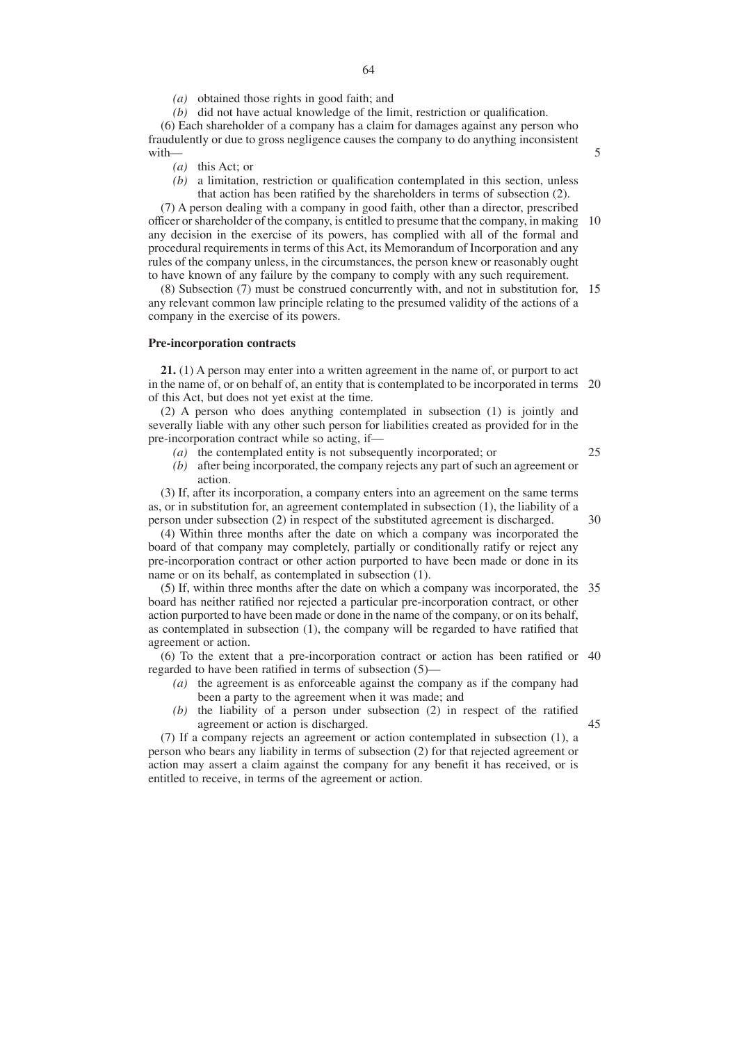*(a)* obtained those rights in good faith; and

*(b)* did not have actual knowledge of the limit, restriction or qualification.

(6) Each shareholder of a company has a claim for damages against any person who fraudulently or due to gross negligence causes the company to do anything inconsistent with—

*(a)* this Act; or

*(b)* a limitation, restriction or qualification contemplated in this section, unless that action has been ratified by the shareholders in terms of subsection (2).

(7) A person dealing with a company in good faith, other than a director, prescribed officer or shareholder of the company, is entitled to presume that the company, in making any decision in the exercise of its powers, has complied with all of the formal and procedural requirements in terms of this Act, its Memorandum of Incorporation and any rules of the company unless, in the circumstances, the person knew or reasonably ought to have known of any failure by the company to comply with any such requirement. 10

(8) Subsection (7) must be construed concurrently with, and not in substitution for, 15 any relevant common law principle relating to the presumed validity of the actions of a company in the exercise of its powers.

#### **Pre-incorporation contracts**

**21.** (1) A person may enter into a written agreement in the name of, or purport to act in the name of, or on behalf of, an entity that is contemplated to be incorporated in terms 20 of this Act, but does not yet exist at the time.

(2) A person who does anything contemplated in subsection (1) is jointly and severally liable with any other such person for liabilities created as provided for in the pre-incorporation contract while so acting, if—

- *(a)* the contemplated entity is not subsequently incorporated; or
- *(b)* after being incorporated, the company rejects any part of such an agreement or action.

(3) If, after its incorporation, a company enters into an agreement on the same terms as, or in substitution for, an agreement contemplated in subsection (1), the liability of a person under subsection (2) in respect of the substituted agreement is discharged.

(4) Within three months after the date on which a company was incorporated the board of that company may completely, partially or conditionally ratify or reject any pre-incorporation contract or other action purported to have been made or done in its name or on its behalf, as contemplated in subsection (1).

(5) If, within three months after the date on which a company was incorporated, the 35 board has neither ratified nor rejected a particular pre-incorporation contract, or other action purported to have been made or done in the name of the company, or on its behalf, as contemplated in subsection (1), the company will be regarded to have ratified that agreement or action.

(6) To the extent that a pre-incorporation contract or action has been ratified or 40 regarded to have been ratified in terms of subsection (5)—

- *(a)* the agreement is as enforceable against the company as if the company had been a party to the agreement when it was made; and
- *(b)* the liability of a person under subsection (2) in respect of the ratified agreement or action is discharged.

(7) If a company rejects an agreement or action contemplated in subsection (1), a person who bears any liability in terms of subsection (2) for that rejected agreement or action may assert a claim against the company for any benefit it has received, or is entitled to receive, in terms of the agreement or action.

5

25

30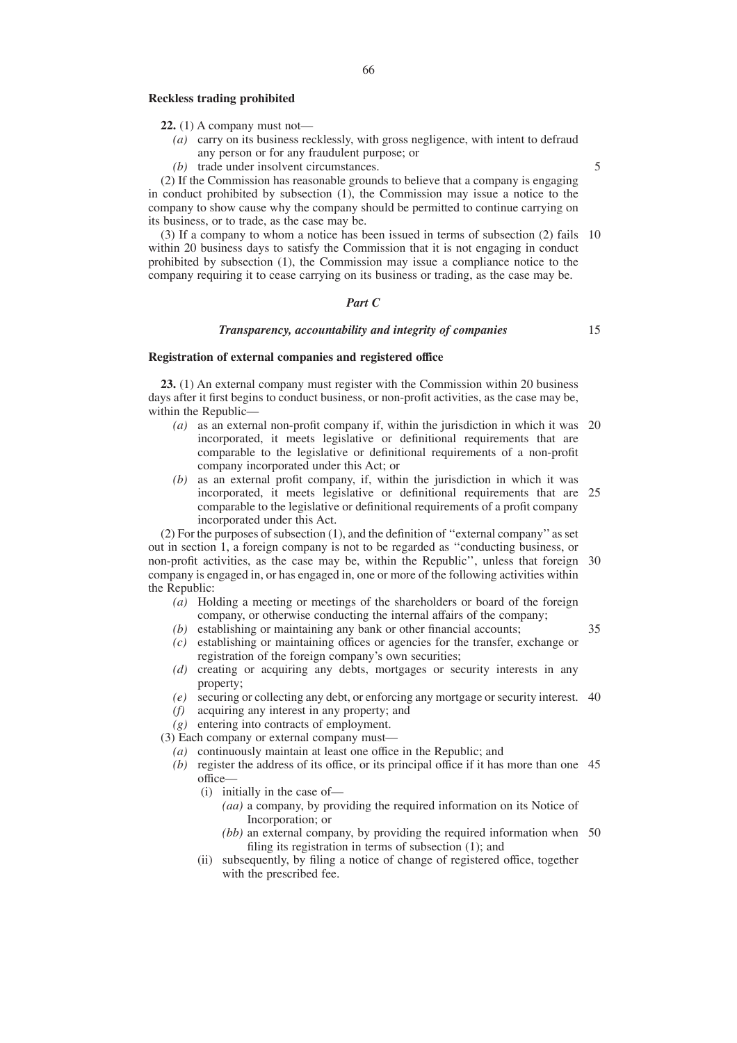## **Reckless trading prohibited**

- **22.** (1) A company must not—
	- *(a)* carry on its business recklessly, with gross negligence, with intent to defraud any person or for any fraudulent purpose; or
	- *(b)* trade under insolvent circumstances.

(2) If the Commission has reasonable grounds to believe that a company is engaging in conduct prohibited by subsection (1), the Commission may issue a notice to the company to show cause why the company should be permitted to continue carrying on its business, or to trade, as the case may be.

(3) If a company to whom a notice has been issued in terms of subsection (2) fails 10 within 20 business days to satisfy the Commission that it is not engaging in conduct prohibited by subsection (1), the Commission may issue a compliance notice to the company requiring it to cease carrying on its business or trading, as the case may be.

#### *Part C*

#### *Transparency, accountability and integrity of companies*

15

35

#### **Registration of external companies and registered office**

**23.** (1) An external company must register with the Commission within 20 business days after it first begins to conduct business, or non-profit activities, as the case may be, within the Republic—

- *(a)* as an external non-profit company if, within the jurisdiction in which it was 20 incorporated, it meets legislative or definitional requirements that are comparable to the legislative or definitional requirements of a non-profit company incorporated under this Act; or
- *(b)* as an external profit company, if, within the jurisdiction in which it was incorporated, it meets legislative or definitional requirements that are 25 comparable to the legislative or definitional requirements of a profit company incorporated under this Act.

(2) For the purposes of subsection (1), and the definition of ''external company'' as set out in section 1, a foreign company is not to be regarded as ''conducting business, or non-profit activities, as the case may be, within the Republic'', unless that foreign 30 company is engaged in, or has engaged in, one or more of the following activities within the Republic:

- *(a)* Holding a meeting or meetings of the shareholders or board of the foreign company, or otherwise conducting the internal affairs of the company;
- *(b)* establishing or maintaining any bank or other financial accounts;
- *(c)* establishing or maintaining offices or agencies for the transfer, exchange or registration of the foreign company's own securities;
- *(d)* creating or acquiring any debts, mortgages or security interests in any property;
- *(e)* securing or collecting any debt, or enforcing any mortgage or security interest. 40
- *(f)* acquiring any interest in any property; and
- *(g)* entering into contracts of employment.

(3) Each company or external company must—

- *(a)* continuously maintain at least one office in the Republic; and
- *(b)* register the address of its office, or its principal office if it has more than one 45 office—
	- (i) initially in the case of—
		- *(aa)* a company, by providing the required information on its Notice of Incorporation; or
		- *(bb)* an external company, by providing the required information when 50filing its registration in terms of subsection (1); and
	- (ii) subsequently, by filing a notice of change of registered office, together with the prescribed fee.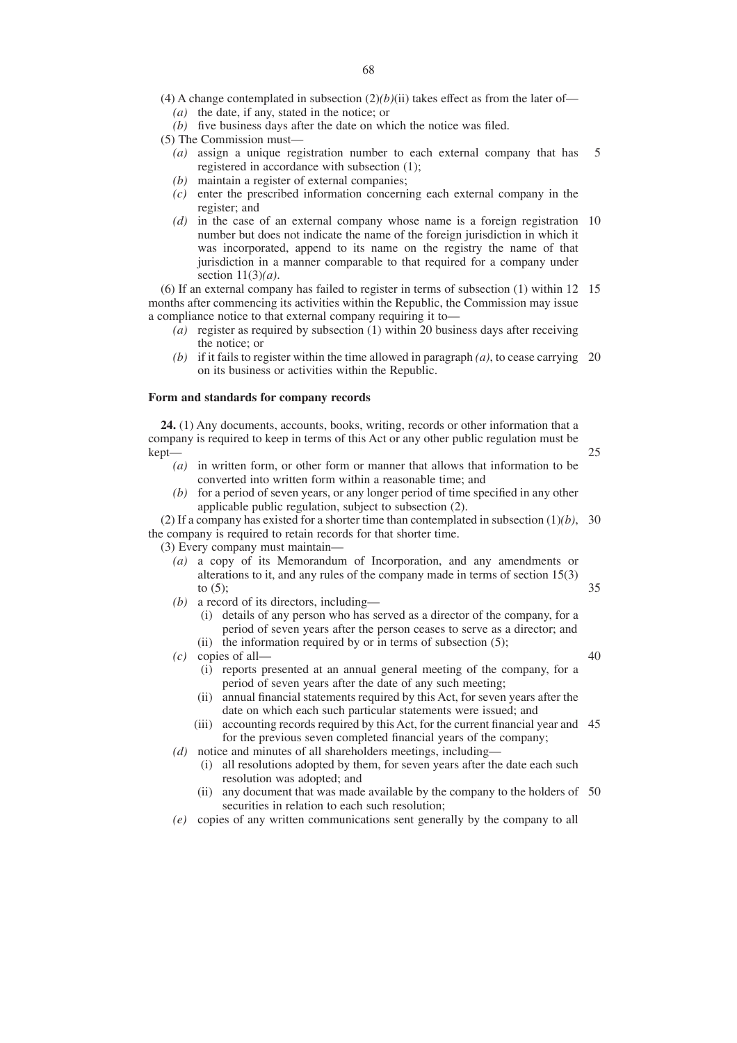- (4) A change contemplated in subsection  $(2)(b)(ii)$  takes effect as from the later of-
	- *(a)* the date, if any, stated in the notice; or
	- *(b)* five business days after the date on which the notice was filed.
- (5) The Commission must—
	- *(a)* assign a unique registration number to each external company that has registered in accordance with subsection (1); 5
	- *(b)* maintain a register of external companies;
	- *(c)* enter the prescribed information concerning each external company in the register; and
	- *(d)* in the case of an external company whose name is a foreign registration 10 number but does not indicate the name of the foreign jurisdiction in which it was incorporated, append to its name on the registry the name of that jurisdiction in a manner comparable to that required for a company under section 11(3)*(a)*.

(6) If an external company has failed to register in terms of subsection (1) within 12 15 months after commencing its activities within the Republic, the Commission may issue a compliance notice to that external company requiring it to—

- *(a)* register as required by subsection (1) within 20 business days after receiving the notice; or
- (b) if it fails to register within the time allowed in paragraph  $(a)$ , to cease carrying 20 on its business or activities within the Republic.

#### **Form and standards for company records**

**24.** (1) Any documents, accounts, books, writing, records or other information that a company is required to keep in terms of this Act or any other public regulation must be kept—

25

- *(a)* in written form, or other form or manner that allows that information to be converted into written form within a reasonable time; and
- *(b)* for a period of seven years, or any longer period of time specified in any other applicable public regulation, subject to subsection (2).

(2) If a company has existed for a shorter time than contemplated in subsection  $(1)(b)$ , 30 the company is required to retain records for that shorter time.

(3) Every company must maintain—

- *(a)* a copy of its Memorandum of Incorporation, and any amendments or alterations to it, and any rules of the company made in terms of section 15(3) to  $(5)$ ; 35
- *(b)* a record of its directors, including—
	- (i) details of any person who has served as a director of the company, for a period of seven years after the person ceases to serve as a director; and
	- (ii) the information required by or in terms of subsection  $(5)$ ;
- *(c)* copies of all— (i) reports presented at an annual general meeting of the company, for a period of seven years after the date of any such meeting; 40
	- (ii) annual financial statements required by this Act, for seven years after the date on which each such particular statements were issued; and
	- (iii) accounting records required by this Act, for the current financial year and 45 for the previous seven completed financial years of the company;
- *(d)* notice and minutes of all shareholders meetings, including—
	- (i) all resolutions adopted by them, for seven years after the date each such resolution was adopted; and
	- (ii) any document that was made available by the company to the holders of 50securities in relation to each such resolution;
- *(e)* copies of any written communications sent generally by the company to all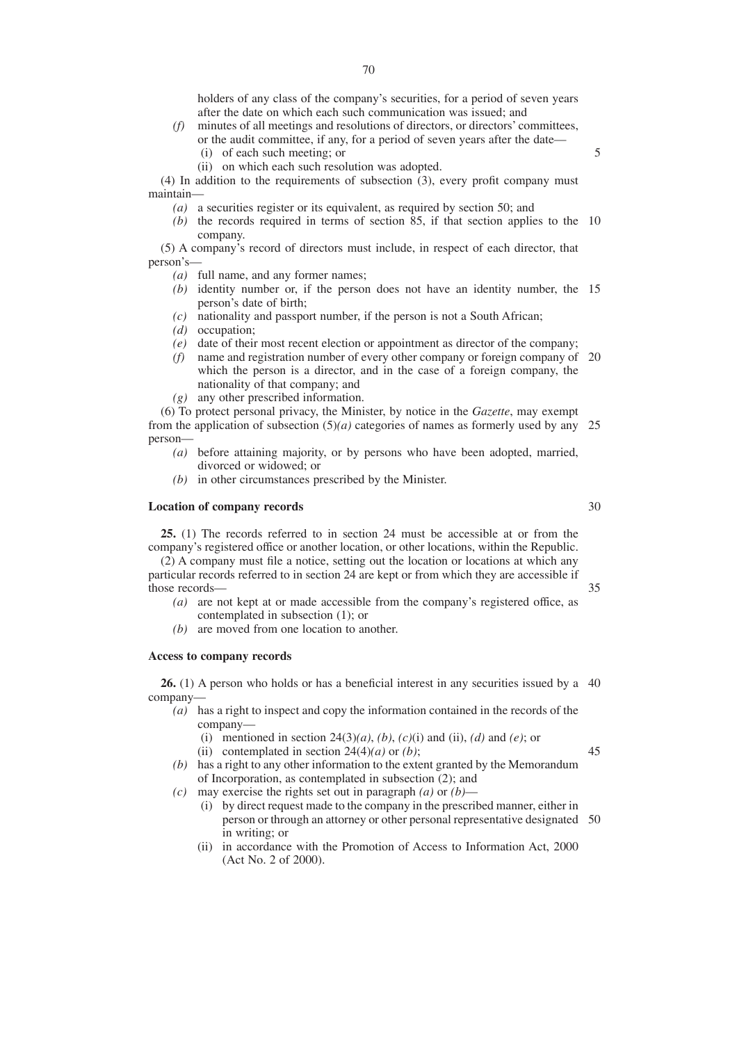holders of any class of the company's securities, for a period of seven years after the date on which each such communication was issued; and

# *(f)* minutes of all meetings and resolutions of directors, or directors' committees, or the audit committee, if any, for a period of seven years after the date—

- (i) of each such meeting; or
- (ii) on which each such resolution was adopted.

(4) In addition to the requirements of subsection (3), every profit company must maintain—

- *(a)* a securities register or its equivalent, as required by section 50; and
- *(b)* the records required in terms of section 85, if that section applies to the 10 company.

(5) A company's record of directors must include, in respect of each director, that person's—

- *(a)* full name, and any former names;
- *(b)* identity number or, if the person does not have an identity number, the 15 person's date of birth;
- *(c)* nationality and passport number, if the person is not a South African;
- *(d)* occupation;
- *(e)* date of their most recent election or appointment as director of the company;
- *(f)* name and registration number of every other company or foreign company of 20 which the person is a director, and in the case of a foreign company, the nationality of that company; and
- *(g)* any other prescribed information.

(6) To protect personal privacy, the Minister, by notice in the *Gazette*, may exempt from the application of subsection (5)*(a)* categories of names as formerly used by any 25 person—

- *(a)* before attaining majority, or by persons who have been adopted, married, divorced or widowed; or
- *(b)* in other circumstances prescribed by the Minister.

#### **Location of company records**

**25.** (1) The records referred to in section 24 must be accessible at or from the company's registered office or another location, or other locations, within the Republic.

(2) A company must file a notice, setting out the location or locations at which any particular records referred to in section 24 are kept or from which they are accessible if those records—

- *(a)* are not kept at or made accessible from the company's registered office, as contemplated in subsection (1); or
- *(b)* are moved from one location to another.

#### **Access to company records**

**26.** (1) A person who holds or has a beneficial interest in any securities issued by a 40 company—

*(a)* has a right to inspect and copy the information contained in the records of the company—

- (i) mentioned in section  $24(3)(a)$ , *(b)*, *(c)*(i) and *(ii)*, *(d)* and *(e)*; or
- (ii) contemplated in section  $24(4)(a)$  or *(b)*;
- *(b)* has a right to any other information to the extent granted by the Memorandum of Incorporation, as contemplated in subsection (2); and
- *(c)* may exercise the rights set out in paragraph *(a)* or *(b)*
	- (i) by direct request made to the company in the prescribed manner, either in person or through an attorney or other personal representative designated 50in writing; or
	- (ii) in accordance with the Promotion of Access to Information Act, 2000 (Act No. 2 of 2000).

30

35

45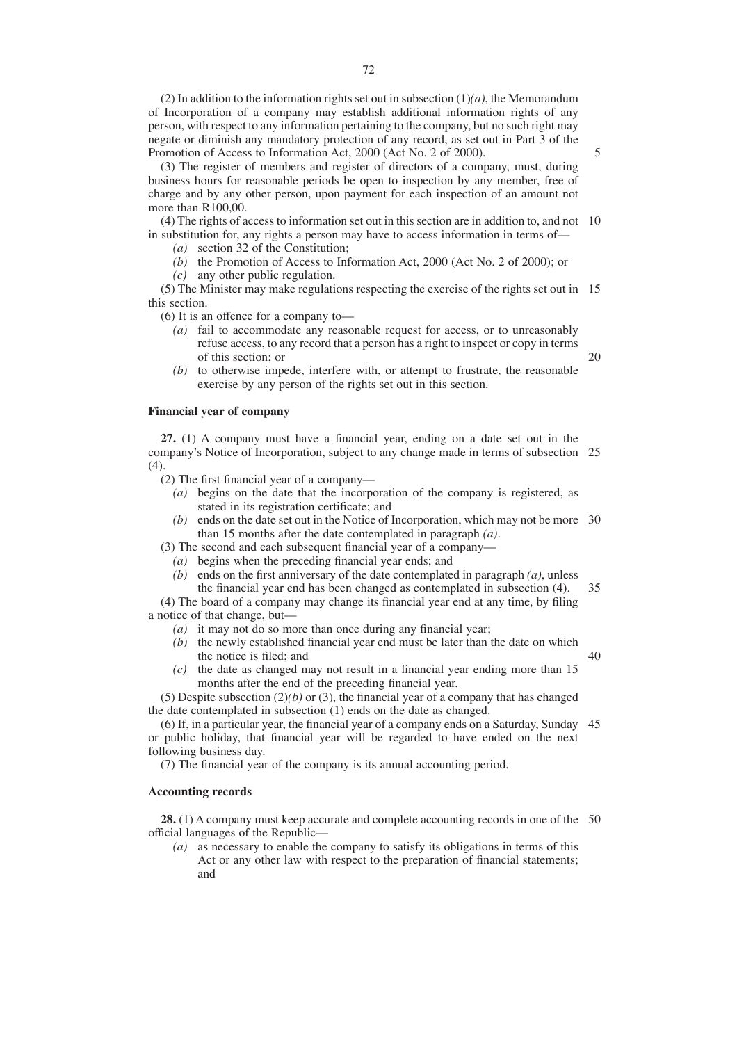(2) In addition to the information rights set out in subsection  $(1)(a)$ , the Memorandum of Incorporation of a company may establish additional information rights of any person, with respect to any information pertaining to the company, but no such right may negate or diminish any mandatory protection of any record, as set out in Part 3 of the Promotion of Access to Information Act, 2000 (Act No. 2 of 2000).

(3) The register of members and register of directors of a company, must, during business hours for reasonable periods be open to inspection by any member, free of charge and by any other person, upon payment for each inspection of an amount not more than R100,00.

(4) The rights of access to information set out in this section are in addition to, and not 10 in substitution for, any rights a person may have to access information in terms of—

*(a)* section 32 of the Constitution;

- *(b)* the Promotion of Access to Information Act, 2000 (Act No. 2 of 2000); or
- *(c)* any other public regulation.

(5) The Minister may make regulations respecting the exercise of the rights set out in 15 this section.

(6) It is an offence for a company to—

- *(a)* fail to accommodate any reasonable request for access, or to unreasonably refuse access, to any record that a person has a right to inspect or copy in terms of this section; or
- *(b)* to otherwise impede, interfere with, or attempt to frustrate, the reasonable exercise by any person of the rights set out in this section.

## **Financial year of company**

**27.** (1) A company must have a financial year, ending on a date set out in the company's Notice of Incorporation, subject to any change made in terms of subsection 25 (4).

(2) The first financial year of a company—

- *(a)* begins on the date that the incorporation of the company is registered, as stated in its registration certificate; and
- *(b)* ends on the date set out in the Notice of Incorporation, which may not be more 30 than 15 months after the date contemplated in paragraph *(a)*.

(3) The second and each subsequent financial year of a company—

- *(a)* begins when the preceding financial year ends; and
- *(b)* ends on the first anniversary of the date contemplated in paragraph *(a)*, unless

the financial year end has been changed as contemplated in subsection (4). (4) The board of a company may change its financial year end at any time, by filing 35

- a notice of that change, but—
	- *(a)* it may not do so more than once during any financial year;
	- *(b)* the newly established financial year end must be later than the date on which the notice is filed; and
	- *(c)* the date as changed may not result in a financial year ending more than 15 months after the end of the preceding financial year.

(5) Despite subsection  $(2)(b)$  or  $(3)$ , the financial year of a company that has changed the date contemplated in subsection (1) ends on the date as changed.

(6) If, in a particular year, the financial year of a company ends on a Saturday, Sunday 45 or public holiday, that financial year will be regarded to have ended on the next following business day.

(7) The financial year of the company is its annual accounting period.

#### **Accounting records**

**28.** (1) A company must keep accurate and complete accounting records in one of the 50official languages of the Republic—

*(a)* as necessary to enable the company to satisfy its obligations in terms of this Act or any other law with respect to the preparation of financial statements; and

20

40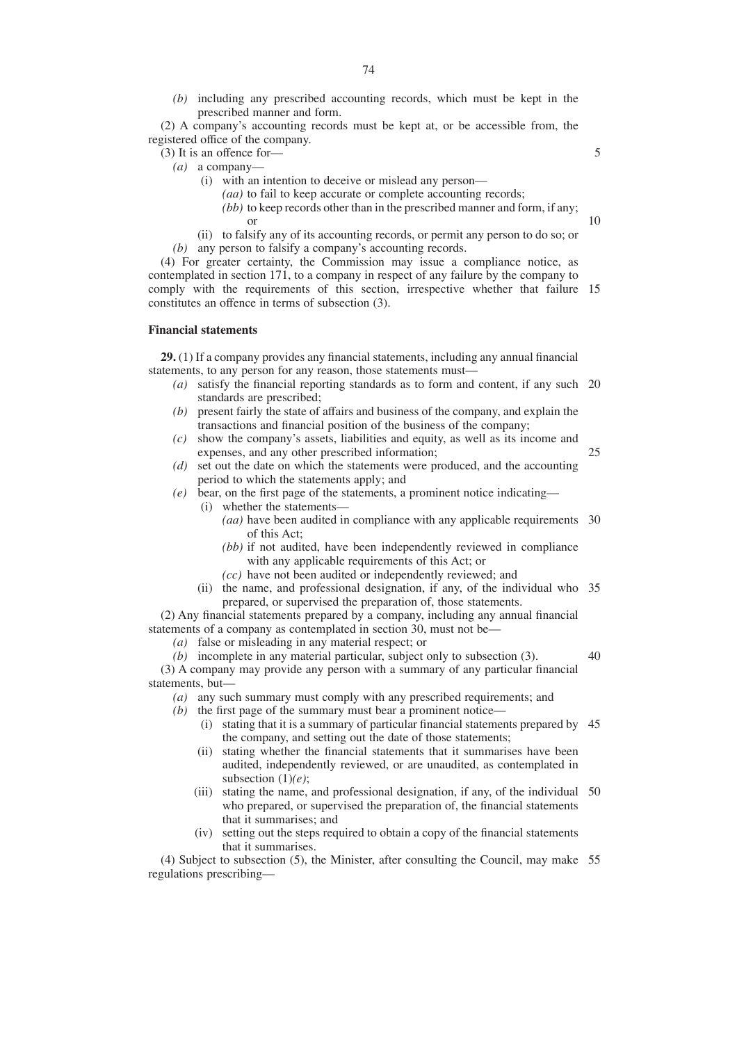*(b)* including any prescribed accounting records, which must be kept in the prescribed manner and form.

(2) A company's accounting records must be kept at, or be accessible from, the registered office of the company.

- (3) It is an offence for—
	- *(a)* a company—
		- (i) with an intention to deceive or mislead any person—
			- *(aa)* to fail to keep accurate or complete accounting records;
			- *(bb)* to keep records other than in the prescribed manner and form, if any; or
	- (ii) to falsify any of its accounting records, or permit any person to do so; or *(b)* any person to falsify a company's accounting records.

(4) For greater certainty, the Commission may issue a compliance notice, as contemplated in section 171, to a company in respect of any failure by the company to comply with the requirements of this section, irrespective whether that failure 15 constitutes an offence in terms of subsection (3).

#### **Financial statements**

**29.** (1) If a company provides any financial statements, including any annual financial statements, to any person for any reason, those statements must—

- *(a)* satisfy the financial reporting standards as to form and content, if any such 20 standards are prescribed;
- *(b)* present fairly the state of affairs and business of the company, and explain the transactions and financial position of the business of the company;
- *(c)* show the company's assets, liabilities and equity, as well as its income and expenses, and any other prescribed information; 25
- *(d)* set out the date on which the statements were produced, and the accounting period to which the statements apply; and
- *(e)* bear, on the first page of the statements, a prominent notice indicating—
	- (i) whether the statements—
		- *(aa)* have been audited in compliance with any applicable requirements 30 of this Act;
		- *(bb)* if not audited, have been independently reviewed in compliance with any applicable requirements of this Act; or
		- *(cc)* have not been audited or independently reviewed; and
	- (ii) the name, and professional designation, if any, of the individual who 35 prepared, or supervised the preparation of, those statements.

(2) Any financial statements prepared by a company, including any annual financial statements of a company as contemplated in section 30, must not be—

*(a)* false or misleading in any material respect; or

*(b)* incomplete in any material particular, subject only to subsection (3). (3) A company may provide any person with a summary of any particular financial statements, but— 40

- *(a)* any such summary must comply with any prescribed requirements; and
- *(b)* the first page of the summary must bear a prominent notice—
	- (i) stating that it is a summary of particular financial statements prepared by 45 the company, and setting out the date of those statements;
	- (ii) stating whether the financial statements that it summarises have been audited, independently reviewed, or are unaudited, as contemplated in subsection (1)*(e)*;
	- (iii) stating the name, and professional designation, if any, of the individual 50 who prepared, or supervised the preparation of, the financial statements that it summarises; and
	- (iv) setting out the steps required to obtain a copy of the financial statements that it summarises.

(4) Subject to subsection (5), the Minister, after consulting the Council, may make 55regulations prescribing—

5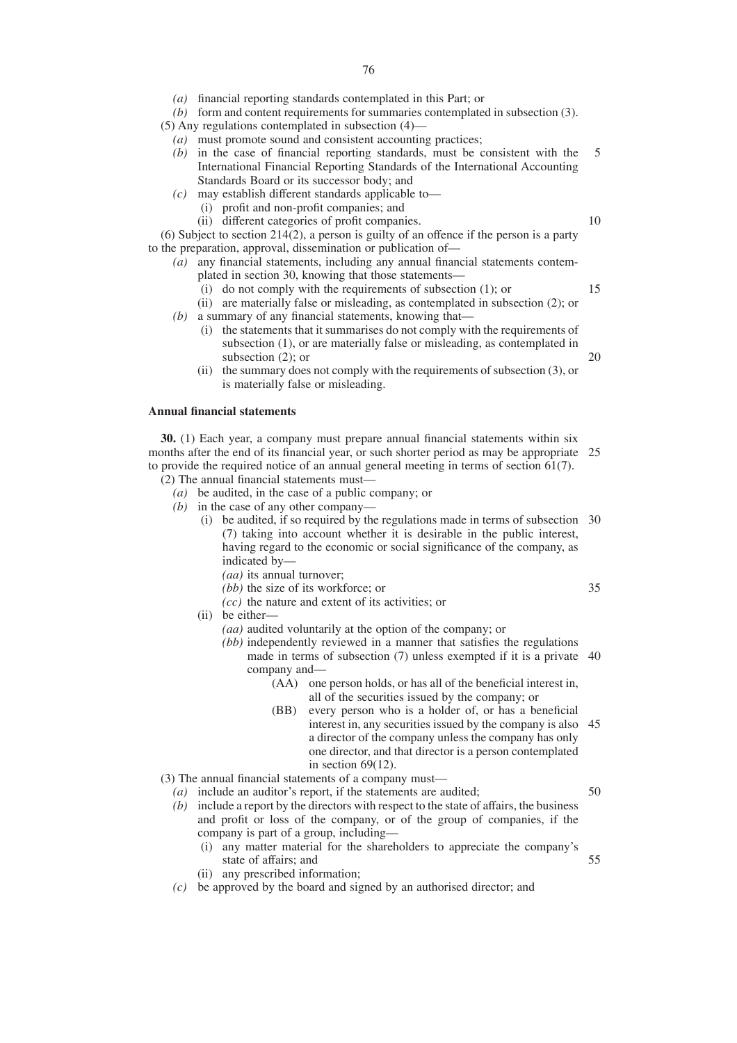*(b)* form and content requirements for summaries contemplated in subsection (3).

- (5) Any regulations contemplated in subsection (4)—
	- *(a)* must promote sound and consistent accounting practices;
	- *(b)* in the case of financial reporting standards, must be consistent with the International Financial Reporting Standards of the International Accounting Standards Board or its successor body; and 5
	- *(c)* may establish different standards applicable to—
		- (i) profit and non-profit companies; and
			- (ii) different categories of profit companies.

(6) Subject to section 214(2), a person is guilty of an offence if the person is a party to the preparation, approval, dissemination or publication of—

- *(a)* any financial statements, including any annual financial statements contemplated in section 30, knowing that those statements—
	- (i) do not comply with the requirements of subsection (1); or
	- (ii) are materially false or misleading, as contemplated in subsection (2); or

*(b)* a summary of any financial statements, knowing that—

- (i) the statements that it summarises do not comply with the requirements of subsection (1), or are materially false or misleading, as contemplated in subsection (2); or
- (ii) the summary does not comply with the requirements of subsection (3), or is materially false or misleading.

## **Annual financial statements**

**30.** (1) Each year, a company must prepare annual financial statements within six months after the end of its financial year, or such shorter period as may be appropriate 25 to provide the required notice of an annual general meeting in terms of section 61(7).

- (2) The annual financial statements must—
	- *(a)* be audited, in the case of a public company; or
	- *(b)* in the case of any other company—
		- (i) be audited, if so required by the regulations made in terms of subsection 30 (7) taking into account whether it is desirable in the public interest, having regard to the economic or social significance of the company, as indicated by—
			- *(aa)* its annual turnover;
			- *(bb)* the size of its workforce; or
			- *(cc)* the nature and extent of its activities; or
		- (ii) be either—
			- *(aa)* audited voluntarily at the option of the company; or
			- *(bb)* independently reviewed in a manner that satisfies the regulations made in terms of subsection (7) unless exempted if it is a private 40 company and—
				- (AA) one person holds, or has all of the beneficial interest in, all of the securities issued by the company; or
				- (BB) every person who is a holder of, or has a beneficial interest in, any securities issued by the company is also 45 a director of the company unless the company has only one director, and that director is a person contemplated in section  $69(12)$ .

(3) The annual financial statements of a company must— *(a)* include an auditor's report, if the statements are audited;

50

55

35

10

15

- *(b)* include a report by the directors with respect to the state of affairs, the business and profit or loss of the company, or of the group of companies, if the company is part of a group, including—
	- (i) any matter material for the shareholders to appreciate the company's state of affairs; and
	- (ii) any prescribed information;
- *(c)* be approved by the board and signed by an authorised director; and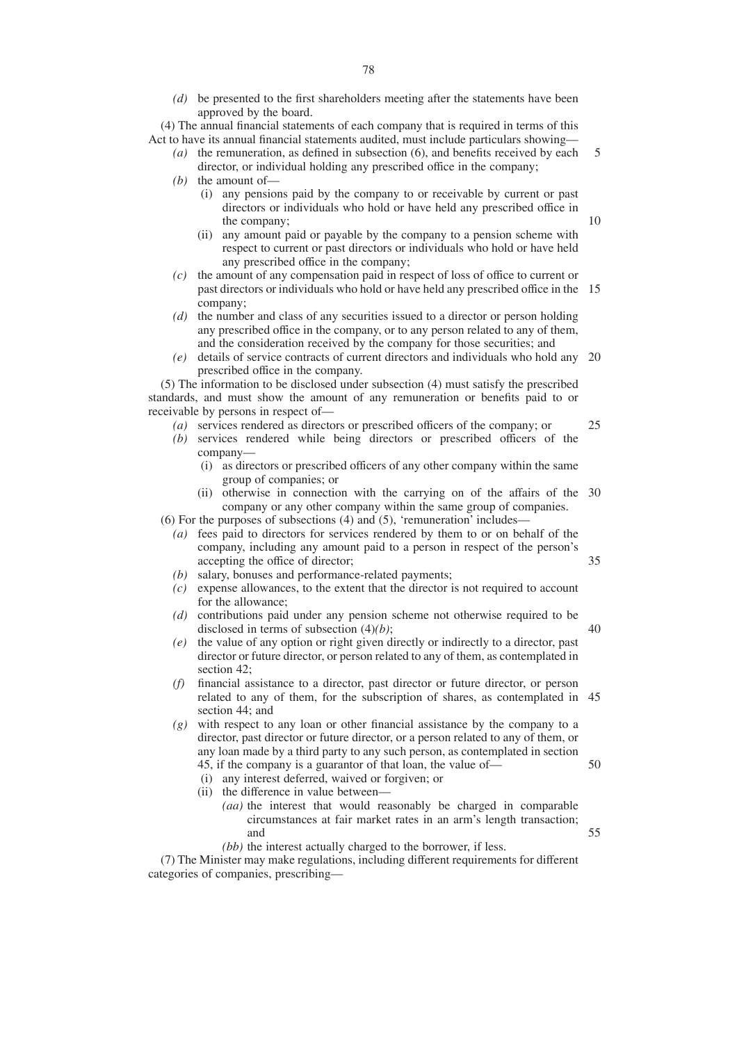(4) The annual financial statements of each company that is required in terms of this Act to have its annual financial statements audited, must include particulars showing—

- *(a)* the remuneration, as defined in subsection (6), and benefits received by each director, or individual holding any prescribed office in the company; 5
- *(b)* the amount of—
	- (i) any pensions paid by the company to or receivable by current or past directors or individuals who hold or have held any prescribed office in the company;

10

50

55

- (ii) any amount paid or payable by the company to a pension scheme with respect to current or past directors or individuals who hold or have held any prescribed office in the company;
- *(c)* the amount of any compensation paid in respect of loss of office to current or past directors or individuals who hold or have held any prescribed office in the 15 company;
- *(d)* the number and class of any securities issued to a director or person holding any prescribed office in the company, or to any person related to any of them, and the consideration received by the company for those securities; and
- *(e)* details of service contracts of current directors and individuals who hold any 20 prescribed office in the company.

(5) The information to be disclosed under subsection (4) must satisfy the prescribed standards, and must show the amount of any remuneration or benefits paid to or receivable by persons in respect of—

- *(a)* services rendered as directors or prescribed officers of the company; or 25
- *(b)* services rendered while being directors or prescribed officers of the company—
	- (i) as directors or prescribed officers of any other company within the same group of companies; or
	- (ii) otherwise in connection with the carrying on of the affairs of the 30 company or any other company within the same group of companies.

 $(6)$  For the purposes of subsections  $(4)$  and  $(5)$ , 'remuneration' includes—

- *(a)* fees paid to directors for services rendered by them to or on behalf of the company, including any amount paid to a person in respect of the person's accepting the office of director; 35
- *(b)* salary, bonuses and performance-related payments;
- *(c)* expense allowances, to the extent that the director is not required to account for the allowance;
- *(d)* contributions paid under any pension scheme not otherwise required to be disclosed in terms of subsection (4)*(b)*; 40
- *(e)* the value of any option or right given directly or indirectly to a director, past director or future director, or person related to any of them, as contemplated in section 42;
- *(f)* financial assistance to a director, past director or future director, or person related to any of them, for the subscription of shares, as contemplated in 45 section 44; and

*(g)* with respect to any loan or other financial assistance by the company to a director, past director or future director, or a person related to any of them, or any loan made by a third party to any such person, as contemplated in section 45, if the company is a guarantor of that loan, the value of—

- (i) any interest deferred, waived or forgiven; or
- (ii) the difference in value between—
	- *(aa)* the interest that would reasonably be charged in comparable circumstances at fair market rates in an arm's length transaction; and
	- *(bb)* the interest actually charged to the borrower, if less.

(7) The Minister may make regulations, including different requirements for different categories of companies, prescribing—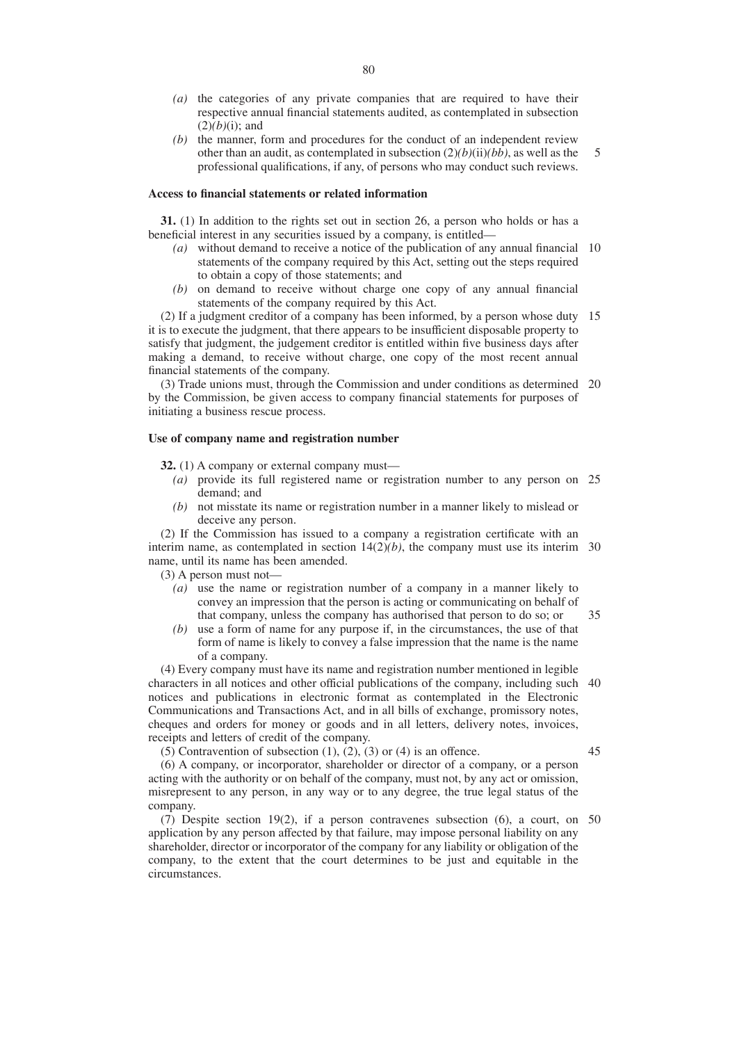- *(a)* the categories of any private companies that are required to have their respective annual financial statements audited, as contemplated in subsection  $(2)(b)(i)$ ; and
- *(b)* the manner, form and procedures for the conduct of an independent review other than an audit, as contemplated in subsection (2)*(b)*(ii)*(bb)*, as well as the professional qualifications, if any, of persons who may conduct such reviews. 5

#### **Access to financial statements or related information**

**31.** (1) In addition to the rights set out in section 26, a person who holds or has a beneficial interest in any securities issued by a company, is entitled—

- *(a)* without demand to receive a notice of the publication of any annual financial 10 statements of the company required by this Act, setting out the steps required to obtain a copy of those statements; and
- *(b)* on demand to receive without charge one copy of any annual financial statements of the company required by this Act.

(2) If a judgment creditor of a company has been informed, by a person whose duty 15 it is to execute the judgment, that there appears to be insufficient disposable property to satisfy that judgment, the judgement creditor is entitled within five business days after making a demand, to receive without charge, one copy of the most recent annual financial statements of the company.

(3) Trade unions must, through the Commission and under conditions as determined 20 by the Commission, be given access to company financial statements for purposes of initiating a business rescue process.

## **Use of company name and registration number**

**32.** (1) A company or external company must—

- *(a)* provide its full registered name or registration number to any person on 25 demand; and
- *(b)* not misstate its name or registration number in a manner likely to mislead or deceive any person.

(2) If the Commission has issued to a company a registration certificate with an interim name, as contemplated in section  $14(2)(b)$ , the company must use its interim 30 name, until its name has been amended.

(3) A person must not—

- *(a)* use the name or registration number of a company in a manner likely to convey an impression that the person is acting or communicating on behalf of that company, unless the company has authorised that person to do so; or 35
- *(b)* use a form of name for any purpose if, in the circumstances, the use of that form of name is likely to convey a false impression that the name is the name of a company.

(4) Every company must have its name and registration number mentioned in legible characters in all notices and other official publications of the company, including such 40 notices and publications in electronic format as contemplated in the Electronic Communications and Transactions Act, and in all bills of exchange, promissory notes, cheques and orders for money or goods and in all letters, delivery notes, invoices, receipts and letters of credit of the company.

(5) Contravention of subsection  $(1)$ ,  $(2)$ ,  $(3)$  or  $(4)$  is an offence.

45

(6) A company, or incorporator, shareholder or director of a company, or a person acting with the authority or on behalf of the company, must not, by any act or omission, misrepresent to any person, in any way or to any degree, the true legal status of the company.

(7) Despite section 19(2), if a person contravenes subsection (6), a court, on 50application by any person affected by that failure, may impose personal liability on any shareholder, director or incorporator of the company for any liability or obligation of the company, to the extent that the court determines to be just and equitable in the circumstances.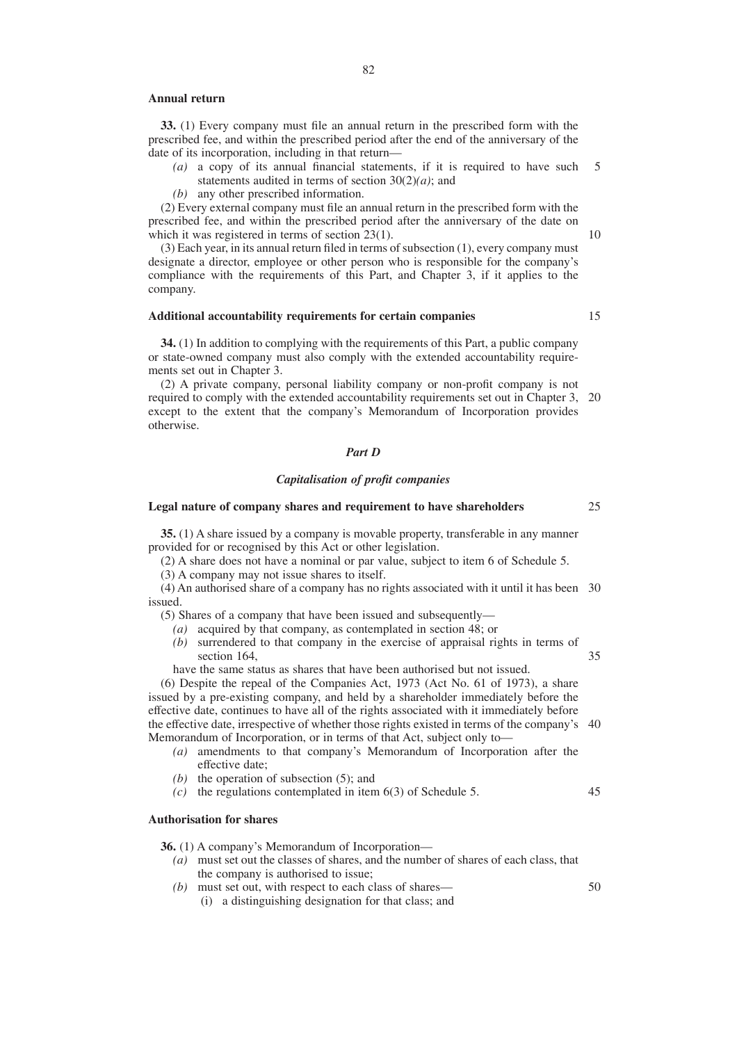#### **Annual return**

**33.** (1) Every company must file an annual return in the prescribed form with the prescribed fee, and within the prescribed period after the end of the anniversary of the date of its incorporation, including in that return—

- *(a)* a copy of its annual financial statements, if it is required to have such statements audited in terms of section 30(2)*(a)*; and 5
- *(b)* any other prescribed information.

(2) Every external company must file an annual return in the prescribed form with the prescribed fee, and within the prescribed period after the anniversary of the date on which it was registered in terms of section 23(1).

(3) Each year, in its annual return filed in terms of subsection (1), every company must designate a director, employee or other person who is responsible for the company's compliance with the requirements of this Part, and Chapter 3, if it applies to the company.

### **Additional accountability requirements for certain companies**

**34.** (1) In addition to complying with the requirements of this Part, a public company or state-owned company must also comply with the extended accountability requirements set out in Chapter 3.

(2) A private company, personal liability company or non-profit company is not required to comply with the extended accountability requirements set out in Chapter 3, 20 except to the extent that the company's Memorandum of Incorporation provides otherwise.

#### *Part D*

#### *Capitalisation of profit companies*

## **Legal nature of company shares and requirement to have shareholders**

25

35

45

**35.** (1) A share issued by a company is movable property, transferable in any manner provided for or recognised by this Act or other legislation.

(2) A share does not have a nominal or par value, subject to item 6 of Schedule 5.

(3) A company may not issue shares to itself.

(4) An authorised share of a company has no rights associated with it until it has been 30 issued.

(5) Shares of a company that have been issued and subsequently—

- *(a)* acquired by that company, as contemplated in section 48; or
- *(b)* surrendered to that company in the exercise of appraisal rights in terms of section 164,

have the same status as shares that have been authorised but not issued.

(6) Despite the repeal of the Companies Act, 1973 (Act No. 61 of 1973), a share issued by a pre-existing company, and held by a shareholder immediately before the effective date, continues to have all of the rights associated with it immediately before the effective date, irrespective of whether those rights existed in terms of the company's 40 Memorandum of Incorporation, or in terms of that Act, subject only to—

*(a)* amendments to that company's Memorandum of Incorporation after the effective date;

- *(b)* the operation of subsection (5); and
- *(c)* the regulations contemplated in item 6(3) of Schedule 5.

## **Authorisation for shares**

**36.** (1) A company's Memorandum of Incorporation—

- *(a)* must set out the classes of shares, and the number of shares of each class, that the company is authorised to issue;
- *(b)* must set out, with respect to each class of shares— (i) a distinguishing designation for that class; and 50

10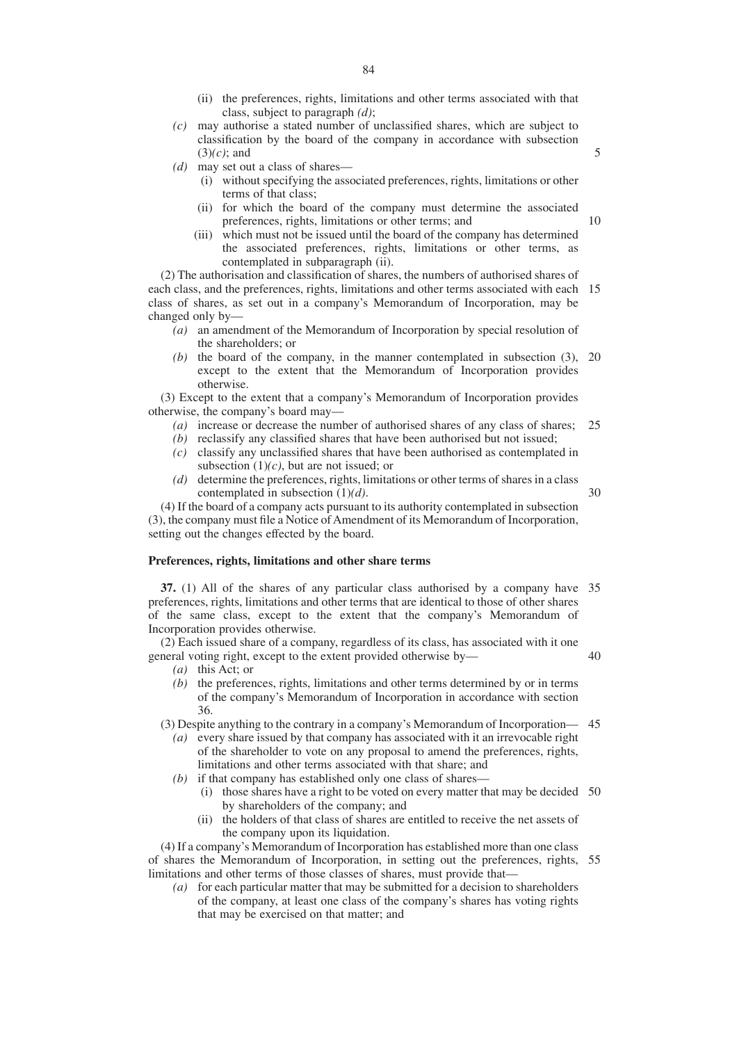- (ii) the preferences, rights, limitations and other terms associated with that class, subject to paragraph *(d)*;
- *(c)* may authorise a stated number of unclassified shares, which are subject to classification by the board of the company in accordance with subsection (3)*(c)*; and
- *(d)* may set out a class of shares—
	- (i) without specifying the associated preferences, rights, limitations or other terms of that class;
	- (ii) for which the board of the company must determine the associated preferences, rights, limitations or other terms; and
	- (iii) which must not be issued until the board of the company has determined the associated preferences, rights, limitations or other terms, as contemplated in subparagraph (ii).

(2) The authorisation and classification of shares, the numbers of authorised shares of each class, and the preferences, rights, limitations and other terms associated with each 15 class of shares, as set out in a company's Memorandum of Incorporation, may be changed only by—

- *(a)* an amendment of the Memorandum of Incorporation by special resolution of the shareholders; or
- *(b)* the board of the company, in the manner contemplated in subsection (3), 20 except to the extent that the Memorandum of Incorporation provides otherwise.

(3) Except to the extent that a company's Memorandum of Incorporation provides otherwise, the company's board may—

- (a) increase or decrease the number of authorised shares of any class of shares; 25
- *(b)* reclassify any classified shares that have been authorised but not issued;
- *(c)* classify any unclassified shares that have been authorised as contemplated in subsection (1)*(c)*, but are not issued; or
- *(d)* determine the preferences, rights, limitations or other terms of shares in a class contemplated in subsection (1)*(d)*.

30

(4) If the board of a company acts pursuant to its authority contemplated in subsection (3), the company must file a Notice of Amendment of its Memorandum of Incorporation, setting out the changes effected by the board.

## **Preferences, rights, limitations and other share terms**

*(a)* this Act; or

**37.** (1) All of the shares of any particular class authorised by a company have 35 preferences, rights, limitations and other terms that are identical to those of other shares of the same class, except to the extent that the company's Memorandum of Incorporation provides otherwise.

(2) Each issued share of a company, regardless of its class, has associated with it one general voting right, except to the extent provided otherwise by—

40

*(b)* the preferences, rights, limitations and other terms determined by or in terms of the company's Memorandum of Incorporation in accordance with section 36.

(3) Despite anything to the contrary in a company's Memorandum of Incorporation— 45

- *(a)* every share issued by that company has associated with it an irrevocable right of the shareholder to vote on any proposal to amend the preferences, rights, limitations and other terms associated with that share; and
- *(b)* if that company has established only one class of shares—
	- (i) those shares have a right to be voted on every matter that may be decided 50 by shareholders of the company; and
	- (ii) the holders of that class of shares are entitled to receive the net assets of the company upon its liquidation.

(4) If a company's Memorandum of Incorporation has established more than one class of shares the Memorandum of Incorporation, in setting out the preferences, rights, 55limitations and other terms of those classes of shares, must provide that—

*(a)* for each particular matter that may be submitted for a decision to shareholders of the company, at least one class of the company's shares has voting rights that may be exercised on that matter; and

5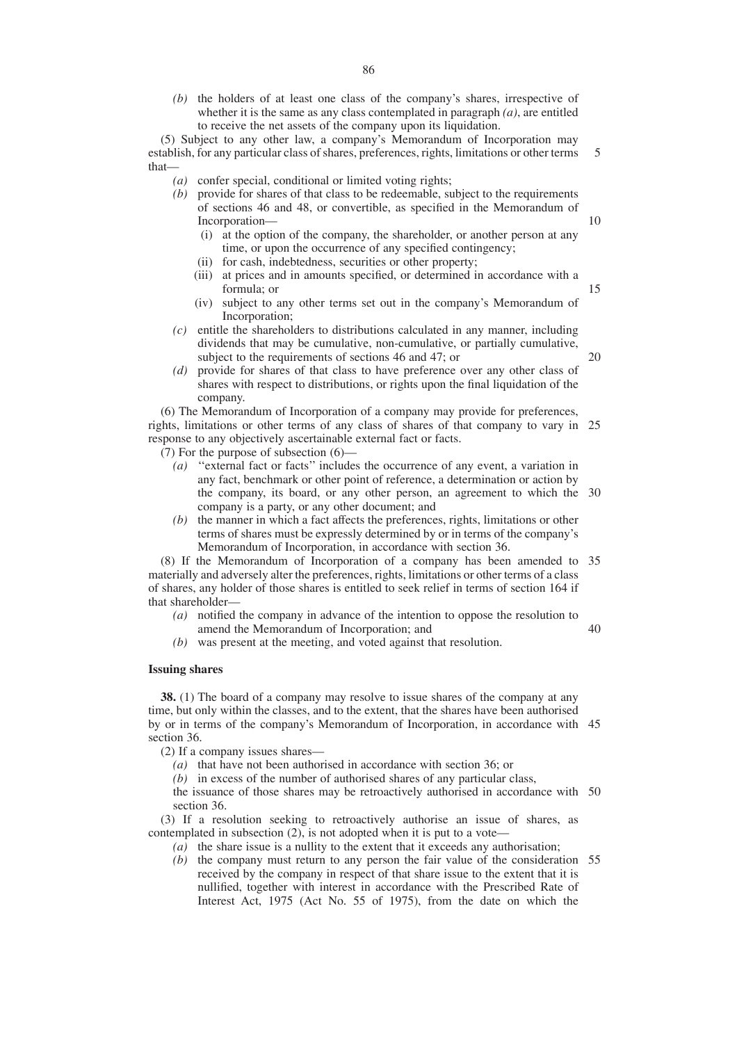*(b)* the holders of at least one class of the company's shares, irrespective of whether it is the same as any class contemplated in paragraph *(a)*, are entitled to receive the net assets of the company upon its liquidation.

(5) Subject to any other law, a company's Memorandum of Incorporation may establish, for any particular class of shares, preferences, rights, limitations or other terms that— 5

- *(a)* confer special, conditional or limited voting rights;
- *(b)* provide for shares of that class to be redeemable, subject to the requirements of sections 46 and 48, or convertible, as specified in the Memorandum of Incorporation—
	- (i) at the option of the company, the shareholder, or another person at any time, or upon the occurrence of any specified contingency;
	- (ii) for cash, indebtedness, securities or other property;
	- (iii) at prices and in amounts specified, or determined in accordance with a formula; or
	- (iv) subject to any other terms set out in the company's Memorandum of Incorporation;
- *(c)* entitle the shareholders to distributions calculated in any manner, including dividends that may be cumulative, non-cumulative, or partially cumulative, subject to the requirements of sections 46 and 47; or
- 20

10

15

*(d)* provide for shares of that class to have preference over any other class of shares with respect to distributions, or rights upon the final liquidation of the company.

(6) The Memorandum of Incorporation of a company may provide for preferences, rights, limitations or other terms of any class of shares of that company to vary in 25 response to any objectively ascertainable external fact or facts.

(7) For the purpose of subsection (6)—

- *(a)* ''external fact or facts'' includes the occurrence of any event, a variation in any fact, benchmark or other point of reference, a determination or action by the company, its board, or any other person, an agreement to which the 30 company is a party, or any other document; and
- *(b)* the manner in which a fact affects the preferences, rights, limitations or other terms of shares must be expressly determined by or in terms of the company's Memorandum of Incorporation, in accordance with section 36.

(8) If the Memorandum of Incorporation of a company has been amended to 35 materially and adversely alter the preferences, rights, limitations or other terms of a class of shares, any holder of those shares is entitled to seek relief in terms of section 164 if that shareholder—

- *(a)* notified the company in advance of the intention to oppose the resolution to amend the Memorandum of Incorporation; and 40
- *(b)* was present at the meeting, and voted against that resolution.

#### **Issuing shares**

**38.** (1) The board of a company may resolve to issue shares of the company at any time, but only within the classes, and to the extent, that the shares have been authorised by or in terms of the company's Memorandum of Incorporation, in accordance with 45 section 36.

(2) If a company issues shares—

*(a)* that have not been authorised in accordance with section 36; or

*(b)* in excess of the number of authorised shares of any particular class,

the issuance of those shares may be retroactively authorised in accordance with 50 section 36.

(3) If a resolution seeking to retroactively authorise an issue of shares, as contemplated in subsection (2), is not adopted when it is put to a vote—

- *(a)* the share issue is a nullity to the extent that it exceeds any authorisation;
- *(b)* the company must return to any person the fair value of the consideration 55received by the company in respect of that share issue to the extent that it is nullified, together with interest in accordance with the Prescribed Rate of Interest Act, 1975 (Act No. 55 of 1975), from the date on which the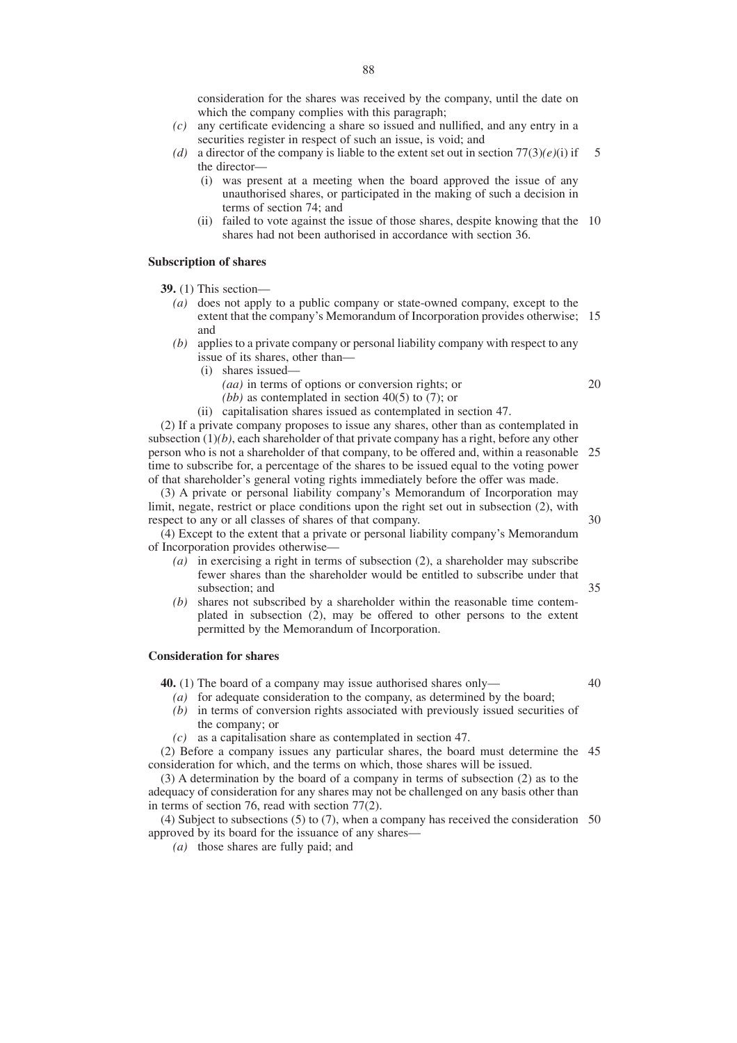consideration for the shares was received by the company, until the date on which the company complies with this paragraph;

- *(c)* any certificate evidencing a share so issued and nullified, and any entry in a securities register in respect of such an issue, is void; and
- *(d)* a director of the company is liable to the extent set out in section  $77(3)(e)(i)$  if the director— 5
	- (i) was present at a meeting when the board approved the issue of any unauthorised shares, or participated in the making of such a decision in terms of section 74; and
	- (ii) failed to vote against the issue of those shares, despite knowing that the 10 shares had not been authorised in accordance with section 36.

# **Subscription of shares**

**39.** (1) This section—

- *(a)* does not apply to a public company or state-owned company, except to the extent that the company's Memorandum of Incorporation provides otherwise; 15 and
- *(b)* applies to a private company or personal liability company with respect to any issue of its shares, other than—
	- (i) shares issued—
		- *(aa)* in terms of options or conversion rights; or
		- *(bb)* as contemplated in section 40(5) to (7); or
	- (ii) capitalisation shares issued as contemplated in section 47.

(2) If a private company proposes to issue any shares, other than as contemplated in subsection  $(1)(b)$ , each shareholder of that private company has a right, before any other person who is not a shareholder of that company, to be offered and, within a reasonable 25 time to subscribe for, a percentage of the shares to be issued equal to the voting power of that shareholder's general voting rights immediately before the offer was made.

(3) A private or personal liability company's Memorandum of Incorporation may limit, negate, restrict or place conditions upon the right set out in subsection (2), with respect to any or all classes of shares of that company.

(4) Except to the extent that a private or personal liability company's Memorandum of Incorporation provides otherwise—

- *(a)* in exercising a right in terms of subsection (2), a shareholder may subscribe fewer shares than the shareholder would be entitled to subscribe under that subsection; and
- *(b)* shares not subscribed by a shareholder within the reasonable time contemplated in subsection (2), may be offered to other persons to the extent permitted by the Memorandum of Incorporation.

#### **Consideration for shares**

**40.** (1) The board of a company may issue authorised shares only—

- *(a)* for adequate consideration to the company, as determined by the board;
- *(b)* in terms of conversion rights associated with previously issued securities of the company; or
- *(c)* as a capitalisation share as contemplated in section 47.

(2) Before a company issues any particular shares, the board must determine the 45 consideration for which, and the terms on which, those shares will be issued.

(3) A determination by the board of a company in terms of subsection (2) as to the adequacy of consideration for any shares may not be challenged on any basis other than in terms of section 76, read with section 77(2).

(4) Subject to subsections (5) to (7), when a company has received the consideration 50approved by its board for the issuance of any shares—

*(a)* those shares are fully paid; and

20

35

40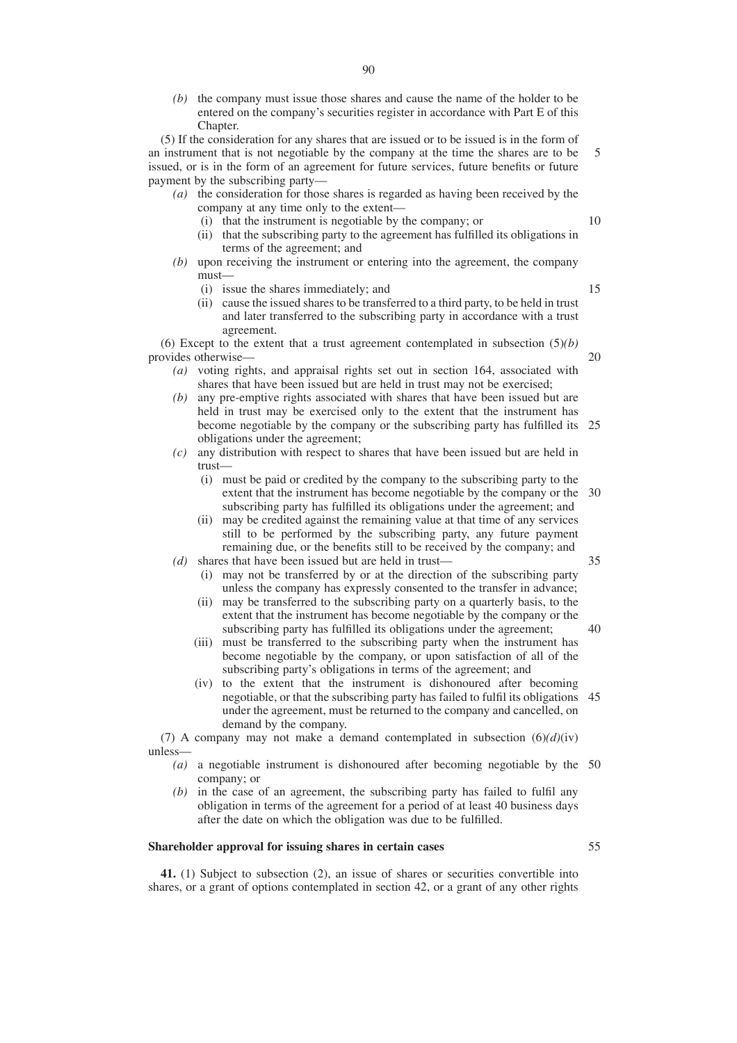*(b)* the company must issue those shares and cause the name of the holder to be entered on the company's securities register in accordance with Part E of this Chapter.

(5) If the consideration for any shares that are issued or to be issued is in the form of an instrument that is not negotiable by the company at the time the shares are to be issued, or is in the form of an agreement for future services, future benefits or future payment by the subscribing party— 5

- *(a)* the consideration for those shares is regarded as having been received by the company at any time only to the extent—
	- (i) that the instrument is negotiable by the company; or
	- (ii) that the subscribing party to the agreement has fulfilled its obligations in terms of the agreement; and
- *(b)* upon receiving the instrument or entering into the agreement, the company must—
	- (i) issue the shares immediately; and
	- (ii) cause the issued shares to be transferred to a third party, to be held in trust and later transferred to the subscribing party in accordance with a trust agreement.

(6) Except to the extent that a trust agreement contemplated in subsection  $(5)(b)$ provides otherwise—

- *(a)* voting rights, and appraisal rights set out in section 164, associated with shares that have been issued but are held in trust may not be exercised;
- *(b)* any pre-emptive rights associated with shares that have been issued but are held in trust may be exercised only to the extent that the instrument has become negotiable by the company or the subscribing party has fulfilled its 25 obligations under the agreement;
- *(c)* any distribution with respect to shares that have been issued but are held in trust—
	- (i) must be paid or credited by the company to the subscribing party to the extent that the instrument has become negotiable by the company or the 30 subscribing party has fulfilled its obligations under the agreement; and
	- (ii) may be credited against the remaining value at that time of any services still to be performed by the subscribing party, any future payment remaining due, or the benefits still to be received by the company; and
- *(d)* shares that have been issued but are held in trust—
	- (i) may not be transferred by or at the direction of the subscribing party unless the company has expressly consented to the transfer in advance;
	- (ii) may be transferred to the subscribing party on a quarterly basis, to the extent that the instrument has become negotiable by the company or the subscribing party has fulfilled its obligations under the agreement; 40
	- (iii) must be transferred to the subscribing party when the instrument has become negotiable by the company, or upon satisfaction of all of the subscribing party's obligations in terms of the agreement; and
	- (iv) to the extent that the instrument is dishonoured after becoming negotiable, or that the subscribing party has failed to fulfil its obligations 45 under the agreement, must be returned to the company and cancelled, on demand by the company.

(7) A company may not make a demand contemplated in subsection  $(6)(d)(iv)$ unless—

- *(a)* a negotiable instrument is dishonoured after becoming negotiable by the 50 company; or
- *(b)* in the case of an agreement, the subscribing party has failed to fulfil any obligation in terms of the agreement for a period of at least 40 business days after the date on which the obligation was due to be fulfilled.

## **Shareholder approval for issuing shares in certain cases**

**41.** (1) Subject to subsection (2), an issue of shares or securities convertible into shares, or a grant of options contemplated in section 42, or a grant of any other rights

15

20

10

35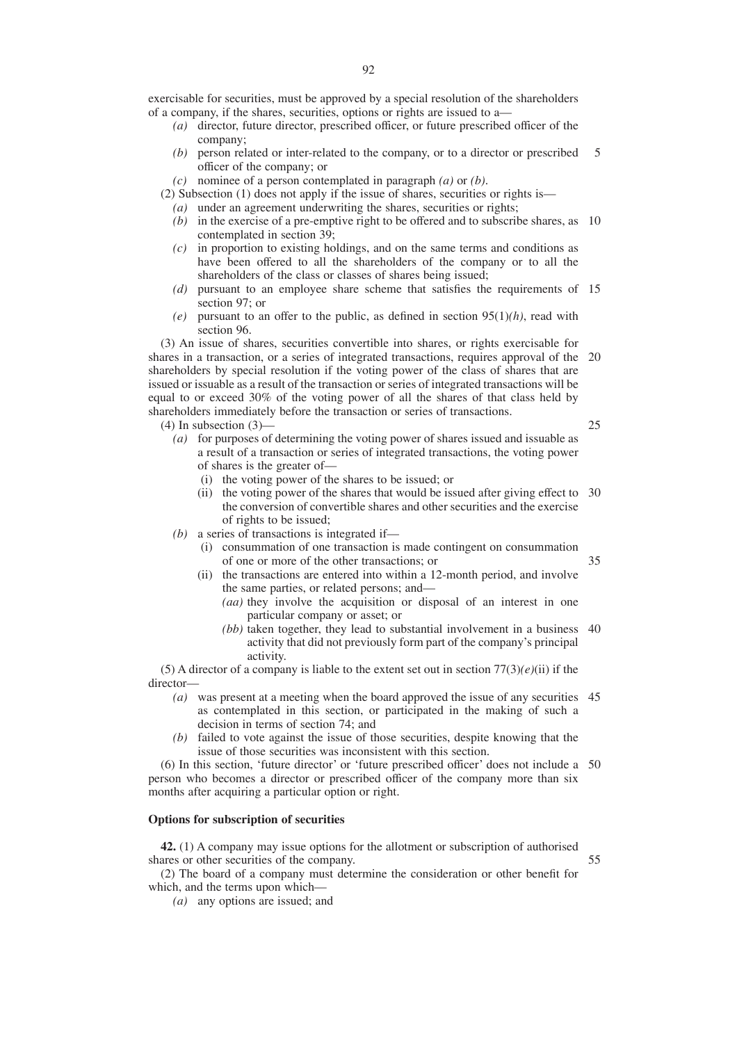exercisable for securities, must be approved by a special resolution of the shareholders of a company, if the shares, securities, options or rights are issued to a—

- *(a)* director, future director, prescribed officer, or future prescribed officer of the company;
- *(b)* person related or inter-related to the company, or to a director or prescribed officer of the company; or 5
- *(c)* nominee of a person contemplated in paragraph *(a)* or *(b)*.

(2) Subsection (1) does not apply if the issue of shares, securities or rights is—

- *(a)* under an agreement underwriting the shares, securities or rights;
	- *(b)* in the exercise of a pre-emptive right to be offered and to subscribe shares, as 10 contemplated in section 39;
- *(c)* in proportion to existing holdings, and on the same terms and conditions as have been offered to all the shareholders of the company or to all the shareholders of the class or classes of shares being issued;
- *(d)* pursuant to an employee share scheme that satisfies the requirements of 15 section 97; or
- *(e)* pursuant to an offer to the public, as defined in section 95(1)*(h)*, read with section 96.

(3) An issue of shares, securities convertible into shares, or rights exercisable for shares in a transaction, or a series of integrated transactions, requires approval of the 20 shareholders by special resolution if the voting power of the class of shares that are issued or issuable as a result of the transaction or series of integrated transactions will be equal to or exceed 30% of the voting power of all the shares of that class held by shareholders immediately before the transaction or series of transactions. 25

- (4) In subsection (3)—
	- *(a)* for purposes of determining the voting power of shares issued and issuable as a result of a transaction or series of integrated transactions, the voting power of shares is the greater of—
		- (i) the voting power of the shares to be issued; or
		- (ii) the voting power of the shares that would be issued after giving effect to 30 the conversion of convertible shares and other securities and the exercise of rights to be issued;
	- *(b)* a series of transactions is integrated if—
		- (i) consummation of one transaction is made contingent on consummation of one or more of the other transactions; or 35
		- (ii) the transactions are entered into within a 12-month period, and involve the same parties, or related persons; and—
			- *(aa)* they involve the acquisition or disposal of an interest in one particular company or asset; or
			- *(bb)* taken together, they lead to substantial involvement in a business 40 activity that did not previously form part of the company's principal activity.

(5) A director of a company is liable to the extent set out in section  $77(3)(e)$ (ii) if the director—

- *(a)* was present at a meeting when the board approved the issue of any securities 45 as contemplated in this section, or participated in the making of such a decision in terms of section 74; and
- *(b)* failed to vote against the issue of those securities, despite knowing that the issue of those securities was inconsistent with this section.

(6) In this section, 'future director' or 'future prescribed officer' does not include a 50 person who becomes a director or prescribed officer of the company more than six months after acquiring a particular option or right.

# **Options for subscription of securities**

**42.** (1) A company may issue options for the allotment or subscription of authorised shares or other securities of the company.

55

(2) The board of a company must determine the consideration or other benefit for which, and the terms upon which—

*(a)* any options are issued; and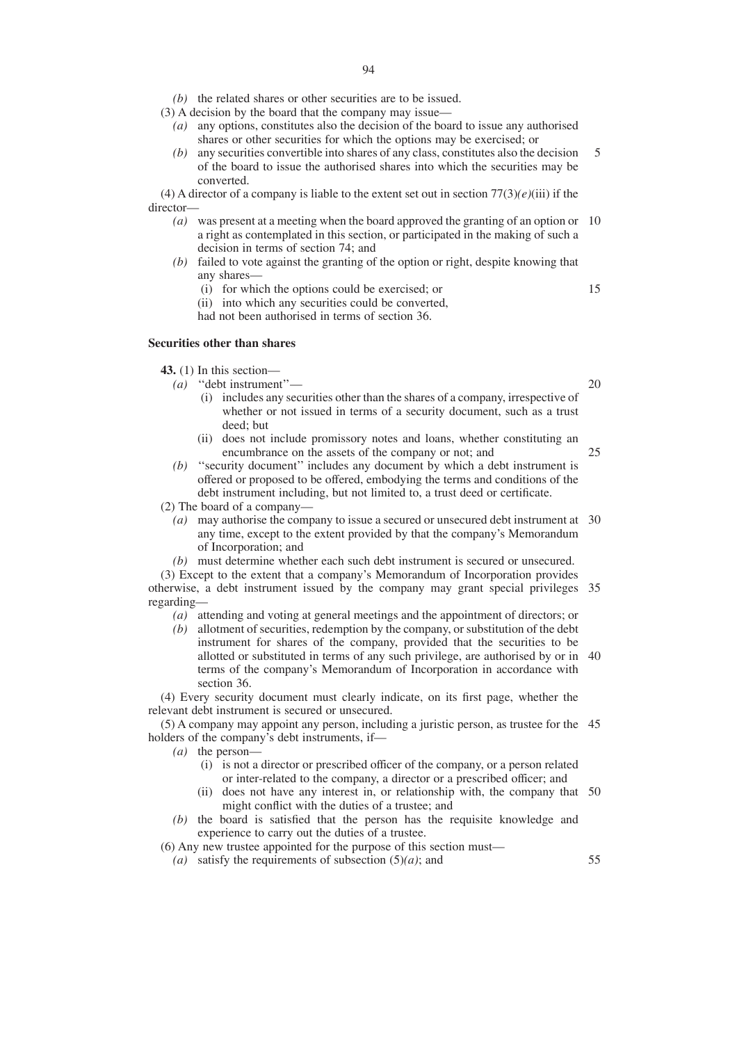- *(b)* the related shares or other securities are to be issued.
- (3) A decision by the board that the company may issue—
	- *(a)* any options, constitutes also the decision of the board to issue any authorised shares or other securities for which the options may be exercised; or
	- *(b)* any securities convertible into shares of any class, constitutes also the decision of the board to issue the authorised shares into which the securities may be converted. 5

(4) A director of a company is liable to the extent set out in section  $77(3)(e)$ (iii) if the director—

- *(a)* was present at a meeting when the board approved the granting of an option or 10 a right as contemplated in this section, or participated in the making of such a decision in terms of section 74; and
- *(b)* failed to vote against the granting of the option or right, despite knowing that any shares—
	- (i) for which the options could be exercised; or
	- (ii) into which any securities could be converted,

had not been authorised in terms of section 36.

## **Securities other than shares**

**43.** (1) In this section—

*(a)* ''debt instrument''—

- (i) includes any securities other than the shares of a company, irrespective of whether or not issued in terms of a security document, such as a trust deed; but
- (ii) does not include promissory notes and loans, whether constituting an encumbrance on the assets of the company or not; and 25
- *(b)* ''security document'' includes any document by which a debt instrument is offered or proposed to be offered, embodying the terms and conditions of the debt instrument including, but not limited to, a trust deed or certificate.

(2) The board of a company—

- *(a)* may authorise the company to issue a secured or unsecured debt instrument at 30 any time, except to the extent provided by that the company's Memorandum of Incorporation; and
- *(b)* must determine whether each such debt instrument is secured or unsecured.

(3) Except to the extent that a company's Memorandum of Incorporation provides otherwise, a debt instrument issued by the company may grant special privileges 35 regarding—

*(a)* attending and voting at general meetings and the appointment of directors; or

*(b)* allotment of securities, redemption by the company, or substitution of the debt instrument for shares of the company, provided that the securities to be allotted or substituted in terms of any such privilege, are authorised by or in 40 terms of the company's Memorandum of Incorporation in accordance with section 36.

(4) Every security document must clearly indicate, on its first page, whether the relevant debt instrument is secured or unsecured.

(5) A company may appoint any person, including a juristic person, as trustee for the 45 holders of the company's debt instruments, if—

- *(a)* the person—
	- (i) is not a director or prescribed officer of the company, or a person related or inter-related to the company, a director or a prescribed officer; and
	- (ii) does not have any interest in, or relationship with, the company that 50 might conflict with the duties of a trustee; and
- *(b)* the board is satisfied that the person has the requisite knowledge and experience to carry out the duties of a trustee.

(6) Any new trustee appointed for the purpose of this section must—

*(a)* satisfy the requirements of subsection (5)*(a)*; and

15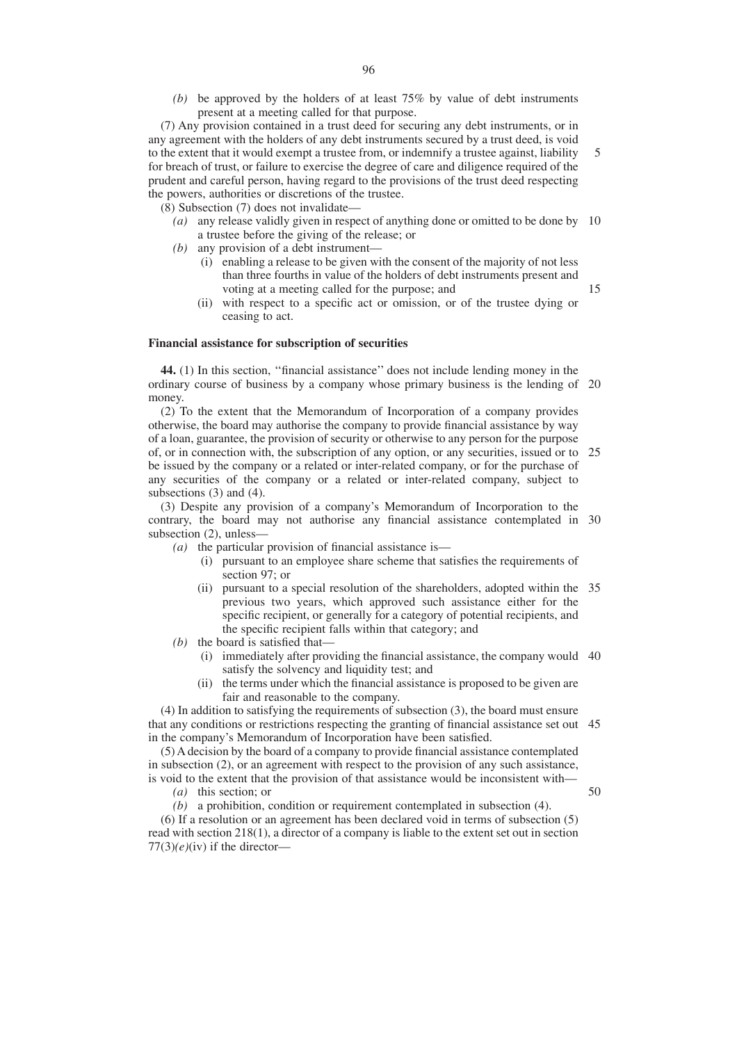*(b)* be approved by the holders of at least 75% by value of debt instruments present at a meeting called for that purpose.

(7) Any provision contained in a trust deed for securing any debt instruments, or in any agreement with the holders of any debt instruments secured by a trust deed, is void to the extent that it would exempt a trustee from, or indemnify a trustee against, liability for breach of trust, or failure to exercise the degree of care and diligence required of the prudent and careful person, having regard to the provisions of the trust deed respecting the powers, authorities or discretions of the trustee. 5

(8) Subsection (7) does not invalidate—

- *(a)* any release validly given in respect of anything done or omitted to be done by 10 a trustee before the giving of the release; or
- *(b)* any provision of a debt instrument—
	- (i) enabling a release to be given with the consent of the majority of not less than three fourths in value of the holders of debt instruments present and voting at a meeting called for the purpose; and
	- (ii) with respect to a specific act or omission, or of the trustee dying or ceasing to act.

#### **Financial assistance for subscription of securities**

**44.** (1) In this section, ''financial assistance'' does not include lending money in the ordinary course of business by a company whose primary business is the lending of 20 money.

(2) To the extent that the Memorandum of Incorporation of a company provides otherwise, the board may authorise the company to provide financial assistance by way of a loan, guarantee, the provision of security or otherwise to any person for the purpose of, or in connection with, the subscription of any option, or any securities, issued or to 25 be issued by the company or a related or inter-related company, or for the purchase of any securities of the company or a related or inter-related company, subject to subsections (3) and (4).

(3) Despite any provision of a company's Memorandum of Incorporation to the contrary, the board may not authorise any financial assistance contemplated in 30 subsection (2), unless—

- *(a)* the particular provision of financial assistance is—
	- (i) pursuant to an employee share scheme that satisfies the requirements of section 97; or
	- (ii) pursuant to a special resolution of the shareholders, adopted within the 35 previous two years, which approved such assistance either for the specific recipient, or generally for a category of potential recipients, and the specific recipient falls within that category; and
- *(b)* the board is satisfied that—
	- (i) immediately after providing the financial assistance, the company would 40 satisfy the solvency and liquidity test; and
	- (ii) the terms under which the financial assistance is proposed to be given are fair and reasonable to the company.

(4) In addition to satisfying the requirements of subsection (3), the board must ensure that any conditions or restrictions respecting the granting of financial assistance set out 45 in the company's Memorandum of Incorporation have been satisfied.

(5) A decision by the board of a company to provide financial assistance contemplated in subsection (2), or an agreement with respect to the provision of any such assistance, is void to the extent that the provision of that assistance would be inconsistent with—

*(a)* this section; or

50

15

*(b)* a prohibition, condition or requirement contemplated in subsection (4).

(6) If a resolution or an agreement has been declared void in terms of subsection (5) read with section 218(1), a director of a company is liable to the extent set out in section  $77(3)(e)$ (iv) if the director-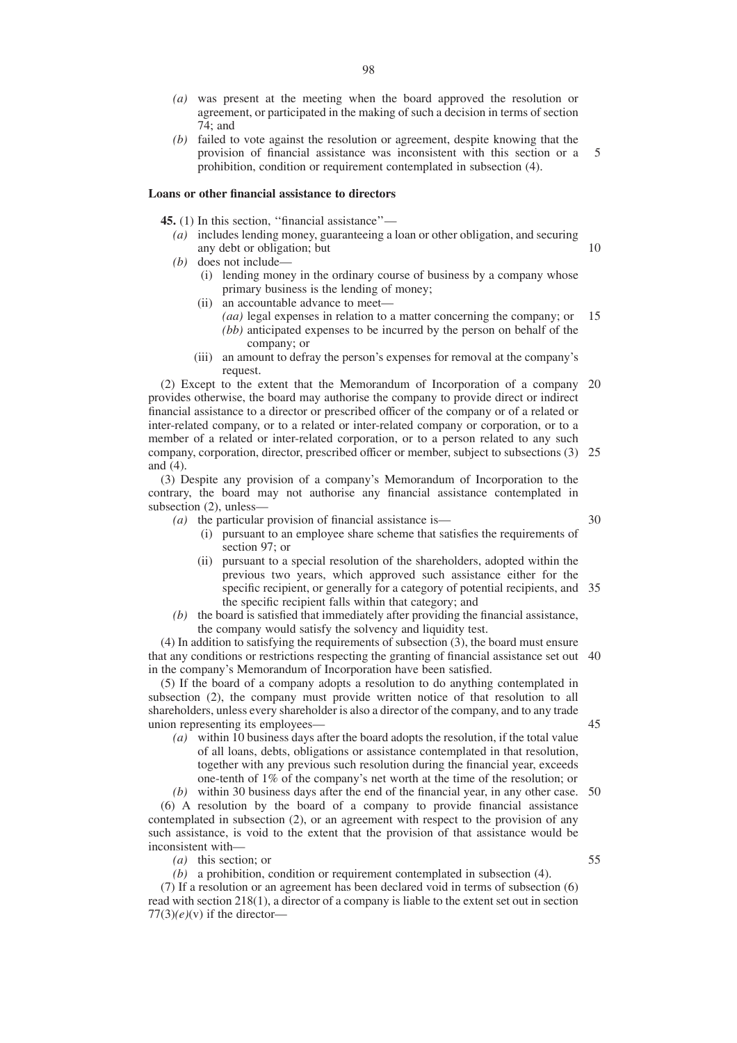- *(a)* was present at the meeting when the board approved the resolution or agreement, or participated in the making of such a decision in terms of section 74; and
- *(b)* failed to vote against the resolution or agreement, despite knowing that the provision of financial assistance was inconsistent with this section or a prohibition, condition or requirement contemplated in subsection (4). 5

#### **Loans or other financial assistance to directors**

**45.** (1) In this section, ''financial assistance''—

- *(a)* includes lending money, guaranteeing a loan or other obligation, and securing any debt or obligation; but
- *(b)* does not include—
	- (i) lending money in the ordinary course of business by a company whose primary business is the lending of money;
	- (ii) an accountable advance to meet—
		- *(aa)* legal expenses in relation to a matter concerning the company; or *(bb)* anticipated expenses to be incurred by the person on behalf of the company; or 15
	- (iii) an amount to defray the person's expenses for removal at the company's request.

(2) Except to the extent that the Memorandum of Incorporation of a company 20 provides otherwise, the board may authorise the company to provide direct or indirect financial assistance to a director or prescribed officer of the company or of a related or inter-related company, or to a related or inter-related company or corporation, or to a member of a related or inter-related corporation, or to a person related to any such company, corporation, director, prescribed officer or member, subject to subsections (3) 25 and (4).

(3) Despite any provision of a company's Memorandum of Incorporation to the contrary, the board may not authorise any financial assistance contemplated in subsection (2), unless—

*(a)* the particular provision of financial assistance is—

30

45

55

10

- (i) pursuant to an employee share scheme that satisfies the requirements of section 97; or
- (ii) pursuant to a special resolution of the shareholders, adopted within the previous two years, which approved such assistance either for the specific recipient, or generally for a category of potential recipients, and 35 the specific recipient falls within that category; and
- *(b)* the board is satisfied that immediately after providing the financial assistance, the company would satisfy the solvency and liquidity test.

(4) In addition to satisfying the requirements of subsection (3), the board must ensure that any conditions or restrictions respecting the granting of financial assistance set out 40 in the company's Memorandum of Incorporation have been satisfied.

(5) If the board of a company adopts a resolution to do anything contemplated in subsection (2), the company must provide written notice of that resolution to all shareholders, unless every shareholder is also a director of the company, and to any trade union representing its employees—

*(a)* within 10 business days after the board adopts the resolution, if the total value of all loans, debts, obligations or assistance contemplated in that resolution, together with any previous such resolution during the financial year, exceeds one-tenth of 1% of the company's net worth at the time of the resolution; or

*(b)* within 30 business days after the end of the financial year, in any other case. (6) A resolution by the board of a company to provide financial assistance contemplated in subsection (2), or an agreement with respect to the provision of any such assistance, is void to the extent that the provision of that assistance would be inconsistent with— 50

*(a)* this section; or

*(b)* a prohibition, condition or requirement contemplated in subsection (4).

(7) If a resolution or an agreement has been declared void in terms of subsection (6) read with section 218(1), a director of a company is liable to the extent set out in section  $77(3)(e)(v)$  if the director-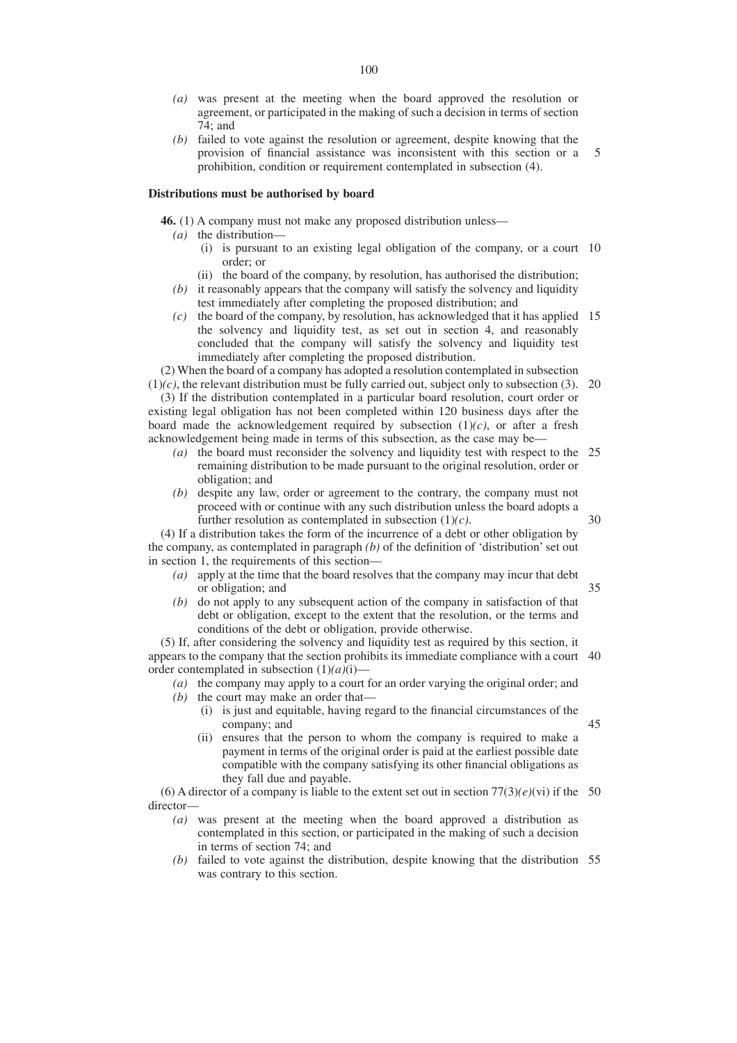- *(a)* was present at the meeting when the board approved the resolution or agreement, or participated in the making of such a decision in terms of section 74; and
- *(b)* failed to vote against the resolution or agreement, despite knowing that the provision of financial assistance was inconsistent with this section or a prohibition, condition or requirement contemplated in subsection (4). 5

#### **Distributions must be authorised by board**

**46.** (1) A company must not make any proposed distribution unless—

- *(a)* the distribution—
	- (i) is pursuant to an existing legal obligation of the company, or a court 10 order; or
	- (ii) the board of the company, by resolution, has authorised the distribution;
- *(b)* it reasonably appears that the company will satisfy the solvency and liquidity test immediately after completing the proposed distribution; and
- *(c)* the board of the company, by resolution, has acknowledged that it has applied 15 the solvency and liquidity test, as set out in section 4, and reasonably concluded that the company will satisfy the solvency and liquidity test immediately after completing the proposed distribution.

(2) When the board of a company has adopted a resolution contemplated in subsection  $(1)(c)$ , the relevant distribution must be fully carried out, subject only to subsection (3). 20

(3) If the distribution contemplated in a particular board resolution, court order or existing legal obligation has not been completed within 120 business days after the board made the acknowledgement required by subsection  $(1)(c)$ , or after a fresh acknowledgement being made in terms of this subsection, as the case may be—

- *(a)* the board must reconsider the solvency and liquidity test with respect to the 25 remaining distribution to be made pursuant to the original resolution, order or obligation; and
- *(b)* despite any law, order or agreement to the contrary, the company must not proceed with or continue with any such distribution unless the board adopts a further resolution as contemplated in subsection (1)*(c)*.

30

35

45

(4) If a distribution takes the form of the incurrence of a debt or other obligation by the company, as contemplated in paragraph *(b)* of the definition of 'distribution' set out in section 1, the requirements of this section—

- *(a)* apply at the time that the board resolves that the company may incur that debt or obligation; and
- *(b)* do not apply to any subsequent action of the company in satisfaction of that debt or obligation, except to the extent that the resolution, or the terms and conditions of the debt or obligation, provide otherwise.

(5) If, after considering the solvency and liquidity test as required by this section, it appears to the company that the section prohibits its immediate compliance with a court 40 order contemplated in subsection (1)*(a)*(i)—

*(a)* the company may apply to a court for an order varying the original order; and *(b)* the court may make an order that—

- (i) is just and equitable, having regard to the financial circumstances of the company; and
- (ii) ensures that the person to whom the company is required to make a payment in terms of the original order is paid at the earliest possible date compatible with the company satisfying its other financial obligations as they fall due and payable.

(6) A director of a company is liable to the extent set out in section  $77(3)(e)$ (vi) if the 50 director—

- *(a)* was present at the meeting when the board approved a distribution as contemplated in this section, or participated in the making of such a decision in terms of section 74; and
- *(b)* failed to vote against the distribution, despite knowing that the distribution 55was contrary to this section.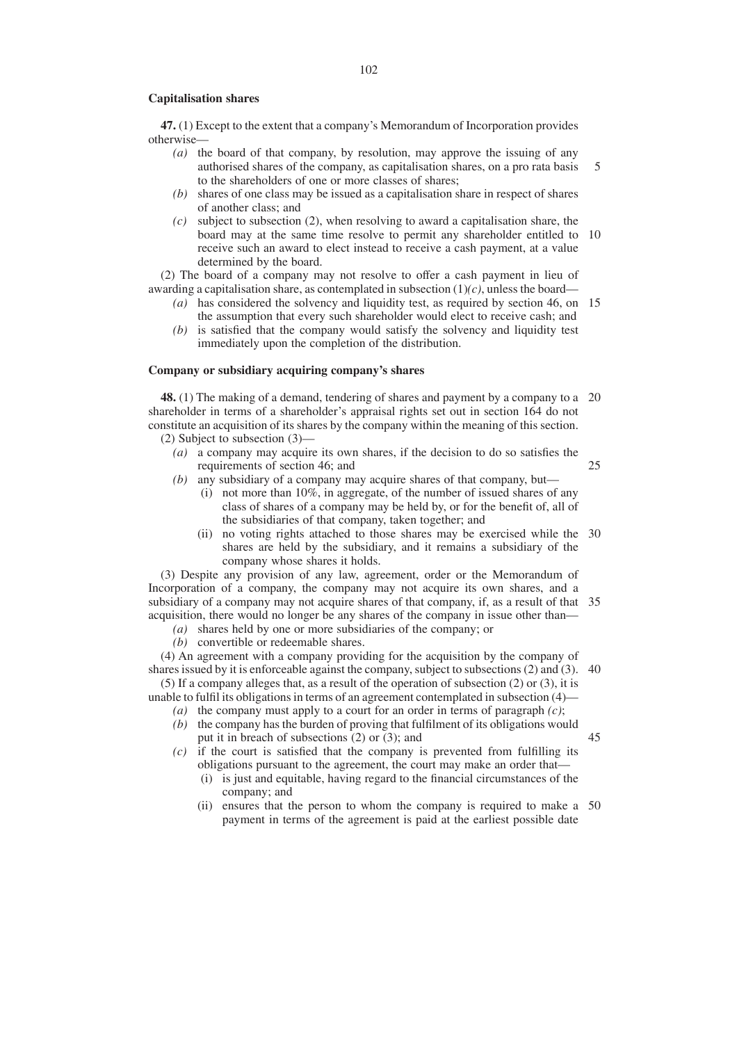### **Capitalisation shares**

**47.** (1) Except to the extent that a company's Memorandum of Incorporation provides otherwise—

- *(a)* the board of that company, by resolution, may approve the issuing of any authorised shares of the company, as capitalisation shares, on a pro rata basis to the shareholders of one or more classes of shares; 5
- *(b)* shares of one class may be issued as a capitalisation share in respect of shares of another class; and
- *(c)* subject to subsection (2), when resolving to award a capitalisation share, the board may at the same time resolve to permit any shareholder entitled to 10 receive such an award to elect instead to receive a cash payment, at a value determined by the board.

(2) The board of a company may not resolve to offer a cash payment in lieu of awarding a capitalisation share, as contemplated in subsection  $(1)(c)$ , unless the board—

- *(a)* has considered the solvency and liquidity test, as required by section 46, on 15 the assumption that every such shareholder would elect to receive cash; and
- *(b)* is satisfied that the company would satisfy the solvency and liquidity test immediately upon the completion of the distribution.

### **Company or subsidiary acquiring company's shares**

**48.** (1) The making of a demand, tendering of shares and payment by a company to a 20 shareholder in terms of a shareholder's appraisal rights set out in section 164 do not constitute an acquisition of its shares by the company within the meaning of this section. (2) Subject to subsection (3)—

- *(a)* a company may acquire its own shares, if the decision to do so satisfies the requirements of section 46; and
	- 25

45

- *(b)* any subsidiary of a company may acquire shares of that company, but—
	- (i) not more than 10%, in aggregate, of the number of issued shares of any class of shares of a company may be held by, or for the benefit of, all of the subsidiaries of that company, taken together; and
	- (ii) no voting rights attached to those shares may be exercised while the 30 shares are held by the subsidiary, and it remains a subsidiary of the company whose shares it holds.

(3) Despite any provision of any law, agreement, order or the Memorandum of Incorporation of a company, the company may not acquire its own shares, and a subsidiary of a company may not acquire shares of that company, if, as a result of that 35 acquisition, there would no longer be any shares of the company in issue other than—

- *(a)* shares held by one or more subsidiaries of the company; or
- *(b)* convertible or redeemable shares.

(4) An agreement with a company providing for the acquisition by the company of shares issued by it is enforceable against the company, subject to subsections (2) and (3). 40 (5) If a company alleges that, as a result of the operation of subsection (2) or (3), it is

unable to fulfil its obligations in terms of an agreement contemplated in subsection (4)—

*(a)* the company must apply to a court for an order in terms of paragraph *(c)*;

*(b)* the company has the burden of proving that fulfilment of its obligations would put it in breach of subsections  $(2)$  or  $(3)$ ; and

*(c)* if the court is satisfied that the company is prevented from fulfilling its obligations pursuant to the agreement, the court may make an order that—

- (i) is just and equitable, having regard to the financial circumstances of the company; and
- (ii) ensures that the person to whom the company is required to make a 50payment in terms of the agreement is paid at the earliest possible date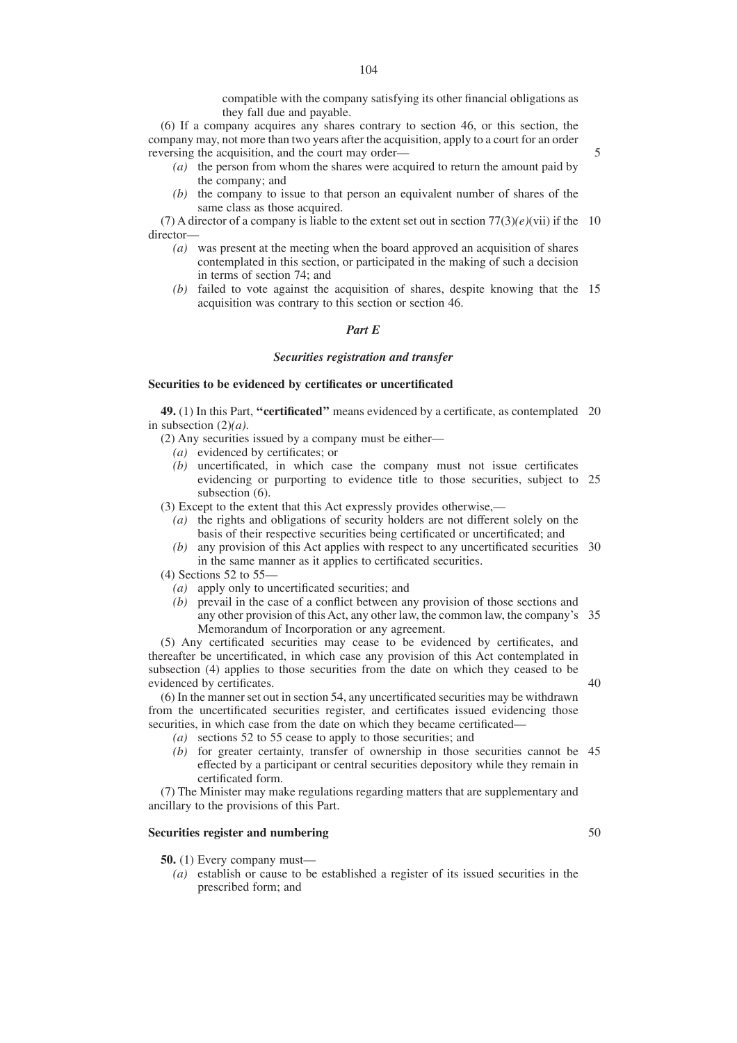compatible with the company satisfying its other financial obligations as they fall due and payable.

(6) If a company acquires any shares contrary to section 46, or this section, the company may, not more than two years after the acquisition, apply to a court for an order reversing the acquisition, and the court may order—

- 5
- *(a)* the person from whom the shares were acquired to return the amount paid by the company; and
- *(b)* the company to issue to that person an equivalent number of shares of the same class as those acquired.

(7) A director of a company is liable to the extent set out in section  $77(3)(e)$ (vii) if the 10 director—

- *(a)* was present at the meeting when the board approved an acquisition of shares contemplated in this section, or participated in the making of such a decision in terms of section 74; and
- *(b)* failed to vote against the acquisition of shares, despite knowing that the 15 acquisition was contrary to this section or section 46.

## *Part E*

## *Securities registration and transfer*

## **Securities to be evidenced by certificates or uncertificated**

**49.** (1) In this Part, **''certificated''** means evidenced by a certificate, as contemplated 20 in subsection (2)*(a)*.

(2) Any securities issued by a company must be either—

- *(a)* evidenced by certificates; or
- *(b)* uncertificated, in which case the company must not issue certificates evidencing or purporting to evidence title to those securities, subject to 25 subsection  $(6)$ .
- (3) Except to the extent that this Act expressly provides otherwise,—
	- *(a)* the rights and obligations of security holders are not different solely on the basis of their respective securities being certificated or uncertificated; and
	- (b) any provision of this Act applies with respect to any uncertificated securities 30 in the same manner as it applies to certificated securities.
- (4) Sections 52 to 55—
	- *(a)* apply only to uncertificated securities; and
	- *(b)* prevail in the case of a conflict between any provision of those sections and any other provision of this Act, any other law, the common law, the company's 35 Memorandum of Incorporation or any agreement.

(5) Any certificated securities may cease to be evidenced by certificates, and thereafter be uncertificated, in which case any provision of this Act contemplated in subsection (4) applies to those securities from the date on which they ceased to be evidenced by certificates.

(6) In the manner set out in section 54, any uncertificated securities may be withdrawn from the uncertificated securities register, and certificates issued evidencing those securities, in which case from the date on which they became certificated—

- *(a)* sections 52 to 55 cease to apply to those securities; and
- *(b)* for greater certainty, transfer of ownership in those securities cannot be 45 effected by a participant or central securities depository while they remain in certificated form.

(7) The Minister may make regulations regarding matters that are supplementary and ancillary to the provisions of this Part.

### **Securities register and numbering**

**50.** (1) Every company must—

*(a)* establish or cause to be established a register of its issued securities in the prescribed form; and

50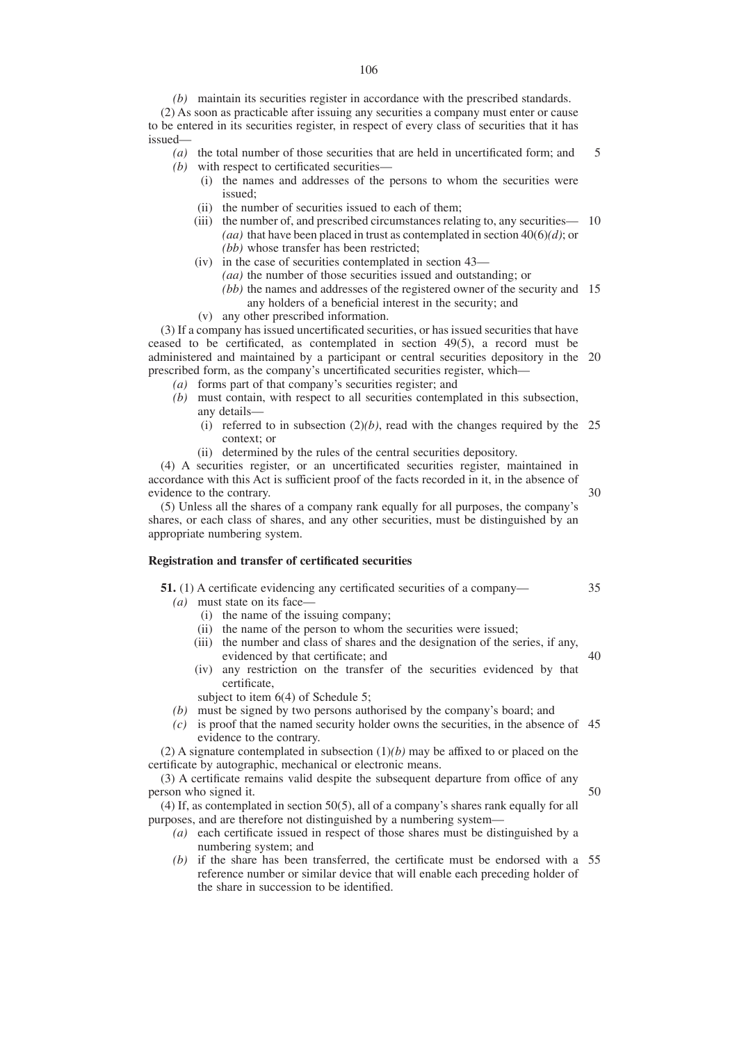*(b)* maintain its securities register in accordance with the prescribed standards.

(2) As soon as practicable after issuing any securities a company must enter or cause to be entered in its securities register, in respect of every class of securities that it has issued—

*(a)* the total number of those securities that are held in uncertificated form; and 5

- *(b)* with respect to certificated securities—
	- (i) the names and addresses of the persons to whom the securities were issued;
	- (ii) the number of securities issued to each of them;
	- (iii) the number of, and prescribed circumstances relating to, any securities— 10 *(aa)* that have been placed in trust as contemplated in section 40(6)*(d)*; or *(bb)* whose transfer has been restricted;
	- (iv) in the case of securities contemplated in section 43—
		- *(aa)* the number of those securities issued and outstanding; or
		- *(bb)* the names and addresses of the registered owner of the security and 15 any holders of a beneficial interest in the security; and
	- (v) any other prescribed information.

(3) If a company has issued uncertificated securities, or has issued securities that have ceased to be certificated, as contemplated in section 49(5), a record must be administered and maintained by a participant or central securities depository in the 20 prescribed form, as the company's uncertificated securities register, which—

- *(a)* forms part of that company's securities register; and
- *(b)* must contain, with respect to all securities contemplated in this subsection, any details—
	- (i) referred to in subsection  $(2)(b)$ , read with the changes required by the 25 context; or
	- (ii) determined by the rules of the central securities depository.

(4) A securities register, or an uncertificated securities register, maintained in accordance with this Act is sufficient proof of the facts recorded in it, in the absence of evidence to the contrary. 30

(5) Unless all the shares of a company rank equally for all purposes, the company's shares, or each class of shares, and any other securities, must be distinguished by an appropriate numbering system.

# **Registration and transfer of certificated securities**

- **51.** (1) A certificate evidencing any certificated securities of a company— *(a)* must state on its face— 35
	- (i) the name of the issuing company;
	- (ii) the name of the person to whom the securities were issued;
	- (iii) the number and class of shares and the designation of the series, if any, evidenced by that certificate; and
	- (iv) any restriction on the transfer of the securities evidenced by that certificate,

subject to item 6(4) of Schedule 5;

- *(b)* must be signed by two persons authorised by the company's board; and
- $(c)$  is proof that the named security holder owns the securities, in the absence of 45 evidence to the contrary.

(2) A signature contemplated in subsection  $(1)(b)$  may be affixed to or placed on the certificate by autographic, mechanical or electronic means.

(3) A certificate remains valid despite the subsequent departure from office of any person who signed it. 50

(4) If, as contemplated in section 50(5), all of a company's shares rank equally for all purposes, and are therefore not distinguished by a numbering system—

- *(a)* each certificate issued in respect of those shares must be distinguished by a numbering system; and
- *(b)* if the share has been transferred, the certificate must be endorsed with a 55reference number or similar device that will enable each preceding holder of the share in succession to be identified.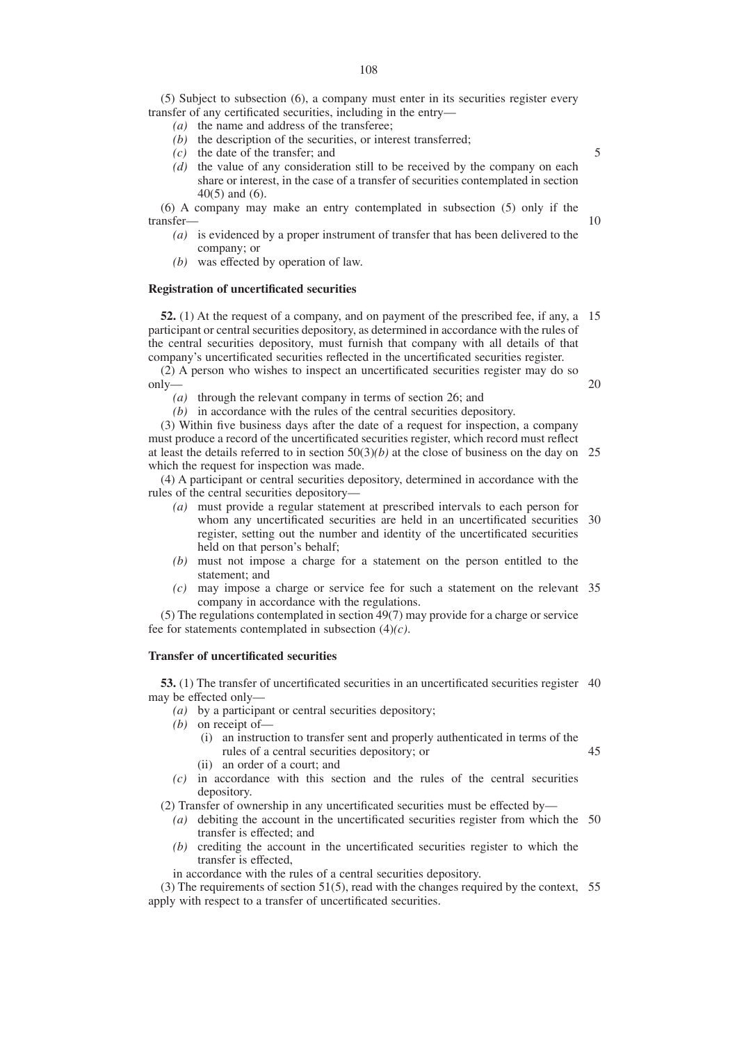- *(a)* the name and address of the transferee;
- *(b)* the description of the securities, or interest transferred;
- *(c)* the date of the transfer; and
- *(d)* the value of any consideration still to be received by the company on each share or interest, in the case of a transfer of securities contemplated in section 40(5) and (6).

(6) A company may make an entry contemplated in subsection (5) only if the transfer—

- *(a)* is evidenced by a proper instrument of transfer that has been delivered to the company; or
- *(b)* was effected by operation of law.

#### **Registration of uncertificated securities**

**52.** (1) At the request of a company, and on payment of the prescribed fee, if any, a 15 participant or central securities depository, as determined in accordance with the rules of the central securities depository, must furnish that company with all details of that company's uncertificated securities reflected in the uncertificated securities register.

(2) A person who wishes to inspect an uncertificated securities register may do so only—

*(a)* through the relevant company in terms of section 26; and

*(b)* in accordance with the rules of the central securities depository.

(3) Within five business days after the date of a request for inspection, a company must produce a record of the uncertificated securities register, which record must reflect at least the details referred to in section  $50(3)(b)$  at the close of business on the day on 25 which the request for inspection was made.

(4) A participant or central securities depository, determined in accordance with the rules of the central securities depository—

- *(a)* must provide a regular statement at prescribed intervals to each person for whom any uncertificated securities are held in an uncertificated securities 30 register, setting out the number and identity of the uncertificated securities held on that person's behalf;
- *(b)* must not impose a charge for a statement on the person entitled to the statement; and
- *(c)* may impose a charge or service fee for such a statement on the relevant 35 company in accordance with the regulations.

(5) The regulations contemplated in section 49(7) may provide for a charge or service fee for statements contemplated in subsection (4)*(c)*.

## **Transfer of uncertificated securities**

**53.** (1) The transfer of uncertificated securities in an uncertificated securities register 40 may be effected only—

*(a)* by a participant or central securities depository;

- *(b)* on receipt of—
	- (i) an instruction to transfer sent and properly authenticated in terms of the rules of a central securities depository; or
	- (ii) an order of a court; and
- *(c)* in accordance with this section and the rules of the central securities depository.

(2) Transfer of ownership in any uncertificated securities must be effected by—

- *(a)* debiting the account in the uncertificated securities register from which the 50 transfer is effected; and
- *(b)* crediting the account in the uncertificated securities register to which the transfer is effected,

in accordance with the rules of a central securities depository.

(3) The requirements of section 51(5), read with the changes required by the context, 55apply with respect to a transfer of uncertificated securities.

10

5

20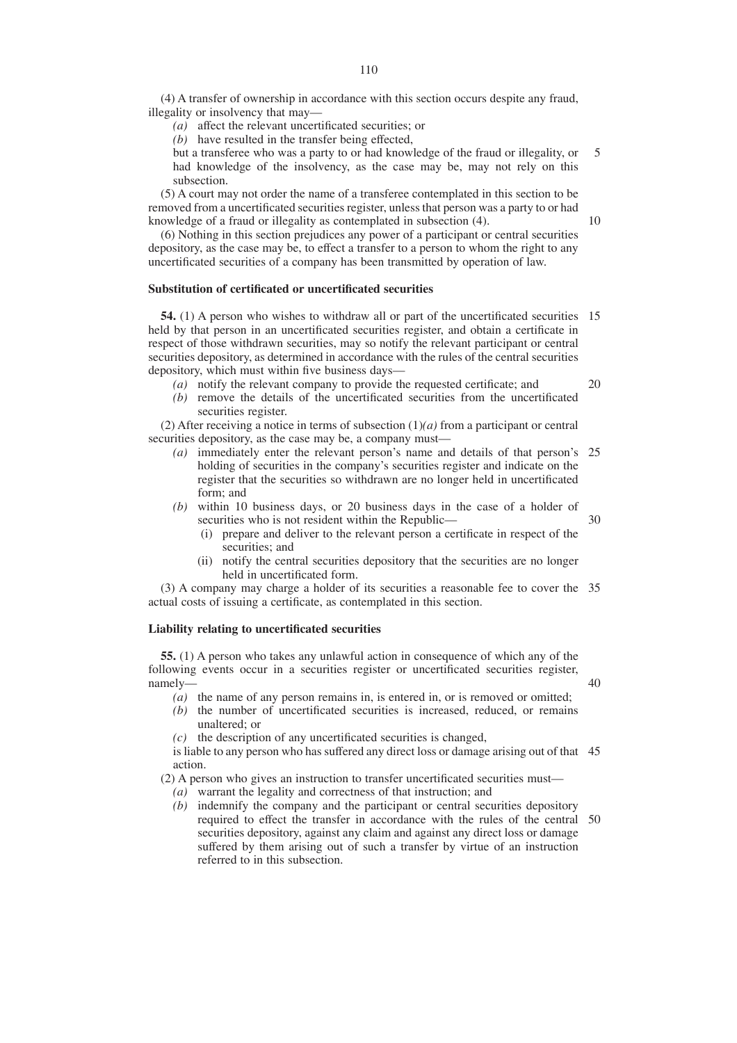- *(a)* affect the relevant uncertificated securities; or
- *(b)* have resulted in the transfer being effected,

but a transferee who was a party to or had knowledge of the fraud or illegality, or had knowledge of the insolvency, as the case may be, may not rely on this subsection. 5

(5) A court may not order the name of a transferee contemplated in this section to be removed from a uncertificated securities register, unless that person was a party to or had knowledge of a fraud or illegality as contemplated in subsection (4).

(6) Nothing in this section prejudices any power of a participant or central securities depository, as the case may be, to effect a transfer to a person to whom the right to any uncertificated securities of a company has been transmitted by operation of law.

## **Substitution of certificated or uncertificated securities**

**54.** (1) A person who wishes to withdraw all or part of the uncertificated securities 15 held by that person in an uncertificated securities register, and obtain a certificate in respect of those withdrawn securities, may so notify the relevant participant or central securities depository, as determined in accordance with the rules of the central securities depository, which must within five business days—

20

40

10

*(a)* notify the relevant company to provide the requested certificate; and *(b)* remove the details of the uncertificated securities from the uncertificated securities register.

(2) After receiving a notice in terms of subsection (1)*(a)* from a participant or central securities depository, as the case may be, a company must—

- *(a)* immediately enter the relevant person's name and details of that person's 25 holding of securities in the company's securities register and indicate on the register that the securities so withdrawn are no longer held in uncertificated form; and
- *(b)* within 10 business days, or 20 business days in the case of a holder of securities who is not resident within the Republic— 30
	- (i) prepare and deliver to the relevant person a certificate in respect of the securities; and
	- (ii) notify the central securities depository that the securities are no longer held in uncertificated form.

(3) A company may charge a holder of its securities a reasonable fee to cover the 35 actual costs of issuing a certificate, as contemplated in this section.

## **Liability relating to uncertificated securities**

**55.** (1) A person who takes any unlawful action in consequence of which any of the following events occur in a securities register or uncertificated securities register, namely—

- *(a)* the name of any person remains in, is entered in, or is removed or omitted;
- *(b)* the number of uncertificated securities is increased, reduced, or remains unaltered; or

*(c)* the description of any uncertificated securities is changed,

is liable to any person who has suffered any direct loss or damage arising out of that 45 action.

(2) A person who gives an instruction to transfer uncertificated securities must—

- *(a)* warrant the legality and correctness of that instruction; and
- *(b)* indemnify the company and the participant or central securities depository required to effect the transfer in accordance with the rules of the central 50securities depository, against any claim and against any direct loss or damage suffered by them arising out of such a transfer by virtue of an instruction referred to in this subsection.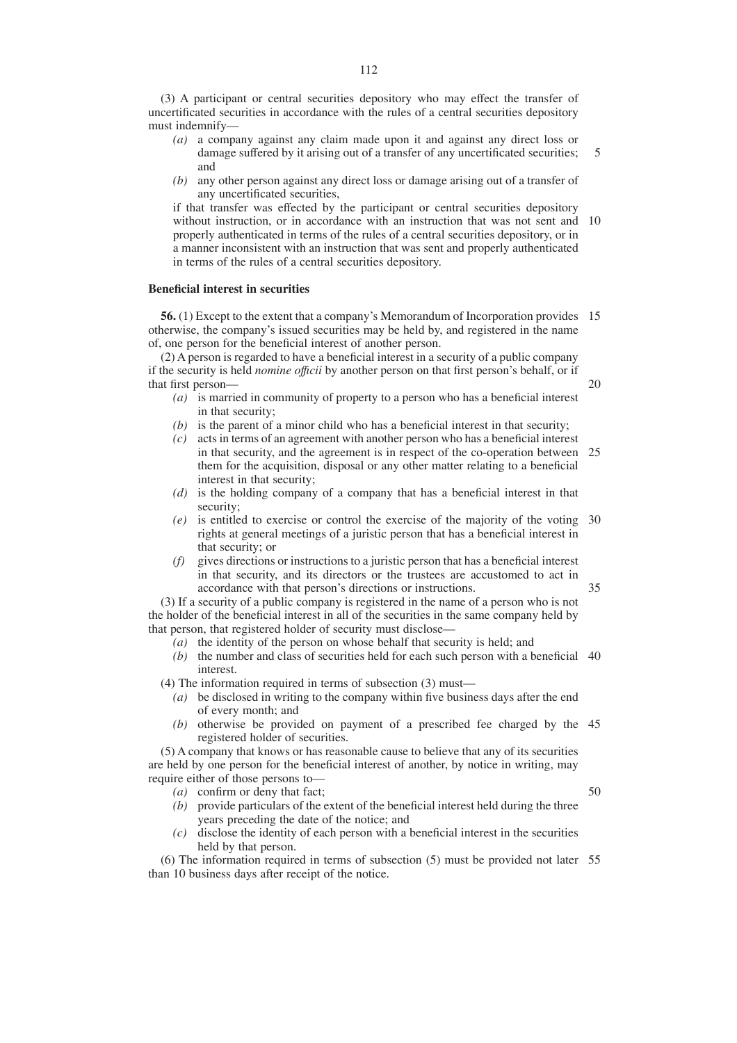(3) A participant or central securities depository who may effect the transfer of uncertificated securities in accordance with the rules of a central securities depository must indemnify—

- *(a)* a company against any claim made upon it and against any direct loss or damage suffered by it arising out of a transfer of any uncertificated securities; and 5
- *(b)* any other person against any direct loss or damage arising out of a transfer of any uncertificated securities,

if that transfer was effected by the participant or central securities depository without instruction, or in accordance with an instruction that was not sent and 10 properly authenticated in terms of the rules of a central securities depository, or in a manner inconsistent with an instruction that was sent and properly authenticated in terms of the rules of a central securities depository.

### **Beneficial interest in securities**

**56.** (1) Except to the extent that a company's Memorandum of Incorporation provides 15 otherwise, the company's issued securities may be held by, and registered in the name of, one person for the beneficial interest of another person.

(2) A person is regarded to have a beneficial interest in a security of a public company if the security is held *nomine offıcii* by another person on that first person's behalf, or if that first person—

- *(a)* is married in community of property to a person who has a beneficial interest in that security;
- *(b)* is the parent of a minor child who has a beneficial interest in that security;
- *(c)* acts in terms of an agreement with another person who has a beneficial interest in that security, and the agreement is in respect of the co-operation between 25 them for the acquisition, disposal or any other matter relating to a beneficial interest in that security;
- *(d)* is the holding company of a company that has a beneficial interest in that security;
- *(e)* is entitled to exercise or control the exercise of the majority of the voting 30 rights at general meetings of a juristic person that has a beneficial interest in that security; or
- *(f)* gives directions or instructions to a juristic person that has a beneficial interest in that security, and its directors or the trustees are accustomed to act in accordance with that person's directions or instructions.

35

(3) If a security of a public company is registered in the name of a person who is not the holder of the beneficial interest in all of the securities in the same company held by that person, that registered holder of security must disclose—

- *(a)* the identity of the person on whose behalf that security is held; and
- *(b)* the number and class of securities held for each such person with a beneficial 40 interest.

(4) The information required in terms of subsection (3) must—

- *(a)* be disclosed in writing to the company within five business days after the end of every month; and
- *(b)* otherwise be provided on payment of a prescribed fee charged by the 45 registered holder of securities.

(5) A company that knows or has reasonable cause to believe that any of its securities are held by one person for the beneficial interest of another, by notice in writing, may require either of those persons to—

*(a)* confirm or deny that fact;

50

- *(b)* provide particulars of the extent of the beneficial interest held during the three years preceding the date of the notice; and
- *(c)* disclose the identity of each person with a beneficial interest in the securities held by that person.

(6) The information required in terms of subsection (5) must be provided not later 55than 10 business days after receipt of the notice.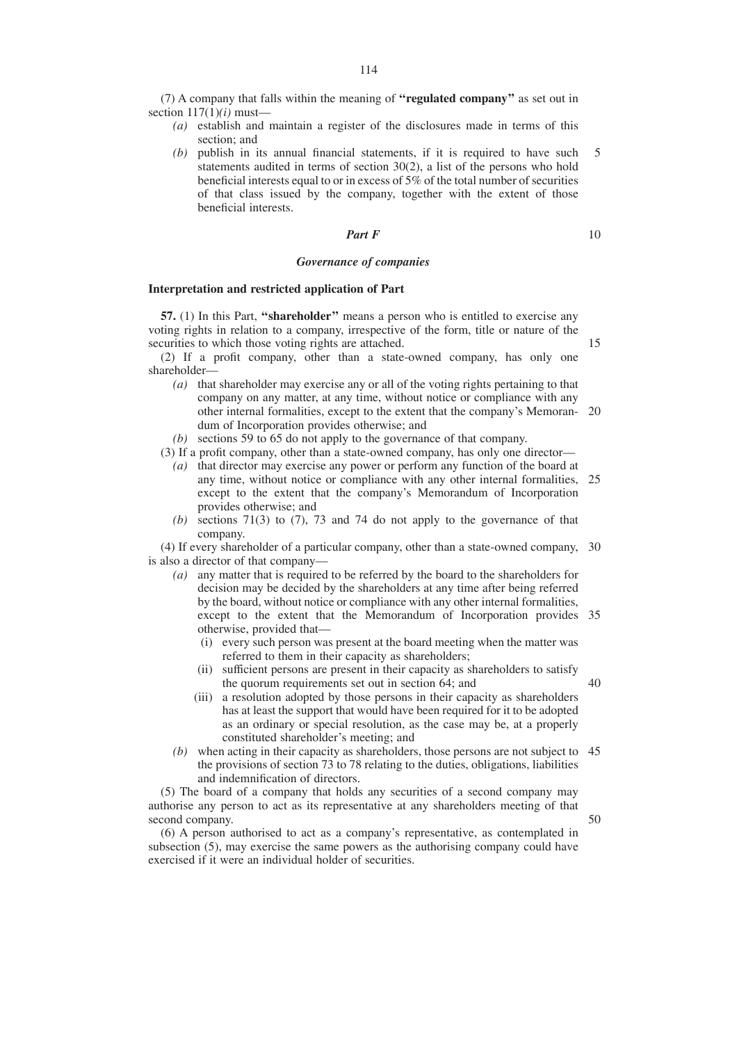(7) A company that falls within the meaning of **''regulated company''** as set out in section 117(1)*(i)* must—

- *(a)* establish and maintain a register of the disclosures made in terms of this section; and
- *(b)* publish in its annual financial statements, if it is required to have such statements audited in terms of section  $30(2)$ , a list of the persons who hold beneficial interests equal to or in excess of 5% of the total number of securities of that class issued by the company, together with the extent of those beneficial interests. 5

# *Part F*

### *Governance of companies*

## **Interpretation and restricted application of Part**

**57.** (1) In this Part, **''shareholder''** means a person who is entitled to exercise any voting rights in relation to a company, irrespective of the form, title or nature of the securities to which those voting rights are attached.

(2) If a profit company, other than a state-owned company, has only one shareholder—

*(a)* that shareholder may exercise any or all of the voting rights pertaining to that company on any matter, at any time, without notice or compliance with any other internal formalities, except to the extent that the company's Memoran-20 dum of Incorporation provides otherwise; and

*(b)* sections 59 to 65 do not apply to the governance of that company.

- (3) If a profit company, other than a state-owned company, has only one director—
	- *(a)* that director may exercise any power or perform any function of the board at any time, without notice or compliance with any other internal formalities, 25 except to the extent that the company's Memorandum of Incorporation provides otherwise; and
	- *(b)* sections 71(3) to (7), 73 and 74 do not apply to the governance of that company.

(4) If every shareholder of a particular company, other than a state-owned company, 30 is also a director of that company—

- *(a)* any matter that is required to be referred by the board to the shareholders for decision may be decided by the shareholders at any time after being referred by the board, without notice or compliance with any other internal formalities, except to the extent that the Memorandum of Incorporation provides 35 otherwise, provided that—
	- (i) every such person was present at the board meeting when the matter was referred to them in their capacity as shareholders;
	- (ii) sufficient persons are present in their capacity as shareholders to satisfy the quorum requirements set out in section 64; and
	- (iii) a resolution adopted by those persons in their capacity as shareholders has at least the support that would have been required for it to be adopted as an ordinary or special resolution, as the case may be, at a properly constituted shareholder's meeting; and
- *(b)* when acting in their capacity as shareholders, those persons are not subject to 45 the provisions of section 73 to 78 relating to the duties, obligations, liabilities and indemnification of directors.

(5) The board of a company that holds any securities of a second company may authorise any person to act as its representative at any shareholders meeting of that second company.

(6) A person authorised to act as a company's representative, as contemplated in subsection (5), may exercise the same powers as the authorising company could have exercised if it were an individual holder of securities.

10

15

50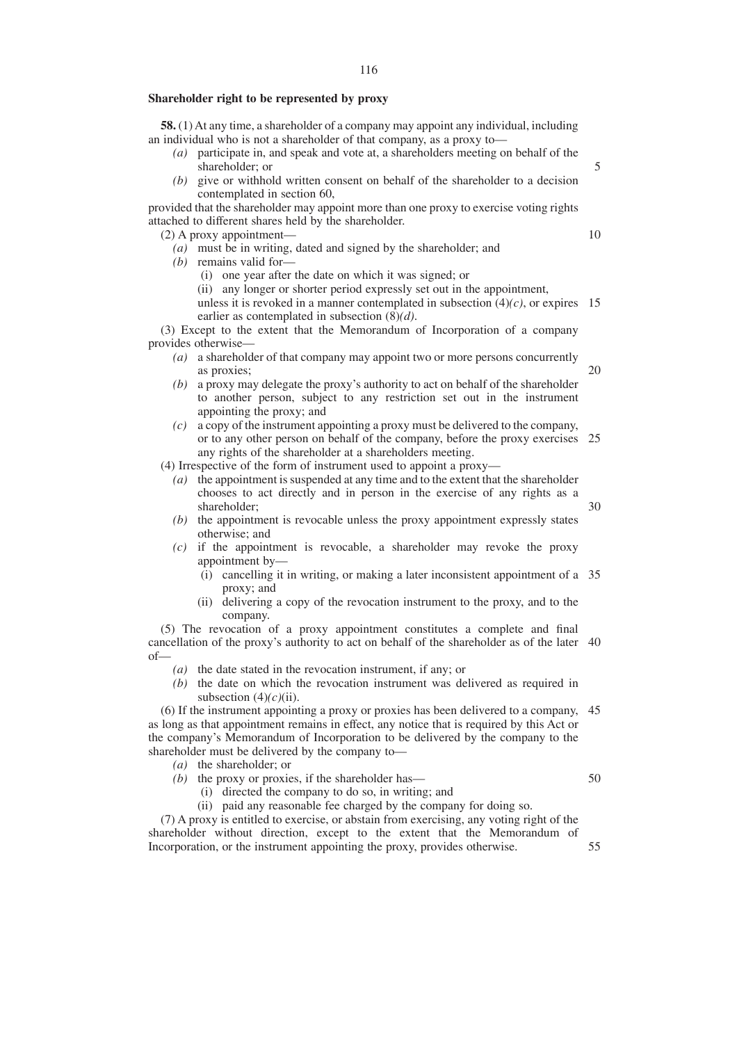#### **Shareholder right to be represented by proxy**

**58.** (1) At any time, a shareholder of a company may appoint any individual, including an individual who is not a shareholder of that company, as a proxy to—

- *(a)* participate in, and speak and vote at, a shareholders meeting on behalf of the shareholder; or
- *(b)* give or withhold written consent on behalf of the shareholder to a decision contemplated in section 60,

provided that the shareholder may appoint more than one proxy to exercise voting rights attached to different shares held by the shareholder.

(2) A proxy appointment—

*(a)* must be in writing, dated and signed by the shareholder; and

- *(b)* remains valid for—
	- (i) one year after the date on which it was signed; or

(ii) any longer or shorter period expressly set out in the appointment,

unless it is revoked in a manner contemplated in subsection  $(4)(c)$ , or expires 15 earlier as contemplated in subsection (8)*(d)*.

(3) Except to the extent that the Memorandum of Incorporation of a company provides otherwise—

- *(a)* a shareholder of that company may appoint two or more persons concurrently as proxies;
- *(b)* a proxy may delegate the proxy's authority to act on behalf of the shareholder to another person, subject to any restriction set out in the instrument appointing the proxy; and
- *(c)* a copy of the instrument appointing a proxy must be delivered to the company, or to any other person on behalf of the company, before the proxy exercises 25 any rights of the shareholder at a shareholders meeting.

(4) Irrespective of the form of instrument used to appoint a proxy—

- *(a)* the appointment is suspended at any time and to the extent that the shareholder chooses to act directly and in person in the exercise of any rights as a shareholder;
- *(b)* the appointment is revocable unless the proxy appointment expressly states otherwise; and
- *(c)* if the appointment is revocable, a shareholder may revoke the proxy appointment by—
	- (i) cancelling it in writing, or making a later inconsistent appointment of a 35 proxy; and
	- (ii) delivering a copy of the revocation instrument to the proxy, and to the company.

(5) The revocation of a proxy appointment constitutes a complete and final cancellation of the proxy's authority to act on behalf of the shareholder as of the later 40 of—

- *(a)* the date stated in the revocation instrument, if any; or
- *(b)* the date on which the revocation instrument was delivered as required in subsection  $(4)$ *(c)*(ii).

(6) If the instrument appointing a proxy or proxies has been delivered to a company, 45 as long as that appointment remains in effect, any notice that is required by this Act or the company's Memorandum of Incorporation to be delivered by the company to the shareholder must be delivered by the company to—

*(a)* the shareholder; or

50

5

10

20

30

*(b)* the proxy or proxies, if the shareholder has— (i) directed the company to do so, in writing; and

(ii) paid any reasonable fee charged by the company for doing so.

(7) A proxy is entitled to exercise, or abstain from exercising, any voting right of the shareholder without direction, except to the extent that the Memorandum of Incorporation, or the instrument appointing the proxy, provides otherwise. 55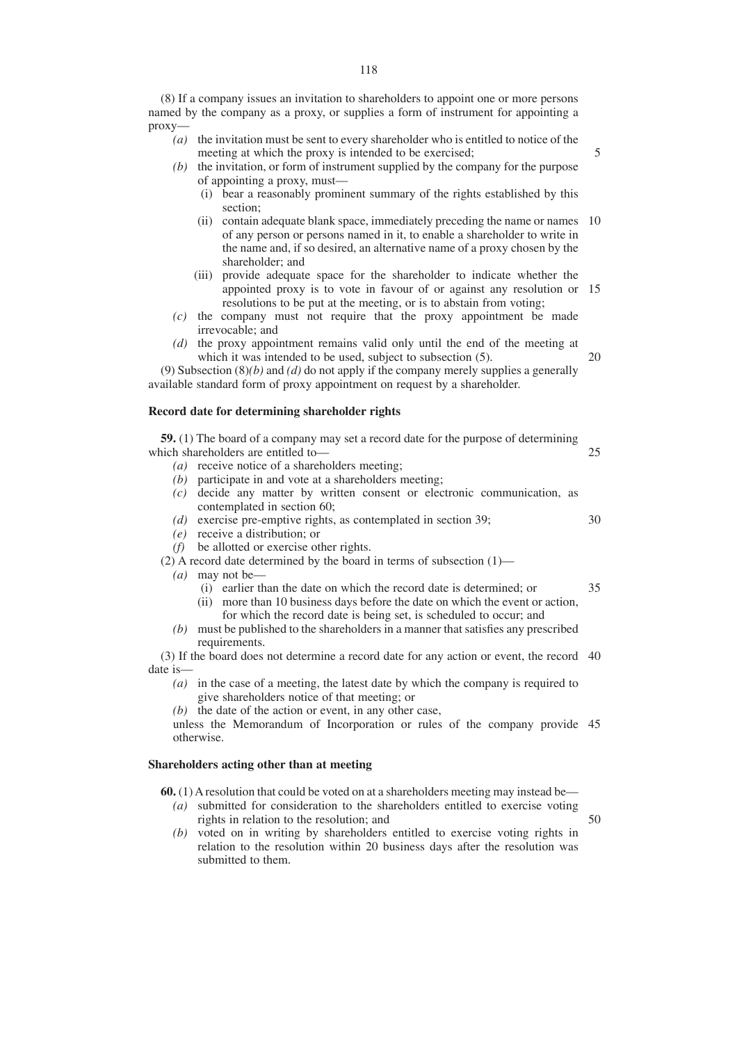(8) If a company issues an invitation to shareholders to appoint one or more persons named by the company as a proxy, or supplies a form of instrument for appointing a proxy—

- *(a)* the invitation must be sent to every shareholder who is entitled to notice of the meeting at which the proxy is intended to be exercised;
- *(b)* the invitation, or form of instrument supplied by the company for the purpose of appointing a proxy, must—
	- (i) bear a reasonably prominent summary of the rights established by this section;
	- (ii) contain adequate blank space, immediately preceding the name or names 10 of any person or persons named in it, to enable a shareholder to write in the name and, if so desired, an alternative name of a proxy chosen by the shareholder; and
	- (iii) provide adequate space for the shareholder to indicate whether the appointed proxy is to vote in favour of or against any resolution or 15 resolutions to be put at the meeting, or is to abstain from voting;
- *(c)* the company must not require that the proxy appointment be made irrevocable; and
- *(d)* the proxy appointment remains valid only until the end of the meeting at which it was intended to be used, subject to subsection (5).

(9) Subsection  $(8)(b)$  and  $(d)$  do not apply if the company merely supplies a generally available standard form of proxy appointment on request by a shareholder.

## **Record date for determining shareholder rights**

**59.** (1) The board of a company may set a record date for the purpose of determining which shareholders are entitled to— 25

- *(a)* receive notice of a shareholders meeting;
- *(b)* participate in and vote at a shareholders meeting;
- *(c)* decide any matter by written consent or electronic communication, as contemplated in section 60;
- *(d)* exercise pre-emptive rights, as contemplated in section 39;
- *(e)* receive a distribution; or
- *(f)* be allotted or exercise other rights.
- (2) A record date determined by the board in terms of subsection  $(1)$ 
	- *(a)* may not be—
		- (i) earlier than the date on which the record date is determined; or (ii) more than 10 business days before the date on which the event or action, for which the record date is being set, is scheduled to occur; and 35
	- *(b)* must be published to the shareholders in a manner that satisfies any prescribed requirements.

(3) If the board does not determine a record date for any action or event, the record 40 date is—

- *(a)* in the case of a meeting, the latest date by which the company is required to give shareholders notice of that meeting; or
- *(b)* the date of the action or event, in any other case,

unless the Memorandum of Incorporation or rules of the company provide 45 otherwise.

# **Shareholders acting other than at meeting**

**60.** (1) A resolution that could be voted on at a shareholders meeting may instead be—

- *(a)* submitted for consideration to the shareholders entitled to exercise voting rights in relation to the resolution; and
- *(b)* voted on in writing by shareholders entitled to exercise voting rights in relation to the resolution within 20 business days after the resolution was submitted to them.

30

50

20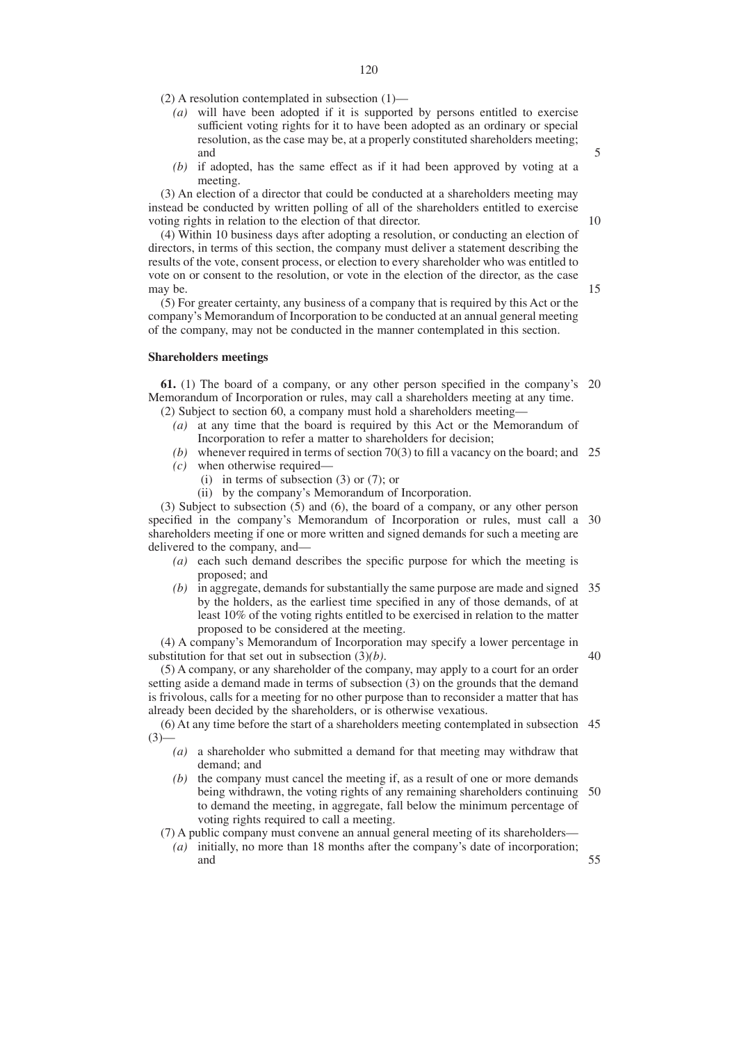(2) A resolution contemplated in subsection (1)—

- *(a)* will have been adopted if it is supported by persons entitled to exercise sufficient voting rights for it to have been adopted as an ordinary or special resolution, as the case may be, at a properly constituted shareholders meeting; and
- *(b)* if adopted, has the same effect as if it had been approved by voting at a meeting.

(3) An election of a director that could be conducted at a shareholders meeting may instead be conducted by written polling of all of the shareholders entitled to exercise voting rights in relation to the election of that director.

(4) Within 10 business days after adopting a resolution, or conducting an election of directors, in terms of this section, the company must deliver a statement describing the results of the vote, consent process, or election to every shareholder who was entitled to vote on or consent to the resolution, or vote in the election of the director, as the case may be.

(5) For greater certainty, any business of a company that is required by this Act or the company's Memorandum of Incorporation to be conducted at an annual general meeting of the company, may not be conducted in the manner contemplated in this section.

## **Shareholders meetings**

**61.** (1) The board of a company, or any other person specified in the company's 20 Memorandum of Incorporation or rules, may call a shareholders meeting at any time. (2) Subject to section 60, a company must hold a shareholders meeting—

- *(a)* at any time that the board is required by this Act or the Memorandum of Incorporation to refer a matter to shareholders for decision;
- *(b)* whenever required in terms of section 70(3) to fill a vacancy on the board; and 25 *(c)* when otherwise required—
	- (i) in terms of subsection  $(3)$  or  $(7)$ ; or
	- (ii) by the company's Memorandum of Incorporation.

(3) Subject to subsection (5) and (6), the board of a company, or any other person specified in the company's Memorandum of Incorporation or rules, must call a 30 shareholders meeting if one or more written and signed demands for such a meeting are delivered to the company, and—

- *(a)* each such demand describes the specific purpose for which the meeting is proposed; and
- *(b)* in aggregate, demands for substantially the same purpose are made and signed 35 by the holders, as the earliest time specified in any of those demands, of at least 10% of the voting rights entitled to be exercised in relation to the matter proposed to be considered at the meeting.

(4) A company's Memorandum of Incorporation may specify a lower percentage in substitution for that set out in subsection (3)*(b)*.

40

(5) A company, or any shareholder of the company, may apply to a court for an order setting aside a demand made in terms of subsection (3) on the grounds that the demand is frivolous, calls for a meeting for no other purpose than to reconsider a matter that has already been decided by the shareholders, or is otherwise vexatious.

(6) At any time before the start of a shareholders meeting contemplated in subsection 45  $(3)$ 

- *(a)* a shareholder who submitted a demand for that meeting may withdraw that demand; and
- *(b)* the company must cancel the meeting if, as a result of one or more demands being withdrawn, the voting rights of any remaining shareholders continuing to demand the meeting, in aggregate, fall below the minimum percentage of voting rights required to call a meeting. 50

(7) A public company must convene an annual general meeting of its shareholders—

*(a)* initially, no more than 18 months after the company's date of incorporation; and 55

10

15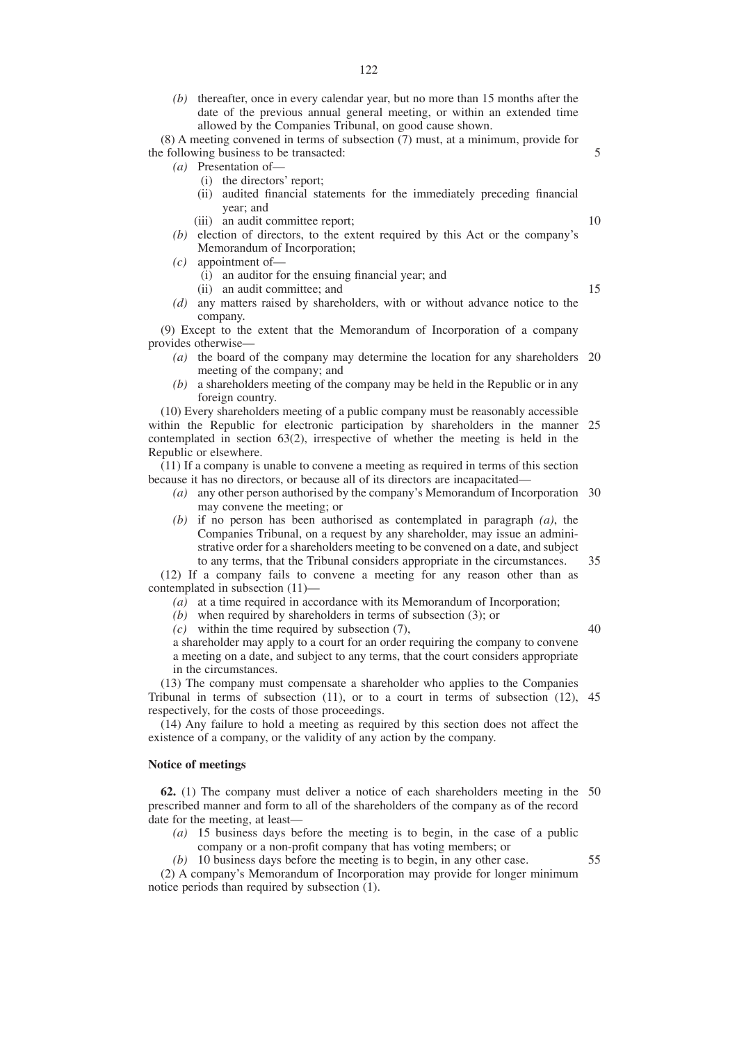*(b)* thereafter, once in every calendar year, but no more than 15 months after the date of the previous annual general meeting, or within an extended time allowed by the Companies Tribunal, on good cause shown.

(8) A meeting convened in terms of subsection (7) must, at a minimum, provide for the following business to be transacted:

*(a)* Presentation of—

- (i) the directors' report;
- (ii) audited financial statements for the immediately preceding financial year; and
- (iii) an audit committee report;
- *(b)* election of directors, to the extent required by this Act or the company's Memorandum of Incorporation;
- *(c)* appointment of—
	- (i) an auditor for the ensuing financial year; and
	- (ii) an audit committee; and
- *(d)* any matters raised by shareholders, with or without advance notice to the company.

(9) Except to the extent that the Memorandum of Incorporation of a company provides otherwise—

- *(a)* the board of the company may determine the location for any shareholders 20 meeting of the company; and
- *(b)* a shareholders meeting of the company may be held in the Republic or in any foreign country.

(10) Every shareholders meeting of a public company must be reasonably accessible within the Republic for electronic participation by shareholders in the manner 25 contemplated in section 63(2), irrespective of whether the meeting is held in the Republic or elsewhere.

(11) If a company is unable to convene a meeting as required in terms of this section because it has no directors, or because all of its directors are incapacitated—

- *(a)* any other person authorised by the company's Memorandum of Incorporation 30 may convene the meeting; or
- *(b)* if no person has been authorised as contemplated in paragraph *(a)*, the Companies Tribunal, on a request by any shareholder, may issue an administrative order for a shareholders meeting to be convened on a date, and subject to any terms, that the Tribunal considers appropriate in the circumstances. 35

(12) If a company fails to convene a meeting for any reason other than as contemplated in subsection (11)—

- *(a)* at a time required in accordance with its Memorandum of Incorporation;
- *(b)* when required by shareholders in terms of subsection (3); or

*(c)* within the time required by subsection (7),

40

a shareholder may apply to a court for an order requiring the company to convene a meeting on a date, and subject to any terms, that the court considers appropriate in the circumstances.

(13) The company must compensate a shareholder who applies to the Companies Tribunal in terms of subsection (11), or to a court in terms of subsection (12), 45 respectively, for the costs of those proceedings.

(14) Any failure to hold a meeting as required by this section does not affect the existence of a company, or the validity of any action by the company.

## **Notice of meetings**

**62.** (1) The company must deliver a notice of each shareholders meeting in the 50 prescribed manner and form to all of the shareholders of the company as of the record date for the meeting, at least—

- *(a)* 15 business days before the meeting is to begin, in the case of a public company or a non-profit company that has voting members; or
- 55

(2) A company's Memorandum of Incorporation may provide for longer minimum notice periods than required by subsection (1).

*(b)* 10 business days before the meeting is to begin, in any other case.

15

10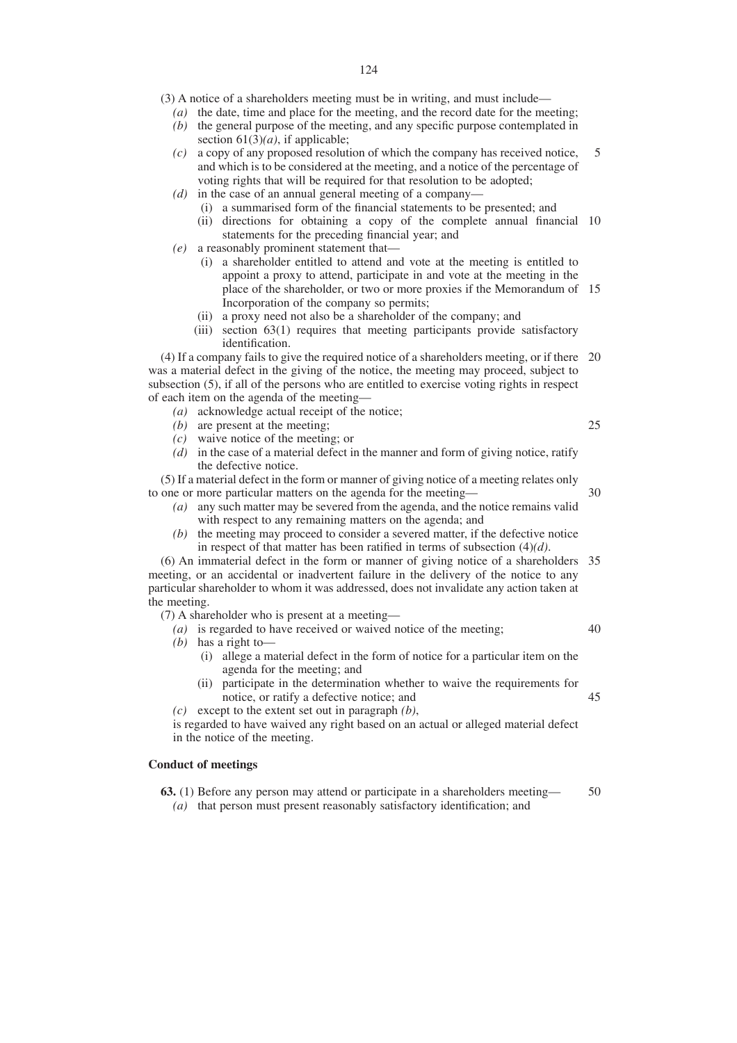- (3) A notice of a shareholders meeting must be in writing, and must include—
	- *(a)* the date, time and place for the meeting, and the record date for the meeting;
	- *(b)* the general purpose of the meeting, and any specific purpose contemplated in section  $61(3)(a)$ , if applicable;
	- *(c)* a copy of any proposed resolution of which the company has received notice, and which is to be considered at the meeting, and a notice of the percentage of voting rights that will be required for that resolution to be adopted; 5
	- *(d)* in the case of an annual general meeting of a company—
		- (i) a summarised form of the financial statements to be presented; and (ii) directions for obtaining a copy of the complete annual financial 10
		- statements for the preceding financial year; and
	- *(e)* a reasonably prominent statement that—
		- (i) a shareholder entitled to attend and vote at the meeting is entitled to appoint a proxy to attend, participate in and vote at the meeting in the place of the shareholder, or two or more proxies if the Memorandum of 15 Incorporation of the company so permits;
		- (ii) a proxy need not also be a shareholder of the company; and
		- (iii) section 63(1) requires that meeting participants provide satisfactory identification.

(4) If a company fails to give the required notice of a shareholders meeting, or if there 20 was a material defect in the giving of the notice, the meeting may proceed, subject to subsection (5), if all of the persons who are entitled to exercise voting rights in respect of each item on the agenda of the meeting—

- *(a)* acknowledge actual receipt of the notice;
	- *(b)* are present at the meeting;
	- *(c)* waive notice of the meeting; or
	- *(d)* in the case of a material defect in the manner and form of giving notice, ratify the defective notice.

(5) If a material defect in the form or manner of giving notice of a meeting relates only to one or more particular matters on the agenda for the meeting—

- *(a)* any such matter may be severed from the agenda, and the notice remains valid with respect to any remaining matters on the agenda; and
- *(b)* the meeting may proceed to consider a severed matter, if the defective notice in respect of that matter has been ratified in terms of subsection (4)*(d)*.

(6) An immaterial defect in the form or manner of giving notice of a shareholders 35 meeting, or an accidental or inadvertent failure in the delivery of the notice to any particular shareholder to whom it was addressed, does not invalidate any action taken at the meeting.

(7) A shareholder who is present at a meeting—

- *(a)* is regarded to have received or waived notice of the meeting;
- *(b)* has a right to—
	- (i) allege a material defect in the form of notice for a particular item on the agenda for the meeting; and
	- (ii) participate in the determination whether to waive the requirements for notice, or ratify a defective notice; and 45
- *(c)* except to the extent set out in paragraph *(b)*,

is regarded to have waived any right based on an actual or alleged material defect in the notice of the meeting.

# **Conduct of meetings**

**63.** (1) Before any person may attend or participate in a shareholders meeting— *(a)* that person must present reasonably satisfactory identification; and 50

30

40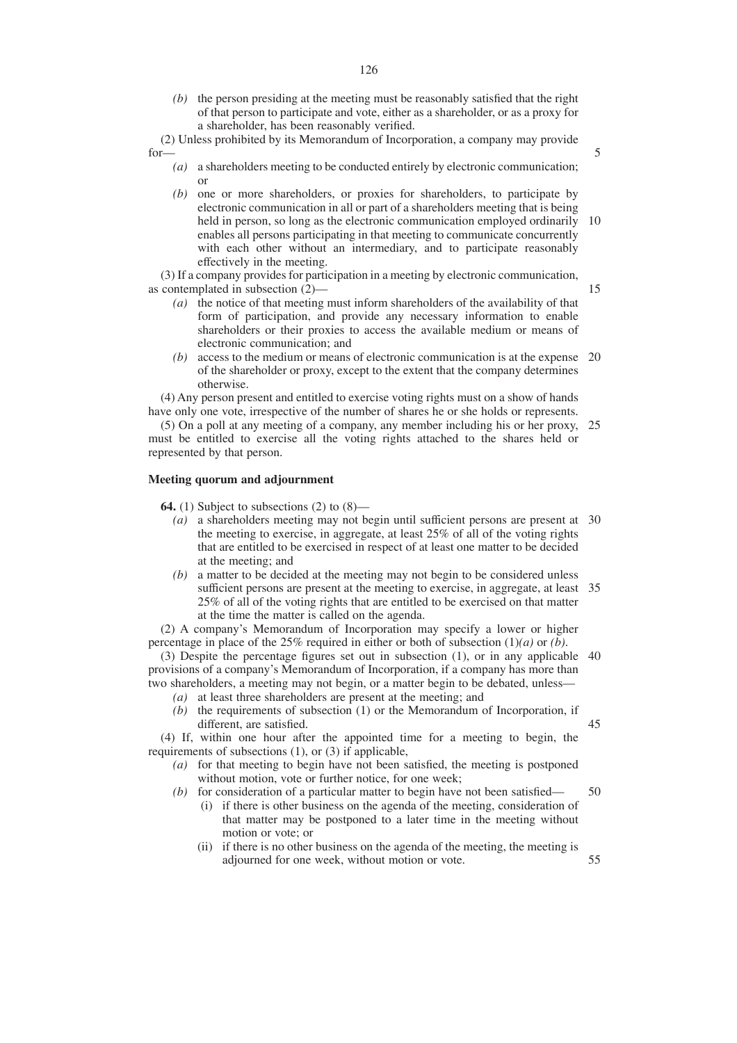*(b)* the person presiding at the meeting must be reasonably satisfied that the right of that person to participate and vote, either as a shareholder, or as a proxy for a shareholder, has been reasonably verified.

(2) Unless prohibited by its Memorandum of Incorporation, a company may provide for-

- *(a)* a shareholders meeting to be conducted entirely by electronic communication; or
- *(b)* one or more shareholders, or proxies for shareholders, to participate by electronic communication in all or part of a shareholders meeting that is being held in person, so long as the electronic communication employed ordinarily enables all persons participating in that meeting to communicate concurrently with each other without an intermediary, and to participate reasonably effectively in the meeting. 10

(3) If a company provides for participation in a meeting by electronic communication, as contemplated in subsection (2)—

- *(a)* the notice of that meeting must inform shareholders of the availability of that form of participation, and provide any necessary information to enable shareholders or their proxies to access the available medium or means of electronic communication; and
- *(b)* access to the medium or means of electronic communication is at the expense 20 of the shareholder or proxy, except to the extent that the company determines otherwise.

(4) Any person present and entitled to exercise voting rights must on a show of hands have only one vote, irrespective of the number of shares he or she holds or represents.

(5) On a poll at any meeting of a company, any member including his or her proxy, 25 must be entitled to exercise all the voting rights attached to the shares held or represented by that person.

## **Meeting quorum and adjournment**

**64.** (1) Subject to subsections (2) to (8)—

- *(a)* a shareholders meeting may not begin until sufficient persons are present at 30 the meeting to exercise, in aggregate, at least 25% of all of the voting rights that are entitled to be exercised in respect of at least one matter to be decided at the meeting; and
- *(b)* a matter to be decided at the meeting may not begin to be considered unless sufficient persons are present at the meeting to exercise, in aggregate, at least 35 25% of all of the voting rights that are entitled to be exercised on that matter at the time the matter is called on the agenda.

(2) A company's Memorandum of Incorporation may specify a lower or higher percentage in place of the 25% required in either or both of subsection (1)*(a)* or *(b)*.

(3) Despite the percentage figures set out in subsection (1), or in any applicable 40 provisions of a company's Memorandum of Incorporation, if a company has more than two shareholders, a meeting may not begin, or a matter begin to be debated, unless—

- *(a)* at least three shareholders are present at the meeting; and
- *(b)* the requirements of subsection (1) or the Memorandum of Incorporation, if different, are satisfied.

(4) If, within one hour after the appointed time for a meeting to begin, the requirements of subsections (1), or (3) if applicable,

- *(a)* for that meeting to begin have not been satisfied, the meeting is postponed without motion, vote or further notice, for one week;
- *(b)* for consideration of a particular matter to begin have not been satisfied— 50
	- (i) if there is other business on the agenda of the meeting, consideration of that matter may be postponed to a later time in the meeting without motion or vote; or
	- (ii) if there is no other business on the agenda of the meeting, the meeting is adjourned for one week, without motion or vote. 55

45

5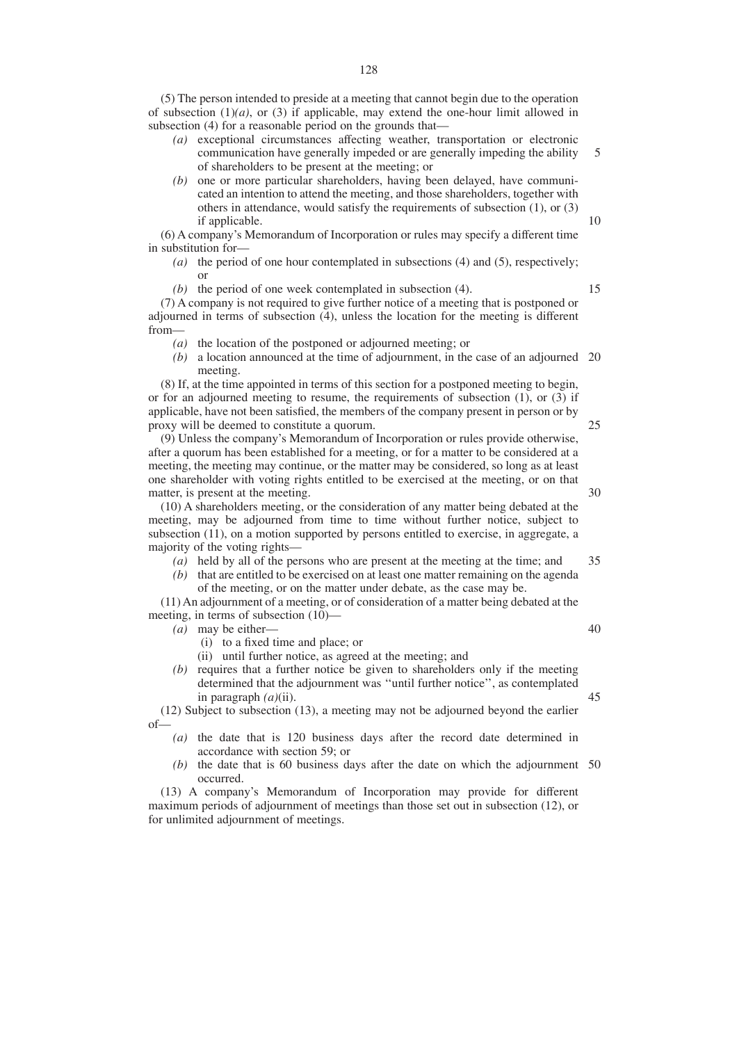(5) The person intended to preside at a meeting that cannot begin due to the operation of subsection  $(1)(a)$ , or  $(3)$  if applicable, may extend the one-hour limit allowed in

subsection (4) for a reasonable period on the grounds that—

- *(a)* exceptional circumstances affecting weather, transportation or electronic communication have generally impeded or are generally impeding the ability of shareholders to be present at the meeting; or 5
- *(b)* one or more particular shareholders, having been delayed, have communicated an intention to attend the meeting, and those shareholders, together with others in attendance, would satisfy the requirements of subsection (1), or (3) if applicable.

(6) A company's Memorandum of Incorporation or rules may specify a different time in substitution for—

- *(a)* the period of one hour contemplated in subsections (4) and (5), respectively; or
- *(b)* the period of one week contemplated in subsection (4).

(7) A company is not required to give further notice of a meeting that is postponed or adjourned in terms of subsection (4), unless the location for the meeting is different from—

- *(a)* the location of the postponed or adjourned meeting; or
- *(b)* a location announced at the time of adjournment, in the case of an adjourned 20 meeting.

(8) If, at the time appointed in terms of this section for a postponed meeting to begin, or for an adjourned meeting to resume, the requirements of subsection (1), or (3) if applicable, have not been satisfied, the members of the company present in person or by proxy will be deemed to constitute a quorum.

(9) Unless the company's Memorandum of Incorporation or rules provide otherwise, after a quorum has been established for a meeting, or for a matter to be considered at a meeting, the meeting may continue, or the matter may be considered, so long as at least one shareholder with voting rights entitled to be exercised at the meeting, or on that matter, is present at the meeting.

(10) A shareholders meeting, or the consideration of any matter being debated at the meeting, may be adjourned from time to time without further notice, subject to subsection (11), on a motion supported by persons entitled to exercise, in aggregate, a majority of the voting rights—

- *(a)* held by all of the persons who are present at the meeting at the time; and 35
- *(b)* that are entitled to be exercised on at least one matter remaining on the agenda
- of the meeting, or on the matter under debate, as the case may be.

(11) An adjournment of a meeting, or of consideration of a matter being debated at the meeting, in terms of subsection (10)—

- *(a)* may be either—
	- (i) to a fixed time and place; or
	- (ii) until further notice, as agreed at the meeting; and
- *(b)* requires that a further notice be given to shareholders only if the meeting determined that the adjournment was ''until further notice'', as contemplated in paragraph *(a)*(ii).

(12) Subject to subsection (13), a meeting may not be adjourned beyond the earlier of—

- *(a)* the date that is 120 business days after the record date determined in accordance with section 59; or
- *(b)* the date that is 60 business days after the date on which the adjournment 50occurred.

(13) A company's Memorandum of Incorporation may provide for different maximum periods of adjournment of meetings than those set out in subsection (12), or for unlimited adjournment of meetings.

10

15

25

30

40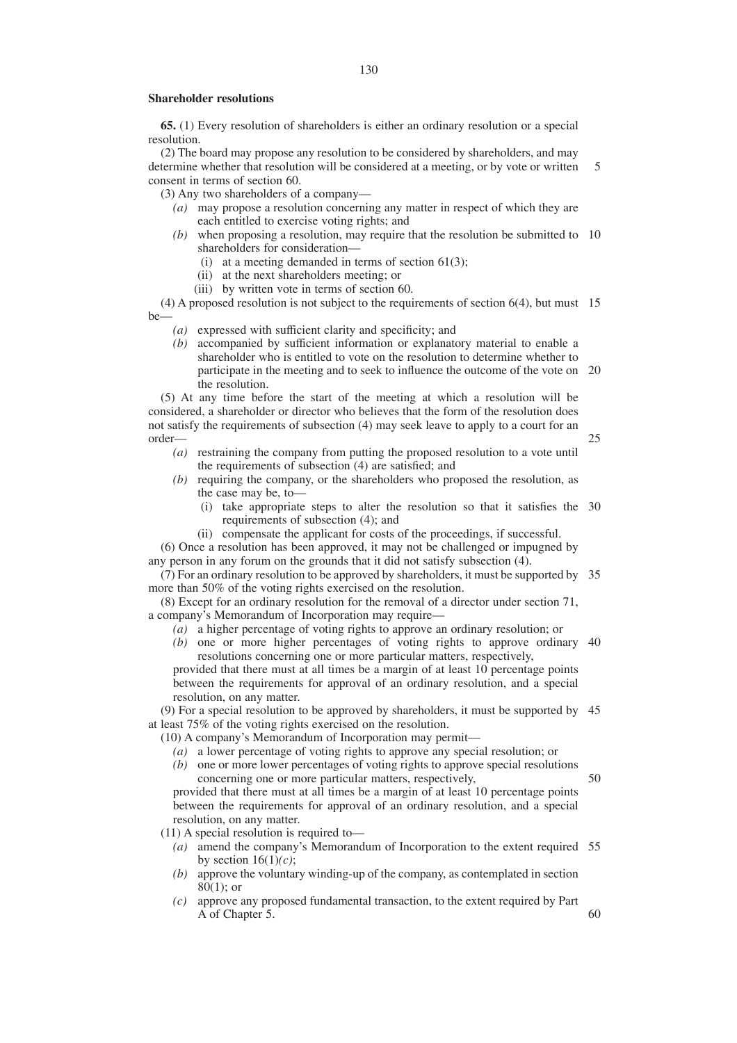#### **Shareholder resolutions**

**65.** (1) Every resolution of shareholders is either an ordinary resolution or a special resolution.

(2) The board may propose any resolution to be considered by shareholders, and may determine whether that resolution will be considered at a meeting, or by vote or written consent in terms of section 60. 5

(3) Any two shareholders of a company—

- *(a)* may propose a resolution concerning any matter in respect of which they are each entitled to exercise voting rights; and
- *(b)* when proposing a resolution, may require that the resolution be submitted to 10 shareholders for consideration—
	- (i) at a meeting demanded in terms of section  $61(3)$ ;
	- (ii) at the next shareholders meeting; or
	- (iii) by written vote in terms of section 60.

(4) A proposed resolution is not subject to the requirements of section 6(4), but must 15 be-

- *(a)* expressed with sufficient clarity and specificity; and
- *(b)* accompanied by sufficient information or explanatory material to enable a shareholder who is entitled to vote on the resolution to determine whether to participate in the meeting and to seek to influence the outcome of the vote on 20 the resolution.

(5) At any time before the start of the meeting at which a resolution will be considered, a shareholder or director who believes that the form of the resolution does not satisfy the requirements of subsection (4) may seek leave to apply to a court for an order—

- *(a)* restraining the company from putting the proposed resolution to a vote until the requirements of subsection (4) are satisfied; and
- *(b)* requiring the company, or the shareholders who proposed the resolution, as the case may be, to—
	- (i) take appropriate steps to alter the resolution so that it satisfies the 30 requirements of subsection (4); and

25

60

(ii) compensate the applicant for costs of the proceedings, if successful.

(6) Once a resolution has been approved, it may not be challenged or impugned by any person in any forum on the grounds that it did not satisfy subsection (4).

(7) For an ordinary resolution to be approved by shareholders, it must be supported by 35 more than 50% of the voting rights exercised on the resolution.

(8) Except for an ordinary resolution for the removal of a director under section 71, a company's Memorandum of Incorporation may require—

- *(a)* a higher percentage of voting rights to approve an ordinary resolution; or
- *(b)* one or more higher percentages of voting rights to approve ordinary 40 resolutions concerning one or more particular matters, respectively,

provided that there must at all times be a margin of at least 10 percentage points between the requirements for approval of an ordinary resolution, and a special resolution, on any matter.

(9) For a special resolution to be approved by shareholders, it must be supported by 45 at least 75% of the voting rights exercised on the resolution.

(10) A company's Memorandum of Incorporation may permit—

- *(a)* a lower percentage of voting rights to approve any special resolution; or
- *(b)* one or more lower percentages of voting rights to approve special resolutions concerning one or more particular matters, respectively, 50

provided that there must at all times be a margin of at least 10 percentage points between the requirements for approval of an ordinary resolution, and a special resolution, on any matter.

(11) A special resolution is required to—

- *(a)* amend the company's Memorandum of Incorporation to the extent required 55 by section  $16(1)(c)$ ;
- *(b)* approve the voluntary winding-up of the company, as contemplated in section  $80(1)$ ; or
- *(c)* approve any proposed fundamental transaction, to the extent required by Part A of Chapter 5.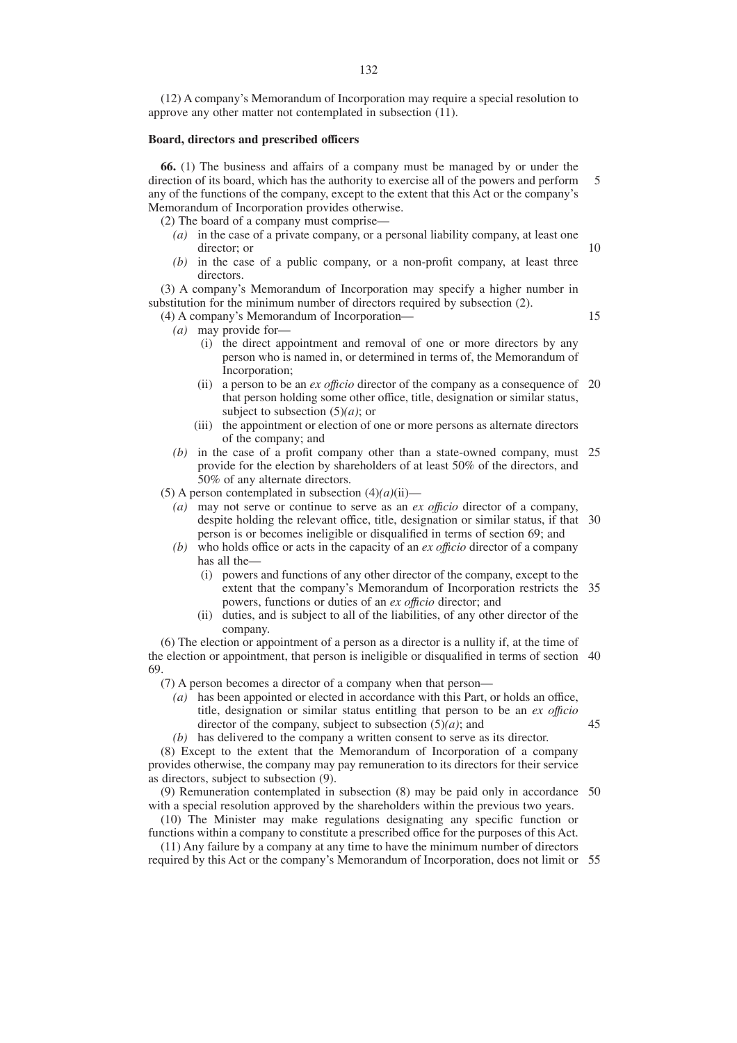(12) A company's Memorandum of Incorporation may require a special resolution to approve any other matter not contemplated in subsection (11).

#### **Board, directors and prescribed officers**

**66.** (1) The business and affairs of a company must be managed by or under the direction of its board, which has the authority to exercise all of the powers and perform any of the functions of the company, except to the extent that this Act or the company's Memorandum of Incorporation provides otherwise. 5

(2) The board of a company must comprise—

- *(a)* in the case of a private company, or a personal liability company, at least one director; or
- *(b)* in the case of a public company, or a non-profit company, at least three directors.

(3) A company's Memorandum of Incorporation may specify a higher number in substitution for the minimum number of directors required by subsection (2). (4) A company's Memorandum of Incorporation—

15

10

- *(a)* may provide for—
	- (i) the direct appointment and removal of one or more directors by any person who is named in, or determined in terms of, the Memorandum of Incorporation;
	- (ii) a person to be an *ex offıcio* director of the company as a consequence of 20 that person holding some other office, title, designation or similar status, subject to subsection (5)*(a)*; or
	- (iii) the appointment or election of one or more persons as alternate directors of the company; and
- *(b)* in the case of a profit company other than a state-owned company, must 25 provide for the election by shareholders of at least 50% of the directors, and 50% of any alternate directors.

(5) A person contemplated in subsection (4)*(a)*(ii)—

- *(a)* may not serve or continue to serve as an *ex offıcio* director of a company, despite holding the relevant office, title, designation or similar status, if that 30 person is or becomes ineligible or disqualified in terms of section 69; and
- *(b)* who holds office or acts in the capacity of an *ex offıcio* director of a company has all the—
	- (i) powers and functions of any other director of the company, except to the extent that the company's Memorandum of Incorporation restricts the 35 powers, functions or duties of an *ex offıcio* director; and
	- (ii) duties, and is subject to all of the liabilities, of any other director of the company.

(6) The election or appointment of a person as a director is a nullity if, at the time of the election or appointment, that person is ineligible or disqualified in terms of section 40 69.

(7) A person becomes a director of a company when that person—

- *(a)* has been appointed or elected in accordance with this Part, or holds an office, title, designation or similar status entitling that person to be an *ex offıcio* director of the company, subject to subsection (5)*(a)*; and
- 45

*(b)* has delivered to the company a written consent to serve as its director.

(8) Except to the extent that the Memorandum of Incorporation of a company provides otherwise, the company may pay remuneration to its directors for their service as directors, subject to subsection (9).

(9) Remuneration contemplated in subsection (8) may be paid only in accordance 50 with a special resolution approved by the shareholders within the previous two years.

(10) The Minister may make regulations designating any specific function or functions within a company to constitute a prescribed office for the purposes of this Act.

(11) Any failure by a company at any time to have the minimum number of directors required by this Act or the company's Memorandum of Incorporation, does not limit or 55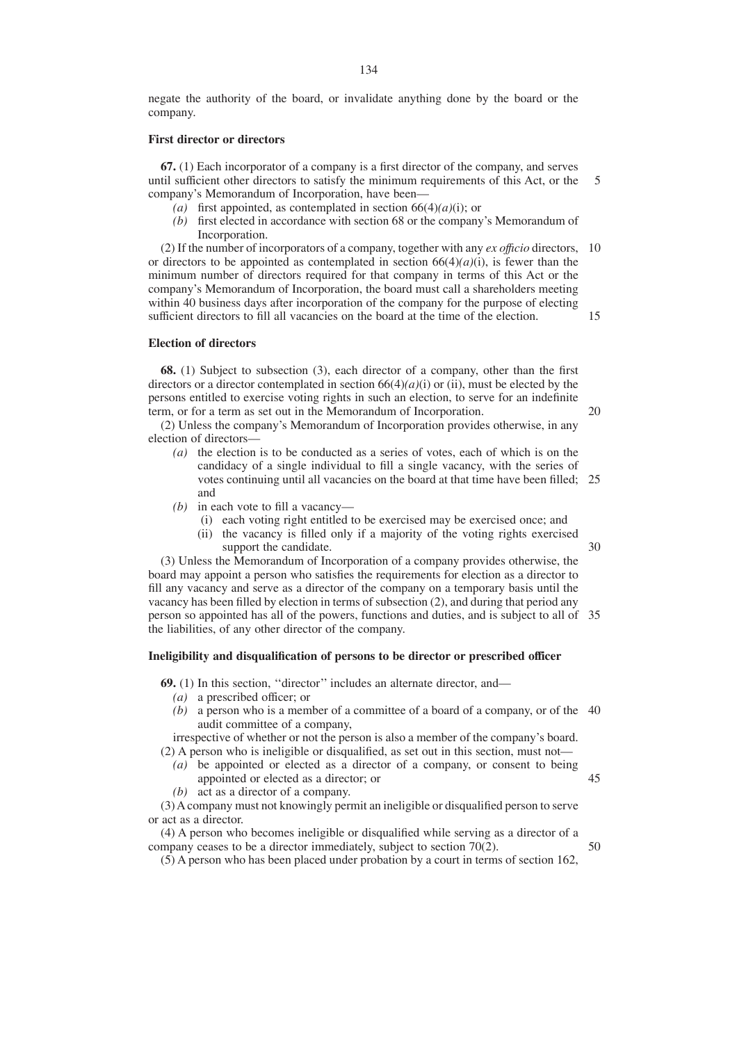negate the authority of the board, or invalidate anything done by the board or the company.

#### **First director or directors**

**67.** (1) Each incorporator of a company is a first director of the company, and serves until sufficient other directors to satisfy the minimum requirements of this Act, or the company's Memorandum of Incorporation, have been— 5

- *(a)* first appointed, as contemplated in section  $66(4)(a)(i)$ ; or
- *(b)* first elected in accordance with section 68 or the company's Memorandum of Incorporation.

(2) If the number of incorporators of a company, together with any *ex offıcio* directors, 10 or directors to be appointed as contemplated in section  $66(4)(a)(i)$ , is fewer than the minimum number of directors required for that company in terms of this Act or the company's Memorandum of Incorporation, the board must call a shareholders meeting within 40 business days after incorporation of the company for the purpose of electing sufficient directors to fill all vacancies on the board at the time of the election. 15

### **Election of directors**

**68.** (1) Subject to subsection (3), each director of a company, other than the first directors or a director contemplated in section 66(4)*(a)*(i) or (ii), must be elected by the persons entitled to exercise voting rights in such an election, to serve for an indefinite term, or for a term as set out in the Memorandum of Incorporation.

(2) Unless the company's Memorandum of Incorporation provides otherwise, in any election of directors—

- *(a)* the election is to be conducted as a series of votes, each of which is on the candidacy of a single individual to fill a single vacancy, with the series of votes continuing until all vacancies on the board at that time have been filled; 25 and
- *(b)* in each vote to fill a vacancy—
	- (i) each voting right entitled to be exercised may be exercised once; and
	- (ii) the vacancy is filled only if a majority of the voting rights exercised support the candidate.

30

50

20

(3) Unless the Memorandum of Incorporation of a company provides otherwise, the board may appoint a person who satisfies the requirements for election as a director to fill any vacancy and serve as a director of the company on a temporary basis until the vacancy has been filled by election in terms of subsection (2), and during that period any person so appointed has all of the powers, functions and duties, and is subject to all of 35 the liabilities, of any other director of the company.

#### **Ineligibility and disqualification of persons to be director or prescribed officer**

**69.** (1) In this section, ''director'' includes an alternate director, and—

- *(a)* a prescribed officer; or
- *(b)* a person who is a member of a committee of a board of a company, or of the 40 audit committee of a company,

irrespective of whether or not the person is also a member of the company's board. (2) A person who is ineligible or disqualified, as set out in this section, must not—

- *(a)* be appointed or elected as a director of a company, or consent to being appointed or elected as a director; or 45
- *(b)* act as a director of a company.

(3) A company must not knowingly permit an ineligible or disqualified person to serve or act as a director.

(4) A person who becomes ineligible or disqualified while serving as a director of a company ceases to be a director immediately, subject to section 70(2).

(5) A person who has been placed under probation by a court in terms of section 162,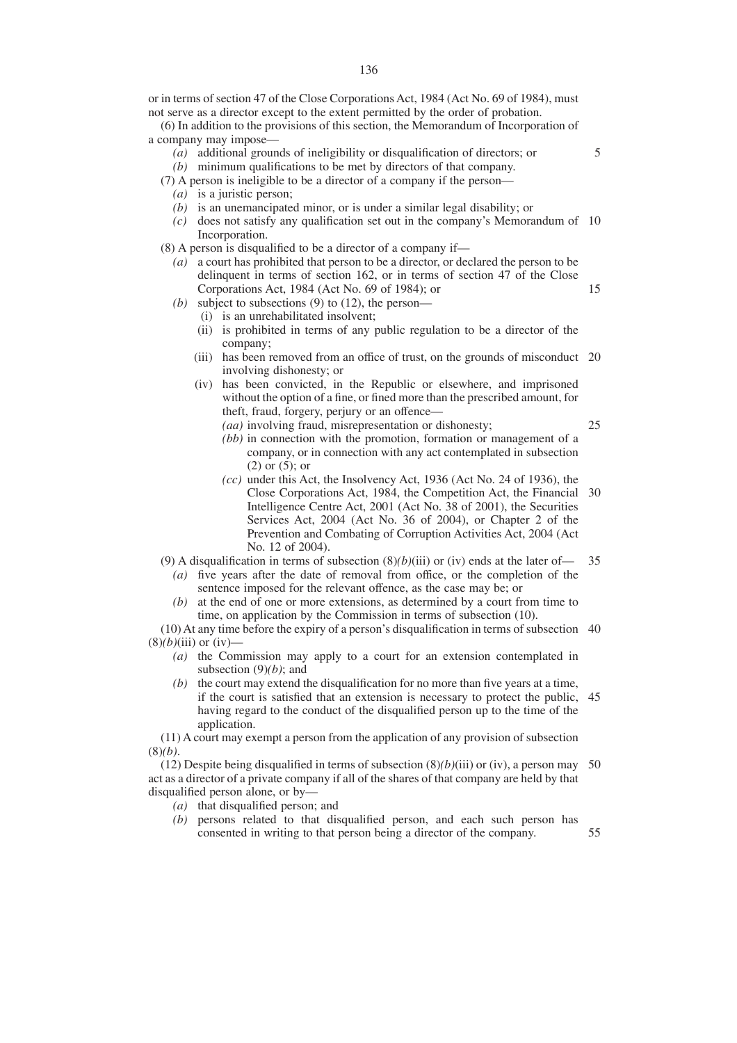- *(a)* is a juristic person;
- *(b)* is an unemancipated minor, or is under a similar legal disability; or
- *(c)* does not satisfy any qualification set out in the company's Memorandum of 10 Incorporation.
- (8) A person is disqualified to be a director of a company if—
	- *(a)* a court has prohibited that person to be a director, or declared the person to be delinquent in terms of section 162, or in terms of section 47 of the Close Corporations Act, 1984 (Act No. 69 of 1984); or
	- *(b)* subject to subsections (9) to (12), the person—
		- (i) is an unrehabilitated insolvent;
		- (ii) is prohibited in terms of any public regulation to be a director of the company;
		- (iii) has been removed from an office of trust, on the grounds of misconduct 20 involving dishonesty; or
		- (iv) has been convicted, in the Republic or elsewhere, and imprisoned without the option of a fine, or fined more than the prescribed amount, for theft, fraud, forgery, perjury or an offence—
			- *(aa)* involving fraud, misrepresentation or dishonesty;

25

35

15

5

- *(bb)* in connection with the promotion, formation or management of a company, or in connection with any act contemplated in subsection (2) or (5); or
- *(cc)* under this Act, the Insolvency Act, 1936 (Act No. 24 of 1936), the Close Corporations Act, 1984, the Competition Act, the Financial 30 Intelligence Centre Act, 2001 (Act No. 38 of 2001), the Securities Services Act, 2004 (Act No. 36 of 2004), or Chapter 2 of the Prevention and Combating of Corruption Activities Act, 2004 (Act No. 12 of 2004).
- (9) A disqualification in terms of subsection  $(8)(b)(iii)$  or (iv) ends at the later of—
- *(a)* five years after the date of removal from office, or the completion of the sentence imposed for the relevant offence, as the case may be; or
- *(b)* at the end of one or more extensions, as determined by a court from time to time, on application by the Commission in terms of subsection (10).

(10) At any time before the expiry of a person's disqualification in terms of subsection 40  $(8)(b)(iii)$  or  $(iv)$ —

- *(a)* the Commission may apply to a court for an extension contemplated in subsection (9)*(b)*; and
- *(b)* the court may extend the disqualification for no more than five years at a time, if the court is satisfied that an extension is necessary to protect the public, 45 having regard to the conduct of the disqualified person up to the time of the application.

(11) A court may exempt a person from the application of any provision of subsection (8)*(b)*.

(12) Despite being disqualified in terms of subsection (8)*(b)*(iii) or (iv), a person may act as a director of a private company if all of the shares of that company are held by that disqualified person alone, or by— 50

*(a)* that disqualified person; and

*(b)* persons related to that disqualified person, and each such person has consented in writing to that person being a director of the company. 55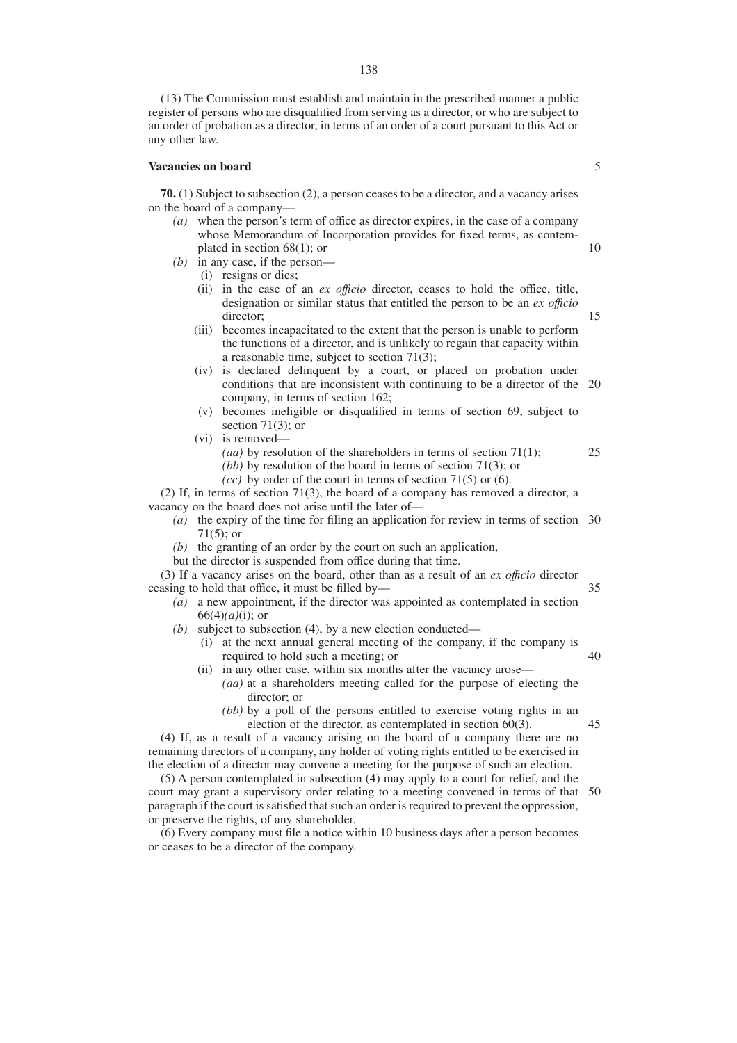(13) The Commission must establish and maintain in the prescribed manner a public register of persons who are disqualified from serving as a director, or who are subject to an order of probation as a director, in terms of an order of a court pursuant to this Act or any other law.

#### **Vacancies on board**

**70.** (1) Subject to subsection (2), a person ceases to be a director, and a vacancy arises on the board of a company—

- *(a)* when the person's term of office as director expires, in the case of a company whose Memorandum of Incorporation provides for fixed terms, as contemplated in section 68(1); or
- *(b)* in any case, if the person—
	- (i) resigns or dies;
	- (ii) in the case of an *ex offıcio* director, ceases to hold the office, title, designation or similar status that entitled the person to be an *ex offıcio* director;
	- (iii) becomes incapacitated to the extent that the person is unable to perform the functions of a director, and is unlikely to regain that capacity within a reasonable time, subject to section 71(3);
	- (iv) is declared delinquent by a court, or placed on probation under conditions that are inconsistent with continuing to be a director of the 20 company, in terms of section 162;
	- (v) becomes ineligible or disqualified in terms of section 69, subject to section  $71(3)$ ; or
	- (vi) is removed—
		- *(aa)* by resolution of the shareholders in terms of section 71(1); 25
		- *(bb)* by resolution of the board in terms of section 71(3); or
		- *(cc)* by order of the court in terms of section 71(5) or (6).

(2) If, in terms of section 71(3), the board of a company has removed a director, a vacancy on the board does not arise until the later of—

- *(a)* the expiry of the time for filing an application for review in terms of section 30 71(5); or
- *(b)* the granting of an order by the court on such an application,
- but the director is suspended from office during that time.

(3) If a vacancy arises on the board, other than as a result of an *ex offıcio* director ceasing to hold that office, it must be filled by— 35

- *(a)* a new appointment, if the director was appointed as contemplated in section  $66(4)(a)(i)$ ; or
- *(b)* subject to subsection (4), by a new election conducted—
	- (i) at the next annual general meeting of the company, if the company is required to hold such a meeting; or
	- (ii) in any other case, within six months after the vacancy arose— *(aa)* at a shareholders meeting called for the purpose of electing the director; or
		- *(bb)* by a poll of the persons entitled to exercise voting rights in an election of the director, as contemplated in section 60(3).

(4) If, as a result of a vacancy arising on the board of a company there are no remaining directors of a company, any holder of voting rights entitled to be exercised in the election of a director may convene a meeting for the purpose of such an election.

(5) A person contemplated in subsection (4) may apply to a court for relief, and the court may grant a supervisory order relating to a meeting convened in terms of that 50paragraph if the court is satisfied that such an order is required to prevent the oppression, or preserve the rights, of any shareholder.

(6) Every company must file a notice within 10 business days after a person becomes or ceases to be a director of the company.

5

10

15

45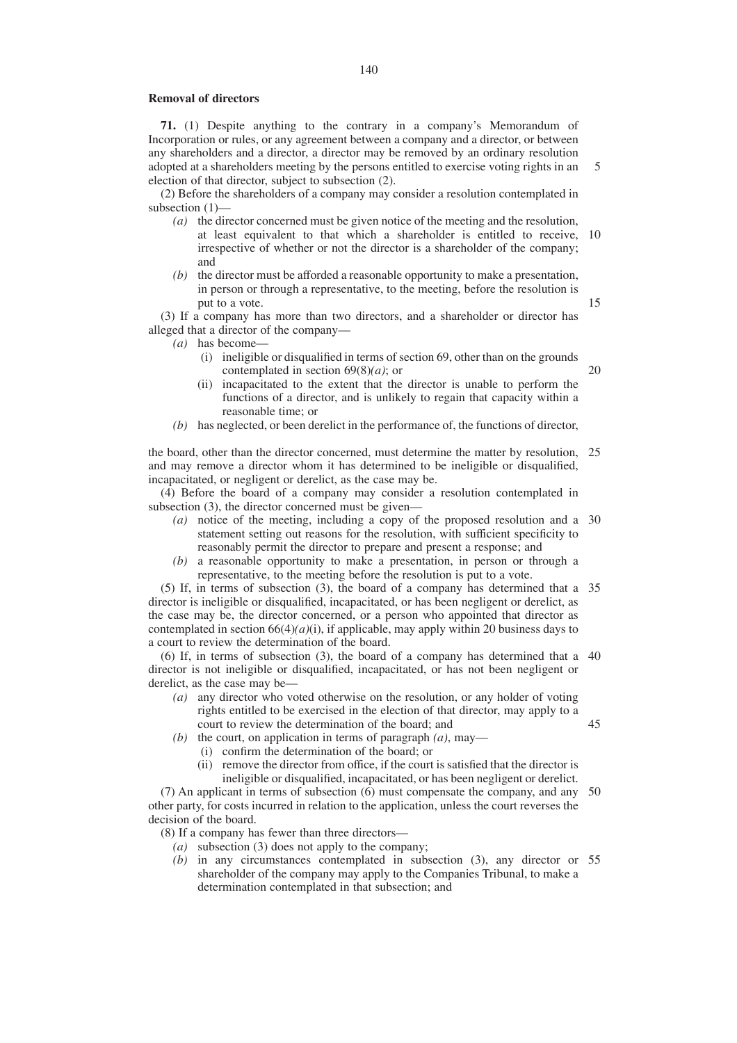#### **Removal of directors**

**71.** (1) Despite anything to the contrary in a company's Memorandum of Incorporation or rules, or any agreement between a company and a director, or between any shareholders and a director, a director may be removed by an ordinary resolution adopted at a shareholders meeting by the persons entitled to exercise voting rights in an election of that director, subject to subsection (2).

(2) Before the shareholders of a company may consider a resolution contemplated in subsection (1)—

- *(a)* the director concerned must be given notice of the meeting and the resolution, at least equivalent to that which a shareholder is entitled to receive, 10 irrespective of whether or not the director is a shareholder of the company; and
- *(b)* the director must be afforded a reasonable opportunity to make a presentation, in person or through a representative, to the meeting, before the resolution is put to a vote.

(3) If a company has more than two directors, and a shareholder or director has alleged that a director of the company—

- *(a)* has become—
	- (i) ineligible or disqualified in terms of section 69, other than on the grounds contemplated in section 69(8)*(a)*; or
	- (ii) incapacitated to the extent that the director is unable to perform the functions of a director, and is unlikely to regain that capacity within a reasonable time; or
- *(b)* has neglected, or been derelict in the performance of, the functions of director,

the board, other than the director concerned, must determine the matter by resolution, 25 and may remove a director whom it has determined to be ineligible or disqualified, incapacitated, or negligent or derelict, as the case may be.

(4) Before the board of a company may consider a resolution contemplated in subsection (3), the director concerned must be given—

- *(a)* notice of the meeting, including a copy of the proposed resolution and a 30 statement setting out reasons for the resolution, with sufficient specificity to reasonably permit the director to prepare and present a response; and
- *(b)* a reasonable opportunity to make a presentation, in person or through a representative, to the meeting before the resolution is put to a vote.

(5) If, in terms of subsection (3), the board of a company has determined that a 35 director is ineligible or disqualified, incapacitated, or has been negligent or derelict, as the case may be, the director concerned, or a person who appointed that director as contemplated in section  $6(4)(a)(i)$ , if applicable, may apply within 20 business days to a court to review the determination of the board.

(6) If, in terms of subsection (3), the board of a company has determined that a 40 director is not ineligible or disqualified, incapacitated, or has not been negligent or derelict, as the case may be—

- *(a)* any director who voted otherwise on the resolution, or any holder of voting rights entitled to be exercised in the election of that director, may apply to a court to review the determination of the board; and 45
	-

5

15

 $20$ 

- *(b)* the court, on application in terms of paragraph *(a)*, may— (i) confirm the determination of the board; or
	- (ii) remove the director from office, if the court is satisfied that the director is ineligible or disqualified, incapacitated, or has been negligent or derelict.

(7) An applicant in terms of subsection (6) must compensate the company, and any other party, for costs incurred in relation to the application, unless the court reverses the decision of the board. 50

(8) If a company has fewer than three directors—

- *(a)* subsection (3) does not apply to the company;
- *(b)* in any circumstances contemplated in subsection (3), any director or 55shareholder of the company may apply to the Companies Tribunal, to make a determination contemplated in that subsection; and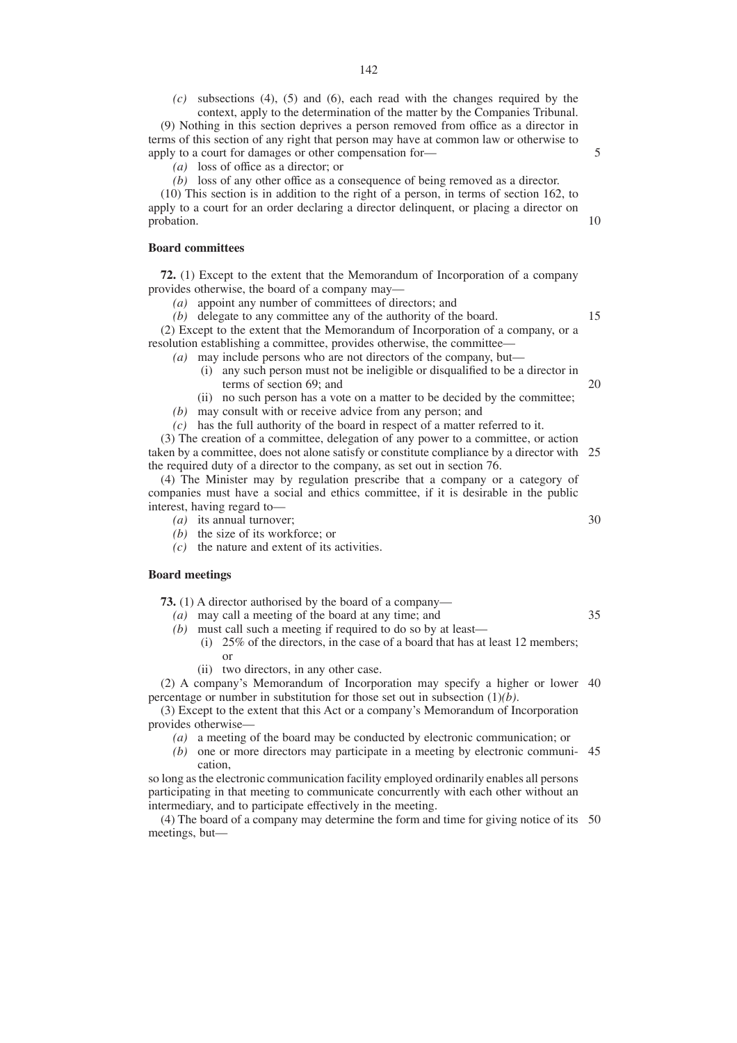*(c)* subsections (4), (5) and (6), each read with the changes required by the context, apply to the determination of the matter by the Companies Tribunal.

(9) Nothing in this section deprives a person removed from office as a director in terms of this section of any right that person may have at common law or otherwise to apply to a court for damages or other compensation for—

*(a)* loss of office as a director; or

*(b)* loss of any other office as a consequence of being removed as a director.

(10) This section is in addition to the right of a person, in terms of section 162, to apply to a court for an order declaring a director delinquent, or placing a director on probation.

## **Board committees**

**72.** (1) Except to the extent that the Memorandum of Incorporation of a company provides otherwise, the board of a company may—

*(a)* appoint any number of committees of directors; and

*(b)* delegate to any committee any of the authority of the board.

15

30

35

5

10

(2) Except to the extent that the Memorandum of Incorporation of a company, or a resolution establishing a committee, provides otherwise, the committee—

- *(a)* may include persons who are not directors of the company, but—
	- (i) any such person must not be ineligible or disqualified to be a director in terms of section 69; and 20
	- (ii) no such person has a vote on a matter to be decided by the committee;
- *(b)* may consult with or receive advice from any person; and
- *(c)* has the full authority of the board in respect of a matter referred to it.

(3) The creation of a committee, delegation of any power to a committee, or action taken by a committee, does not alone satisfy or constitute compliance by a director with 25 the required duty of a director to the company, as set out in section 76.

(4) The Minister may by regulation prescribe that a company or a category of companies must have a social and ethics committee, if it is desirable in the public interest, having regard to—

- *(a)* its annual turnover;
- *(b)* the size of its workforce; or
- *(c)* the nature and extent of its activities.

## **Board meetings**

**73.** (1) A director authorised by the board of a company—

- *(a)* may call a meeting of the board at any time; and
- *(b)* must call such a meeting if required to do so by at least—
	- (i) 25% of the directors, in the case of a board that has at least 12 members; or
	- (ii) two directors, in any other case.

(2) A company's Memorandum of Incorporation may specify a higher or lower 40 percentage or number in substitution for those set out in subsection (1)*(b)*.

(3) Except to the extent that this Act or a company's Memorandum of Incorporation provides otherwise—

- *(a)* a meeting of the board may be conducted by electronic communication; or
- *(b)* one or more directors may participate in a meeting by electronic communi-45 cation,

so long as the electronic communication facility employed ordinarily enables all persons participating in that meeting to communicate concurrently with each other without an intermediary, and to participate effectively in the meeting.

(4) The board of a company may determine the form and time for giving notice of its 50meetings, but—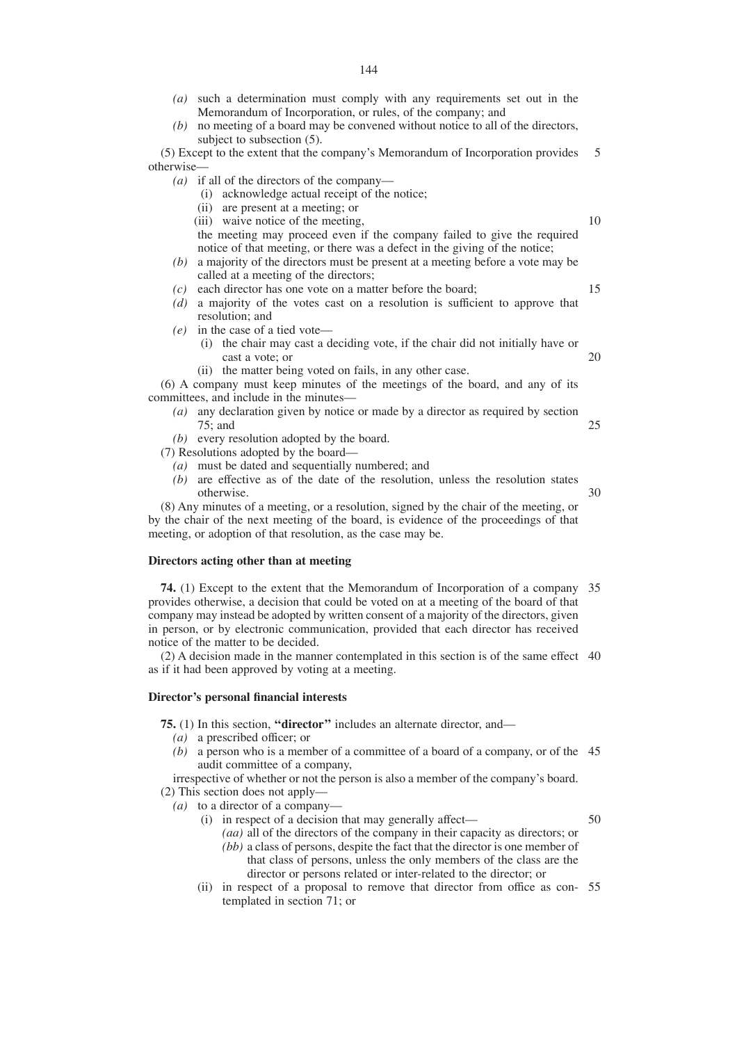| (u)<br>such a determination must comply with any requirements set out in the<br>Memorandum of Incorporation, or rules, of the company; and |    |
|--------------------------------------------------------------------------------------------------------------------------------------------|----|
| no meeting of a board may be convened without notice to all of the directors,<br>(b)                                                       |    |
| subject to subsection (5).                                                                                                                 |    |
| (5) Except to the extent that the company's Memorandum of Incorporation provides                                                           | 5  |
| otherwise—                                                                                                                                 |    |
| ( <i>a</i> ) if all of the directors of the company—                                                                                       |    |
| acknowledge actual receipt of the notice;<br>(i)                                                                                           |    |
| (ii) are present at a meeting; or                                                                                                          |    |
| (iii) waive notice of the meeting,                                                                                                         | 10 |
| the meeting may proceed even if the company failed to give the required                                                                    |    |
| notice of that meeting, or there was a defect in the giving of the notice;                                                                 |    |
| a majority of the directors must be present at a meeting before a vote may be<br>(b)                                                       |    |
| called at a meeting of the directors;                                                                                                      |    |
| each director has one vote on a matter before the board;<br>(c)                                                                            | 15 |
| a majority of the votes cast on a resolution is sufficient to approve that<br>(d)                                                          |    |
| resolution; and                                                                                                                            |    |
| in the case of a tied vote—<br>(e)                                                                                                         |    |
| (i) the chair may cast a deciding vote, if the chair did not initially have or                                                             |    |
| cast a vote; or                                                                                                                            | 20 |
| (ii) the matter being voted on fails, in any other case.                                                                                   |    |
| (6) A company must keep minutes of the meetings of the board, and any of its                                                               |    |
| committees, and include in the minutes-                                                                                                    |    |
| any declaration given by notice or made by a director as required by section<br>(a)                                                        |    |
| $75$ ; and                                                                                                                                 | 25 |
| $(b)$ every resolution adopted by the board.                                                                                               |    |
| (7) Resolutions adopted by the board—                                                                                                      |    |
| $(a)$ must be dated and sequentially numbered; and<br>are effective as of the date of the resolution, unless the resolution states         |    |
| (b)<br>otherwise.                                                                                                                          | 30 |
| (8) Any minutes of a meeting, or a resolution, signed by the chair of the meeting, or                                                      |    |
| by the chair of the next meeting of the board, is evidence of the proceedings of that                                                      |    |
| meeting, or adoption of that resolution, as the case may be.                                                                               |    |
| Directors acting other than at meeting                                                                                                     |    |
|                                                                                                                                            |    |
| <b>74.</b> (1) Except to the extent that the Memorandum of Incorporation of a company                                                      | 35 |

provides otherwise, a decision that could be voted on at a meeting of the board of that company may instead be adopted by written consent of a majority of the directors, given in person, or by electronic communication, provided that each director has received notice of the matter to be decided. 35

(2) A decision made in the manner contemplated in this section is of the same effect 40 as if it had been approved by voting at a meeting.

## **Director's personal financial interests**

**75.** (1) In this section, **''director''** includes an alternate director, and—

- *(a)* a prescribed officer; or
- *(b)* a person who is a member of a committee of a board of a company, or of the 45 audit committee of a company,

irrespective of whether or not the person is also a member of the company's board. (2) This section does not apply—

- *(a)* to a director of a company—
	- (i) in respect of a decision that may generally affect— 50
		- *(aa)* all of the directors of the company in their capacity as directors; or *(bb)* a class of persons, despite the fact that the director is one member of that class of persons, unless the only members of the class are the director or persons related or inter-related to the director; or
	- (ii) in respect of a proposal to remove that director from office as con-55templated in section 71; or

*(a)* such a determination must comply with any requirements set out in the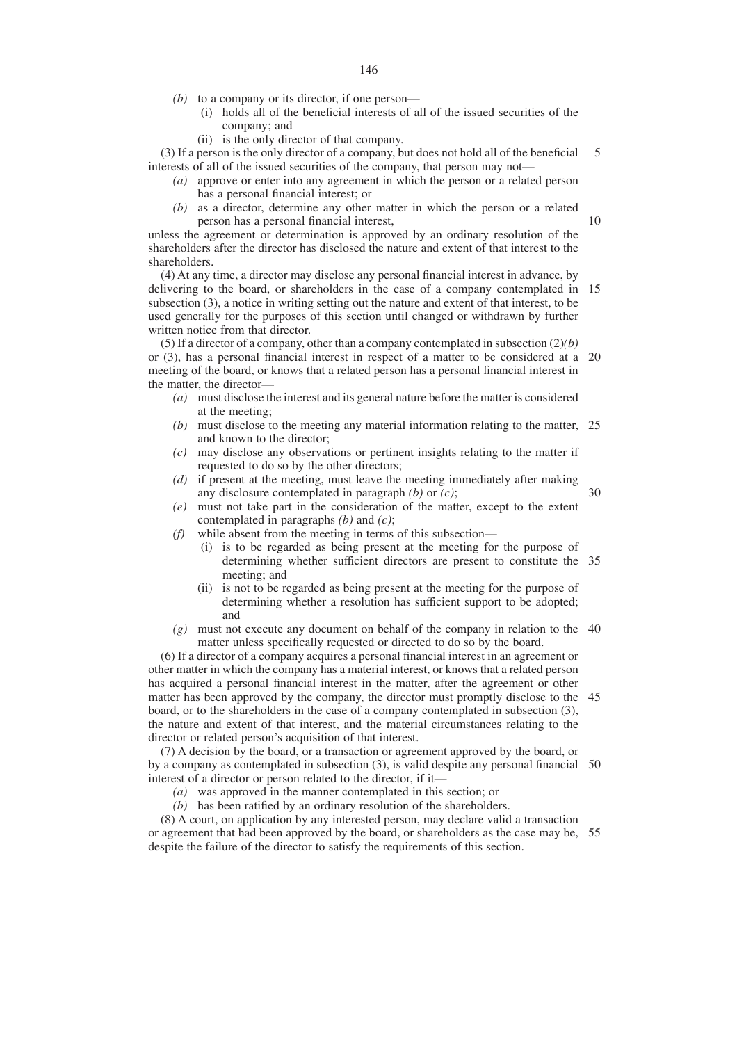- *(b)* to a company or its director, if one person—
	- (i) holds all of the beneficial interests of all of the issued securities of the company; and
	- (ii) is the only director of that company.

(3) If a person is the only director of a company, but does not hold all of the beneficial interests of all of the issued securities of the company, that person may not— 5

- *(a)* approve or enter into any agreement in which the person or a related person has a personal financial interest; or
- *(b)* as a director, determine any other matter in which the person or a related person has a personal financial interest,

unless the agreement or determination is approved by an ordinary resolution of the shareholders after the director has disclosed the nature and extent of that interest to the shareholders.

(4) At any time, a director may disclose any personal financial interest in advance, by delivering to the board, or shareholders in the case of a company contemplated in 15 subsection (3), a notice in writing setting out the nature and extent of that interest, to be used generally for the purposes of this section until changed or withdrawn by further written notice from that director.

(5) If a director of a company, other than a company contemplated in subsection (2)*(b)* or (3), has a personal financial interest in respect of a matter to be considered at a 20 meeting of the board, or knows that a related person has a personal financial interest in the matter, the director—

- *(a)* must disclose the interest and its general nature before the matter is considered at the meeting;
- *(b)* must disclose to the meeting any material information relating to the matter, 25 and known to the director;
- *(c)* may disclose any observations or pertinent insights relating to the matter if requested to do so by the other directors;
- *(d)* if present at the meeting, must leave the meeting immediately after making any disclosure contemplated in paragraph *(b)* or *(c)*; 30
- *(e)* must not take part in the consideration of the matter, except to the extent contemplated in paragraphs *(b)* and *(c)*;
- *(f)* while absent from the meeting in terms of this subsection—
	- (i) is to be regarded as being present at the meeting for the purpose of determining whether sufficient directors are present to constitute the 35 meeting; and
	- (ii) is not to be regarded as being present at the meeting for the purpose of determining whether a resolution has sufficient support to be adopted; and
- *(g)* must not execute any document on behalf of the company in relation to the 40 matter unless specifically requested or directed to do so by the board.

(6) If a director of a company acquires a personal financial interest in an agreement or other matter in which the company has a material interest, or knows that a related person has acquired a personal financial interest in the matter, after the agreement or other matter has been approved by the company, the director must promptly disclose to the 45 board, or to the shareholders in the case of a company contemplated in subsection (3), the nature and extent of that interest, and the material circumstances relating to the director or related person's acquisition of that interest.

(7) A decision by the board, or a transaction or agreement approved by the board, or by a company as contemplated in subsection (3), is valid despite any personal financial 50 interest of a director or person related to the director, if it—

*(a)* was approved in the manner contemplated in this section; or

*(b)* has been ratified by an ordinary resolution of the shareholders.

(8) A court, on application by any interested person, may declare valid a transaction or agreement that had been approved by the board, or shareholders as the case may be, 55despite the failure of the director to satisfy the requirements of this section.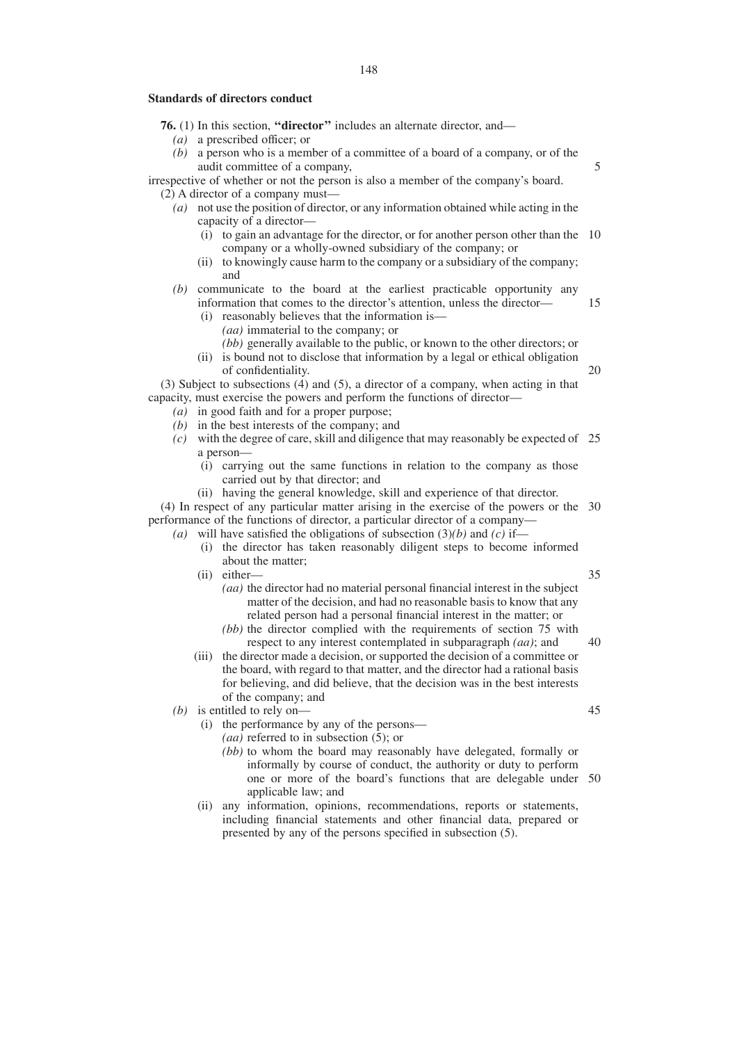#### **Standards of directors conduct**

**76.** (1) In this section, **''director''** includes an alternate director, and—

- *(a)* a prescribed officer; or
- *(b)* a person who is a member of a committee of a board of a company, or of the audit committee of a company,

irrespective of whether or not the person is also a member of the company's board. (2) A director of a company must—

- *(a)* not use the position of director, or any information obtained while acting in the capacity of a director—
	- (i) to gain an advantage for the director, or for another person other than the 10 company or a wholly-owned subsidiary of the company; or
	- (ii) to knowingly cause harm to the company or a subsidiary of the company; and

## *(b)* communicate to the board at the earliest practicable opportunity any information that comes to the director's attention, unless the director—

- (i) reasonably believes that the information is—
	- *(aa)* immaterial to the company; or
	- *(bb)* generally available to the public, or known to the other directors; or
- (ii) is bound not to disclose that information by a legal or ethical obligation of confidentiality. 20

(3) Subject to subsections (4) and (5), a director of a company, when acting in that capacity, must exercise the powers and perform the functions of director—

- *(a)* in good faith and for a proper purpose;
- *(b)* in the best interests of the company; and
- *(c)* with the degree of care, skill and diligence that may reasonably be expected of 25 a person—
	- (i) carrying out the same functions in relation to the company as those carried out by that director; and
	- (ii) having the general knowledge, skill and experience of that director.

(4) In respect of any particular matter arising in the exercise of the powers or the 30 performance of the functions of director, a particular director of a company—

*(a)* will have satisfied the obligations of subsection (3)*(b)* and *(c)* if—

- (i) the director has taken reasonably diligent steps to become informed about the matter;
- (ii) either—

35

5

15

- *(aa)* the director had no material personal financial interest in the subject matter of the decision, and had no reasonable basis to know that any related person had a personal financial interest in the matter; or
- *(bb)* the director complied with the requirements of section 75 with respect to any interest contemplated in subparagraph *(aa)*; and 40
- (iii) the director made a decision, or supported the decision of a committee or the board, with regard to that matter, and the director had a rational basis for believing, and did believe, that the decision was in the best interests of the company; and

*(b)* is entitled to rely on—

- (i) the performance by any of the persons—
	- (*aa*) referred to in subsection  $(5)$ ; or
	- *(bb)* to whom the board may reasonably have delegated, formally or informally by course of conduct, the authority or duty to perform one or more of the board's functions that are delegable under 50applicable law; and
- (ii) any information, opinions, recommendations, reports or statements, including financial statements and other financial data, prepared or presented by any of the persons specified in subsection (5).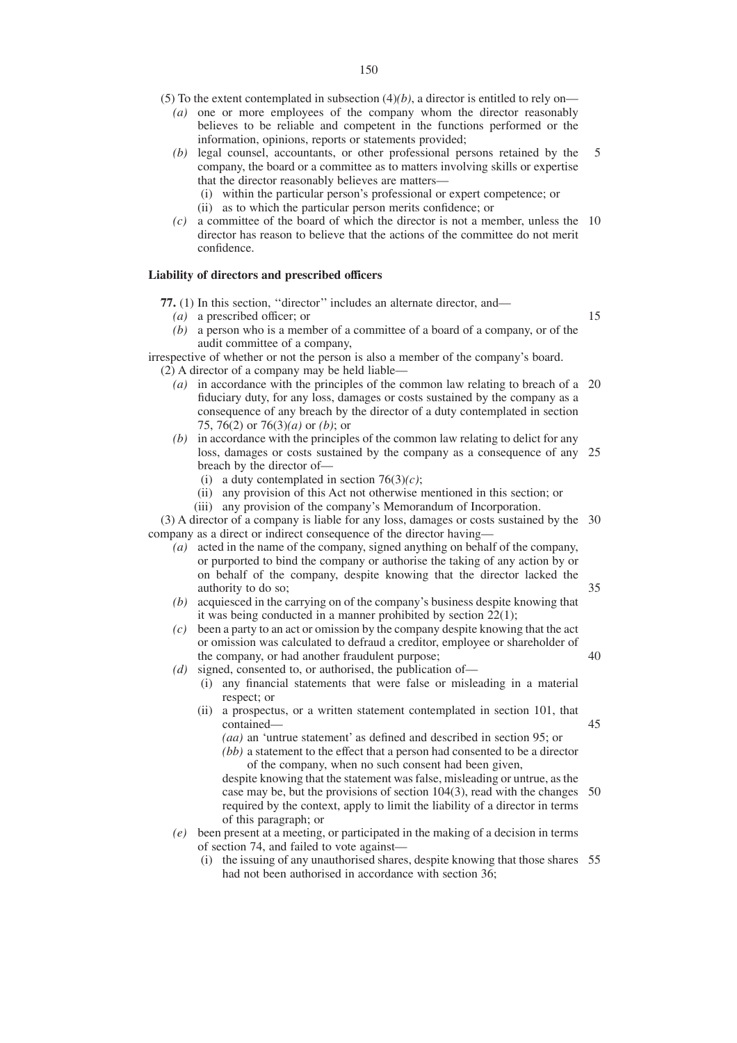- (5) To the extent contemplated in subsection  $(4)(b)$ , a director is entitled to rely on—
	- *(a)* one or more employees of the company whom the director reasonably believes to be reliable and competent in the functions performed or the information, opinions, reports or statements provided;
	- *(b)* legal counsel, accountants, or other professional persons retained by the company, the board or a committee as to matters involving skills or expertise that the director reasonably believes are matters— 5
		- (i) within the particular person's professional or expert competence; or
		- (ii) as to which the particular person merits confidence; or
	- $(c)$  a committee of the board of which the director is not a member, unless the 10 director has reason to believe that the actions of the committee do not merit confidence.

### **Liability of directors and prescribed officers**

- **77.** (1) In this section, ''director'' includes an alternate director, and—
	- *(a)* a prescribed officer; or

15

40

45

*(b)* a person who is a member of a committee of a board of a company, or of the audit committee of a company,

irrespective of whether or not the person is also a member of the company's board. (2) A director of a company may be held liable—

- *(a)* in accordance with the principles of the common law relating to breach of a 20 fiduciary duty, for any loss, damages or costs sustained by the company as a consequence of any breach by the director of a duty contemplated in section 75, 76(2) or 76(3)*(a)* or *(b)*; or
- *(b)* in accordance with the principles of the common law relating to delict for any loss, damages or costs sustained by the company as a consequence of any 25 breach by the director of—
	- (i) a duty contemplated in section  $76(3)(c)$ ;
	- (ii) any provision of this Act not otherwise mentioned in this section; or
	- (iii) any provision of the company's Memorandum of Incorporation.

(3) A director of a company is liable for any loss, damages or costs sustained by the 30 company as a direct or indirect consequence of the director having—

- *(a)* acted in the name of the company, signed anything on behalf of the company, or purported to bind the company or authorise the taking of any action by or on behalf of the company, despite knowing that the director lacked the authority to do so; 35
- *(b)* acquiesced in the carrying on of the company's business despite knowing that it was being conducted in a manner prohibited by section 22(1);
- *(c)* been a party to an act or omission by the company despite knowing that the act or omission was calculated to defraud a creditor, employee or shareholder of the company, or had another fraudulent purpose;
- *(d)* signed, consented to, or authorised, the publication of—
	- (i) any financial statements that were false or misleading in a material respect; or
	- (ii) a prospectus, or a written statement contemplated in section 101, that contained—
		- *(aa)* an 'untrue statement' as defined and described in section 95; or
		- *(bb)* a statement to the effect that a person had consented to be a director of the company, when no such consent had been given,

despite knowing that the statement was false, misleading or untrue, as the case may be, but the provisions of section 104(3), read with the changes 50 required by the context, apply to limit the liability of a director in terms of this paragraph; or

## *(e)* been present at a meeting, or participated in the making of a decision in terms of section 74, and failed to vote against—

(i) the issuing of any unauthorised shares, despite knowing that those shares 55had not been authorised in accordance with section 36;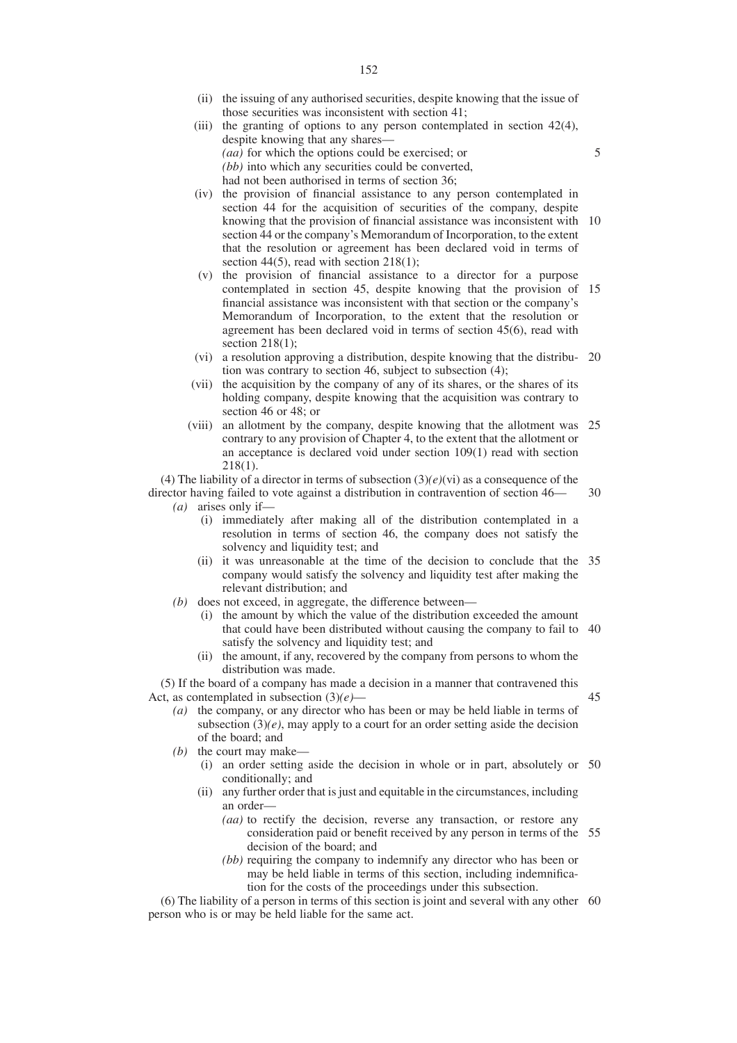- (iii) the granting of options to any person contemplated in section 42(4), despite knowing that any shares— *(aa)* for which the options could be exercised; or *(bb)* into which any securities could be converted, had not been authorised in terms of section 36;
- (iv) the provision of financial assistance to any person contemplated in section 44 for the acquisition of securities of the company, despite knowing that the provision of financial assistance was inconsistent with 10 section 44 or the company's Memorandum of Incorporation, to the extent that the resolution or agreement has been declared void in terms of section  $44(5)$ , read with section  $218(1)$ ;

5

- (v) the provision of financial assistance to a director for a purpose contemplated in section 45, despite knowing that the provision of 15 financial assistance was inconsistent with that section or the company's Memorandum of Incorporation, to the extent that the resolution or agreement has been declared void in terms of section 45(6), read with section 218(1);
- (vi) a resolution approving a distribution, despite knowing that the distribu-20 tion was contrary to section 46, subject to subsection (4);
- (vii) the acquisition by the company of any of its shares, or the shares of its holding company, despite knowing that the acquisition was contrary to section 46 or 48; or
- (viii) an allotment by the company, despite knowing that the allotment was 25 contrary to any provision of Chapter 4, to the extent that the allotment or an acceptance is declared void under section 109(1) read with section 218(1).

(4) The liability of a director in terms of subsection  $(3)(e)(vi)$  as a consequence of the

- director having failed to vote against a distribution in contravention of section 46— *(a)* arises only if— 30
	- (i) immediately after making all of the distribution contemplated in a resolution in terms of section 46, the company does not satisfy the solvency and liquidity test; and
	- (ii) it was unreasonable at the time of the decision to conclude that the 35 company would satisfy the solvency and liquidity test after making the relevant distribution; and
	- *(b)* does not exceed, in aggregate, the difference between—
		- (i) the amount by which the value of the distribution exceeded the amount that could have been distributed without causing the company to fail to 40 satisfy the solvency and liquidity test; and
		- (ii) the amount, if any, recovered by the company from persons to whom the distribution was made.

(5) If the board of a company has made a decision in a manner that contravened this Act, as contemplated in subsection (3)*(e)*— 45

- *(a)* the company, or any director who has been or may be held liable in terms of subsection  $(3)(e)$ , may apply to a court for an order setting aside the decision of the board; and
- *(b)* the court may make—
	- (i) an order setting aside the decision in whole or in part, absolutely or 50 conditionally; and
	- (ii) any further order that is just and equitable in the circumstances, including an order—
		- *(aa)* to rectify the decision, reverse any transaction, or restore any consideration paid or benefit received by any person in terms of the 55 decision of the board; and
		- *(bb)* requiring the company to indemnify any director who has been or may be held liable in terms of this section, including indemnification for the costs of the proceedings under this subsection.

(6) The liability of a person in terms of this section is joint and several with any other 60person who is or may be held liable for the same act.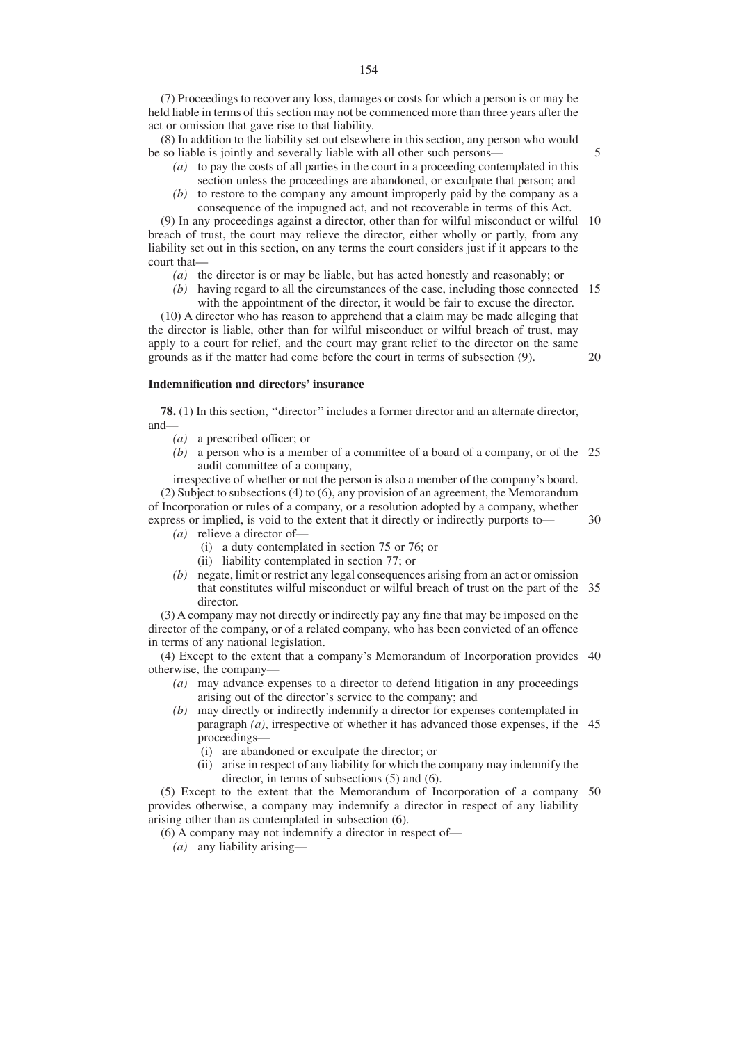(7) Proceedings to recover any loss, damages or costs for which a person is or may be held liable in terms of this section may not be commenced more than three years after the act or omission that gave rise to that liability.

(8) In addition to the liability set out elsewhere in this section, any person who would be so liable is jointly and severally liable with all other such persons—

- *(a)* to pay the costs of all parties in the court in a proceeding contemplated in this section unless the proceedings are abandoned, or exculpate that person; and
- *(b)* to restore to the company any amount improperly paid by the company as a consequence of the impugned act, and not recoverable in terms of this Act.

(9) In any proceedings against a director, other than for wilful misconduct or wilful 10 breach of trust, the court may relieve the director, either wholly or partly, from any liability set out in this section, on any terms the court considers just if it appears to the court that—

- *(a)* the director is or may be liable, but has acted honestly and reasonably; or
- *(b)* having regard to all the circumstances of the case, including those connected 15 with the appointment of the director, it would be fair to excuse the director.

(10) A director who has reason to apprehend that a claim may be made alleging that the director is liable, other than for wilful misconduct or wilful breach of trust, may apply to a court for relief, and the court may grant relief to the director on the same grounds as if the matter had come before the court in terms of subsection (9). 20

#### **Indemnification and directors' insurance**

**78.** (1) In this section, "director" includes a former director and an alternate director, and—

- *(a)* a prescribed officer; or
- *(b)* a person who is a member of a committee of a board of a company, or of the 25 audit committee of a company,

irrespective of whether or not the person is also a member of the company's board. (2) Subject to subsections (4) to (6), any provision of an agreement, the Memorandum of Incorporation or rules of a company, or a resolution adopted by a company, whether express or implied, is void to the extent that it directly or indirectly purports to— 30

- *(a)* relieve a director of—
	- (i) a duty contemplated in section 75 or 76; or
	- (ii) liability contemplated in section 77; or
- *(b)* negate, limit or restrict any legal consequences arising from an act or omission that constitutes wilful misconduct or wilful breach of trust on the part of the 35 director.

(3) A company may not directly or indirectly pay any fine that may be imposed on the director of the company, or of a related company, who has been convicted of an offence in terms of any national legislation.

(4) Except to the extent that a company's Memorandum of Incorporation provides 40 otherwise, the company—

- *(a)* may advance expenses to a director to defend litigation in any proceedings arising out of the director's service to the company; and
- *(b)* may directly or indirectly indemnify a director for expenses contemplated in paragraph *(a)*, irrespective of whether it has advanced those expenses, if the 45 proceedings—
	- (i) are abandoned or exculpate the director; or
	- (ii) arise in respect of any liability for which the company may indemnify the director, in terms of subsections (5) and (6).

(5) Except to the extent that the Memorandum of Incorporation of a company 50provides otherwise, a company may indemnify a director in respect of any liability arising other than as contemplated in subsection (6).

(6) A company may not indemnify a director in respect of—

*(a)* any liability arising—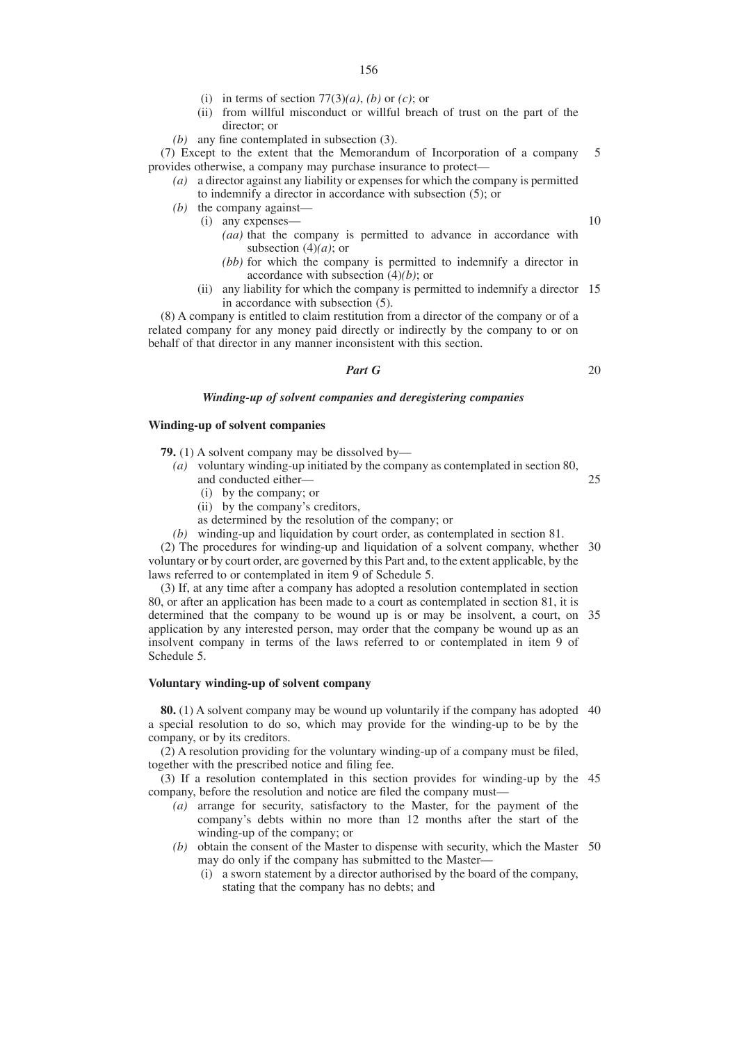- (i) in terms of section  $77(3)(a)$ , *(b)* or *(c)*; or
- (ii) from willful misconduct or willful breach of trust on the part of the director; or
- *(b)* any fine contemplated in subsection (3).

(7) Except to the extent that the Memorandum of Incorporation of a company provides otherwise, a company may purchase insurance to protect— 5

- *(a)* a director against any liability or expenses for which the company is permitted to indemnify a director in accordance with subsection (5); or
- *(b)* the company against—
	- (i) any expenses—
		- *(aa)* that the company is permitted to advance in accordance with subsection (4)*(a)*; or
		- *(bb)* for which the company is permitted to indemnify a director in accordance with subsection (4)*(b)*; or
	- (ii) any liability for which the company is permitted to indemnify a director 15 in accordance with subsection (5).

(8) A company is entitled to claim restitution from a director of the company or of a related company for any money paid directly or indirectly by the company to or on behalf of that director in any manner inconsistent with this section.

#### *Part G*

20

10

## *Winding-up of solvent companies and deregistering companies*

### **Winding-up of solvent companies**

- **79.** (1) A solvent company may be dissolved by—
- *(a)* voluntary winding-up initiated by the company as contemplated in section 80, and conducted either— 25
	- (i) by the company; or
	- (ii) by the company's creditors,
	- as determined by the resolution of the company; or
- *(b)* winding-up and liquidation by court order, as contemplated in section 81.

(2) The procedures for winding-up and liquidation of a solvent company, whether 30 voluntary or by court order, are governed by this Part and, to the extent applicable, by the laws referred to or contemplated in item 9 of Schedule 5.

(3) If, at any time after a company has adopted a resolution contemplated in section 80, or after an application has been made to a court as contemplated in section 81, it is determined that the company to be wound up is or may be insolvent, a court, on 35 application by any interested person, may order that the company be wound up as an insolvent company in terms of the laws referred to or contemplated in item 9 of Schedule 5.

## **Voluntary winding-up of solvent company**

**80.** (1) A solvent company may be wound up voluntarily if the company has adopted 40 a special resolution to do so, which may provide for the winding-up to be by the company, or by its creditors.

(2) A resolution providing for the voluntary winding-up of a company must be filed, together with the prescribed notice and filing fee.

(3) If a resolution contemplated in this section provides for winding-up by the 45 company, before the resolution and notice are filed the company must—

- *(a)* arrange for security, satisfactory to the Master, for the payment of the company's debts within no more than 12 months after the start of the winding-up of the company; or
- *(b)* obtain the consent of the Master to dispense with security, which the Master 50may do only if the company has submitted to the Master—
	- (i) a sworn statement by a director authorised by the board of the company, stating that the company has no debts; and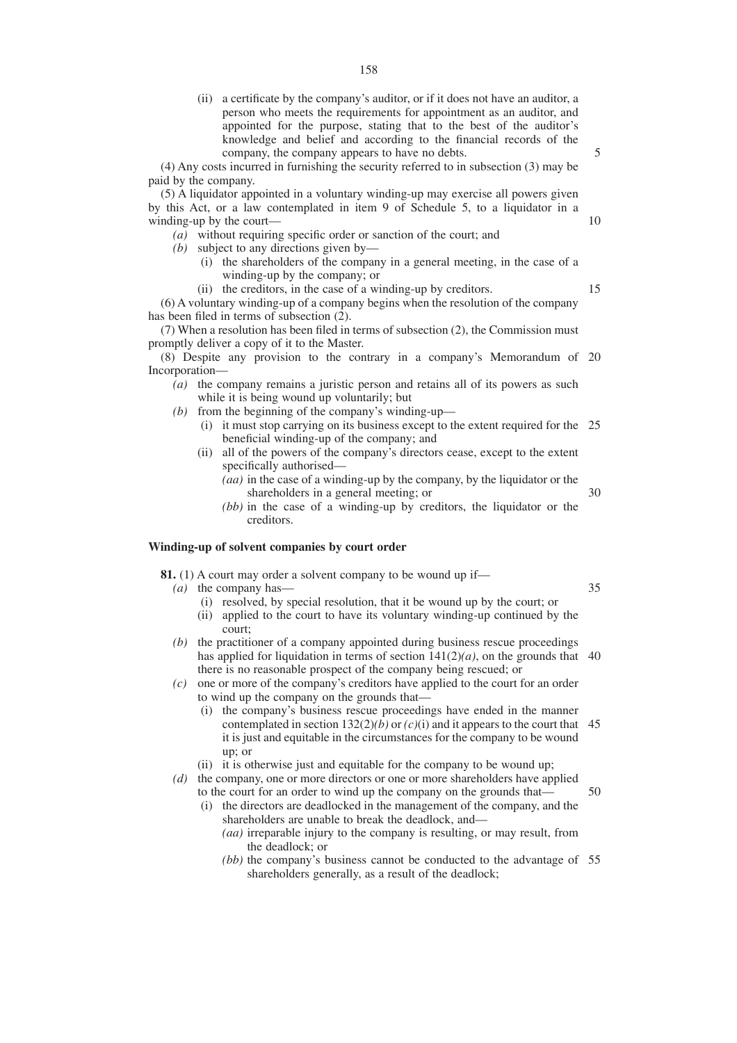(ii) a certificate by the company's auditor, or if it does not have an auditor, a person who meets the requirements for appointment as an auditor, and appointed for the purpose, stating that to the best of the auditor's knowledge and belief and according to the financial records of the company, the company appears to have no debts.

(4) Any costs incurred in furnishing the security referred to in subsection (3) may be paid by the company.

(5) A liquidator appointed in a voluntary winding-up may exercise all powers given by this Act, or a law contemplated in item 9 of Schedule 5, to a liquidator in a winding-up by the court—

*(a)* without requiring specific order or sanction of the court; and

*(b)* subject to any directions given by—

- (i) the shareholders of the company in a general meeting, in the case of a winding-up by the company; or
- (ii) the creditors, in the case of a winding-up by creditors.

(6) A voluntary winding-up of a company begins when the resolution of the company has been filed in terms of subsection (2).

(7) When a resolution has been filed in terms of subsection (2), the Commission must promptly deliver a copy of it to the Master.

(8) Despite any provision to the contrary in a company's Memorandum of 20 Incorporation—

- *(a)* the company remains a juristic person and retains all of its powers as such while it is being wound up voluntarily; but
- *(b)* from the beginning of the company's winding-up—
	- (i) it must stop carrying on its business except to the extent required for the 25 beneficial winding-up of the company; and
	- (ii) all of the powers of the company's directors cease, except to the extent specifically authorised—
		- *(aa)* in the case of a winding-up by the company, by the liquidator or the shareholders in a general meeting; or 30
		- *(bb)* in the case of a winding-up by creditors, the liquidator or the creditors.

## **Winding-up of solvent companies by court order**

**81.** (1) A court may order a solvent company to be wound up if—

*(a)* the company has—

35

- (i) resolved, by special resolution, that it be wound up by the court; or (ii) applied to the court to have its voluntary winding-up continued by the court;
- *(b)* the practitioner of a company appointed during business rescue proceedings has applied for liquidation in terms of section  $141(2)(a)$ , on the grounds that 40 there is no reasonable prospect of the company being rescued; or
- *(c)* one or more of the company's creditors have applied to the court for an order to wind up the company on the grounds that—
	- (i) the company's business rescue proceedings have ended in the manner contemplated in section  $132(2)(b)$  or  $(c)(i)$  and it appears to the court that 45 it is just and equitable in the circumstances for the company to be wound up; or
	- (ii) it is otherwise just and equitable for the company to be wound up;
- *(d)* the company, one or more directors or one or more shareholders have applied to the court for an order to wind up the company on the grounds that— 50
	- (i) the directors are deadlocked in the management of the company, and the shareholders are unable to break the deadlock, and—
		- *(aa)* irreparable injury to the company is resulting, or may result, from the deadlock; or
		- *(bb)* the company's business cannot be conducted to the advantage of 55shareholders generally, as a result of the deadlock;

10

15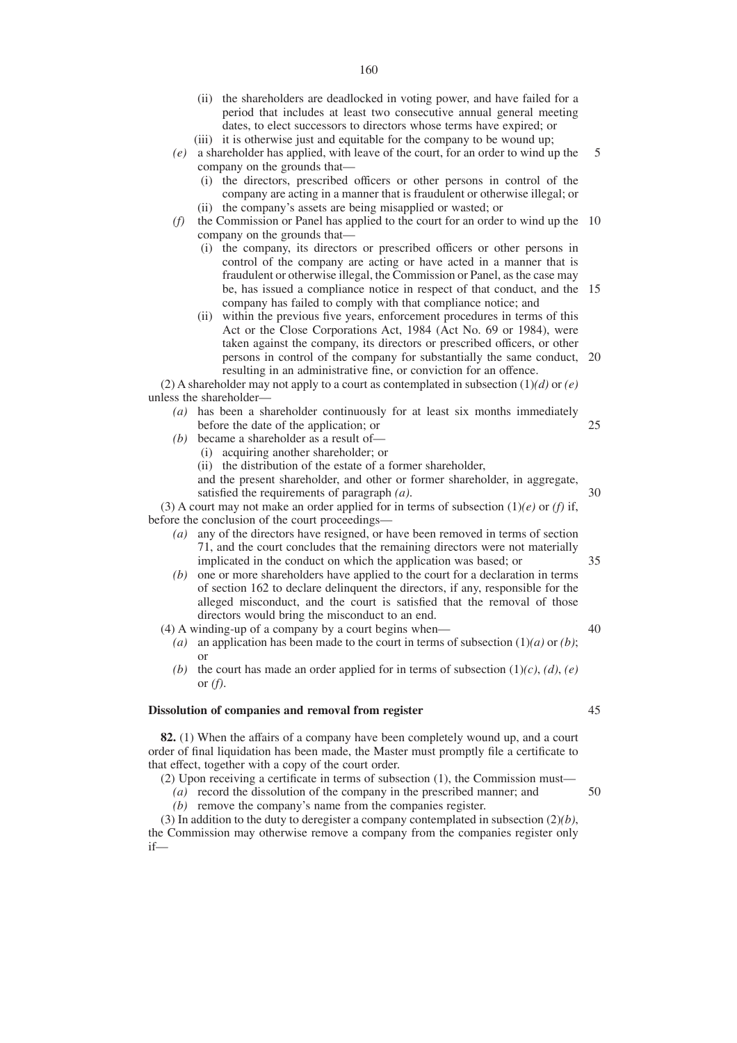- (ii) the shareholders are deadlocked in voting power, and have failed for a period that includes at least two consecutive annual general meeting dates, to elect successors to directors whose terms have expired; or (iii) it is otherwise just and equitable for the company to be wound up;
- *(e)* a shareholder has applied, with leave of the court, for an order to wind up the company on the grounds that— 5
	- (i) the directors, prescribed officers or other persons in control of the company are acting in a manner that is fraudulent or otherwise illegal; or
	- (ii) the company's assets are being misapplied or wasted; or
- *(f)* the Commission or Panel has applied to the court for an order to wind up the 10 company on the grounds that—
	- (i) the company, its directors or prescribed officers or other persons in control of the company are acting or have acted in a manner that is fraudulent or otherwise illegal, the Commission or Panel, as the case may be, has issued a compliance notice in respect of that conduct, and the 15 company has failed to comply with that compliance notice; and
	- (ii) within the previous five years, enforcement procedures in terms of this Act or the Close Corporations Act, 1984 (Act No. 69 or 1984), were taken against the company, its directors or prescribed officers, or other persons in control of the company for substantially the same conduct, 20 resulting in an administrative fine, or conviction for an offence.

(2) A shareholder may not apply to a court as contemplated in subsection (1)*(d)* or *(e)* unless the shareholder—

- *(a)* has been a shareholder continuously for at least six months immediately before the date of the application; or
- *(b)* became a shareholder as a result of—
	- (i) acquiring another shareholder; or
	- (ii) the distribution of the estate of a former shareholder,
	- and the present shareholder, and other or former shareholder, in aggregate, satisfied the requirements of paragraph *(a)*.

(3) A court may not make an order applied for in terms of subsection  $(1)(e)$  or *(f)* if, before the conclusion of the court proceedings—

- *(a)* any of the directors have resigned, or have been removed in terms of section 71, and the court concludes that the remaining directors were not materially implicated in the conduct on which the application was based; or 35
- *(b)* one or more shareholders have applied to the court for a declaration in terms of section 162 to declare delinquent the directors, if any, responsible for the alleged misconduct, and the court is satisfied that the removal of those directors would bring the misconduct to an end.

(4) A winding-up of a company by a court begins when—

- *(a)* an application has been made to the court in terms of subsection  $(1)(a)$  or  $(b)$ ; or
- *(b)* the court has made an order applied for in terms of subsection  $(1)(c)$ ,  $(d)$ ,  $(e)$ or *(f)*.

## **Dissolution of companies and removal from register**

**82.** (1) When the affairs of a company have been completely wound up, and a court order of final liquidation has been made, the Master must promptly file a certificate to that effect, together with a copy of the court order.

- (2) Upon receiving a certificate in terms of subsection (1), the Commission must—
	- *(a)* record the dissolution of the company in the prescribed manner; and
	- *(b)* remove the company's name from the companies register.

(3) In addition to the duty to deregister a company contemplated in subsection (2)*(b)*, the Commission may otherwise remove a company from the companies register only if—

45

40

25

30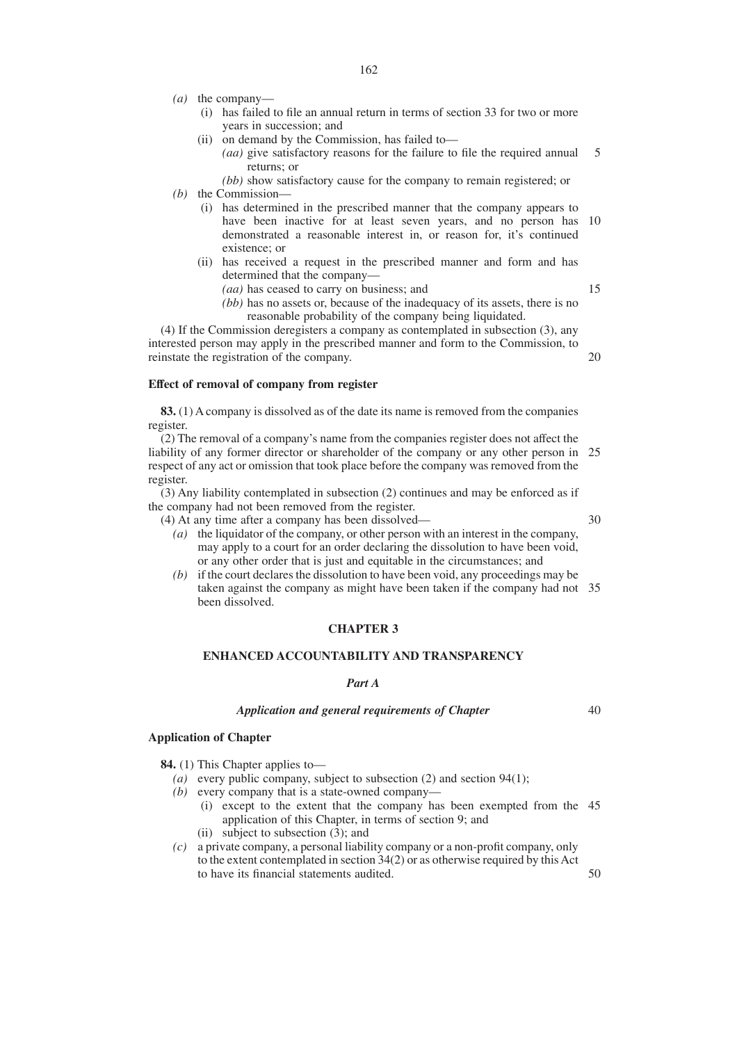- *(a)* the company—
	- (i) has failed to file an annual return in terms of section 33 for two or more years in succession; and
	- (ii) on demand by the Commission, has failed to— *(aa)* give satisfactory reasons for the failure to file the required annual returns; or 5
		- *(bb)* show satisfactory cause for the company to remain registered; or
- *(b)* the Commission—
	- (i) has determined in the prescribed manner that the company appears to have been inactive for at least seven years, and no person has demonstrated a reasonable interest in, or reason for, it's continued existence; or 10
	- (ii) has received a request in the prescribed manner and form and has determined that the company—
		- *(aa)* has ceased to carry on business; and

15

*(bb)* has no assets or, because of the inadequacy of its assets, there is no reasonable probability of the company being liquidated.

(4) If the Commission deregisters a company as contemplated in subsection (3), any interested person may apply in the prescribed manner and form to the Commission, to reinstate the registration of the company. 20

#### **Effect of removal of company from register**

**83.** (1) A company is dissolved as of the date its name is removed from the companies register.

(2) The removal of a company's name from the companies register does not affect the liability of any former director or shareholder of the company or any other person in 25 respect of any act or omission that took place before the company was removed from the register.

(3) Any liability contemplated in subsection (2) continues and may be enforced as if the company had not been removed from the register.

(4) At any time after a company has been dissolved—

- *(a)* the liquidator of the company, or other person with an interest in the company, may apply to a court for an order declaring the dissolution to have been void, or any other order that is just and equitable in the circumstances; and
- *(b)* if the court declares the dissolution to have been void, any proceedings may be taken against the company as might have been taken if the company had not 35 been dissolved.

## **CHAPTER 3**

## **ENHANCED ACCOUNTABILITY AND TRANSPARENCY**

## *Part A*

## *Application and general requirements of Chapter*

40

# **Application of Chapter**

**84.** (1) This Chapter applies to—

- *(a)* every public company, subject to subsection (2) and section 94(1);
- *(b)* every company that is a state-owned company—
	- (i) except to the extent that the company has been exempted from the 45 application of this Chapter, in terms of section 9; and
	- (ii) subject to subsection (3); and
- *(c)* a private company, a personal liability company or a non-profit company, only to the extent contemplated in section 34(2) or as otherwise required by this Act to have its financial statements audited.

50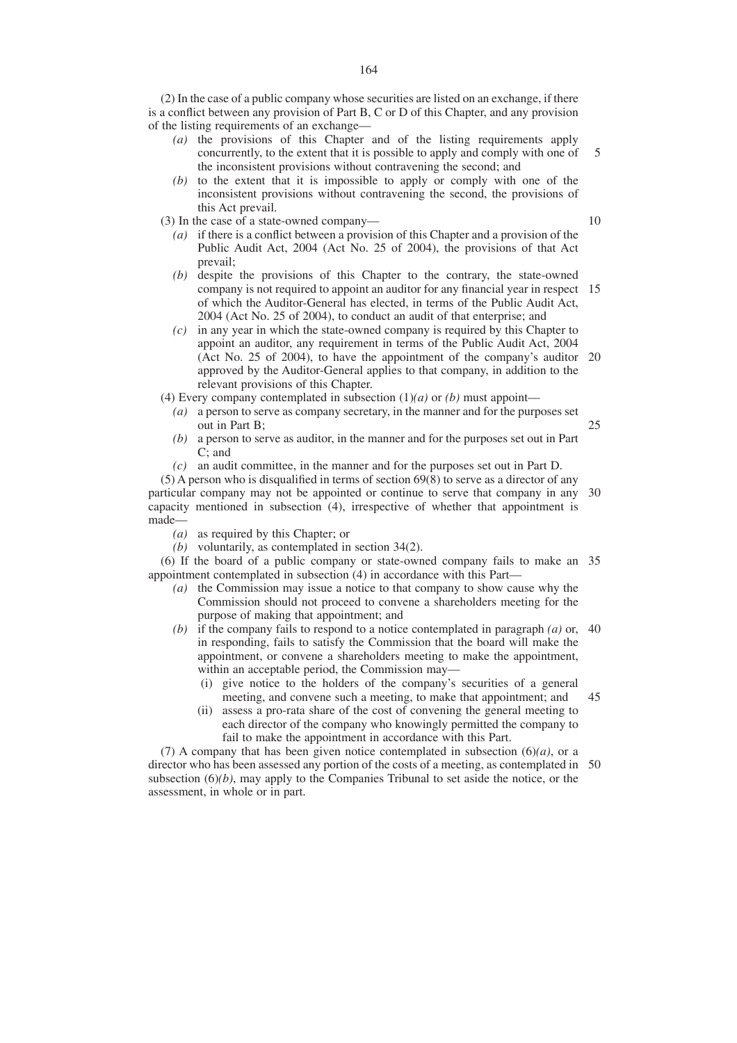(2) In the case of a public company whose securities are listed on an exchange, if there is a conflict between any provision of Part B, C or D of this Chapter, and any provision of the listing requirements of an exchange—

- *(a)* the provisions of this Chapter and of the listing requirements apply concurrently, to the extent that it is possible to apply and comply with one of the inconsistent provisions without contravening the second; and 5
- *(b)* to the extent that it is impossible to apply or comply with one of the inconsistent provisions without contravening the second, the provisions of this Act prevail.

(3) In the case of a state-owned company—

- *(a)* if there is a conflict between a provision of this Chapter and a provision of the Public Audit Act, 2004 (Act No. 25 of 2004), the provisions of that Act prevail;
- *(b)* despite the provisions of this Chapter to the contrary, the state-owned company is not required to appoint an auditor for any financial year in respect 15 of which the Auditor-General has elected, in terms of the Public Audit Act, 2004 (Act No. 25 of 2004), to conduct an audit of that enterprise; and
- *(c)* in any year in which the state-owned company is required by this Chapter to appoint an auditor, any requirement in terms of the Public Audit Act, 2004 (Act No. 25 of 2004), to have the appointment of the company's auditor 20 approved by the Auditor-General applies to that company, in addition to the relevant provisions of this Chapter.

(4) Every company contemplated in subsection  $(1)(a)$  or  $(b)$  must appoint—

- *(a)* a person to serve as company secretary, in the manner and for the purposes set out in Part B;
- *(b)* a person to serve as auditor, in the manner and for the purposes set out in Part C; and
- *(c)* an audit committee, in the manner and for the purposes set out in Part D.

 $(5)$  A person who is disqualified in terms of section 69 $(8)$  to serve as a director of any particular company may not be appointed or continue to serve that company in any 30 capacity mentioned in subsection (4), irrespective of whether that appointment is made—

- *(a)* as required by this Chapter; or
- *(b)* voluntarily, as contemplated in section 34(2).

(6) If the board of a public company or state-owned company fails to make an 35 appointment contemplated in subsection (4) in accordance with this Part—

- *(a)* the Commission may issue a notice to that company to show cause why the Commission should not proceed to convene a shareholders meeting for the purpose of making that appointment; and
- *(b)* if the company fails to respond to a notice contemplated in paragraph *(a)* or, 40 in responding, fails to satisfy the Commission that the board will make the appointment, or convene a shareholders meeting to make the appointment, within an acceptable period, the Commission may—
	- (i) give notice to the holders of the company's securities of a general meeting, and convene such a meeting, to make that appointment; and 45
	- (ii) assess a pro-rata share of the cost of convening the general meeting to each director of the company who knowingly permitted the company to fail to make the appointment in accordance with this Part.

(7) A company that has been given notice contemplated in subsection  $(6)(a)$ , or a director who has been assessed any portion of the costs of a meeting, as contemplated in 50subsection  $(6)(b)$ , may apply to the Companies Tribunal to set aside the notice, or the assessment, in whole or in part.

 $1<sub>0</sub>$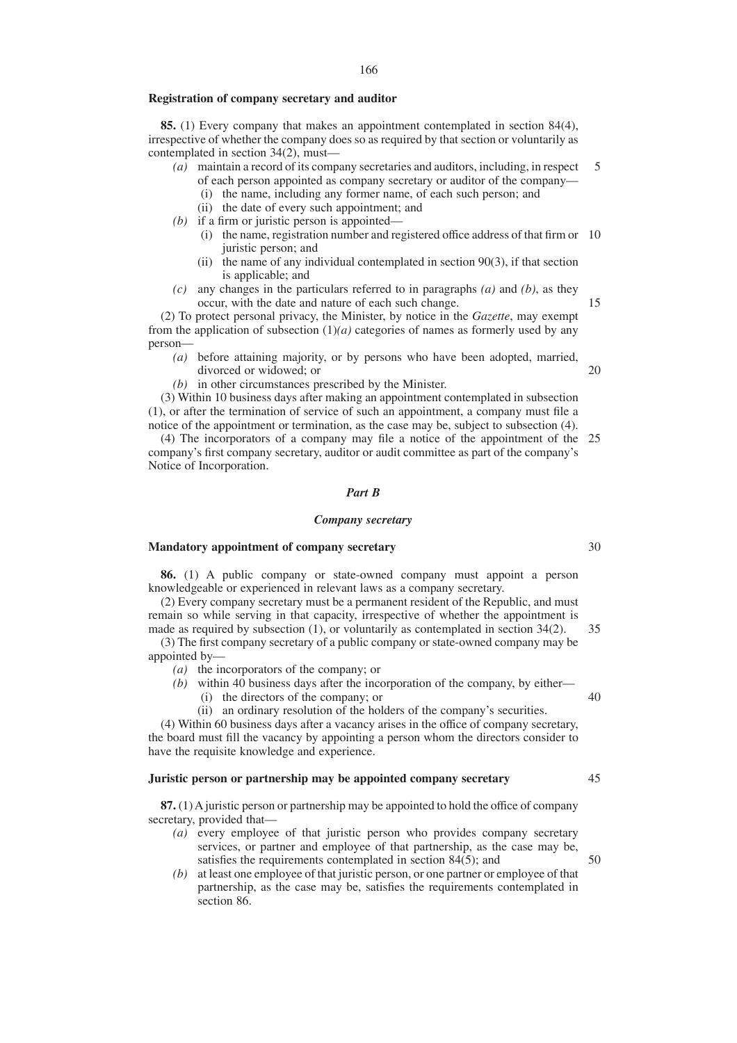#### **Registration of company secretary and auditor**

**85.** (1) Every company that makes an appointment contemplated in section 84(4), irrespective of whether the company does so as required by that section or voluntarily as contemplated in section 34(2), must—

- *(a)* maintain a record of its company secretaries and auditors, including, in respect of each person appointed as company secretary or auditor of the company— 5
	- (i) the name, including any former name, of each such person; and
	- (ii) the date of every such appointment; and
- *(b)* if a firm or juristic person is appointed—
	- (i) the name, registration number and registered office address of that firm or 10 juristic person; and
	- (ii) the name of any individual contemplated in section 90(3), if that section is applicable; and
- *(c)* any changes in the particulars referred to in paragraphs *(a)* and *(b)*, as they occur, with the date and nature of each such change. 15

(2) To protect personal privacy, the Minister, by notice in the *Gazette*, may exempt from the application of subsection  $(1)(a)$  categories of names as formerly used by any person—

- *(a)* before attaining majority, or by persons who have been adopted, married, divorced or widowed; or
- *(b)* in other circumstances prescribed by the Minister.

(3) Within 10 business days after making an appointment contemplated in subsection (1), or after the termination of service of such an appointment, a company must file a notice of the appointment or termination, as the case may be, subject to subsection (4).

(4) The incorporators of a company may file a notice of the appointment of the 25 company's first company secretary, auditor or audit committee as part of the company's Notice of Incorporation.

#### *Part B*

#### *Company secretary*

#### **Mandatory appointment of company secretary**

**86.** (1) A public company or state-owned company must appoint a person knowledgeable or experienced in relevant laws as a company secretary.

(2) Every company secretary must be a permanent resident of the Republic, and must remain so while serving in that capacity, irrespective of whether the appointment is made as required by subsection (1), or voluntarily as contemplated in section 34(2). 35

(3) The first company secretary of a public company or state-owned company may be appointed by—

- *(a)* the incorporators of the company; or
- *(b)* within 40 business days after the incorporation of the company, by either—
	- (i) the directors of the company; or
	- (ii) an ordinary resolution of the holders of the company's securities.

(4) Within 60 business days after a vacancy arises in the office of company secretary, the board must fill the vacancy by appointing a person whom the directors consider to have the requisite knowledge and experience.

## **Juristic person or partnership may be appointed company secretary**

**87.** (1) Ajuristic person or partnership may be appointed to hold the office of company secretary, provided that—

- *(a)* every employee of that juristic person who provides company secretary services, or partner and employee of that partnership, as the case may be, satisfies the requirements contemplated in section 84(5); and
- *(b)* at least one employee of that juristic person, or one partner or employee of that partnership, as the case may be, satisfies the requirements contemplated in section 86.

30

20

45

50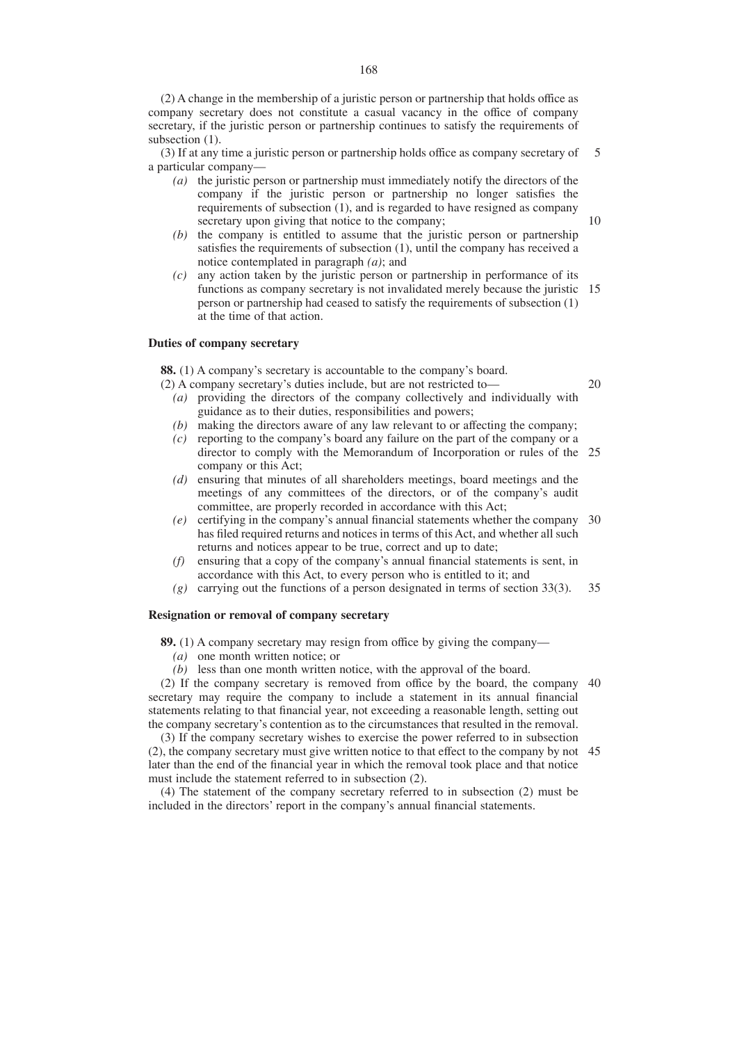(2) A change in the membership of a juristic person or partnership that holds office as company secretary does not constitute a casual vacancy in the office of company secretary, if the juristic person or partnership continues to satisfy the requirements of subsection  $(1)$ .

(3) If at any time a juristic person or partnership holds office as company secretary of a particular company— 5

- *(a)* the juristic person or partnership must immediately notify the directors of the company if the juristic person or partnership no longer satisfies the requirements of subsection (1), and is regarded to have resigned as company secretary upon giving that notice to the company;
- *(b)* the company is entitled to assume that the juristic person or partnership satisfies the requirements of subsection (1), until the company has received a notice contemplated in paragraph *(a)*; and
- *(c)* any action taken by the juristic person or partnership in performance of its functions as company secretary is not invalidated merely because the juristic 15 person or partnership had ceased to satisfy the requirements of subsection (1) at the time of that action.

#### **Duties of company secretary**

**88.** (1) A company's secretary is accountable to the company's board.

- (2) A company secretary's duties include, but are not restricted to—
	- *(a)* providing the directors of the company collectively and individually with guidance as to their duties, responsibilities and powers;
	- *(b)* making the directors aware of any law relevant to or affecting the company;
	- *(c)* reporting to the company's board any failure on the part of the company or a director to comply with the Memorandum of Incorporation or rules of the 25 company or this Act;
	- *(d)* ensuring that minutes of all shareholders meetings, board meetings and the meetings of any committees of the directors, or of the company's audit committee, are properly recorded in accordance with this Act;
	- *(e)* certifying in the company's annual financial statements whether the company 30 has filed required returns and notices in terms of this Act, and whether all such returns and notices appear to be true, correct and up to date;
	- *(f)* ensuring that a copy of the company's annual financial statements is sent, in accordance with this Act, to every person who is entitled to it; and
	- *(g)* carrying out the functions of a person designated in terms of section 33(3). 35

### **Resignation or removal of company secretary**

**89.** (1) A company secretary may resign from office by giving the company—

- *(a)* one month written notice; or
- *(b)* less than one month written notice, with the approval of the board.

(2) If the company secretary is removed from office by the board, the company 40 secretary may require the company to include a statement in its annual financial statements relating to that financial year, not exceeding a reasonable length, setting out the company secretary's contention as to the circumstances that resulted in the removal.

(3) If the company secretary wishes to exercise the power referred to in subsection (2), the company secretary must give written notice to that effect to the company by not 45later than the end of the financial year in which the removal took place and that notice must include the statement referred to in subsection (2).

(4) The statement of the company secretary referred to in subsection (2) must be included in the directors' report in the company's annual financial statements.

20

 $1<sub>0</sub>$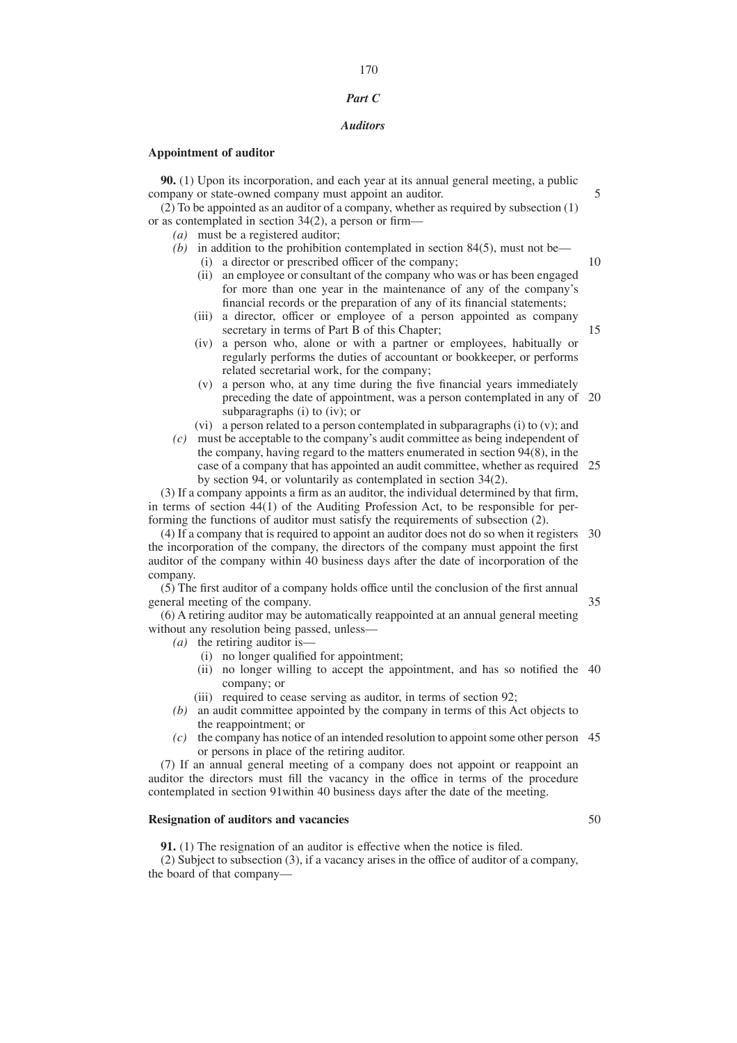#### *Part C*

#### *Auditors*

### **Appointment of auditor**

**90.** (1) Upon its incorporation, and each year at its annual general meeting, a public company or state-owned company must appoint an auditor.

(2) To be appointed as an auditor of a company, whether as required by subsection (1) or as contemplated in section 34(2), a person or firm—

- *(a)* must be a registered auditor;
- $(b)$  in addition to the prohibition contemplated in section 84(5), must not be—
	- (i) a director or prescribed officer of the company;

10

15

50

5

- (ii) an employee or consultant of the company who was or has been engaged for more than one year in the maintenance of any of the company's financial records or the preparation of any of its financial statements;
- (iii) a director, officer or employee of a person appointed as company secretary in terms of Part B of this Chapter;
- (iv) a person who, alone or with a partner or employees, habitually or regularly performs the duties of accountant or bookkeeper, or performs related secretarial work, for the company;
- (v) a person who, at any time during the five financial years immediately preceding the date of appointment, was a person contemplated in any of 20 subparagraphs (i) to (iv); or
- (vi) a person related to a person contemplated in subparagraphs (i) to  $(v)$ ; and
- *(c)* must be acceptable to the company's audit committee as being independent of the company, having regard to the matters enumerated in section 94(8), in the case of a company that has appointed an audit committee, whether as required 25 by section 94, or voluntarily as contemplated in section 34(2).

(3) If a company appoints a firm as an auditor, the individual determined by that firm, in terms of section 44(1) of the Auditing Profession Act, to be responsible for performing the functions of auditor must satisfy the requirements of subsection (2).

(4) If a company that is required to appoint an auditor does not do so when it registers 30 the incorporation of the company, the directors of the company must appoint the first auditor of the company within 40 business days after the date of incorporation of the company.

(5) The first auditor of a company holds office until the conclusion of the first annual general meeting of the company. 35

(6) A retiring auditor may be automatically reappointed at an annual general meeting without any resolution being passed, unless—

- *(a)* the retiring auditor is—
	- (i) no longer qualified for appointment;
	- (ii) no longer willing to accept the appointment, and has so notified the 40 company; or
	- (iii) required to cease serving as auditor, in terms of section 92;
- *(b)* an audit committee appointed by the company in terms of this Act objects to the reappointment; or
- *(c)* the company has notice of an intended resolution to appoint some other person 45 or persons in place of the retiring auditor.

(7) If an annual general meeting of a company does not appoint or reappoint an auditor the directors must fill the vacancy in the office in terms of the procedure contemplated in section 91within 40 business days after the date of the meeting.

## **Resignation of auditors and vacancies**

**91.** (1) The resignation of an auditor is effective when the notice is filed. (2) Subject to subsection (3), if a vacancy arises in the office of auditor of a company, the board of that company—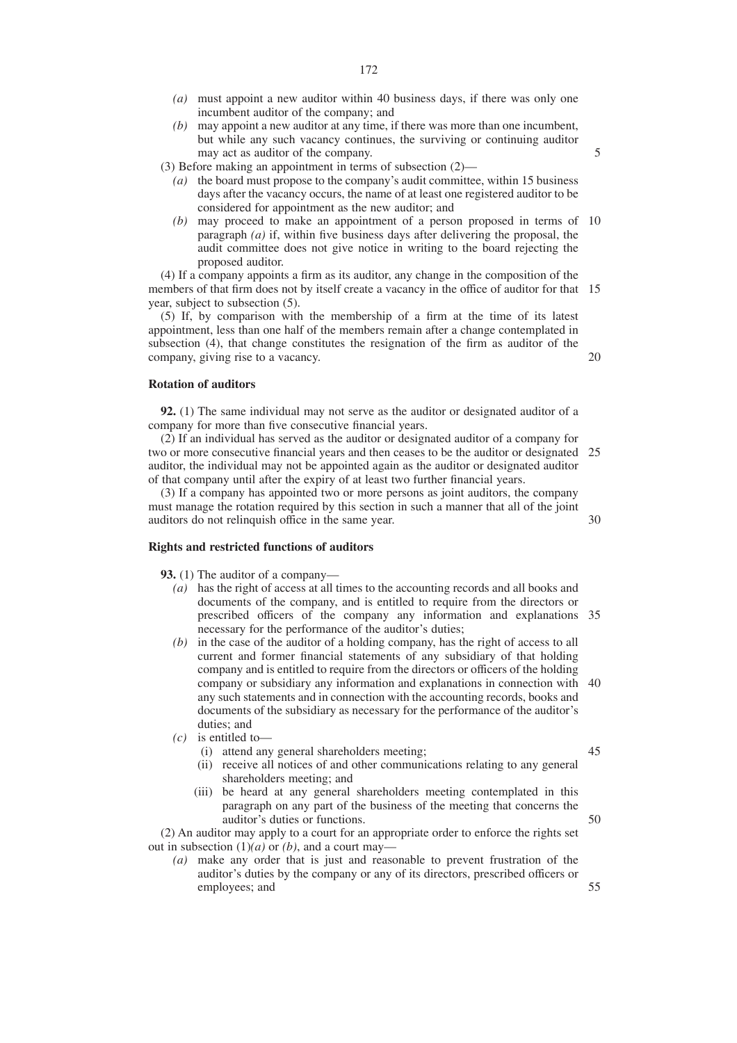- *(a)* must appoint a new auditor within 40 business days, if there was only one incumbent auditor of the company; and
- *(b)* may appoint a new auditor at any time, if there was more than one incumbent, but while any such vacancy continues, the surviving or continuing auditor may act as auditor of the company.

(3) Before making an appointment in terms of subsection (2)—

- *(a)* the board must propose to the company's audit committee, within 15 business days after the vacancy occurs, the name of at least one registered auditor to be considered for appointment as the new auditor; and
- *(b)* may proceed to make an appointment of a person proposed in terms of 10 paragraph *(a)* if, within five business days after delivering the proposal, the audit committee does not give notice in writing to the board rejecting the proposed auditor.

(4) If a company appoints a firm as its auditor, any change in the composition of the members of that firm does not by itself create a vacancy in the office of auditor for that 15 year, subject to subsection (5).

(5) If, by comparison with the membership of a firm at the time of its latest appointment, less than one half of the members remain after a change contemplated in subsection (4), that change constitutes the resignation of the firm as auditor of the company, giving rise to a vacancy.

#### **Rotation of auditors**

**92.** (1) The same individual may not serve as the auditor or designated auditor of a company for more than five consecutive financial years.

(2) If an individual has served as the auditor or designated auditor of a company for two or more consecutive financial years and then ceases to be the auditor or designated 25 auditor, the individual may not be appointed again as the auditor or designated auditor of that company until after the expiry of at least two further financial years.

(3) If a company has appointed two or more persons as joint auditors, the company must manage the rotation required by this section in such a manner that all of the joint auditors do not relinquish office in the same year.

## **Rights and restricted functions of auditors**

**93.** (1) The auditor of a company—

- *(a)* has the right of access at all times to the accounting records and all books and documents of the company, and is entitled to require from the directors or prescribed officers of the company any information and explanations 35 necessary for the performance of the auditor's duties;
- *(b)* in the case of the auditor of a holding company, has the right of access to all current and former financial statements of any subsidiary of that holding company and is entitled to require from the directors or officers of the holding company or subsidiary any information and explanations in connection with 40 any such statements and in connection with the accounting records, books and documents of the subsidiary as necessary for the performance of the auditor's duties; and
- *(c)* is entitled to—
	- (i) attend any general shareholders meeting;
	- (ii) receive all notices of and other communications relating to any general shareholders meeting; and
	- (iii) be heard at any general shareholders meeting contemplated in this paragraph on any part of the business of the meeting that concerns the auditor's duties or functions.

(2) An auditor may apply to a court for an appropriate order to enforce the rights set out in subsection  $(1)(a)$  or *(b)*, and a court may-

*(a)* make any order that is just and reasonable to prevent frustration of the auditor's duties by the company or any of its directors, prescribed officers or employees; and 55

5

20

30

45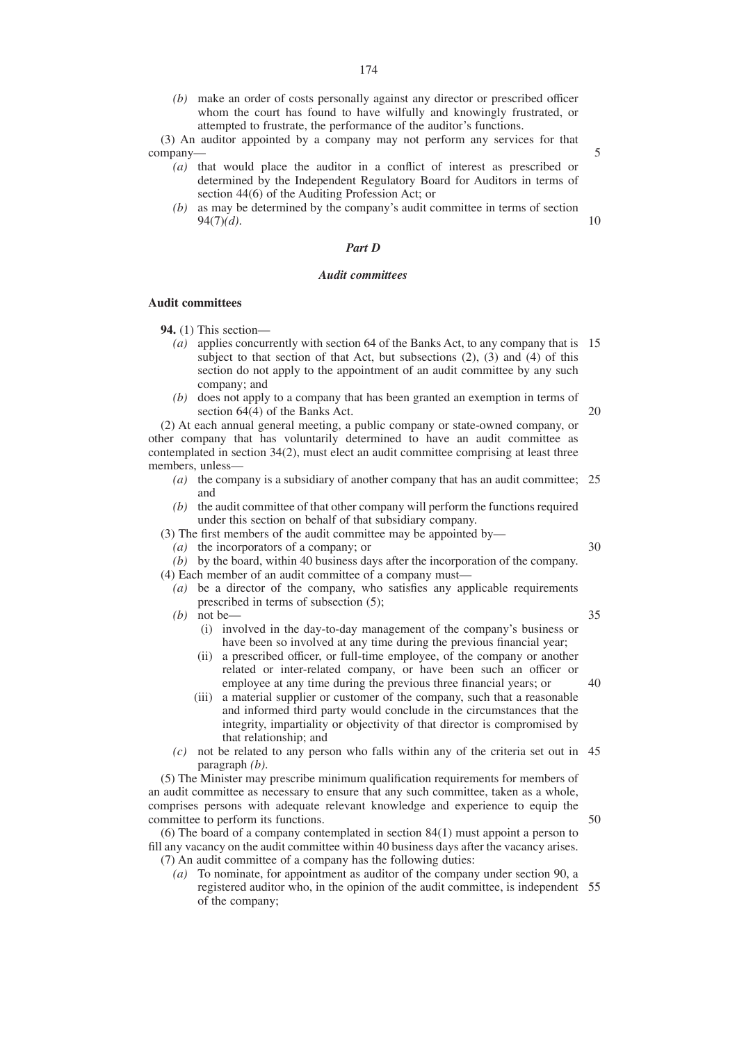*(b)* make an order of costs personally against any director or prescribed officer whom the court has found to have wilfully and knowingly frustrated, or attempted to frustrate, the performance of the auditor's functions.

(3) An auditor appointed by a company may not perform any services for that company—

- *(a)* that would place the auditor in a conflict of interest as prescribed or determined by the Independent Regulatory Board for Auditors in terms of section 44(6) of the Auditing Profession Act; or
- *(b)* as may be determined by the company's audit committee in terms of section 94(7)*(d)*.

#### *Part D*

#### *Audit committees*

## **Audit committees**

**94.** (1) This section—

- *(a)* applies concurrently with section 64 of the Banks Act, to any company that is 15 subject to that section of that Act, but subsections (2), (3) and (4) of this section do not apply to the appointment of an audit committee by any such company; and
- *(b)* does not apply to a company that has been granted an exemption in terms of section 64(4) of the Banks Act. 20

(2) At each annual general meeting, a public company or state-owned company, or other company that has voluntarily determined to have an audit committee as contemplated in section 34(2), must elect an audit committee comprising at least three members, unless—

- *(a)* the company is a subsidiary of another company that has an audit committee; 25 and
- *(b)* the audit committee of that other company will perform the functions required under this section on behalf of that subsidiary company.

(3) The first members of the audit committee may be appointed by—

*(a)* the incorporators of a company; or

*(b)* by the board, within 40 business days after the incorporation of the company.

(4) Each member of an audit committee of a company must—

- *(a)* be a director of the company, who satisfies any applicable requirements prescribed in terms of subsection (5);
- *(b)* not be—
	- (i) involved in the day-to-day management of the company's business or have been so involved at any time during the previous financial year;
	- (ii) a prescribed officer, or full-time employee, of the company or another related or inter-related company, or have been such an officer or employee at any time during the previous three financial years; or
	- (iii) a material supplier or customer of the company, such that a reasonable and informed third party would conclude in the circumstances that the integrity, impartiality or objectivity of that director is compromised by that relationship; and
- *(c)* not be related to any person who falls within any of the criteria set out in 45 paragraph *(b)*.

(5) The Minister may prescribe minimum qualification requirements for members of an audit committee as necessary to ensure that any such committee, taken as a whole, comprises persons with adequate relevant knowledge and experience to equip the committee to perform its functions.

(6) The board of a company contemplated in section 84(1) must appoint a person to fill any vacancy on the audit committee within 40 business days after the vacancy arises. (7) An audit committee of a company has the following duties:

*(a)* To nominate, for appointment as auditor of the company under section 90, a registered auditor who, in the opinion of the audit committee, is independent 55of the company;

30

35

40

50

5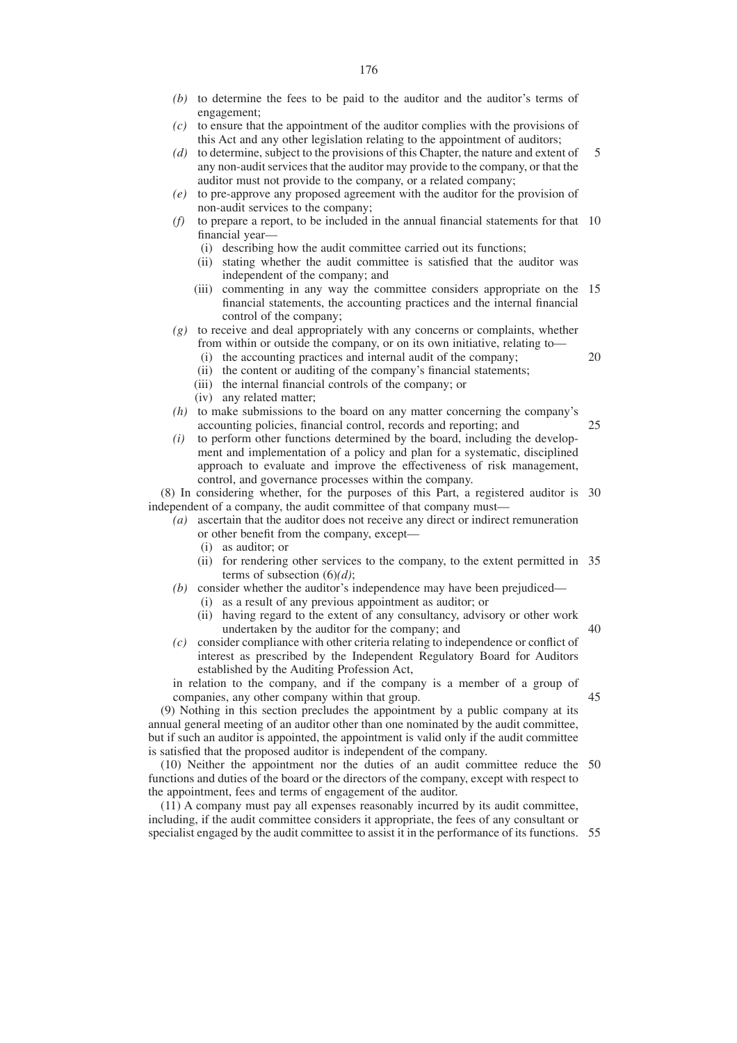- *(c)* to ensure that the appointment of the auditor complies with the provisions of this Act and any other legislation relating to the appointment of auditors;
- *(d)* to determine, subject to the provisions of this Chapter, the nature and extent of any non-audit services that the auditor may provide to the company, or that the auditor must not provide to the company, or a related company; 5
- *(e)* to pre-approve any proposed agreement with the auditor for the provision of non-audit services to the company;
- *(f)* to prepare a report, to be included in the annual financial statements for that 10 financial year—
	- (i) describing how the audit committee carried out its functions;
	- (ii) stating whether the audit committee is satisfied that the auditor was independent of the company; and
	- (iii) commenting in any way the committee considers appropriate on the 15 financial statements, the accounting practices and the internal financial control of the company;

20

25

## *(g)* to receive and deal appropriately with any concerns or complaints, whether from within or outside the company, or on its own initiative, relating to—

- (i) the accounting practices and internal audit of the company; (ii) the content or auditing of the company's financial statements;
- (iii) the internal financial controls of the company; or
- (iv) any related matter;
- *(h)* to make submissions to the board on any matter concerning the company's accounting policies, financial control, records and reporting; and
- *(i)* to perform other functions determined by the board, including the development and implementation of a policy and plan for a systematic, disciplined approach to evaluate and improve the effectiveness of risk management, control, and governance processes within the company.

(8) In considering whether, for the purposes of this Part, a registered auditor is 30 independent of a company, the audit committee of that company must—

- *(a)* ascertain that the auditor does not receive any direct or indirect remuneration or other benefit from the company, except—
	- (i) as auditor; or
	- (ii) for rendering other services to the company, to the extent permitted in 35 terms of subsection (6)*(d)*;
- *(b)* consider whether the auditor's independence may have been prejudiced— (i) as a result of any previous appointment as auditor; or
	- (ii) having regard to the extent of any consultancy, advisory or other work undertaken by the auditor for the company; and 40
- *(c)* consider compliance with other criteria relating to independence or conflict of interest as prescribed by the Independent Regulatory Board for Auditors established by the Auditing Profession Act,

in relation to the company, and if the company is a member of a group of companies, any other company within that group. 45

(9) Nothing in this section precludes the appointment by a public company at its annual general meeting of an auditor other than one nominated by the audit committee, but if such an auditor is appointed, the appointment is valid only if the audit committee is satisfied that the proposed auditor is independent of the company.

(10) Neither the appointment nor the duties of an audit committee reduce the 50 functions and duties of the board or the directors of the company, except with respect to the appointment, fees and terms of engagement of the auditor.

(11) A company must pay all expenses reasonably incurred by its audit committee, including, if the audit committee considers it appropriate, the fees of any consultant or specialist engaged by the audit committee to assist it in the performance of its functions. 55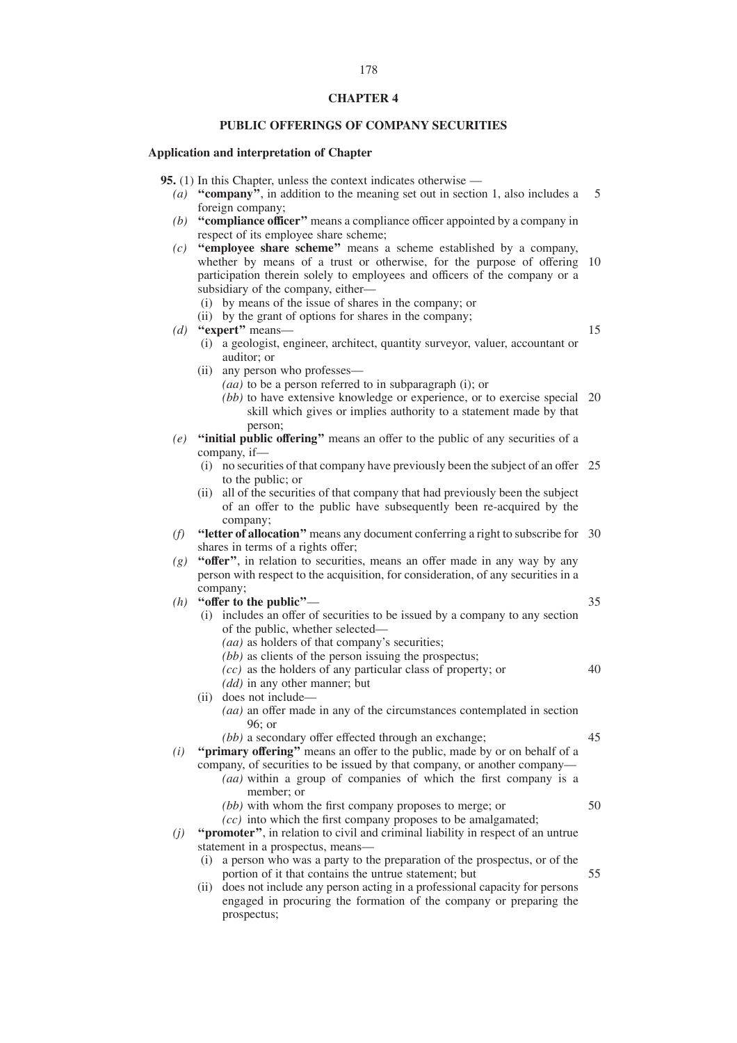## **CHAPTER 4**

## **PUBLIC OFFERINGS OF COMPANY SECURITIES**

#### **Application and interpretation of Chapter**

**95.** (1) In this Chapter, unless the context indicates otherwise —

- *(a)* **''company''**, in addition to the meaning set out in section 1, also includes a foreign company; 5
- *(b)* **''compliance officer''** means a compliance officer appointed by a company in respect of its employee share scheme;
- *(c)* **''employee share scheme''** means a scheme established by a company, whether by means of a trust or otherwise, for the purpose of offering 10 participation therein solely to employees and officers of the company or a subsidiary of the company, either—
	- (i) by means of the issue of shares in the company; or
	- (ii) by the grant of options for shares in the company;

*(d)* **''expert''** means—

- (i) a geologist, engineer, architect, quantity surveyor, valuer, accountant or auditor; or
- (ii) any person who professes—
	- *(aa)* to be a person referred to in subparagraph (i); or
	- *(bb)* to have extensive knowledge or experience, or to exercise special 20 skill which gives or implies authority to a statement made by that person;
- *(e)* **''initial public offering''** means an offer to the public of any securities of a company, if—
	- (i) no securities of that company have previously been the subject of an offer 25 to the public; or
	- (ii) all of the securities of that company that had previously been the subject of an offer to the public have subsequently been re-acquired by the company;
- *(f)* **''letter of allocation''** means any document conferring a right to subscribe for 30 shares in terms of a rights offer;
- *(g)* **''offer''**, in relation to securities, means an offer made in any way by any person with respect to the acquisition, for consideration, of any securities in a company;
- *(h)* **''offer to the public''**
	- (i) includes an offer of securities to be issued by a company to any section of the public, whether selected—
		- *(aa)* as holders of that company's securities;
		- *(bb)* as clients of the person issuing the prospectus;
		- *(cc)* as the holders of any particular class of property; or *(dd)* in any other manner; but 40
	- (ii) does not include—
		- *(aa)* an offer made in any of the circumstances contemplated in section 96; or
			- *(bb)* a secondary offer effected through an exchange;
- *(i)* **''primary offering''** means an offer to the public, made by or on behalf of a company, of securities to be issued by that company, or another company—
	- *(aa)* within a group of companies of which the first company is a member; or
	- *(bb)* with whom the first company proposes to merge; or
- *(cc)* into which the first company proposes to be amalgamated; *(j)* **''promoter''**, in relation to civil and criminal liability in respect of an untrue statement in a prospectus, means—
	- (i) a person who was a party to the preparation of the prospectus, or of the portion of it that contains the untrue statement; but
	- (ii) does not include any person acting in a professional capacity for persons engaged in procuring the formation of the company or preparing the prospectus;

35

45

50

55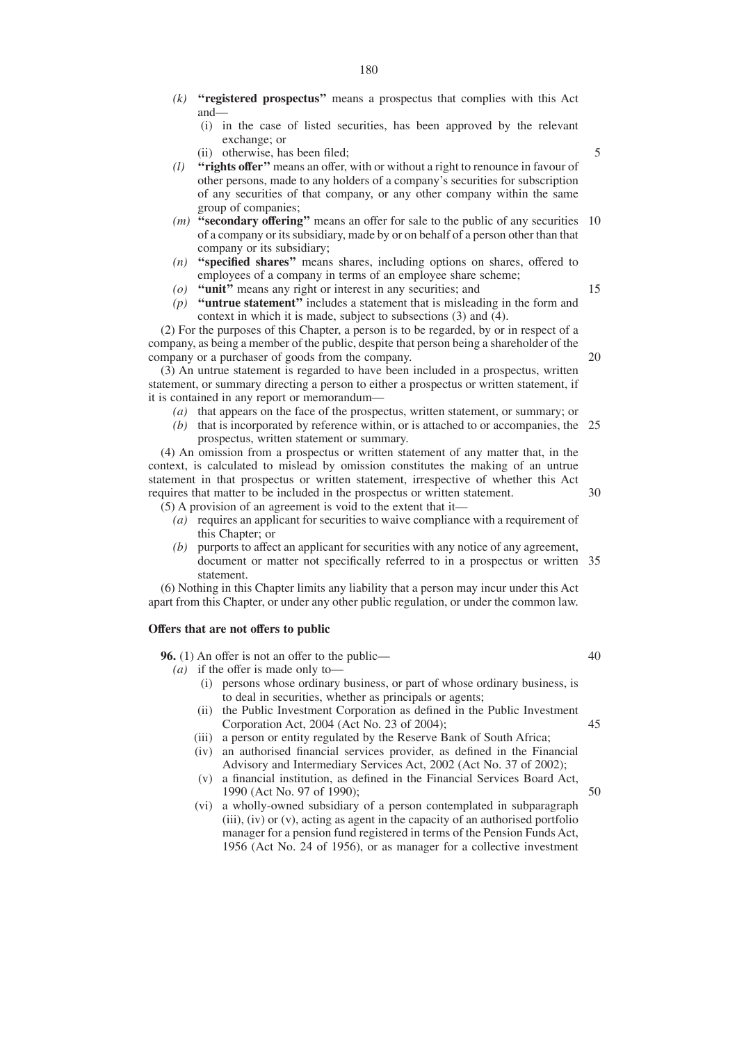- *(k)* **''registered prospectus''** means a prospectus that complies with this Act and—
	- (i) in the case of listed securities, has been approved by the relevant exchange; or
	- (ii) otherwise, has been filed;
- *(l)* **''rights offer''** means an offer, with or without a right to renounce in favour of other persons, made to any holders of a company's securities for subscription of any securities of that company, or any other company within the same group of companies;
- *(m)* **''secondary offering''** means an offer for sale to the public of any securities 10 of a company or its subsidiary, made by or on behalf of a person other than that company or its subsidiary;
- *(n)* **''specified shares''** means shares, including options on shares, offered to employees of a company in terms of an employee share scheme;
- *(o)* **''unit''** means any right or interest in any securities; and
- *(p)* **''untrue statement''** includes a statement that is misleading in the form and context in which it is made, subject to subsections (3) and (4).

(2) For the purposes of this Chapter, a person is to be regarded, by or in respect of a company, as being a member of the public, despite that person being a shareholder of the company or a purchaser of goods from the company.

(3) An untrue statement is regarded to have been included in a prospectus, written statement, or summary directing a person to either a prospectus or written statement, if it is contained in any report or memorandum—

- *(a)* that appears on the face of the prospectus, written statement, or summary; or
- *(b)* that is incorporated by reference within, or is attached to or accompanies, the 25 prospectus, written statement or summary.

(4) An omission from a prospectus or written statement of any matter that, in the context, is calculated to mislead by omission constitutes the making of an untrue statement in that prospectus or written statement, irrespective of whether this Act requires that matter to be included in the prospectus or written statement.

(5) A provision of an agreement is void to the extent that it—

- *(a)* requires an applicant for securities to waive compliance with a requirement of this Chapter; or
- *(b)* purports to affect an applicant for securities with any notice of any agreement, document or matter not specifically referred to in a prospectus or written 35 statement.

(6) Nothing in this Chapter limits any liability that a person may incur under this Act apart from this Chapter, or under any other public regulation, or under the common law.

### **Offers that are not offers to public**

**96.** (1) An offer is not an offer to the public—

- *(a)* if the offer is made only to—
	- (i) persons whose ordinary business, or part of whose ordinary business, is to deal in securities, whether as principals or agents;
	- (ii) the Public Investment Corporation as defined in the Public Investment Corporation Act, 2004 (Act No. 23 of 2004);
	- (iii) a person or entity regulated by the Reserve Bank of South Africa;
	- (iv) an authorised financial services provider, as defined in the Financial Advisory and Intermediary Services Act, 2002 (Act No. 37 of 2002);
	- (v) a financial institution, as defined in the Financial Services Board Act, 1990 (Act No. 97 of 1990);
	- (vi) a wholly-owned subsidiary of a person contemplated in subparagraph (iii), (iv) or (v), acting as agent in the capacity of an authorised portfolio manager for a pension fund registered in terms of the Pension Funds Act, 1956 (Act No. 24 of 1956), or as manager for a collective investment

- 
- 45

40

50

20

30

15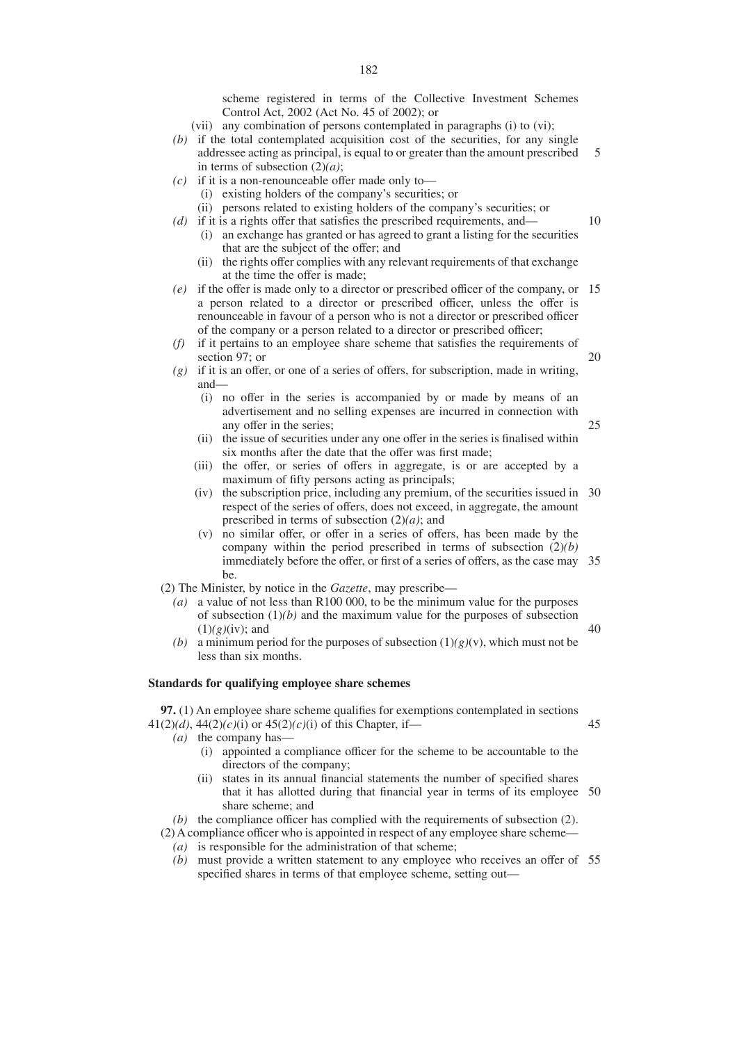scheme registered in terms of the Collective Investment Schemes Control Act, 2002 (Act No. 45 of 2002); or

- (vii) any combination of persons contemplated in paragraphs (i) to (vi);
- *(b)* if the total contemplated acquisition cost of the securities, for any single addressee acting as principal, is equal to or greater than the amount prescribed in terms of subsection (2)*(a)*; 5
- *(c)* if it is a non-renounceable offer made only to—
	- (i) existing holders of the company's securities; or
	- (ii) persons related to existing holders of the company's securities; or
- *(d)* if it is a rights offer that satisfies the prescribed requirements, and— (i) an exchange has granted or has agreed to grant a listing for the securities that are the subject of the offer; and
	- (ii) the rights offer complies with any relevant requirements of that exchange at the time the offer is made;

10

20

25

40

45

- *(e)* if the offer is made only to a director or prescribed officer of the company, or 15 a person related to a director or prescribed officer, unless the offer is renounceable in favour of a person who is not a director or prescribed officer of the company or a person related to a director or prescribed officer;
- *(f)* if it pertains to an employee share scheme that satisfies the requirements of section 97; or
- *(g)* if it is an offer, or one of a series of offers, for subscription, made in writing, and—
	- (i) no offer in the series is accompanied by or made by means of an advertisement and no selling expenses are incurred in connection with any offer in the series;
	- (ii) the issue of securities under any one offer in the series is finalised within six months after the date that the offer was first made;
	- (iii) the offer, or series of offers in aggregate, is or are accepted by a maximum of fifty persons acting as principals;
	- (iv) the subscription price, including any premium, of the securities issued in 30 respect of the series of offers, does not exceed, in aggregate, the amount prescribed in terms of subsection (2)*(a)*; and
	- (v) no similar offer, or offer in a series of offers, has been made by the company within the period prescribed in terms of subsection (2)*(b)* immediately before the offer, or first of a series of offers, as the case may 35 be.
- (2) The Minister, by notice in the *Gazette*, may prescribe—
	- *(a)* a value of not less than R100 000, to be the minimum value for the purposes of subsection  $(1)(b)$  and the maximum value for the purposes of subsection (1)*(g)*(iv); and
	- *(b)* a minimum period for the purposes of subsection  $(1)(g)(v)$ , which must not be less than six months.

### **Standards for qualifying employee share schemes**

**97.** (1) An employee share scheme qualifies for exemptions contemplated in sections 41(2)*(d)*, 44(2)*(c)*(i) or 45(2)*(c)*(i) of this Chapter, if—

- *(a)* the company has—
	- (i) appointed a compliance officer for the scheme to be accountable to the directors of the company;
	- (ii) states in its annual financial statements the number of specified shares that it has allotted during that financial year in terms of its employee 50 share scheme; and
- *(b)* the compliance officer has complied with the requirements of subsection (2).

(2) A compliance officer who is appointed in respect of any employee share scheme— *(a)* is responsible for the administration of that scheme;

*(b)* must provide a written statement to any employee who receives an offer of 55specified shares in terms of that employee scheme, setting out—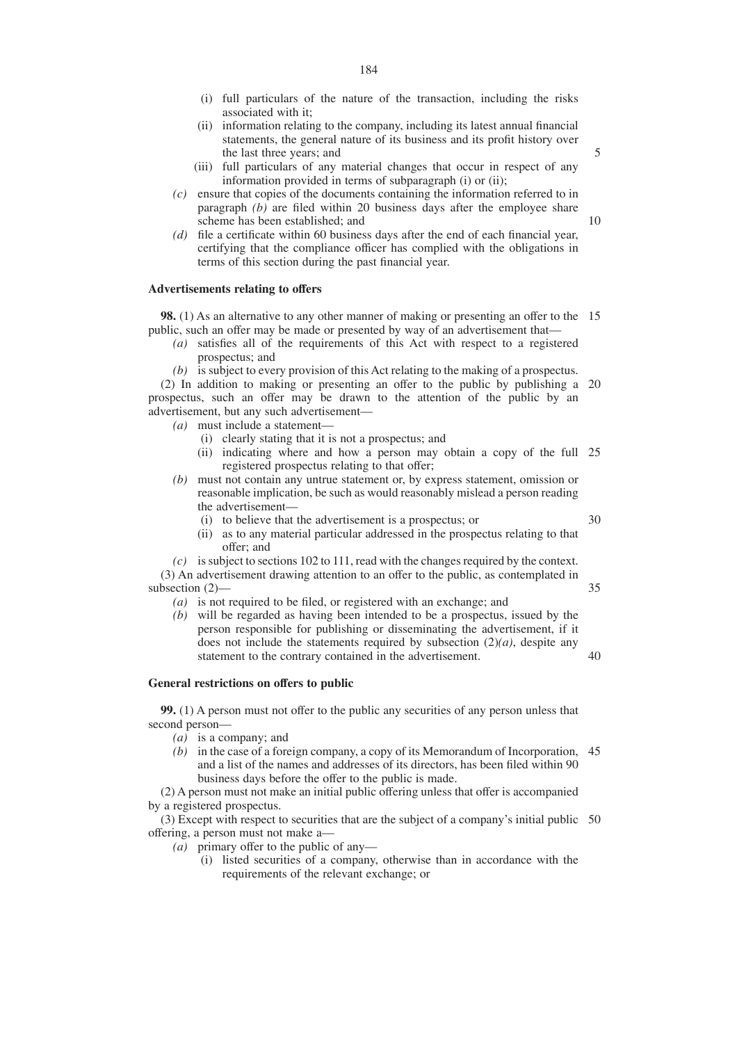- (ii) information relating to the company, including its latest annual financial statements, the general nature of its business and its profit history over the last three years; and
- (iii) full particulars of any material changes that occur in respect of any information provided in terms of subparagraph (i) or (ii);
- *(c)* ensure that copies of the documents containing the information referred to in paragraph *(b)* are filed within 20 business days after the employee share scheme has been established; and
- *(d)* file a certificate within 60 business days after the end of each financial year, certifying that the compliance officer has complied with the obligations in terms of this section during the past financial year.

## **Advertisements relating to offers**

**98.** (1) As an alternative to any other manner of making or presenting an offer to the 15 public, such an offer may be made or presented by way of an advertisement that—

- *(a)* satisfies all of the requirements of this Act with respect to a registered prospectus; and
- *(b)* is subject to every provision of this Act relating to the making of a prospectus.

(2) In addition to making or presenting an offer to the public by publishing a 20 prospectus, such an offer may be drawn to the attention of the public by an advertisement, but any such advertisement—

- *(a)* must include a statement—
	- (i) clearly stating that it is not a prospectus; and
	- (ii) indicating where and how a person may obtain a copy of the full 25 registered prospectus relating to that offer;
- *(b)* must not contain any untrue statement or, by express statement, omission or reasonable implication, be such as would reasonably mislead a person reading the advertisement—
	- (i) to believe that the advertisement is a prospectus; or
	- (ii) as to any material particular addressed in the prospectus relating to that offer; and
- *(c)* is subject to sections 102 to 111, read with the changes required by the context. (3) An advertisement drawing attention to an offer to the public, as contemplated in subsection (2)—
	- *(a)* is not required to be filed, or registered with an exchange; and
	- *(b)* will be regarded as having been intended to be a prospectus, issued by the person responsible for publishing or disseminating the advertisement, if it does not include the statements required by subsection  $(2)(a)$ , despite any statement to the contrary contained in the advertisement.

### **General restrictions on offers to public**

**99.** (1) A person must not offer to the public any securities of any person unless that second person—

- *(a)* is a company; and
- *(b)* in the case of a foreign company, a copy of its Memorandum of Incorporation, 45 and a list of the names and addresses of its directors, has been filed within 90 business days before the offer to the public is made.

(2) A person must not make an initial public offering unless that offer is accompanied by a registered prospectus.

(3) Except with respect to securities that are the subject of a company's initial public 50offering, a person must not make a—

- *(a)* primary offer to the public of any—
	- (i) listed securities of a company, otherwise than in accordance with the requirements of the relevant exchange; or

30

35

40

5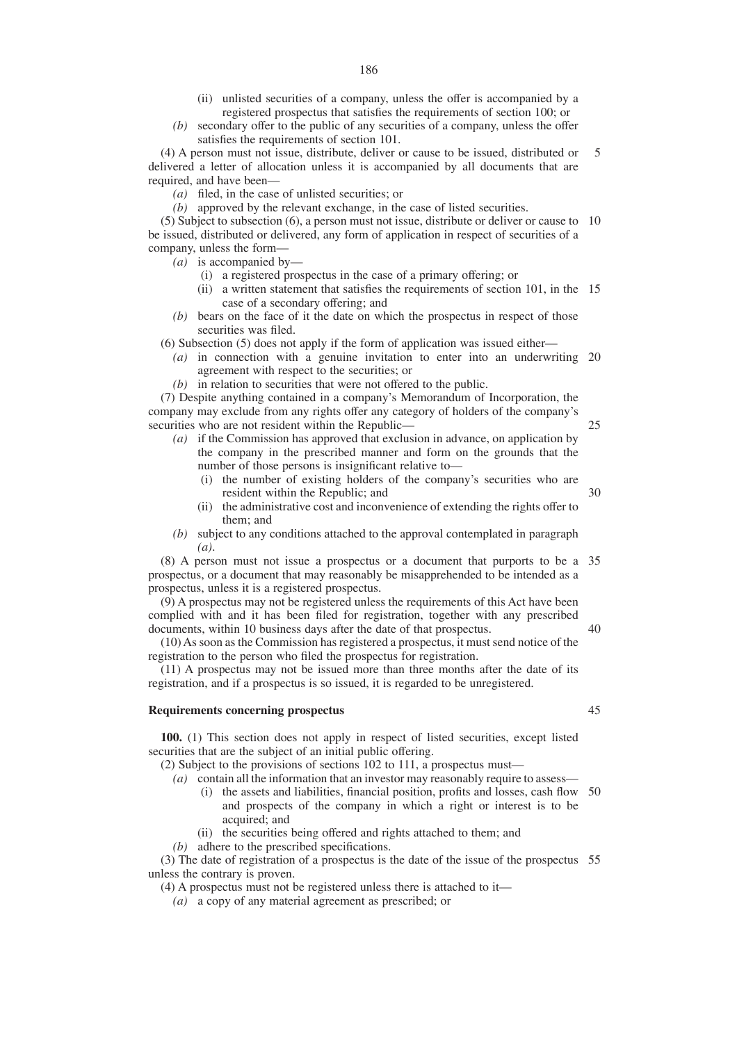- (ii) unlisted securities of a company, unless the offer is accompanied by a registered prospectus that satisfies the requirements of section 100; or
- *(b)* secondary offer to the public of any securities of a company, unless the offer satisfies the requirements of section 101.

(4) A person must not issue, distribute, deliver or cause to be issued, distributed or delivered a letter of allocation unless it is accompanied by all documents that are required, and have been— 5

- *(a)* filed, in the case of unlisted securities; or
- *(b)* approved by the relevant exchange, in the case of listed securities.

(5) Subject to subsection (6), a person must not issue, distribute or deliver or cause to 10 be issued, distributed or delivered, any form of application in respect of securities of a company, unless the form—

- *(a)* is accompanied by—
	- (i) a registered prospectus in the case of a primary offering; or
	- (ii) a written statement that satisfies the requirements of section 101, in the 15 case of a secondary offering; and
- *(b)* bears on the face of it the date on which the prospectus in respect of those securities was filed.
- (6) Subsection (5) does not apply if the form of application was issued either—
	- *(a)* in connection with a genuine invitation to enter into an underwriting 20 agreement with respect to the securities; or
	- *(b)* in relation to securities that were not offered to the public.

(7) Despite anything contained in a company's Memorandum of Incorporation, the company may exclude from any rights offer any category of holders of the company's securities who are not resident within the Republic—

- *(a)* if the Commission has approved that exclusion in advance, on application by the company in the prescribed manner and form on the grounds that the number of those persons is insignificant relative to—
	- (i) the number of existing holders of the company's securities who are resident within the Republic; and
	- (ii) the administrative cost and inconvenience of extending the rights offer to them; and
- *(b)* subject to any conditions attached to the approval contemplated in paragraph *(a)*.

(8) A person must not issue a prospectus or a document that purports to be a 35 prospectus, or a document that may reasonably be misapprehended to be intended as a prospectus, unless it is a registered prospectus.

(9) A prospectus may not be registered unless the requirements of this Act have been complied with and it has been filed for registration, together with any prescribed documents, within 10 business days after the date of that prospectus. 40

(10) As soon as the Commission has registered a prospectus, it must send notice of the registration to the person who filed the prospectus for registration.

(11) A prospectus may not be issued more than three months after the date of its registration, and if a prospectus is so issued, it is regarded to be unregistered.

### **Requirements concerning prospectus**

**100.** (1) This section does not apply in respect of listed securities, except listed securities that are the subject of an initial public offering.

(2) Subject to the provisions of sections 102 to 111, a prospectus must—

*(a)* contain all the information that an investor may reasonably require to assess— (i) the assets and liabilities, financial position, profits and losses, cash flow 50 and prospects of the company in which a right or interest is to be acquired; and

(ii) the securities being offered and rights attached to them; and

*(b)* adhere to the prescribed specifications.

(3) The date of registration of a prospectus is the date of the issue of the prospectus 55unless the contrary is proven.

(4) A prospectus must not be registered unless there is attached to it—

*(a)* a copy of any material agreement as prescribed; or

45

25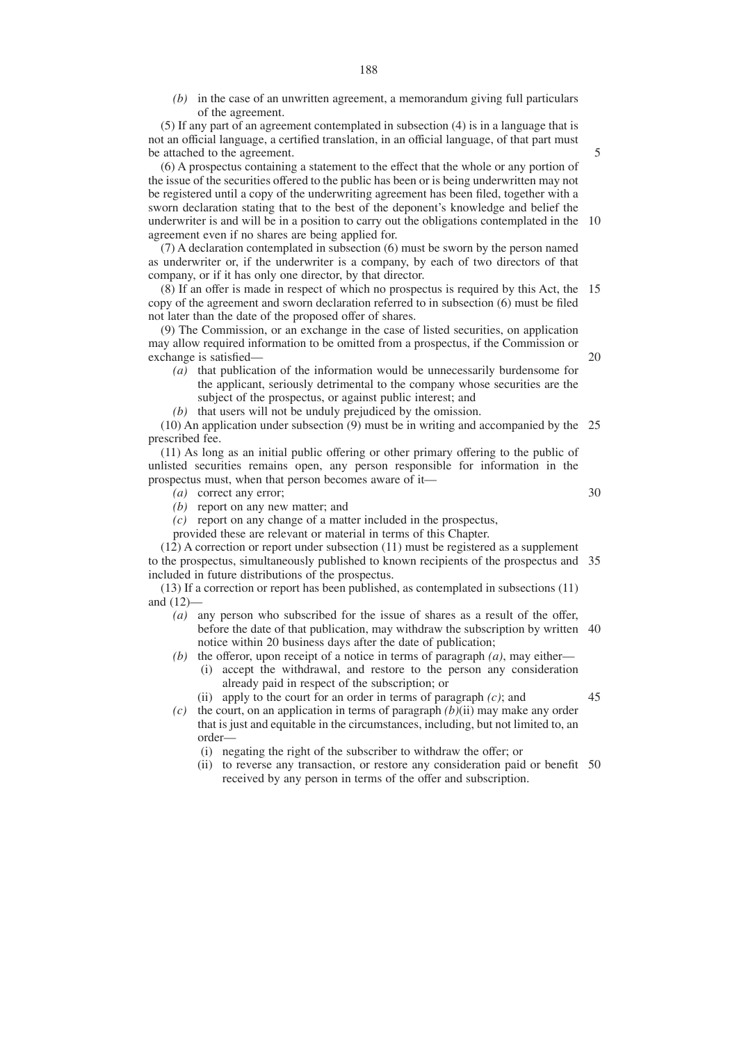*(b)* in the case of an unwritten agreement, a memorandum giving full particulars of the agreement.

(5) If any part of an agreement contemplated in subsection (4) is in a language that is not an official language, a certified translation, in an official language, of that part must be attached to the agreement.

(6) A prospectus containing a statement to the effect that the whole or any portion of the issue of the securities offered to the public has been or is being underwritten may not be registered until a copy of the underwriting agreement has been filed, together with a sworn declaration stating that to the best of the deponent's knowledge and belief the underwriter is and will be in a position to carry out the obligations contemplated in the agreement even if no shares are being applied for. 10

(7) A declaration contemplated in subsection (6) must be sworn by the person named as underwriter or, if the underwriter is a company, by each of two directors of that company, or if it has only one director, by that director.

(8) If an offer is made in respect of which no prospectus is required by this Act, the copy of the agreement and sworn declaration referred to in subsection (6) must be filed not later than the date of the proposed offer of shares. 15

(9) The Commission, or an exchange in the case of listed securities, on application may allow required information to be omitted from a prospectus, if the Commission or exchange is satisfied—

*(a)* that publication of the information would be unnecessarily burdensome for the applicant, seriously detrimental to the company whose securities are the subject of the prospectus, or against public interest; and

*(b)* that users will not be unduly prejudiced by the omission.

(10) An application under subsection (9) must be in writing and accompanied by the 25 prescribed fee.

(11) As long as an initial public offering or other primary offering to the public of unlisted securities remains open, any person responsible for information in the prospectus must, when that person becomes aware of it—

- *(a)* correct any error;
- *(b)* report on any new matter; and

*(c)* report on any change of a matter included in the prospectus,

provided these are relevant or material in terms of this Chapter.

(12) A correction or report under subsection (11) must be registered as a supplement to the prospectus, simultaneously published to known recipients of the prospectus and 35 included in future distributions of the prospectus.

(13) If a correction or report has been published, as contemplated in subsections (11) and (12)—

- *(a)* any person who subscribed for the issue of shares as a result of the offer, before the date of that publication, may withdraw the subscription by written 40 notice within 20 business days after the date of publication;
- *(b)* the offeror, upon receipt of a notice in terms of paragraph *(a)*, may either—
	- (i) accept the withdrawal, and restore to the person any consideration already paid in respect of the subscription; or
	- (ii) apply to the court for an order in terms of paragraph *(c)*; and
- *(c)* the court, on an application in terms of paragraph *(b)*(ii) may make any order that is just and equitable in the circumstances, including, but not limited to, an order—

(i) negating the right of the subscriber to withdraw the offer; or

(ii) to reverse any transaction, or restore any consideration paid or benefit 50received by any person in terms of the offer and subscription.

30

20

5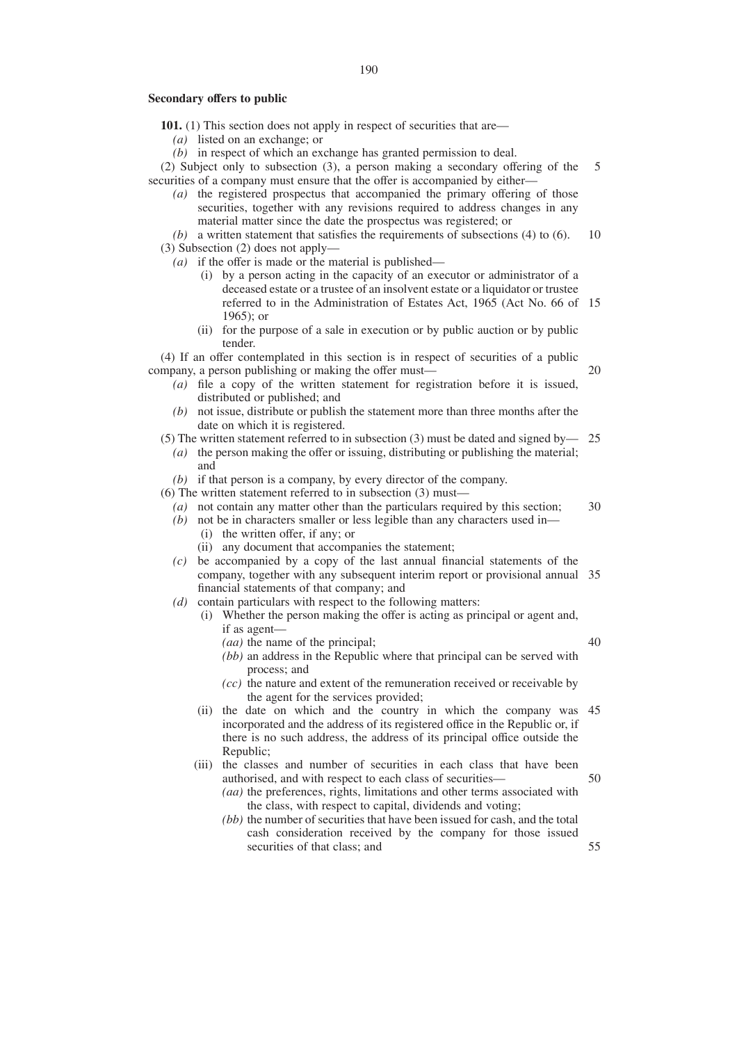#### **Secondary offers to public**

**101.** (1) This section does not apply in respect of securities that are—

- *(a)* listed on an exchange; or
- *(b)* in respect of which an exchange has granted permission to deal.

(2) Subject only to subsection (3), a person making a secondary offering of the securities of a company must ensure that the offer is accompanied by either-5

*(a)* the registered prospectus that accompanied the primary offering of those securities, together with any revisions required to address changes in any material matter since the date the prospectus was registered; or

*(b)* a written statement that satisfies the requirements of subsections (4) to (6). (3) Subsection (2) does not apply— 10

*(a)* if the offer is made or the material is published—

- (i) by a person acting in the capacity of an executor or administrator of a deceased estate or a trustee of an insolvent estate or a liquidator or trustee referred to in the Administration of Estates Act, 1965 (Act No. 66 of 15  $1965$ ); or
- (ii) for the purpose of a sale in execution or by public auction or by public tender.

(4) If an offer contemplated in this section is in respect of securities of a public company, a person publishing or making the offer must—

 $20$ 

40

- *(a)* file a copy of the written statement for registration before it is issued, distributed or published; and
- *(b)* not issue, distribute or publish the statement more than three months after the date on which it is registered.
- (5) The written statement referred to in subsection (3) must be dated and signed by— *(a)* the person making the offer or issuing, distributing or publishing the material; and 25

*(b)* if that person is a company, by every director of the company.

- (6) The written statement referred to in subsection (3) must—
	- *(a)* not contain any matter other than the particulars required by this section; 30
	- *(b)* not be in characters smaller or less legible than any characters used in— (i) the written offer, if any; or
		- (ii) any document that accompanies the statement;
	- *(c)* be accompanied by a copy of the last annual financial statements of the company, together with any subsequent interim report or provisional annual 35 financial statements of that company; and
	- *(d)* contain particulars with respect to the following matters:
		- (i) Whether the person making the offer is acting as principal or agent and, if as agent—
			- *(aa)* the name of the principal;
			- *(bb)* an address in the Republic where that principal can be served with process; and
			- *(cc)* the nature and extent of the remuneration received or receivable by the agent for the services provided;
		- (ii) the date on which and the country in which the company was 45 incorporated and the address of its registered office in the Republic or, if there is no such address, the address of its principal office outside the Republic;

(iii) the classes and number of securities in each class that have been authorised, and with respect to each class of securities— *(aa)* the preferences, rights, limitations and other terms associated with the class, with respect to capital, dividends and voting; 50

*(bb)* the number of securities that have been issued for cash, and the total cash consideration received by the company for those issued securities of that class; and 55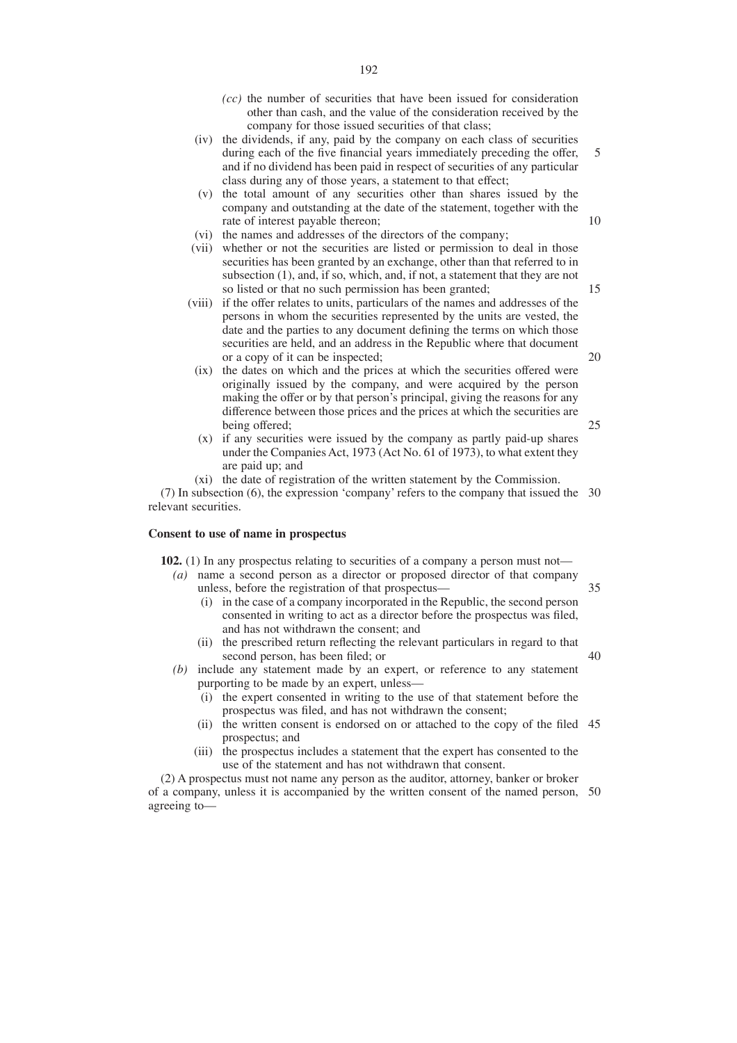- *(cc)* the number of securities that have been issued for consideration other than cash, and the value of the consideration received by the company for those issued securities of that class;
- (iv) the dividends, if any, paid by the company on each class of securities during each of the five financial years immediately preceding the offer, and if no dividend has been paid in respect of securities of any particular class during any of those years, a statement to that effect; 5
- (v) the total amount of any securities other than shares issued by the company and outstanding at the date of the statement, together with the rate of interest payable thereon;
- (vi) the names and addresses of the directors of the company;
- (vii) whether or not the securities are listed or permission to deal in those securities has been granted by an exchange, other than that referred to in subsection (1), and, if so, which, and, if not, a statement that they are not so listed or that no such permission has been granted;
- (viii) if the offer relates to units, particulars of the names and addresses of the persons in whom the securities represented by the units are vested, the date and the parties to any document defining the terms on which those securities are held, and an address in the Republic where that document or a copy of it can be inspected;
- (ix) the dates on which and the prices at which the securities offered were originally issued by the company, and were acquired by the person making the offer or by that person's principal, giving the reasons for any difference between those prices and the prices at which the securities are being offered;
- (x) if any securities were issued by the company as partly paid-up shares under the Companies Act, 1973 (Act No. 61 of 1973), to what extent they are paid up; and

(xi) the date of registration of the written statement by the Commission.

(7) In subsection (6), the expression 'company' refers to the company that issued the 30 relevant securities.

## **Consent to use of name in prospectus**

**102.** (1) In any prospectus relating to securities of a company a person must not—

- *(a)* name a second person as a director or proposed director of that company unless, before the registration of that prospectus—
	- (i) in the case of a company incorporated in the Republic, the second person consented in writing to act as a director before the prospectus was filed, and has not withdrawn the consent; and
	- (ii) the prescribed return reflecting the relevant particulars in regard to that second person, has been filed; or
- *(b)* include any statement made by an expert, or reference to any statement purporting to be made by an expert, unless—
	- (i) the expert consented in writing to the use of that statement before the prospectus was filed, and has not withdrawn the consent;
	- (ii) the written consent is endorsed on or attached to the copy of the filed 45 prospectus; and
	- (iii) the prospectus includes a statement that the expert has consented to the use of the statement and has not withdrawn that consent.

(2) A prospectus must not name any person as the auditor, attorney, banker or broker of a company, unless it is accompanied by the written consent of the named person, 50agreeing to—

20

25

35

40

15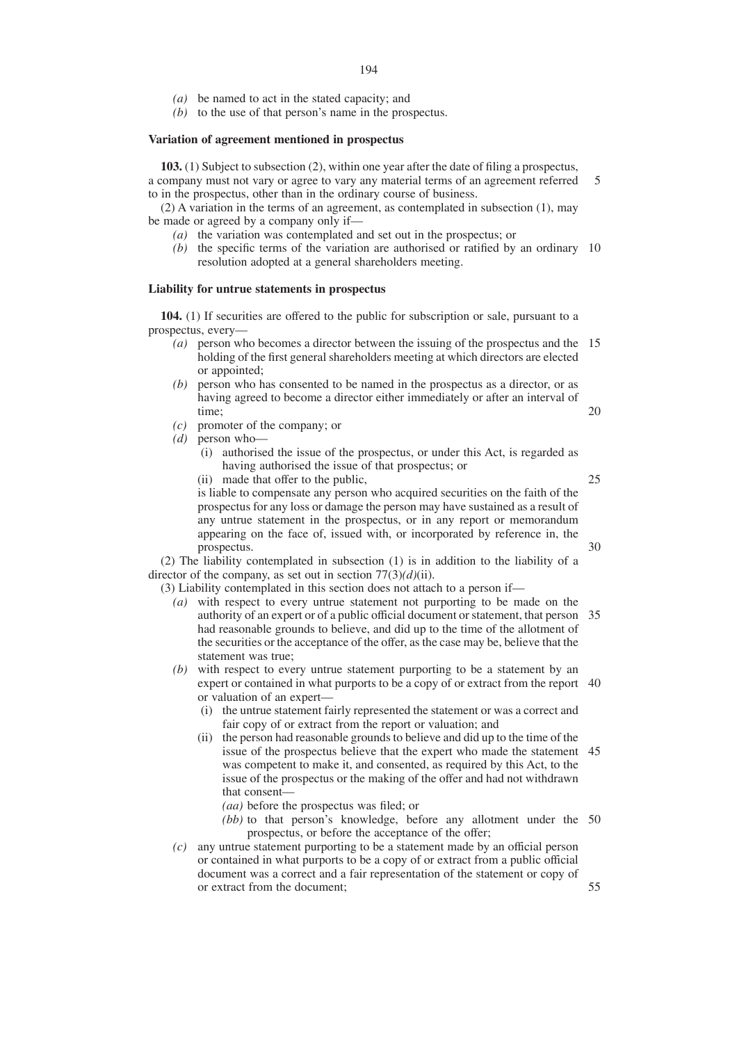- *(a)* be named to act in the stated capacity; and
- *(b)* to the use of that person's name in the prospectus.

#### **Variation of agreement mentioned in prospectus**

**103.** (1) Subject to subsection (2), within one year after the date of filing a prospectus, a company must not vary or agree to vary any material terms of an agreement referred to in the prospectus, other than in the ordinary course of business. 5

(2) A variation in the terms of an agreement, as contemplated in subsection (1), may be made or agreed by a company only if—

- *(a)* the variation was contemplated and set out in the prospectus; or
- *(b)* the specific terms of the variation are authorised or ratified by an ordinary 10 resolution adopted at a general shareholders meeting.

#### **Liability for untrue statements in prospectus**

**104.** (1) If securities are offered to the public for subscription or sale, pursuant to a prospectus, every—

- *(a)* person who becomes a director between the issuing of the prospectus and the 15 holding of the first general shareholders meeting at which directors are elected or appointed;
- *(b)* person who has consented to be named in the prospectus as a director, or as having agreed to become a director either immediately or after an interval of time;
- *(c)* promoter of the company; or
- *(d)* person who—
	- (i) authorised the issue of the prospectus, or under this Act, is regarded as having authorised the issue of that prospectus; or
	- (ii) made that offer to the public,

25

30

20

is liable to compensate any person who acquired securities on the faith of the prospectus for any loss or damage the person may have sustained as a result of any untrue statement in the prospectus, or in any report or memorandum appearing on the face of, issued with, or incorporated by reference in, the prospectus.

(2) The liability contemplated in subsection (1) is in addition to the liability of a director of the company, as set out in section 77(3)*(d)*(ii).

(3) Liability contemplated in this section does not attach to a person if—

- *(a)* with respect to every untrue statement not purporting to be made on the authority of an expert or of a public official document or statement, that person 35 had reasonable grounds to believe, and did up to the time of the allotment of the securities or the acceptance of the offer, as the case may be, believe that the statement was true;
- *(b)* with respect to every untrue statement purporting to be a statement by an expert or contained in what purports to be a copy of or extract from the report 40 or valuation of an expert—
	- (i) the untrue statement fairly represented the statement or was a correct and fair copy of or extract from the report or valuation; and
	- (ii) the person had reasonable grounds to believe and did up to the time of the issue of the prospectus believe that the expert who made the statement 45 was competent to make it, and consented, as required by this Act, to the issue of the prospectus or the making of the offer and had not withdrawn that consent—
		- *(aa)* before the prospectus was filed; or
		- *(bb)* to that person's knowledge, before any allotment under the 50 prospectus, or before the acceptance of the offer;
- *(c)* any untrue statement purporting to be a statement made by an official person or contained in what purports to be a copy of or extract from a public official document was a correct and a fair representation of the statement or copy of or extract from the document; 55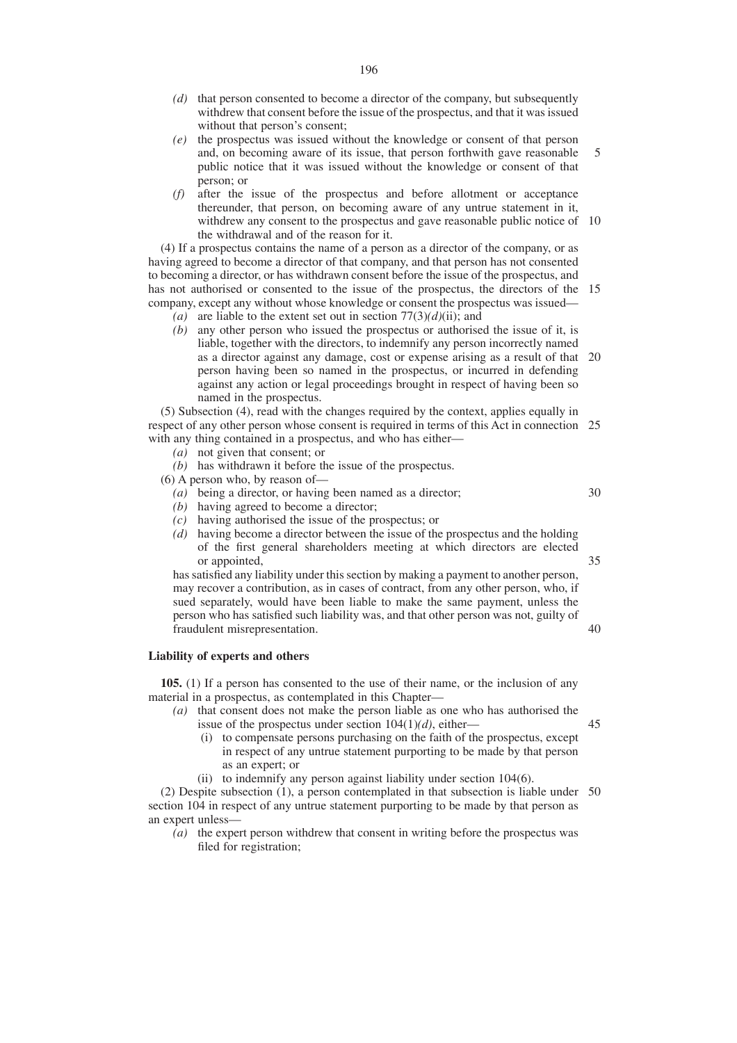- *(d)* that person consented to become a director of the company, but subsequently withdrew that consent before the issue of the prospectus, and that it was issued without that person's consent;
- *(e)* the prospectus was issued without the knowledge or consent of that person and, on becoming aware of its issue, that person forthwith gave reasonable public notice that it was issued without the knowledge or consent of that person; or 5
- *(f)* after the issue of the prospectus and before allotment or acceptance thereunder, that person, on becoming aware of any untrue statement in it, withdrew any consent to the prospectus and gave reasonable public notice of 10 the withdrawal and of the reason for it.

(4) If a prospectus contains the name of a person as a director of the company, or as having agreed to become a director of that company, and that person has not consented to becoming a director, or has withdrawn consent before the issue of the prospectus, and has not authorised or consented to the issue of the prospectus, the directors of the 15 company, except any without whose knowledge or consent the prospectus was issued—

- *(a)* are liable to the extent set out in section 77(3)*(d)*(ii); and
- *(b)* any other person who issued the prospectus or authorised the issue of it, is liable, together with the directors, to indemnify any person incorrectly named as a director against any damage, cost or expense arising as a result of that 20 person having been so named in the prospectus, or incurred in defending against any action or legal proceedings brought in respect of having been so named in the prospectus.

(5) Subsection (4), read with the changes required by the context, applies equally in respect of any other person whose consent is required in terms of this Act in connection 25 with any thing contained in a prospectus, and who has either—

- *(a)* not given that consent; or
- *(b)* has withdrawn it before the issue of the prospectus.
- (6) A person who, by reason of—
	- *(a)* being a director, or having been named as a director;
	- *(b)* having agreed to become a director;
	- *(c)* having authorised the issue of the prospectus; or
	- *(d)* having become a director between the issue of the prospectus and the holding of the first general shareholders meeting at which directors are elected or appointed,

30

35

45

has satisfied any liability under this section by making a payment to another person, may recover a contribution, as in cases of contract, from any other person, who, if sued separately, would have been liable to make the same payment, unless the person who has satisfied such liability was, and that other person was not, guilty of fraudulent misrepresentation. 40

### **Liability of experts and others**

**105.** (1) If a person has consented to the use of their name, or the inclusion of any material in a prospectus, as contemplated in this Chapter—

- *(a)* that consent does not make the person liable as one who has authorised the issue of the prospectus under section 104(1)*(d)*, either—
	- (i) to compensate persons purchasing on the faith of the prospectus, except in respect of any untrue statement purporting to be made by that person as an expert; or
	- (ii) to indemnify any person against liability under section 104(6).

(2) Despite subsection (1), a person contemplated in that subsection is liable under 50section 104 in respect of any untrue statement purporting to be made by that person as an expert unless—

*(a)* the expert person withdrew that consent in writing before the prospectus was filed for registration;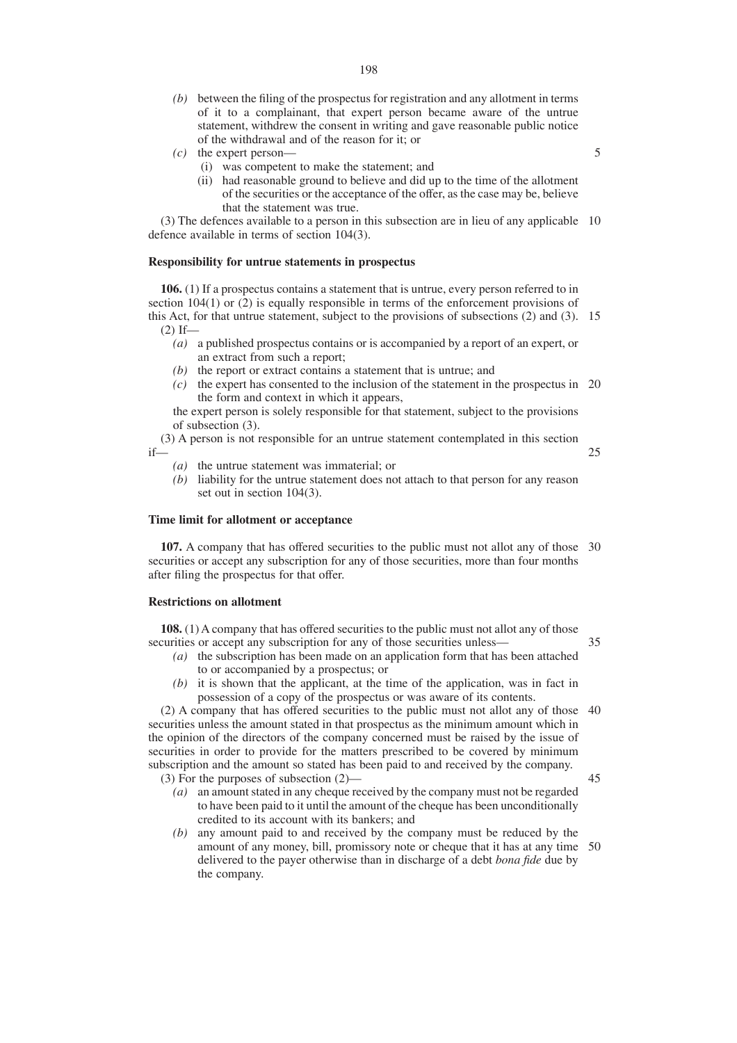- *(b)* between the filing of the prospectus for registration and any allotment in terms of it to a complainant, that expert person became aware of the untrue statement, withdrew the consent in writing and gave reasonable public notice of the withdrawal and of the reason for it; or
- *(c)* the expert person—
	- (i) was competent to make the statement; and
		- (ii) had reasonable ground to believe and did up to the time of the allotment of the securities or the acceptance of the offer, as the case may be, believe that the statement was true.

(3) The defences available to a person in this subsection are in lieu of any applicable 10 defence available in terms of section 104(3).

### **Responsibility for untrue statements in prospectus**

**106.** (1) If a prospectus contains a statement that is untrue, every person referred to in section  $104(1)$  or  $(2)$  is equally responsible in terms of the enforcement provisions of this Act, for that untrue statement, subject to the provisions of subsections (2) and (3). 15  $(2)$  If—

- *(a)* a published prospectus contains or is accompanied by a report of an expert, or an extract from such a report;
- *(b)* the report or extract contains a statement that is untrue; and
- *(c)* the expert has consented to the inclusion of the statement in the prospectus in 20 the form and context in which it appears,

the expert person is solely responsible for that statement, subject to the provisions of subsection (3).

(3) A person is not responsible for an untrue statement contemplated in this section if— 25

*(a)* the untrue statement was immaterial; or

*(b)* liability for the untrue statement does not attach to that person for any reason set out in section 104(3).

## **Time limit for allotment or acceptance**

**107.** A company that has offered securities to the public must not allot any of those 30 securities or accept any subscription for any of those securities, more than four months after filing the prospectus for that offer.

### **Restrictions on allotment**

**108.** (1) A company that has offered securities to the public must not allot any of those securities or accept any subscription for any of those securities unless—

- *(a)* the subscription has been made on an application form that has been attached to or accompanied by a prospectus; or
- *(b)* it is shown that the applicant, at the time of the application, was in fact in possession of a copy of the prospectus or was aware of its contents.

(2) A company that has offered securities to the public must not allot any of those 40 securities unless the amount stated in that prospectus as the minimum amount which in the opinion of the directors of the company concerned must be raised by the issue of securities in order to provide for the matters prescribed to be covered by minimum subscription and the amount so stated has been paid to and received by the company. 45

(3) For the purposes of subsection (2)—

- *(a)* an amount stated in any cheque received by the company must not be regarded to have been paid to it until the amount of the cheque has been unconditionally credited to its account with its bankers; and
- *(b)* any amount paid to and received by the company must be reduced by the amount of any money, bill, promissory note or cheque that it has at any time 50delivered to the payer otherwise than in discharge of a debt *bona fide* due by the company.

5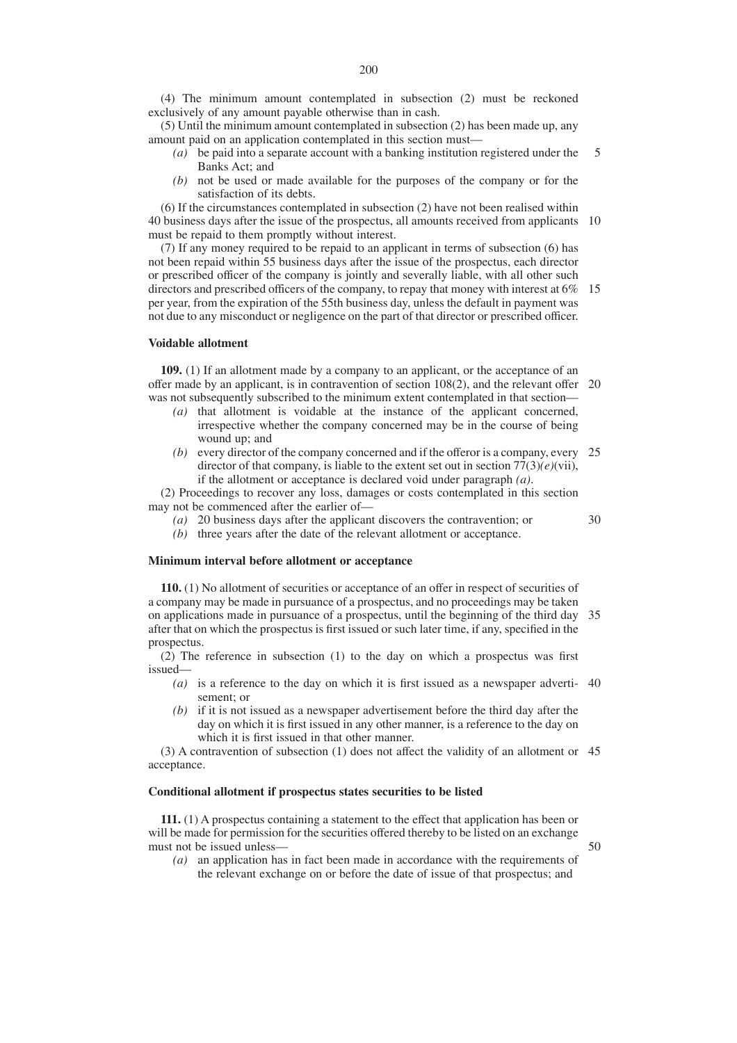(4) The minimum amount contemplated in subsection (2) must be reckoned exclusively of any amount payable otherwise than in cash.

(5) Until the minimum amount contemplated in subsection (2) has been made up, any amount paid on an application contemplated in this section must—

- *(a)* be paid into a separate account with a banking institution registered under the Banks Act; and 5
- *(b)* not be used or made available for the purposes of the company or for the satisfaction of its debts.

(6) If the circumstances contemplated in subsection (2) have not been realised within 40 business days after the issue of the prospectus, all amounts received from applicants 10 must be repaid to them promptly without interest.

(7) If any money required to be repaid to an applicant in terms of subsection (6) has not been repaid within 55 business days after the issue of the prospectus, each director or prescribed officer of the company is jointly and severally liable, with all other such directors and prescribed officers of the company, to repay that money with interest at 6% 15 per year, from the expiration of the 55th business day, unless the default in payment was not due to any misconduct or negligence on the part of that director or prescribed officer.

#### **Voidable allotment**

**109.** (1) If an allotment made by a company to an applicant, or the acceptance of an offer made by an applicant, is in contravention of section 108(2), and the relevant offer 20 was not subsequently subscribed to the minimum extent contemplated in that section—

- *(a)* that allotment is voidable at the instance of the applicant concerned, irrespective whether the company concerned may be in the course of being wound up; and
- *(b)* every director of the company concerned and if the offeror is a company, every 25 director of that company, is liable to the extent set out in section  $77(3)(e)$ (vii), if the allotment or acceptance is declared void under paragraph *(a)*.

(2) Proceedings to recover any loss, damages or costs contemplated in this section may not be commenced after the earlier of—

*(a)* 20 business days after the applicant discovers the contravention; or *(b)* three years after the date of the relevant allotment or acceptance.

30

50

# **Minimum interval before allotment or acceptance**

**110.** (1) No allotment of securities or acceptance of an offer in respect of securities of a company may be made in pursuance of a prospectus, and no proceedings may be taken on applications made in pursuance of a prospectus, until the beginning of the third day 35 after that on which the prospectus is first issued or such later time, if any, specified in the prospectus.

(2) The reference in subsection (1) to the day on which a prospectus was first issued—

- *(a)* is a reference to the day on which it is first issued as a newspaper adverti-40 sement; or
- *(b)* if it is not issued as a newspaper advertisement before the third day after the day on which it is first issued in any other manner, is a reference to the day on which it is first issued in that other manner.

(3) A contravention of subsection (1) does not affect the validity of an allotment or 45 acceptance.

#### **Conditional allotment if prospectus states securities to be listed**

**111.** (1) A prospectus containing a statement to the effect that application has been or will be made for permission for the securities offered thereby to be listed on an exchange must not be issued unless—

*(a)* an application has in fact been made in accordance with the requirements of the relevant exchange on or before the date of issue of that prospectus; and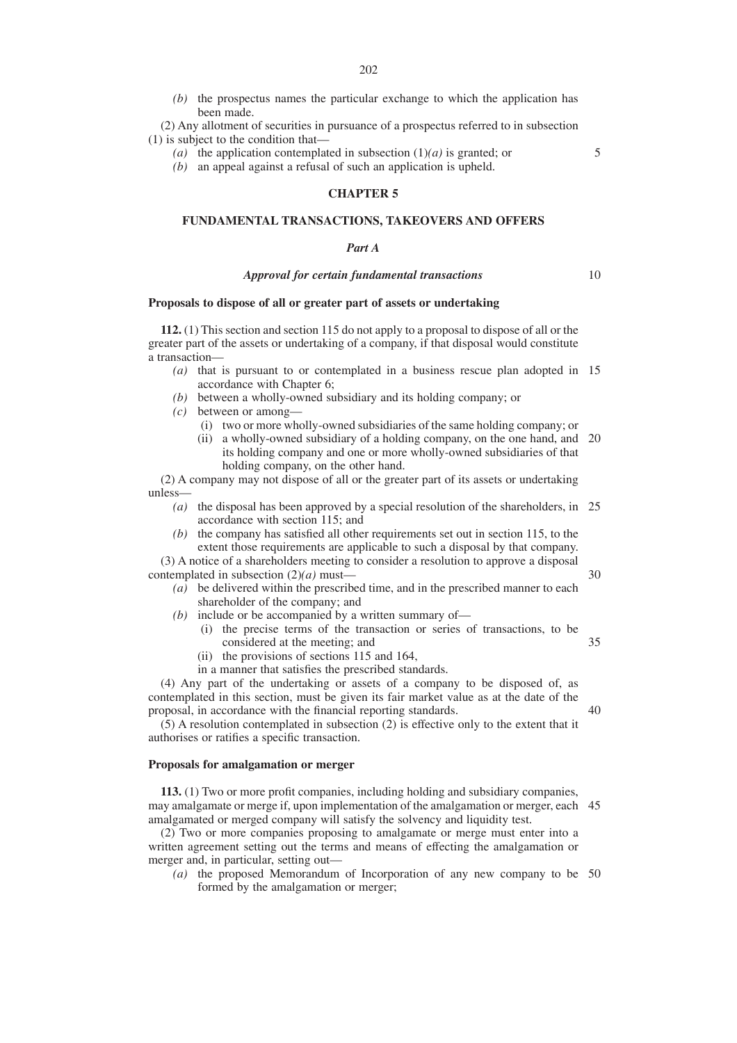*(b)* the prospectus names the particular exchange to which the application has been made.

(2) Any allotment of securities in pursuance of a prospectus referred to in subsection (1) is subject to the condition that—

- *(a)* the application contemplated in subsection (1)*(a)* is granted; or
- *(b)* an appeal against a refusal of such an application is upheld.

### **CHAPTER 5**

## **FUNDAMENTAL TRANSACTIONS, TAKEOVERS AND OFFERS**

#### *Part A*

#### *Approval for certain fundamental transactions*

## **Proposals to dispose of all or greater part of assets or undertaking**

**112.** (1) This section and section 115 do not apply to a proposal to dispose of all or the greater part of the assets or undertaking of a company, if that disposal would constitute a transaction—

- *(a)* that is pursuant to or contemplated in a business rescue plan adopted in 15 accordance with Chapter 6;
- *(b)* between a wholly-owned subsidiary and its holding company; or
- *(c)* between or among—
	- (i) two or more wholly-owned subsidiaries of the same holding company; or
	- (ii) a wholly-owned subsidiary of a holding company, on the one hand, and 20 its holding company and one or more wholly-owned subsidiaries of that holding company, on the other hand.

(2) A company may not dispose of all or the greater part of its assets or undertaking unless—

- *(a)* the disposal has been approved by a special resolution of the shareholders, in 25 accordance with section 115; and
- *(b)* the company has satisfied all other requirements set out in section 115, to the extent those requirements are applicable to such a disposal by that company.

(3) A notice of a shareholders meeting to consider a resolution to approve a disposal contemplated in subsection (2)*(a)* must—

- *(a)* be delivered within the prescribed time, and in the prescribed manner to each shareholder of the company; and
- *(b)* include or be accompanied by a written summary of—
	- (i) the precise terms of the transaction or series of transactions, to be considered at the meeting; and 35
	- (ii) the provisions of sections 115 and 164,
	- in a manner that satisfies the prescribed standards.

(4) Any part of the undertaking or assets of a company to be disposed of, as contemplated in this section, must be given its fair market value as at the date of the proposal, in accordance with the financial reporting standards. 40

(5) A resolution contemplated in subsection (2) is effective only to the extent that it authorises or ratifies a specific transaction.

## **Proposals for amalgamation or merger**

**113.** (1) Two or more profit companies, including holding and subsidiary companies, may amalgamate or merge if, upon implementation of the amalgamation or merger, each 45 amalgamated or merged company will satisfy the solvency and liquidity test.

(2) Two or more companies proposing to amalgamate or merge must enter into a written agreement setting out the terms and means of effecting the amalgamation or merger and, in particular, setting out—

*(a)* the proposed Memorandum of Incorporation of any new company to be 50formed by the amalgamation or merger;

30

5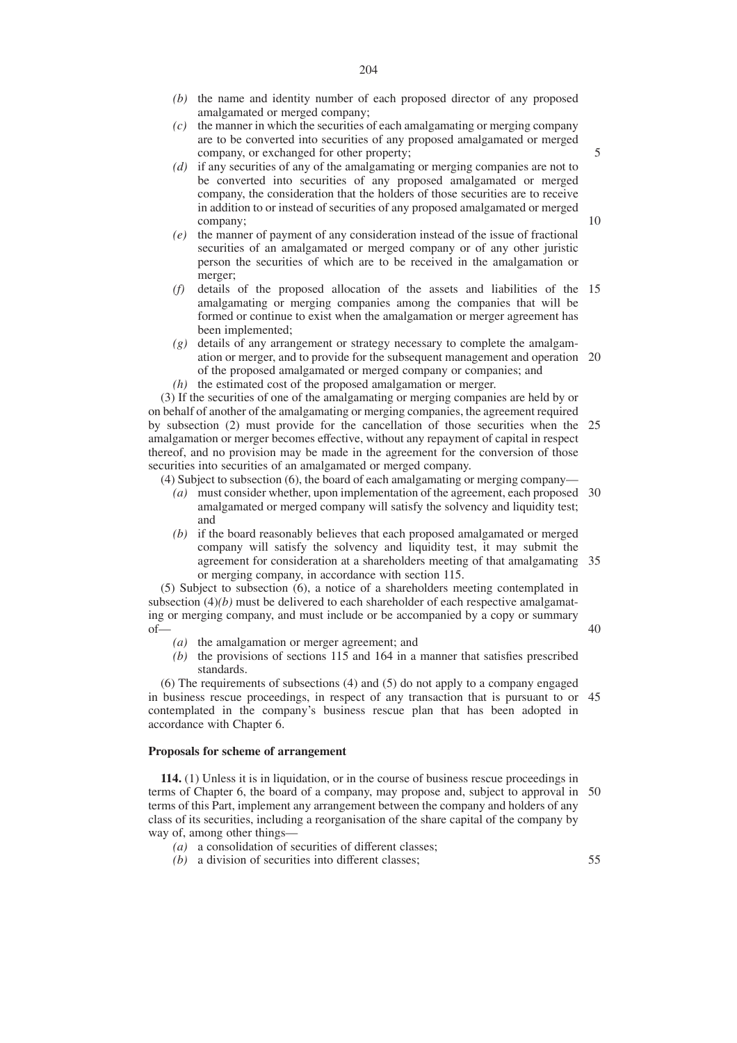- *(b)* the name and identity number of each proposed director of any proposed amalgamated or merged company;
- *(c)* the manner in which the securities of each amalgamating or merging company are to be converted into securities of any proposed amalgamated or merged company, or exchanged for other property;
- *(d)* if any securities of any of the amalgamating or merging companies are not to be converted into securities of any proposed amalgamated or merged company, the consideration that the holders of those securities are to receive in addition to or instead of securities of any proposed amalgamated or merged company; 10
- *(e)* the manner of payment of any consideration instead of the issue of fractional securities of an amalgamated or merged company or of any other juristic person the securities of which are to be received in the amalgamation or merger;
- *(f)* details of the proposed allocation of the assets and liabilities of the 15 amalgamating or merging companies among the companies that will be formed or continue to exist when the amalgamation or merger agreement has been implemented;
- *(g)* details of any arrangement or strategy necessary to complete the amalgamation or merger, and to provide for the subsequent management and operation 20 of the proposed amalgamated or merged company or companies; and
- *(h)* the estimated cost of the proposed amalgamation or merger.

(3) If the securities of one of the amalgamating or merging companies are held by or on behalf of another of the amalgamating or merging companies, the agreement required by subsection (2) must provide for the cancellation of those securities when the 25 amalgamation or merger becomes effective, without any repayment of capital in respect thereof, and no provision may be made in the agreement for the conversion of those securities into securities of an amalgamated or merged company.

(4) Subject to subsection (6), the board of each amalgamating or merging company—

- *(a)* must consider whether, upon implementation of the agreement, each proposed 30 amalgamated or merged company will satisfy the solvency and liquidity test; and
- *(b)* if the board reasonably believes that each proposed amalgamated or merged company will satisfy the solvency and liquidity test, it may submit the agreement for consideration at a shareholders meeting of that amalgamating 35 or merging company, in accordance with section 115.

(5) Subject to subsection (6), a notice of a shareholders meeting contemplated in subsection  $(4)(b)$  must be delivered to each shareholder of each respective amalgamating or merging company, and must include or be accompanied by a copy or summary of—

- *(a)* the amalgamation or merger agreement; and
- *(b)* the provisions of sections 115 and 164 in a manner that satisfies prescribed standards.

(6) The requirements of subsections (4) and (5) do not apply to a company engaged in business rescue proceedings, in respect of any transaction that is pursuant to or 45 contemplated in the company's business rescue plan that has been adopted in accordance with Chapter 6.

## **Proposals for scheme of arrangement**

**114.** (1) Unless it is in liquidation, or in the course of business rescue proceedings in terms of Chapter 6, the board of a company, may propose and, subject to approval in 50 terms of this Part, implement any arrangement between the company and holders of any class of its securities, including a reorganisation of the share capital of the company by way of, among other things—

- *(a)* a consolidation of securities of different classes;
- *(b)* a division of securities into different classes;

40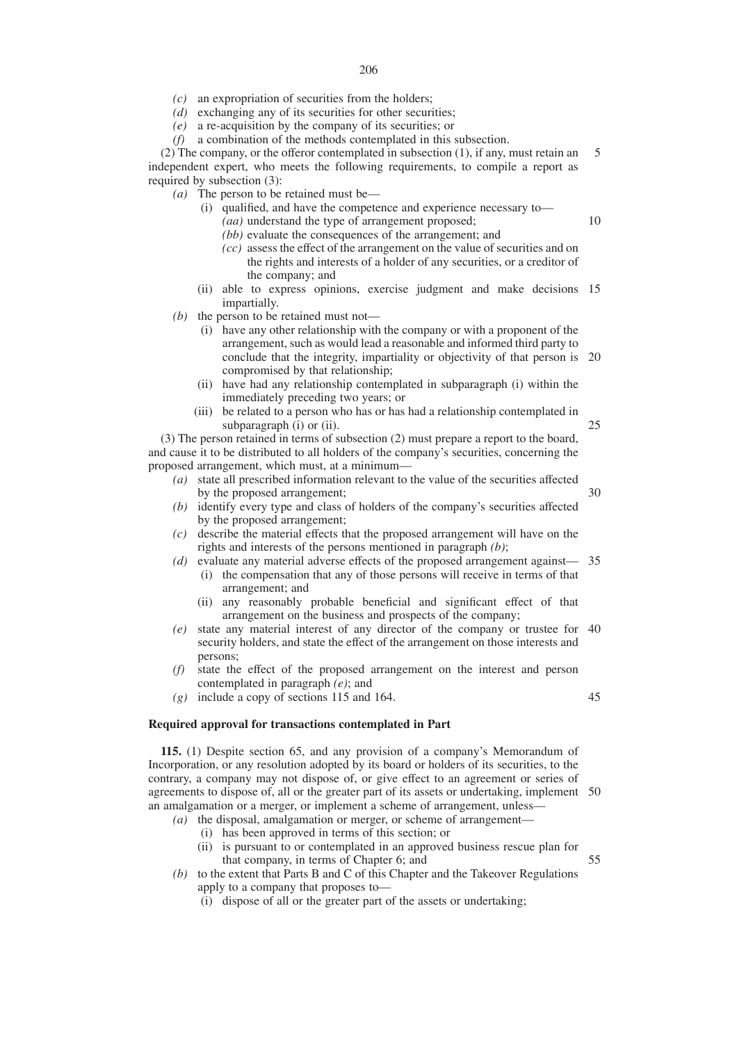- *(c)* an expropriation of securities from the holders;
- *(d)* exchanging any of its securities for other securities;
- *(e)* a re-acquisition by the company of its securities; or
- *(f)* a combination of the methods contemplated in this subsection.

(2) The company, or the offeror contemplated in subsection (1), if any, must retain an independent expert, who meets the following requirements, to compile a report as required by subsection (3): 5

- *(a)* The person to be retained must be—
	- (i) qualified, and have the competence and experience necessary to—
		- *(aa)* understand the type of arrangement proposed;
		- *(bb)* evaluate the consequences of the arrangement; and
		- *(cc)* assess the effect of the arrangement on the value of securities and on the rights and interests of a holder of any securities, or a creditor of the company; and

10

25

30

45

- (ii) able to express opinions, exercise judgment and make decisions 15 impartially.
- *(b)* the person to be retained must not—
	- (i) have any other relationship with the company or with a proponent of the arrangement, such as would lead a reasonable and informed third party to conclude that the integrity, impartiality or objectivity of that person is 20 compromised by that relationship;
	- (ii) have had any relationship contemplated in subparagraph (i) within the immediately preceding two years; or
	- (iii) be related to a person who has or has had a relationship contemplated in subparagraph (i) or (ii).

(3) The person retained in terms of subsection (2) must prepare a report to the board, and cause it to be distributed to all holders of the company's securities, concerning the proposed arrangement, which must, at a minimum—

- *(a)* state all prescribed information relevant to the value of the securities affected by the proposed arrangement;
- *(b)* identify every type and class of holders of the company's securities affected by the proposed arrangement;
- *(c)* describe the material effects that the proposed arrangement will have on the rights and interests of the persons mentioned in paragraph *(b)*;
- *(d)* evaluate any material adverse effects of the proposed arrangement against— 35 (i) the compensation that any of those persons will receive in terms of that arrangement; and
	- (ii) any reasonably probable beneficial and significant effect of that arrangement on the business and prospects of the company;
- *(e)* state any material interest of any director of the company or trustee for 40 security holders, and state the effect of the arrangement on those interests and persons;
- *(f)* state the effect of the proposed arrangement on the interest and person contemplated in paragraph *(e)*; and
- *(g)* include a copy of sections 115 and 164.

## **Required approval for transactions contemplated in Part**

**115.** (1) Despite section 65, and any provision of a company's Memorandum of Incorporation, or any resolution adopted by its board or holders of its securities, to the contrary, a company may not dispose of, or give effect to an agreement or series of agreements to dispose of, all or the greater part of its assets or undertaking, implement 50 an amalgamation or a merger, or implement a scheme of arrangement, unless—

- *(a)* the disposal, amalgamation or merger, or scheme of arrangement—
	- (i) has been approved in terms of this section; or
	- (ii) is pursuant to or contemplated in an approved business rescue plan for that company, in terms of Chapter 6; and 55
- *(b)* to the extent that Parts B and C of this Chapter and the Takeover Regulations apply to a company that proposes to—
	- (i) dispose of all or the greater part of the assets or undertaking;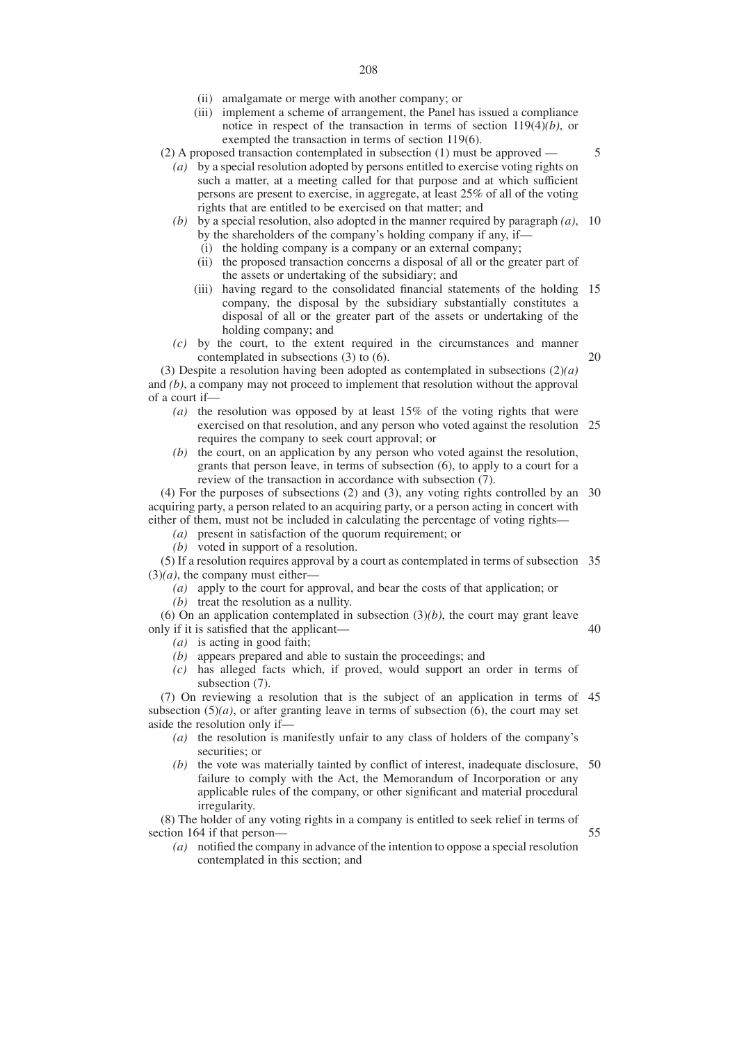- (ii) amalgamate or merge with another company; or
- (iii) implement a scheme of arrangement, the Panel has issued a compliance notice in respect of the transaction in terms of section 119(4)*(b)*, or exempted the transaction in terms of section 119(6).

(2) A proposed transaction contemplated in subsection (1) must be approved —

- *(a)* by a special resolution adopted by persons entitled to exercise voting rights on such a matter, at a meeting called for that purpose and at which sufficient persons are present to exercise, in aggregate, at least 25% of all of the voting rights that are entitled to be exercised on that matter; and
- *(b)* by a special resolution, also adopted in the manner required by paragraph *(a)*, 10 by the shareholders of the company's holding company if any, if—
	- (i) the holding company is a company or an external company;
	- (ii) the proposed transaction concerns a disposal of all or the greater part of the assets or undertaking of the subsidiary; and
	- (iii) having regard to the consolidated financial statements of the holding 15 company, the disposal by the subsidiary substantially constitutes a disposal of all or the greater part of the assets or undertaking of the holding company; and
- *(c)* by the court, to the extent required in the circumstances and manner contemplated in subsections (3) to (6).

(3) Despite a resolution having been adopted as contemplated in subsections (2)*(a)* and *(b)*, a company may not proceed to implement that resolution without the approval of a court if—

- *(a)* the resolution was opposed by at least 15% of the voting rights that were exercised on that resolution, and any person who voted against the resolution 25 requires the company to seek court approval; or
- *(b)* the court, on an application by any person who voted against the resolution, grants that person leave, in terms of subsection (6), to apply to a court for a review of the transaction in accordance with subsection (7).

(4) For the purposes of subsections (2) and (3), any voting rights controlled by an 30 acquiring party, a person related to an acquiring party, or a person acting in concert with either of them, must not be included in calculating the percentage of voting rights—

- *(a)* present in satisfaction of the quorum requirement; or
- *(b)* voted in support of a resolution.

(5) If a resolution requires approval by a court as contemplated in terms of subsection 35  $(3)(a)$ , the company must either-

- *(a)* apply to the court for approval, and bear the costs of that application; or
- *(b)* treat the resolution as a nullity.

(6) On an application contemplated in subsection (3)*(b)*, the court may grant leave only if it is satisfied that the applicant—

- *(a)* is acting in good faith;
- *(b)* appears prepared and able to sustain the proceedings; and
- *(c)* has alleged facts which, if proved, would support an order in terms of subsection  $(7)$ .

(7) On reviewing a resolution that is the subject of an application in terms of 45 subsection  $(5)(a)$ , or after granting leave in terms of subsection  $(6)$ , the court may set aside the resolution only if—

- *(a)* the resolution is manifestly unfair to any class of holders of the company's securities; or
- *(b)* the vote was materially tainted by conflict of interest, inadequate disclosure, 50 failure to comply with the Act, the Memorandum of Incorporation or any applicable rules of the company, or other significant and material procedural irregularity.

(8) The holder of any voting rights in a company is entitled to seek relief in terms of section 164 if that person—

*(a)* notified the company in advance of the intention to oppose a special resolution contemplated in this section; and

5

20

40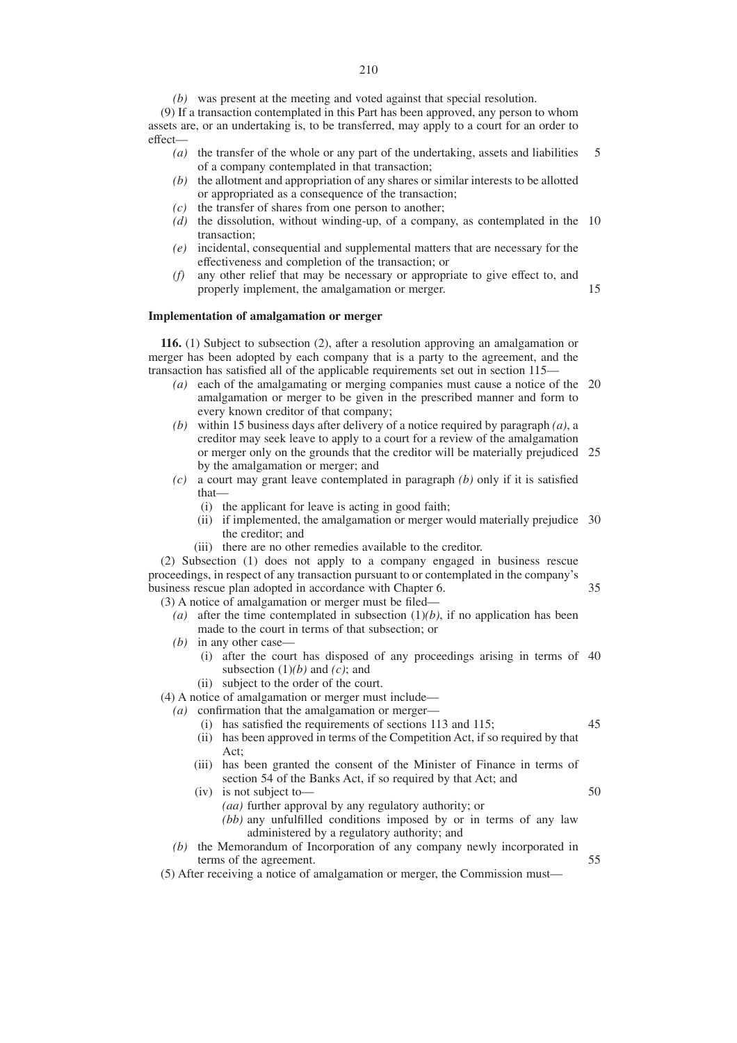*(b)* was present at the meeting and voted against that special resolution.

(9) If a transaction contemplated in this Part has been approved, any person to whom assets are, or an undertaking is, to be transferred, may apply to a court for an order to effect—

- *(a)* the transfer of the whole or any part of the undertaking, assets and liabilities of a company contemplated in that transaction; 5
- *(b)* the allotment and appropriation of any shares or similar interests to be allotted or appropriated as a consequence of the transaction;
- *(c)* the transfer of shares from one person to another;
- *(d)* the dissolution, without winding-up, of a company, as contemplated in the 10 transaction;
- *(e)* incidental, consequential and supplemental matters that are necessary for the effectiveness and completion of the transaction; or
- *(f)* any other relief that may be necessary or appropriate to give effect to, and properly implement, the amalgamation or merger.

15

45

### **Implementation of amalgamation or merger**

**116.** (1) Subject to subsection (2), after a resolution approving an amalgamation or merger has been adopted by each company that is a party to the agreement, and the transaction has satisfied all of the applicable requirements set out in section 115—

- *(a)* each of the amalgamating or merging companies must cause a notice of the 20 amalgamation or merger to be given in the prescribed manner and form to every known creditor of that company;
- *(b)* within 15 business days after delivery of a notice required by paragraph *(a)*, a creditor may seek leave to apply to a court for a review of the amalgamation or merger only on the grounds that the creditor will be materially prejudiced 25 by the amalgamation or merger; and
- *(c)* a court may grant leave contemplated in paragraph *(b)* only if it is satisfied that—
	- (i) the applicant for leave is acting in good faith;
	- (ii) if implemented, the amalgamation or merger would materially prejudice 30 the creditor; and
	- (iii) there are no other remedies available to the creditor.

(2) Subsection (1) does not apply to a company engaged in business rescue proceedings, in respect of any transaction pursuant to or contemplated in the company's business rescue plan adopted in accordance with Chapter 6. (3) A notice of amalgamation or merger must be filed— 35

- (a) after the time contemplated in subsection  $(1)(b)$ , if no application has been made to the court in terms of that subsection; or
- *(b)* in any other case—
	- (i) after the court has disposed of any proceedings arising in terms of 40 subsection  $(1)(b)$  and  $(c)$ ; and
	- (ii) subject to the order of the court.

(4) A notice of amalgamation or merger must include—

- *(a)* confirmation that the amalgamation or merger—
	- (i) has satisfied the requirements of sections 113 and 115;
	- (ii) has been approved in terms of the Competition Act, if so required by that Act;
	- (iii) has been granted the consent of the Minister of Finance in terms of section 54 of the Banks Act, if so required by that Act; and
	- (iv) is not subject to— *(aa)* further approval by any regulatory authority; or 50
		- *(bb)* any unfulfilled conditions imposed by or in terms of any law administered by a regulatory authority; and
- *(b)* the Memorandum of Incorporation of any company newly incorporated in terms of the agreement. 55
- (5) After receiving a notice of amalgamation or merger, the Commission must—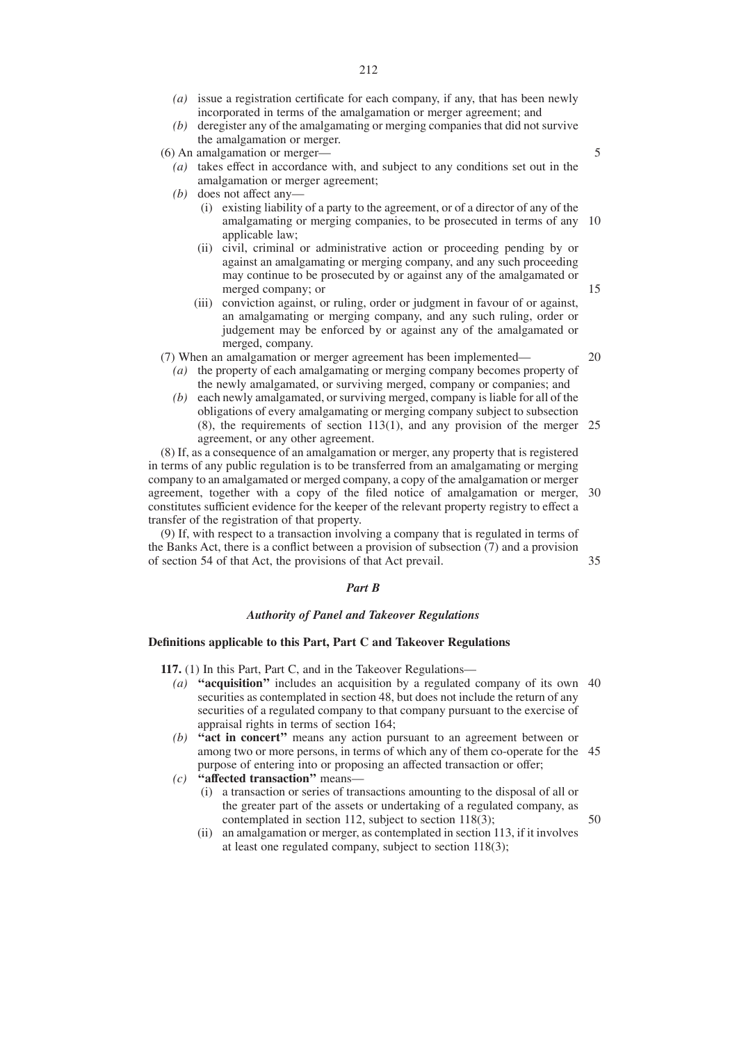- *(a)* issue a registration certificate for each company, if any, that has been newly incorporated in terms of the amalgamation or merger agreement; and
- *(b)* deregister any of the amalgamating or merging companies that did not survive the amalgamation or merger.

(6) An amalgamation or merger—

- *(a)* takes effect in accordance with, and subject to any conditions set out in the amalgamation or merger agreement;
- *(b)* does not affect any—
	- (i) existing liability of a party to the agreement, or of a director of any of the amalgamating or merging companies, to be prosecuted in terms of any 10 applicable law;
	- (ii) civil, criminal or administrative action or proceeding pending by or against an amalgamating or merging company, and any such proceeding may continue to be prosecuted by or against any of the amalgamated or merged company; or
	- (iii) conviction against, or ruling, order or judgment in favour of or against, an amalgamating or merging company, and any such ruling, order or judgement may be enforced by or against any of the amalgamated or merged, company.

(7) When an amalgamation or merger agreement has been implemented—

20

50

15

- *(a)* the property of each amalgamating or merging company becomes property of the newly amalgamated, or surviving merged, company or companies; and *(b)* each newly amalgamated, or surviving merged, company is liable for all of the obligations of every amalgamating or merging company subject to subsection
	- (8), the requirements of section 113(1), and any provision of the merger 25 agreement, or any other agreement.

(8) If, as a consequence of an amalgamation or merger, any property that is registered in terms of any public regulation is to be transferred from an amalgamating or merging company to an amalgamated or merged company, a copy of the amalgamation or merger agreement, together with a copy of the filed notice of amalgamation or merger, 30 constitutes sufficient evidence for the keeper of the relevant property registry to effect a transfer of the registration of that property.

(9) If, with respect to a transaction involving a company that is regulated in terms of the Banks Act, there is a conflict between a provision of subsection (7) and a provision of section 54 of that Act, the provisions of that Act prevail. 35

## *Part B*

### *Authority of Panel and Takeover Regulations*

## **Definitions applicable to this Part, Part C and Takeover Regulations**

**117.** (1) In this Part, Part C, and in the Takeover Regulations—

- *(a)* **''acquisition''** includes an acquisition by a regulated company of its own 40 securities as contemplated in section 48, but does not include the return of any securities of a regulated company to that company pursuant to the exercise of appraisal rights in terms of section 164;
- *(b)* **''act in concert''** means any action pursuant to an agreement between or among two or more persons, in terms of which any of them co-operate for the 45 purpose of entering into or proposing an affected transaction or offer;
- *(c)* **''affected transaction''** means—
	- (i) a transaction or series of transactions amounting to the disposal of all or the greater part of the assets or undertaking of a regulated company, as contemplated in section 112, subject to section 118(3);
	- (ii) an amalgamation or merger, as contemplated in section 113, if it involves at least one regulated company, subject to section 118(3);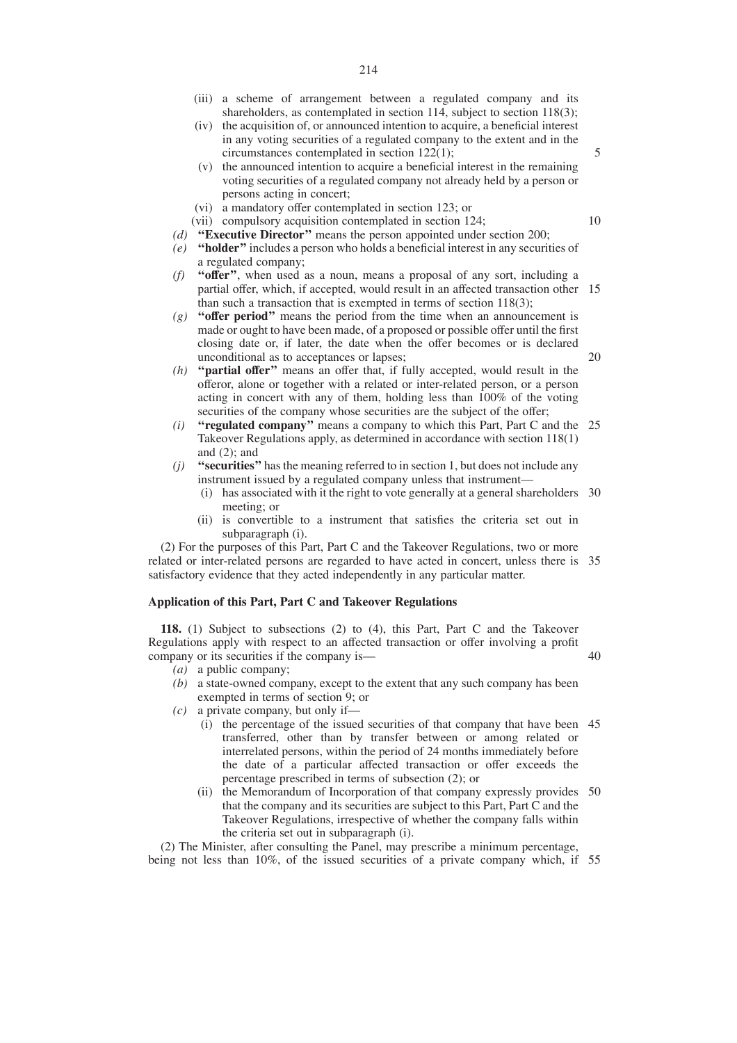- (iv) the acquisition of, or announced intention to acquire, a beneficial interest in any voting securities of a regulated company to the extent and in the circumstances contemplated in section 122(1);
- (v) the announced intention to acquire a beneficial interest in the remaining voting securities of a regulated company not already held by a person or persons acting in concert;
- (vi) a mandatory offer contemplated in section 123; or
- (vii) compulsory acquisition contemplated in section 124;
- *(d)* **''Executive Director''** means the person appointed under section 200;
- *(e)* **''holder''** includes a person who holds a beneficial interest in any securities of a regulated company;
- *(f)* **''offer''**, when used as a noun, means a proposal of any sort, including a partial offer, which, if accepted, would result in an affected transaction other 15 than such a transaction that is exempted in terms of section 118(3);
- *(g)* **''offer period''** means the period from the time when an announcement is made or ought to have been made, of a proposed or possible offer until the first closing date or, if later, the date when the offer becomes or is declared unconditional as to acceptances or lapses;

20

40

5

10

- *(h)* **''partial offer''** means an offer that, if fully accepted, would result in the offeror, alone or together with a related or inter-related person, or a person acting in concert with any of them, holding less than 100% of the voting securities of the company whose securities are the subject of the offer;
- *(i)* **''regulated company''** means a company to which this Part, Part C and the 25 Takeover Regulations apply, as determined in accordance with section 118(1) and  $(2)$ ; and
- *(j)* **''securities''** has the meaning referred to in section 1, but does not include any instrument issued by a regulated company unless that instrument—
	- (i) has associated with it the right to vote generally at a general shareholders 30 meeting; or
	- (ii) is convertible to a instrument that satisfies the criteria set out in subparagraph (i).

(2) For the purposes of this Part, Part C and the Takeover Regulations, two or more related or inter-related persons are regarded to have acted in concert, unless there is 35 satisfactory evidence that they acted independently in any particular matter.

## **Application of this Part, Part C and Takeover Regulations**

**118.** (1) Subject to subsections (2) to (4), this Part, Part C and the Takeover Regulations apply with respect to an affected transaction or offer involving a profit company or its securities if the company is—

- *(a)* a public company;
- *(b)* a state-owned company, except to the extent that any such company has been
- exempted in terms of section 9; or
- *(c)* a private company, but only if—
	- (i) the percentage of the issued securities of that company that have been 45 transferred, other than by transfer between or among related or interrelated persons, within the period of 24 months immediately before the date of a particular affected transaction or offer exceeds the percentage prescribed in terms of subsection (2); or
	- (ii) the Memorandum of Incorporation of that company expressly provides 50 that the company and its securities are subject to this Part, Part C and the Takeover Regulations, irrespective of whether the company falls within the criteria set out in subparagraph (i).

(2) The Minister, after consulting the Panel, may prescribe a minimum percentage, being not less than 10%, of the issued securities of a private company which, if 55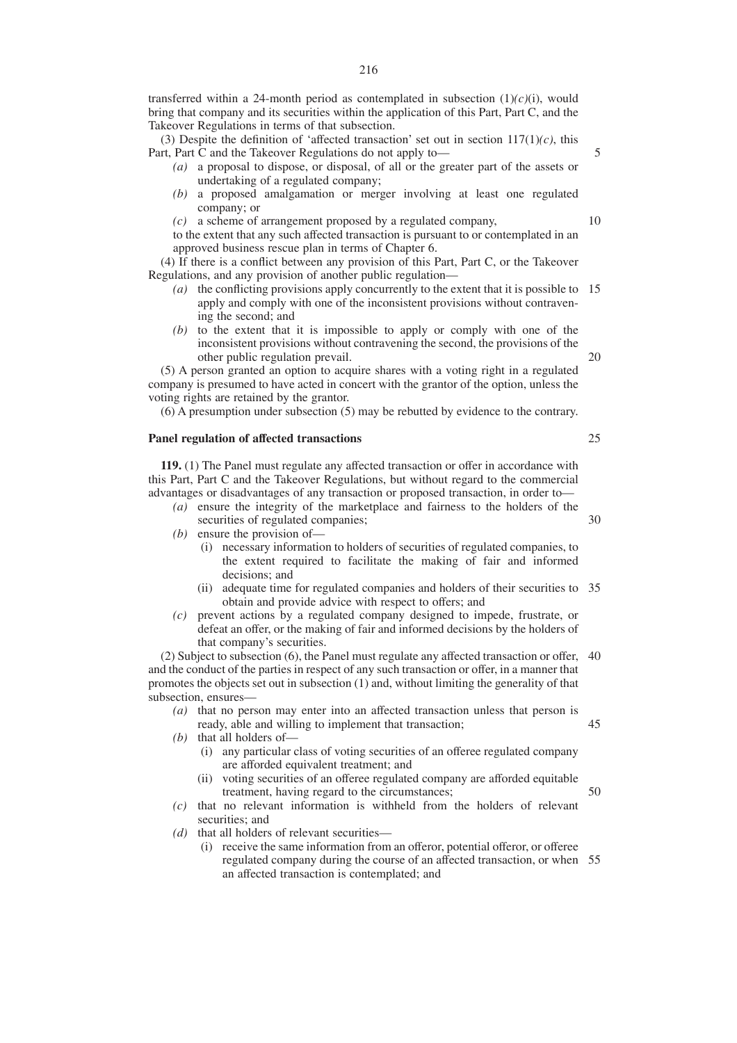transferred within a 24-month period as contemplated in subsection  $(1)(c)(i)$ , would bring that company and its securities within the application of this Part, Part C, and the Takeover Regulations in terms of that subsection.

(3) Despite the definition of 'affected transaction' set out in section  $117(1)(c)$ , this Part, Part C and the Takeover Regulations do not apply to—

- *(a)* a proposal to dispose, or disposal, of all or the greater part of the assets or undertaking of a regulated company;
- *(b)* a proposed amalgamation or merger involving at least one regulated company; or
- *(c)* a scheme of arrangement proposed by a regulated company,

to the extent that any such affected transaction is pursuant to or contemplated in an approved business rescue plan in terms of Chapter 6.

(4) If there is a conflict between any provision of this Part, Part C, or the Takeover Regulations, and any provision of another public regulation—

- *(a)* the conflicting provisions apply concurrently to the extent that it is possible to 15 apply and comply with one of the inconsistent provisions without contravening the second; and
- *(b)* to the extent that it is impossible to apply or comply with one of the inconsistent provisions without contravening the second, the provisions of the other public regulation prevail.

(5) A person granted an option to acquire shares with a voting right in a regulated company is presumed to have acted in concert with the grantor of the option, unless the voting rights are retained by the grantor.

(6) A presumption under subsection (5) may be rebutted by evidence to the contrary.

## **Panel regulation of affected transactions**

**119.** (1) The Panel must regulate any affected transaction or offer in accordance with this Part, Part C and the Takeover Regulations, but without regard to the commercial advantages or disadvantages of any transaction or proposed transaction, in order to—

- *(a)* ensure the integrity of the marketplace and fairness to the holders of the securities of regulated companies;
- *(b)* ensure the provision of—
	- (i) necessary information to holders of securities of regulated companies, to the extent required to facilitate the making of fair and informed decisions; and
	- (ii) adequate time for regulated companies and holders of their securities to 35 obtain and provide advice with respect to offers; and
- *(c)* prevent actions by a regulated company designed to impede, frustrate, or defeat an offer, or the making of fair and informed decisions by the holders of that company's securities.

(2) Subject to subsection (6), the Panel must regulate any affected transaction or offer, 40 and the conduct of the parties in respect of any such transaction or offer, in a manner that promotes the objects set out in subsection (1) and, without limiting the generality of that subsection, ensures—

- *(a)* that no person may enter into an affected transaction unless that person is ready, able and willing to implement that transaction;
- *(b)* that all holders of—
	- (i) any particular class of voting securities of an offeree regulated company are afforded equivalent treatment; and
	- (ii) voting securities of an offeree regulated company are afforded equitable treatment, having regard to the circumstances;
- *(c)* that no relevant information is withheld from the holders of relevant securities; and
- *(d)* that all holders of relevant securities—
	- (i) receive the same information from an offeror, potential offeror, or offeree regulated company during the course of an affected transaction, or when 55an affected transaction is contemplated; and

5

20

10

30

45

50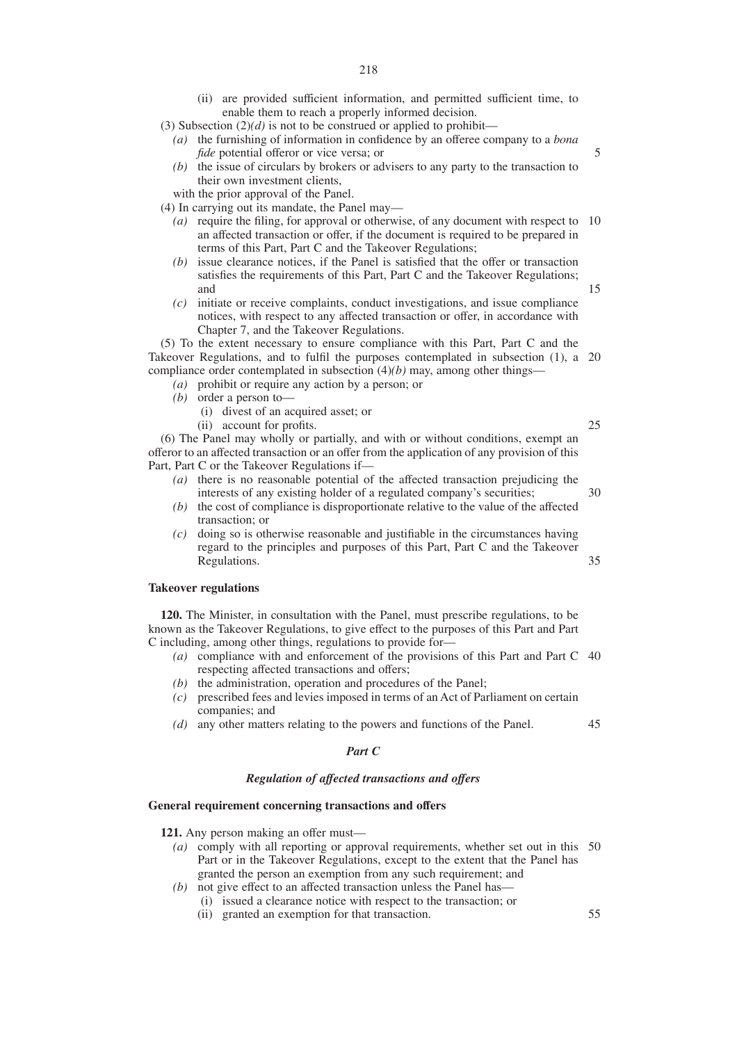- (ii) are provided sufficient information, and permitted sufficient time, to enable them to reach a properly informed decision.
- (3) Subsection  $(2)(d)$  is not to be construed or applied to prohibit—
	- *(a)* the furnishing of information in confidence by an offeree company to a *bona fide* potential offeror or vice versa; or
	- *(b)* the issue of circulars by brokers or advisers to any party to the transaction to their own investment clients,

with the prior approval of the Panel.

(4) In carrying out its mandate, the Panel may—

- *(a)* require the filing, for approval or otherwise, of any document with respect to 10 an affected transaction or offer, if the document is required to be prepared in terms of this Part, Part C and the Takeover Regulations;
- *(b)* issue clearance notices, if the Panel is satisfied that the offer or transaction satisfies the requirements of this Part, Part C and the Takeover Regulations; and
- *(c)* initiate or receive complaints, conduct investigations, and issue compliance notices, with respect to any affected transaction or offer, in accordance with Chapter 7, and the Takeover Regulations.

(5) To the extent necessary to ensure compliance with this Part, Part C and the Takeover Regulations, and to fulfil the purposes contemplated in subsection (1), a 20 compliance order contemplated in subsection (4)*(b)* may, among other things—

- *(a)* prohibit or require any action by a person; or
- *(b)* order a person to—
	- (i) divest of an acquired asset; or
	- (ii) account for profits.

(6) The Panel may wholly or partially, and with or without conditions, exempt an offeror to an affected transaction or an offer from the application of any provision of this Part, Part C or the Takeover Regulations if—

- *(a)* there is no reasonable potential of the affected transaction prejudicing the interests of any existing holder of a regulated company's securities; 30
- *(b)* the cost of compliance is disproportionate relative to the value of the affected transaction; or
- *(c)* doing so is otherwise reasonable and justifiable in the circumstances having regard to the principles and purposes of this Part, Part C and the Takeover Regulations. 35

## **Takeover regulations**

**120.** The Minister, in consultation with the Panel, must prescribe regulations, to be known as the Takeover Regulations, to give effect to the purposes of this Part and Part C including, among other things, regulations to provide for—

- *(a)* compliance with and enforcement of the provisions of this Part and Part C 40 respecting affected transactions and offers;
- *(b)* the administration, operation and procedures of the Panel;
- *(c)* prescribed fees and levies imposed in terms of an Act of Parliament on certain companies; and
- *(d)* any other matters relating to the powers and functions of the Panel.

# *Part C*

# *Regulation of affected transactions and offers*

#### **General requirement concerning transactions and offers**

**121.** Any person making an offer must—

- *(a)* comply with all reporting or approval requirements, whether set out in this 50 Part or in the Takeover Regulations, except to the extent that the Panel has granted the person an exemption from any such requirement; and
- *(b)* not give effect to an affected transaction unless the Panel has-
	- (i) issued a clearance notice with respect to the transaction; or
		- (ii) granted an exemption for that transaction.

25

45

55

5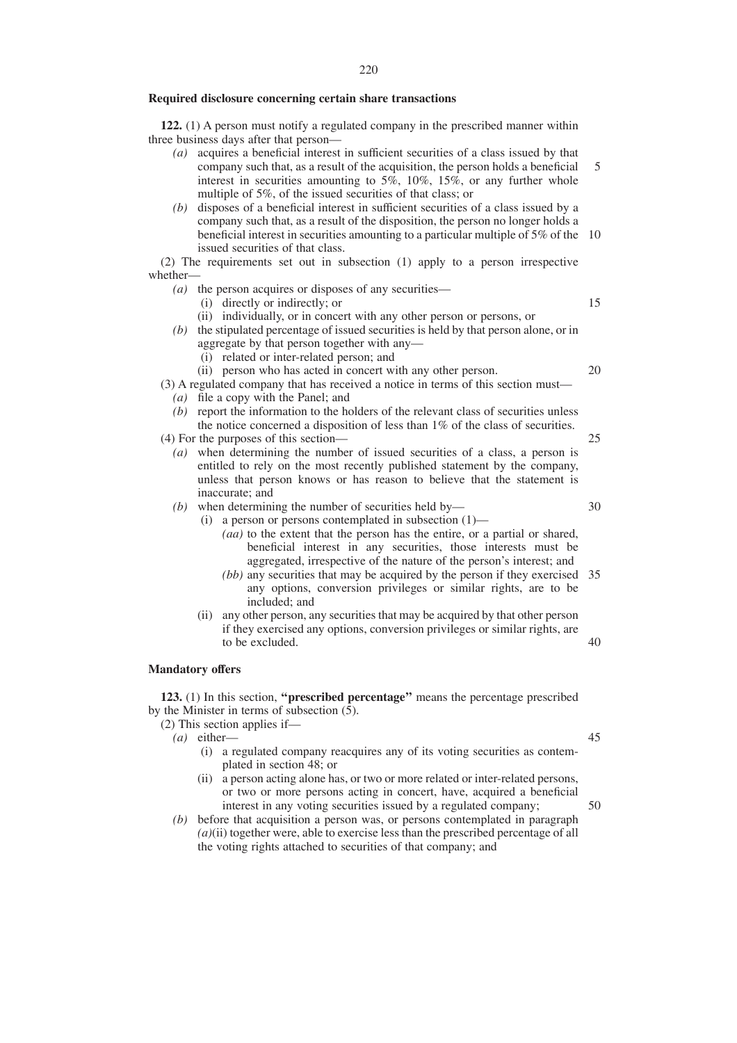**122.** (1) A person must notify a regulated company in the prescribed manner within three business days after that person—

- *(a)* acquires a beneficial interest in sufficient securities of a class issued by that company such that, as a result of the acquisition, the person holds a beneficial interest in securities amounting to  $5\%$ ,  $10\%$ ,  $15\%$ , or any further whole multiple of 5%, of the issued securities of that class; or 5
- *(b)* disposes of a beneficial interest in sufficient securities of a class issued by a company such that, as a result of the disposition, the person no longer holds a beneficial interest in securities amounting to a particular multiple of 5% of the 10 issued securities of that class.

(2) The requirements set out in subsection (1) apply to a person irrespective whether—

- *(a)* the person acquires or disposes of any securities—
	- (i) directly or indirectly; or
	- (ii) individually, or in concert with any other person or persons, or
- *(b)* the stipulated percentage of issued securities is held by that person alone, or in aggregate by that person together with any—
	- (i) related or inter-related person; and
	- (ii) person who has acted in concert with any other person.
- (3) A regulated company that has received a notice in terms of this section must—
	- *(a)* file a copy with the Panel; and
	- *(b)* report the information to the holders of the relevant class of securities unless the notice concerned a disposition of less than 1% of the class of securities.
- (4) For the purposes of this section—
	- *(a)* when determining the number of issued securities of a class, a person is entitled to rely on the most recently published statement by the company, unless that person knows or has reason to believe that the statement is inaccurate; and

## *(b)* when determining the number of securities held by—

- (i) a person or persons contemplated in subsection (1)—
	- *(aa)* to the extent that the person has the entire, or a partial or shared, beneficial interest in any securities, those interests must be aggregated, irrespective of the nature of the person's interest; and
	- *(bb)* any securities that may be acquired by the person if they exercised 35 any options, conversion privileges or similar rights, are to be included; and
- (ii) any other person, any securities that may be acquired by that other person if they exercised any options, conversion privileges or similar rights, are to be excluded. 40

## **Mandatory offers**

**123.** (1) In this section, **''prescribed percentage''** means the percentage prescribed by the Minister in terms of subsection  $(5)$ .

(2) This section applies if—

- *(a)* either—
	- (i) a regulated company reacquires any of its voting securities as contemplated in section 48; or
	- (ii) a person acting alone has, or two or more related or inter-related persons, or two or more persons acting in concert, have, acquired a beneficial interest in any voting securities issued by a regulated company;
- *(b)* before that acquisition a person was, or persons contemplated in paragraph *(a)*(ii) together were, able to exercise less than the prescribed percentage of all the voting rights attached to securities of that company; and

45

50

15

20

25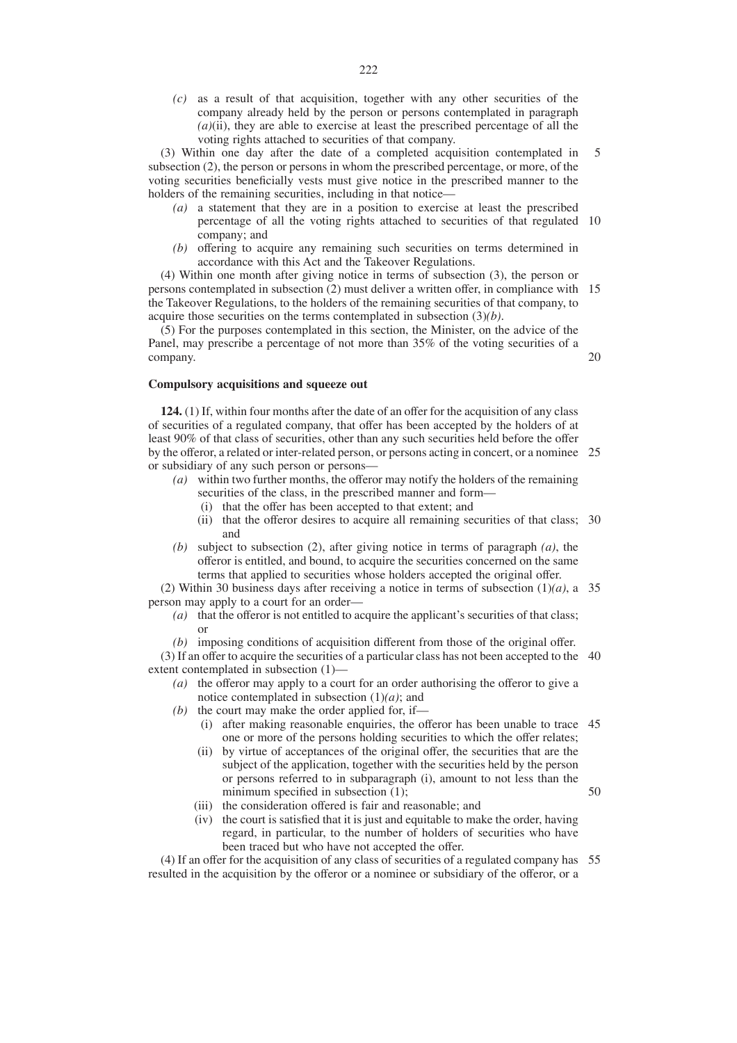*(c)* as a result of that acquisition, together with any other securities of the company already held by the person or persons contemplated in paragraph *(a)*(ii), they are able to exercise at least the prescribed percentage of all the voting rights attached to securities of that company.

(3) Within one day after the date of a completed acquisition contemplated in subsection (2), the person or persons in whom the prescribed percentage, or more, of the voting securities beneficially vests must give notice in the prescribed manner to the holders of the remaining securities, including in that notice— 5

- *(a)* a statement that they are in a position to exercise at least the prescribed percentage of all the voting rights attached to securities of that regulated 10 company; and
- *(b)* offering to acquire any remaining such securities on terms determined in accordance with this Act and the Takeover Regulations.

(4) Within one month after giving notice in terms of subsection (3), the person or persons contemplated in subsection (2) must deliver a written offer, in compliance with 15 the Takeover Regulations, to the holders of the remaining securities of that company, to acquire those securities on the terms contemplated in subsection (3)*(b)*.

(5) For the purposes contemplated in this section, the Minister, on the advice of the Panel, may prescribe a percentage of not more than 35% of the voting securities of a company.

20

## **Compulsory acquisitions and squeeze out**

**124.** (1) If, within four months after the date of an offer for the acquisition of any class of securities of a regulated company, that offer has been accepted by the holders of at least 90% of that class of securities, other than any such securities held before the offer by the offeror, a related or inter-related person, or persons acting in concert, or a nominee 25 or subsidiary of any such person or persons—

- *(a)* within two further months, the offeror may notify the holders of the remaining securities of the class, in the prescribed manner and form—
	- (i) that the offer has been accepted to that extent; and
	- (ii) that the offeror desires to acquire all remaining securities of that class; 30 and
- *(b)* subject to subsection (2), after giving notice in terms of paragraph *(a)*, the offeror is entitled, and bound, to acquire the securities concerned on the same terms that applied to securities whose holders accepted the original offer.

(2) Within 30 business days after receiving a notice in terms of subsection (1)*(a)*, a 35 person may apply to a court for an order—

- *(a)* that the offeror is not entitled to acquire the applicant's securities of that class; or
- *(b)* imposing conditions of acquisition different from those of the original offer.

(3) If an offer to acquire the securities of a particular class has not been accepted to the 40 extent contemplated in subsection (1)—

- *(a)* the offeror may apply to a court for an order authorising the offeror to give a notice contemplated in subsection (1)*(a)*; and
- *(b)* the court may make the order applied for, if—
	- (i) after making reasonable enquiries, the offeror has been unable to trace 45 one or more of the persons holding securities to which the offer relates;
	- (ii) by virtue of acceptances of the original offer, the securities that are the subject of the application, together with the securities held by the person or persons referred to in subparagraph (i), amount to not less than the minimum specified in subsection (1);
		- 50
	- (iii) the consideration offered is fair and reasonable; and
	- (iv) the court is satisfied that it is just and equitable to make the order, having regard, in particular, to the number of holders of securities who have been traced but who have not accepted the offer.

(4) If an offer for the acquisition of any class of securities of a regulated company has 55resulted in the acquisition by the offeror or a nominee or subsidiary of the offeror, or a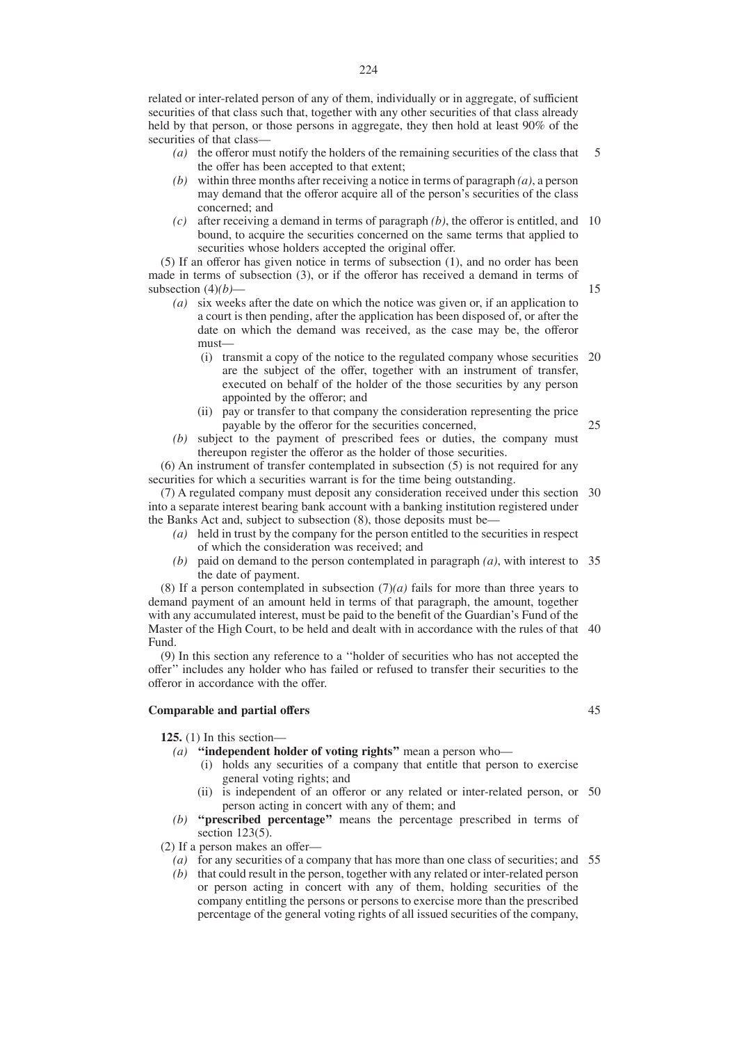related or inter-related person of any of them, individually or in aggregate, of sufficient securities of that class such that, together with any other securities of that class already held by that person, or those persons in aggregate, they then hold at least 90% of the securities of that class—

- *(a)* the offeror must notify the holders of the remaining securities of the class that the offer has been accepted to that extent; 5
- *(b)* within three months after receiving a notice in terms of paragraph *(a)*, a person may demand that the offeror acquire all of the person's securities of the class concerned; and
- *(c)* after receiving a demand in terms of paragraph *(b)*, the offeror is entitled, and 10 bound, to acquire the securities concerned on the same terms that applied to securities whose holders accepted the original offer.

(5) If an offeror has given notice in terms of subsection (1), and no order has been made in terms of subsection (3), or if the offeror has received a demand in terms of subsection (4)*(b)*—

- *(a)* six weeks after the date on which the notice was given or, if an application to a court is then pending, after the application has been disposed of, or after the date on which the demand was received, as the case may be, the offeror must—
	- (i) transmit a copy of the notice to the regulated company whose securities 20 are the subject of the offer, together with an instrument of transfer, executed on behalf of the holder of the those securities by any person appointed by the offeror; and
	- (ii) pay or transfer to that company the consideration representing the price payable by the offeror for the securities concerned, 25
- *(b)* subject to the payment of prescribed fees or duties, the company must thereupon register the offeror as the holder of those securities.

(6) An instrument of transfer contemplated in subsection (5) is not required for any securities for which a securities warrant is for the time being outstanding.

(7) A regulated company must deposit any consideration received under this section 30 into a separate interest bearing bank account with a banking institution registered under the Banks Act and, subject to subsection (8), those deposits must be—

- *(a)* held in trust by the company for the person entitled to the securities in respect of which the consideration was received; and
- *(b)* paid on demand to the person contemplated in paragraph *(a)*, with interest to 35 the date of payment.

(8) If a person contemplated in subsection (7)*(a)* fails for more than three years to demand payment of an amount held in terms of that paragraph, the amount, together with any accumulated interest, must be paid to the benefit of the Guardian's Fund of the Master of the High Court, to be held and dealt with in accordance with the rules of that 40 Fund.

(9) In this section any reference to a ''holder of securities who has not accepted the offer'' includes any holder who has failed or refused to transfer their securities to the offeror in accordance with the offer.

## **Comparable and partial offers**

**125.** (1) In this section—

- *(a)* **''independent holder of voting rights''** mean a person who—
	- (i) holds any securities of a company that entitle that person to exercise general voting rights; and
	- (ii) is independent of an offeror or any related or inter-related person, or 50 person acting in concert with any of them; and
- *(b)* **''prescribed percentage''** means the percentage prescribed in terms of section 123(5).

(2) If a person makes an offer—

- *(a)* for any securities of a company that has more than one class of securities; and 55
- *(b)* that could result in the person, together with any related or inter-related person or person acting in concert with any of them, holding securities of the company entitling the persons or persons to exercise more than the prescribed percentage of the general voting rights of all issued securities of the company,

45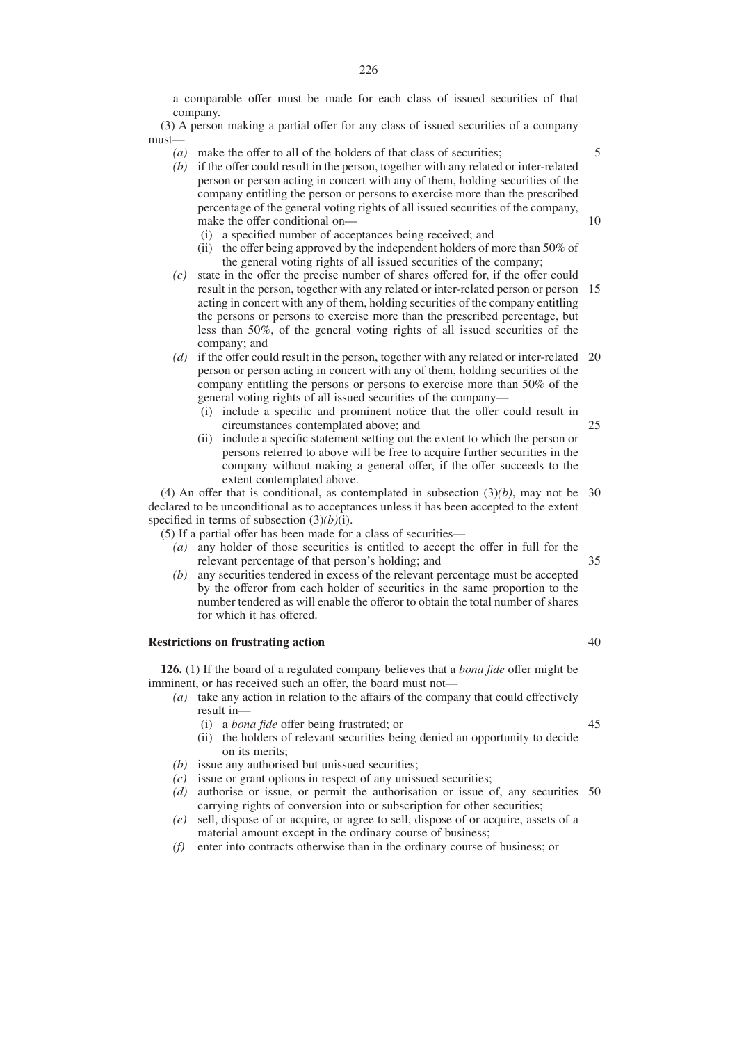a comparable offer must be made for each class of issued securities of that company.

(3) A person making a partial offer for any class of issued securities of a company must—

- *(a)* make the offer to all of the holders of that class of securities;
- *(b)* if the offer could result in the person, together with any related or inter-related person or person acting in concert with any of them, holding securities of the company entitling the person or persons to exercise more than the prescribed percentage of the general voting rights of all issued securities of the company, make the offer conditional on—
	- (i) a specified number of acceptances being received; and
	- (ii) the offer being approved by the independent holders of more than 50% of the general voting rights of all issued securities of the company;
- *(c)* state in the offer the precise number of shares offered for, if the offer could result in the person, together with any related or inter-related person or person 15 acting in concert with any of them, holding securities of the company entitling the persons or persons to exercise more than the prescribed percentage, but less than 50%, of the general voting rights of all issued securities of the company; and
- (d) if the offer could result in the person, together with any related or inter-related 20 person or person acting in concert with any of them, holding securities of the company entitling the persons or persons to exercise more than 50% of the general voting rights of all issued securities of the company—
	- (i) include a specific and prominent notice that the offer could result in circumstances contemplated above; and 25
	- (ii) include a specific statement setting out the extent to which the person or persons referred to above will be free to acquire further securities in the company without making a general offer, if the offer succeeds to the extent contemplated above.

(4) An offer that is conditional, as contemplated in subsection  $(3)(b)$ , may not be 30 declared to be unconditional as to acceptances unless it has been accepted to the extent specified in terms of subsection (3)*(b)*(i).

(5) If a partial offer has been made for a class of securities—

- *(a)* any holder of those securities is entitled to accept the offer in full for the relevant percentage of that person's holding; and 35
- *(b)* any securities tendered in excess of the relevant percentage must be accepted by the offeror from each holder of securities in the same proportion to the number tendered as will enable the offeror to obtain the total number of shares for which it has offered.

#### **Restrictions on frustrating action**

**126.** (1) If the board of a regulated company believes that a *bona fide* offer might be imminent, or has received such an offer, the board must not—

- *(a)* take any action in relation to the affairs of the company that could effectively result in—
	- (i) a *bona fide* offer being frustrated; or
	- (ii) the holders of relevant securities being denied an opportunity to decide on its merits;
- *(b)* issue any authorised but unissued securities;
- *(c)* issue or grant options in respect of any unissued securities;
- *(d)* authorise or issue, or permit the authorisation or issue of, any securities 50carrying rights of conversion into or subscription for other securities;
- *(e)* sell, dispose of or acquire, or agree to sell, dispose of or acquire, assets of a material amount except in the ordinary course of business;
- *(f)* enter into contracts otherwise than in the ordinary course of business; or

45

40

10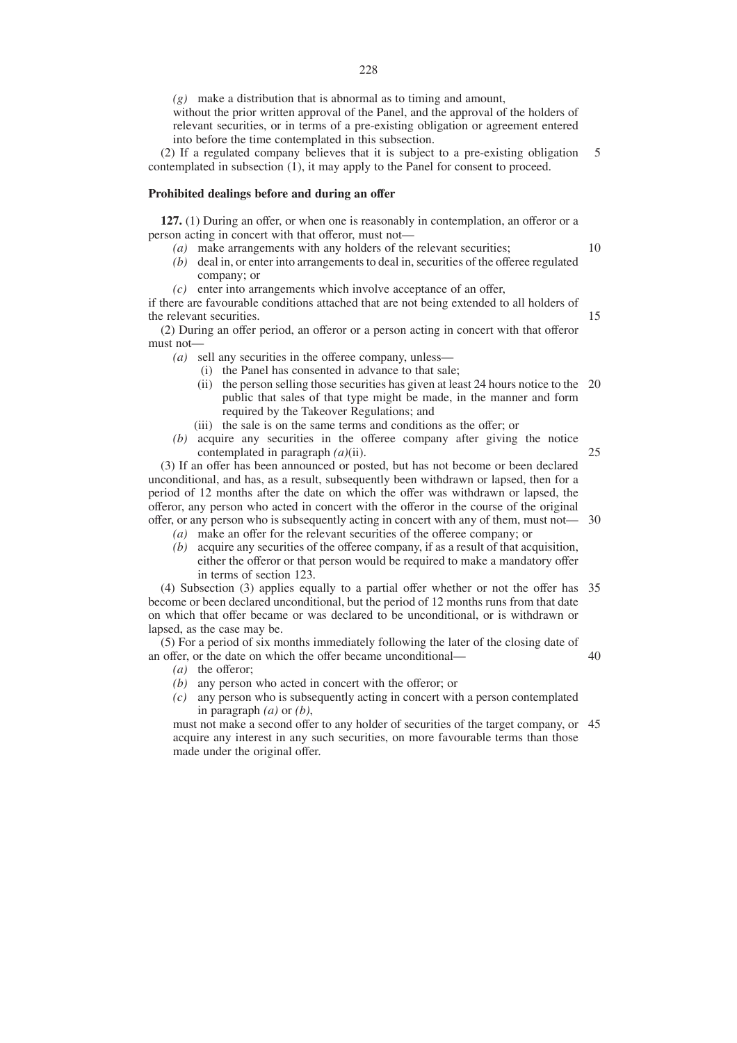*(g)* make a distribution that is abnormal as to timing and amount,

without the prior written approval of the Panel, and the approval of the holders of relevant securities, or in terms of a pre-existing obligation or agreement entered into before the time contemplated in this subsection.

(2) If a regulated company believes that it is subject to a pre-existing obligation contemplated in subsection (1), it may apply to the Panel for consent to proceed. 5

#### **Prohibited dealings before and during an offer**

**127.** (1) During an offer, or when one is reasonably in contemplation, an offeror or a person acting in concert with that offeror, must not—

- *(a)* make arrangements with any holders of the relevant securities; *(b)* deal in, or enter into arrangements to deal in, securities of the offeree regulated company; or 10
- *(c)* enter into arrangements which involve acceptance of an offer,

if there are favourable conditions attached that are not being extended to all holders of the relevant securities.

(2) During an offer period, an offeror or a person acting in concert with that offeror must not—

*(a)* sell any securities in the offeree company, unless—

- (i) the Panel has consented in advance to that sale;
- (ii) the person selling those securities has given at least 24 hours notice to the 20 public that sales of that type might be made, in the manner and form required by the Takeover Regulations; and
- (iii) the sale is on the same terms and conditions as the offer; or
- *(b)* acquire any securities in the offeree company after giving the notice contemplated in paragraph *(a)*(ii). 25

(3) If an offer has been announced or posted, but has not become or been declared unconditional, and has, as a result, subsequently been withdrawn or lapsed, then for a period of 12 months after the date on which the offer was withdrawn or lapsed, the offeror, any person who acted in concert with the offeror in the course of the original offer, or any person who is subsequently acting in concert with any of them, must not— 30

*(a)* make an offer for the relevant securities of the offeree company; or

*(b)* acquire any securities of the offeree company, if as a result of that acquisition, either the offeror or that person would be required to make a mandatory offer in terms of section 123.

(4) Subsection (3) applies equally to a partial offer whether or not the offer has 35 become or been declared unconditional, but the period of 12 months runs from that date on which that offer became or was declared to be unconditional, or is withdrawn or lapsed, as the case may be.

(5) For a period of six months immediately following the later of the closing date of an offer, or the date on which the offer became unconditional—

- *(a)* the offeror;
- *(b)* any person who acted in concert with the offeror; or
- *(c)* any person who is subsequently acting in concert with a person contemplated in paragraph *(a)* or *(b)*,

must not make a second offer to any holder of securities of the target company, or 45acquire any interest in any such securities, on more favourable terms than those made under the original offer.

15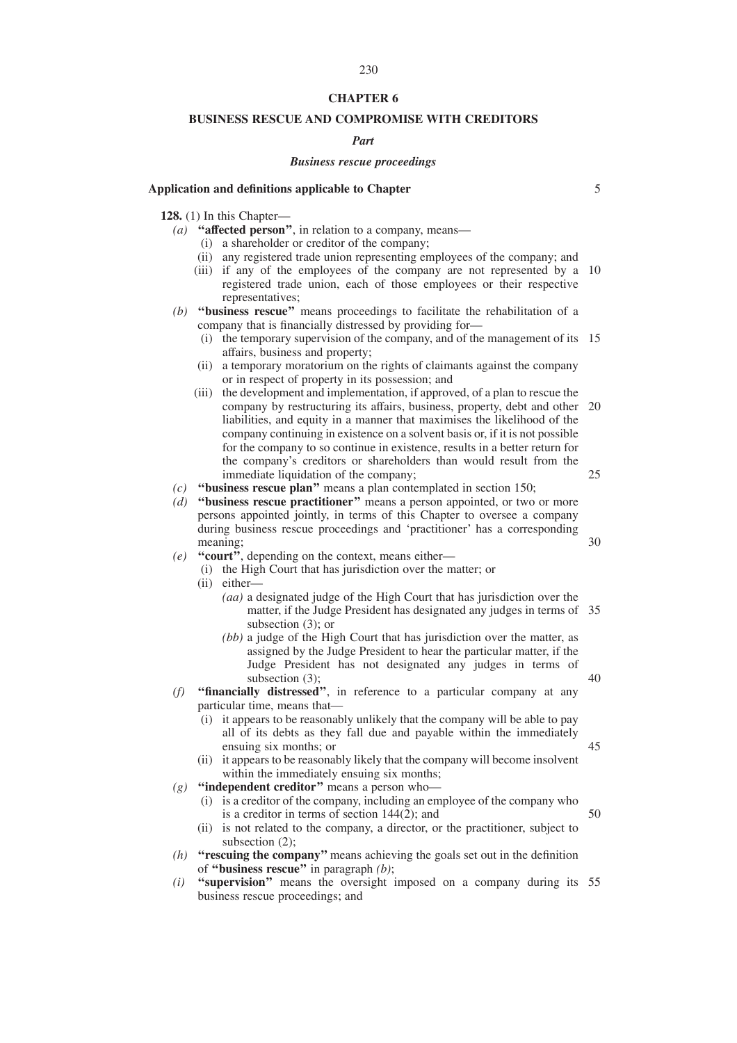#### **CHAPTER 6**

## **BUSINESS RESCUE AND COMPROMISE WITH CREDITORS**

#### *Part*

#### *Business rescue proceedings*

#### **Application and definitions applicable to Chapter**

5

30

40

45

50

**128.** (1) In this Chapter—

- *(a)* **''affected person''**, in relation to a company, means—
	- (i) a shareholder or creditor of the company;
	- (ii) any registered trade union representing employees of the company; and
	- (iii) if any of the employees of the company are not represented by a 10 registered trade union, each of those employees or their respective representatives;
- *(b)* **''business rescue''** means proceedings to facilitate the rehabilitation of a company that is financially distressed by providing for—
	- (i) the temporary supervision of the company, and of the management of its 15 affairs, business and property;
	- (ii) a temporary moratorium on the rights of claimants against the company or in respect of property in its possession; and
	- (iii) the development and implementation, if approved, of a plan to rescue the company by restructuring its affairs, business, property, debt and other 20 liabilities, and equity in a manner that maximises the likelihood of the company continuing in existence on a solvent basis or, if it is not possible for the company to so continue in existence, results in a better return for the company's creditors or shareholders than would result from the immediate liquidation of the company; 25
- *(c)* **''business rescue plan''** means a plan contemplated in section 150;
- *(d)* **''business rescue practitioner''** means a person appointed, or two or more persons appointed jointly, in terms of this Chapter to oversee a company during business rescue proceedings and 'practitioner' has a corresponding meaning;
- *(e)* **''court''**, depending on the context, means either—
	- (i) the High Court that has jurisdiction over the matter; or
	- (ii) either—
		- *(aa)* a designated judge of the High Court that has jurisdiction over the matter, if the Judge President has designated any judges in terms of 35 subsection (3); or
		- *(bb)* a judge of the High Court that has jurisdiction over the matter, as assigned by the Judge President to hear the particular matter, if the Judge President has not designated any judges in terms of subsection (3);
- *(f)* **''financially distressed''**, in reference to a particular company at any particular time, means that—
	- (i) it appears to be reasonably unlikely that the company will be able to pay all of its debts as they fall due and payable within the immediately ensuing six months; or
	- (ii) it appears to be reasonably likely that the company will become insolvent within the immediately ensuing six months;
- *(g)* **''independent creditor''** means a person who—
	- (i) is a creditor of the company, including an employee of the company who is a creditor in terms of section 144(2); and
	- (ii) is not related to the company, a director, or the practitioner, subject to subsection (2);
- *(h)* **''rescuing the company''** means achieving the goals set out in the definition of **''business rescue''** in paragraph *(b)*;
- *(i)* **''supervision''** means the oversight imposed on a company during its 55business rescue proceedings; and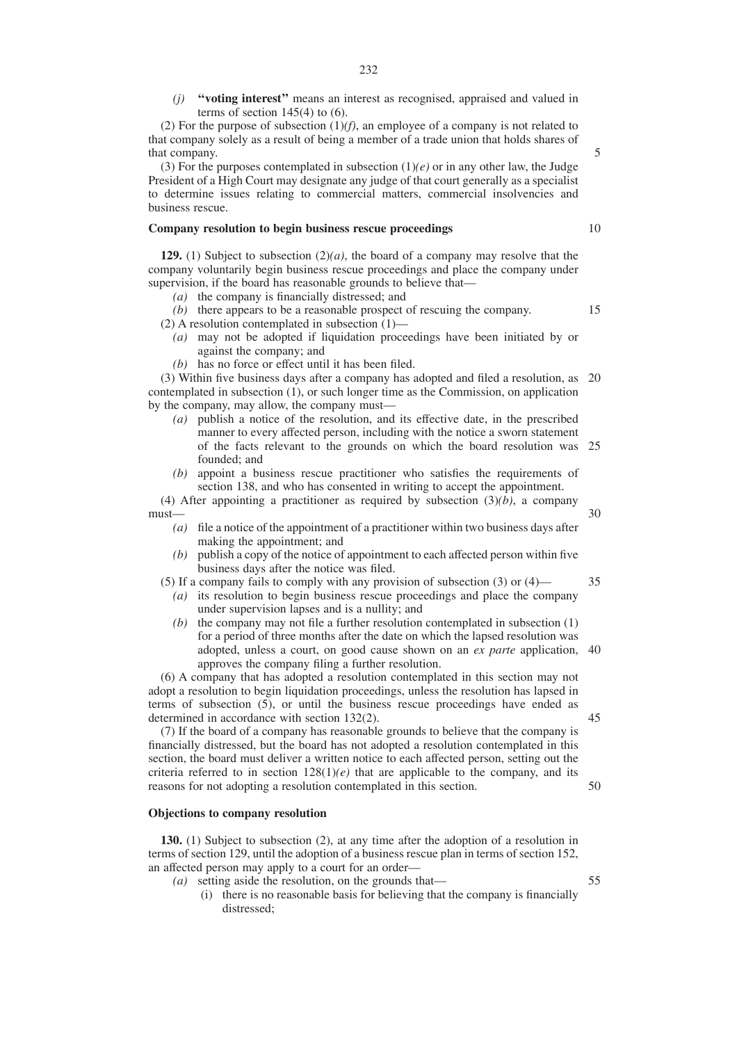*(j)* **''voting interest''** means an interest as recognised, appraised and valued in terms of section  $145(4)$  to  $(6)$ .

(2) For the purpose of subsection (1)*(f)*, an employee of a company is not related to that company solely as a result of being a member of a trade union that holds shares of that company.

(3) For the purposes contemplated in subsection  $(1)(e)$  or in any other law, the Judge President of a High Court may designate any judge of that court generally as a specialist to determine issues relating to commercial matters, commercial insolvencies and business rescue.

## **Company resolution to begin business rescue proceedings**

**129.** (1) Subject to subsection  $(2)(a)$ , the board of a company may resolve that the company voluntarily begin business rescue proceedings and place the company under supervision, if the board has reasonable grounds to believe that—

- *(a)* the company is financially distressed; and
- *(b)* there appears to be a reasonable prospect of rescuing the company.
- (2) A resolution contemplated in subsection  $(1)$ 
	- *(a)* may not be adopted if liquidation proceedings have been initiated by or against the company; and
	- *(b)* has no force or effect until it has been filed.

(3) Within five business days after a company has adopted and filed a resolution, as 20 contemplated in subsection (1), or such longer time as the Commission, on application by the company, may allow, the company must—

- *(a)* publish a notice of the resolution, and its effective date, in the prescribed manner to every affected person, including with the notice a sworn statement of the facts relevant to the grounds on which the board resolution was 25 founded; and
- *(b)* appoint a business rescue practitioner who satisfies the requirements of section 138, and who has consented in writing to accept the appointment.

(4) After appointing a practitioner as required by subsection  $(3)(b)$ , a company must—

- *(a)* file a notice of the appointment of a practitioner within two business days after making the appointment; and
- *(b)* publish a copy of the notice of appointment to each affected person within five business days after the notice was filed.
- (5) If a company fails to comply with any provision of subsection (3) or (4)—
	- *(a)* its resolution to begin business rescue proceedings and place the company under supervision lapses and is a nullity; and
	- *(b)* the company may not file a further resolution contemplated in subsection (1) for a period of three months after the date on which the lapsed resolution was adopted, unless a court, on good cause shown on an *ex parte* application, 40 approves the company filing a further resolution.

(6) A company that has adopted a resolution contemplated in this section may not adopt a resolution to begin liquidation proceedings, unless the resolution has lapsed in terms of subsection (5), or until the business rescue proceedings have ended as determined in accordance with section 132(2).

(7) If the board of a company has reasonable grounds to believe that the company is financially distressed, but the board has not adopted a resolution contemplated in this section, the board must deliver a written notice to each affected person, setting out the criteria referred to in section  $128(1)(e)$  that are applicable to the company, and its reasons for not adopting a resolution contemplated in this section.

#### **Objections to company resolution**

**130.** (1) Subject to subsection (2), at any time after the adoption of a resolution in terms of section 129, until the adoption of a business rescue plan in terms of section 152, an affected person may apply to a court for an order—

- *(a)* setting aside the resolution, on the grounds that—
	- (i) there is no reasonable basis for believing that the company is financially distressed;

30

35

- 45
- 50

55

10

15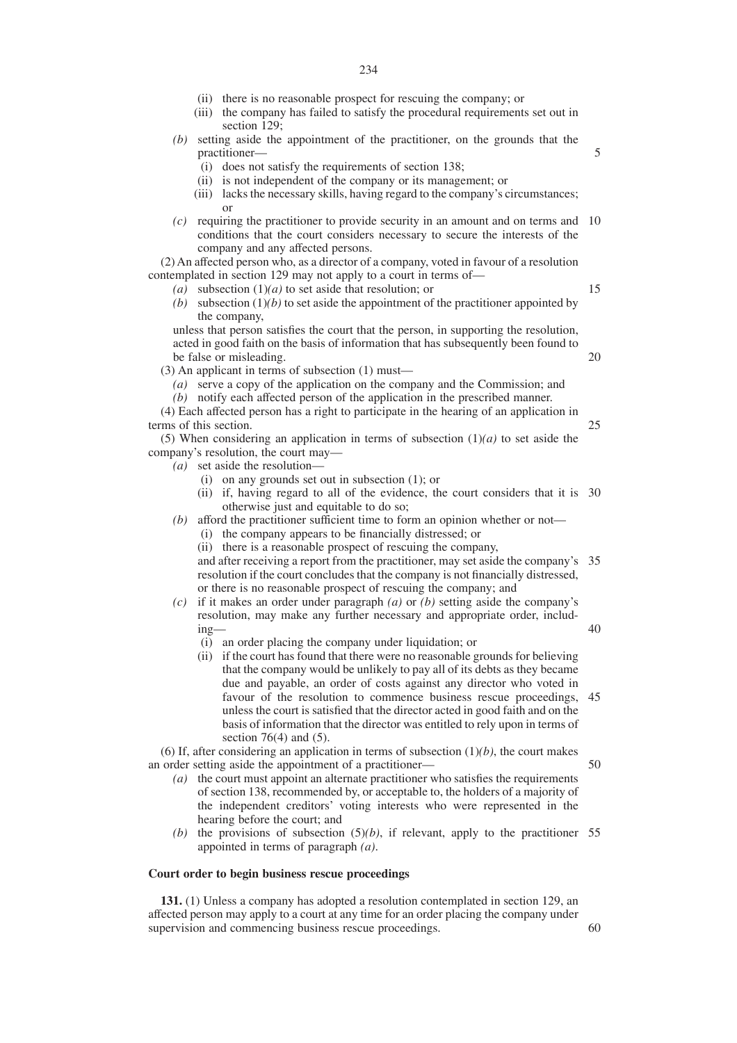- (ii) there is no reasonable prospect for rescuing the company; or
- (iii) the company has failed to satisfy the procedural requirements set out in section 129;

5

15

20

25

40

50

60

- *(b)* setting aside the appointment of the practitioner, on the grounds that the practitioner—
	- (i) does not satisfy the requirements of section 138;
	- (ii) is not independent of the company or its management; or
	- (iii) lacks the necessary skills, having regard to the company's circumstances; or
- *(c)* requiring the practitioner to provide security in an amount and on terms and 10 conditions that the court considers necessary to secure the interests of the company and any affected persons.

(2) An affected person who, as a director of a company, voted in favour of a resolution contemplated in section 129 may not apply to a court in terms of—

- *(a)* subsection (1)*(a)* to set aside that resolution; or
- (b) subsection  $(1)(b)$  to set aside the appointment of the practitioner appointed by the company,

unless that person satisfies the court that the person, in supporting the resolution, acted in good faith on the basis of information that has subsequently been found to be false or misleading.

(3) An applicant in terms of subsection (1) must—

*(a)* serve a copy of the application on the company and the Commission; and

*(b)* notify each affected person of the application in the prescribed manner.

(4) Each affected person has a right to participate in the hearing of an application in terms of this section.

(5) When considering an application in terms of subsection  $(1)(a)$  to set aside the company's resolution, the court may—

- *(a)* set aside the resolution—
	- (i) on any grounds set out in subsection (1); or
	- (ii) if, having regard to all of the evidence, the court considers that it is 30 otherwise just and equitable to do so;
- *(b)* afford the practitioner sufficient time to form an opinion whether or not—
	- (i) the company appears to be financially distressed; or
	- (ii) there is a reasonable prospect of rescuing the company,

and after receiving a report from the practitioner, may set aside the company's 35 resolution if the court concludes that the company is not financially distressed, or there is no reasonable prospect of rescuing the company; and

- *(c)* if it makes an order under paragraph *(a)* or *(b)* setting aside the company's resolution, may make any further necessary and appropriate order, includ $in \sigma$ —
	- (i) an order placing the company under liquidation; or
	- (ii) if the court has found that there were no reasonable grounds for believing that the company would be unlikely to pay all of its debts as they became due and payable, an order of costs against any director who voted in favour of the resolution to commence business rescue proceedings, 45 unless the court is satisfied that the director acted in good faith and on the basis of information that the director was entitled to rely upon in terms of section  $76(4)$  and  $(5)$ .

(6) If, after considering an application in terms of subsection (1)*(b)*, the court makes an order setting aside the appointment of a practitioner—

- *(a)* the court must appoint an alternate practitioner who satisfies the requirements of section 138, recommended by, or acceptable to, the holders of a majority of the independent creditors' voting interests who were represented in the hearing before the court; and
- (b) the provisions of subsection  $(5)(b)$ , if relevant, apply to the practitioner 55 appointed in terms of paragraph *(a)*.

## **Court order to begin business rescue proceedings**

**131.** (1) Unless a company has adopted a resolution contemplated in section 129, an affected person may apply to a court at any time for an order placing the company under supervision and commencing business rescue proceedings.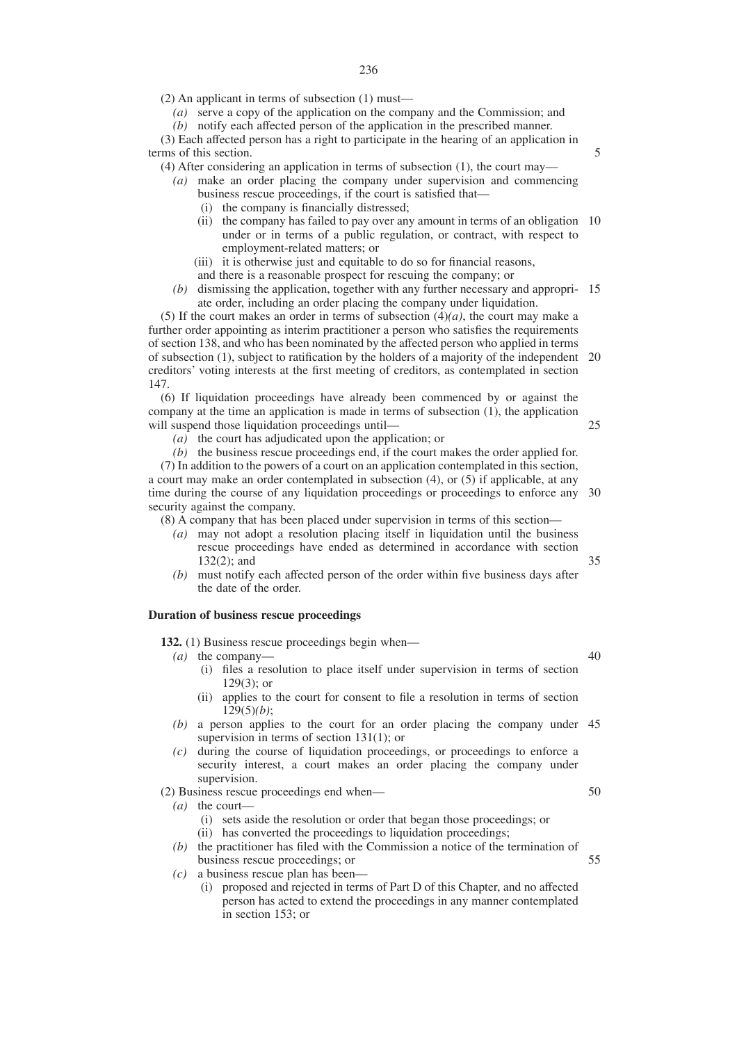(2) An applicant in terms of subsection (1) must—

*(a)* serve a copy of the application on the company and the Commission; and

*(b)* notify each affected person of the application in the prescribed manner.

(3) Each affected person has a right to participate in the hearing of an application in terms of this section.

(4) After considering an application in terms of subsection (1), the court may—

- *(a)* make an order placing the company under supervision and commencing business rescue proceedings, if the court is satisfied that—
	- (i) the company is financially distressed;
	- (ii) the company has failed to pay over any amount in terms of an obligation 10 under or in terms of a public regulation, or contract, with respect to employment-related matters; or
	- (iii) it is otherwise just and equitable to do so for financial reasons,
	- and there is a reasonable prospect for rescuing the company; or
- *(b)* dismissing the application, together with any further necessary and appropri-15 ate order, including an order placing the company under liquidation.

(5) If the court makes an order in terms of subsection (4)*(a)*, the court may make a further order appointing as interim practitioner a person who satisfies the requirements of section 138, and who has been nominated by the affected person who applied in terms of subsection (1), subject to ratification by the holders of a majority of the independent 20 creditors' voting interests at the first meeting of creditors, as contemplated in section 147.

(6) If liquidation proceedings have already been commenced by or against the company at the time an application is made in terms of subsection (1), the application will suspend those liquidation proceedings until—

*(a)* the court has adjudicated upon the application; or

*(b)* the business rescue proceedings end, if the court makes the order applied for. (7) In addition to the powers of a court on an application contemplated in this section, a court may make an order contemplated in subsection (4), or (5) if applicable, at any time during the course of any liquidation proceedings or proceedings to enforce any 30 security against the company.

(8) A company that has been placed under supervision in terms of this section—

- *(a)* may not adopt a resolution placing itself in liquidation until the business rescue proceedings have ended as determined in accordance with section 132(2); and 35
- *(b)* must notify each affected person of the order within five business days after the date of the order.

## **Duration of business rescue proceedings**

**132.** (1) Business rescue proceedings begin when—

- *(a)* the company—
	- (i) files a resolution to place itself under supervision in terms of section 129(3); or
	- (ii) applies to the court for consent to file a resolution in terms of section 129(5)*(b)*;
- *(b)* a person applies to the court for an order placing the company under 45 supervision in terms of section 131(1); or
- *(c)* during the course of liquidation proceedings, or proceedings to enforce a security interest, a court makes an order placing the company under supervision.

(2) Business rescue proceedings end when—

*(a)* the court—

- (i) sets aside the resolution or order that began those proceedings; or (ii) has converted the proceedings to liquidation proceedings;
- *(b)* the practitioner has filed with the Commission a notice of the termination of business rescue proceedings; or 55
- *(c)* a business rescue plan has been—
	- (i) proposed and rejected in terms of Part D of this Chapter, and no affected person has acted to extend the proceedings in any manner contemplated in section 153; or

50

40

5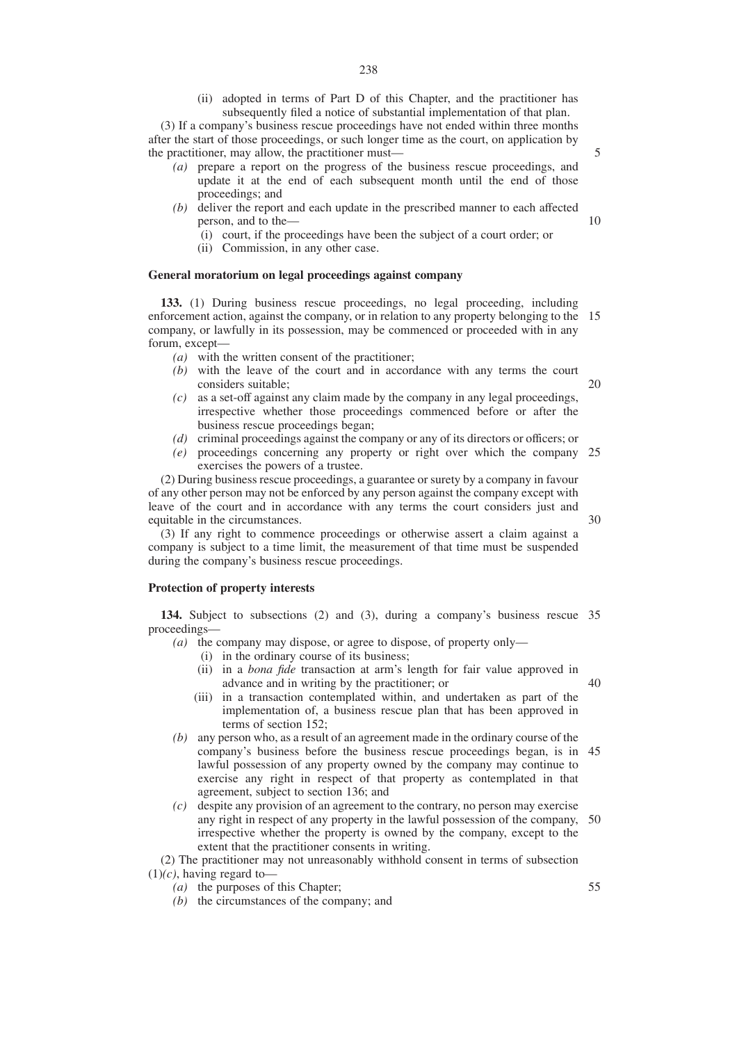(3) If a company's business rescue proceedings have not ended within three months after the start of those proceedings, or such longer time as the court, on application by the practitioner, may allow, the practitioner must—

- *(a)* prepare a report on the progress of the business rescue proceedings, and update it at the end of each subsequent month until the end of those proceedings; and
- *(b)* deliver the report and each update in the prescribed manner to each affected person, and to the—
	- (i) court, if the proceedings have been the subject of a court order; or
	- (ii) Commission, in any other case.

## **General moratorium on legal proceedings against company**

**133.** (1) During business rescue proceedings, no legal proceeding, including enforcement action, against the company, or in relation to any property belonging to the 15 company, or lawfully in its possession, may be commenced or proceeded with in any forum, except—

- *(a)* with the written consent of the practitioner;
- *(b)* with the leave of the court and in accordance with any terms the court considers suitable; 20
- *(c)* as a set-off against any claim made by the company in any legal proceedings, irrespective whether those proceedings commenced before or after the business rescue proceedings began;
- *(d)* criminal proceedings against the company or any of its directors or officers; or
- *(e)* proceedings concerning any property or right over which the company 25 exercises the powers of a trustee.

(2) During business rescue proceedings, a guarantee or surety by a company in favour of any other person may not be enforced by any person against the company except with leave of the court and in accordance with any terms the court considers just and equitable in the circumstances.

(3) If any right to commence proceedings or otherwise assert a claim against a company is subject to a time limit, the measurement of that time must be suspended during the company's business rescue proceedings.

## **Protection of property interests**

**134.** Subject to subsections (2) and (3), during a company's business rescue 35 proceedings—

- *(a)* the company may dispose, or agree to dispose, of property only—
	- (i) in the ordinary course of its business;
	- (ii) in a *bona fide* transaction at arm's length for fair value approved in advance and in writing by the practitioner; or 40
	- (iii) in a transaction contemplated within, and undertaken as part of the implementation of, a business rescue plan that has been approved in terms of section 152;
- *(b)* any person who, as a result of an agreement made in the ordinary course of the company's business before the business rescue proceedings began, is in 45 lawful possession of any property owned by the company may continue to exercise any right in respect of that property as contemplated in that agreement, subject to section 136; and
- *(c)* despite any provision of an agreement to the contrary, no person may exercise any right in respect of any property in the lawful possession of the company, irrespective whether the property is owned by the company, except to the extent that the practitioner consents in writing. 50

(2) The practitioner may not unreasonably withhold consent in terms of subsection  $(1)(c)$ , having regard to-

- *(a)* the purposes of this Chapter;
- *(b)* the circumstances of the company; and

30

5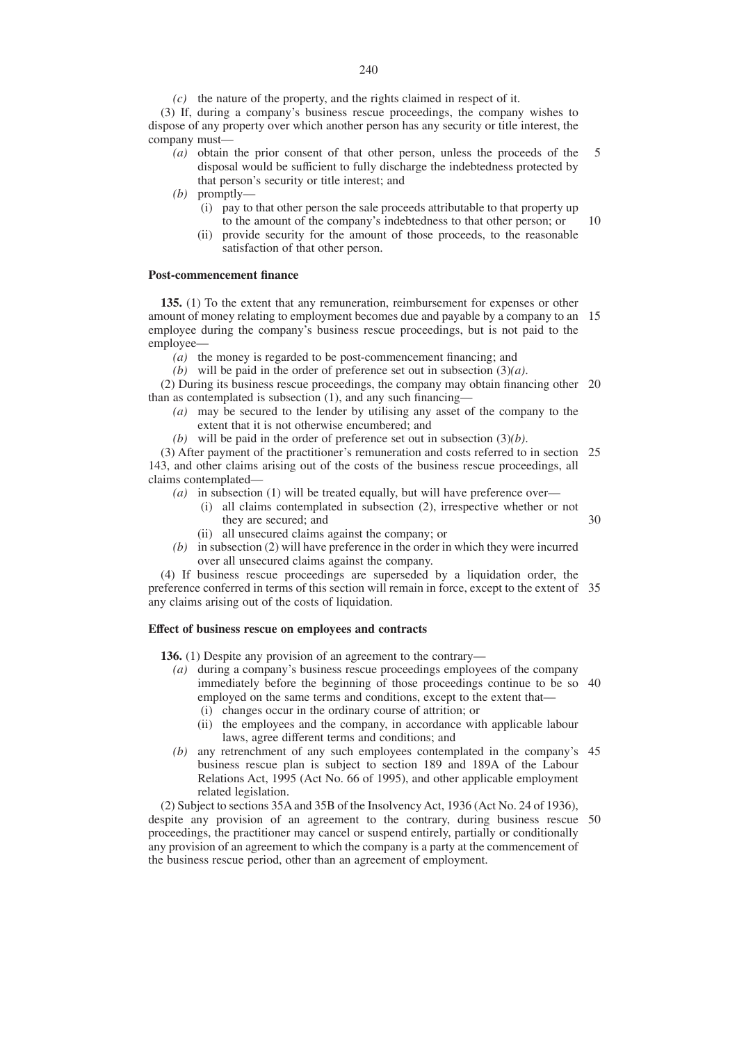*(c)* the nature of the property, and the rights claimed in respect of it.

(3) If, during a company's business rescue proceedings, the company wishes to dispose of any property over which another person has any security or title interest, the company must—

- *(a)* obtain the prior consent of that other person, unless the proceeds of the disposal would be sufficient to fully discharge the indebtedness protected by that person's security or title interest; and 5
- *(b)* promptly—
	- (i) pay to that other person the sale proceeds attributable to that property up to the amount of the company's indebtedness to that other person; or

10

(ii) provide security for the amount of those proceeds, to the reasonable satisfaction of that other person.

#### **Post-commencement finance**

**135.** (1) To the extent that any remuneration, reimbursement for expenses or other amount of money relating to employment becomes due and payable by a company to an 15 employee during the company's business rescue proceedings, but is not paid to the employee—

*(a)* the money is regarded to be post-commencement financing; and

*(b)* will be paid in the order of preference set out in subsection  $(3)(a)$ .

(2) During its business rescue proceedings, the company may obtain financing other 20 than as contemplated is subsection (1), and any such financing—

- *(a)* may be secured to the lender by utilising any asset of the company to the extent that it is not otherwise encumbered; and
- *(b)* will be paid in the order of preference set out in subsection (3)*(b)*.

(3) After payment of the practitioner's remuneration and costs referred to in section 25 143, and other claims arising out of the costs of the business rescue proceedings, all claims contemplated—

- *(a)* in subsection (1) will be treated equally, but will have preference over—
	- (i) all claims contemplated in subsection (2), irrespective whether or not they are secured; and 30
	- (ii) all unsecured claims against the company; or
- *(b)* in subsection (2) will have preference in the order in which they were incurred over all unsecured claims against the company.

(4) If business rescue proceedings are superseded by a liquidation order, the preference conferred in terms of this section will remain in force, except to the extent of 35 any claims arising out of the costs of liquidation.

## **Effect of business rescue on employees and contracts**

**136.** (1) Despite any provision of an agreement to the contrary—

- *(a)* during a company's business rescue proceedings employees of the company immediately before the beginning of those proceedings continue to be so 40 employed on the same terms and conditions, except to the extent that— (i) changes occur in the ordinary course of attrition; or
	-
	- (ii) the employees and the company, in accordance with applicable labour laws, agree different terms and conditions; and
- *(b)* any retrenchment of any such employees contemplated in the company's 45 business rescue plan is subject to section 189 and 189A of the Labour Relations Act, 1995 (Act No. 66 of 1995), and other applicable employment related legislation.

(2) Subject to sections 35A and 35B of the Insolvency Act, 1936 (Act No. 24 of 1936), despite any provision of an agreement to the contrary, during business rescue 50proceedings, the practitioner may cancel or suspend entirely, partially or conditionally any provision of an agreement to which the company is a party at the commencement of the business rescue period, other than an agreement of employment.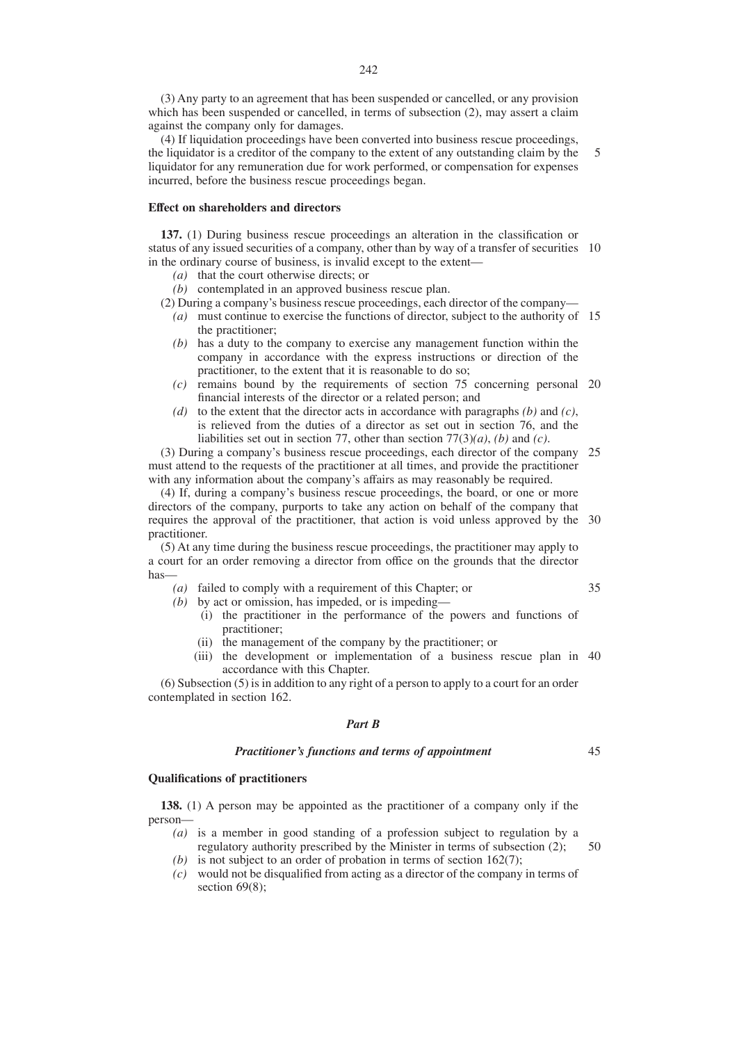(3) Any party to an agreement that has been suspended or cancelled, or any provision which has been suspended or cancelled, in terms of subsection (2), may assert a claim against the company only for damages.

(4) If liquidation proceedings have been converted into business rescue proceedings, the liquidator is a creditor of the company to the extent of any outstanding claim by the liquidator for any remuneration due for work performed, or compensation for expenses incurred, before the business rescue proceedings began. 5

#### **Effect on shareholders and directors**

**137.** (1) During business rescue proceedings an alteration in the classification or status of any issued securities of a company, other than by way of a transfer of securities 10 in the ordinary course of business, is invalid except to the extent—

*(a)* that the court otherwise directs; or

*(b)* contemplated in an approved business rescue plan.

(2) During a company's business rescue proceedings, each director of the company—

- *(a)* must continue to exercise the functions of director, subject to the authority of 15 the practitioner;
- *(b)* has a duty to the company to exercise any management function within the company in accordance with the express instructions or direction of the practitioner, to the extent that it is reasonable to do so;
- *(c)* remains bound by the requirements of section 75 concerning personal 20 financial interests of the director or a related person; and
- *(d)* to the extent that the director acts in accordance with paragraphs *(b)* and *(c)*, is relieved from the duties of a director as set out in section 76, and the liabilities set out in section 77, other than section 77(3)*(a)*, *(b)* and *(c)*.

(3) During a company's business rescue proceedings, each director of the company 25 must attend to the requests of the practitioner at all times, and provide the practitioner with any information about the company's affairs as may reasonably be required.

(4) If, during a company's business rescue proceedings, the board, or one or more directors of the company, purports to take any action on behalf of the company that requires the approval of the practitioner, that action is void unless approved by the 30 practitioner.

(5) At any time during the business rescue proceedings, the practitioner may apply to a court for an order removing a director from office on the grounds that the director has—

- *(a)* failed to comply with a requirement of this Chapter; or
- *(b)* by act or omission, has impeded, or is impeding—
	- (i) the practitioner in the performance of the powers and functions of practitioner;
	- (ii) the management of the company by the practitioner; or
	- (iii) the development or implementation of a business rescue plan in 40 accordance with this Chapter.

(6) Subsection (5) is in addition to any right of a person to apply to a court for an order contemplated in section 162.

## *Part B*

## *Practitioner's functions and terms of appointment*

45

35

## **Qualifications of practitioners**

**138.** (1) A person may be appointed as the practitioner of a company only if the person—

- *(a)* is a member in good standing of a profession subject to regulation by a regulatory authority prescribed by the Minister in terms of subsection (2); 50
- $(b)$  is not subject to an order of probation in terms of section 162(7);
- *(c)* would not be disqualified from acting as a director of the company in terms of section 69(8);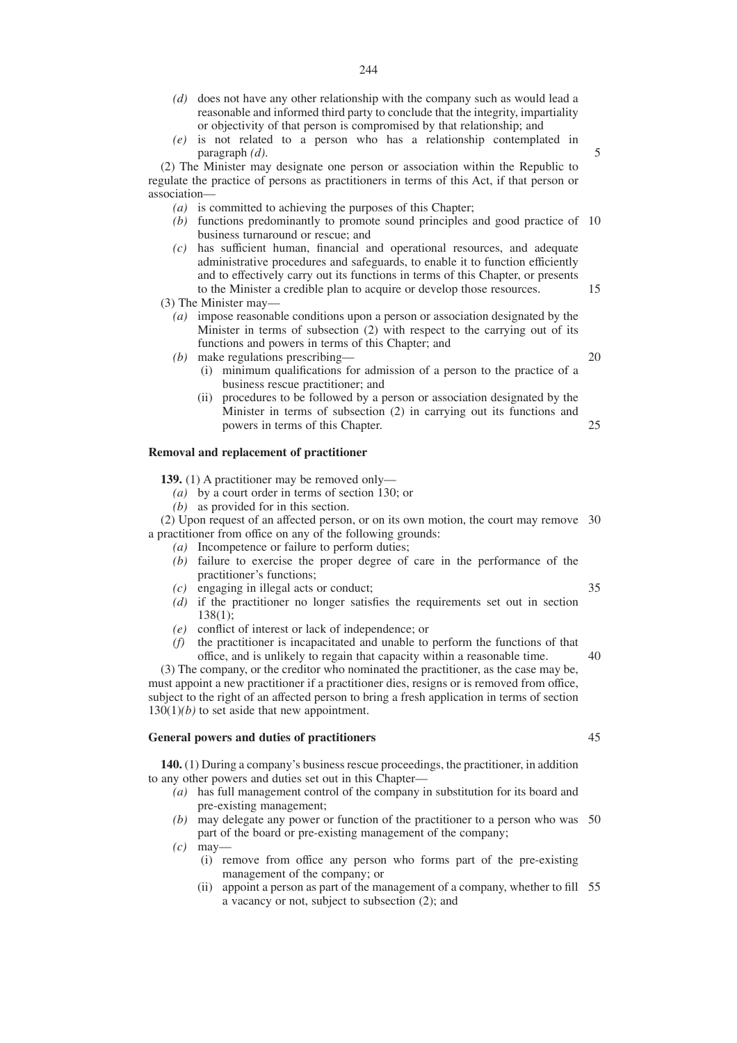- *(d)* does not have any other relationship with the company such as would lead a reasonable and informed third party to conclude that the integrity, impartiality or objectivity of that person is compromised by that relationship; and
- *(e)* is not related to a person who has a relationship contemplated in paragraph *(d)*.

(2) The Minister may designate one person or association within the Republic to regulate the practice of persons as practitioners in terms of this Act, if that person or association—

- *(a)* is committed to achieving the purposes of this Chapter;
- *(b)* functions predominantly to promote sound principles and good practice of 10 business turnaround or rescue; and
- *(c)* has sufficient human, financial and operational resources, and adequate administrative procedures and safeguards, to enable it to function efficiently and to effectively carry out its functions in terms of this Chapter, or presents to the Minister a credible plan to acquire or develop those resources.

(3) The Minister may—

- *(a)* impose reasonable conditions upon a person or association designated by the Minister in terms of subsection (2) with respect to the carrying out of its functions and powers in terms of this Chapter; and
- *(b)* make regulations prescribing—
	- (i) minimum qualifications for admission of a person to the practice of a business rescue practitioner; and
	- (ii) procedures to be followed by a person or association designated by the Minister in terms of subsection (2) in carrying out its functions and powers in terms of this Chapter.

#### **Removal and replacement of practitioner**

**139.** (1) A practitioner may be removed only—

- *(a)* by a court order in terms of section 130; or
- *(b)* as provided for in this section.

(2) Upon request of an affected person, or on its own motion, the court may remove 30 a practitioner from office on any of the following grounds:

- *(a)* Incompetence or failure to perform duties;
- *(b)* failure to exercise the proper degree of care in the performance of the practitioner's functions;
- *(c)* engaging in illegal acts or conduct;
- *(d)* if the practitioner no longer satisfies the requirements set out in section 138(1);
- *(e)* conflict of interest or lack of independence; or
- *(f)* the practitioner is incapacitated and unable to perform the functions of that office, and is unlikely to regain that capacity within a reasonable time.

(3) The company, or the creditor who nominated the practitioner, as the case may be, must appoint a new practitioner if a practitioner dies, resigns or is removed from office, subject to the right of an affected person to bring a fresh application in terms of section  $130(1)(b)$  to set aside that new appointment.

## **General powers and duties of practitioners**

**140.** (1) During a company's business rescue proceedings, the practitioner, in addition to any other powers and duties set out in this Chapter—

- *(a)* has full management control of the company in substitution for its board and pre-existing management;
- *(b)* may delegate any power or function of the practitioner to a person who was 50 part of the board or pre-existing management of the company;
- *(c)* may—
	- (i) remove from office any person who forms part of the pre-existing management of the company; or
	- (ii) appoint a person as part of the management of a company, whether to fill 55a vacancy or not, subject to subsection (2); and

35

5

15

20

25

45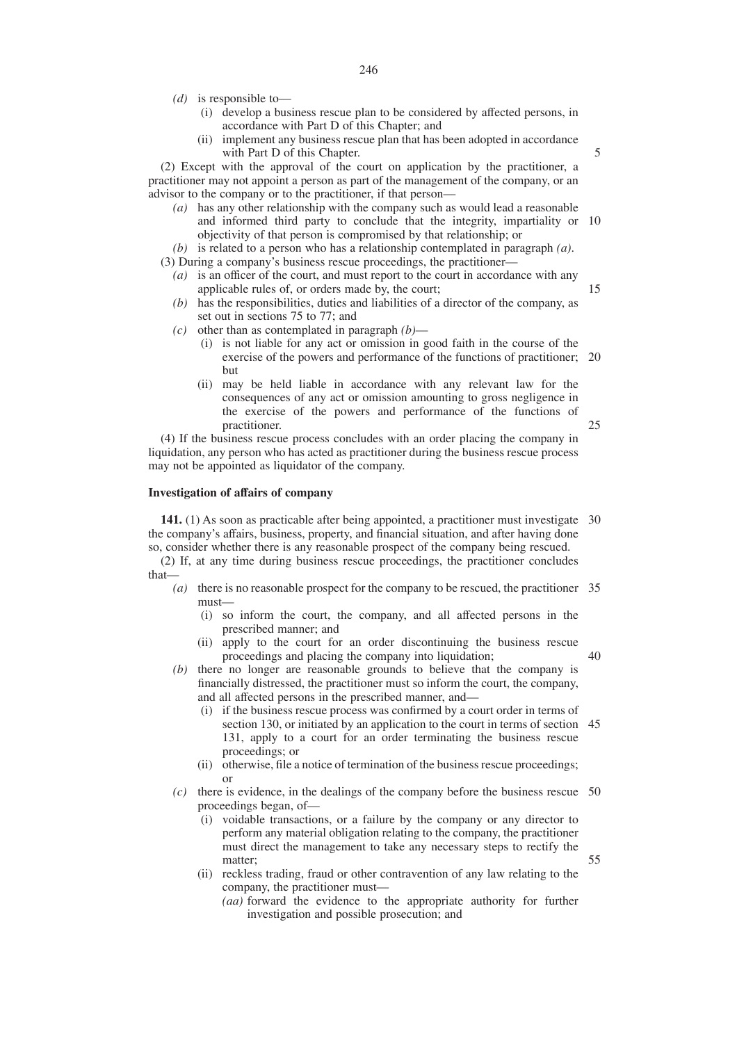- *(d)* is responsible to—
	- (i) develop a business rescue plan to be considered by affected persons, in accordance with Part D of this Chapter; and
	- (ii) implement any business rescue plan that has been adopted in accordance with Part D of this Chapter.

(2) Except with the approval of the court on application by the practitioner, a practitioner may not appoint a person as part of the management of the company, or an advisor to the company or to the practitioner, if that person—

- *(a)* has any other relationship with the company such as would lead a reasonable and informed third party to conclude that the integrity, impartiality or 10 objectivity of that person is compromised by that relationship; or
- *(b)* is related to a person who has a relationship contemplated in paragraph *(a)*.

(3) During a company's business rescue proceedings, the practitioner—

- *(a)* is an officer of the court, and must report to the court in accordance with any applicable rules of, or orders made by, the court;
- *(b)* has the responsibilities, duties and liabilities of a director of the company, as set out in sections 75 to 77; and
- *(c)* other than as contemplated in paragraph *(b)*
	- (i) is not liable for any act or omission in good faith in the course of the exercise of the powers and performance of the functions of practitioner; 20 but
	- (ii) may be held liable in accordance with any relevant law for the consequences of any act or omission amounting to gross negligence in the exercise of the powers and performance of the functions of practitioner.

(4) If the business rescue process concludes with an order placing the company in liquidation, any person who has acted as practitioner during the business rescue process may not be appointed as liquidator of the company.

#### **Investigation of affairs of company**

141. (1) As soon as practicable after being appointed, a practitioner must investigate 30 the company's affairs, business, property, and financial situation, and after having done so, consider whether there is any reasonable prospect of the company being rescued.

(2) If, at any time during business rescue proceedings, the practitioner concludes that—

- *(a)* there is no reasonable prospect for the company to be rescued, the practitioner 35 must—
	- (i) so inform the court, the company, and all affected persons in the prescribed manner; and
	- (ii) apply to the court for an order discontinuing the business rescue proceedings and placing the company into liquidation;
- *(b)* there no longer are reasonable grounds to believe that the company is financially distressed, the practitioner must so inform the court, the company,
	- and all affected persons in the prescribed manner, and—
	- (i) if the business rescue process was confirmed by a court order in terms of section 130, or initiated by an application to the court in terms of section 45 131, apply to a court for an order terminating the business rescue proceedings; or
	- (ii) otherwise, file a notice of termination of the business rescue proceedings; or
- *(c)* there is evidence, in the dealings of the company before the business rescue 50 proceedings began, of—
	- (i) voidable transactions, or a failure by the company or any director to perform any material obligation relating to the company, the practitioner must direct the management to take any necessary steps to rectify the matter;
	- (ii) reckless trading, fraud or other contravention of any law relating to the company, the practitioner must—
		- *(aa)* forward the evidence to the appropriate authority for further investigation and possible prosecution; and

5

15

25

40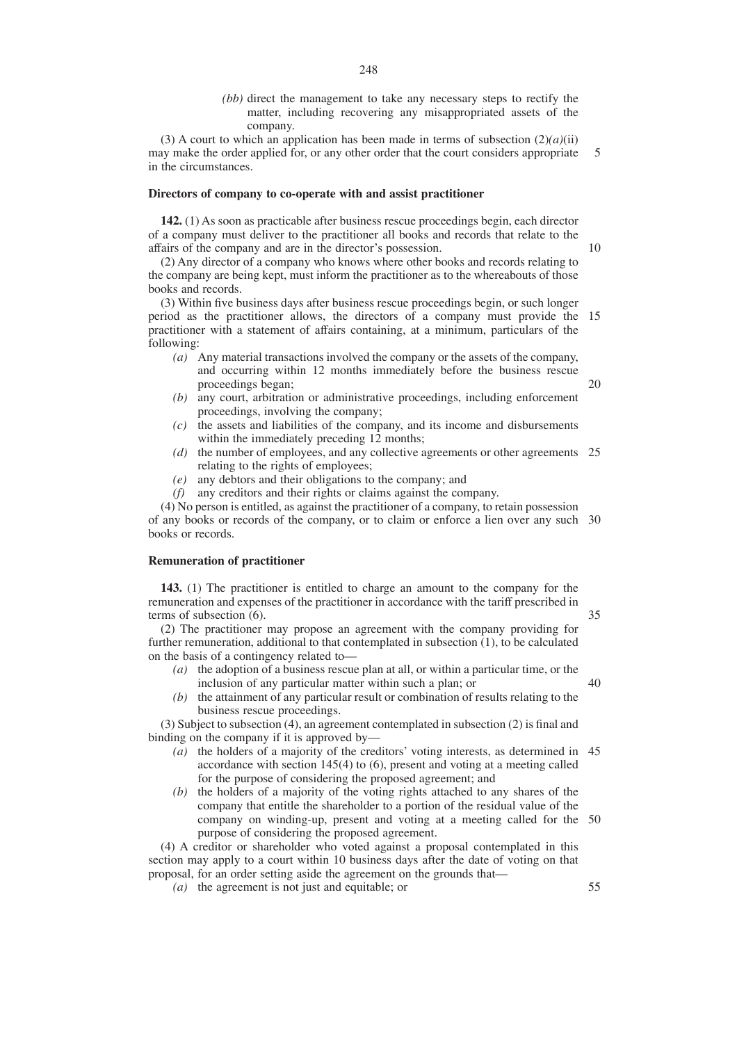*(bb)* direct the management to take any necessary steps to rectify the matter, including recovering any misappropriated assets of the company.

(3) A court to which an application has been made in terms of subsection  $(2)(a)(ii)$ may make the order applied for, or any other order that the court considers appropriate in the circumstances. 5

#### **Directors of company to co-operate with and assist practitioner**

**142.** (1) As soon as practicable after business rescue proceedings begin, each director of a company must deliver to the practitioner all books and records that relate to the affairs of the company and are in the director's possession.

(2) Any director of a company who knows where other books and records relating to the company are being kept, must inform the practitioner as to the whereabouts of those books and records.

(3) Within five business days after business rescue proceedings begin, or such longer period as the practitioner allows, the directors of a company must provide the 15 practitioner with a statement of affairs containing, at a minimum, particulars of the following:

- *(a)* Any material transactions involved the company or the assets of the company, and occurring within 12 months immediately before the business rescue proceedings began;
- *(b)* any court, arbitration or administrative proceedings, including enforcement proceedings, involving the company;
- *(c)* the assets and liabilities of the company, and its income and disbursements within the immediately preceding 12 months;
- *(d)* the number of employees, and any collective agreements or other agreements 25 relating to the rights of employees;
- *(e)* any debtors and their obligations to the company; and
- *(f)* any creditors and their rights or claims against the company.

(4) No person is entitled, as against the practitioner of a company, to retain possession of any books or records of the company, or to claim or enforce a lien over any such 30 books or records.

## **Remuneration of practitioner**

**143.** (1) The practitioner is entitled to charge an amount to the company for the remuneration and expenses of the practitioner in accordance with the tariff prescribed in terms of subsection (6).

(2) The practitioner may propose an agreement with the company providing for further remuneration, additional to that contemplated in subsection (1), to be calculated on the basis of a contingency related to—

- *(a)* the adoption of a business rescue plan at all, or within a particular time, or the inclusion of any particular matter within such a plan; or
- *(b)* the attainment of any particular result or combination of results relating to the business rescue proceedings.

(3) Subject to subsection (4), an agreement contemplated in subsection (2) is final and binding on the company if it is approved by—

- *(a)* the holders of a majority of the creditors' voting interests, as determined in 45 accordance with section 145(4) to (6), present and voting at a meeting called for the purpose of considering the proposed agreement; and
- *(b)* the holders of a majority of the voting rights attached to any shares of the company that entitle the shareholder to a portion of the residual value of the company on winding-up, present and voting at a meeting called for the 50 purpose of considering the proposed agreement.

(4) A creditor or shareholder who voted against a proposal contemplated in this section may apply to a court within 10 business days after the date of voting on that proposal, for an order setting aside the agreement on the grounds that—

*(a)* the agreement is not just and equitable; or

10

20

35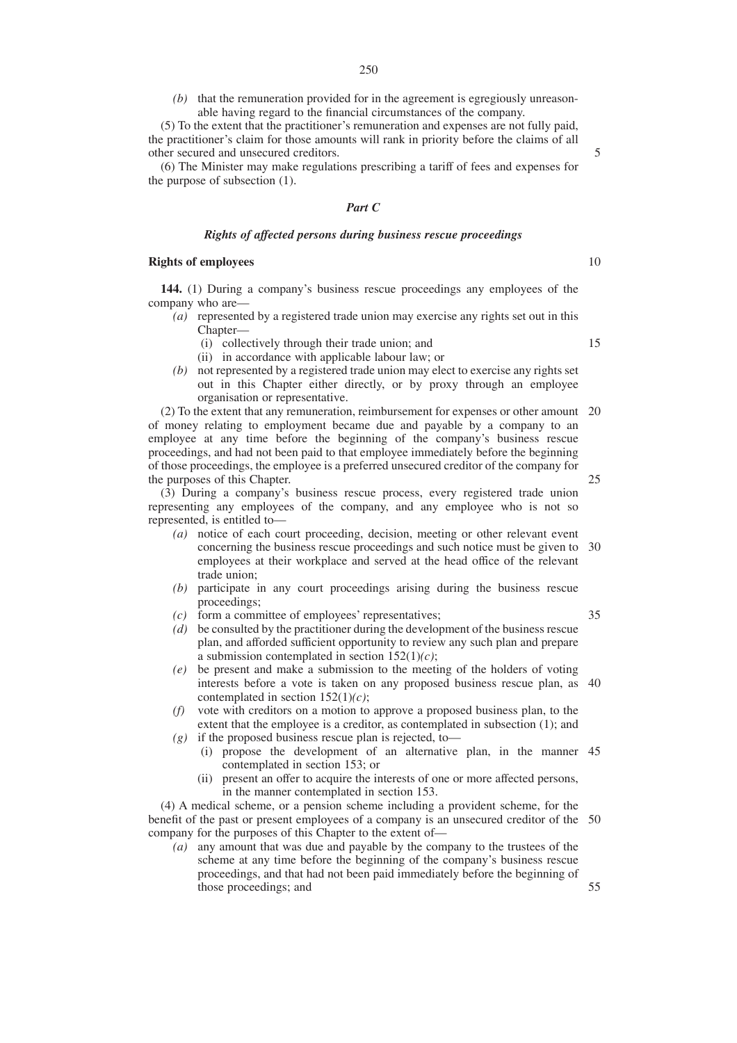*(b)* that the remuneration provided for in the agreement is egregiously unreasonable having regard to the financial circumstances of the company.

(5) To the extent that the practitioner's remuneration and expenses are not fully paid, the practitioner's claim for those amounts will rank in priority before the claims of all other secured and unsecured creditors.

(6) The Minister may make regulations prescribing a tariff of fees and expenses for the purpose of subsection (1).

#### *Part C*

## *Rights of affected persons during business rescue proceedings*

## **Rights of employees**

**144.** (1) During a company's business rescue proceedings any employees of the company who are—

- *(a)* represented by a registered trade union may exercise any rights set out in this Chapter—
	- (i) collectively through their trade union; and
	- (ii) in accordance with applicable labour law; or
- *(b)* not represented by a registered trade union may elect to exercise any rights set out in this Chapter either directly, or by proxy through an employee organisation or representative.

(2) To the extent that any remuneration, reimbursement for expenses or other amount 20 of money relating to employment became due and payable by a company to an employee at any time before the beginning of the company's business rescue proceedings, and had not been paid to that employee immediately before the beginning of those proceedings, the employee is a preferred unsecured creditor of the company for the purposes of this Chapter. 25

(3) During a company's business rescue process, every registered trade union representing any employees of the company, and any employee who is not so represented, is entitled to—

- *(a)* notice of each court proceeding, decision, meeting or other relevant event concerning the business rescue proceedings and such notice must be given to 30 employees at their workplace and served at the head office of the relevant trade union;
- *(b)* participate in any court proceedings arising during the business rescue proceedings;
- *(c)* form a committee of employees' representatives;
- *(d)* be consulted by the practitioner during the development of the business rescue plan, and afforded sufficient opportunity to review any such plan and prepare a submission contemplated in section 152(1)*(c)*;
- *(e)* be present and make a submission to the meeting of the holders of voting interests before a vote is taken on any proposed business rescue plan, as 40 contemplated in section 152(1)*(c)*;
- *(f)* vote with creditors on a motion to approve a proposed business plan, to the extent that the employee is a creditor, as contemplated in subsection (1); and
- *(g)* if the proposed business rescue plan is rejected, to—
	- (i) propose the development of an alternative plan, in the manner 45 contemplated in section 153; or
	- (ii) present an offer to acquire the interests of one or more affected persons, in the manner contemplated in section 153.

(4) A medical scheme, or a pension scheme including a provident scheme, for the benefit of the past or present employees of a company is an unsecured creditor of the 50 company for the purposes of this Chapter to the extent of—

*(a)* any amount that was due and payable by the company to the trustees of the scheme at any time before the beginning of the company's business rescue proceedings, and that had not been paid immediately before the beginning of those proceedings; and

35

10

15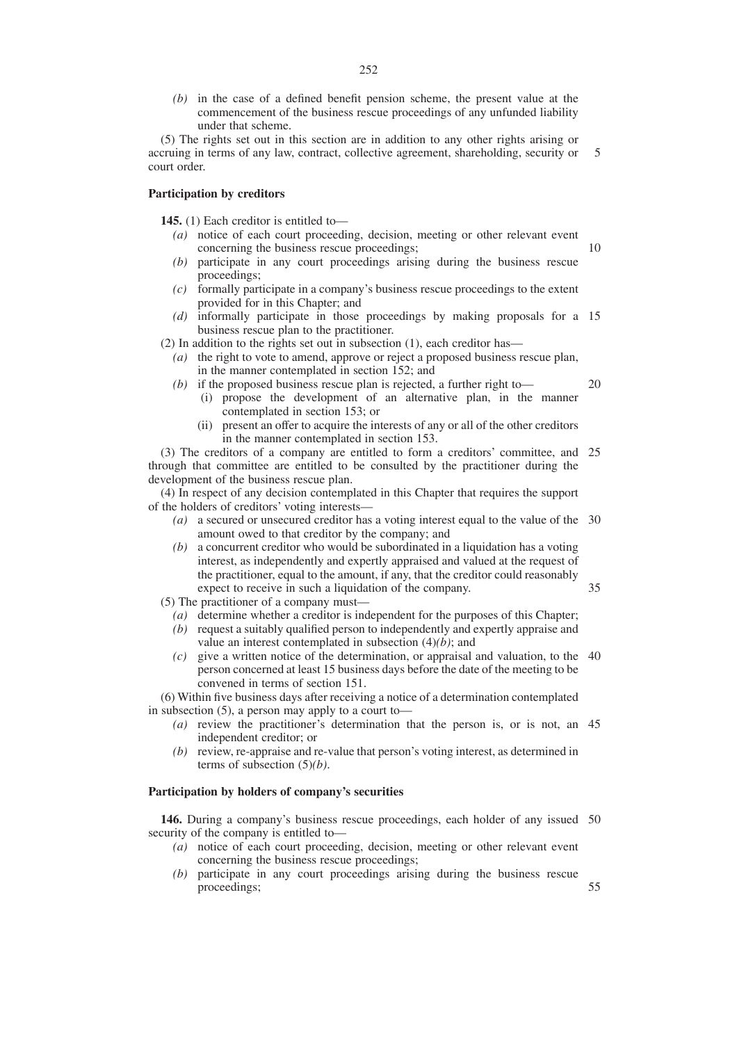*(b)* in the case of a defined benefit pension scheme, the present value at the commencement of the business rescue proceedings of any unfunded liability under that scheme.

(5) The rights set out in this section are in addition to any other rights arising or accruing in terms of any law, contract, collective agreement, shareholding, security or court order. 5

#### **Participation by creditors**

**145.** (1) Each creditor is entitled to—

*(a)* notice of each court proceeding, decision, meeting or other relevant event concerning the business rescue proceedings;

10

35

- *(b)* participate in any court proceedings arising during the business rescue proceedings;
- *(c)* formally participate in a company's business rescue proceedings to the extent provided for in this Chapter; and
- *(d)* informally participate in those proceedings by making proposals for a 15 business rescue plan to the practitioner.
- (2) In addition to the rights set out in subsection (1), each creditor has—
	- *(a)* the right to vote to amend, approve or reject a proposed business rescue plan, in the manner contemplated in section 152; and
	- *(b)* if the proposed business rescue plan is rejected, a further right to— 20
		- (i) propose the development of an alternative plan, in the manner contemplated in section 153; or
		- (ii) present an offer to acquire the interests of any or all of the other creditors in the manner contemplated in section 153.

(3) The creditors of a company are entitled to form a creditors' committee, and 25 through that committee are entitled to be consulted by the practitioner during the development of the business rescue plan.

(4) In respect of any decision contemplated in this Chapter that requires the support of the holders of creditors' voting interests—

- *(a)* a secured or unsecured creditor has a voting interest equal to the value of the 30 amount owed to that creditor by the company; and
- *(b)* a concurrent creditor who would be subordinated in a liquidation has a voting interest, as independently and expertly appraised and valued at the request of the practitioner, equal to the amount, if any, that the creditor could reasonably expect to receive in such a liquidation of the company.
- (5) The practitioner of a company must—
	- *(a)* determine whether a creditor is independent for the purposes of this Chapter;
	- *(b)* request a suitably qualified person to independently and expertly appraise and value an interest contemplated in subsection (4)*(b)*; and
	- *(c)* give a written notice of the determination, or appraisal and valuation, to the 40 person concerned at least 15 business days before the date of the meeting to be convened in terms of section 151.

(6) Within five business days after receiving a notice of a determination contemplated in subsection (5), a person may apply to a court to—

- *(a)* review the practitioner's determination that the person is, or is not, an 45 independent creditor; or
- *(b)* review, re-appraise and re-value that person's voting interest, as determined in terms of subsection (5)*(b)*.

## **Participation by holders of company's securities**

**146.** During a company's business rescue proceedings, each holder of any issued 50 security of the company is entitled to—

- *(a)* notice of each court proceeding, decision, meeting or other relevant event concerning the business rescue proceedings;
- *(b)* participate in any court proceedings arising during the business rescue proceedings; 55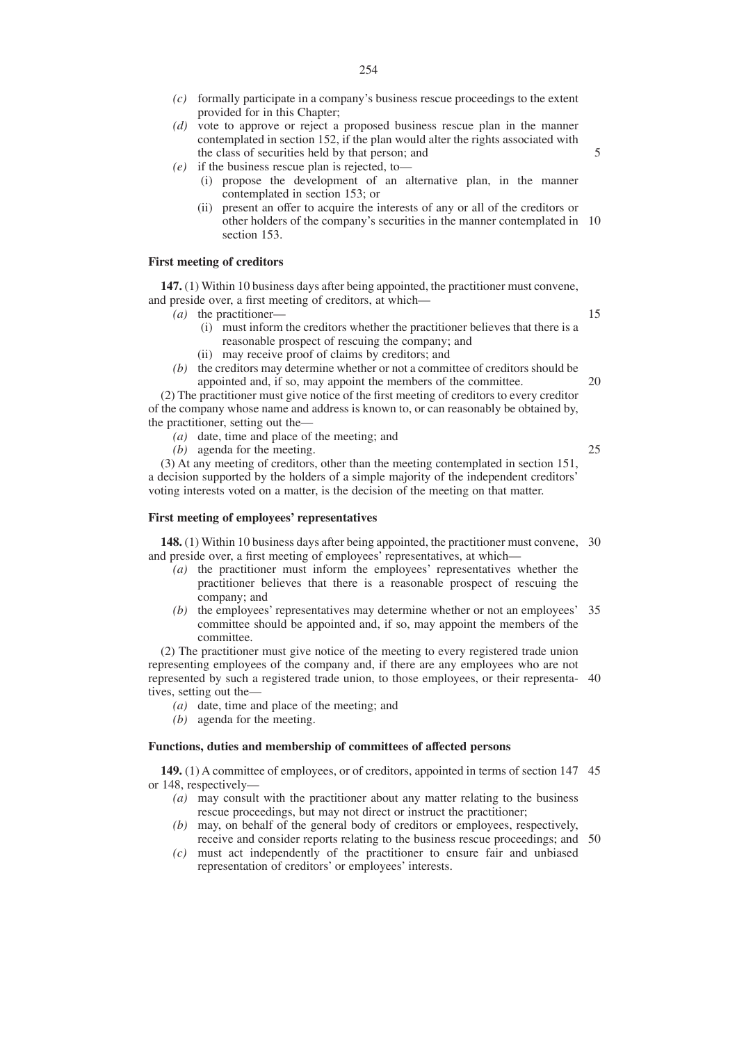- *(c)* formally participate in a company's business rescue proceedings to the extent provided for in this Chapter;
- *(d)* vote to approve or reject a proposed business rescue plan in the manner contemplated in section 152, if the plan would alter the rights associated with the class of securities held by that person; and
- *(e)* if the business rescue plan is rejected, to—
	- (i) propose the development of an alternative plan, in the manner contemplated in section 153; or
	- (ii) present an offer to acquire the interests of any or all of the creditors or other holders of the company's securities in the manner contemplated in 10 section 153.

## **First meeting of creditors**

**147.** (1) Within 10 business days after being appointed, the practitioner must convene, and preside over, a first meeting of creditors, at which—

- *(a)* the practitioner—
	- (i) must inform the creditors whether the practitioner believes that there is a reasonable prospect of rescuing the company; and
	- (ii) may receive proof of claims by creditors; and
- *(b)* the creditors may determine whether or not a committee of creditors should be appointed and, if so, may appoint the members of the committee. 20

(2) The practitioner must give notice of the first meeting of creditors to every creditor of the company whose name and address is known to, or can reasonably be obtained by, the practitioner, setting out the—

- *(a)* date, time and place of the meeting; and
- *(b)* agenda for the meeting.

25

15

(3) At any meeting of creditors, other than the meeting contemplated in section 151, a decision supported by the holders of a simple majority of the independent creditors' voting interests voted on a matter, is the decision of the meeting on that matter.

#### **First meeting of employees' representatives**

**148.** (1) Within 10 business days after being appointed, the practitioner must convene, 30 and preside over, a first meeting of employees' representatives, at which—

- *(a)* the practitioner must inform the employees' representatives whether the practitioner believes that there is a reasonable prospect of rescuing the company; and
- *(b)* the employees' representatives may determine whether or not an employees' committee should be appointed and, if so, may appoint the members of the committee. 35

(2) The practitioner must give notice of the meeting to every registered trade union representing employees of the company and, if there are any employees who are not represented by such a registered trade union, to those employees, or their representa-40 tives, setting out the—

- *(a)* date, time and place of the meeting; and
- *(b)* agenda for the meeting.

#### **Functions, duties and membership of committees of affected persons**

**149.** (1) A committee of employees, or of creditors, appointed in terms of section 147 45 or 148, respectively—

- *(a)* may consult with the practitioner about any matter relating to the business rescue proceedings, but may not direct or instruct the practitioner;
- *(b)* may, on behalf of the general body of creditors or employees, respectively, receive and consider reports relating to the business rescue proceedings; and 50
- *(c)* must act independently of the practitioner to ensure fair and unbiased representation of creditors' or employees' interests.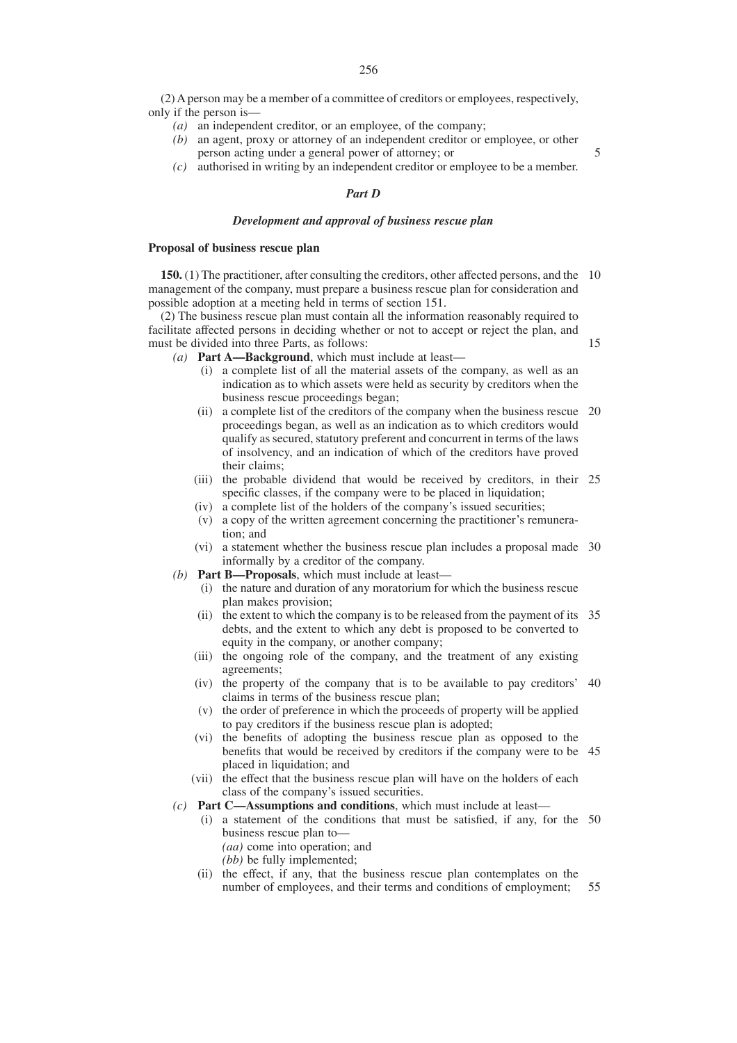(2) A person may be a member of a committee of creditors or employees, respectively, only if the person is—

- *(a)* an independent creditor, or an employee, of the company;
- *(b)* an agent, proxy or attorney of an independent creditor or employee, or other person acting under a general power of attorney; or
- *(c)* authorised in writing by an independent creditor or employee to be a member.

## *Part D*

#### *Development and approval of business rescue plan*

#### **Proposal of business rescue plan**

150. (1) The practitioner, after consulting the creditors, other affected persons, and the 10 management of the company, must prepare a business rescue plan for consideration and possible adoption at a meeting held in terms of section 151.

(2) The business rescue plan must contain all the information reasonably required to facilitate affected persons in deciding whether or not to accept or reject the plan, and must be divided into three Parts, as follows:

15

5

*(a)* **Part A—Background**, which must include at least—

- (i) a complete list of all the material assets of the company, as well as an indication as to which assets were held as security by creditors when the business rescue proceedings began;
- (ii) a complete list of the creditors of the company when the business rescue 20 proceedings began, as well as an indication as to which creditors would qualify as secured, statutory preferent and concurrent in terms of the laws of insolvency, and an indication of which of the creditors have proved their claims;
- (iii) the probable dividend that would be received by creditors, in their 25 specific classes, if the company were to be placed in liquidation;
- (iv) a complete list of the holders of the company's issued securities;
- (v) a copy of the written agreement concerning the practitioner's remuneration; and
- (vi) a statement whether the business rescue plan includes a proposal made 30 informally by a creditor of the company.
- *(b)* **Part B—Proposals**, which must include at least—
	- (i) the nature and duration of any moratorium for which the business rescue plan makes provision;
	- (ii) the extent to which the company is to be released from the payment of its 35 debts, and the extent to which any debt is proposed to be converted to equity in the company, or another company;
	- (iii) the ongoing role of the company, and the treatment of any existing agreements;
	- (iv) the property of the company that is to be available to pay creditors' 40 claims in terms of the business rescue plan;
	- (v) the order of preference in which the proceeds of property will be applied to pay creditors if the business rescue plan is adopted;
	- (vi) the benefits of adopting the business rescue plan as opposed to the benefits that would be received by creditors if the company were to be 45 placed in liquidation; and
	- (vii) the effect that the business rescue plan will have on the holders of each class of the company's issued securities.
- *(c)* **Part C—Assumptions and conditions**, which must include at least—
	- (i) a statement of the conditions that must be satisfied, if any, for the 50 business rescue plan to— *(aa)* come into operation; and
		- *(bb)* be fully implemented;
	- (ii) the effect, if any, that the business rescue plan contemplates on the number of employees, and their terms and conditions of employment; 55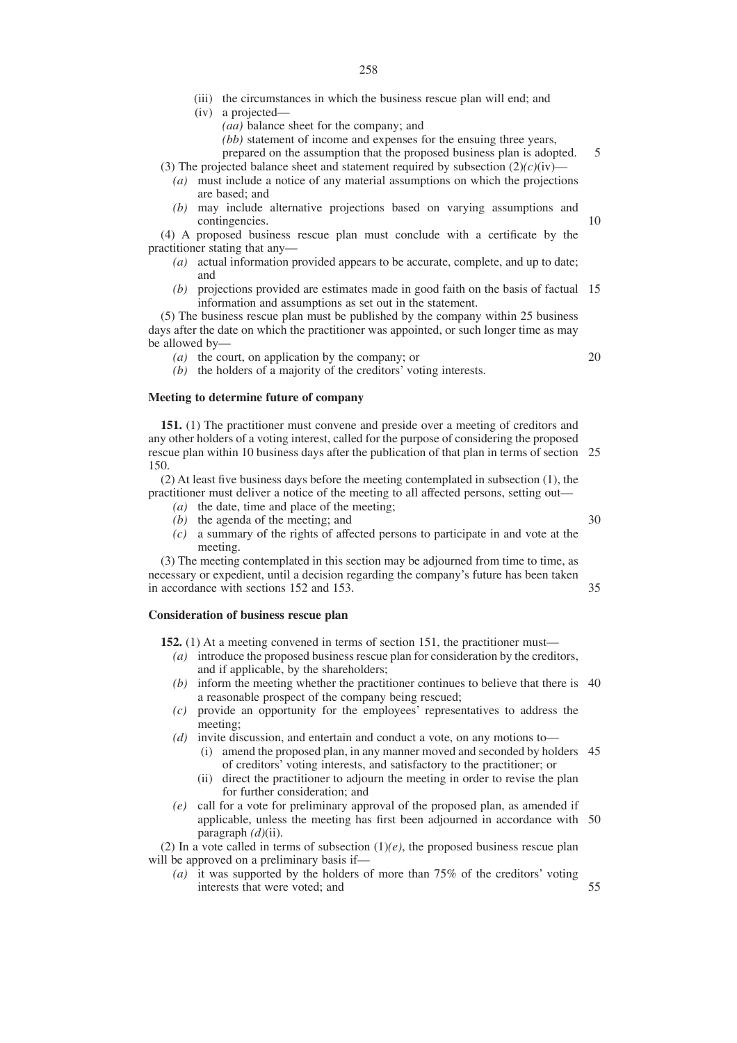- (iii) the circumstances in which the business rescue plan will end; and
- (iv) a projected—
	- *(aa)* balance sheet for the company; and
	- *(bb)* statement of income and expenses for the ensuing three years,
- prepared on the assumption that the proposed business plan is adopted. (3) The projected balance sheet and statement required by subsection  $(2)(c)(iv)$ — 5
- *(a)* must include a notice of any material assumptions on which the projections are based; and
- *(b)* may include alternative projections based on varying assumptions and contingencies.

(4) A proposed business rescue plan must conclude with a certificate by the practitioner stating that any—

- *(a)* actual information provided appears to be accurate, complete, and up to date; and
- *(b)* projections provided are estimates made in good faith on the basis of factual 15 information and assumptions as set out in the statement.

(5) The business rescue plan must be published by the company within 25 business days after the date on which the practitioner was appointed, or such longer time as may be allowed by—

*(a)* the court, on application by the company; or

- 20
- *(b)* the holders of a majority of the creditors' voting interests.

## **Meeting to determine future of company**

**151.** (1) The practitioner must convene and preside over a meeting of creditors and any other holders of a voting interest, called for the purpose of considering the proposed rescue plan within 10 business days after the publication of that plan in terms of section 25 150.

(2) At least five business days before the meeting contemplated in subsection (1), the practitioner must deliver a notice of the meeting to all affected persons, setting out—

- *(a)* the date, time and place of the meeting;
- *(b)* the agenda of the meeting; and
- *(c)* a summary of the rights of affected persons to participate in and vote at the meeting.

(3) The meeting contemplated in this section may be adjourned from time to time, as necessary or expedient, until a decision regarding the company's future has been taken in accordance with sections 152 and 153.

#### **Consideration of business rescue plan**

**152.** (1) At a meeting convened in terms of section 151, the practitioner must—

- *(a)* introduce the proposed business rescue plan for consideration by the creditors, and if applicable, by the shareholders;
- *(b)* inform the meeting whether the practitioner continues to believe that there is 40 a reasonable prospect of the company being rescued;
- *(c)* provide an opportunity for the employees' representatives to address the meeting;
- *(d)* invite discussion, and entertain and conduct a vote, on any motions to— (i) amend the proposed plan, in any manner moved and seconded by holders 45
	- of creditors' voting interests, and satisfactory to the practitioner; or
	- (ii) direct the practitioner to adjourn the meeting in order to revise the plan for further consideration; and
- *(e)* call for a vote for preliminary approval of the proposed plan, as amended if applicable, unless the meeting has first been adjourned in accordance with 50 paragraph *(d)*(ii).

(2) In a vote called in terms of subsection  $(1)(e)$ , the proposed business rescue plan will be approved on a preliminary basis if—

*(a)* it was supported by the holders of more than 75% of the creditors' voting interests that were voted; and 55

10

30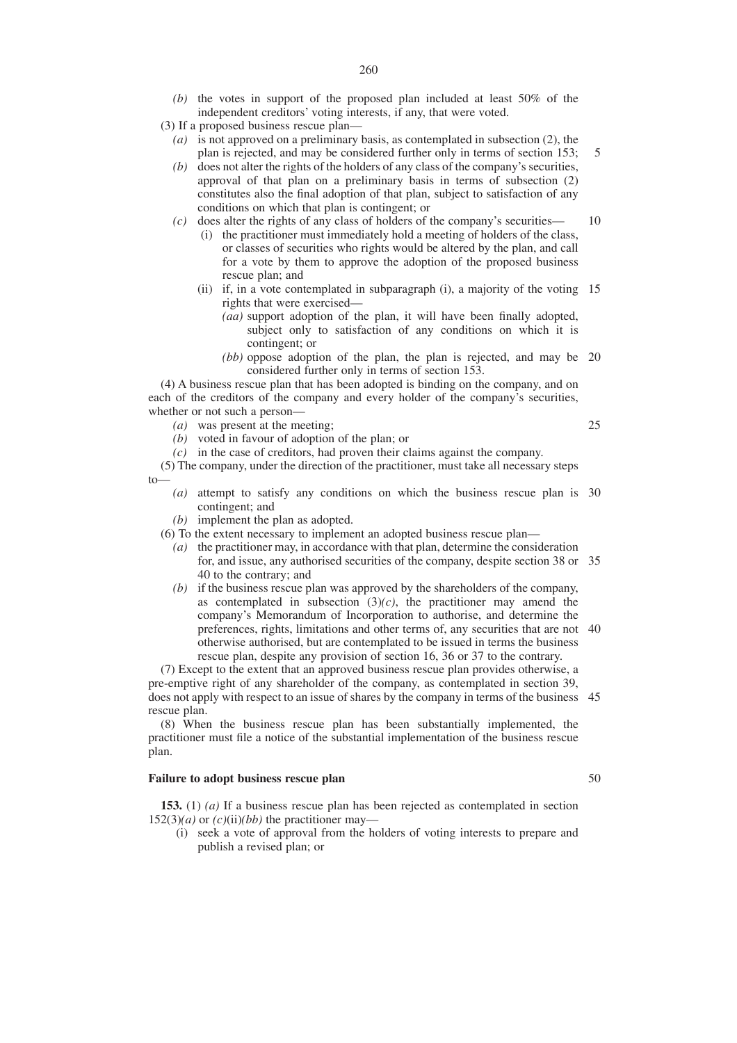- *(b)* the votes in support of the proposed plan included at least 50% of the independent creditors' voting interests, if any, that were voted.
- (3) If a proposed business rescue plan—
	- *(a)* is not approved on a preliminary basis, as contemplated in subsection (2), the plan is rejected, and may be considered further only in terms of section 153;
	- *(b)* does not alter the rights of the holders of any class of the company's securities, approval of that plan on a preliminary basis in terms of subsection (2) constitutes also the final adoption of that plan, subject to satisfaction of any conditions on which that plan is contingent; or
	- *(c)* does alter the rights of any class of holders of the company's securities—
		- (i) the practitioner must immediately hold a meeting of holders of the class, or classes of securities who rights would be altered by the plan, and call for a vote by them to approve the adoption of the proposed business rescue plan; and
		- (ii) if, in a vote contemplated in subparagraph (i), a majority of the voting 15 rights that were exercised—
			- *(aa)* support adoption of the plan, it will have been finally adopted, subject only to satisfaction of any conditions on which it is contingent; or
			- *(bb)* oppose adoption of the plan, the plan is rejected, and may be 20 considered further only in terms of section 153.

(4) A business rescue plan that has been adopted is binding on the company, and on each of the creditors of the company and every holder of the company's securities, whether or not such a person—

- *(a)* was present at the meeting;
- *(b)* voted in favour of adoption of the plan; or
- *(c)* in the case of creditors, had proven their claims against the company.

(5) The company, under the direction of the practitioner, must take all necessary steps to—

- *(a)* attempt to satisfy any conditions on which the business rescue plan is 30 contingent; and
- *(b)* implement the plan as adopted.
- (6) To the extent necessary to implement an adopted business rescue plan—
	- *(a)* the practitioner may, in accordance with that plan, determine the consideration for, and issue, any authorised securities of the company, despite section 38 or 35 40 to the contrary; and
	- *(b)* if the business rescue plan was approved by the shareholders of the company, as contemplated in subsection  $(3)(c)$ , the practitioner may amend the company's Memorandum of Incorporation to authorise, and determine the preferences, rights, limitations and other terms of, any securities that are not 40 otherwise authorised, but are contemplated to be issued in terms the business rescue plan, despite any provision of section 16, 36 or 37 to the contrary.

(7) Except to the extent that an approved business rescue plan provides otherwise, a pre-emptive right of any shareholder of the company, as contemplated in section 39, does not apply with respect to an issue of shares by the company in terms of the business 45 rescue plan.

(8) When the business rescue plan has been substantially implemented, the practitioner must file a notice of the substantial implementation of the business rescue plan.

## **Failure to adopt business rescue plan**

**153.** (1) *(a)* If a business rescue plan has been rejected as contemplated in section  $152(3)(a)$  or  $(c)(ii)(bb)$  the practitioner may-

(i) seek a vote of approval from the holders of voting interests to prepare and publish a revised plan; or

25

5

10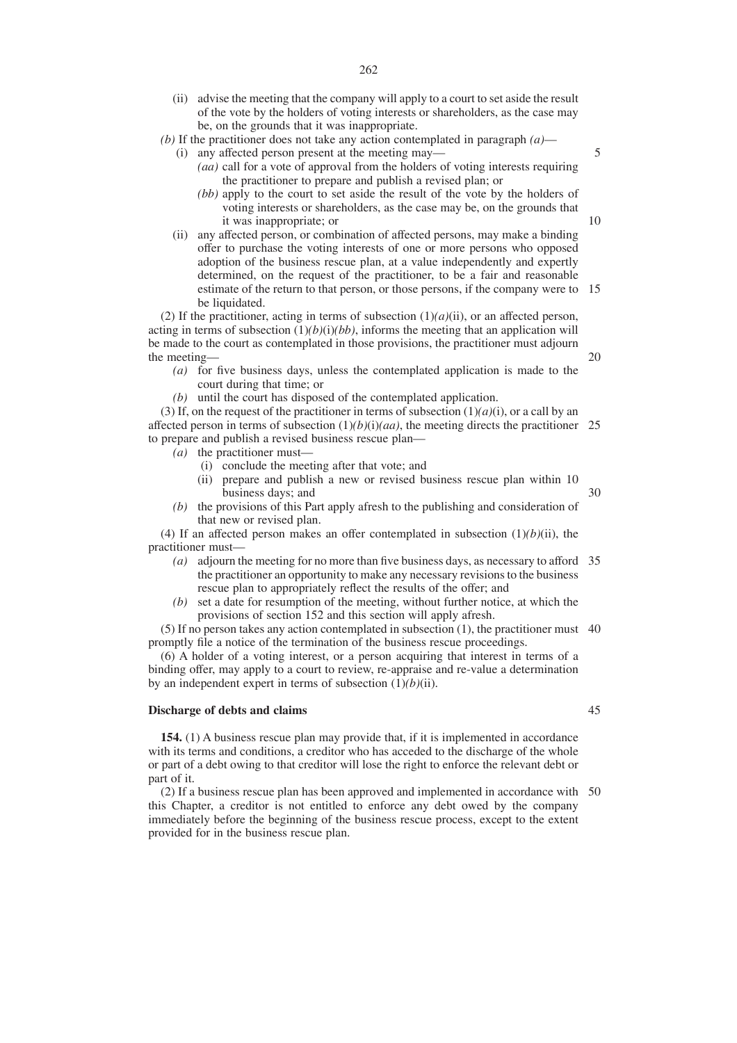- (ii) advise the meeting that the company will apply to a court to set aside the result of the vote by the holders of voting interests or shareholders, as the case may be, on the grounds that it was inappropriate.
- *(b)* If the practitioner does not take any action contemplated in paragraph *(a)*
	- (i) any affected person present at the meeting may—
		- *(aa)* call for a vote of approval from the holders of voting interests requiring the practitioner to prepare and publish a revised plan; or
		- *(bb)* apply to the court to set aside the result of the vote by the holders of voting interests or shareholders, as the case may be, on the grounds that it was inappropriate; or
	- (ii) any affected person, or combination of affected persons, may make a binding offer to purchase the voting interests of one or more persons who opposed adoption of the business rescue plan, at a value independently and expertly determined, on the request of the practitioner, to be a fair and reasonable estimate of the return to that person, or those persons, if the company were to 15 be liquidated.

(2) If the practitioner, acting in terms of subsection  $(1)(a)(ii)$ , or an affected person, acting in terms of subsection  $(1)(b)(i)(bb)$ , informs the meeting that an application will be made to the court as contemplated in those provisions, the practitioner must adjourn the meeting—

- *(a)* for five business days, unless the contemplated application is made to the court during that time; or
- *(b)* until the court has disposed of the contemplated application.

(3) If, on the request of the practitioner in terms of subsection  $(1)(a)(i)$ , or a call by an affected person in terms of subsection  $(1)(b)(i)(aa)$ , the meeting directs the practitioner 25 to prepare and publish a revised business rescue plan—

- *(a)* the practitioner must—
	- (i) conclude the meeting after that vote; and
	- (ii) prepare and publish a new or revised business rescue plan within 10 business days; and 30
- *(b)* the provisions of this Part apply afresh to the publishing and consideration of that new or revised plan.

(4) If an affected person makes an offer contemplated in subsection  $(1)(b)(ii)$ , the practitioner must—

- *(a)* adjourn the meeting for no more than five business days, as necessary to afford 35 the practitioner an opportunity to make any necessary revisions to the business rescue plan to appropriately reflect the results of the offer; and
- *(b)* set a date for resumption of the meeting, without further notice, at which the provisions of section 152 and this section will apply afresh.

(5) If no person takes any action contemplated in subsection (1), the practitioner must 40 promptly file a notice of the termination of the business rescue proceedings.

(6) A holder of a voting interest, or a person acquiring that interest in terms of a binding offer, may apply to a court to review, re-appraise and re-value a determination by an independent expert in terms of subsection (1)*(b)*(ii).

## **Discharge of debts and claims**

**154.** (1) A business rescue plan may provide that, if it is implemented in accordance with its terms and conditions, a creditor who has acceded to the discharge of the whole or part of a debt owing to that creditor will lose the right to enforce the relevant debt or part of it.

(2) If a business rescue plan has been approved and implemented in accordance with 50this Chapter, a creditor is not entitled to enforce any debt owed by the company immediately before the beginning of the business rescue process, except to the extent provided for in the business rescue plan.

45

5

10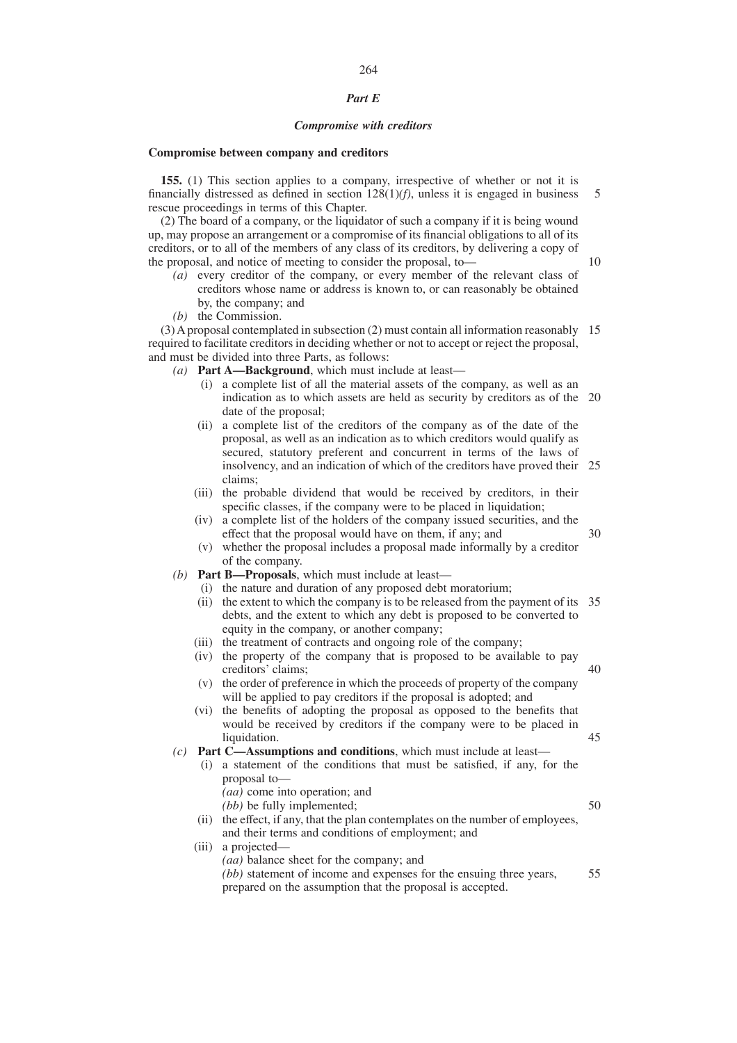#### *Part E*

#### *Compromise with creditors*

#### **Compromise between company and creditors**

**155.** (1) This section applies to a company, irrespective of whether or not it is financially distressed as defined in section  $128(1)/f$ , unless it is engaged in business rescue proceedings in terms of this Chapter. 5

(2) The board of a company, or the liquidator of such a company if it is being wound up, may propose an arrangement or a compromise of its financial obligations to all of its creditors, or to all of the members of any class of its creditors, by delivering a copy of the proposal, and notice of meeting to consider the proposal, to— 10

- *(a)* every creditor of the company, or every member of the relevant class of creditors whose name or address is known to, or can reasonably be obtained by, the company; and
- *(b)* the Commission.

(3) A proposal contemplated in subsection (2) must contain all information reasonably 15 required to facilitate creditors in deciding whether or not to accept or reject the proposal, and must be divided into three Parts, as follows:

*(a)* **Part A—Background**, which must include at least—

- (i) a complete list of all the material assets of the company, as well as an indication as to which assets are held as security by creditors as of the 20 date of the proposal;
- (ii) a complete list of the creditors of the company as of the date of the proposal, as well as an indication as to which creditors would qualify as secured, statutory preferent and concurrent in terms of the laws of insolvency, and an indication of which of the creditors have proved their 25 claims;
- (iii) the probable dividend that would be received by creditors, in their specific classes, if the company were to be placed in liquidation;
- (iv) a complete list of the holders of the company issued securities, and the effect that the proposal would have on them, if any; and 30
- (v) whether the proposal includes a proposal made informally by a creditor of the company.
- *(b)* **Part B—Proposals**, which must include at least—
	- (i) the nature and duration of any proposed debt moratorium;
	- (ii) the extent to which the company is to be released from the payment of its 35 debts, and the extent to which any debt is proposed to be converted to equity in the company, or another company;
	- (iii) the treatment of contracts and ongoing role of the company;
	- (iv) the property of the company that is proposed to be available to pay creditors' claims; 40
	- (v) the order of preference in which the proceeds of property of the company will be applied to pay creditors if the proposal is adopted; and
	- (vi) the benefits of adopting the proposal as opposed to the benefits that would be received by creditors if the company were to be placed in liquidation. 45

## *(c)* **Part C—Assumptions and conditions**, which must include at least—

(i) a statement of the conditions that must be satisfied, if any, for the proposal to—

*(aa)* come into operation; and

*(bb)* be fully implemented;

(ii) the effect, if any, that the plan contemplates on the number of employees, and their terms and conditions of employment; and

50

(iii) a projected— *(aa)* balance sheet for the company; and *(bb)* statement of income and expenses for the ensuing three years, prepared on the assumption that the proposal is accepted. 55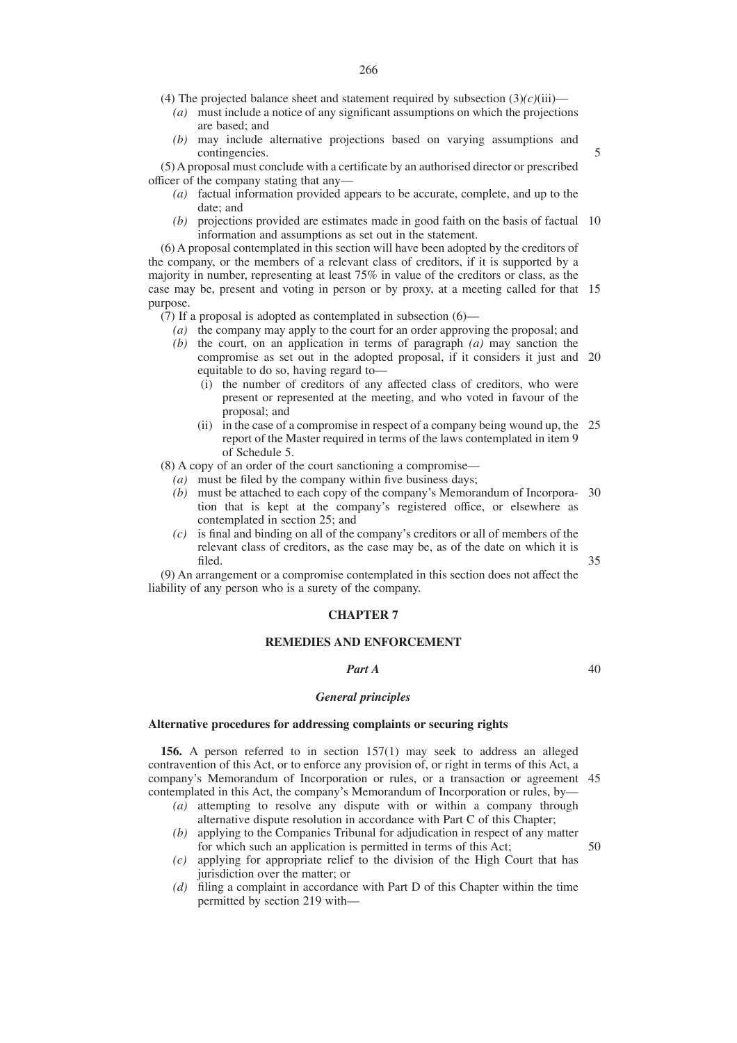(4) The projected balance sheet and statement required by subsection  $(3)(c)(iii)$ —

- *(a)* must include a notice of any significant assumptions on which the projections are based; and
- *(b)* may include alternative projections based on varying assumptions and contingencies.

(5) A proposal must conclude with a certificate by an authorised director or prescribed officer of the company stating that any—

- *(a)* factual information provided appears to be accurate, complete, and up to the date; and
- (b) projections provided are estimates made in good faith on the basis of factual 10 information and assumptions as set out in the statement.

(6) A proposal contemplated in this section will have been adopted by the creditors of the company, or the members of a relevant class of creditors, if it is supported by a majority in number, representing at least 75% in value of the creditors or class, as the case may be, present and voting in person or by proxy, at a meeting called for that 15 purpose.

(7) If a proposal is adopted as contemplated in subsection (6)—

- *(a)* the company may apply to the court for an order approving the proposal; and
- *(b)* the court, on an application in terms of paragraph *(a)* may sanction the compromise as set out in the adopted proposal, if it considers it just and 20 equitable to do so, having regard to—
	- (i) the number of creditors of any affected class of creditors, who were present or represented at the meeting, and who voted in favour of the proposal; and
	- (ii) in the case of a compromise in respect of a company being wound up, the 25 report of the Master required in terms of the laws contemplated in item 9 of Schedule 5.

(8) A copy of an order of the court sanctioning a compromise—

- *(a)* must be filed by the company within five business days;
- *(b)* must be attached to each copy of the company's Memorandum of Incorpora-30 tion that is kept at the company's registered office, or elsewhere as contemplated in section 25; and
- *(c)* is final and binding on all of the company's creditors or all of members of the relevant class of creditors, as the case may be, as of the date on which it is filed.

(9) An arrangement or a compromise contemplated in this section does not affect the liability of any person who is a surety of the company.

## **CHAPTER 7**

#### **REMEDIES AND ENFORCEMENT**

#### *Part A*

40

50

35

5

# *General principles*

## **Alternative procedures for addressing complaints or securing rights**

**156.** A person referred to in section 157(1) may seek to address an alleged contravention of this Act, or to enforce any provision of, or right in terms of this Act, a company's Memorandum of Incorporation or rules, or a transaction or agreement 45 contemplated in this Act, the company's Memorandum of Incorporation or rules, by—

- *(a)* attempting to resolve any dispute with or within a company through alternative dispute resolution in accordance with Part C of this Chapter;
- *(b)* applying to the Companies Tribunal for adjudication in respect of any matter for which such an application is permitted in terms of this Act;
- *(c)* applying for appropriate relief to the division of the High Court that has jurisdiction over the matter; or
- *(d)* filing a complaint in accordance with Part D of this Chapter within the time permitted by section 219 with—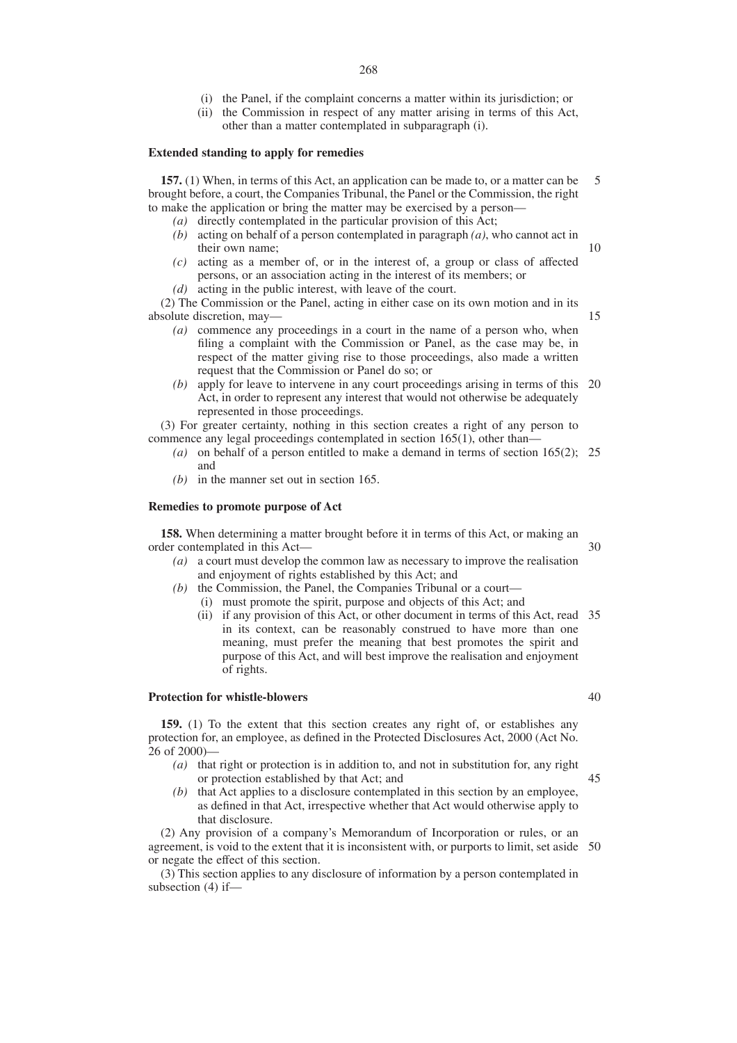- 268
- (i) the Panel, if the complaint concerns a matter within its jurisdiction; or
- (ii) the Commission in respect of any matter arising in terms of this Act, other than a matter contemplated in subparagraph (i).

#### **Extended standing to apply for remedies**

**157.** (1) When, in terms of this Act, an application can be made to, or a matter can be brought before, a court, the Companies Tribunal, the Panel or the Commission, the right to make the application or bring the matter may be exercised by a person— 5

- *(a)* directly contemplated in the particular provision of this Act;
- *(b)* acting on behalf of a person contemplated in paragraph *(a)*, who cannot act in their own name;
- *(c)* acting as a member of, or in the interest of, a group or class of affected persons, or an association acting in the interest of its members; or *(d)* acting in the public interest, with leave of the court.
- 

(2) The Commission or the Panel, acting in either case on its own motion and in its absolute discretion, may—

15

10

- *(a)* commence any proceedings in a court in the name of a person who, when filing a complaint with the Commission or Panel, as the case may be, in respect of the matter giving rise to those proceedings, also made a written request that the Commission or Panel do so; or
- *(b)* apply for leave to intervene in any court proceedings arising in terms of this 20 Act, in order to represent any interest that would not otherwise be adequately represented in those proceedings.

(3) For greater certainty, nothing in this section creates a right of any person to commence any legal proceedings contemplated in section 165(1), other than—

- *(a)* on behalf of a person entitled to make a demand in terms of section 165(2); 25 and
- *(b)* in the manner set out in section 165.

#### **Remedies to promote purpose of Act**

**158.** When determining a matter brought before it in terms of this Act, or making an order contemplated in this Act—

- *(a)* a court must develop the common law as necessary to improve the realisation and enjoyment of rights established by this Act; and
- *(b)* the Commission, the Panel, the Companies Tribunal or a court—
	- (i) must promote the spirit, purpose and objects of this Act; and
	- (ii) if any provision of this Act, or other document in terms of this Act, read 35 in its context, can be reasonably construed to have more than one meaning, must prefer the meaning that best promotes the spirit and purpose of this Act, and will best improve the realisation and enjoyment of rights.

## **Protection for whistle-blowers**

**159.** (1) To the extent that this section creates any right of, or establishes any protection for, an employee, as defined in the Protected Disclosures Act, 2000 (Act No. 26 of 2000)—

- *(a)* that right or protection is in addition to, and not in substitution for, any right or protection established by that Act; and 45
- *(b)* that Act applies to a disclosure contemplated in this section by an employee, as defined in that Act, irrespective whether that Act would otherwise apply to that disclosure.

(2) Any provision of a company's Memorandum of Incorporation or rules, or an agreement, is void to the extent that it is inconsistent with, or purports to limit, set aside 50or negate the effect of this section.

(3) This section applies to any disclosure of information by a person contemplated in subsection (4) if—

30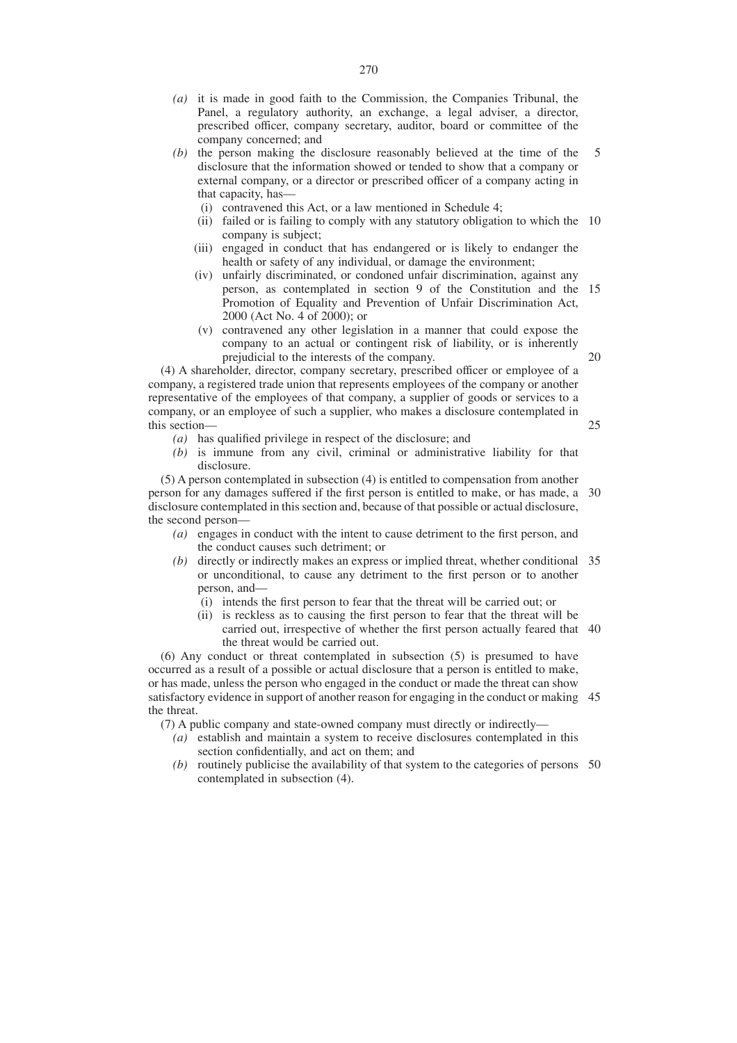- *(a)* it is made in good faith to the Commission, the Companies Tribunal, the Panel, a regulatory authority, an exchange, a legal adviser, a director, prescribed officer, company secretary, auditor, board or committee of the company concerned; and
- *(b)* the person making the disclosure reasonably believed at the time of the disclosure that the information showed or tended to show that a company or external company, or a director or prescribed officer of a company acting in that capacity, has— 5
	- (i) contravened this Act, or a law mentioned in Schedule 4;
	- (ii) failed or is failing to comply with any statutory obligation to which the 10 company is subject;
	- (iii) engaged in conduct that has endangered or is likely to endanger the health or safety of any individual, or damage the environment;
	- (iv) unfairly discriminated, or condoned unfair discrimination, against any person, as contemplated in section 9 of the Constitution and the 15 Promotion of Equality and Prevention of Unfair Discrimination Act, 2000 (Act No. 4 of 2000); or
	- (v) contravened any other legislation in a manner that could expose the company to an actual or contingent risk of liability, or is inherently prejudicial to the interests of the company.

20

25

(4) A shareholder, director, company secretary, prescribed officer or employee of a company, a registered trade union that represents employees of the company or another representative of the employees of that company, a supplier of goods or services to a company, or an employee of such a supplier, who makes a disclosure contemplated in this section—

- *(a)* has qualified privilege in respect of the disclosure; and
- *(b)* is immune from any civil, criminal or administrative liability for that disclosure.

(5) A person contemplated in subsection (4) is entitled to compensation from another person for any damages suffered if the first person is entitled to make, or has made, a 30 disclosure contemplated in this section and, because of that possible or actual disclosure, the second person—

- *(a)* engages in conduct with the intent to cause detriment to the first person, and the conduct causes such detriment; or
- *(b)* directly or indirectly makes an express or implied threat, whether conditional 35 or unconditional, to cause any detriment to the first person or to another person, and—
	- (i) intends the first person to fear that the threat will be carried out; or
	- (ii) is reckless as to causing the first person to fear that the threat will be carried out, irrespective of whether the first person actually feared that 40 the threat would be carried out.

(6) Any conduct or threat contemplated in subsection (5) is presumed to have occurred as a result of a possible or actual disclosure that a person is entitled to make, or has made, unless the person who engaged in the conduct or made the threat can show satisfactory evidence in support of another reason for engaging in the conduct or making 45 the threat.

(7) A public company and state-owned company must directly or indirectly—

- *(a)* establish and maintain a system to receive disclosures contemplated in this section confidentially, and act on them; and
- *(b)* routinely publicise the availability of that system to the categories of persons 50contemplated in subsection (4).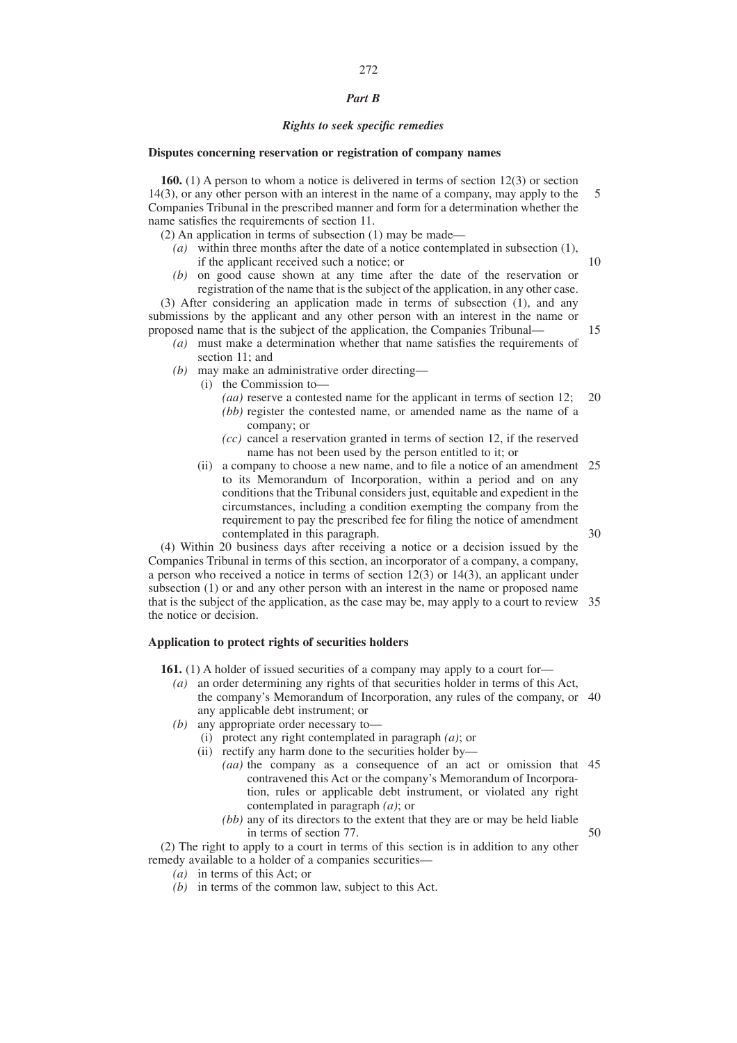#### *Part B*

272

#### *Rights to seek specific remedies*

#### **Disputes concerning reservation or registration of company names**

**160.** (1) A person to whom a notice is delivered in terms of section 12(3) or section 14(3), or any other person with an interest in the name of a company, may apply to the Companies Tribunal in the prescribed manner and form for a determination whether the name satisfies the requirements of section 11. 5

- (2) An application in terms of subsection (1) may be made—
	- *(a)* within three months after the date of a notice contemplated in subsection (1), if the applicant received such a notice; or 10
	- *(b)* on good cause shown at any time after the date of the reservation or registration of the name that is the subject of the application, in any other case.

(3) After considering an application made in terms of subsection (1), and any submissions by the applicant and any other person with an interest in the name or proposed name that is the subject of the application, the Companies Tribunal—

- *(a)* must make a determination whether that name satisfies the requirements of section 11; and
- *(b)* may make an administrative order directing—
	- (i) the Commission to—
		- *(aa)* reserve a contested name for the applicant in terms of section 12; *(bb)* register the contested name, or amended name as the name of a company; or 20
		- *(cc)* cancel a reservation granted in terms of section 12, if the reserved name has not been used by the person entitled to it; or
	- (ii) a company to choose a new name, and to file a notice of an amendment 25 to its Memorandum of Incorporation, within a period and on any conditions that the Tribunal considers just, equitable and expedient in the circumstances, including a condition exempting the company from the requirement to pay the prescribed fee for filing the notice of amendment contemplated in this paragraph. 30

(4) Within 20 business days after receiving a notice or a decision issued by the Companies Tribunal in terms of this section, an incorporator of a company, a company, a person who received a notice in terms of section 12(3) or 14(3), an applicant under subsection (1) or and any other person with an interest in the name or proposed name that is the subject of the application, as the case may be, may apply to a court to review 35 the notice or decision.

#### **Application to protect rights of securities holders**

**161.** (1) A holder of issued securities of a company may apply to a court for—

- *(a)* an order determining any rights of that securities holder in terms of this Act, the company's Memorandum of Incorporation, any rules of the company, or 40 any applicable debt instrument; or
- *(b)* any appropriate order necessary to—
	- (i) protect any right contemplated in paragraph *(a)*; or
	- (ii) rectify any harm done to the securities holder by—
		- *(aa)* the company as a consequence of an act or omission that 45 contravened this Act or the company's Memorandum of Incorporation, rules or applicable debt instrument, or violated any right contemplated in paragraph *(a)*; or
		- *(bb)* any of its directors to the extent that they are or may be held liable in terms of section 77.

(2) The right to apply to a court in terms of this section is in addition to any other remedy available to a holder of a companies securities—

- *(a)* in terms of this Act; or
- *(b)* in terms of the common law, subject to this Act.

15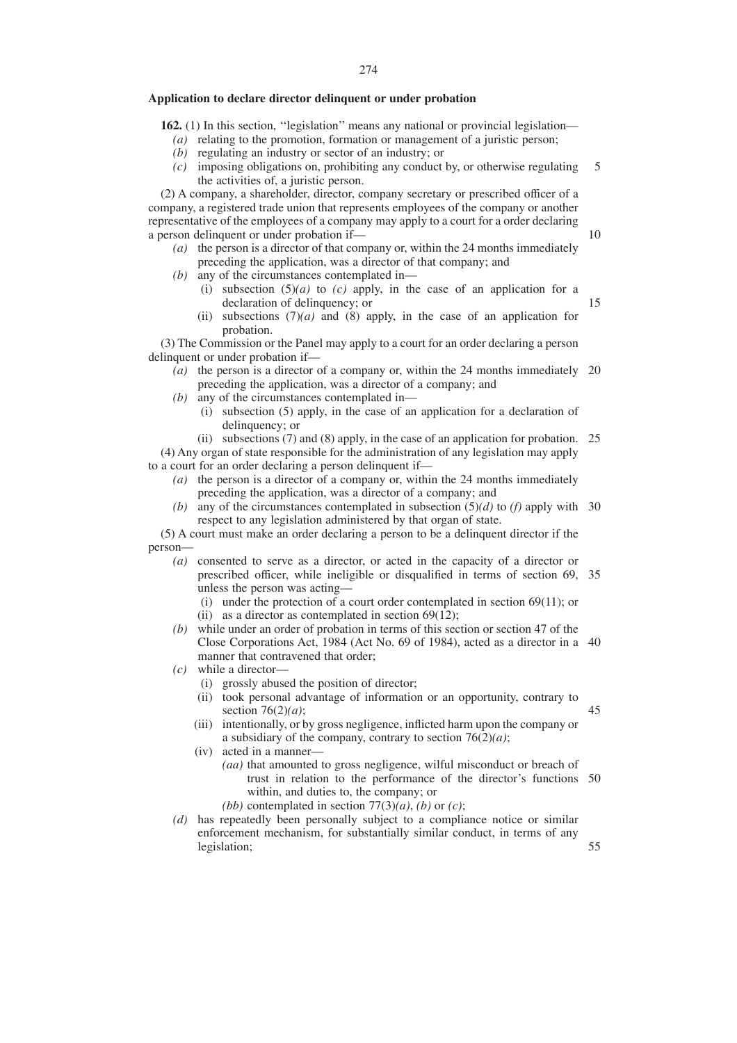#### **Application to declare director delinquent or under probation**

**162.** (1) In this section, "legislation" means any national or provincial legislation—

- *(a)* relating to the promotion, formation or management of a juristic person;
- *(b)* regulating an industry or sector of an industry; or
- *(c)* imposing obligations on, prohibiting any conduct by, or otherwise regulating the activities of, a juristic person. 5

(2) A company, a shareholder, director, company secretary or prescribed officer of a company, a registered trade union that represents employees of the company or another representative of the employees of a company may apply to a court for a order declaring a person delinquent or under probation if—

- *(a)* the person is a director of that company or, within the 24 months immediately preceding the application, was a director of that company; and
- *(b)* any of the circumstances contemplated in—
	- (i) subsection  $(5)(a)$  to *(c)* apply, in the case of an application for a declaration of delinquency; or 15
	- (ii) subsections  $(7)(a)$  and  $(8)$  apply, in the case of an application for probation.

(3) The Commission or the Panel may apply to a court for an order declaring a person delinquent or under probation if—

- *(a)* the person is a director of a company or, within the 24 months immediately 20 preceding the application, was a director of a company; and
- *(b)* any of the circumstances contemplated in—
	- (i) subsection (5) apply, in the case of an application for a declaration of delinquency; or
- (ii) subsections (7) and (8) apply, in the case of an application for probation. 25 (4) Any organ of state responsible for the administration of any legislation may apply

to a court for an order declaring a person delinquent if—

- *(a)* the person is a director of a company or, within the 24 months immediately preceding the application, was a director of a company; and
- (b) any of the circumstances contemplated in subsection  $(5)(d)$  to  $(f)$  apply with 30 respect to any legislation administered by that organ of state.

(5) A court must make an order declaring a person to be a delinquent director if the person—

- *(a)* consented to serve as a director, or acted in the capacity of a director or prescribed officer, while ineligible or disqualified in terms of section 69, 35 unless the person was acting—
	- (i) under the protection of a court order contemplated in section 69(11); or (ii) as a director as contemplated in section  $69(12)$ ;
- *(b)* while under an order of probation in terms of this section or section 47 of the Close Corporations Act, 1984 (Act No. 69 of 1984), acted as a director in a 40 manner that contravened that order;
- *(c)* while a director—
	- (i) grossly abused the position of director;
	- (ii) took personal advantage of information or an opportunity, contrary to section 76(2)*(a)*; 45
	- (iii) intentionally, or by gross negligence, inflicted harm upon the company or a subsidiary of the company, contrary to section 76(2)*(a)*;
	- (iv) acted in a manner—
		- *(aa)* that amounted to gross negligence, wilful misconduct or breach of trust in relation to the performance of the director's functions 50 within, and duties to, the company; or
		- *(bb)* contemplated in section  $77(3)(a)$ , *(b)* or *(c)*;
- *(d)* has repeatedly been personally subject to a compliance notice or similar enforcement mechanism, for substantially similar conduct, in terms of any legislation; 55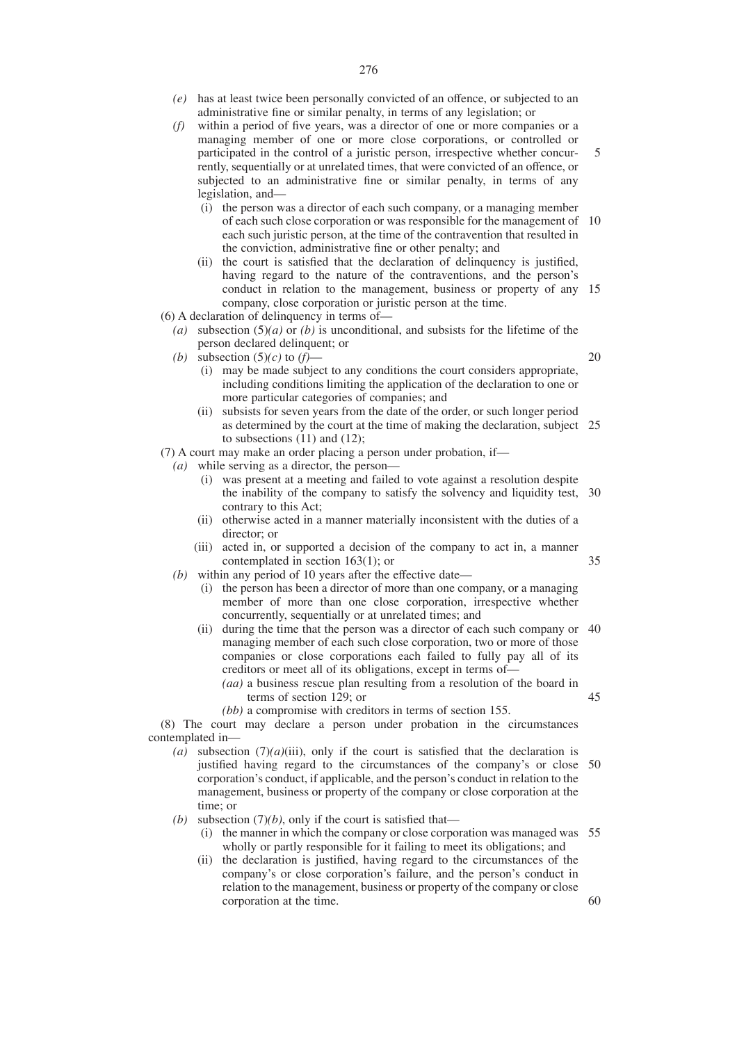- *(e)* has at least twice been personally convicted of an offence, or subjected to an administrative fine or similar penalty, in terms of any legislation; or
- *(f)* within a period of five years, was a director of one or more companies or a managing member of one or more close corporations, or controlled or participated in the control of a juristic person, irrespective whether concurrently, sequentially or at unrelated times, that were convicted of an offence, or subjected to an administrative fine or similar penalty, in terms of any legislation, and—
	- (i) the person was a director of each such company, or a managing member of each such close corporation or was responsible for the management of 10 each such juristic person, at the time of the contravention that resulted in the conviction, administrative fine or other penalty; and
	- (ii) the court is satisfied that the declaration of delinquency is justified, having regard to the nature of the contraventions, and the person's conduct in relation to the management, business or property of any 15 company, close corporation or juristic person at the time.

(6) A declaration of delinquency in terms of—

- *(a)* subsection (5)*(a)* or *(b)* is unconditional, and subsists for the lifetime of the person declared delinquent; or
- *(b)* subsection  $(5)(c)$  to  $(f)$ –

20

5

- (i) may be made subject to any conditions the court considers appropriate, including conditions limiting the application of the declaration to one or more particular categories of companies; and
- (ii) subsists for seven years from the date of the order, or such longer period as determined by the court at the time of making the declaration, subject 25 to subsections  $(11)$  and  $(12)$ ;
- (7) A court may make an order placing a person under probation, if—
	- *(a)* while serving as a director, the person—
		- (i) was present at a meeting and failed to vote against a resolution despite the inability of the company to satisfy the solvency and liquidity test, 30 contrary to this Act;
		- (ii) otherwise acted in a manner materially inconsistent with the duties of a director; or
		- (iii) acted in, or supported a decision of the company to act in, a manner contemplated in section 163(1); or 35
	- *(b)* within any period of 10 years after the effective date—
		- (i) the person has been a director of more than one company, or a managing member of more than one close corporation, irrespective whether concurrently, sequentially or at unrelated times; and
		- (ii) during the time that the person was a director of each such company or 40 managing member of each such close corporation, two or more of those companies or close corporations each failed to fully pay all of its creditors or meet all of its obligations, except in terms of—
			- *(aa)* a business rescue plan resulting from a resolution of the board in terms of section 129; or 45
			- *(bb)* a compromise with creditors in terms of section 155.

(8) The court may declare a person under probation in the circumstances contemplated in—

- (*a*) subsection  $(7)(a)(iii)$ , only if the court is satisfied that the declaration is justified having regard to the circumstances of the company's or close 50 corporation's conduct, if applicable, and the person's conduct in relation to the management, business or property of the company or close corporation at the time; or
- *(b)* subsection  $(7)(b)$ , only if the court is satisfied that—
	- (i) the manner in which the company or close corporation was managed was 55 wholly or partly responsible for it failing to meet its obligations; and
	- (ii) the declaration is justified, having regard to the circumstances of the company's or close corporation's failure, and the person's conduct in relation to the management, business or property of the company or close corporation at the time.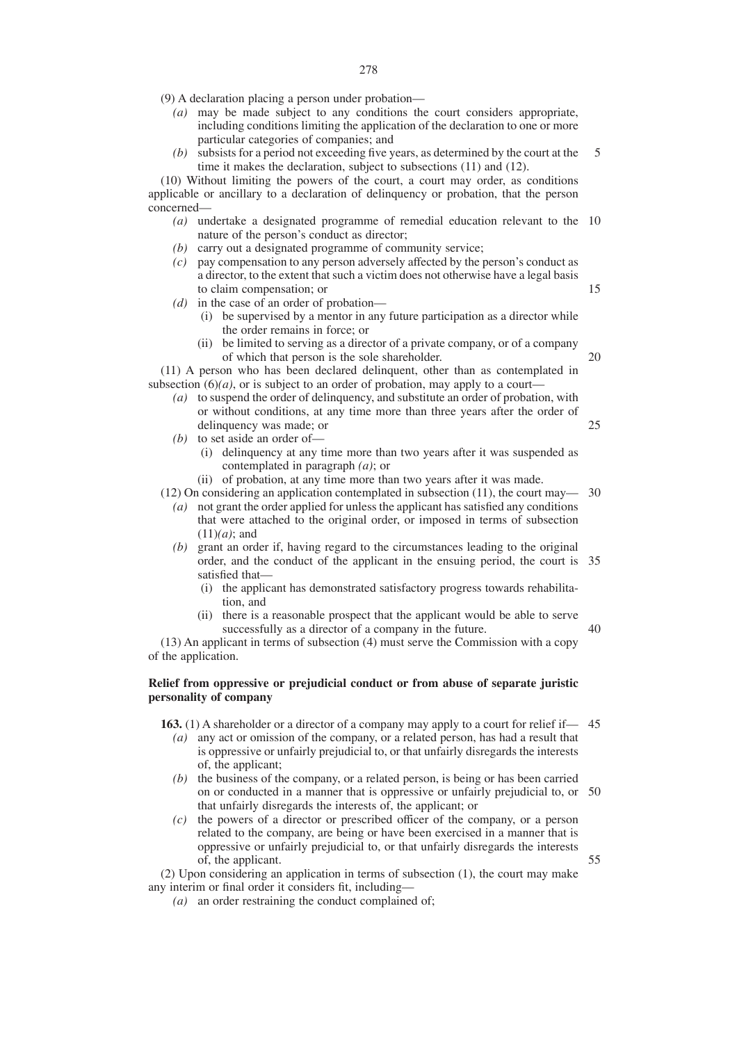(9) A declaration placing a person under probation—

- *(a)* may be made subject to any conditions the court considers appropriate, including conditions limiting the application of the declaration to one or more particular categories of companies; and
- *(b)* subsists for a period not exceeding five years, as determined by the court at the time it makes the declaration, subject to subsections (11) and (12). 5

(10) Without limiting the powers of the court, a court may order, as conditions applicable or ancillary to a declaration of delinquency or probation, that the person concerned—

- *(a)* undertake a designated programme of remedial education relevant to the 10 nature of the person's conduct as director;
- *(b)* carry out a designated programme of community service;
- *(c)* pay compensation to any person adversely affected by the person's conduct as a director, to the extent that such a victim does not otherwise have a legal basis to claim compensation; or
- *(d)* in the case of an order of probation—
	- (i) be supervised by a mentor in any future participation as a director while the order remains in force; or
	- (ii) be limited to serving as a director of a private company, or of a company of which that person is the sole shareholder.

(11) A person who has been declared delinquent, other than as contemplated in subsection  $(6)(a)$ , or is subject to an order of probation, may apply to a court—

- *(a)* to suspend the order of delinquency, and substitute an order of probation, with or without conditions, at any time more than three years after the order of delinquency was made; or
- *(b)* to set aside an order of—
	- (i) delinquency at any time more than two years after it was suspended as contemplated in paragraph *(a)*; or
	- (ii) of probation, at any time more than two years after it was made.

(12) On considering an application contemplated in subsection (11), the court may— 30

- *(a)* not grant the order applied for unless the applicant has satisfied any conditions that were attached to the original order, or imposed in terms of subsection (11)*(a)*; and
- *(b)* grant an order if, having regard to the circumstances leading to the original order, and the conduct of the applicant in the ensuing period, the court is 35 satisfied that—
	- (i) the applicant has demonstrated satisfactory progress towards rehabilitation, and
	- (ii) there is a reasonable prospect that the applicant would be able to serve successfully as a director of a company in the future. 40

(13) An applicant in terms of subsection (4) must serve the Commission with a copy of the application.

## **Relief from oppressive or prejudicial conduct or from abuse of separate juristic personality of company**

**163.** (1) A shareholder or a director of a company may apply to a court for relief if— 45

- *(a)* any act or omission of the company, or a related person, has had a result that is oppressive or unfairly prejudicial to, or that unfairly disregards the interests of, the applicant;
- *(b)* the business of the company, or a related person, is being or has been carried on or conducted in a manner that is oppressive or unfairly prejudicial to, or 50 that unfairly disregards the interests of, the applicant; or
- *(c)* the powers of a director or prescribed officer of the company, or a person related to the company, are being or have been exercised in a manner that is oppressive or unfairly prejudicial to, or that unfairly disregards the interests of, the applicant.

(2) Upon considering an application in terms of subsection (1), the court may make any interim or final order it considers fit, including—

*(a)* an order restraining the conduct complained of;

25

15

20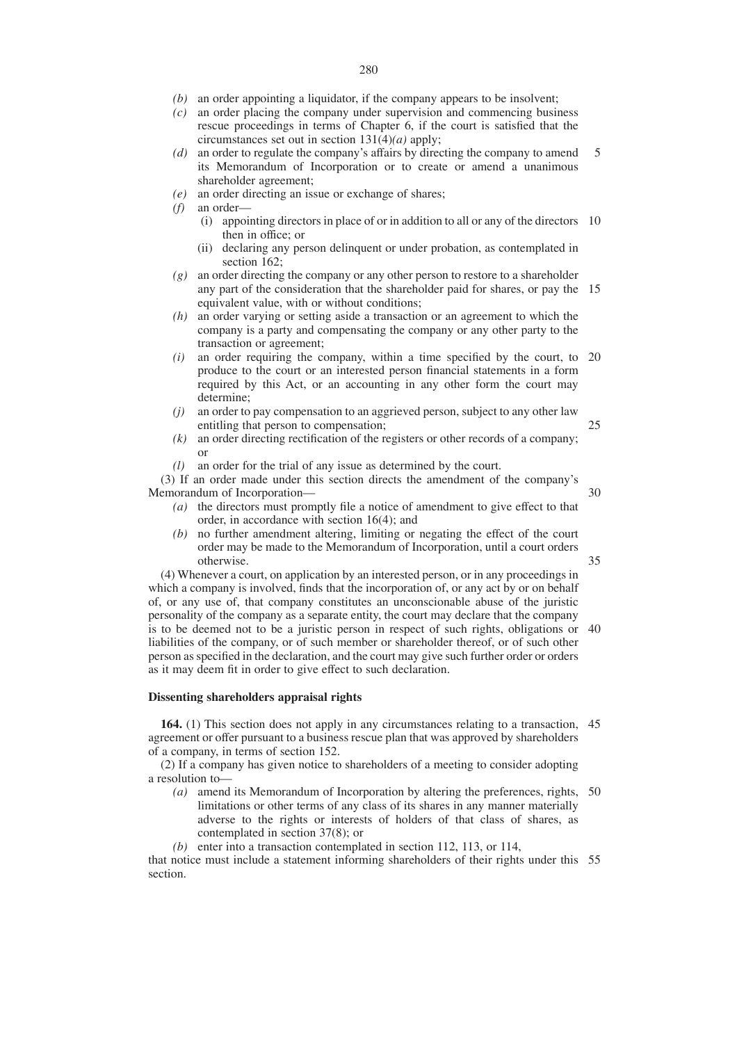- *(b)* an order appointing a liquidator, if the company appears to be insolvent;
- *(c)* an order placing the company under supervision and commencing business rescue proceedings in terms of Chapter 6, if the court is satisfied that the circumstances set out in section 131(4)*(a)* apply;
- *(d)* an order to regulate the company's affairs by directing the company to amend its Memorandum of Incorporation or to create or amend a unanimous shareholder agreement; 5
- *(e)* an order directing an issue or exchange of shares;
- *(f)* an order—
	- (i) appointing directors in place of or in addition to all or any of the directors 10 then in office; or
	- (ii) declaring any person delinquent or under probation, as contemplated in section 162;
- *(g)* an order directing the company or any other person to restore to a shareholder any part of the consideration that the shareholder paid for shares, or pay the 15 equivalent value, with or without conditions;
- *(h)* an order varying or setting aside a transaction or an agreement to which the company is a party and compensating the company or any other party to the transaction or agreement;
- *(i)* an order requiring the company, within a time specified by the court, to 20 produce to the court or an interested person financial statements in a form required by this Act, or an accounting in any other form the court may determine;
- *(j)* an order to pay compensation to an aggrieved person, subject to any other law entitling that person to compensation;
- *(k)* an order directing rectification of the registers or other records of a company; or
- *(l)* an order for the trial of any issue as determined by the court.

(3) If an order made under this section directs the amendment of the company's Memorandum of Incorporation—

- *(a)* the directors must promptly file a notice of amendment to give effect to that order, in accordance with section 16(4); and
- *(b)* no further amendment altering, limiting or negating the effect of the court order may be made to the Memorandum of Incorporation, until a court orders otherwise.

(4) Whenever a court, on application by an interested person, or in any proceedings in which a company is involved, finds that the incorporation of, or any act by or on behalf of, or any use of, that company constitutes an unconscionable abuse of the juristic personality of the company as a separate entity, the court may declare that the company is to be deemed not to be a juristic person in respect of such rights, obligations or 40 liabilities of the company, or of such member or shareholder thereof, or of such other person as specified in the declaration, and the court may give such further order or orders as it may deem fit in order to give effect to such declaration.

#### **Dissenting shareholders appraisal rights**

**164.** (1) This section does not apply in any circumstances relating to a transaction, 45 agreement or offer pursuant to a business rescue plan that was approved by shareholders of a company, in terms of section 152.

(2) If a company has given notice to shareholders of a meeting to consider adopting a resolution to—

- *(a)* amend its Memorandum of Incorporation by altering the preferences, rights, 50 limitations or other terms of any class of its shares in any manner materially adverse to the rights or interests of holders of that class of shares, as contemplated in section 37(8); or
- *(b)* enter into a transaction contemplated in section 112, 113, or 114,

that notice must include a statement informing shareholders of their rights under this 55section.

25

30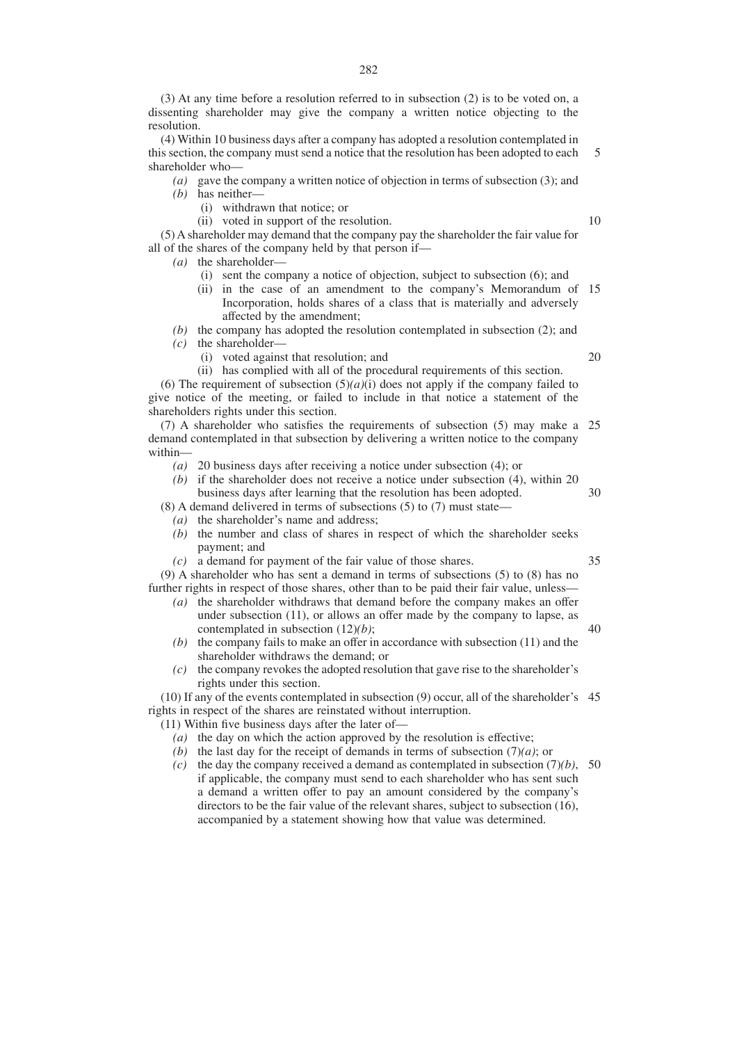(3) At any time before a resolution referred to in subsection (2) is to be voted on, a dissenting shareholder may give the company a written notice objecting to the resolution.

(4) Within 10 business days after a company has adopted a resolution contemplated in this section, the company must send a notice that the resolution has been adopted to each shareholder who— 5

*(a)* gave the company a written notice of objection in terms of subsection (3); and

- *(b)* has neither—
	- (i) withdrawn that notice; or
	- (ii) voted in support of the resolution.

(5) A shareholder may demand that the company pay the shareholder the fair value for all of the shares of the company held by that person if—

- *(a)* the shareholder—
	- (i) sent the company a notice of objection, subject to subsection (6); and
	- (ii) in the case of an amendment to the company's Memorandum of 15 Incorporation, holds shares of a class that is materially and adversely affected by the amendment;
- *(b)* the company has adopted the resolution contemplated in subsection (2); and
- *(c)* the shareholder—
	- (i) voted against that resolution; and

20

35

(ii) has complied with all of the procedural requirements of this section. (6) The requirement of subsection  $(5)(a)(i)$  does not apply if the company failed to give notice of the meeting, or failed to include in that notice a statement of the shareholders rights under this section.

(7) A shareholder who satisfies the requirements of subsection (5) may make a 25 demand contemplated in that subsection by delivering a written notice to the company within—

- *(a)* 20 business days after receiving a notice under subsection (4); or
- *(b)* if the shareholder does not receive a notice under subsection (4), within 20 business days after learning that the resolution has been adopted. 30

(8) A demand delivered in terms of subsections (5) to (7) must state—

- *(a)* the shareholder's name and address;
- *(b)* the number and class of shares in respect of which the shareholder seeks payment; and
- *(c)* a demand for payment of the fair value of those shares.

(9) A shareholder who has sent a demand in terms of subsections (5) to (8) has no further rights in respect of those shares, other than to be paid their fair value, unless—

- *(a)* the shareholder withdraws that demand before the company makes an offer under subsection (11), or allows an offer made by the company to lapse, as contemplated in subsection (12)*(b)*; 40
- *(b)* the company fails to make an offer in accordance with subsection (11) and the shareholder withdraws the demand; or
- *(c)* the company revokes the adopted resolution that gave rise to the shareholder's rights under this section.

(10) If any of the events contemplated in subsection (9) occur, all of the shareholder's 45 rights in respect of the shares are reinstated without interruption.

(11) Within five business days after the later of—

- *(a)* the day on which the action approved by the resolution is effective;
- *(b)* the last day for the receipt of demands in terms of subsection (7)*(a)*; or
- (c) the day the company received a demand as contemplated in subsection  $(7)(b)$ , 50 if applicable, the company must send to each shareholder who has sent such a demand a written offer to pay an amount considered by the company's directors to be the fair value of the relevant shares, subject to subsection (16), accompanied by a statement showing how that value was determined.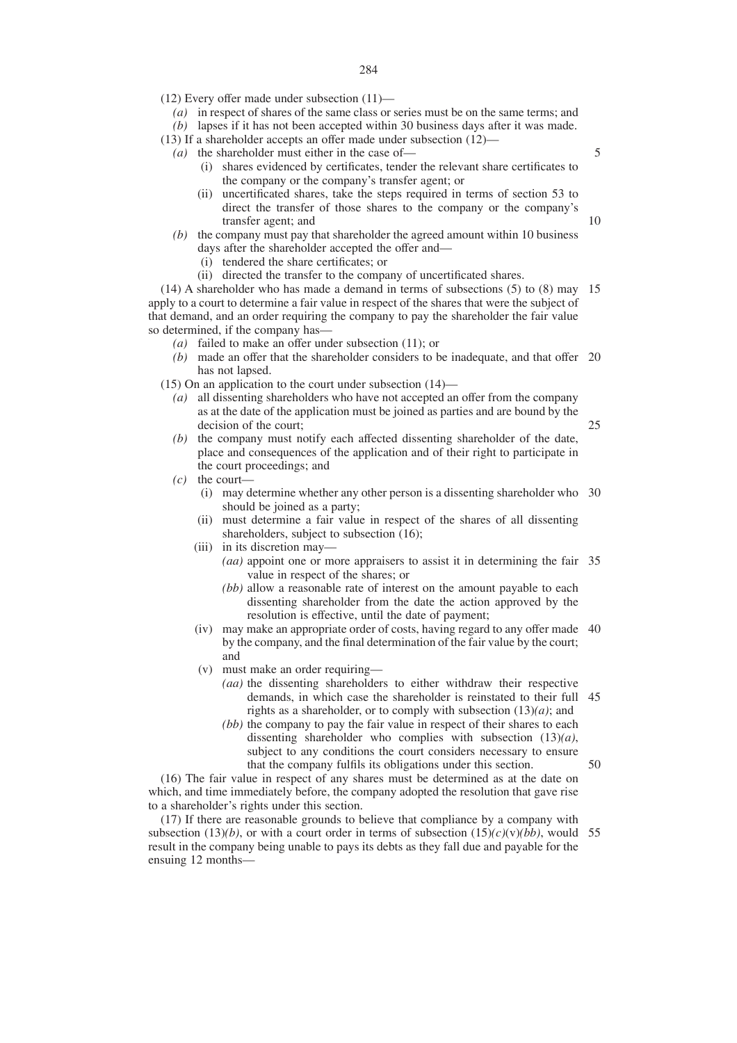(12) Every offer made under subsection (11)—

*(a)* in respect of shares of the same class or series must be on the same terms; and

*(b)* lapses if it has not been accepted within 30 business days after it was made.

- (13) If a shareholder accepts an offer made under subsection (12)—
	- *(a)* the shareholder must either in the case of—
		- (i) shares evidenced by certificates, tender the relevant share certificates to the company or the company's transfer agent; or
		- (ii) uncertificated shares, take the steps required in terms of section 53 to direct the transfer of those shares to the company or the company's transfer agent; and
	- *(b)* the company must pay that shareholder the agreed amount within 10 business days after the shareholder accepted the offer and—
		- (i) tendered the share certificates; or
		- (ii) directed the transfer to the company of uncertificated shares.

(14) A shareholder who has made a demand in terms of subsections (5) to (8) may 15 apply to a court to determine a fair value in respect of the shares that were the subject of that demand, and an order requiring the company to pay the shareholder the fair value so determined, if the company has—

- *(a)* failed to make an offer under subsection (11); or
- *(b)* made an offer that the shareholder considers to be inadequate, and that offer 20 has not lapsed.

(15) On an application to the court under subsection (14)—

- *(a)* all dissenting shareholders who have not accepted an offer from the company as at the date of the application must be joined as parties and are bound by the decision of the court;
- *(b)* the company must notify each affected dissenting shareholder of the date, place and consequences of the application and of their right to participate in the court proceedings; and
- *(c)* the court—
	- (i) may determine whether any other person is a dissenting shareholder who 30 should be joined as a party;
	- (ii) must determine a fair value in respect of the shares of all dissenting shareholders, subject to subsection  $(16)$ ;
	- (iii) in its discretion may—
		- *(aa)* appoint one or more appraisers to assist it in determining the fair 35 value in respect of the shares; or
		- *(bb)* allow a reasonable rate of interest on the amount payable to each dissenting shareholder from the date the action approved by the resolution is effective, until the date of payment;
	- (iv) may make an appropriate order of costs, having regard to any offer made 40 by the company, and the final determination of the fair value by the court; and
	- (v) must make an order requiring—
		- *(aa)* the dissenting shareholders to either withdraw their respective demands, in which case the shareholder is reinstated to their full 45 rights as a shareholder, or to comply with subsection (13)*(a)*; and
		- *(bb)* the company to pay the fair value in respect of their shares to each dissenting shareholder who complies with subsection (13)*(a)*, subject to any conditions the court considers necessary to ensure that the company fulfils its obligations under this section.

(16) The fair value in respect of any shares must be determined as at the date on which, and time immediately before, the company adopted the resolution that gave rise to a shareholder's rights under this section.

(17) If there are reasonable grounds to believe that compliance by a company with subsection (13)*(b)*, or with a court order in terms of subsection (15)*(c)*(v)*(bb)*, would 55 result in the company being unable to pays its debts as they fall due and payable for the ensuing 12 months—

5

10

25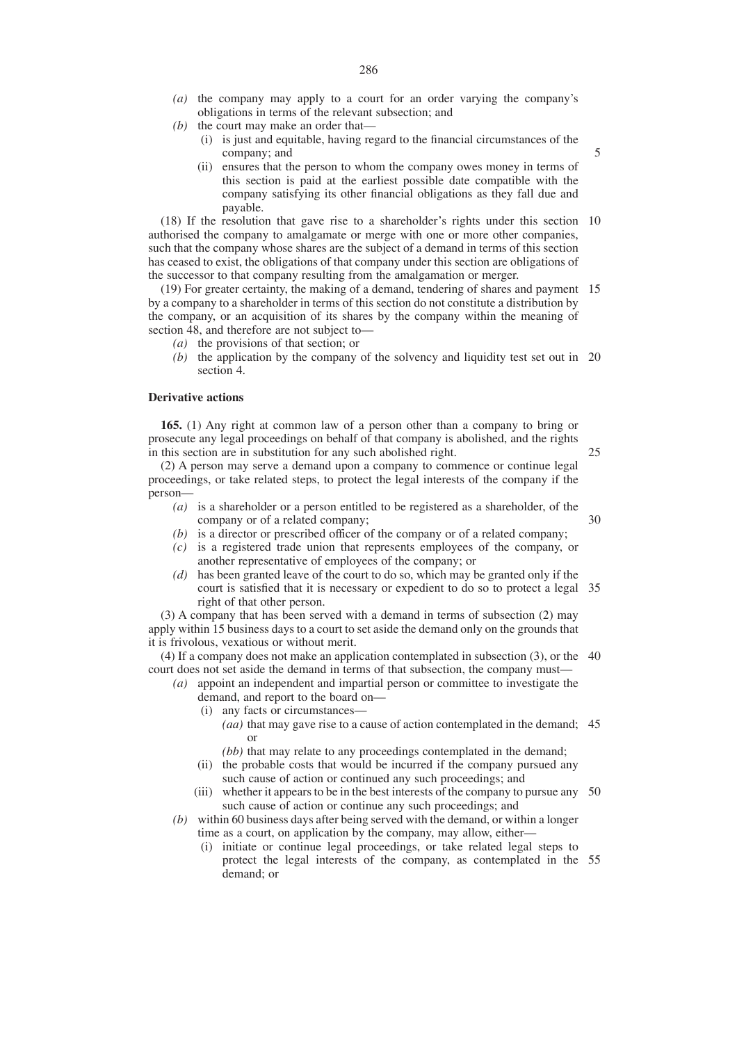- *(a)* the company may apply to a court for an order varying the company's obligations in terms of the relevant subsection; and
- *(b)* the court may make an order that—
	- (i) is just and equitable, having regard to the financial circumstances of the company; and

5

(ii) ensures that the person to whom the company owes money in terms of this section is paid at the earliest possible date compatible with the company satisfying its other financial obligations as they fall due and payable.

(18) If the resolution that gave rise to a shareholder's rights under this section 10 authorised the company to amalgamate or merge with one or more other companies, such that the company whose shares are the subject of a demand in terms of this section has ceased to exist, the obligations of that company under this section are obligations of the successor to that company resulting from the amalgamation or merger.

(19) For greater certainty, the making of a demand, tendering of shares and payment 15 by a company to a shareholder in terms of this section do not constitute a distribution by the company, or an acquisition of its shares by the company within the meaning of section 48, and therefore are not subject to—

- *(a)* the provisions of that section; or
- *(b)* the application by the company of the solvency and liquidity test set out in 20 section 4.

## **Derivative actions**

**165.** (1) Any right at common law of a person other than a company to bring or prosecute any legal proceedings on behalf of that company is abolished, and the rights in this section are in substitution for any such abolished right.

25

(2) A person may serve a demand upon a company to commence or continue legal proceedings, or take related steps, to protect the legal interests of the company if the person—

- *(a)* is a shareholder or a person entitled to be registered as a shareholder, of the company or of a related company; 30
- *(b)* is a director or prescribed officer of the company or of a related company;
- *(c)* is a registered trade union that represents employees of the company, or another representative of employees of the company; or
- *(d)* has been granted leave of the court to do so, which may be granted only if the court is satisfied that it is necessary or expedient to do so to protect a legal 35 right of that other person.

(3) A company that has been served with a demand in terms of subsection (2) may apply within 15 business days to a court to set aside the demand only on the grounds that it is frivolous, vexatious or without merit.

(4) If a company does not make an application contemplated in subsection (3), or the 40 court does not set aside the demand in terms of that subsection, the company must—

- *(a)* appoint an independent and impartial person or committee to investigate the demand, and report to the board on—
	- (i) any facts or circumstances—
		- *(aa)* that may gave rise to a cause of action contemplated in the demand; 45 or

*(bb)* that may relate to any proceedings contemplated in the demand;

- (ii) the probable costs that would be incurred if the company pursued any such cause of action or continued any such proceedings; and
- (iii) whether it appears to be in the best interests of the company to pursue any 50 such cause of action or continue any such proceedings; and
- *(b)* within 60 business days after being served with the demand, or within a longer time as a court, on application by the company, may allow, either—
	- (i) initiate or continue legal proceedings, or take related legal steps to protect the legal interests of the company, as contemplated in the 55demand; or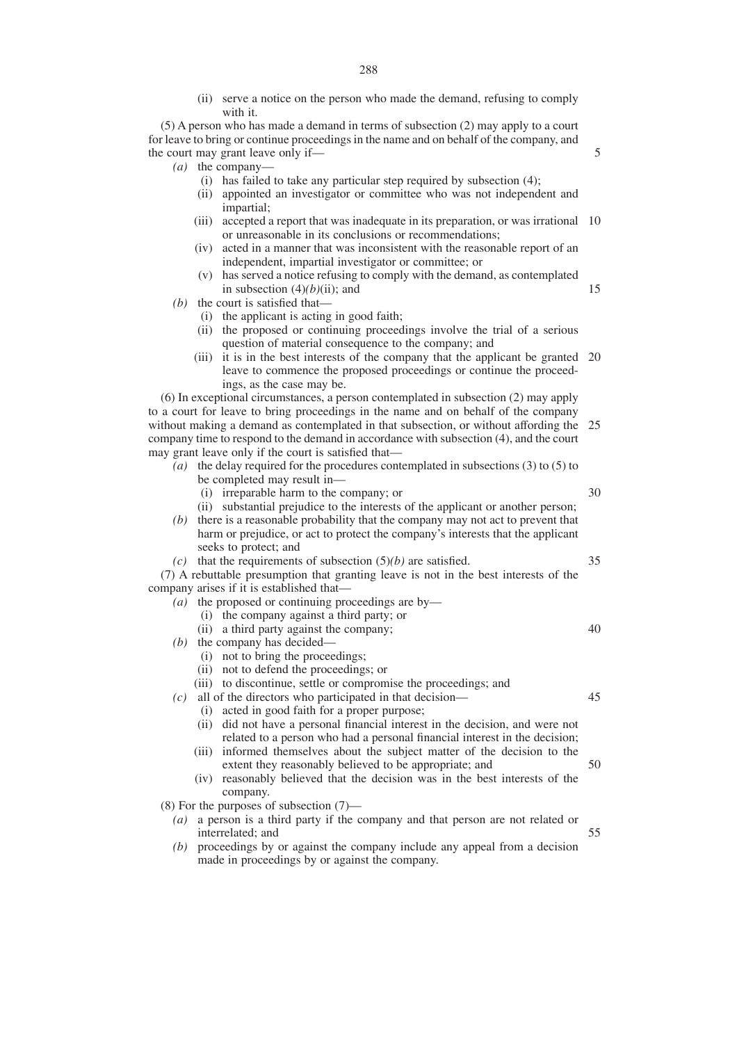(ii) serve a notice on the person who made the demand, refusing to comply with it.

(5) A person who has made a demand in terms of subsection (2) may apply to a court for leave to bring or continue proceedings in the name and on behalf of the company, and the court may grant leave only if—

- *(a)* the company—
	- (i) has failed to take any particular step required by subsection (4);
	- (ii) appointed an investigator or committee who was not independent and impartial;
	- (iii) accepted a report that was inadequate in its preparation, or was irrational 10 or unreasonable in its conclusions or recommendations;
	- (iv) acted in a manner that was inconsistent with the reasonable report of an independent, impartial investigator or committee; or
	- (v) has served a notice refusing to comply with the demand, as contemplated in subsection  $(4)(b)(ii)$ ; and

*(b)* the court is satisfied that—

- (i) the applicant is acting in good faith;
- (ii) the proposed or continuing proceedings involve the trial of a serious question of material consequence to the company; and
- (iii) it is in the best interests of the company that the applicant be granted 20 leave to commence the proposed proceedings or continue the proceedings, as the case may be.

(6) In exceptional circumstances, a person contemplated in subsection (2) may apply to a court for leave to bring proceedings in the name and on behalf of the company without making a demand as contemplated in that subsection, or without affording the 25 company time to respond to the demand in accordance with subsection (4), and the court may grant leave only if the court is satisfied that—

- *(a)* the delay required for the procedures contemplated in subsections (3) to (5) to
	- be completed may result in—
	- (i) irreparable harm to the company; or

30

35

40

45

50

55

5

15

(ii) substantial prejudice to the interests of the applicant or another person;

- *(b)* there is a reasonable probability that the company may not act to prevent that harm or prejudice, or act to protect the company's interests that the applicant seeks to protect; and
- $(c)$  that the requirements of subsection  $(5)(b)$  are satisfied.

(7) A rebuttable presumption that granting leave is not in the best interests of the company arises if it is established that—

- $(a)$  the proposed or continuing proceedings are by—
	- (i) the company against a third party; or
	- (ii) a third party against the company;
- *(b)* the company has decided—
	- (i) not to bring the proceedings;
	- (ii) not to defend the proceedings; or
	- (iii) to discontinue, settle or compromise the proceedings; and
- *(c)* all of the directors who participated in that decision—
	- (i) acted in good faith for a proper purpose;
	- (ii) did not have a personal financial interest in the decision, and were not related to a person who had a personal financial interest in the decision;
	- (iii) informed themselves about the subject matter of the decision to the extent they reasonably believed to be appropriate; and
	- (iv) reasonably believed that the decision was in the best interests of the company.
- (8) For the purposes of subsection (7)—
	- *(a)* a person is a third party if the company and that person are not related or interrelated; and
	- *(b)* proceedings by or against the company include any appeal from a decision made in proceedings by or against the company.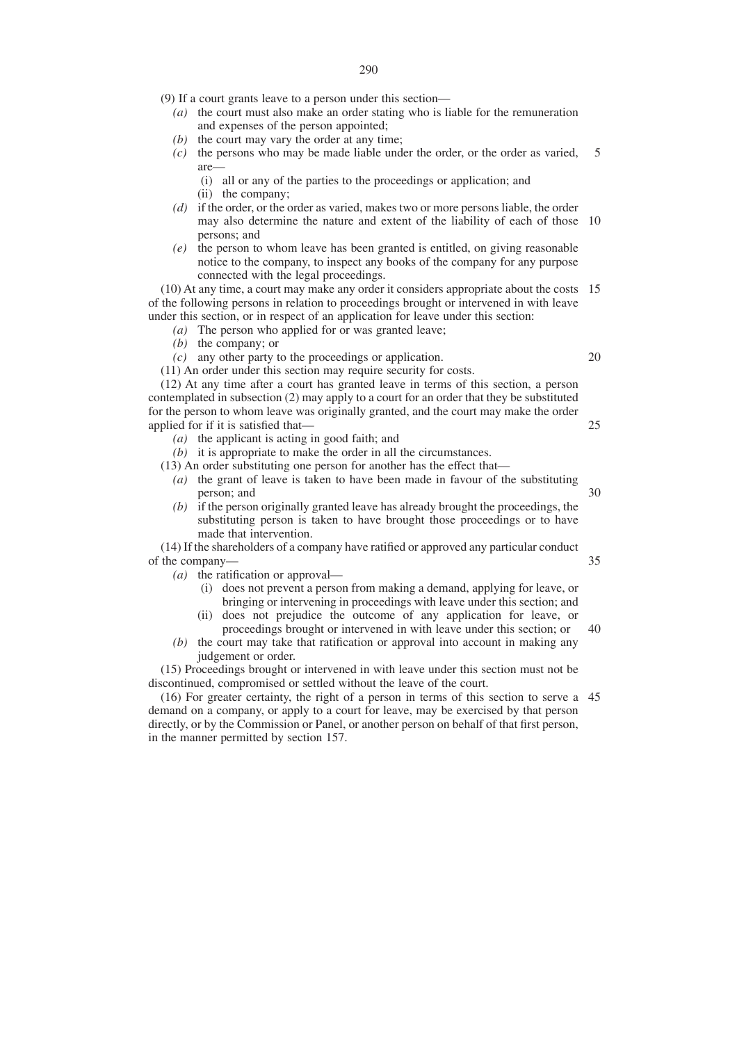- (9) If a court grants leave to a person under this section—
	- *(a)* the court must also make an order stating who is liable for the remuneration and expenses of the person appointed;
	- *(b)* the court may vary the order at any time;
	- *(c)* the persons who may be made liable under the order, or the order as varied, are— 5
		- (i) all or any of the parties to the proceedings or application; and
		- (ii) the company;
	- *(d)* if the order, or the order as varied, makes two or more persons liable, the order may also determine the nature and extent of the liability of each of those 10 persons; and
	- *(e)* the person to whom leave has been granted is entitled, on giving reasonable notice to the company, to inspect any books of the company for any purpose connected with the legal proceedings.

(10) At any time, a court may make any order it considers appropriate about the costs 15 of the following persons in relation to proceedings brought or intervened in with leave under this section, or in respect of an application for leave under this section:

- *(a)* The person who applied for or was granted leave;
- *(b)* the company; or
- *(c)* any other party to the proceedings or application.

20

25

(11) An order under this section may require security for costs. (12) At any time after a court has granted leave in terms of this section, a person contemplated in subsection (2) may apply to a court for an order that they be substituted for the person to whom leave was originally granted, and the court may make the order applied for if it is satisfied that—

*(a)* the applicant is acting in good faith; and

*(b)* it is appropriate to make the order in all the circumstances.

(13) An order substituting one person for another has the effect that—

- *(a)* the grant of leave is taken to have been made in favour of the substituting person; and
- *(b)* if the person originally granted leave has already brought the proceedings, the substituting person is taken to have brought those proceedings or to have made that intervention.

(14) If the shareholders of a company have ratified or approved any particular conduct of the company—

- *(a)* the ratification or approval—
	- (i) does not prevent a person from making a demand, applying for leave, or bringing or intervening in proceedings with leave under this section; and
	- (ii) does not prejudice the outcome of any application for leave, or proceedings brought or intervened in with leave under this section; or 40
- *(b)* the court may take that ratification or approval into account in making any judgement or order.

(15) Proceedings brought or intervened in with leave under this section must not be discontinued, compromised or settled without the leave of the court.

(16) For greater certainty, the right of a person in terms of this section to serve a 45demand on a company, or apply to a court for leave, may be exercised by that person directly, or by the Commission or Panel, or another person on behalf of that first person, in the manner permitted by section 157.

35

- 
-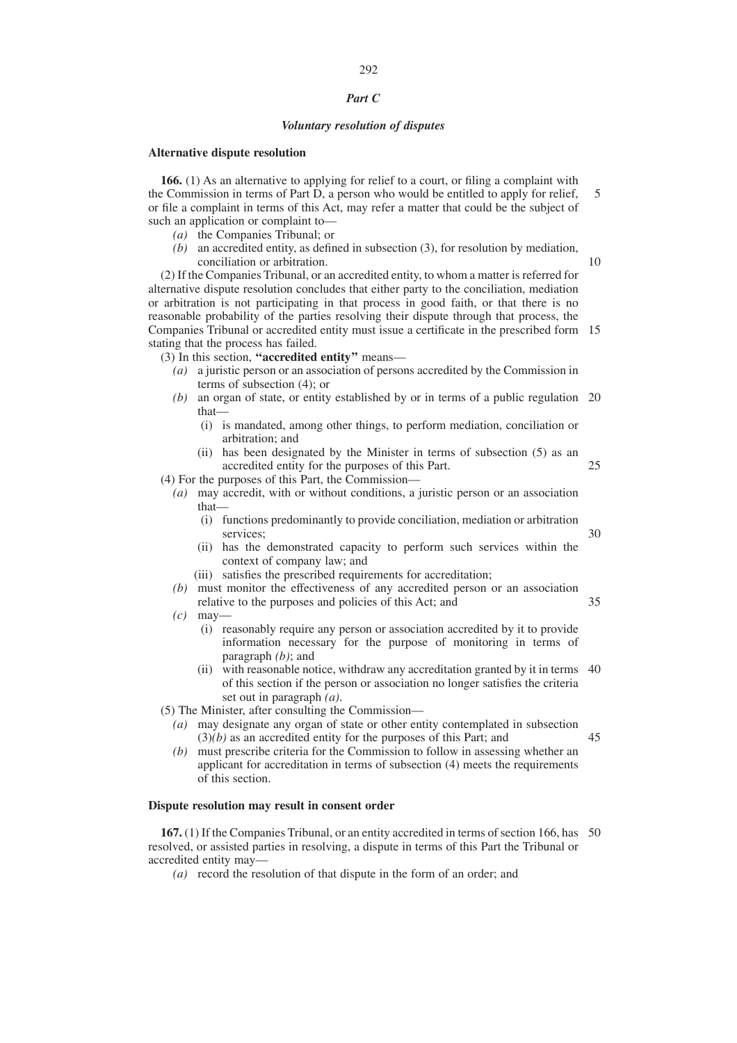### *Part C*

### *Voluntary resolution of disputes*

#### **Alternative dispute resolution**

**166.** (1) As an alternative to applying for relief to a court, or filing a complaint with the Commission in terms of Part D, a person who would be entitled to apply for relief, or file a complaint in terms of this Act, may refer a matter that could be the subject of such an application or complaint to— 5

- *(a)* the Companies Tribunal; or
- *(b)* an accredited entity, as defined in subsection (3), for resolution by mediation, conciliation or arbitration.

10

25

30

(2) If the Companies Tribunal, or an accredited entity, to whom a matter is referred for alternative dispute resolution concludes that either party to the conciliation, mediation or arbitration is not participating in that process in good faith, or that there is no reasonable probability of the parties resolving their dispute through that process, the Companies Tribunal or accredited entity must issue a certificate in the prescribed form 15 stating that the process has failed.

(3) In this section, **''accredited entity''** means—

- *(a)* a juristic person or an association of persons accredited by the Commission in terms of subsection (4); or
- *(b)* an organ of state, or entity established by or in terms of a public regulation 20 that—
	- (i) is mandated, among other things, to perform mediation, conciliation or arbitration; and
	- (ii) has been designated by the Minister in terms of subsection (5) as an accredited entity for the purposes of this Part.

(4) For the purposes of this Part, the Commission—

- *(a)* may accredit, with or without conditions, a juristic person or an association that—
	- (i) functions predominantly to provide conciliation, mediation or arbitration services;
	- (ii) has the demonstrated capacity to perform such services within the context of company law; and
	- (iii) satisfies the prescribed requirements for accreditation;
- *(b)* must monitor the effectiveness of any accredited person or an association relative to the purposes and policies of this Act; and 35
- *(c)* may—
	- (i) reasonably require any person or association accredited by it to provide information necessary for the purpose of monitoring in terms of paragraph *(b)*; and
	- (ii) with reasonable notice, withdraw any accreditation granted by it in terms 40 of this section if the person or association no longer satisfies the criteria set out in paragraph *(a)*.
- (5) The Minister, after consulting the Commission—
	- *(a)* may designate any organ of state or other entity contemplated in subsection (3)*(b)* as an accredited entity for the purposes of this Part; and 45
	- *(b)* must prescribe criteria for the Commission to follow in assessing whether an applicant for accreditation in terms of subsection (4) meets the requirements of this section.

# **Dispute resolution may result in consent order**

**167.** (1) If the Companies Tribunal, or an entity accredited in terms of section 166, has 50resolved, or assisted parties in resolving, a dispute in terms of this Part the Tribunal or accredited entity may—

*(a)* record the resolution of that dispute in the form of an order; and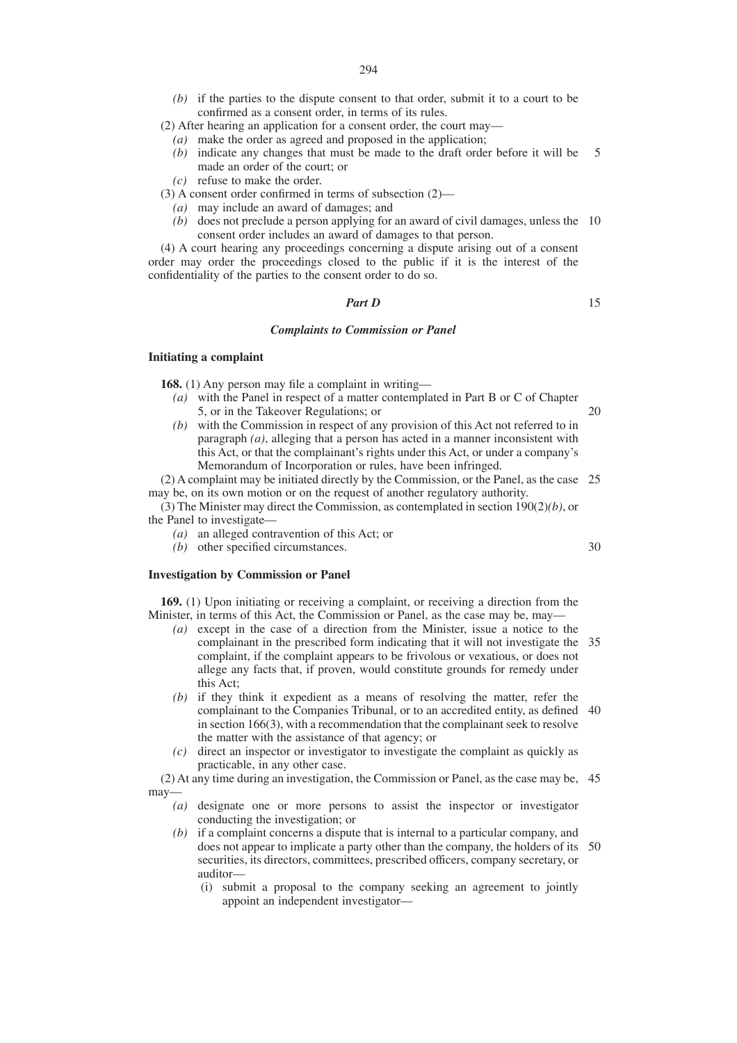*(b)* if the parties to the dispute consent to that order, submit it to a court to be confirmed as a consent order, in terms of its rules.

(2) After hearing an application for a consent order, the court may—

- *(a)* make the order as agreed and proposed in the application;
	- *(b)* indicate any changes that must be made to the draft order before it will be made an order of the court; or 5
	- *(c)* refuse to make the order.

(3) A consent order confirmed in terms of subsection (2)—

- *(a)* may include an award of damages; and
- *(b)* does not preclude a person applying for an award of civil damages, unless the 10 consent order includes an award of damages to that person.

(4) A court hearing any proceedings concerning a dispute arising out of a consent order may order the proceedings closed to the public if it is the interest of the confidentiality of the parties to the consent order to do so.

#### *Part D*

#### *Complaints to Commission or Panel*

### **Initiating a complaint**

**168.** (1) Any person may file a complaint in writing—

- *(a)* with the Panel in respect of a matter contemplated in Part B or C of Chapter 5, or in the Takeover Regulations; or 20
- *(b)* with the Commission in respect of any provision of this Act not referred to in paragraph *(a)*, alleging that a person has acted in a manner inconsistent with this Act, or that the complainant's rights under this Act, or under a company's Memorandum of Incorporation or rules, have been infringed.

(2) A complaint may be initiated directly by the Commission, or the Panel, as the case 25 may be, on its own motion or on the request of another regulatory authority.

(3) The Minister may direct the Commission, as contemplated in section 190(2)*(b)*, or the Panel to investigate—

- *(a)* an alleged contravention of this Act; or
- *(b)* other specified circumstances.

### **Investigation by Commission or Panel**

**169.** (1) Upon initiating or receiving a complaint, or receiving a direction from the Minister, in terms of this Act, the Commission or Panel, as the case may be, may—

- *(a)* except in the case of a direction from the Minister, issue a notice to the complainant in the prescribed form indicating that it will not investigate the 35 complaint, if the complaint appears to be frivolous or vexatious, or does not allege any facts that, if proven, would constitute grounds for remedy under this Act;
- *(b)* if they think it expedient as a means of resolving the matter, refer the complainant to the Companies Tribunal, or to an accredited entity, as defined 40 in section 166(3), with a recommendation that the complainant seek to resolve the matter with the assistance of that agency; or
- *(c)* direct an inspector or investigator to investigate the complaint as quickly as practicable, in any other case.

(2) At any time during an investigation, the Commission or Panel, as the case may be, 45 may

- *(a)* designate one or more persons to assist the inspector or investigator conducting the investigation; or
- *(b)* if a complaint concerns a dispute that is internal to a particular company, and does not appear to implicate a party other than the company, the holders of its 50securities, its directors, committees, prescribed officers, company secretary, or auditor—
	- (i) submit a proposal to the company seeking an agreement to jointly appoint an independent investigator—

30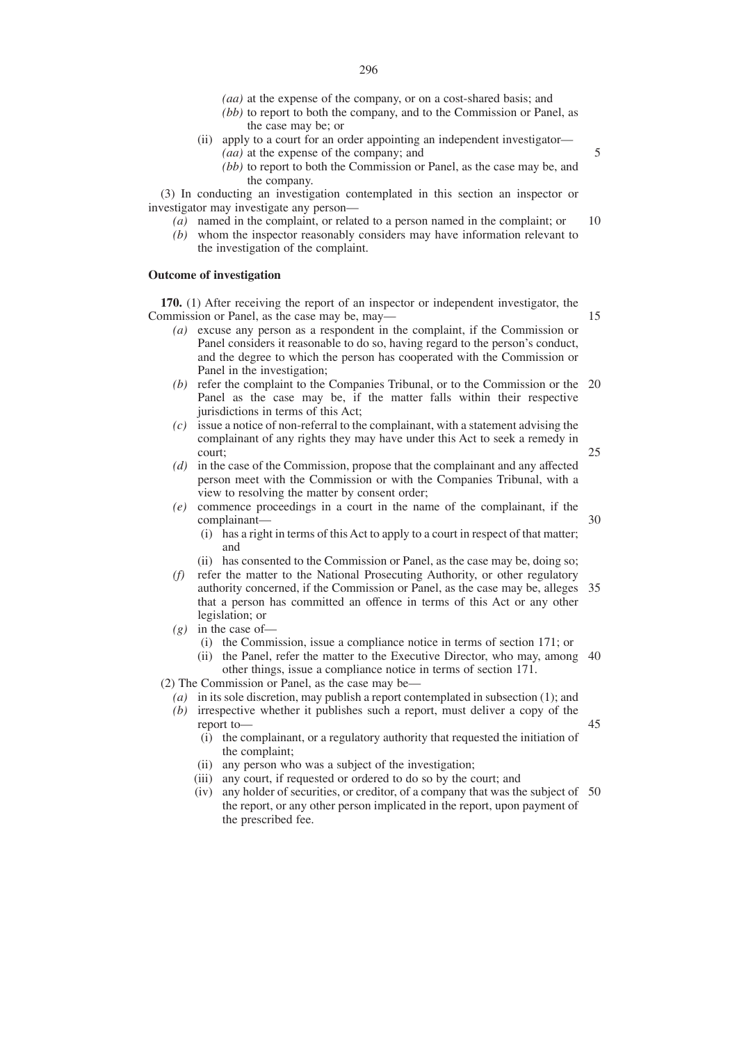- *(aa)* at the expense of the company, or on a cost-shared basis; and
- *(bb)* to report to both the company, and to the Commission or Panel, as the case may be; or
- (ii) apply to a court for an order appointing an independent investigator— *(aa)* at the expense of the company; and
	- *(bb)* to report to both the Commission or Panel, as the case may be, and the company.

(3) In conducting an investigation contemplated in this section an inspector or investigator may investigate any person—

- *(a)* named in the complaint, or related to a person named in the complaint; or 10
- *(b)* whom the inspector reasonably considers may have information relevant to the investigation of the complaint.

### **Outcome of investigation**

**170.** (1) After receiving the report of an inspector or independent investigator, the Commission or Panel, as the case may be, may—

- *(a)* excuse any person as a respondent in the complaint, if the Commission or Panel considers it reasonable to do so, having regard to the person's conduct, and the degree to which the person has cooperated with the Commission or Panel in the investigation; 15
- *(b)* refer the complaint to the Companies Tribunal, or to the Commission or the 20 Panel as the case may be, if the matter falls within their respective jurisdictions in terms of this Act;
- *(c)* issue a notice of non-referral to the complainant, with a statement advising the complainant of any rights they may have under this Act to seek a remedy in court;
- *(d)* in the case of the Commission, propose that the complainant and any affected person meet with the Commission or with the Companies Tribunal, with a view to resolving the matter by consent order;
- *(e)* commence proceedings in a court in the name of the complainant, if the complainant— 30
	- (i) has a right in terms of this Act to apply to a court in respect of that matter; and
	- (ii) has consented to the Commission or Panel, as the case may be, doing so;
- *(f)* refer the matter to the National Prosecuting Authority, or other regulatory authority concerned, if the Commission or Panel, as the case may be, alleges 35 that a person has committed an offence in terms of this Act or any other legislation; or
- *(g)* in the case of—
	- (i) the Commission, issue a compliance notice in terms of section 171; or
	- (ii) the Panel, refer the matter to the Executive Director, who may, among 40 other things, issue a compliance notice in terms of section 171.
- (2) The Commission or Panel, as the case may be—
	- *(a)* in its sole discretion, may publish a report contemplated in subsection (1); and
	- *(b)* irrespective whether it publishes such a report, must deliver a copy of the report to—
		- (i) the complainant, or a regulatory authority that requested the initiation of the complaint;
		- (ii) any person who was a subject of the investigation;
		- (iii) any court, if requested or ordered to do so by the court; and
		- (iv) any holder of securities, or creditor, of a company that was the subject of 50the report, or any other person implicated in the report, upon payment of the prescribed fee.

5

25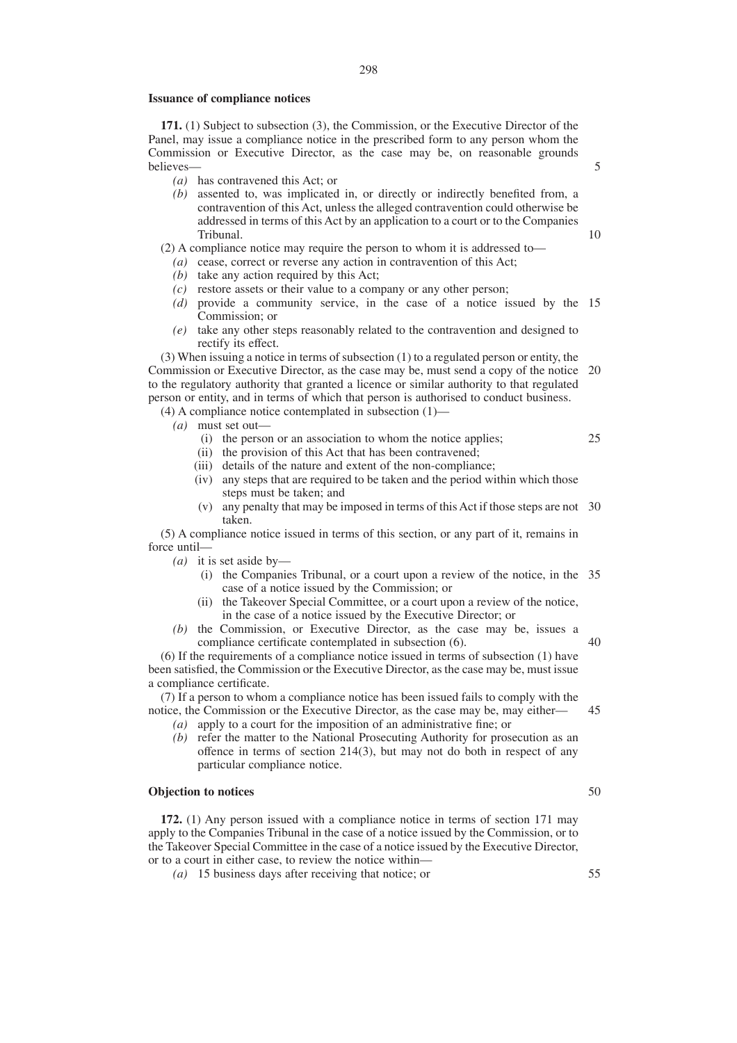#### **Issuance of compliance notices**

**171.** (1) Subject to subsection (3), the Commission, or the Executive Director of the Panel, may issue a compliance notice in the prescribed form to any person whom the Commission or Executive Director, as the case may be, on reasonable grounds believes—

- *(a)* has contravened this Act; or
- *(b)* assented to, was implicated in, or directly or indirectly benefited from, a contravention of this Act, unless the alleged contravention could otherwise be addressed in terms of this Act by an application to a court or to the Companies Tribunal.

(2) A compliance notice may require the person to whom it is addressed to—

- *(a)* cease, correct or reverse any action in contravention of this Act;
- *(b)* take any action required by this Act;
- *(c)* restore assets or their value to a company or any other person;
- *(d)* provide a community service, in the case of a notice issued by the 15 Commission; or
- *(e)* take any other steps reasonably related to the contravention and designed to rectify its effect.

(3) When issuing a notice in terms of subsection (1) to a regulated person or entity, the Commission or Executive Director, as the case may be, must send a copy of the notice 20 to the regulatory authority that granted a licence or similar authority to that regulated person or entity, and in terms of which that person is authorised to conduct business.

(4) A compliance notice contemplated in subsection (1)—

*(a)* must set out—

- (i) the person or an association to whom the notice applies; (ii) the provision of this Act that has been contravened; 25
- (iii) details of the nature and extent of the non-compliance;
- (iv) any steps that are required to be taken and the period within which those steps must be taken; and
- (v) any penalty that may be imposed in terms of this Act if those steps are not 30 taken.

(5) A compliance notice issued in terms of this section, or any part of it, remains in force until—

*(a)* it is set aside by—

- (i) the Companies Tribunal, or a court upon a review of the notice, in the 35 case of a notice issued by the Commission; or
- (ii) the Takeover Special Committee, or a court upon a review of the notice, in the case of a notice issued by the Executive Director; or
- *(b)* the Commission, or Executive Director, as the case may be, issues a compliance certificate contemplated in subsection (6). 40

(6) If the requirements of a compliance notice issued in terms of subsection (1) have been satisfied, the Commission or the Executive Director, as the case may be, must issue a compliance certificate.

(7) If a person to whom a compliance notice has been issued fails to comply with the notice, the Commission or the Executive Director, as the case may be, may either— 45

- *(a)* apply to a court for the imposition of an administrative fine; or
- *(b)* refer the matter to the National Prosecuting Authority for prosecution as an offence in terms of section 214(3), but may not do both in respect of any particular compliance notice.

#### **Objection to notices**

**172.** (1) Any person issued with a compliance notice in terms of section 171 may apply to the Companies Tribunal in the case of a notice issued by the Commission, or to the Takeover Special Committee in the case of a notice issued by the Executive Director, or to a court in either case, to review the notice within—

*(a)* 15 business days after receiving that notice; or

55

50

5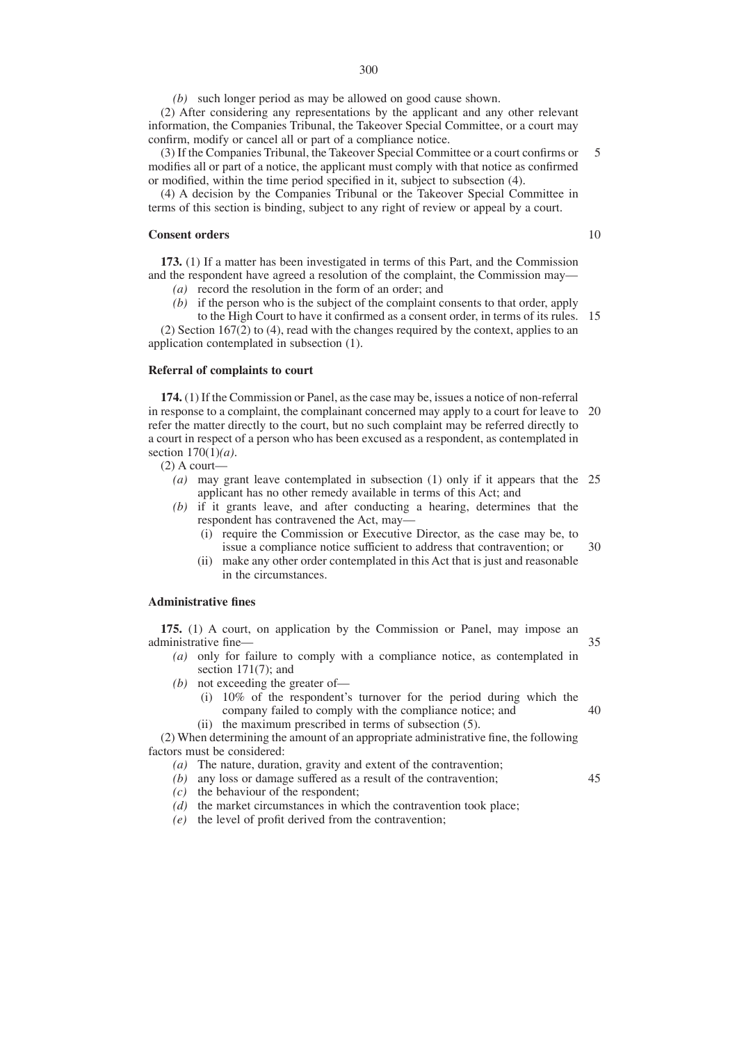*(b)* such longer period as may be allowed on good cause shown.

(2) After considering any representations by the applicant and any other relevant information, the Companies Tribunal, the Takeover Special Committee, or a court may confirm, modify or cancel all or part of a compliance notice.

(3) If the Companies Tribunal, the Takeover Special Committee or a court confirms or modifies all or part of a notice, the applicant must comply with that notice as confirmed or modified, within the time period specified in it, subject to subsection (4). 5

(4) A decision by the Companies Tribunal or the Takeover Special Committee in terms of this section is binding, subject to any right of review or appeal by a court.

#### **Consent orders**

**173.** (1) If a matter has been investigated in terms of this Part, and the Commission and the respondent have agreed a resolution of the complaint, the Commission may—

- *(a)* record the resolution in the form of an order; and
- *(b)* if the person who is the subject of the complaint consents to that order, apply to the High Court to have it confirmed as a consent order, in terms of its rules. 15

(2) Section 167(2) to (4), read with the changes required by the context, applies to an application contemplated in subsection (1).

### **Referral of complaints to court**

**174.** (1) If the Commission or Panel, as the case may be, issues a notice of non-referral in response to a complaint, the complainant concerned may apply to a court for leave to 20 refer the matter directly to the court, but no such complaint may be referred directly to a court in respect of a person who has been excused as a respondent, as contemplated in section 170(1)*(a)*.

(2) A court—

- *(a)* may grant leave contemplated in subsection (1) only if it appears that the 25 applicant has no other remedy available in terms of this Act; and
- *(b)* if it grants leave, and after conducting a hearing, determines that the respondent has contravened the Act, may—
	- (i) require the Commission or Executive Director, as the case may be, to issue a compliance notice sufficient to address that contravention; or 30
	- (ii) make any other order contemplated in this Act that is just and reasonable in the circumstances.

### **Administrative fines**

**175.** (1) A court, on application by the Commission or Panel, may impose an administrative fine— 35

- *(a)* only for failure to comply with a compliance notice, as contemplated in section 171(7); and
- *(b)* not exceeding the greater of—
	- (i) 10% of the respondent's turnover for the period during which the company failed to comply with the compliance notice; and 40
	- (ii) the maximum prescribed in terms of subsection (5).

(2) When determining the amount of an appropriate administrative fine, the following factors must be considered:

- *(a)* The nature, duration, gravity and extent of the contravention;
- *(b)* any loss or damage suffered as a result of the contravention;
- *(c)* the behaviour of the respondent;
- *(d)* the market circumstances in which the contravention took place;
- *(e)* the level of profit derived from the contravention;

45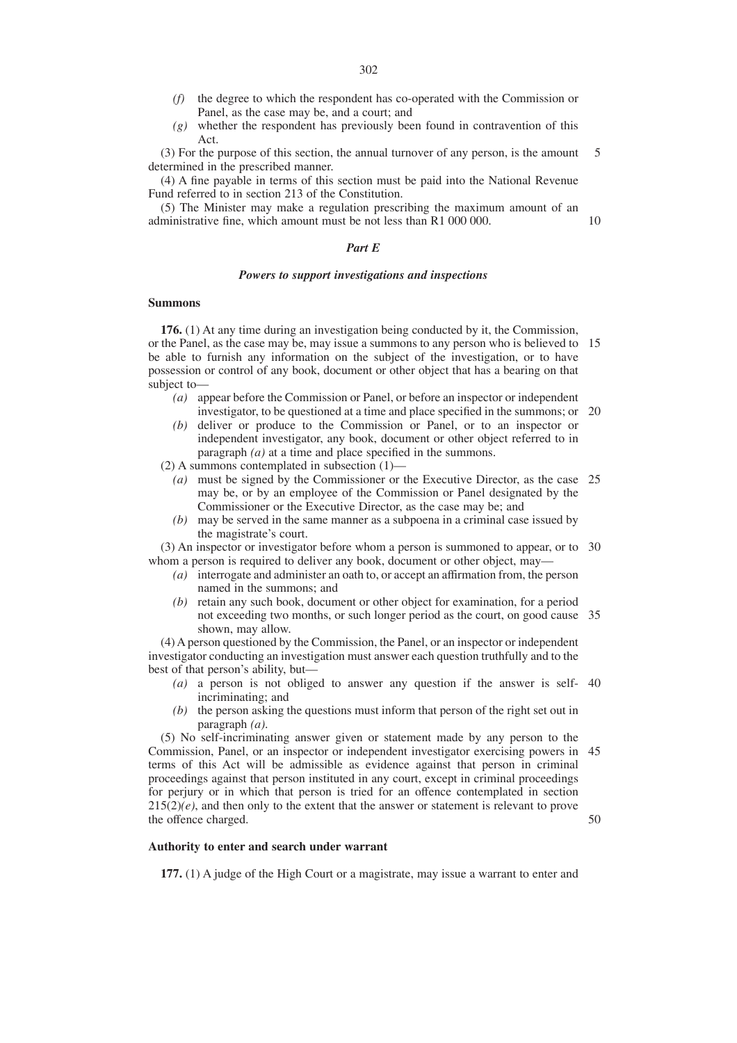- *(f)* the degree to which the respondent has co-operated with the Commission or Panel, as the case may be, and a court; and
- *(g)* whether the respondent has previously been found in contravention of this Act.

(3) For the purpose of this section, the annual turnover of any person, is the amount determined in the prescribed manner. 5

(4) A fine payable in terms of this section must be paid into the National Revenue Fund referred to in section 213 of the Constitution.

(5) The Minister may make a regulation prescribing the maximum amount of an administrative fine, which amount must be not less than R1 000 000.

#### *Part E*

### *Powers to support investigations and inspections*

### **Summons**

**176.** (1) At any time during an investigation being conducted by it, the Commission, or the Panel, as the case may be, may issue a summons to any person who is believed to 15 be able to furnish any information on the subject of the investigation, or to have possession or control of any book, document or other object that has a bearing on that subject to—

- *(a)* appear before the Commission or Panel, or before an inspector or independent investigator, to be questioned at a time and place specified in the summons; or 20
- *(b)* deliver or produce to the Commission or Panel, or to an inspector or independent investigator, any book, document or other object referred to in paragraph *(a)* at a time and place specified in the summons.

(2) A summons contemplated in subsection (1)—

- *(a)* must be signed by the Commissioner or the Executive Director, as the case 25 may be, or by an employee of the Commission or Panel designated by the Commissioner or the Executive Director, as the case may be; and
- *(b)* may be served in the same manner as a subpoena in a criminal case issued by the magistrate's court.

(3) An inspector or investigator before whom a person is summoned to appear, or to 30 whom a person is required to deliver any book, document or other object, may—

- *(a)* interrogate and administer an oath to, or accept an affirmation from, the person named in the summons; and
- *(b)* retain any such book, document or other object for examination, for a period not exceeding two months, or such longer period as the court, on good cause 35 shown, may allow.

(4) A person questioned by the Commission, the Panel, or an inspector or independent investigator conducting an investigation must answer each question truthfully and to the best of that person's ability, but—

- *(a)* a person is not obliged to answer any question if the answer is self-40 incriminating; and
- *(b)* the person asking the questions must inform that person of the right set out in paragraph *(a)*.

(5) No self-incriminating answer given or statement made by any person to the Commission, Panel, or an inspector or independent investigator exercising powers in 45 terms of this Act will be admissible as evidence against that person in criminal proceedings against that person instituted in any court, except in criminal proceedings for perjury or in which that person is tried for an offence contemplated in section  $215(2)(e)$ , and then only to the extent that the answer or statement is relevant to prove the offence charged. 50

10

### **Authority to enter and search under warrant**

**177.** (1) A judge of the High Court or a magistrate, may issue a warrant to enter and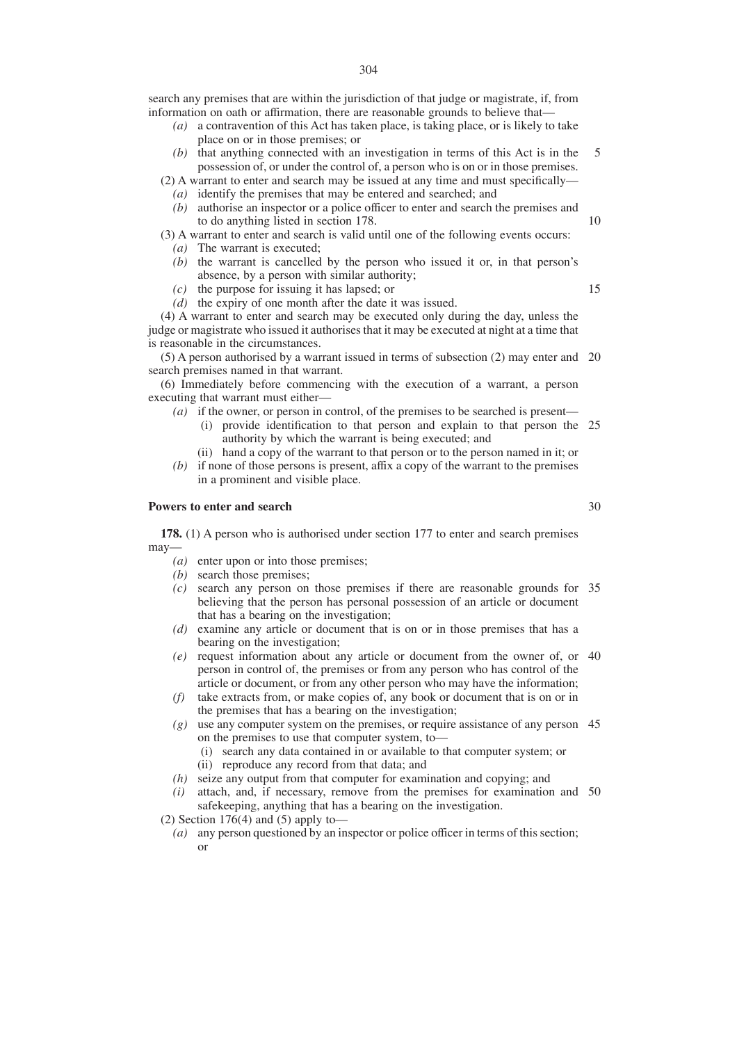- *(a)* a contravention of this Act has taken place, is taking place, or is likely to take place on or in those premises; or
- *(b)* that anything connected with an investigation in terms of this Act is in the possession of, or under the control of, a person who is on or in those premises. 5

(2) A warrant to enter and search may be issued at any time and must specifically—

- *(a)* identify the premises that may be entered and searched; and
- *(b)* authorise an inspector or a police officer to enter and search the premises and to do anything listed in section 178.

# (3) A warrant to enter and search is valid until one of the following events occurs:

- *(a)* The warrant is executed;
- *(b)* the warrant is cancelled by the person who issued it or, in that person's absence, by a person with similar authority;
- *(c)* the purpose for issuing it has lapsed; or
- *(d)* the expiry of one month after the date it was issued.

(4) A warrant to enter and search may be executed only during the day, unless the judge or magistrate who issued it authorises that it may be executed at night at a time that is reasonable in the circumstances.

(5) A person authorised by a warrant issued in terms of subsection (2) may enter and 20 search premises named in that warrant.

(6) Immediately before commencing with the execution of a warrant, a person executing that warrant must either—

- *(a)* if the owner, or person in control, of the premises to be searched is present—
	- (i) provide identification to that person and explain to that person the 25 authority by which the warrant is being executed; and
- (ii) hand a copy of the warrant to that person or to the person named in it; or *(b)* if none of those persons is present, affix a copy of the warrant to the premises in a prominent and visible place.

### **Powers to enter and search**

**178.** (1) A person who is authorised under section 177 to enter and search premises may—

- *(a)* enter upon or into those premises;
- *(b)* search those premises;
- *(c)* search any person on those premises if there are reasonable grounds for 35 believing that the person has personal possession of an article or document that has a bearing on the investigation;
- *(d)* examine any article or document that is on or in those premises that has a bearing on the investigation;
- *(e)* request information about any article or document from the owner of, or 40 person in control of, the premises or from any person who has control of the article or document, or from any other person who may have the information;
- *(f)* take extracts from, or make copies of, any book or document that is on or in the premises that has a bearing on the investigation;
- *(g)* use any computer system on the premises, or require assistance of any person 45 on the premises to use that computer system, to—
	- (i) search any data contained in or available to that computer system; or
	- (ii) reproduce any record from that data; and
- *(h)* seize any output from that computer for examination and copying; and
- *(i)* attach, and, if necessary, remove from the premises for examination and 50safekeeping, anything that has a bearing on the investigation.
- (2) Section  $176(4)$  and (5) apply to-
	- *(a)* any person questioned by an inspector or police officer in terms of this section; or

30

10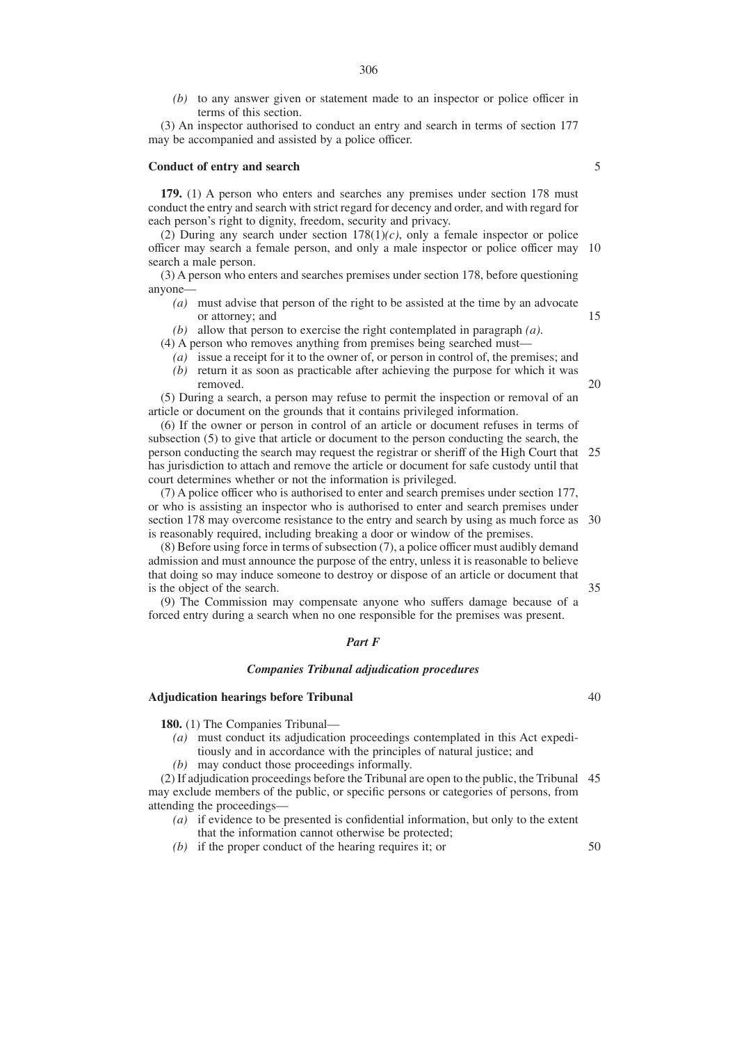*(b)* to any answer given or statement made to an inspector or police officer in terms of this section.

(3) An inspector authorised to conduct an entry and search in terms of section 177 may be accompanied and assisted by a police officer.

#### **Conduct of entry and search**

**179.** (1) A person who enters and searches any premises under section 178 must conduct the entry and search with strict regard for decency and order, and with regard for each person's right to dignity, freedom, security and privacy.

(2) During any search under section 178(1)*(c)*, only a female inspector or police officer may search a female person, and only a male inspector or police officer may 10 search a male person.

(3) A person who enters and searches premises under section 178, before questioning anyone—

- *(a)* must advise that person of the right to be assisted at the time by an advocate or attorney; and
- *(b)* allow that person to exercise the right contemplated in paragraph *(a)*.
- (4) A person who removes anything from premises being searched must—
	- *(a)* issue a receipt for it to the owner of, or person in control of, the premises; and
	- *(b)* return it as soon as practicable after achieving the purpose for which it was removed.

(5) During a search, a person may refuse to permit the inspection or removal of an article or document on the grounds that it contains privileged information.

(6) If the owner or person in control of an article or document refuses in terms of subsection (5) to give that article or document to the person conducting the search, the person conducting the search may request the registrar or sheriff of the High Court that 25 has jurisdiction to attach and remove the article or document for safe custody until that court determines whether or not the information is privileged.

(7) A police officer who is authorised to enter and search premises under section 177, or who is assisting an inspector who is authorised to enter and search premises under section 178 may overcome resistance to the entry and search by using as much force as 30 is reasonably required, including breaking a door or window of the premises.

(8) Before using force in terms of subsection (7), a police officer must audibly demand admission and must announce the purpose of the entry, unless it is reasonable to believe that doing so may induce someone to destroy or dispose of an article or document that is the object of the search. 35

(9) The Commission may compensate anyone who suffers damage because of a forced entry during a search when no one responsible for the premises was present.

#### *Part F*

#### *Companies Tribunal adjudication procedures*

# **Adjudication hearings before Tribunal**

**180.** (1) The Companies Tribunal—

- *(a)* must conduct its adjudication proceedings contemplated in this Act expeditiously and in accordance with the principles of natural justice; and
- *(b)* may conduct those proceedings informally.

(2) If adjudication proceedings before the Tribunal are open to the public, the Tribunal 45 may exclude members of the public, or specific persons or categories of persons, from attending the proceedings—

- *(a)* if evidence to be presented is confidential information, but only to the extent that the information cannot otherwise be protected;
- *(b)* if the proper conduct of the hearing requires it; or

5

15

20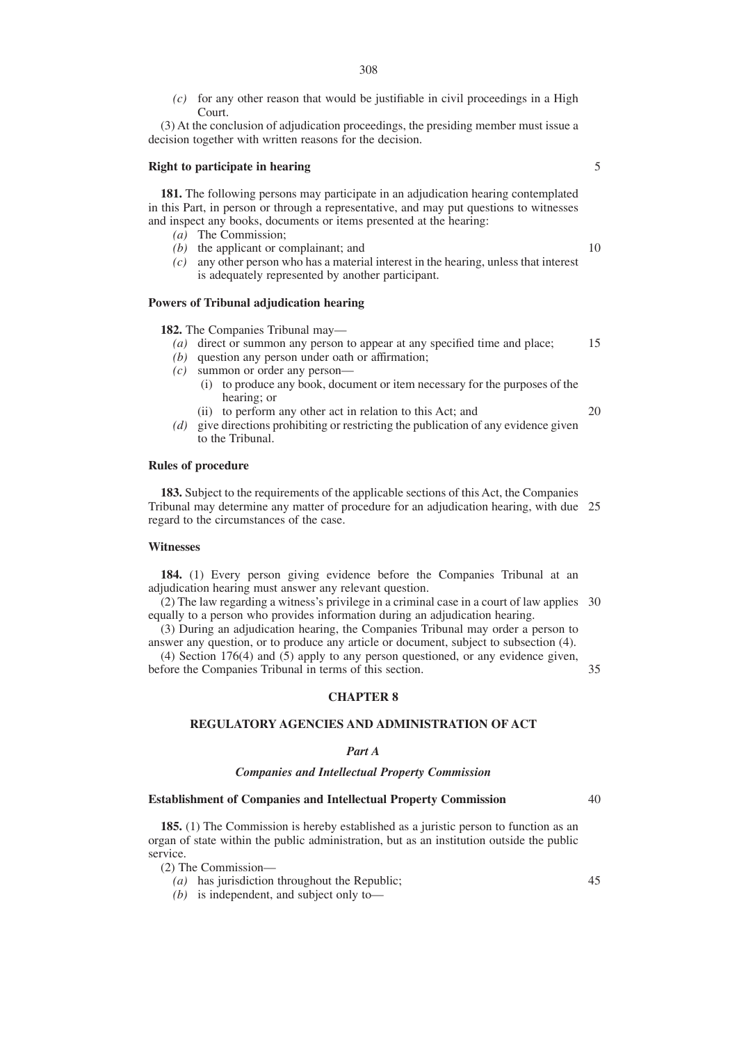*(c)* for any other reason that would be justifiable in civil proceedings in a High Court.

(3) At the conclusion of adjudication proceedings, the presiding member must issue a decision together with written reasons for the decision.

### **Right to participate in hearing**

**181.** The following persons may participate in an adjudication hearing contemplated in this Part, in person or through a representative, and may put questions to witnesses and inspect any books, documents or items presented at the hearing:

- *(a)* The Commission;
- *(b)* the applicant or complainant; and
- *(c)* any other person who has a material interest in the hearing, unless that interest is adequately represented by another participant.

#### **Powers of Tribunal adjudication hearing**

**182.** The Companies Tribunal may—

- *(a)* direct or summon any person to appear at any specified time and place; 15
- *(b)* question any person under oath or affirmation;
- *(c)* summon or order any person—
	- (i) to produce any book, document or item necessary for the purposes of the hearing; or
	- (ii) to perform any other act in relation to this Act; and
- *(d)* give directions prohibiting or restricting the publication of any evidence given to the Tribunal.

### **Rules of procedure**

**183.** Subject to the requirements of the applicable sections of this Act, the Companies Tribunal may determine any matter of procedure for an adjudication hearing, with due 25 regard to the circumstances of the case.

### **Witnesses**

**184.** (1) Every person giving evidence before the Companies Tribunal at an adjudication hearing must answer any relevant question.

(2) The law regarding a witness's privilege in a criminal case in a court of law applies 30 equally to a person who provides information during an adjudication hearing.

(3) During an adjudication hearing, the Companies Tribunal may order a person to answer any question, or to produce any article or document, subject to subsection (4).

(4) Section 176(4) and (5) apply to any person questioned, or any evidence given, before the Companies Tribunal in terms of this section. 35

# **CHAPTER 8**

### **REGULATORY AGENCIES AND ADMINISTRATION OF ACT**

# *Part A*

### *Companies and Intellectual Property Commission*

#### **Establishment of Companies and Intellectual Property Commission**

40

45

**185.** (1) The Commission is hereby established as a juristic person to function as an organ of state within the public administration, but as an institution outside the public service.

(2) The Commission—

*(a)* has jurisdiction throughout the Republic;

*(b)* is independent, and subject only to—

10

20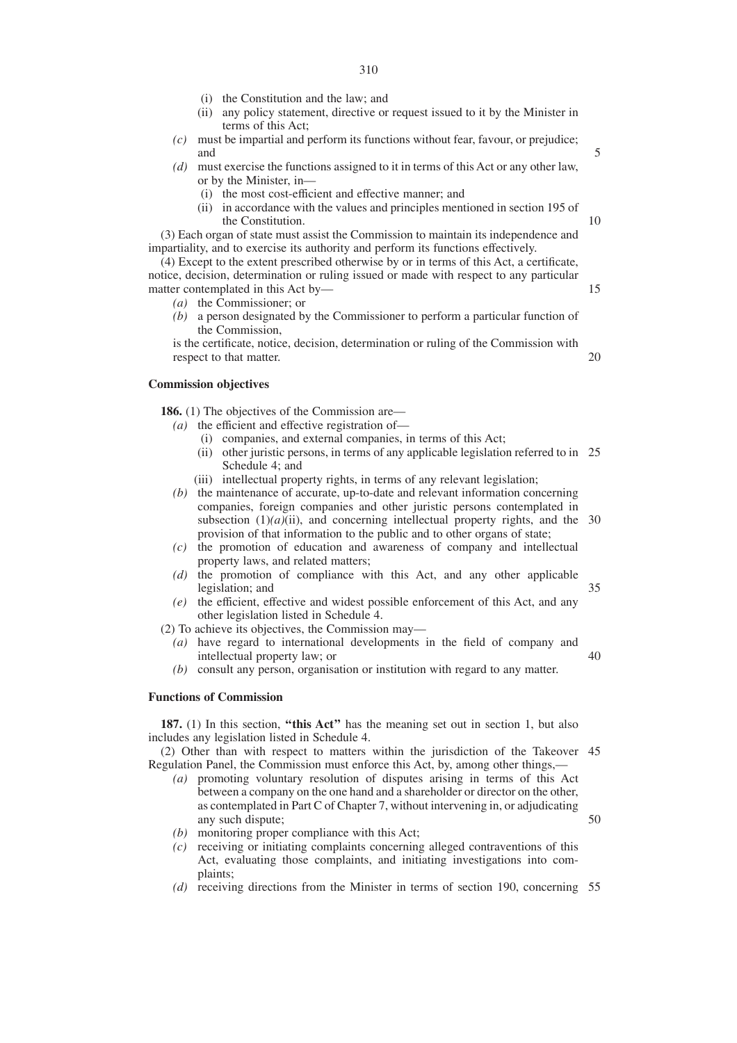- (i) the Constitution and the law; and
- (ii) any policy statement, directive or request issued to it by the Minister in terms of this Act;
- *(c)* must be impartial and perform its functions without fear, favour, or prejudice; and
- *(d)* must exercise the functions assigned to it in terms of this Act or any other law, or by the Minister, in—
	- (i) the most cost-efficient and effective manner; and
	- (ii) in accordance with the values and principles mentioned in section 195 of the Constitution.

(3) Each organ of state must assist the Commission to maintain its independence and impartiality, and to exercise its authority and perform its functions effectively.

(4) Except to the extent prescribed otherwise by or in terms of this Act, a certificate, notice, decision, determination or ruling issued or made with respect to any particular matter contemplated in this Act by—

- *(a)* the Commissioner; or
- *(b)* a person designated by the Commissioner to perform a particular function of the Commission,

is the certificate, notice, decision, determination or ruling of the Commission with respect to that matter. 20

#### **Commission objectives**

**186.** (1) The objectives of the Commission are—

- *(a)* the efficient and effective registration of—
	- (i) companies, and external companies, in terms of this Act;
	- (ii) other juristic persons, in terms of any applicable legislation referred to in 25 Schedule 4; and
	- (iii) intellectual property rights, in terms of any relevant legislation;
- *(b)* the maintenance of accurate, up-to-date and relevant information concerning companies, foreign companies and other juristic persons contemplated in subsection  $(1)(a)(ii)$ , and concerning intellectual property rights, and the 30 provision of that information to the public and to other organs of state;
- *(c)* the promotion of education and awareness of company and intellectual property laws, and related matters;
- *(d)* the promotion of compliance with this Act, and any other applicable legislation; and
- *(e)* the efficient, effective and widest possible enforcement of this Act, and any other legislation listed in Schedule 4.

(2) To achieve its objectives, the Commission may—

- *(a)* have regard to international developments in the field of company and intellectual property law; or
- *(b)* consult any person, organisation or institution with regard to any matter.

# **Functions of Commission**

**187.** (1) In this section, **''this Act''** has the meaning set out in section 1, but also includes any legislation listed in Schedule 4.

(2) Other than with respect to matters within the jurisdiction of the Takeover 45 Regulation Panel, the Commission must enforce this Act, by, among other things,—

- *(a)* promoting voluntary resolution of disputes arising in terms of this Act between a company on the one hand and a shareholder or director on the other, as contemplated in Part C of Chapter 7, without intervening in, or adjudicating any such dispute;
- *(b)* monitoring proper compliance with this Act;
- *(c)* receiving or initiating complaints concerning alleged contraventions of this Act, evaluating those complaints, and initiating investigations into complaints;
- *(d)* receiving directions from the Minister in terms of section 190, concerning 55

40

35

5

10

15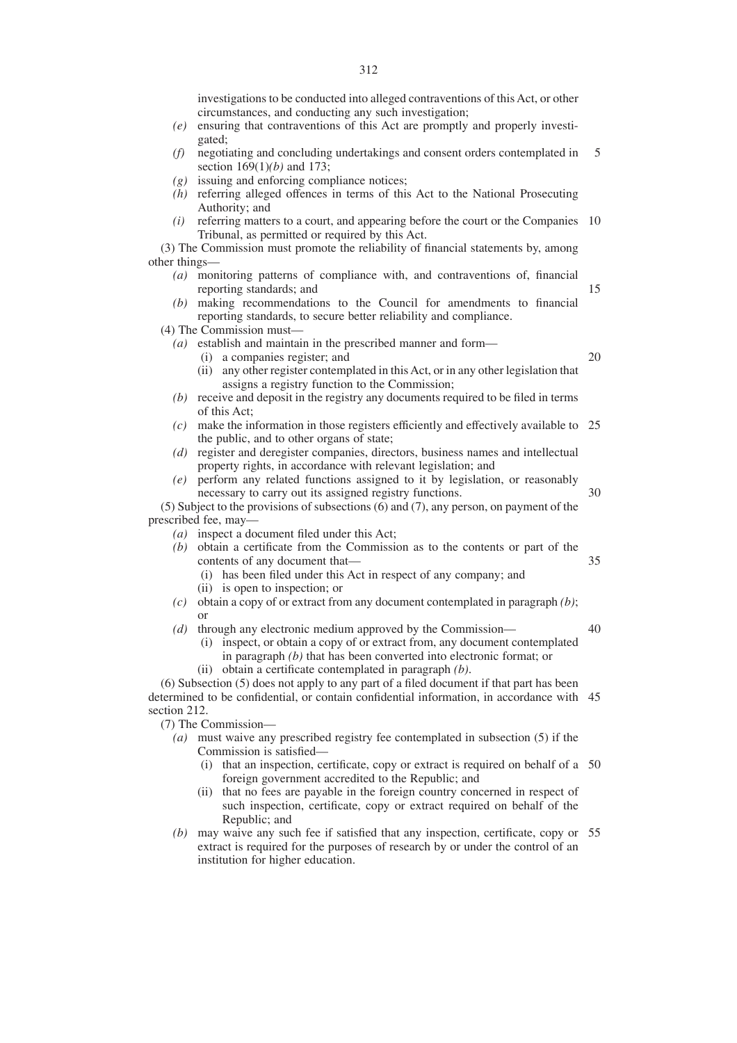investigations to be conducted into alleged contraventions of this Act, or other circumstances, and conducting any such investigation;

- *(e)* ensuring that contraventions of this Act are promptly and properly investigated;
- *(f)* negotiating and concluding undertakings and consent orders contemplated in section 169(1)*(b)* and 173; 5
- *(g)* issuing and enforcing compliance notices;
- *(h)* referring alleged offences in terms of this Act to the National Prosecuting Authority; and
- *(i)* referring matters to a court, and appearing before the court or the Companies 10 Tribunal, as permitted or required by this Act.

(3) The Commission must promote the reliability of financial statements by, among other things—

*(a)* monitoring patterns of compliance with, and contraventions of, financial reporting standards; and

15

20

*(b)* making recommendations to the Council for amendments to financial reporting standards, to secure better reliability and compliance.

(4) The Commission must—

- *(a)* establish and maintain in the prescribed manner and form—
	- (i) a companies register; and
	- (ii) any other register contemplated in this Act, or in any other legislation that assigns a registry function to the Commission;
- *(b)* receive and deposit in the registry any documents required to be filed in terms of this Act;
- *(c)* make the information in those registers efficiently and effectively available to 25 the public, and to other organs of state;
- *(d)* register and deregister companies, directors, business names and intellectual property rights, in accordance with relevant legislation; and
- *(e)* perform any related functions assigned to it by legislation, or reasonably necessary to carry out its assigned registry functions. 30

(5) Subject to the provisions of subsections (6) and (7), any person, on payment of the prescribed fee, may—

- *(a)* inspect a document filed under this Act;
- *(b)* obtain a certificate from the Commission as to the contents or part of the contents of any document that— 35
	- (i) has been filed under this Act in respect of any company; and
	- (ii) is open to inspection; or
- *(c)* obtain a copy of or extract from any document contemplated in paragraph *(b)*; or
- *(d)* through any electronic medium approved by the Commission— (i) inspect, or obtain a copy of or extract from, any document contemplated 40
	- in paragraph *(b)* that has been converted into electronic format; or (ii) obtain a certificate contemplated in paragraph *(b)*.

(6) Subsection (5) does not apply to any part of a filed document if that part has been determined to be confidential, or contain confidential information, in accordance with 45 section 212.

(7) The Commission—

- *(a)* must waive any prescribed registry fee contemplated in subsection (5) if the Commission is satisfied—
	- (i) that an inspection, certificate, copy or extract is required on behalf of a 50 foreign government accredited to the Republic; and
	- (ii) that no fees are payable in the foreign country concerned in respect of such inspection, certificate, copy or extract required on behalf of the Republic; and
- *(b)* may waive any such fee if satisfied that any inspection, certificate, copy or 55extract is required for the purposes of research by or under the control of an institution for higher education.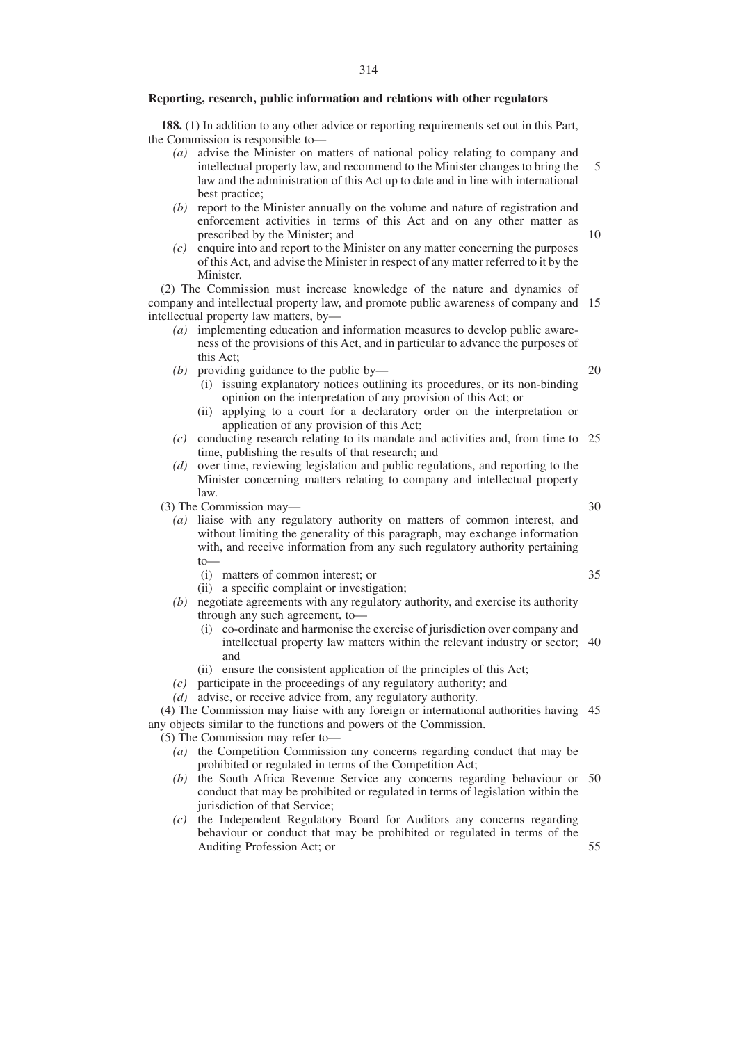**188.** (1) In addition to any other advice or reporting requirements set out in this Part, the Commission is responsible to—

- *(a)* advise the Minister on matters of national policy relating to company and intellectual property law, and recommend to the Minister changes to bring the law and the administration of this Act up to date and in line with international best practice; 5
- *(b)* report to the Minister annually on the volume and nature of registration and enforcement activities in terms of this Act and on any other matter as prescribed by the Minister; and
- *(c)* enquire into and report to the Minister on any matter concerning the purposes of this Act, and advise the Minister in respect of any matter referred to it by the **Minister**

(2) The Commission must increase knowledge of the nature and dynamics of company and intellectual property law, and promote public awareness of company and 15 intellectual property law matters, by—

- *(a)* implementing education and information measures to develop public awareness of the provisions of this Act, and in particular to advance the purposes of this Act;
- *(b)* providing guidance to the public by—
	- (i) issuing explanatory notices outlining its procedures, or its non-binding opinion on the interpretation of any provision of this Act; or
	- (ii) applying to a court for a declaratory order on the interpretation or application of any provision of this Act;
- *(c)* conducting research relating to its mandate and activities and, from time to 25 time, publishing the results of that research; and
- *(d)* over time, reviewing legislation and public regulations, and reporting to the Minister concerning matters relating to company and intellectual property law.

(3) The Commission may—

- *(a)* liaise with any regulatory authority on matters of common interest, and without limiting the generality of this paragraph, may exchange information with, and receive information from any such regulatory authority pertaining  $t_0$ —
	- (i) matters of common interest; or
	- (ii) a specific complaint or investigation;
- *(b)* negotiate agreements with any regulatory authority, and exercise its authority through any such agreement, to—
	- (i) co-ordinate and harmonise the exercise of jurisdiction over company and intellectual property law matters within the relevant industry or sector; 40 and
	- (ii) ensure the consistent application of the principles of this Act;
- *(c)* participate in the proceedings of any regulatory authority; and
- *(d)* advise, or receive advice from, any regulatory authority.

(4) The Commission may liaise with any foreign or international authorities having 45 any objects similar to the functions and powers of the Commission.

(5) The Commission may refer to—

- *(a)* the Competition Commission any concerns regarding conduct that may be prohibited or regulated in terms of the Competition Act;
- *(b)* the South Africa Revenue Service any concerns regarding behaviour or 50 conduct that may be prohibited or regulated in terms of legislation within the jurisdiction of that Service;
- *(c)* the Independent Regulatory Board for Auditors any concerns regarding behaviour or conduct that may be prohibited or regulated in terms of the Auditing Profession Act; or

30

35

20

10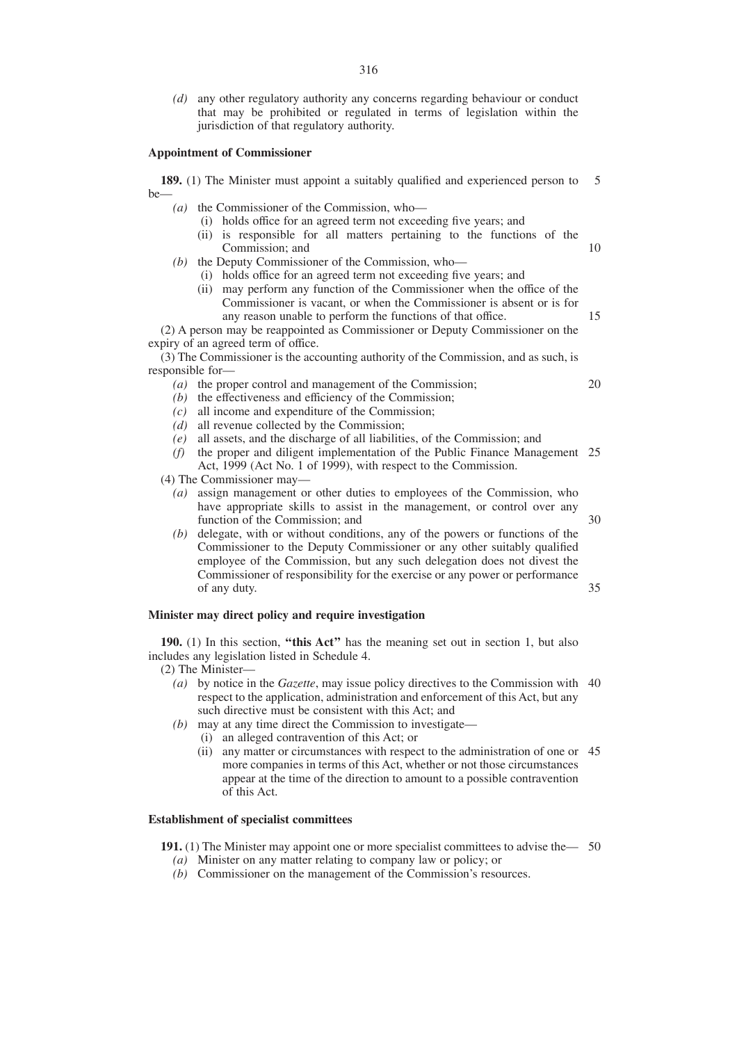*(d)* any other regulatory authority any concerns regarding behaviour or conduct that may be prohibited or regulated in terms of legislation within the jurisdiction of that regulatory authority.

### **Appointment of Commissioner**

189. (1) The Minister must appoint a suitably qualified and experienced person to 5 be—

- *(a)* the Commissioner of the Commission, who—
	- (i) holds office for an agreed term not exceeding five years; and
	- (ii) is responsible for all matters pertaining to the functions of the Commission; and 10
- *(b)* the Deputy Commissioner of the Commission, who—
	- (i) holds office for an agreed term not exceeding five years; and
	- (ii) may perform any function of the Commissioner when the office of the Commissioner is vacant, or when the Commissioner is absent or is for any reason unable to perform the functions of that office.

(2) A person may be reappointed as Commissioner or Deputy Commissioner on the expiry of an agreed term of office.

(3) The Commissioner is the accounting authority of the Commission, and as such, is responsible for—

- *(a)* the proper control and management of the Commission;
- *(b)* the effectiveness and efficiency of the Commission;
- *(c)* all income and expenditure of the Commission;
- *(d)* all revenue collected by the Commission;
- *(e)* all assets, and the discharge of all liabilities, of the Commission; and
- *(f)* the proper and diligent implementation of the Public Finance Management 25 Act, 1999 (Act No. 1 of 1999), with respect to the Commission.

(4) The Commissioner may—

- *(a)* assign management or other duties to employees of the Commission, who have appropriate skills to assist in the management, or control over any function of the Commission; and 30
- *(b)* delegate, with or without conditions, any of the powers or functions of the Commissioner to the Deputy Commissioner or any other suitably qualified employee of the Commission, but any such delegation does not divest the Commissioner of responsibility for the exercise or any power or performance of any duty. 35

# **Minister may direct policy and require investigation**

**190.** (1) In this section, **''this Act''** has the meaning set out in section 1, but also includes any legislation listed in Schedule 4.

(2) The Minister—

- *(a)* by notice in the *Gazette*, may issue policy directives to the Commission with 40 respect to the application, administration and enforcement of this Act, but any such directive must be consistent with this Act; and
- *(b)* may at any time direct the Commission to investigate—
	- (i) an alleged contravention of this Act; or
	- (ii) any matter or circumstances with respect to the administration of one or 45 more companies in terms of this Act, whether or not those circumstances appear at the time of the direction to amount to a possible contravention of this Act.

# **Establishment of specialist committees**

**191.** (1) The Minister may appoint one or more specialist committees to advise the — 50

- *(a)* Minister on any matter relating to company law or policy; or
- *(b)* Commissioner on the management of the Commission's resources.

20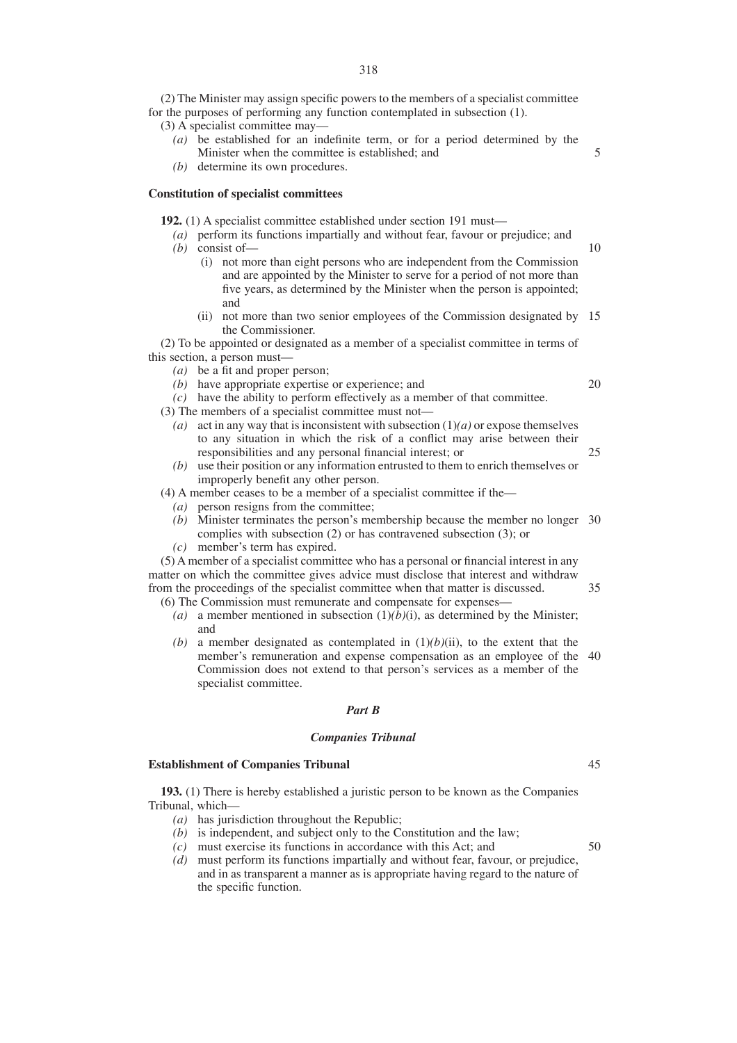(2) The Minister may assign specific powers to the members of a specialist committee for the purposes of performing any function contemplated in subsection (1).

- (3) A specialist committee may—
	- *(a)* be established for an indefinite term, or for a period determined by the Minister when the committee is established; and
	- *(b)* determine its own procedures.

#### **Constitution of specialist committees**

**192.** (1) A specialist committee established under section 191 must—

*(a)* perform its functions impartially and without fear, favour or prejudice; and *(b)* consist of—

- (i) not more than eight persons who are independent from the Commission and are appointed by the Minister to serve for a period of not more than five years, as determined by the Minister when the person is appointed; and
- (ii) not more than two senior employees of the Commission designated by 15 the Commissioner.

(2) To be appointed or designated as a member of a specialist committee in terms of this section, a person must—

- *(a)* be a fit and proper person;
- *(b)* have appropriate expertise or experience; and
- *(c)* have the ability to perform effectively as a member of that committee.
- (3) The members of a specialist committee must not—
	- *(a)* act in any way that is inconsistent with subsection (1)*(a)* or expose themselves to any situation in which the risk of a conflict may arise between their responsibilities and any personal financial interest; or
	- *(b)* use their position or any information entrusted to them to enrich themselves or improperly benefit any other person.

(4) A member ceases to be a member of a specialist committee if the—

- *(a)* person resigns from the committee;
- *(b)* Minister terminates the person's membership because the member no longer 30 complies with subsection (2) or has contravened subsection (3); or
- *(c)* member's term has expired.

(5) A member of a specialist committee who has a personal or financial interest in any matter on which the committee gives advice must disclose that interest and withdraw from the proceedings of the specialist committee when that matter is discussed. (6) The Commission must remunerate and compensate for expenses—

- (a) a member mentioned in subsection  $(1)(b)(i)$ , as determined by the Minister; and
- (b) a member designated as contemplated in  $(1)(b)(ii)$ , to the extent that the member's remuneration and expense compensation as an employee of the 40 Commission does not extend to that person's services as a member of the specialist committee.

### *Part B*

### *Companies Tribunal*

# **Establishment of Companies Tribunal**

**193.** (1) There is hereby established a juristic person to be known as the Companies Tribunal, which—

- *(a)* has jurisdiction throughout the Republic;
- *(b)* is independent, and subject only to the Constitution and the law;
- *(c)* must exercise its functions in accordance with this Act; and
- *(d)* must perform its functions impartially and without fear, favour, or prejudice, and in as transparent a manner as is appropriate having regard to the nature of the specific function.

45

50

20

25

35

5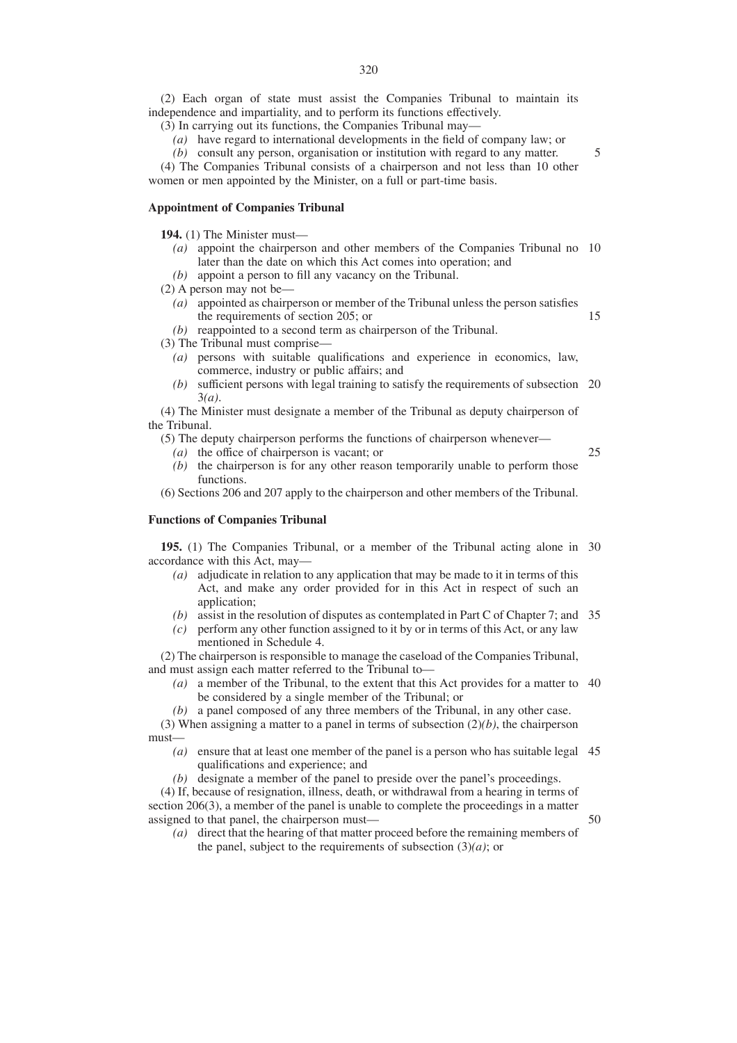(2) Each organ of state must assist the Companies Tribunal to maintain its independence and impartiality, and to perform its functions effectively.

(3) In carrying out its functions, the Companies Tribunal may—

*(a)* have regard to international developments in the field of company law; or

*(b)* consult any person, organisation or institution with regard to any matter.

5

25

50

(4) The Companies Tribunal consists of a chairperson and not less than 10 other women or men appointed by the Minister, on a full or part-time basis.

## **Appointment of Companies Tribunal**

**194.** (1) The Minister must—

- *(a)* appoint the chairperson and other members of the Companies Tribunal no 10 later than the date on which this Act comes into operation; and
- *(b)* appoint a person to fill any vacancy on the Tribunal.

(2) A person may not be—

*(a)* appointed as chairperson or member of the Tribunal unless the person satisfies the requirements of section 205; or 15

*(b)* reappointed to a second term as chairperson of the Tribunal.

(3) The Tribunal must comprise—

- *(a)* persons with suitable qualifications and experience in economics, law, commerce, industry or public affairs; and
- *(b)* sufficient persons with legal training to satisfy the requirements of subsection 20 3*(a)*.

(4) The Minister must designate a member of the Tribunal as deputy chairperson of the Tribunal.

(5) The deputy chairperson performs the functions of chairperson whenever—

- *(a)* the office of chairperson is vacant; or
- *(b)* the chairperson is for any other reason temporarily unable to perform those functions.

(6) Sections 206 and 207 apply to the chairperson and other members of the Tribunal.

# **Functions of Companies Tribunal**

**195.** (1) The Companies Tribunal, or a member of the Tribunal acting alone in 30 accordance with this Act, may—

- *(a)* adjudicate in relation to any application that may be made to it in terms of this Act, and make any order provided for in this Act in respect of such an application;
- *(b)* assist in the resolution of disputes as contemplated in Part C of Chapter 7; and 35
- *(c)* perform any other function assigned to it by or in terms of this Act, or any law mentioned in Schedule 4.

(2) The chairperson is responsible to manage the caseload of the Companies Tribunal, and must assign each matter referred to the Tribunal to—

- *(a)* a member of the Tribunal, to the extent that this Act provides for a matter to 40 be considered by a single member of the Tribunal; or
- *(b)* a panel composed of any three members of the Tribunal, in any other case.

(3) When assigning a matter to a panel in terms of subsection (2)*(b)*, the chairperson must—

*(a)* ensure that at least one member of the panel is a person who has suitable legal 45 qualifications and experience; and

*(b)* designate a member of the panel to preside over the panel's proceedings.

(4) If, because of resignation, illness, death, or withdrawal from a hearing in terms of section 206(3), a member of the panel is unable to complete the proceedings in a matter assigned to that panel, the chairperson must—

*(a)* direct that the hearing of that matter proceed before the remaining members of the panel, subject to the requirements of subsection  $(3)(a)$ ; or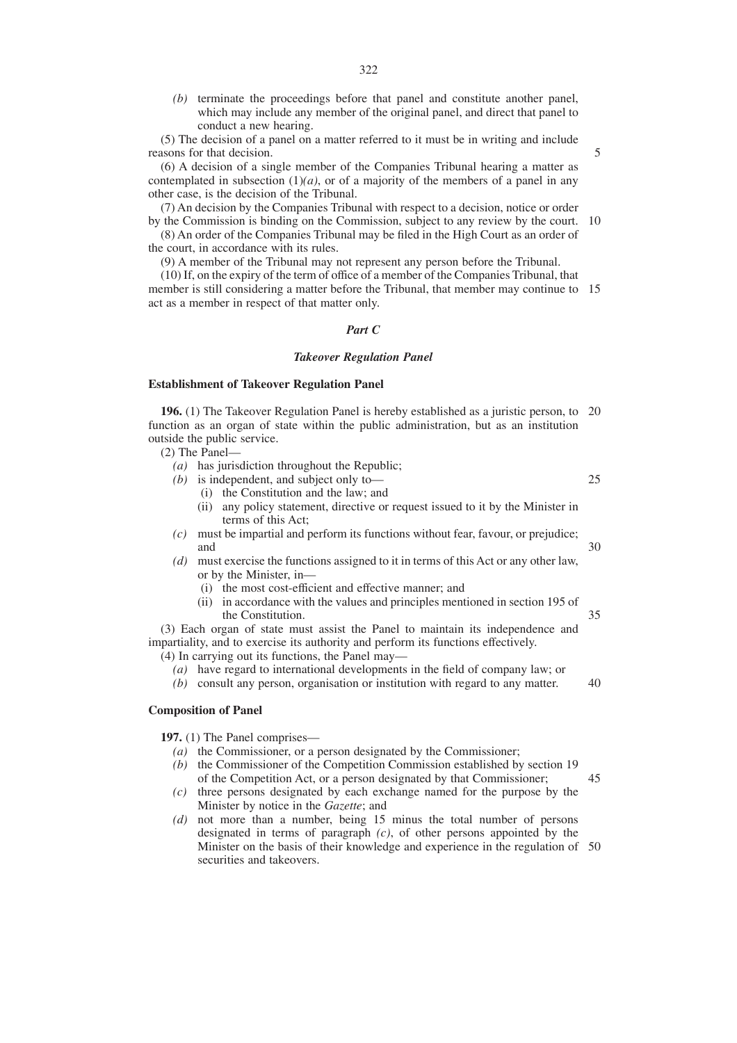*(b)* terminate the proceedings before that panel and constitute another panel, which may include any member of the original panel, and direct that panel to conduct a new hearing.

5

25

30

(5) The decision of a panel on a matter referred to it must be in writing and include reasons for that decision.

(6) A decision of a single member of the Companies Tribunal hearing a matter as contemplated in subsection  $(1)(a)$ , or of a majority of the members of a panel in any other case, is the decision of the Tribunal.

(7) An decision by the Companies Tribunal with respect to a decision, notice or order by the Commission is binding on the Commission, subject to any review by the court. 10

(8) An order of the Companies Tribunal may be filed in the High Court as an order of the court, in accordance with its rules.

(9) A member of the Tribunal may not represent any person before the Tribunal.

(10) If, on the expiry of the term of office of a member of the Companies Tribunal, that member is still considering a matter before the Tribunal, that member may continue to 15 act as a member in respect of that matter only.

### *Part C*

### *Takeover Regulation Panel*

#### **Establishment of Takeover Regulation Panel**

**196.** (1) The Takeover Regulation Panel is hereby established as a juristic person, to 20 function as an organ of state within the public administration, but as an institution outside the public service.

(2) The Panel—

- *(a)* has jurisdiction throughout the Republic;
- *(b)* is independent, and subject only to—
	- (i) the Constitution and the law; and
	- (ii) any policy statement, directive or request issued to it by the Minister in terms of this Act;
- *(c)* must be impartial and perform its functions without fear, favour, or prejudice; and
- *(d)* must exercise the functions assigned to it in terms of this Act or any other law, or by the Minister, in—
	- (i) the most cost-efficient and effective manner; and
	- (ii) in accordance with the values and principles mentioned in section 195 of the Constitution. 35

(3) Each organ of state must assist the Panel to maintain its independence and impartiality, and to exercise its authority and perform its functions effectively. (4) In carrying out its functions, the Panel may—

- *(a)* have regard to international developments in the field of company law; or
- *(b)* consult any person, organisation or institution with regard to any matter. 40

## **Composition of Panel**

**197.** (1) The Panel comprises—

- *(a)* the Commissioner, or a person designated by the Commissioner;
- *(b)* the Commissioner of the Competition Commission established by section 19 of the Competition Act, or a person designated by that Commissioner; 45
- *(c)* three persons designated by each exchange named for the purpose by the Minister by notice in the *Gazette*; and
- *(d)* not more than a number, being 15 minus the total number of persons designated in terms of paragraph *(c)*, of other persons appointed by the Minister on the basis of their knowledge and experience in the regulation of 50securities and takeovers.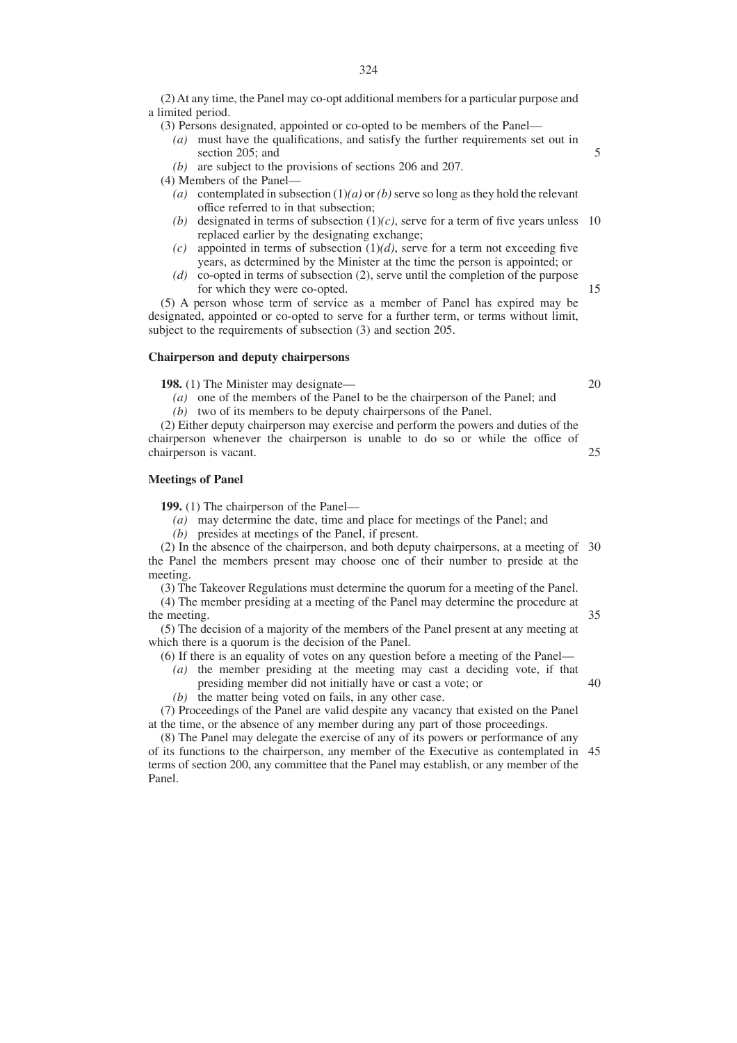- (3) Persons designated, appointed or co-opted to be members of the Panel—
	- *(a)* must have the qualifications, and satisfy the further requirements set out in section 205; and
	- *(b)* are subject to the provisions of sections 206 and 207.

(4) Members of the Panel—

- (a) contemplated in subsection  $(1)(a)$  or *(b)* serve so long as they hold the relevant office referred to in that subsection;
- (b) designated in terms of subsection  $(1)(c)$ , serve for a term of five years unless 10 replaced earlier by the designating exchange;
- $(c)$  appointed in terms of subsection  $(1)(d)$ , serve for a term not exceeding five years, as determined by the Minister at the time the person is appointed; or
- *(d)* co-opted in terms of subsection (2), serve until the completion of the purpose for which they were co-opted.

(5) A person whose term of service as a member of Panel has expired may be designated, appointed or co-opted to serve for a further term, or terms without limit, subject to the requirements of subsection (3) and section 205.

### **Chairperson and deputy chairpersons**

**198.** (1) The Minister may designate—

- *(a)* one of the members of the Panel to be the chairperson of the Panel; and
- *(b)* two of its members to be deputy chairpersons of the Panel.

(2) Either deputy chairperson may exercise and perform the powers and duties of the chairperson whenever the chairperson is unable to do so or while the office of chairperson is vacant.

### **Meetings of Panel**

**199.** (1) The chairperson of the Panel—

*(a)* may determine the date, time and place for meetings of the Panel; and

*(b)* presides at meetings of the Panel, if present.

(2) In the absence of the chairperson, and both deputy chairpersons, at a meeting of 30 the Panel the members present may choose one of their number to preside at the meeting.

(3) The Takeover Regulations must determine the quorum for a meeting of the Panel.

(4) The member presiding at a meeting of the Panel may determine the procedure at the meeting. 35

(5) The decision of a majority of the members of the Panel present at any meeting at which there is a quorum is the decision of the Panel.

(6) If there is an equality of votes on any question before a meeting of the Panel—

- *(a)* the member presiding at the meeting may cast a deciding vote, if that presiding member did not initially have or cast a vote; or
	- *(b)* the matter being voted on fails, in any other case.

(7) Proceedings of the Panel are valid despite any vacancy that existed on the Panel at the time, or the absence of any member during any part of those proceedings.

(8) The Panel may delegate the exercise of any of its powers or performance of any of its functions to the chairperson, any member of the Executive as contemplated in 45terms of section 200, any committee that the Panel may establish, or any member of the Panel.

20

25

15

- 
- 40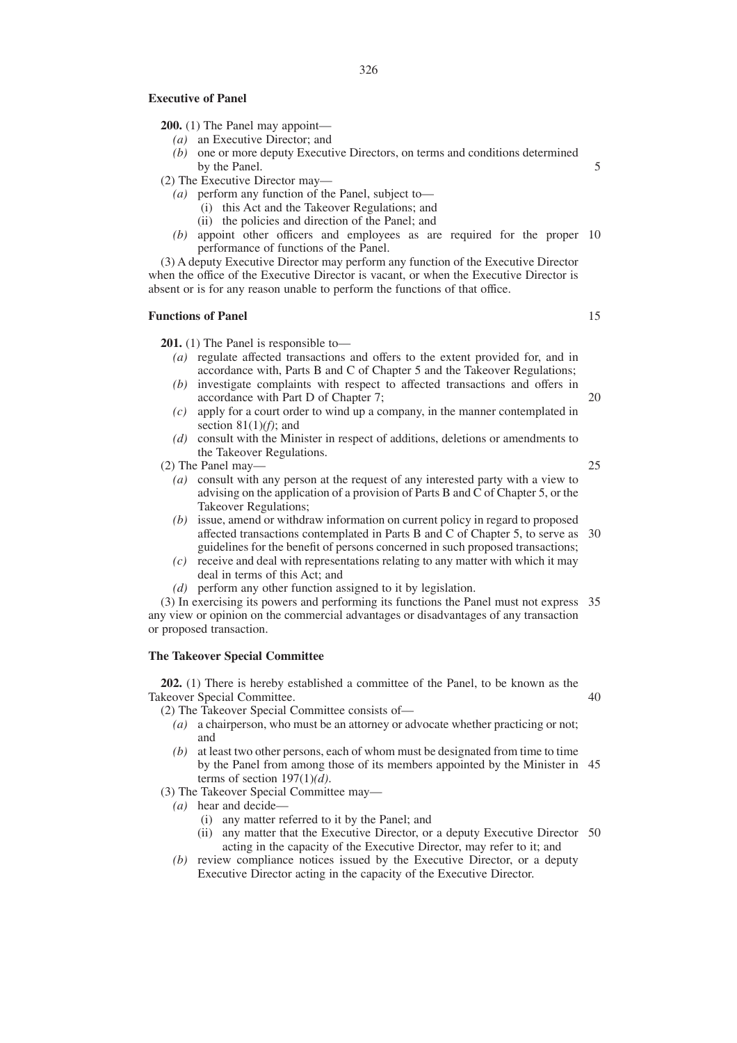### **Executive of Panel**

**200.** (1) The Panel may appoint—

- *(a)* an Executive Director; and
- *(b)* one or more deputy Executive Directors, on terms and conditions determined by the Panel.
- (2) The Executive Director may—
	- *(a)* perform any function of the Panel, subject to—
		- (i) this Act and the Takeover Regulations; and
		- (ii) the policies and direction of the Panel; and
	- *(b)* appoint other officers and employees as are required for the proper 10 performance of functions of the Panel.

(3) A deputy Executive Director may perform any function of the Executive Director when the office of the Executive Director is vacant, or when the Executive Director is absent or is for any reason unable to perform the functions of that office.

### **Functions of Panel**

**201.** (1) The Panel is responsible to—

- *(a)* regulate affected transactions and offers to the extent provided for, and in accordance with, Parts B and C of Chapter 5 and the Takeover Regulations;
- *(b)* investigate complaints with respect to affected transactions and offers in accordance with Part D of Chapter 7;
- *(c)* apply for a court order to wind up a company, in the manner contemplated in section 81(1)*(f)*; and
- *(d)* consult with the Minister in respect of additions, deletions or amendments to the Takeover Regulations.
- (2) The Panel may—
	- *(a)* consult with any person at the request of any interested party with a view to advising on the application of a provision of Parts B and C of Chapter 5, or the Takeover Regulations;
	- *(b)* issue, amend or withdraw information on current policy in regard to proposed affected transactions contemplated in Parts B and C of Chapter 5, to serve as 30 guidelines for the benefit of persons concerned in such proposed transactions;
	- *(c)* receive and deal with representations relating to any matter with which it may deal in terms of this Act; and
	- *(d)* perform any other function assigned to it by legislation.

(3) In exercising its powers and performing its functions the Panel must not express 35 any view or opinion on the commercial advantages or disadvantages of any transaction or proposed transaction.

### **The Takeover Special Committee**

**202.** (1) There is hereby established a committee of the Panel, to be known as the Takeover Special Committee.

(2) The Takeover Special Committee consists of—

- *(a)* a chairperson, who must be an attorney or advocate whether practicing or not; and
- *(b)* at least two other persons, each of whom must be designated from time to time by the Panel from among those of its members appointed by the Minister in 45 terms of section  $197(1)(d)$ .
- (3) The Takeover Special Committee may—
	- *(a)* hear and decide—
		- (i) any matter referred to it by the Panel; and
		- (ii) any matter that the Executive Director, or a deputy Executive Director 50acting in the capacity of the Executive Director, may refer to it; and
	- *(b)* review compliance notices issued by the Executive Director, or a deputy Executive Director acting in the capacity of the Executive Director.

15

20

25

40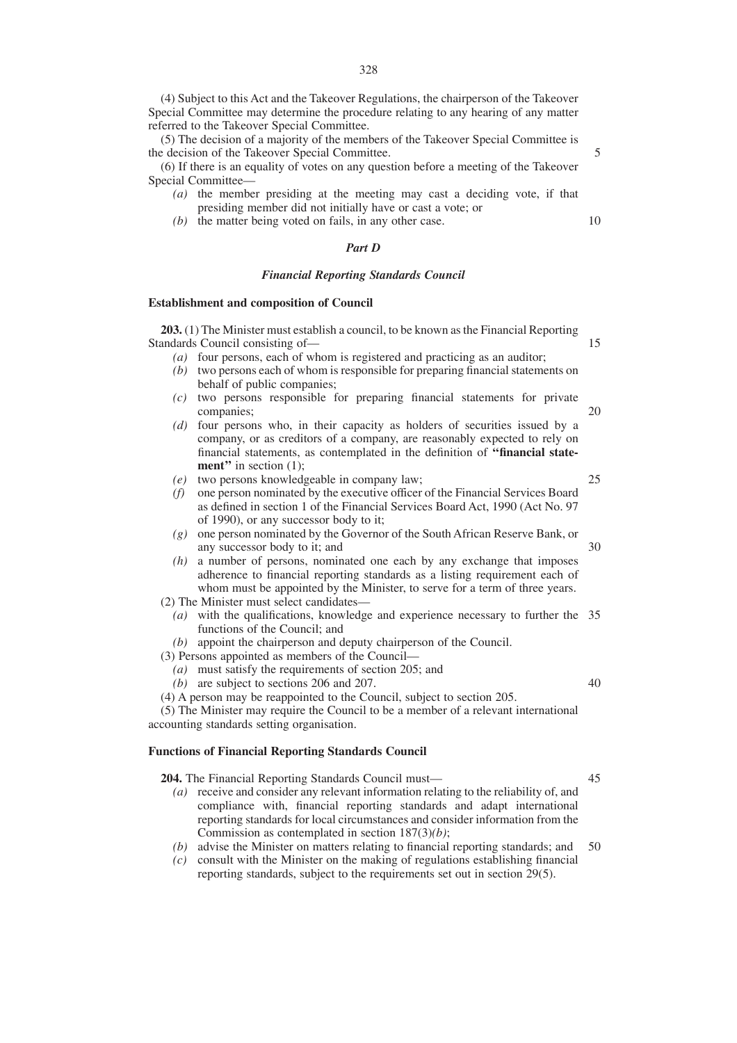(4) Subject to this Act and the Takeover Regulations, the chairperson of the Takeover Special Committee may determine the procedure relating to any hearing of any matter referred to the Takeover Special Committee.

(5) The decision of a majority of the members of the Takeover Special Committee is the decision of the Takeover Special Committee.

(6) If there is an equality of votes on any question before a meeting of the Takeover Special Committee—

- *(a)* the member presiding at the meeting may cast a deciding vote, if that presiding member did not initially have or cast a vote; or
- *(b)* the matter being voted on fails, in any other case.

#### *Part D*

### *Financial Reporting Standards Council*

## **Establishment and composition of Council**

**203.** (1) The Minister must establish a council, to be known as the Financial Reporting Standards Council consisting of—

- *(a)* four persons, each of whom is registered and practicing as an auditor;
- *(b)* two persons each of whom is responsible for preparing financial statements on behalf of public companies;
- *(c)* two persons responsible for preparing financial statements for private companies; 20
- *(d)* four persons who, in their capacity as holders of securities issued by a company, or as creditors of a company, are reasonably expected to rely on financial statements, as contemplated in the definition of **''financial statement**" in section (1);
- *(e)* two persons knowledgeable in company law;
- *(f)* one person nominated by the executive officer of the Financial Services Board as defined in section 1 of the Financial Services Board Act, 1990 (Act No. 97 of 1990), or any successor body to it;
- *(g)* one person nominated by the Governor of the South African Reserve Bank, or any successor body to it; and
- *(h)* a number of persons, nominated one each by any exchange that imposes adherence to financial reporting standards as a listing requirement each of whom must be appointed by the Minister, to serve for a term of three years.
- (2) The Minister must select candidates—
	- *(a)* with the qualifications, knowledge and experience necessary to further the 35 functions of the Council; and
	- *(b)* appoint the chairperson and deputy chairperson of the Council.
- (3) Persons appointed as members of the Council—
	- *(a)* must satisfy the requirements of section 205; and
	- *(b)* are subject to sections 206 and 207.
- (4) A person may be reappointed to the Council, subject to section 205.

(5) The Minister may require the Council to be a member of a relevant international accounting standards setting organisation.

## **Functions of Financial Reporting Standards Council**

**204.** The Financial Reporting Standards Council must—

- *(a)* receive and consider any relevant information relating to the reliability of, and compliance with, financial reporting standards and adapt international reporting standards for local circumstances and consider information from the Commission as contemplated in section 187(3)*(b)*;
- *(b)* advise the Minister on matters relating to financial reporting standards; and 50
- *(c)* consult with the Minister on the making of regulations establishing financial reporting standards, subject to the requirements set out in section 29(5).

5

10

15

25

30

40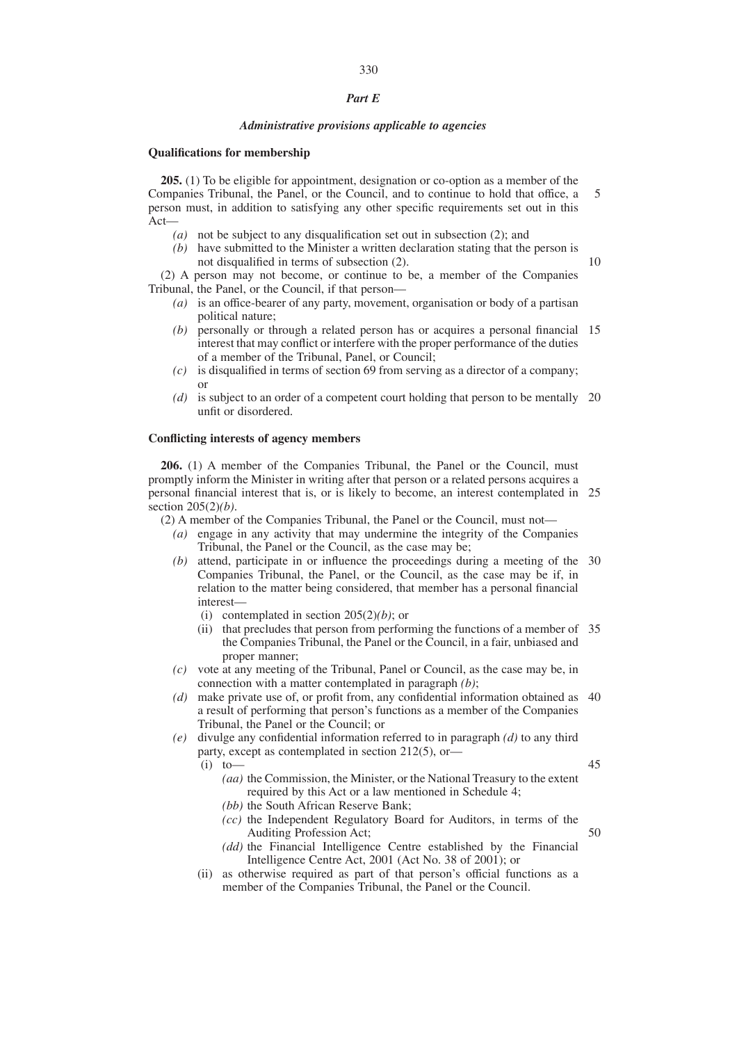# *Part E*

330

### *Administrative provisions applicable to agencies*

#### **Qualifications for membership**

**205.** (1) To be eligible for appointment, designation or co-option as a member of the Companies Tribunal, the Panel, or the Council, and to continue to hold that office, a person must, in addition to satisfying any other specific requirements set out in this  $Act$ 5

- *(a)* not be subject to any disqualification set out in subsection (2); and
- *(b)* have submitted to the Minister a written declaration stating that the person is not disqualified in terms of subsection (2). 10

(2) A person may not become, or continue to be, a member of the Companies Tribunal, the Panel, or the Council, if that person—

- *(a)* is an office-bearer of any party, movement, organisation or body of a partisan political nature;
- *(b)* personally or through a related person has or acquires a personal financial 15 interest that may conflict or interfere with the proper performance of the duties of a member of the Tribunal, Panel, or Council;
- *(c)* is disqualified in terms of section 69 from serving as a director of a company; or
- *(d)* is subject to an order of a competent court holding that person to be mentally 20 unfit or disordered.

# **Conflicting interests of agency members**

**206.** (1) A member of the Companies Tribunal, the Panel or the Council, must promptly inform the Minister in writing after that person or a related persons acquires a personal financial interest that is, or is likely to become, an interest contemplated in 25 section 205(2)*(b)*.

(2) A member of the Companies Tribunal, the Panel or the Council, must not—

- *(a)* engage in any activity that may undermine the integrity of the Companies Tribunal, the Panel or the Council, as the case may be;
- *(b)* attend, participate in or influence the proceedings during a meeting of the 30 Companies Tribunal, the Panel, or the Council, as the case may be if, in relation to the matter being considered, that member has a personal financial interest—
	- (i) contemplated in section  $205(2)(b)$ ; or
	- (ii) that precludes that person from performing the functions of a member of 35 the Companies Tribunal, the Panel or the Council, in a fair, unbiased and proper manner;
- *(c)* vote at any meeting of the Tribunal, Panel or Council, as the case may be, in connection with a matter contemplated in paragraph *(b)*;
- *(d)* make private use of, or profit from, any confidential information obtained as 40 a result of performing that person's functions as a member of the Companies Tribunal, the Panel or the Council; or
- *(e)* divulge any confidential information referred to in paragraph *(d)* to any third party, except as contemplated in section 212(5), or—

 $(i)$  to-

45

- *(aa)* the Commission, the Minister, or the National Treasury to the extent required by this Act or a law mentioned in Schedule 4;
- *(bb)* the South African Reserve Bank;
- *(cc)* the Independent Regulatory Board for Auditors, in terms of the Auditing Profession Act;
- *(dd)* the Financial Intelligence Centre established by the Financial Intelligence Centre Act, 2001 (Act No. 38 of 2001); or
- (ii) as otherwise required as part of that person's official functions as a member of the Companies Tribunal, the Panel or the Council.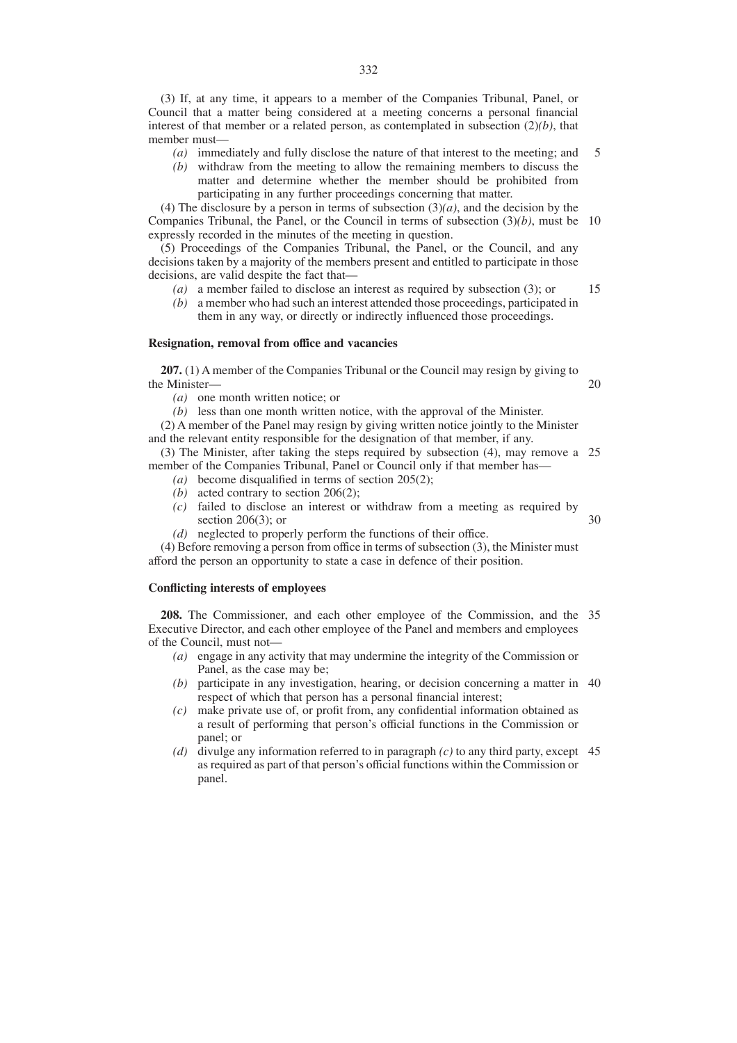(3) If, at any time, it appears to a member of the Companies Tribunal, Panel, or Council that a matter being considered at a meeting concerns a personal financial interest of that member or a related person, as contemplated in subsection (2)*(b)*, that member must—

- *(a)* immediately and fully disclose the nature of that interest to the meeting; and 5
- *(b)* withdraw from the meeting to allow the remaining members to discuss the matter and determine whether the member should be prohibited from participating in any further proceedings concerning that matter.

(4) The disclosure by a person in terms of subsection  $(3)(a)$ , and the decision by the Companies Tribunal, the Panel, or the Council in terms of subsection  $(3)(b)$ , must be 10 expressly recorded in the minutes of the meeting in question.

(5) Proceedings of the Companies Tribunal, the Panel, or the Council, and any decisions taken by a majority of the members present and entitled to participate in those decisions, are valid despite the fact that—

*(a)* a member failed to disclose an interest as required by subsection (3); or 15

*(b)* a member who had such an interest attended those proceedings, participated in them in any way, or directly or indirectly influenced those proceedings.

### **Resignation, removal from office and vacancies**

**207.** (1) A member of the Companies Tribunal or the Council may resign by giving to the Minister— 20

*(a)* one month written notice; or

*(b)* less than one month written notice, with the approval of the Minister.

(2) A member of the Panel may resign by giving written notice jointly to the Minister and the relevant entity responsible for the designation of that member, if any.

(3) The Minister, after taking the steps required by subsection (4), may remove a 25 member of the Companies Tribunal, Panel or Council only if that member has—

- *(a)* become disqualified in terms of section 205(2);
- *(b)* acted contrary to section 206(2);
- *(c)* failed to disclose an interest or withdraw from a meeting as required by section 206(3); or  $3<sub>0</sub>$
- *(d)* neglected to properly perform the functions of their office.

(4) Before removing a person from office in terms of subsection (3), the Minister must afford the person an opportunity to state a case in defence of their position.

## **Conflicting interests of employees**

**208.** The Commissioner, and each other employee of the Commission, and the 35 Executive Director, and each other employee of the Panel and members and employees of the Council, must not—

- *(a)* engage in any activity that may undermine the integrity of the Commission or Panel, as the case may be;
- *(b)* participate in any investigation, hearing, or decision concerning a matter in 40 respect of which that person has a personal financial interest;
- *(c)* make private use of, or profit from, any confidential information obtained as a result of performing that person's official functions in the Commission or panel; or
- *(d)* divulge any information referred to in paragraph *(c)* to any third party, except 45as required as part of that person's official functions within the Commission or panel.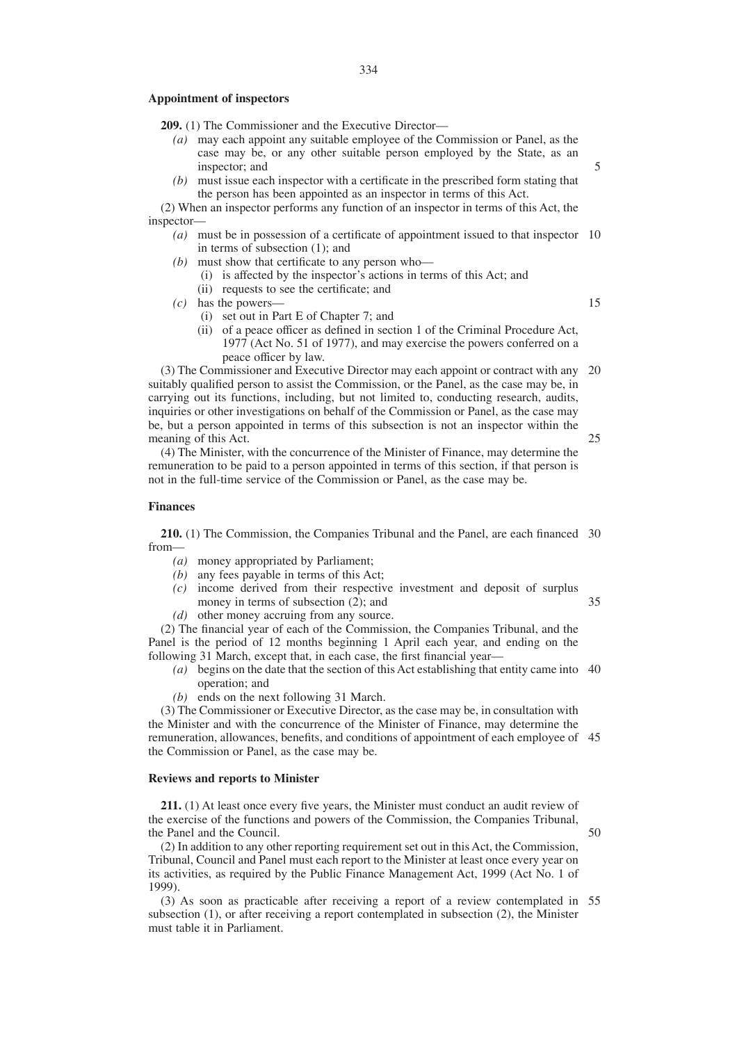#### **Appointment of inspectors**

**209.** (1) The Commissioner and the Executive Director—

- *(a)* may each appoint any suitable employee of the Commission or Panel, as the case may be, or any other suitable person employed by the State, as an inspector; and
- *(b)* must issue each inspector with a certificate in the prescribed form stating that the person has been appointed as an inspector in terms of this Act.

(2) When an inspector performs any function of an inspector in terms of this Act, the inspector—

- *(a)* must be in possession of a certificate of appointment issued to that inspector 10 in terms of subsection (1); and
- *(b)* must show that certificate to any person who—
	- (i) is affected by the inspector's actions in terms of this Act; and
	- (ii) requests to see the certificate; and
- *(c)* has the powers—
	- (i) set out in Part E of Chapter 7; and
	- (ii) of a peace officer as defined in section 1 of the Criminal Procedure Act, 1977 (Act No. 51 of 1977), and may exercise the powers conferred on a peace officer by law.

(3) The Commissioner and Executive Director may each appoint or contract with any 20 suitably qualified person to assist the Commission, or the Panel, as the case may be, in carrying out its functions, including, but not limited to, conducting research, audits, inquiries or other investigations on behalf of the Commission or Panel, as the case may be, but a person appointed in terms of this subsection is not an inspector within the meaning of this Act. 25

(4) The Minister, with the concurrence of the Minister of Finance, may determine the remuneration to be paid to a person appointed in terms of this section, if that person is not in the full-time service of the Commission or Panel, as the case may be.

### **Finances**

**210.** (1) The Commission, the Companies Tribunal and the Panel, are each financed 30 from—

- *(a)* money appropriated by Parliament;
- *(b)* any fees payable in terms of this Act;
- *(c)* income derived from their respective investment and deposit of surplus money in terms of subsection (2); and 35
- *(d)* other money accruing from any source.

(2) The financial year of each of the Commission, the Companies Tribunal, and the Panel is the period of 12 months beginning 1 April each year, and ending on the following 31 March, except that, in each case, the first financial year—

- *(a)* begins on the date that the section of this Act establishing that entity came into 40 operation; and
- *(b)* ends on the next following 31 March.

(3) The Commissioner or Executive Director, as the case may be, in consultation with the Minister and with the concurrence of the Minister of Finance, may determine the remuneration, allowances, benefits, and conditions of appointment of each employee of 45 the Commission or Panel, as the case may be.

### **Reviews and reports to Minister**

**211.** (1) At least once every five years, the Minister must conduct an audit review of the exercise of the functions and powers of the Commission, the Companies Tribunal, the Panel and the Council.

(2) In addition to any other reporting requirement set out in this Act, the Commission, Tribunal, Council and Panel must each report to the Minister at least once every year on its activities, as required by the Public Finance Management Act, 1999 (Act No. 1 of 1999).

(3) As soon as practicable after receiving a report of a review contemplated in 55subsection (1), or after receiving a report contemplated in subsection (2), the Minister must table it in Parliament.

15

50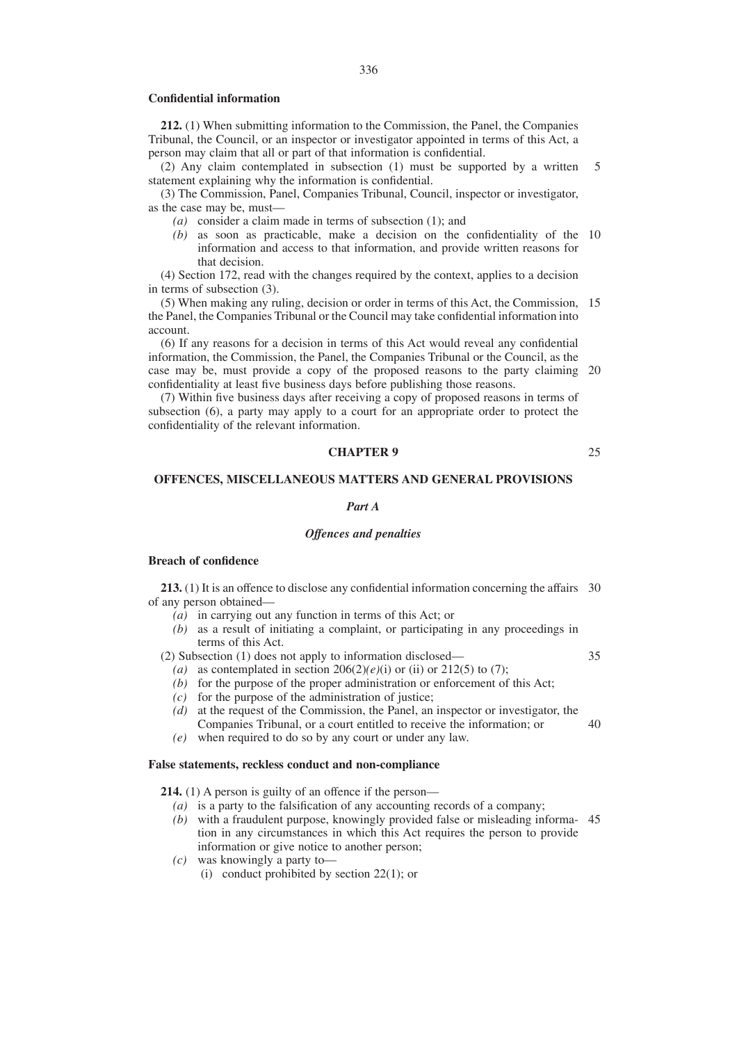#### **Confidential information**

**212.** (1) When submitting information to the Commission, the Panel, the Companies Tribunal, the Council, or an inspector or investigator appointed in terms of this Act, a person may claim that all or part of that information is confidential.

(2) Any claim contemplated in subsection (1) must be supported by a written statement explaining why the information is confidential. 5

(3) The Commission, Panel, Companies Tribunal, Council, inspector or investigator, as the case may be, must—

- *(a)* consider a claim made in terms of subsection (1); and
- *(b)* as soon as practicable, make a decision on the confidentiality of the 10 information and access to that information, and provide written reasons for that decision.

(4) Section 172, read with the changes required by the context, applies to a decision in terms of subsection (3).

(5) When making any ruling, decision or order in terms of this Act, the Commission, 15 the Panel, the Companies Tribunal or the Council may take confidential information into account.

(6) If any reasons for a decision in terms of this Act would reveal any confidential information, the Commission, the Panel, the Companies Tribunal or the Council, as the case may be, must provide a copy of the proposed reasons to the party claiming 20 confidentiality at least five business days before publishing those reasons.

(7) Within five business days after receiving a copy of proposed reasons in terms of subsection (6), a party may apply to a court for an appropriate order to protect the confidentiality of the relevant information.

#### **CHAPTER 9**

# **OFFENCES, MISCELLANEOUS MATTERS AND GENERAL PROVISIONS**

### *Part A*

### *Offences and penalties*

### **Breach of confidence**

**213.** (1) It is an offence to disclose any confidential information concerning the affairs 30 of any person obtained—

- *(a)* in carrying out any function in terms of this Act; or
- *(b)* as a result of initiating a complaint, or participating in any proceedings in terms of this Act.

(2) Subsection (1) does not apply to information disclosed—

35

25

- (a) as contemplated in section  $206(2)(e)(i)$  or (ii) or 212(5) to (7); *(b)* for the purpose of the proper administration or enforcement of this Act;
- *(c)* for the purpose of the administration of justice;
- *(d)* at the request of the Commission, the Panel, an inspector or investigator, the Companies Tribunal, or a court entitled to receive the information; or 40
- *(e)* when required to do so by any court or under any law.

# **False statements, reckless conduct and non-compliance**

**214.** (1) A person is guilty of an offence if the person—

- *(a)* is a party to the falsification of any accounting records of a company;
- *(b)* with a fraudulent purpose, knowingly provided false or misleading informa-45tion in any circumstances in which this Act requires the person to provide information or give notice to another person;
- *(c)* was knowingly a party to—
	- (i) conduct prohibited by section 22(1); or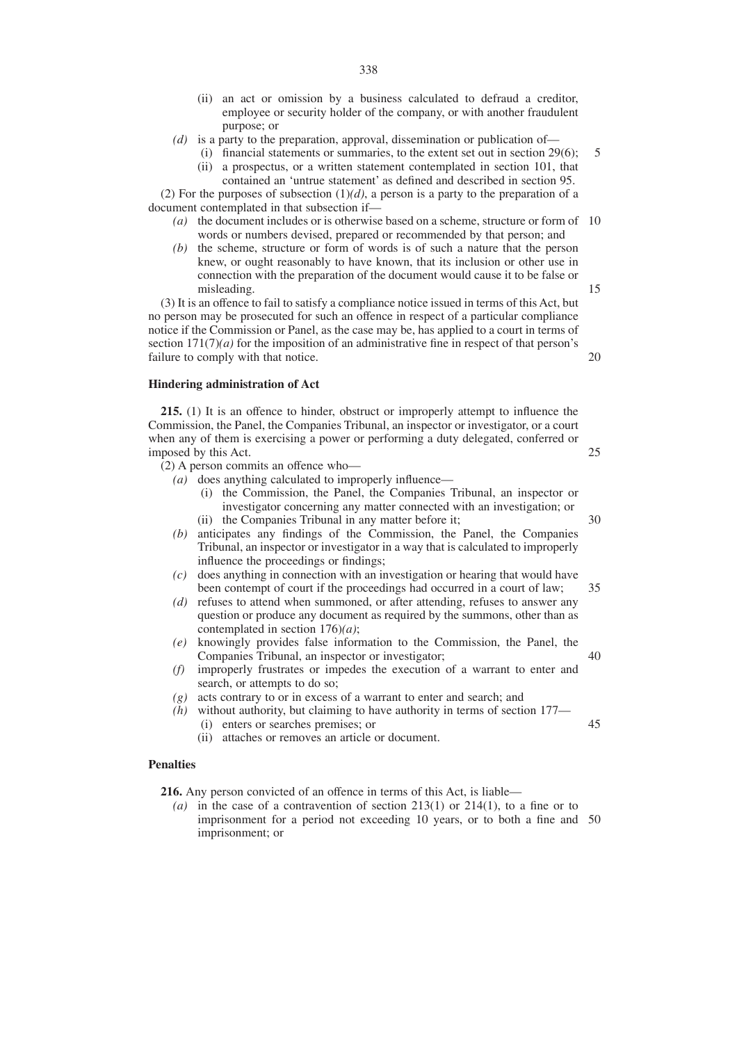- (ii) an act or omission by a business calculated to defraud a creditor, employee or security holder of the company, or with another fraudulent purpose; or
- *(d)* is a party to the preparation, approval, dissemination or publication of—
	- (i) financial statements or summaries, to the extent set out in section 29(6); (ii) a prospectus, or a written statement contemplated in section 101, that 5
	- contained an 'untrue statement' as defined and described in section 95.

(2) For the purposes of subsection  $(1)(d)$ , a person is a party to the preparation of a document contemplated in that subsection if—

- *(a)* the document includes or is otherwise based on a scheme, structure or form of 10 words or numbers devised, prepared or recommended by that person; and
- *(b)* the scheme, structure or form of words is of such a nature that the person knew, or ought reasonably to have known, that its inclusion or other use in connection with the preparation of the document would cause it to be false or misleading.

(3) It is an offence to fail to satisfy a compliance notice issued in terms of this Act, but no person may be prosecuted for such an offence in respect of a particular compliance notice if the Commission or Panel, as the case may be, has applied to a court in terms of section  $171(7)(a)$  for the imposition of an administrative fine in respect of that person's failure to comply with that notice.

### **Hindering administration of Act**

**215.** (1) It is an offence to hinder, obstruct or improperly attempt to influence the Commission, the Panel, the Companies Tribunal, an inspector or investigator, or a court when any of them is exercising a power or performing a duty delegated, conferred or imposed by this Act.

(2) A person commits an offence who—

- *(a)* does anything calculated to improperly influence—
	- (i) the Commission, the Panel, the Companies Tribunal, an inspector or investigator concerning any matter connected with an investigation; or (ii) the Companies Tribunal in any matter before it;
- *(b)* anticipates any findings of the Commission, the Panel, the Companies Tribunal, an inspector or investigator in a way that is calculated to improperly influence the proceedings or findings;
- *(c)* does anything in connection with an investigation or hearing that would have been contempt of court if the proceedings had occurred in a court of law;
- *(d)* refuses to attend when summoned, or after attending, refuses to answer any question or produce any document as required by the summons, other than as contemplated in section 176)*(a)*;
- *(e)* knowingly provides false information to the Commission, the Panel, the Companies Tribunal, an inspector or investigator;
- *(f)* improperly frustrates or impedes the execution of a warrant to enter and search, or attempts to do so;
- *(g)* acts contrary to or in excess of a warrant to enter and search; and
- *(h)* without authority, but claiming to have authority in terms of section 177— (i) enters or searches premises; or
	- (ii) attaches or removes an article or document.

# **Penalties**

**216.** Any person convicted of an offence in terms of this Act, is liable—

*(a)* in the case of a contravention of section 213(1) or 214(1), to a fine or to imprisonment for a period not exceeding 10 years, or to both a fine and 50imprisonment; or

35

40

45

15

20

25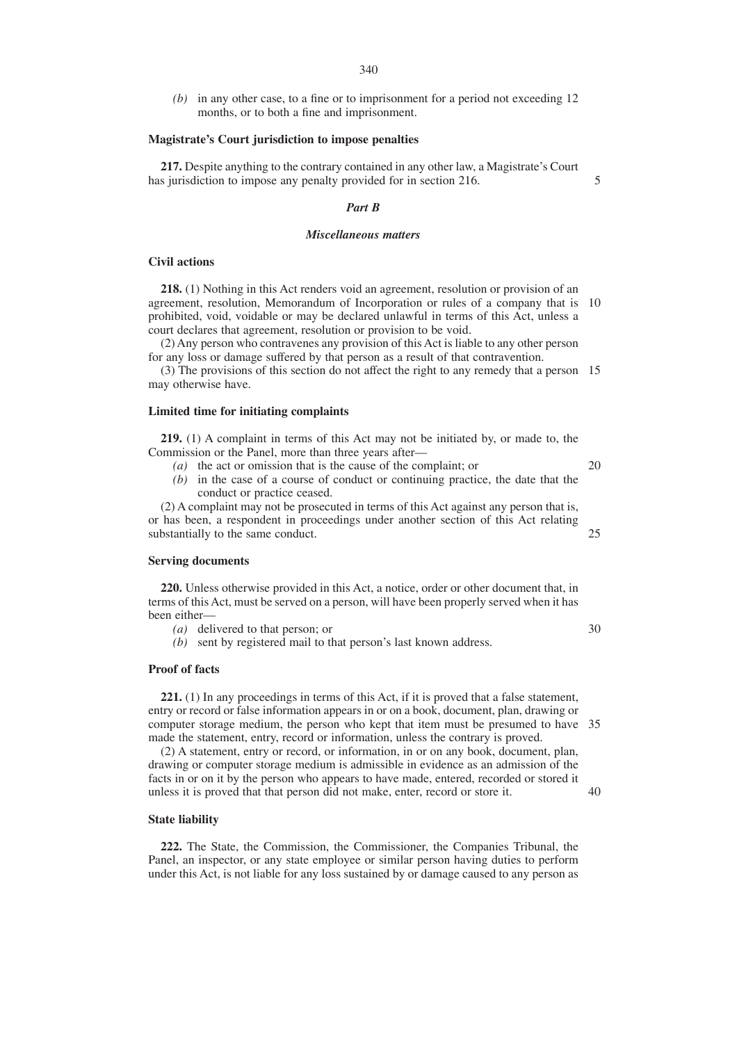- 340
- *(b)* in any other case, to a fine or to imprisonment for a period not exceeding 12 months, or to both a fine and imprisonment.

#### **Magistrate's Court jurisdiction to impose penalties**

**217.** Despite anything to the contrary contained in any other law, a Magistrate's Court has jurisdiction to impose any penalty provided for in section 216.

#### *Part B*

#### *Miscellaneous matters*

### **Civil actions**

**218.** (1) Nothing in this Act renders void an agreement, resolution or provision of an agreement, resolution, Memorandum of Incorporation or rules of a company that is 10 prohibited, void, voidable or may be declared unlawful in terms of this Act, unless a court declares that agreement, resolution or provision to be void.

(2) Any person who contravenes any provision of this Act is liable to any other person for any loss or damage suffered by that person as a result of that contravention.

(3) The provisions of this section do not affect the right to any remedy that a person 15 may otherwise have.

### **Limited time for initiating complaints**

**219.** (1) A complaint in terms of this Act may not be initiated by, or made to, the Commission or the Panel, more than three years after—

- *(a)* the act or omission that is the cause of the complaint; or
- *(b)* in the case of a course of conduct or continuing practice, the date that the conduct or practice ceased.

(2) A complaint may not be prosecuted in terms of this Act against any person that is, or has been, a respondent in proceedings under another section of this Act relating substantially to the same conduct.

### **Serving documents**

**220.** Unless otherwise provided in this Act, a notice, order or other document that, in terms of this Act, must be served on a person, will have been properly served when it has been either—

- *(a)* delivered to that person; or
- *(b)* sent by registered mail to that person's last known address.

# **Proof of facts**

**221.** (1) In any proceedings in terms of this Act, if it is proved that a false statement, entry or record or false information appears in or on a book, document, plan, drawing or computer storage medium, the person who kept that item must be presumed to have 35 made the statement, entry, record or information, unless the contrary is proved.

(2) A statement, entry or record, or information, in or on any book, document, plan, drawing or computer storage medium is admissible in evidence as an admission of the facts in or on it by the person who appears to have made, entered, recorded or stored it unless it is proved that that person did not make, enter, record or store it.

#### **State liability**

**222.** The State, the Commission, the Commissioner, the Companies Tribunal, the Panel, an inspector, or any state employee or similar person having duties to perform under this Act, is not liable for any loss sustained by or damage caused to any person as

25

30

40

20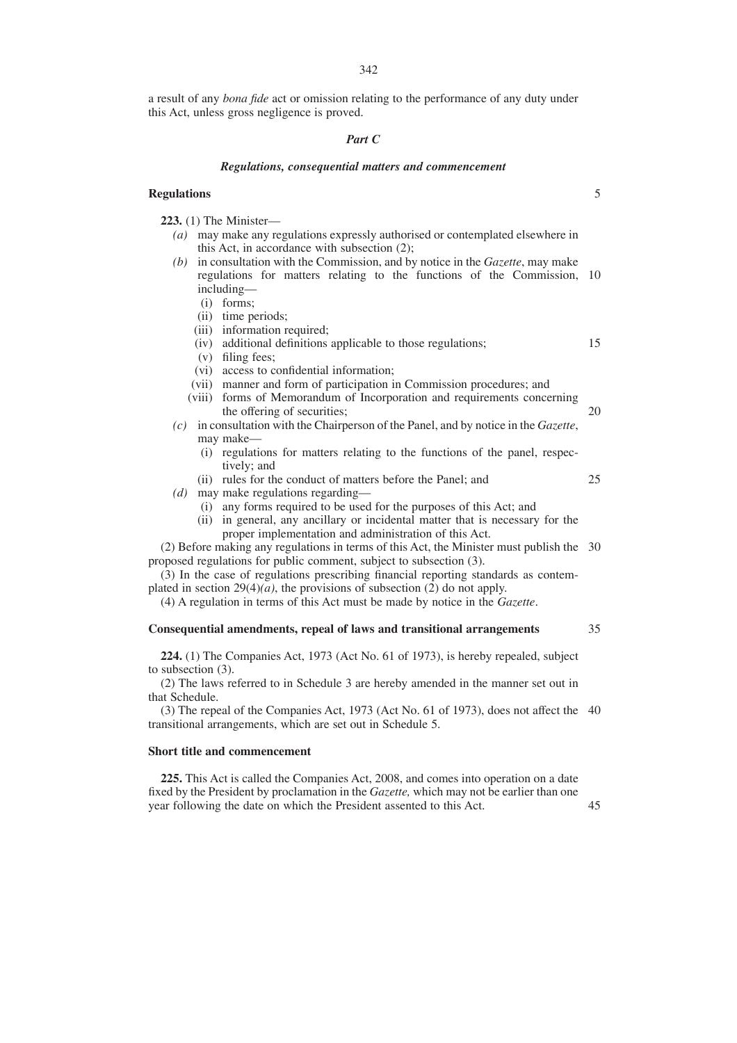a result of any *bona fide* act or omission relating to the performance of any duty under this Act, unless gross negligence is proved.

## *Part C*

### *Regulations, consequential matters and commencement*

### **Regulations**

**223.** (1) The Minister—

- *(a)* may make any regulations expressly authorised or contemplated elsewhere in this Act, in accordance with subsection (2);
- *(b)* in consultation with the Commission, and by notice in the *Gazette*, may make regulations for matters relating to the functions of the Commission, 10 including—
	- (i) forms;
	- (ii) time periods;
	- (iii) information required;
	- (iv) additional definitions applicable to those regulations;
	- (v) filing fees;
	- (vi) access to confidential information;
	- (vii) manner and form of participation in Commission procedures; and (viii) forms of Memorandum of Incorporation and requirements concerning
- the offering of securities; *(c)* in consultation with the Chairperson of the Panel, and by notice in the *Gazette*, may make—
	- (i) regulations for matters relating to the functions of the panel, respectively; and
	- (ii) rules for the conduct of matters before the Panel; and
- *(d)* may make regulations regarding—
	- (i) any forms required to be used for the purposes of this Act; and

(ii) in general, any ancillary or incidental matter that is necessary for the proper implementation and administration of this Act.

(2) Before making any regulations in terms of this Act, the Minister must publish the 30 proposed regulations for public comment, subject to subsection (3).

(3) In the case of regulations prescribing financial reporting standards as contemplated in section 29(4)*(a)*, the provisions of subsection (2) do not apply.

(4) A regulation in terms of this Act must be made by notice in the *Gazette*.

### **Consequential amendments, repeal of laws and transitional arrangements**

35

45

5

15

20

25

**224.** (1) The Companies Act, 1973 (Act No. 61 of 1973), is hereby repealed, subject to subsection (3).

(2) The laws referred to in Schedule 3 are hereby amended in the manner set out in that Schedule.

(3) The repeal of the Companies Act, 1973 (Act No. 61 of 1973), does not affect the 40 transitional arrangements, which are set out in Schedule 5.

## **Short title and commencement**

**225.** This Act is called the Companies Act, 2008, and comes into operation on a date fixed by the President by proclamation in the *Gazette,* which may not be earlier than one year following the date on which the President assented to this Act.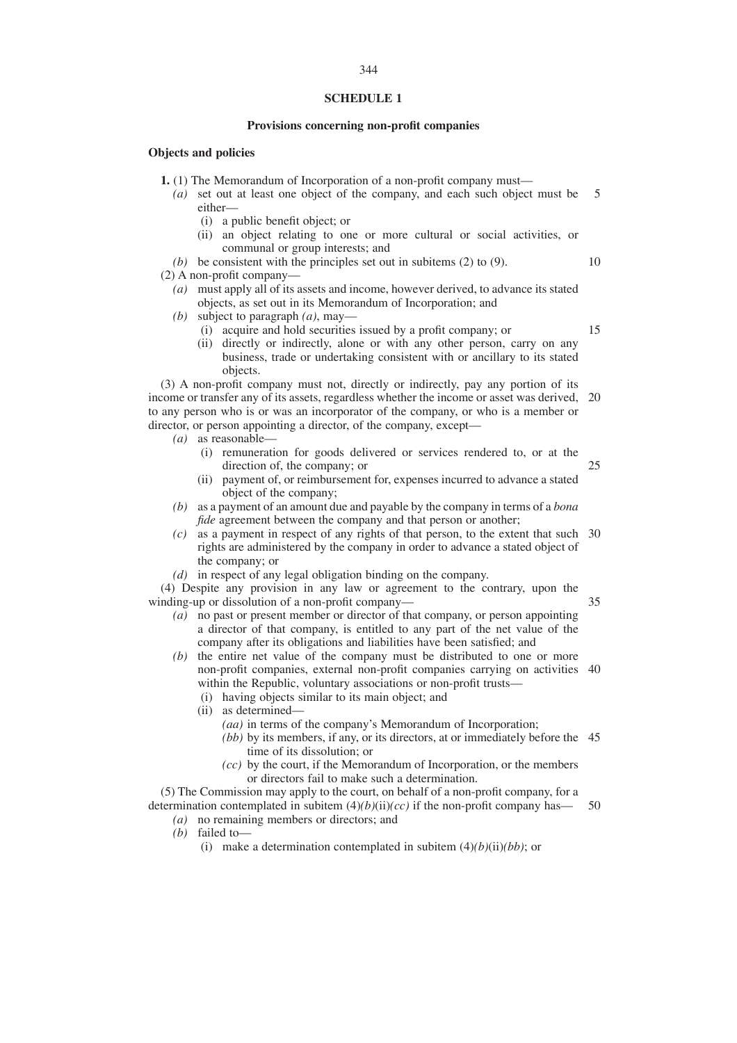### **SCHEDULE 1**

### **Provisions concerning non-profit companies**

#### **Objects and policies**

| <b>1.</b> (1) The Memorandum of Incorporation of a non-profit company must—<br>(a) set out at least one object of the company, and each such object must be<br>either— | 5  |
|------------------------------------------------------------------------------------------------------------------------------------------------------------------------|----|
| (i) a public benefit object; or                                                                                                                                        |    |
| (ii) an object relating to one or more cultural or social activities, or<br>communal or group interests; and                                                           |    |
| (b) be consistent with the principles set out in subitems $(2)$ to $(9)$ .                                                                                             | 10 |
| $(2)$ A non-profit company—                                                                                                                                            |    |
| must apply all of its assets and income, however derived, to advance its stated<br>(a)                                                                                 |    |
| objects, as set out in its Memorandum of Incorporation; and                                                                                                            |    |
| subject to paragraph $(a)$ , may—<br>(b)                                                                                                                               |    |
| (i) acquire and hold securities issued by a profit company; or                                                                                                         | 15 |
| (ii) directly or indirectly, alone or with any other person, carry on any                                                                                              |    |
| business, trade or undertaking consistent with or ancillary to its stated                                                                                              |    |
| objects.                                                                                                                                                               |    |
| (3) A non-profit company must not, directly or indirectly, pay any portion of its                                                                                      |    |
| income or transfer any of its assets, regardless whether the income or asset was derived, 20                                                                           |    |
| to any person who is or was an incorporator of the company, or who is a member or                                                                                      |    |
| director, or person appointing a director, of the company, except—                                                                                                     |    |
| $(a)$ as reasonable—                                                                                                                                                   |    |
| (i) remuneration for goods delivered or services rendered to, or at the                                                                                                |    |
| direction of, the company; or                                                                                                                                          | 25 |
| (ii) novment of or reimburgement for expenses incurred to advance a stated                                                                                             |    |

- (ii) payment of, or reimbursement for, expenses incurred to advance a stated object of the company;
- *(b)* as a payment of an amount due and payable by the company in terms of a *bona fide* agreement between the company and that person or another;
- *(c)* as a payment in respect of any rights of that person, to the extent that such 30 rights are administered by the company in order to advance a stated object of the company; or
- *(d)* in respect of any legal obligation binding on the company.

(4) Despite any provision in any law or agreement to the contrary, upon the winding-up or dissolution of a non-profit company— 35

- *(a)* no past or present member or director of that company, or person appointing a director of that company, is entitled to any part of the net value of the company after its obligations and liabilities have been satisfied; and
- *(b)* the entire net value of the company must be distributed to one or more non-profit companies, external non-profit companies carrying on activities 40 within the Republic, voluntary associations or non-profit trusts—
	- (i) having objects similar to its main object; and
	- (ii) as determined—
		- *(aa)* in terms of the company's Memorandum of Incorporation;
		- *(bb)* by its members, if any, or its directors, at or immediately before the 45 time of its dissolution; or
		- *(cc)* by the court, if the Memorandum of Incorporation, or the members or directors fail to make such a determination.

(5) The Commission may apply to the court, on behalf of a non-profit company, for a determination contemplated in subitem  $(4)(b)(ii)(cc)$  if the non-profit company has— 50

- *(a)* no remaining members or directors; and
	- *(b)* failed to—
		- (i) make a determination contemplated in subitem  $(4)(b)(ii)(bb)$ ; or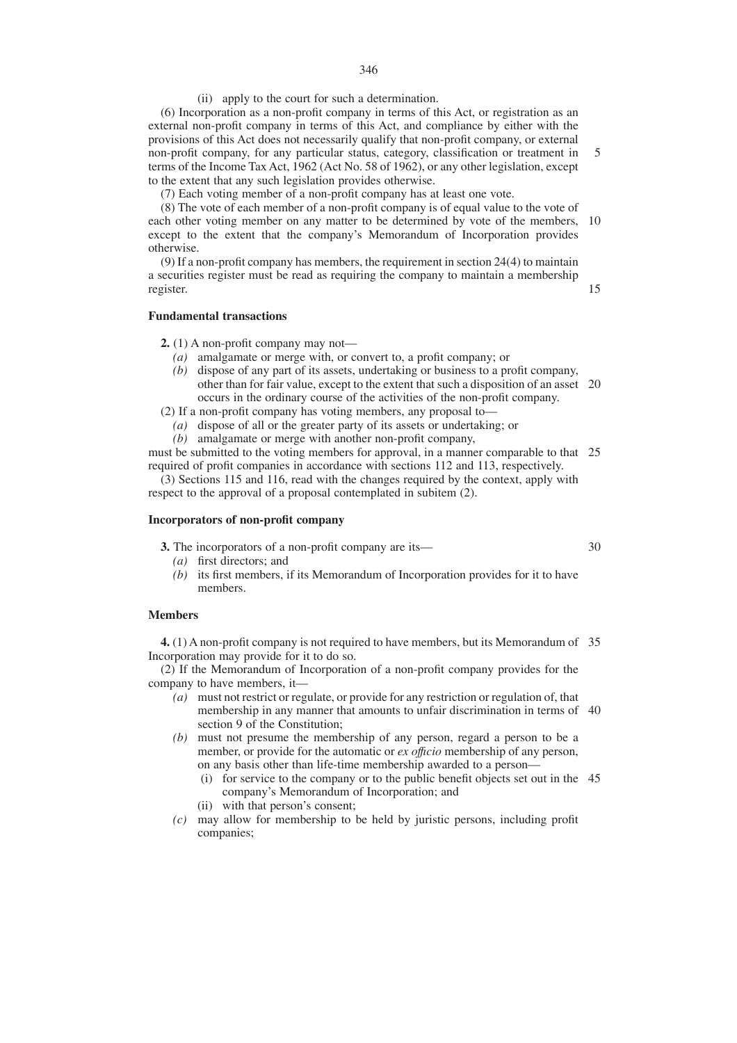(6) Incorporation as a non-profit company in terms of this Act, or registration as an external non-profit company in terms of this Act, and compliance by either with the provisions of this Act does not necessarily qualify that non-profit company, or external non-profit company, for any particular status, category, classification or treatment in terms of the Income Tax Act, 1962 (Act No. 58 of 1962), or any other legislation, except to the extent that any such legislation provides otherwise. 5

(7) Each voting member of a non-profit company has at least one vote.

(8) The vote of each member of a non-profit company is of equal value to the vote of each other voting member on any matter to be determined by vote of the members, except to the extent that the company's Memorandum of Incorporation provides otherwise. 10

(9) If a non-profit company has members, the requirement in section 24(4) to maintain a securities register must be read as requiring the company to maintain a membership register.

### **Fundamental transactions**

**2.** (1) A non-profit company may not—

- *(a)* amalgamate or merge with, or convert to, a profit company; or
- *(b)* dispose of any part of its assets, undertaking or business to a profit company, other than for fair value, except to the extent that such a disposition of an asset 20 occurs in the ordinary course of the activities of the non-profit company.
- (2) If a non-profit company has voting members, any proposal to—
- *(a)* dispose of all or the greater party of its assets or undertaking; or *(b)* amalgamate or merge with another non-profit company,

must be submitted to the voting members for approval, in a manner comparable to that 25 required of profit companies in accordance with sections 112 and 113, respectively.

(3) Sections 115 and 116, read with the changes required by the context, apply with respect to the approval of a proposal contemplated in subitem (2).

### **Incorporators of non-profit company**

**3.** The incorporators of a non-profit company are its—

30

15

- *(a)* first directors; and
- *(b)* its first members, if its Memorandum of Incorporation provides for it to have members.

# **Members**

**4.** (1) A non-profit company is not required to have members, but its Memorandum of 35 Incorporation may provide for it to do so.

(2) If the Memorandum of Incorporation of a non-profit company provides for the company to have members, it—

- *(a)* must not restrict or regulate, or provide for any restriction or regulation of, that membership in any manner that amounts to unfair discrimination in terms of 40 section 9 of the Constitution;
- *(b)* must not presume the membership of any person, regard a person to be a member, or provide for the automatic or *ex offıcio* membership of any person, on any basis other than life-time membership awarded to a person—
	- (i) for service to the company or to the public benefit objects set out in the 45company's Memorandum of Incorporation; and
	- (ii) with that person's consent;
- *(c)* may allow for membership to be held by juristic persons, including profit companies;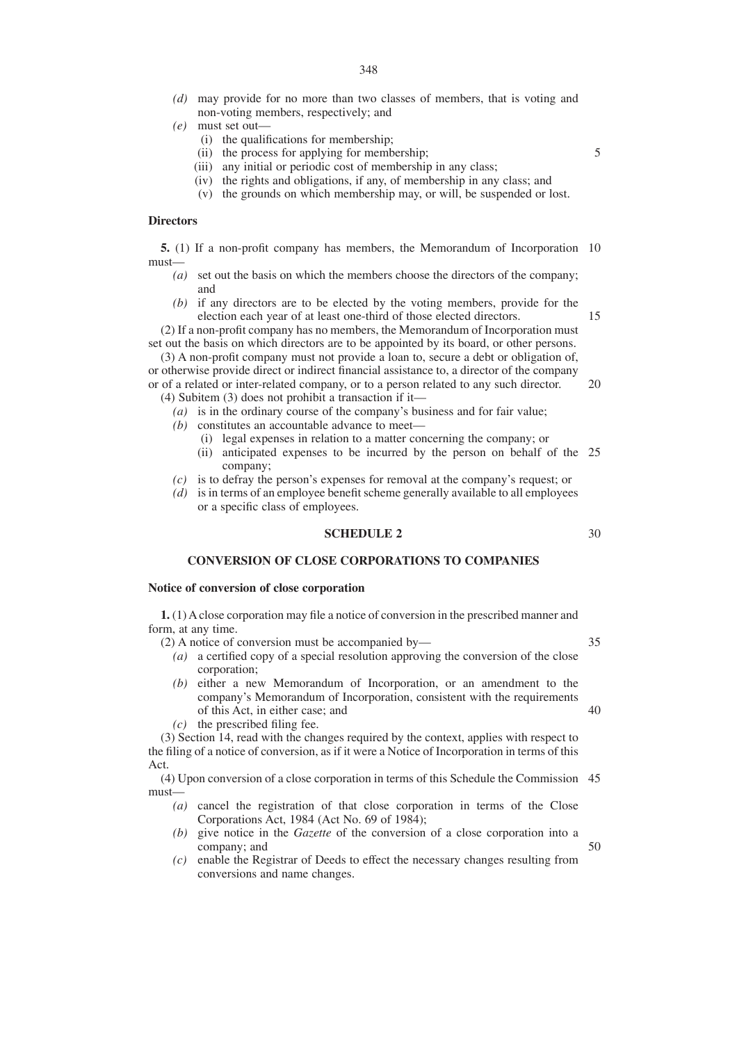- *(d)* may provide for no more than two classes of members, that is voting and non-voting members, respectively; and
- *(e)* must set out—
	- (i) the qualifications for membership;
	- (ii) the process for applying for membership;
	- (iii) any initial or periodic cost of membership in any class;
	- (iv) the rights and obligations, if any, of membership in any class; and
	- (v) the grounds on which membership may, or will, be suspended or lost.

### **Directors**

**5.** (1) If a non-profit company has members, the Memorandum of Incorporation 10 must—

- *(a)* set out the basis on which the members choose the directors of the company; and
- *(b)* if any directors are to be elected by the voting members, provide for the election each year of at least one-third of those elected directors.

(2) If a non-profit company has no members, the Memorandum of Incorporation must set out the basis on which directors are to be appointed by its board, or other persons.

(3) A non-profit company must not provide a loan to, secure a debt or obligation of, or otherwise provide direct or indirect financial assistance to, a director of the company or of a related or inter-related company, or to a person related to any such director. (4) Subitem (3) does not prohibit a transaction if it— 20

- *(a)* is in the ordinary course of the company's business and for fair value;
- *(b)* constitutes an accountable advance to meet—
	- (i) legal expenses in relation to a matter concerning the company; or
	- (ii) anticipated expenses to be incurred by the person on behalf of the 25 company;
- *(c)* is to defray the person's expenses for removal at the company's request; or
- *(d)* is in terms of an employee benefit scheme generally available to all employees or a specific class of employees.

# **SCHEDULE 2**

# **CONVERSION OF CLOSE CORPORATIONS TO COMPANIES**

## **Notice of conversion of close corporation**

**1.** (1) A close corporation may file a notice of conversion in the prescribed manner and form, at any time.

- (2) A notice of conversion must be accompanied by—
	- *(a)* a certified copy of a special resolution approving the conversion of the close corporation;
	- *(b)* either a new Memorandum of Incorporation, or an amendment to the company's Memorandum of Incorporation, consistent with the requirements of this Act, in either case; and
	- *(c)* the prescribed filing fee.

(3) Section 14, read with the changes required by the context, applies with respect to the filing of a notice of conversion, as if it were a Notice of Incorporation in terms of this Act.

(4) Upon conversion of a close corporation in terms of this Schedule the Commission 45 must—

- *(a)* cancel the registration of that close corporation in terms of the Close Corporations Act, 1984 (Act No. 69 of 1984);
- *(b)* give notice in the *Gazette* of the conversion of a close corporation into a company; and 50
- *(c)* enable the Registrar of Deeds to effect the necessary changes resulting from conversions and name changes.

40

35

30

5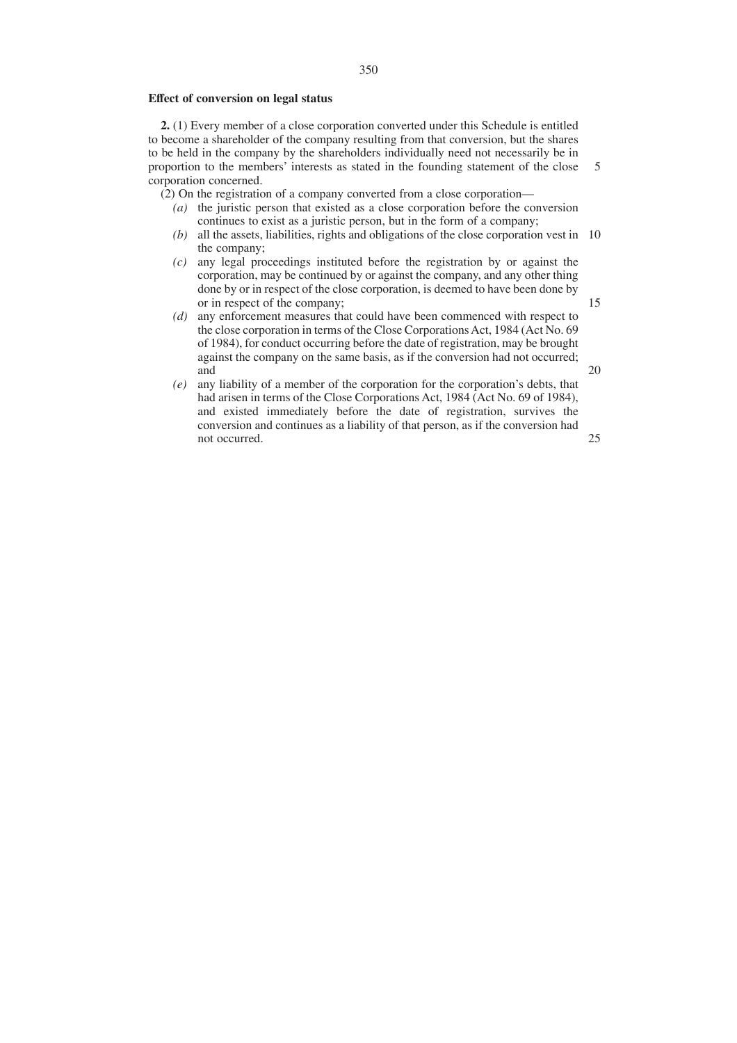### **Effect of conversion on legal status**

**2.** (1) Every member of a close corporation converted under this Schedule is entitled to become a shareholder of the company resulting from that conversion, but the shares to be held in the company by the shareholders individually need not necessarily be in proportion to the members' interests as stated in the founding statement of the close corporation concerned.

(2) On the registration of a company converted from a close corporation—

- *(a)* the juristic person that existed as a close corporation before the conversion continues to exist as a juristic person, but in the form of a company;
- (b) all the assets, liabilities, rights and obligations of the close corporation vest in 10 the company;
- *(c)* any legal proceedings instituted before the registration by or against the corporation, may be continued by or against the company, and any other thing done by or in respect of the close corporation, is deemed to have been done by or in respect of the company;
- *(d)* any enforcement measures that could have been commenced with respect to the close corporation in terms of the Close Corporations Act, 1984 (Act No. 69 of 1984), for conduct occurring before the date of registration, may be brought against the company on the same basis, as if the conversion had not occurred; and
- *(e)* any liability of a member of the corporation for the corporation's debts, that had arisen in terms of the Close Corporations Act, 1984 (Act No. 69 of 1984), and existed immediately before the date of registration, survives the conversion and continues as a liability of that person, as if the conversion had not occurred.

25

5

15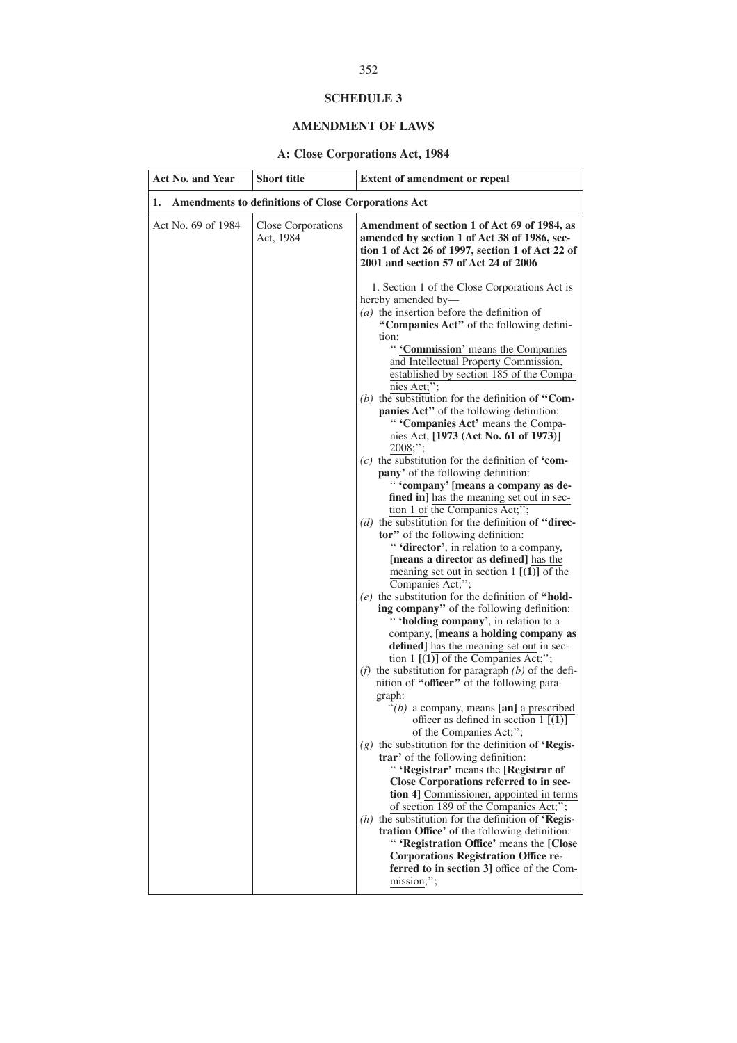# **SCHEDULE 3**

# **AMENDMENT OF LAWS**

# **A: Close Corporations Act, 1984**

| <b>Act No. and Year</b>                                          | Short title                     | <b>Extent of amendment or repeal</b>                                                                                                                                                                                                                                                                                                                                                                                                                                                                                                                                                                                                                                                                                                                                                                                                                                                                                                                                                                                                                                                                                                                                                                                                                                                                                                                                                                                                                                                                                                                                                                                                                                                                                                                                                                                                                                                                                                                                                                                                                 |  |  |
|------------------------------------------------------------------|---------------------------------|------------------------------------------------------------------------------------------------------------------------------------------------------------------------------------------------------------------------------------------------------------------------------------------------------------------------------------------------------------------------------------------------------------------------------------------------------------------------------------------------------------------------------------------------------------------------------------------------------------------------------------------------------------------------------------------------------------------------------------------------------------------------------------------------------------------------------------------------------------------------------------------------------------------------------------------------------------------------------------------------------------------------------------------------------------------------------------------------------------------------------------------------------------------------------------------------------------------------------------------------------------------------------------------------------------------------------------------------------------------------------------------------------------------------------------------------------------------------------------------------------------------------------------------------------------------------------------------------------------------------------------------------------------------------------------------------------------------------------------------------------------------------------------------------------------------------------------------------------------------------------------------------------------------------------------------------------------------------------------------------------------------------------------------------------|--|--|
| 1.<br><b>Amendments to definitions of Close Corporations Act</b> |                                 |                                                                                                                                                                                                                                                                                                                                                                                                                                                                                                                                                                                                                                                                                                                                                                                                                                                                                                                                                                                                                                                                                                                                                                                                                                                                                                                                                                                                                                                                                                                                                                                                                                                                                                                                                                                                                                                                                                                                                                                                                                                      |  |  |
| Act No. 69 of 1984                                               | Close Corporations<br>Act, 1984 | Amendment of section 1 of Act 69 of 1984, as<br>amended by section 1 of Act 38 of 1986, sec-<br>tion 1 of Act 26 of 1997, section 1 of Act 22 of<br>2001 and section 57 of Act 24 of 2006                                                                                                                                                                                                                                                                                                                                                                                                                                                                                                                                                                                                                                                                                                                                                                                                                                                                                                                                                                                                                                                                                                                                                                                                                                                                                                                                                                                                                                                                                                                                                                                                                                                                                                                                                                                                                                                            |  |  |
|                                                                  |                                 | 1. Section 1 of the Close Corporations Act is<br>hereby amended by-<br>$(a)$ the insertion before the definition of<br>"Companies Act" of the following defini-<br>tion:<br>" 'Commission' means the Companies<br>and Intellectual Property Commission,<br>established by section 185 of the Compa-<br>nies Act;";<br>(b) the substitution for the definition of "Com-<br>panies Act" of the following definition:<br>" 'Companies Act' means the Compa-<br>nies Act, [1973 (Act No. 61 of 1973)]<br>$2008;$ ";<br>$(c)$ the substitution for the definition of <b>'com-</b><br>pany' of the following definition:<br>" 'company' [means a company as de-<br>fined in] has the meaning set out in sec-<br>tion 1 of the Companies Act;";<br>( $d$ ) the substitution for the definition of "direc-<br>tor" of the following definition:<br>" 'director', in relation to a company,<br>[means a director as defined] has the<br>meaning set out in section 1 $[(1)]$ of the<br>Companies Act;";<br>$(e)$ the substitution for the definition of "hold-<br>ing company" of the following definition:<br>" 'holding company', in relation to a<br>company, [means a holding company as<br>defined] has the meaning set out in sec-<br>tion 1 $[(1)]$ of the Companies Act;";<br>(f) the substitution for paragraph $(b)$ of the defi-<br>nition of "officer" of the following para-<br>graph:<br>" $(b)$ a company, means [an] a prescribed<br>officer as defined in section $1$ $[(1)]$<br>of the Companies Act;";<br>$(g)$ the substitution for the definition of 'Regis-<br>trar' of the following definition:<br>"'Registrar' means the [Registrar of<br>Close Corporations referred to in sec-<br>tion 4] Commissioner, appointed in terms<br>of section 189 of the Companies Act;";<br>$(h)$ the substitution for the definition of 'Regis-<br>tration Office' of the following definition:<br>"'Registration Office' means the [Close<br><b>Corporations Registration Office re-</b><br>ferred to in section 3] office of the Com-<br>mission;"; |  |  |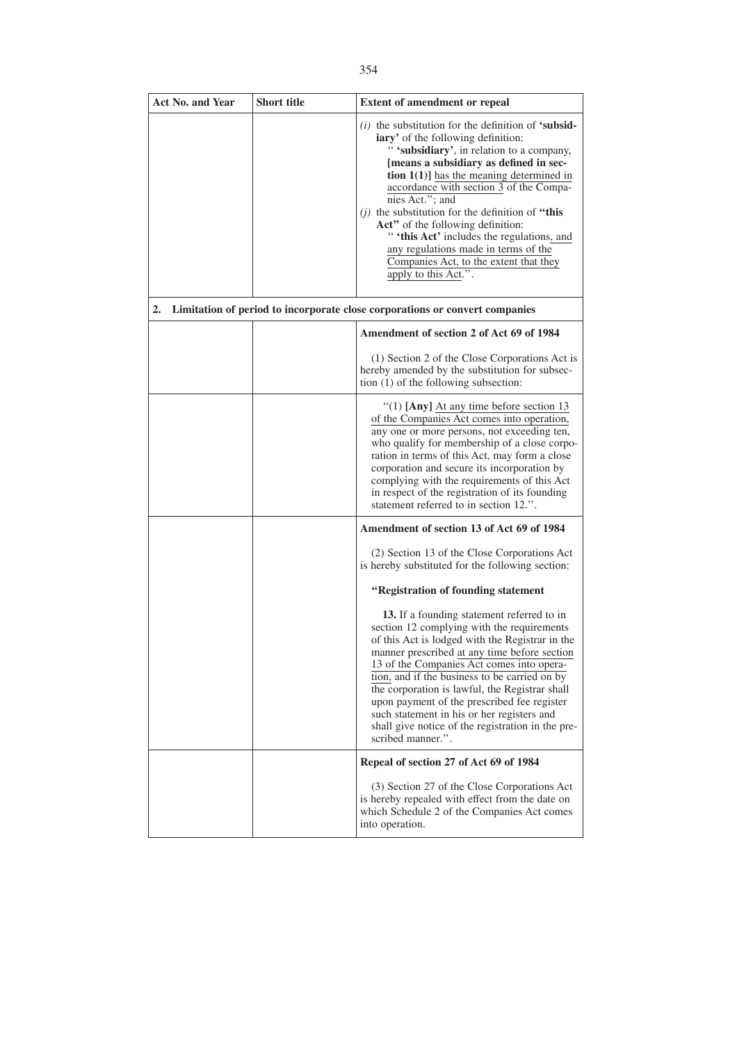| <b>Act No. and Year</b> | <b>Short title</b> | <b>Extent of amendment or repeal</b>                                                                                                                                                                                                                                                                                                                                                                                                                                                                                                                       |
|-------------------------|--------------------|------------------------------------------------------------------------------------------------------------------------------------------------------------------------------------------------------------------------------------------------------------------------------------------------------------------------------------------------------------------------------------------------------------------------------------------------------------------------------------------------------------------------------------------------------------|
|                         |                    | $(i)$ the substitution for the definition of <b>'subsid-</b><br>iary' of the following definition:<br>" 'subsidiary', in relation to a company,<br>[means a subsidiary as defined in sec-<br>tion $1(1)$ ] has the meaning determined in<br>accordance with section 3 of the Compa-<br>nies Act."; and<br>$(i)$ the substitution for the definition of "this"<br>Act" of the following definition:<br>" 'this Act' includes the regulations, and<br>any regulations made in terms of the<br>Companies Act, to the extent that they<br>apply to this Act.". |
| 2.                      |                    | Limitation of period to incorporate close corporations or convert companies                                                                                                                                                                                                                                                                                                                                                                                                                                                                                |
|                         |                    | Amendment of section 2 of Act 69 of 1984                                                                                                                                                                                                                                                                                                                                                                                                                                                                                                                   |
|                         |                    | (1) Section 2 of the Close Corporations Act is<br>hereby amended by the substitution for subsec-<br>tion (1) of the following subsection:                                                                                                                                                                                                                                                                                                                                                                                                                  |
|                         |                    | "(1) [Any] At any time before section 13<br>of the Companies Act comes into operation,<br>any one or more persons, not exceeding ten,<br>who qualify for membership of a close corpo-<br>ration in terms of this Act, may form a close<br>corporation and secure its incorporation by<br>complying with the requirements of this Act<br>in respect of the registration of its founding<br>statement referred to in section 12.".                                                                                                                           |
|                         |                    | Amendment of section 13 of Act 69 of 1984                                                                                                                                                                                                                                                                                                                                                                                                                                                                                                                  |
|                         |                    | (2) Section 13 of the Close Corporations Act<br>is hereby substituted for the following section:                                                                                                                                                                                                                                                                                                                                                                                                                                                           |
|                         |                    | "Registration of founding statement                                                                                                                                                                                                                                                                                                                                                                                                                                                                                                                        |
|                         |                    | 13. If a founding statement referred to in<br>section 12 complying with the requirements<br>of this Act is lodged with the Registrar in the<br>manner prescribed at any time before section<br>13 of the Companies Act comes into opera-<br>tion, and if the business to be carried on by<br>the corporation is lawful, the Registrar shall<br>upon payment of the prescribed fee register<br>such statement in his or her registers and<br>shall give notice of the registration in the pre-<br>scribed manner.".                                         |
|                         |                    | Repeal of section 27 of Act 69 of 1984                                                                                                                                                                                                                                                                                                                                                                                                                                                                                                                     |
|                         |                    | (3) Section 27 of the Close Corporations Act<br>is hereby repealed with effect from the date on<br>which Schedule 2 of the Companies Act comes<br>into operation.                                                                                                                                                                                                                                                                                                                                                                                          |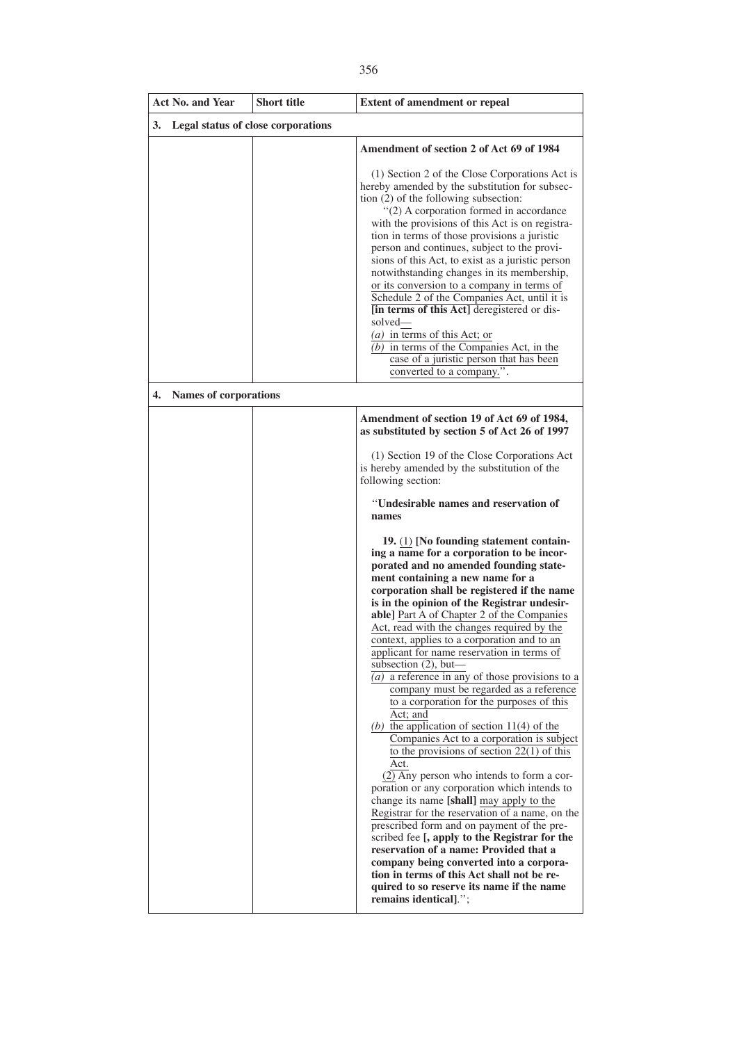| <b>Act No. and Year</b>            | <b>Short title</b>                 | <b>Extent of amendment or repeal</b>                                                                                                                                                                                                                                                                                                                                                                                                                                                                                                                                                                                                                                                                                                                                                                                                                                                                                                                                                                                                                                                                                                                                                                                                                                                                                                                                                                                                                                                                                                                                           |
|------------------------------------|------------------------------------|--------------------------------------------------------------------------------------------------------------------------------------------------------------------------------------------------------------------------------------------------------------------------------------------------------------------------------------------------------------------------------------------------------------------------------------------------------------------------------------------------------------------------------------------------------------------------------------------------------------------------------------------------------------------------------------------------------------------------------------------------------------------------------------------------------------------------------------------------------------------------------------------------------------------------------------------------------------------------------------------------------------------------------------------------------------------------------------------------------------------------------------------------------------------------------------------------------------------------------------------------------------------------------------------------------------------------------------------------------------------------------------------------------------------------------------------------------------------------------------------------------------------------------------------------------------------------------|
| 3.                                 | Legal status of close corporations |                                                                                                                                                                                                                                                                                                                                                                                                                                                                                                                                                                                                                                                                                                                                                                                                                                                                                                                                                                                                                                                                                                                                                                                                                                                                                                                                                                                                                                                                                                                                                                                |
|                                    |                                    | Amendment of section 2 of Act 69 of 1984                                                                                                                                                                                                                                                                                                                                                                                                                                                                                                                                                                                                                                                                                                                                                                                                                                                                                                                                                                                                                                                                                                                                                                                                                                                                                                                                                                                                                                                                                                                                       |
|                                    |                                    | (1) Section 2 of the Close Corporations Act is<br>hereby amended by the substitution for subsec-<br>tion (2) of the following subsection:<br>"(2) A corporation formed in accordance<br>with the provisions of this Act is on registra-<br>tion in terms of those provisions a juristic<br>person and continues, subject to the provi-<br>sions of this Act, to exist as a juristic person<br>notwithstanding changes in its membership,<br>or its conversion to a company in terms of<br>Schedule 2 of the Companies Act, until it is<br>[in terms of this Act] deregistered or dis-<br>solved-<br>$(a)$ in terms of this Act; or<br>$\overline{(b)}$ in terms of the Companies Act, in the<br>case of a juristic person that has been<br>converted to a company.".                                                                                                                                                                                                                                                                                                                                                                                                                                                                                                                                                                                                                                                                                                                                                                                                           |
| 4.<br><b>Names of corporations</b> |                                    |                                                                                                                                                                                                                                                                                                                                                                                                                                                                                                                                                                                                                                                                                                                                                                                                                                                                                                                                                                                                                                                                                                                                                                                                                                                                                                                                                                                                                                                                                                                                                                                |
|                                    |                                    | Amendment of section 19 of Act 69 of 1984,<br>as substituted by section 5 of Act 26 of 1997<br>(1) Section 19 of the Close Corporations Act<br>is hereby amended by the substitution of the<br>following section:<br>"Undesirable names and reservation of<br>names<br>19. (1) [No founding statement contain-<br>ing a name for a corporation to be incor-<br>porated and no amended founding state-<br>ment containing a new name for a<br>corporation shall be registered if the name<br>is in the opinion of the Registrar undesir-<br>able] Part A of Chapter 2 of the Companies<br>Act, read with the changes required by the<br>context, applies to a corporation and to an<br>applicant for name reservation in terms of<br>subsection $(2)$ , but—<br>$(a)$ a reference in any of those provisions to a<br>company must be regarded as a reference<br>to a corporation for the purposes of this<br>Act; and<br>(b) the application of section $11(4)$ of the<br>Companies Act to a corporation is subject<br>to the provisions of section $22(1)$ of this<br>Act.<br>(2) Any person who intends to form a cor-<br>poration or any corporation which intends to<br>change its name [shall] may apply to the<br>Registrar for the reservation of a name, on the<br>prescribed form and on payment of the pre-<br>scribed fee [, apply to the Registrar for the<br>reservation of a name: Provided that a<br>company being converted into a corpora-<br>tion in terms of this Act shall not be re-<br>quired to so reserve its name if the name<br>remains identical]."; |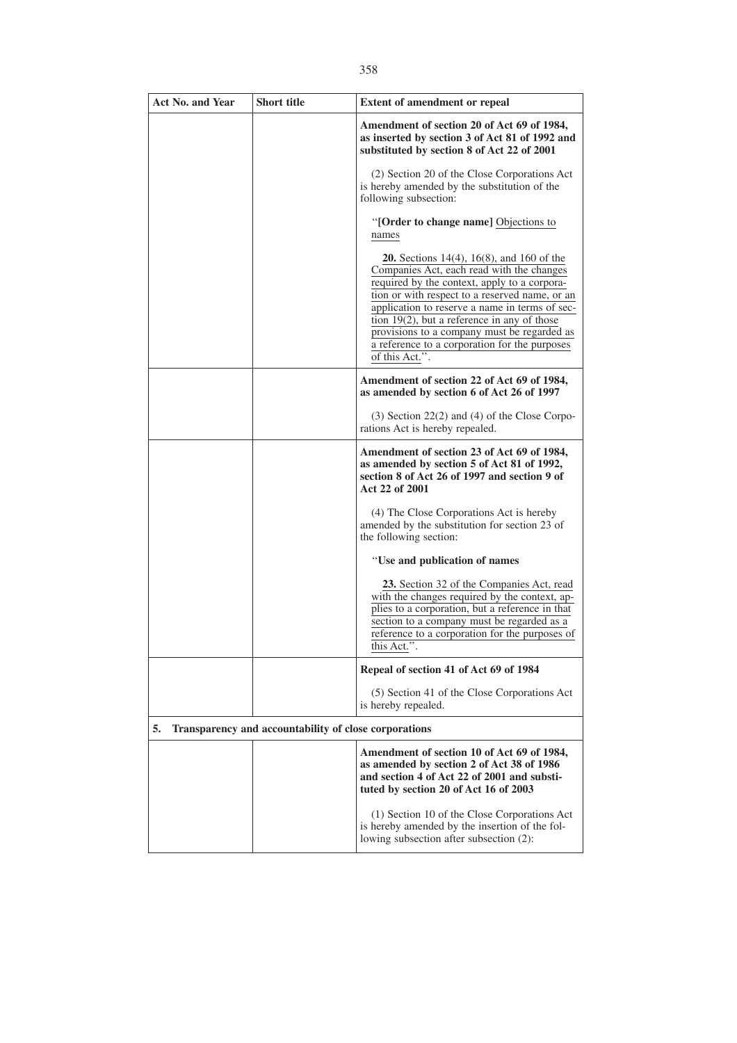| <b>Act No. and Year</b> | <b>Short title</b>                                    | <b>Extent of amendment or repeal</b>                                                                                                                                                                                                                                                                                                                                                                           |
|-------------------------|-------------------------------------------------------|----------------------------------------------------------------------------------------------------------------------------------------------------------------------------------------------------------------------------------------------------------------------------------------------------------------------------------------------------------------------------------------------------------------|
|                         |                                                       | Amendment of section 20 of Act 69 of 1984,<br>as inserted by section 3 of Act 81 of 1992 and<br>substituted by section 8 of Act 22 of 2001                                                                                                                                                                                                                                                                     |
|                         |                                                       | (2) Section 20 of the Close Corporations Act<br>is hereby amended by the substitution of the<br>following subsection:                                                                                                                                                                                                                                                                                          |
|                         |                                                       | "[Order to change name] Objections to<br>names                                                                                                                                                                                                                                                                                                                                                                 |
|                         |                                                       | 20. Sections 14(4), 16(8), and 160 of the<br>Companies Act, each read with the changes<br>required by the context, apply to a corpora-<br>tion or with respect to a reserved name, or an<br>application to reserve a name in terms of sec-<br>tion $19(2)$ , but a reference in any of those<br>provisions to a company must be regarded as<br>a reference to a corporation for the purposes<br>of this Act.". |
|                         |                                                       | Amendment of section 22 of Act 69 of 1984,<br>as amended by section 6 of Act 26 of 1997                                                                                                                                                                                                                                                                                                                        |
|                         |                                                       | $(3)$ Section 22 $(2)$ and $(4)$ of the Close Corpo-<br>rations Act is hereby repealed.                                                                                                                                                                                                                                                                                                                        |
|                         |                                                       | Amendment of section 23 of Act 69 of 1984,<br>as amended by section 5 of Act 81 of 1992,<br>section 8 of Act 26 of 1997 and section 9 of<br>Act 22 of 2001                                                                                                                                                                                                                                                     |
|                         |                                                       | (4) The Close Corporations Act is hereby<br>amended by the substitution for section 23 of<br>the following section:                                                                                                                                                                                                                                                                                            |
|                         |                                                       | "Use and publication of names                                                                                                                                                                                                                                                                                                                                                                                  |
|                         |                                                       | 23. Section 32 of the Companies Act, read<br>with the changes required by the context, ap-<br>plies to a corporation, but a reference in that<br>section to a company must be regarded as a<br>reference to a corporation for the purposes of<br>this Act."                                                                                                                                                    |
|                         |                                                       | Repeal of section 41 of Act 69 of 1984                                                                                                                                                                                                                                                                                                                                                                         |
|                         |                                                       | (5) Section 41 of the Close Corporations Act<br>is hereby repealed.                                                                                                                                                                                                                                                                                                                                            |
| 5.                      | Transparency and accountability of close corporations |                                                                                                                                                                                                                                                                                                                                                                                                                |
|                         |                                                       | Amendment of section 10 of Act 69 of 1984,<br>as amended by section 2 of Act 38 of 1986<br>and section 4 of Act 22 of 2001 and substi-<br>tuted by section 20 of Act 16 of 2003                                                                                                                                                                                                                                |
|                         |                                                       | (1) Section 10 of the Close Corporations Act<br>is hereby amended by the insertion of the fol-<br>lowing subsection after subsection (2):                                                                                                                                                                                                                                                                      |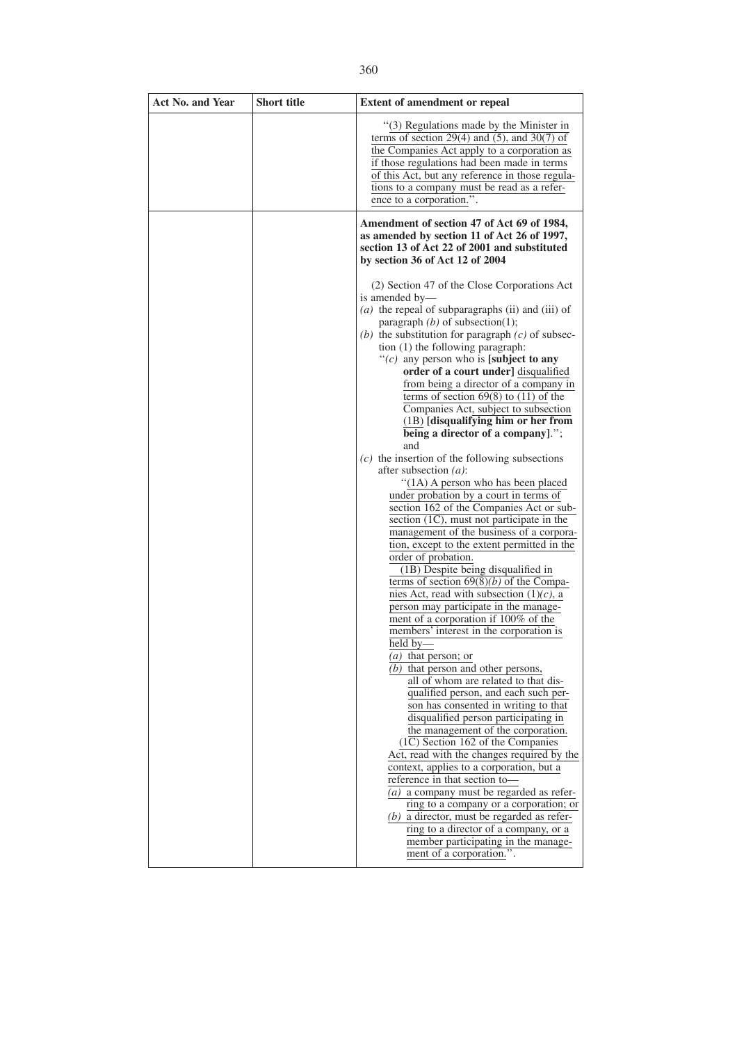| <b>Act No. and Year</b> | <b>Short title</b> | <b>Extent of amendment or repeal</b>                                                                                                                                                                                                                                                                                                                                                                                                                                                                                                                                                                                                                                                  |
|-------------------------|--------------------|---------------------------------------------------------------------------------------------------------------------------------------------------------------------------------------------------------------------------------------------------------------------------------------------------------------------------------------------------------------------------------------------------------------------------------------------------------------------------------------------------------------------------------------------------------------------------------------------------------------------------------------------------------------------------------------|
|                         |                    | "(3) Regulations made by the Minister in<br>terms of section $29(4)$ and $(5)$ , and $30(7)$ of<br>the Companies Act apply to a corporation as<br>if those regulations had been made in terms<br>of this Act, but any reference in those regula-<br>tions to a company must be read as a refer-<br>ence to a corporation.".                                                                                                                                                                                                                                                                                                                                                           |
|                         |                    | Amendment of section 47 of Act 69 of 1984,<br>as amended by section 11 of Act 26 of 1997,<br>section 13 of Act 22 of 2001 and substituted<br>by section 36 of Act 12 of 2004                                                                                                                                                                                                                                                                                                                                                                                                                                                                                                          |
|                         |                    | (2) Section 47 of the Close Corporations Act<br>is amended by-<br>$(a)$ the repeal of subparagraphs (ii) and (iii) of<br>paragraph $(b)$ of subsection(1);<br>(b) the substitution for paragraph $(c)$ of subsec-<br>tion (1) the following paragraph:<br>" $(c)$ any person who is [subject to any<br>order of a court under] disqualified<br>from being a director of a company in<br>terms of section $69(8)$ to $(11)$ of the<br>Companies Act, subject to subsection<br>(1B) [disqualifying him or her from<br>being a director of a company].";                                                                                                                                 |
|                         |                    | and<br>$(c)$ the insertion of the following subsections<br>after subsection $(a)$ :<br>"(1A) A person who has been placed<br>under probation by a court in terms of<br>section 162 of the Companies Act or sub-<br>section (1C), must not participate in the<br>management of the business of a corpora-<br>tion, except to the extent permitted in the<br>order of probation.<br>(1B) Despite being disqualified in<br>terms of section $69(8)(b)$ of the Compa-<br>nies Act, read with subsection $(1)(c)$ , a<br>person may participate in the manage-<br>ment of a corporation if 100% of the<br>members' interest in the corporation is<br>$\overline{\text{held}}$ by-          |
|                         |                    | (a) that person; or<br>$(b)$ that person and other persons,<br>all of whom are related to that dis-<br>qualified person, and each such per-<br>son has consented in writing to that<br>disqualified person participating in<br>the management of the corporation.<br>(1C) Section 162 of the Companies<br>Act, read with the changes required by the<br>context, applies to a corporation, but a<br>reference in that section to-<br>$(a)$ a company must be regarded as refer-<br>ring to a company or a corporation; or<br>$(b)$ a director, must be regarded as refer-<br>ring to a director of a company, or a<br>member participating in the manage-<br>ment of a corporation.". |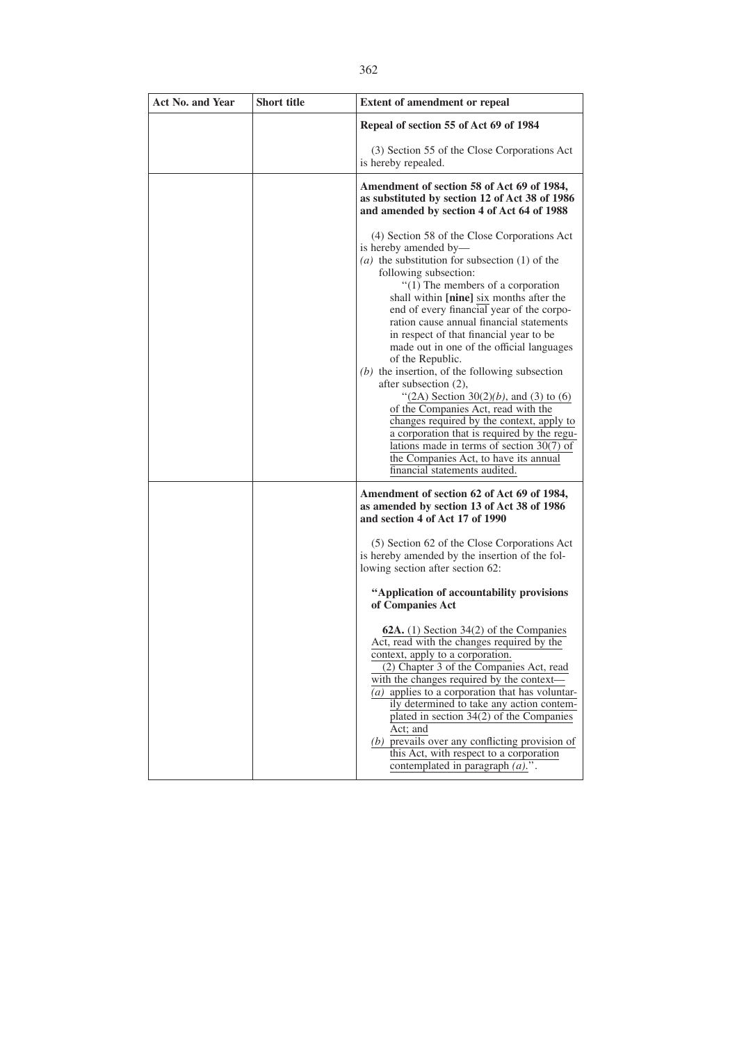| <b>Act No. and Year</b> | <b>Short title</b> | <b>Extent of amendment or repeal</b>                                                                                                                                                                                                                                                                                                                                                                                                                                                                                                                                                                                                                                                                                                                                                                                                  |
|-------------------------|--------------------|---------------------------------------------------------------------------------------------------------------------------------------------------------------------------------------------------------------------------------------------------------------------------------------------------------------------------------------------------------------------------------------------------------------------------------------------------------------------------------------------------------------------------------------------------------------------------------------------------------------------------------------------------------------------------------------------------------------------------------------------------------------------------------------------------------------------------------------|
|                         |                    | Repeal of section 55 of Act 69 of 1984                                                                                                                                                                                                                                                                                                                                                                                                                                                                                                                                                                                                                                                                                                                                                                                                |
|                         |                    | (3) Section 55 of the Close Corporations Act<br>is hereby repealed.                                                                                                                                                                                                                                                                                                                                                                                                                                                                                                                                                                                                                                                                                                                                                                   |
|                         |                    | Amendment of section 58 of Act 69 of 1984,<br>as substituted by section 12 of Act 38 of 1986<br>and amended by section 4 of Act 64 of 1988                                                                                                                                                                                                                                                                                                                                                                                                                                                                                                                                                                                                                                                                                            |
|                         |                    | (4) Section 58 of the Close Corporations Act<br>is hereby amended by-<br>(a) the substitution for subsection $(1)$ of the<br>following subsection:<br>$\cdot$ (1) The members of a corporation<br>shall within [nine] six months after the<br>end of every financial year of the corpo-<br>ration cause annual financial statements<br>in respect of that financial year to be<br>made out in one of the official languages<br>of the Republic.<br>$(b)$ the insertion, of the following subsection<br>after subsection (2),<br>"(2A) Section $30(2)(b)$ , and (3) to (6)<br>of the Companies Act, read with the<br>changes required by the context, apply to<br>a corporation that is required by the regu-<br>lations made in terms of section $30(7)$ of<br>the Companies Act, to have its annual<br>financial statements audited. |
|                         |                    | Amendment of section 62 of Act 69 of 1984,<br>as amended by section 13 of Act 38 of 1986<br>and section 4 of Act 17 of 1990                                                                                                                                                                                                                                                                                                                                                                                                                                                                                                                                                                                                                                                                                                           |
|                         |                    | (5) Section 62 of the Close Corporations Act<br>is hereby amended by the insertion of the fol-<br>lowing section after section 62:                                                                                                                                                                                                                                                                                                                                                                                                                                                                                                                                                                                                                                                                                                    |
|                         |                    | "Application of accountability provisions<br>of Companies Act                                                                                                                                                                                                                                                                                                                                                                                                                                                                                                                                                                                                                                                                                                                                                                         |
|                         |                    | <b>62A.</b> (1) Section 34(2) of the Companies<br>Act, read with the changes required by the<br>context, apply to a corporation.<br>(2) Chapter 3 of the Companies Act, read<br>with the changes required by the context-<br>$\overline{a}$ ) applies to a corporation that has voluntar-<br>ily determined to take any action contem-<br>plated in section 34(2) of the Companies<br>Act; and<br>$(b)$ prevails over any conflicting provision of<br>this Act, with respect to a corporation<br>contemplated in paragraph $(a)$ .".                                                                                                                                                                                                                                                                                                  |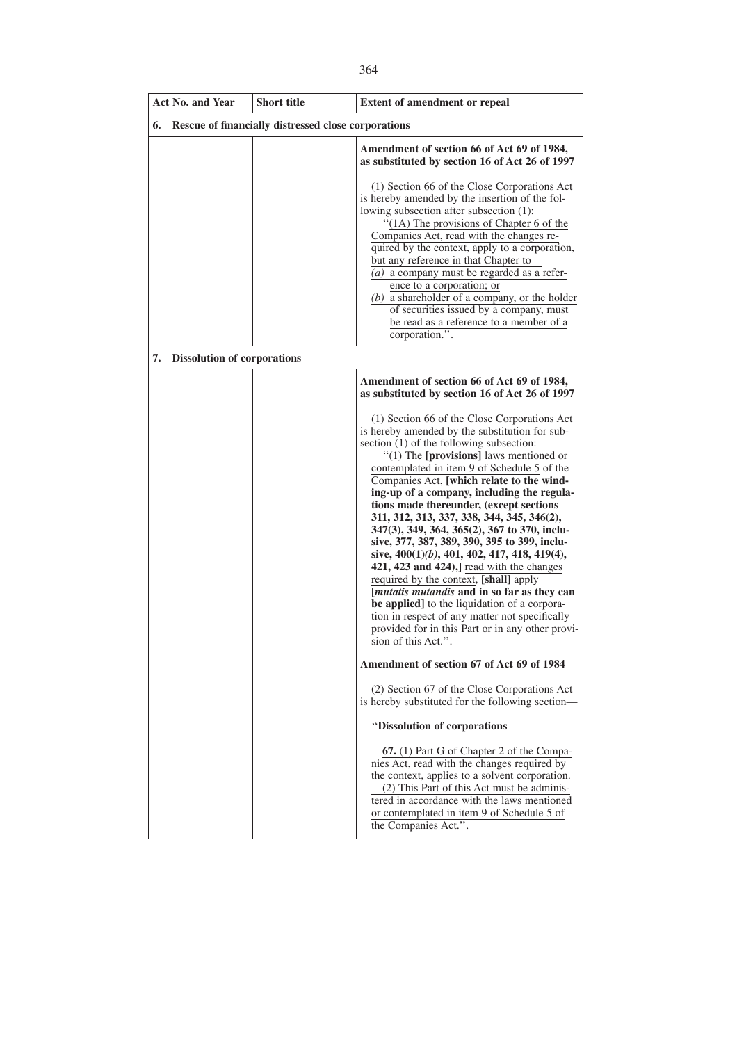| Act No. and Year | <b>Short title</b>                                  | <b>Extent of amendment or repeal</b>                                                                                                                                                                                                                                                                                                                                                                                                                                                                                                                                                                                                                                                                                                                                                                                                                                                                            |
|------------------|-----------------------------------------------------|-----------------------------------------------------------------------------------------------------------------------------------------------------------------------------------------------------------------------------------------------------------------------------------------------------------------------------------------------------------------------------------------------------------------------------------------------------------------------------------------------------------------------------------------------------------------------------------------------------------------------------------------------------------------------------------------------------------------------------------------------------------------------------------------------------------------------------------------------------------------------------------------------------------------|
| 6.               | Rescue of financially distressed close corporations |                                                                                                                                                                                                                                                                                                                                                                                                                                                                                                                                                                                                                                                                                                                                                                                                                                                                                                                 |
|                  |                                                     | Amendment of section 66 of Act 69 of 1984,<br>as substituted by section 16 of Act 26 of 1997                                                                                                                                                                                                                                                                                                                                                                                                                                                                                                                                                                                                                                                                                                                                                                                                                    |
|                  |                                                     | (1) Section 66 of the Close Corporations Act<br>is hereby amended by the insertion of the fol-<br>lowing subsection after subsection (1):<br>"(1A) The provisions of Chapter 6 of the<br>Companies Act, read with the changes re-<br>quired by the context, apply to a corporation,<br>but any reference in that Chapter to-<br>$(a)$ a company must be regarded as a refer-<br>ence to a corporation; or<br>(b) a shareholder of a company, or the holder<br>of securities issued by a company, must<br>be read as a reference to a member of a<br>corporation.".                                                                                                                                                                                                                                                                                                                                              |
| 7.               | <b>Dissolution of corporations</b>                  |                                                                                                                                                                                                                                                                                                                                                                                                                                                                                                                                                                                                                                                                                                                                                                                                                                                                                                                 |
|                  |                                                     | Amendment of section 66 of Act 69 of 1984,<br>as substituted by section 16 of Act 26 of 1997                                                                                                                                                                                                                                                                                                                                                                                                                                                                                                                                                                                                                                                                                                                                                                                                                    |
|                  |                                                     | (1) Section 66 of the Close Corporations Act<br>is hereby amended by the substitution for sub-<br>section (1) of the following subsection:<br>$"(1)$ The [provisions] laws mentioned or<br>contemplated in item 9 of Schedule 5 of the<br>Companies Act, [which relate to the wind-<br>ing-up of a company, including the regula-<br>tions made thereunder, (except sections<br>311, 312, 313, 337, 338, 344, 345, 346(2),<br>347(3), 349, 364, 365(2), 367 to 370, inclu-<br>sive, 377, 387, 389, 390, 395 to 399, inclu-<br>sive, $400(1)(b)$ , $401$ , $402$ , $417$ , $418$ , $419(4)$ ,<br>421, 423 and 424),] read with the changes<br>required by the context, [shall] apply<br>[mutatis mutandis and in so far as they can<br>be applied] to the liquidation of a corpora-<br>tion in respect of any matter not specifically<br>provided for in this Part or in any other provi-<br>sion of this Act.". |
|                  |                                                     | Amendment of section 67 of Act 69 of 1984                                                                                                                                                                                                                                                                                                                                                                                                                                                                                                                                                                                                                                                                                                                                                                                                                                                                       |
|                  |                                                     | (2) Section 67 of the Close Corporations Act<br>is hereby substituted for the following section-                                                                                                                                                                                                                                                                                                                                                                                                                                                                                                                                                                                                                                                                                                                                                                                                                |
|                  |                                                     | "Dissolution of corporations<br>67. (1) Part G of Chapter 2 of the Compa-<br>nies Act, read with the changes required by<br>the context, applies to a solvent corporation.<br>(2) This Part of this Act must be adminis-<br>tered in accordance with the laws mentioned<br>or contemplated in item 9 of Schedule 5 of<br>the Companies Act.".                                                                                                                                                                                                                                                                                                                                                                                                                                                                                                                                                                   |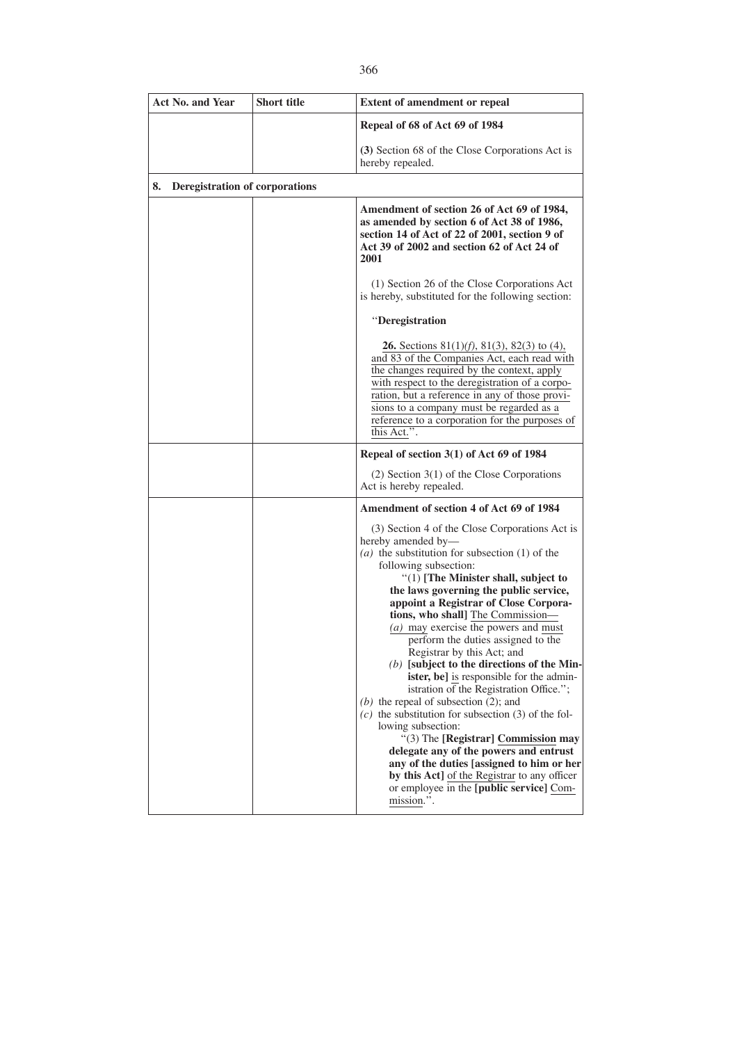| <b>Act No. and Year</b>                     | <b>Short title</b> | <b>Extent of amendment or repeal</b>                                                                                                                                                                                                                                                                                                                                                                                                                                                                                                                                                                                                                                                                                                                                                                                                                                                                                                       |
|---------------------------------------------|--------------------|--------------------------------------------------------------------------------------------------------------------------------------------------------------------------------------------------------------------------------------------------------------------------------------------------------------------------------------------------------------------------------------------------------------------------------------------------------------------------------------------------------------------------------------------------------------------------------------------------------------------------------------------------------------------------------------------------------------------------------------------------------------------------------------------------------------------------------------------------------------------------------------------------------------------------------------------|
|                                             |                    | Repeal of 68 of Act 69 of 1984                                                                                                                                                                                                                                                                                                                                                                                                                                                                                                                                                                                                                                                                                                                                                                                                                                                                                                             |
|                                             |                    | (3) Section 68 of the Close Corporations Act is<br>hereby repealed.                                                                                                                                                                                                                                                                                                                                                                                                                                                                                                                                                                                                                                                                                                                                                                                                                                                                        |
| <b>Deregistration of corporations</b><br>8. |                    |                                                                                                                                                                                                                                                                                                                                                                                                                                                                                                                                                                                                                                                                                                                                                                                                                                                                                                                                            |
|                                             |                    | Amendment of section 26 of Act 69 of 1984,<br>as amended by section 6 of Act 38 of 1986,<br>section 14 of Act of 22 of 2001, section 9 of<br>Act 39 of 2002 and section 62 of Act 24 of<br>2001                                                                                                                                                                                                                                                                                                                                                                                                                                                                                                                                                                                                                                                                                                                                            |
|                                             |                    | (1) Section 26 of the Close Corporations Act<br>is hereby, substituted for the following section:                                                                                                                                                                                                                                                                                                                                                                                                                                                                                                                                                                                                                                                                                                                                                                                                                                          |
|                                             |                    | "Deregistration                                                                                                                                                                                                                                                                                                                                                                                                                                                                                                                                                                                                                                                                                                                                                                                                                                                                                                                            |
|                                             |                    | <b>26.</b> Sections 81(1)( <i>f</i> ), 81(3), 82(3) to (4),<br>and 83 of the Companies Act, each read with<br>the changes required by the context, apply<br>with respect to the deregistration of a corpo-<br>ration, but a reference in any of those provi-<br>sions to a company must be regarded as a<br>reference to a corporation for the purposes of<br>this Act.".                                                                                                                                                                                                                                                                                                                                                                                                                                                                                                                                                                  |
|                                             |                    | Repeal of section $3(1)$ of Act 69 of 1984                                                                                                                                                                                                                                                                                                                                                                                                                                                                                                                                                                                                                                                                                                                                                                                                                                                                                                 |
|                                             |                    | $(2)$ Section 3(1) of the Close Corporations<br>Act is hereby repealed.                                                                                                                                                                                                                                                                                                                                                                                                                                                                                                                                                                                                                                                                                                                                                                                                                                                                    |
|                                             |                    | Amendment of section 4 of Act 69 of 1984                                                                                                                                                                                                                                                                                                                                                                                                                                                                                                                                                                                                                                                                                                                                                                                                                                                                                                   |
|                                             |                    | (3) Section 4 of the Close Corporations Act is<br>hereby amended by-<br>(a) the substitution for subsection $(1)$ of the<br>following subsection:<br>$"(1)$ [The Minister shall, subject to<br>the laws governing the public service,<br>appoint a Registrar of Close Corpora-<br>tions, who shall] The Commission-<br>$(a)$ may exercise the powers and must<br>perform the duties assigned to the<br>Registrar by this Act; and<br>$(b)$ [subject to the directions of the Min-<br>ister, be] is responsible for the admin-<br>istration of the Registration Office.";<br>$(b)$ the repeal of subsection (2); and<br>$(c)$ the substitution for subsection (3) of the fol-<br>lowing subsection:<br>"(3) The [Registrar] Commission may<br>delegate any of the powers and entrust<br>any of the duties [assigned to him or her<br>by this Act] of the Registrar to any officer<br>or employee in the [public service] Com-<br>mission.". |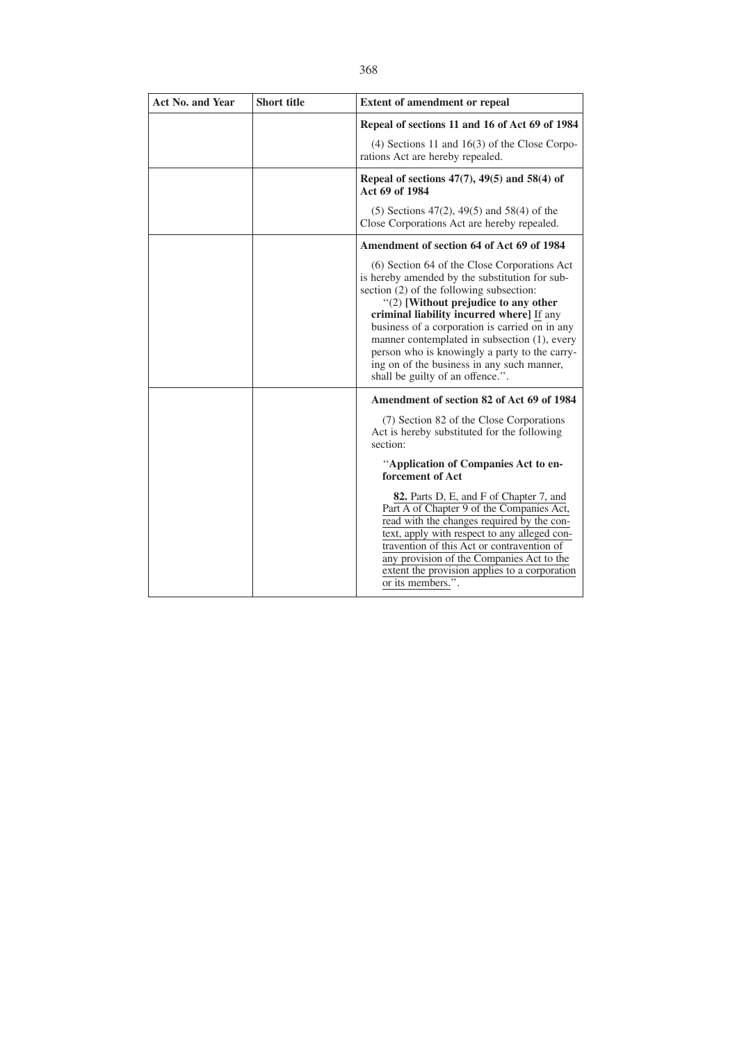| <b>Act No. and Year</b> | <b>Short title</b> | <b>Extent of amendment or repeal</b>                                                                                                                                                                                                                                                                                                                                                                                                                                 |
|-------------------------|--------------------|----------------------------------------------------------------------------------------------------------------------------------------------------------------------------------------------------------------------------------------------------------------------------------------------------------------------------------------------------------------------------------------------------------------------------------------------------------------------|
|                         |                    | Repeal of sections 11 and 16 of Act 69 of 1984                                                                                                                                                                                                                                                                                                                                                                                                                       |
|                         |                    | $(4)$ Sections 11 and 16(3) of the Close Corpo-<br>rations Act are hereby repealed.                                                                                                                                                                                                                                                                                                                                                                                  |
|                         |                    | Repeal of sections $47(7)$ , $49(5)$ and $58(4)$ of<br>Act 69 of 1984                                                                                                                                                                                                                                                                                                                                                                                                |
|                         |                    | $(5)$ Sections 47 $(2)$ , 49 $(5)$ and 58 $(4)$ of the<br>Close Corporations Act are hereby repealed.                                                                                                                                                                                                                                                                                                                                                                |
|                         |                    | Amendment of section 64 of Act 69 of 1984                                                                                                                                                                                                                                                                                                                                                                                                                            |
|                         |                    | (6) Section 64 of the Close Corporations Act<br>is hereby amended by the substitution for sub-<br>section (2) of the following subsection:<br>"(2) [Without prejudice to any other<br>criminal liability incurred where] If any<br>business of a corporation is carried on in any<br>manner contemplated in subsection (1), every<br>person who is knowingly a party to the carry-<br>ing on of the business in any such manner,<br>shall be guilty of an offence.". |
|                         |                    | Amendment of section 82 of Act 69 of 1984                                                                                                                                                                                                                                                                                                                                                                                                                            |
|                         |                    | (7) Section 82 of the Close Corporations<br>Act is hereby substituted for the following<br>section:                                                                                                                                                                                                                                                                                                                                                                  |
|                         |                    | "Application of Companies Act to en-<br>forcement of Act                                                                                                                                                                                                                                                                                                                                                                                                             |
|                         |                    | 82. Parts D, E, and F of Chapter 7, and<br>Part A of Chapter 9 of the Companies Act,<br>read with the changes required by the con-<br>text, apply with respect to any alleged con-<br>travention of this Act or contravention of<br>any provision of the Companies Act to the<br>extent the provision applies to a corporation<br>or its members.".                                                                                                                  |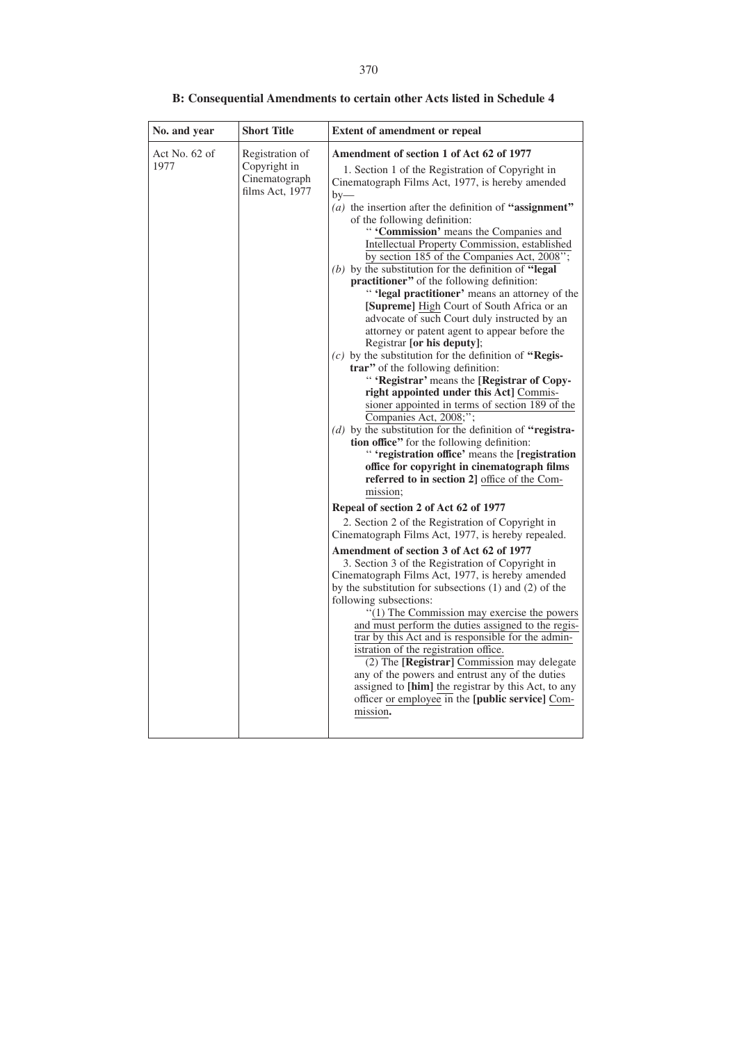| No. and year          | <b>Short Title</b>                                                  | <b>Extent of amendment or repeal</b>                                                                                                                                                                                                                                                                                                                                                                                                                                                                                                                                                                                                                                                                                                                                                                                                                                                                                                                                                                                                                                                                                                                                                                                                                                                                                                                                                                                                                                                                                                                                                                                                                                                                                                                                                                                                                                                                                                                                                                                                                                                                                |
|-----------------------|---------------------------------------------------------------------|---------------------------------------------------------------------------------------------------------------------------------------------------------------------------------------------------------------------------------------------------------------------------------------------------------------------------------------------------------------------------------------------------------------------------------------------------------------------------------------------------------------------------------------------------------------------------------------------------------------------------------------------------------------------------------------------------------------------------------------------------------------------------------------------------------------------------------------------------------------------------------------------------------------------------------------------------------------------------------------------------------------------------------------------------------------------------------------------------------------------------------------------------------------------------------------------------------------------------------------------------------------------------------------------------------------------------------------------------------------------------------------------------------------------------------------------------------------------------------------------------------------------------------------------------------------------------------------------------------------------------------------------------------------------------------------------------------------------------------------------------------------------------------------------------------------------------------------------------------------------------------------------------------------------------------------------------------------------------------------------------------------------------------------------------------------------------------------------------------------------|
| Act No. 62 of<br>1977 | Registration of<br>Copyright in<br>Cinematograph<br>films Act, 1977 | Amendment of section 1 of Act 62 of 1977<br>1. Section 1 of the Registration of Copyright in<br>Cinematograph Films Act, 1977, is hereby amended<br>$by-$<br>( $a$ ) the insertion after the definition of "assignment"<br>of the following definition:<br>" 'Commission' means the Companies and<br>Intellectual Property Commission, established<br>by section 185 of the Companies Act, 2008";<br>(b) by the substitution for the definition of "legal"<br>practitioner" of the following definition:<br>" 'legal practitioner' means an attorney of the<br>[Supreme] High Court of South Africa or an<br>advocate of such Court duly instructed by an<br>attorney or patent agent to appear before the<br>Registrar [or his deputy];<br>$(c)$ by the substitution for the definition of "Regis-<br>trar" of the following definition:<br>"'Registrar' means the [Registrar of Copy-<br>right appointed under this Act] Commis-<br>sioner appointed in terms of section 189 of the<br>Companies Act, 2008;";<br>(d) by the substitution for the definition of "registra-<br>tion office" for the following definition:<br>" 'registration office' means the [registration<br>office for copyright in cinematograph films<br>referred to in section 2] office of the Com-<br>mission;<br>Repeal of section 2 of Act 62 of 1977<br>2. Section 2 of the Registration of Copyright in<br>Cinematograph Films Act, 1977, is hereby repealed.<br>Amendment of section 3 of Act 62 of 1977<br>3. Section 3 of the Registration of Copyright in<br>Cinematograph Films Act, 1977, is hereby amended<br>by the substitution for subsections $(1)$ and $(2)$ of the<br>following subsections:<br>"(1) The Commission may exercise the powers<br>and must perform the duties assigned to the regis-<br>trar by this Act and is responsible for the admin-<br>istration of the registration office.<br>(2) The [Registrar] Commission may delegate<br>any of the powers and entrust any of the duties<br>assigned to [him] the registrar by this Act, to any<br>officer or employee in the [public service] Com-<br>mission. |

|  | B: Consequential Amendments to certain other Acts listed in Schedule 4 |  |  |  |  |  |  |
|--|------------------------------------------------------------------------|--|--|--|--|--|--|
|--|------------------------------------------------------------------------|--|--|--|--|--|--|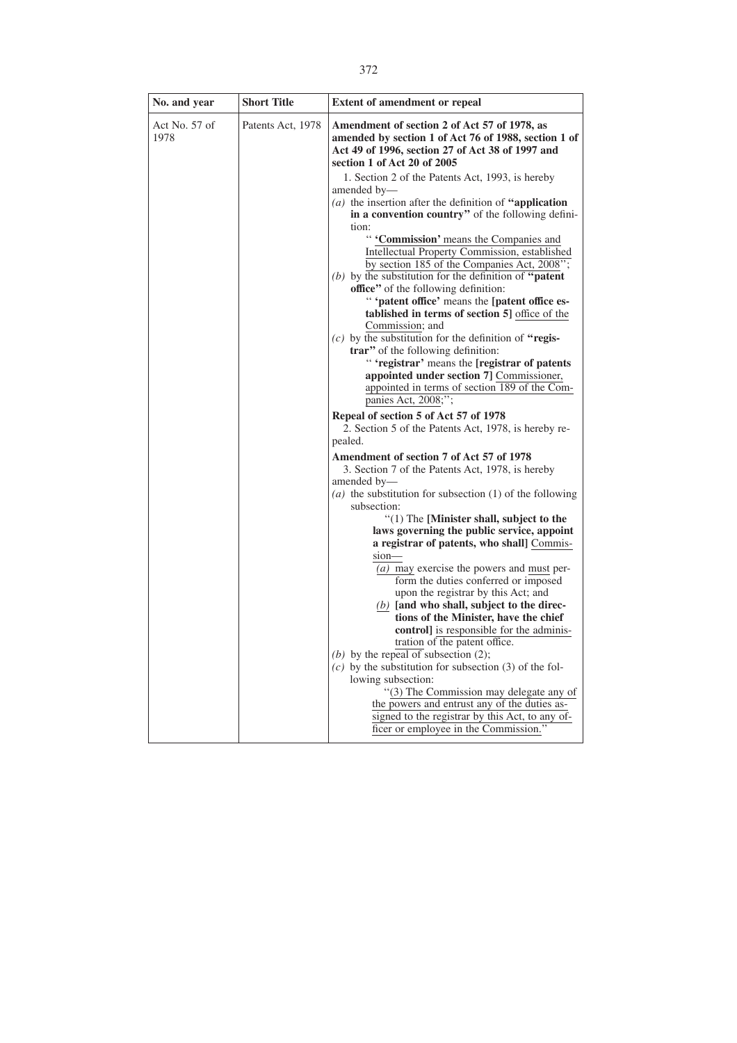| No. and year            | <b>Short Title</b> | <b>Extent of amendment or repeal</b>                                                                                                                                                    |
|-------------------------|--------------------|-----------------------------------------------------------------------------------------------------------------------------------------------------------------------------------------|
| Act No. $57$ of<br>1978 | Patents Act, 1978  | Amendment of section 2 of Act 57 of 1978, as<br>amended by section 1 of Act 76 of 1988, section 1 of<br>Act 49 of 1996, section 27 of Act 38 of 1997 and<br>section 1 of Act 20 of 2005 |
|                         |                    | 1. Section 2 of the Patents Act, 1993, is hereby<br>amended by-                                                                                                                         |
|                         |                    | (a) the insertion after the definition of "application"<br>in a convention country" of the following defini-                                                                            |
|                         |                    | tion:<br>" 'Commission' means the Companies and<br>Intellectual Property Commission, established                                                                                        |
|                         |                    | by section 185 of the Companies Act, 2008";<br>(b) by the substitution for the definition of "patent"                                                                                   |
|                         |                    | office" of the following definition:                                                                                                                                                    |
|                         |                    | " 'patent office' means the [patent office es-                                                                                                                                          |
|                         |                    | tablished in terms of section 5] office of the<br>Commission; and                                                                                                                       |
|                         |                    | $(c)$ by the substitution for the definition of "regis-                                                                                                                                 |
|                         |                    | trar" of the following definition:                                                                                                                                                      |
|                         |                    | " 'registrar' means the [registrar of patents<br>appointed under section 7] Commissioner,                                                                                               |
|                         |                    | appointed in terms of section 189 of the Com-                                                                                                                                           |
|                         |                    | panies Act, 2008;";                                                                                                                                                                     |
|                         |                    | Repeal of section 5 of Act 57 of 1978                                                                                                                                                   |
|                         |                    | 2. Section 5 of the Patents Act, 1978, is hereby re-                                                                                                                                    |
|                         |                    | pealed.                                                                                                                                                                                 |
|                         |                    | Amendment of section 7 of Act 57 of 1978<br>3. Section 7 of the Patents Act, 1978, is hereby                                                                                            |
|                         |                    | amended by-                                                                                                                                                                             |
|                         |                    | (a) the substitution for subsection $(1)$ of the following                                                                                                                              |
|                         |                    | subsection:                                                                                                                                                                             |
|                         |                    | "(1) The [Minister shall, subject to the<br>laws governing the public service, appoint                                                                                                  |
|                         |                    | a registrar of patents, who shall] Commis-                                                                                                                                              |
|                         |                    | $sion$ —                                                                                                                                                                                |
|                         |                    | (a) may exercise the powers and must per-                                                                                                                                               |
|                         |                    | form the duties conferred or imposed<br>upon the registrar by this Act; and                                                                                                             |
|                         |                    | $(b)$ [and who shall, subject to the direc-                                                                                                                                             |
|                         |                    | tions of the Minister, have the chief                                                                                                                                                   |
|                         |                    | control] is responsible for the adminis-                                                                                                                                                |
|                         |                    | tration of the patent office.<br>(b) by the repeal of subsection $(2)$ ;                                                                                                                |
|                         |                    | $(c)$ by the substitution for subsection (3) of the fol-                                                                                                                                |
|                         |                    | lowing subsection:                                                                                                                                                                      |
|                         |                    | "(3) The Commission may delegate any of                                                                                                                                                 |
|                         |                    | the powers and entrust any of the duties as-<br>signed to the registrar by this Act, to any of-                                                                                         |
|                         |                    | ficer or employee in the Commission."                                                                                                                                                   |
|                         |                    |                                                                                                                                                                                         |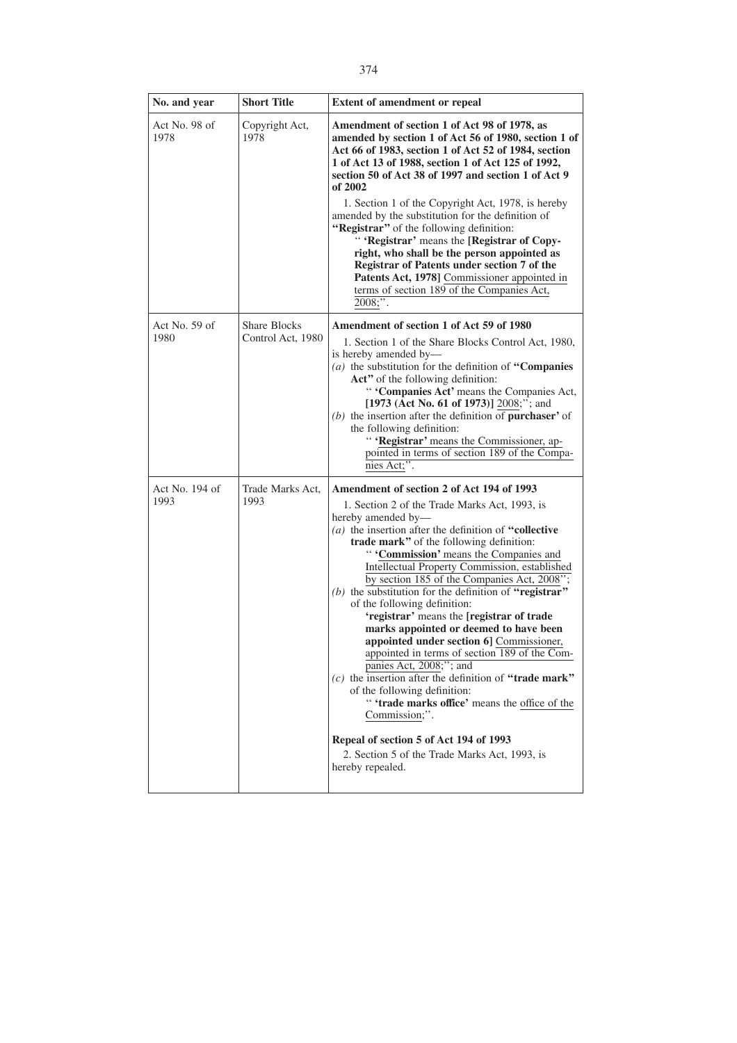| No. and year           | <b>Short Title</b>                       | <b>Extent of amendment or repeal</b>                                                                                                                                                                                                                                                                                                                                                                                                                                                                                                                                                                                                                                                                                                                                                                                                                                                                                                                      |
|------------------------|------------------------------------------|-----------------------------------------------------------------------------------------------------------------------------------------------------------------------------------------------------------------------------------------------------------------------------------------------------------------------------------------------------------------------------------------------------------------------------------------------------------------------------------------------------------------------------------------------------------------------------------------------------------------------------------------------------------------------------------------------------------------------------------------------------------------------------------------------------------------------------------------------------------------------------------------------------------------------------------------------------------|
| Act No. 98 of<br>1978  | Copyright Act,<br>1978                   | Amendment of section 1 of Act 98 of 1978, as<br>amended by section 1 of Act 56 of 1980, section 1 of<br>Act 66 of 1983, section 1 of Act 52 of 1984, section<br>1 of Act 13 of 1988, section 1 of Act 125 of 1992,<br>section 50 of Act 38 of 1997 and section 1 of Act 9<br>of 2002<br>1. Section 1 of the Copyright Act, 1978, is hereby<br>amended by the substitution for the definition of<br>"Registrar" of the following definition:<br>"'Registrar' means the [Registrar of Copy-<br>right, who shall be the person appointed as<br>Registrar of Patents under section 7 of the<br>Patents Act, 1978] Commissioner appointed in<br>terms of section 189 of the Companies Act,<br>2008;".                                                                                                                                                                                                                                                          |
| Act No. 59 of<br>1980  | <b>Share Blocks</b><br>Control Act, 1980 | Amendment of section 1 of Act 59 of 1980<br>1. Section 1 of the Share Blocks Control Act, 1980,<br>is hereby amended by—<br>$(a)$ the substitution for the definition of "Companies"<br>Act" of the following definition:<br>" 'Companies Act' means the Companies Act,<br>[1973 (Act No. 61 of 1973)] $2008$ ;"; and<br>(b) the insertion after the definition of <b>purchaser</b> ' of<br>the following definition:<br>"'Registrar' means the Commissioner, ap-<br>pointed in terms of section 189 of the Compa-<br>nies Act;".                                                                                                                                                                                                                                                                                                                                                                                                                         |
| Act No. 194 of<br>1993 | Trade Marks Act,<br>1993                 | Amendment of section 2 of Act 194 of 1993<br>1. Section 2 of the Trade Marks Act, 1993, is<br>hereby amended by—<br>$(a)$ the insertion after the definition of "collective"<br>trade mark" of the following definition:<br>" 'Commission' means the Companies and<br>Intellectual Property Commission, established<br>by section 185 of the Companies Act, 2008";<br>(b) the substitution for the definition of "registrar"<br>of the following definition:<br>'registrar' means the [registrar of trade<br>marks appointed or deemed to have been<br>appointed under section 6] Commissioner,<br>appointed in terms of section 189 of the Com-<br>panies Act, 2008;"; and<br>$(c)$ the insertion after the definition of "trade mark"<br>of the following definition:<br>" 'trade marks office' means the office of the<br>Commission;".<br>Repeal of section 5 of Act 194 of 1993<br>2. Section 5 of the Trade Marks Act, 1993, is<br>hereby repealed. |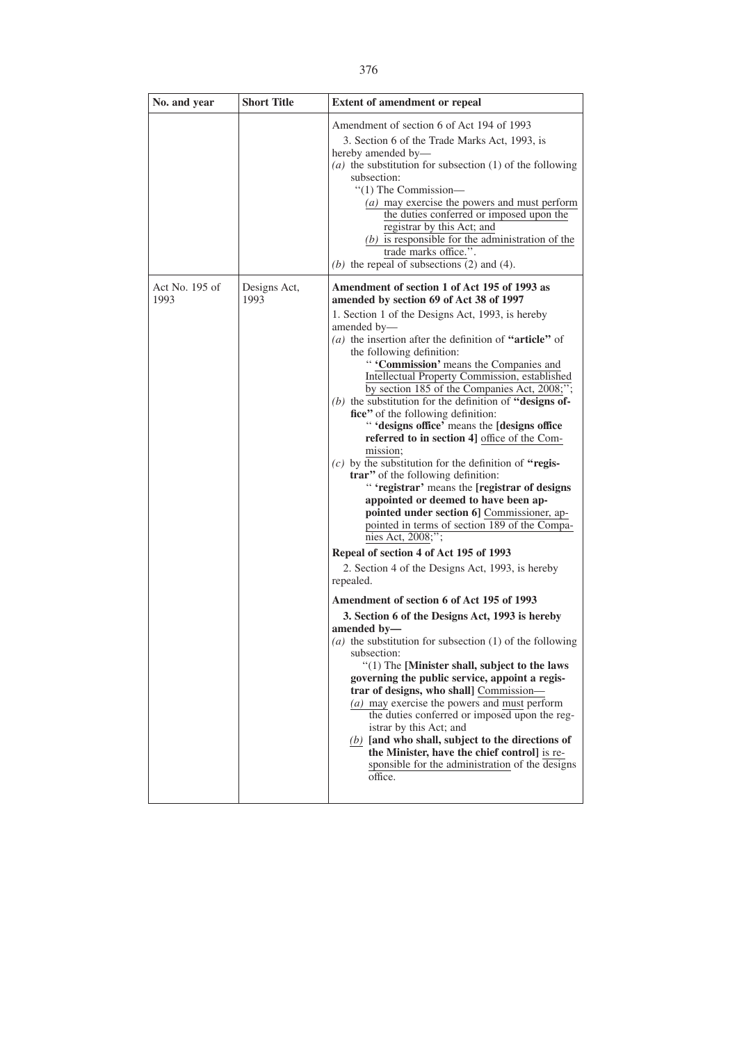| No. and year           | <b>Short Title</b>   | <b>Extent of amendment or repeal</b>                                                                                                                                                                                                                                                                                                                                                                                                                                                                                                                                                                                                                                                                                                                                                                                                                                                                                                                                                                                                                                                                                                                                                                                                                                                                                                                                                                                                                                                                                                                                                                                                                                              |
|------------------------|----------------------|-----------------------------------------------------------------------------------------------------------------------------------------------------------------------------------------------------------------------------------------------------------------------------------------------------------------------------------------------------------------------------------------------------------------------------------------------------------------------------------------------------------------------------------------------------------------------------------------------------------------------------------------------------------------------------------------------------------------------------------------------------------------------------------------------------------------------------------------------------------------------------------------------------------------------------------------------------------------------------------------------------------------------------------------------------------------------------------------------------------------------------------------------------------------------------------------------------------------------------------------------------------------------------------------------------------------------------------------------------------------------------------------------------------------------------------------------------------------------------------------------------------------------------------------------------------------------------------------------------------------------------------------------------------------------------------|
|                        |                      | Amendment of section 6 of Act 194 of 1993<br>3. Section 6 of the Trade Marks Act, 1993, is<br>hereby amended by—<br>(a) the substitution for subsection $(1)$ of the following<br>subsection:<br>$\lq(1)$ The Commission—<br>(a) may exercise the powers and must perform<br>the duties conferred or imposed upon the<br>registrar by this Act; and<br>$(b)$ is responsible for the administration of the<br>trade marks office.".<br>(b) the repeal of subsections $(2)$ and $(4)$ .                                                                                                                                                                                                                                                                                                                                                                                                                                                                                                                                                                                                                                                                                                                                                                                                                                                                                                                                                                                                                                                                                                                                                                                             |
| Act No. 195 of<br>1993 | Designs Act,<br>1993 | Amendment of section 1 of Act 195 of 1993 as<br>amended by section 69 of Act 38 of 1997<br>1. Section 1 of the Designs Act, 1993, is hereby<br>amended by-<br>$(a)$ the insertion after the definition of "article" of<br>the following definition:<br>" 'Commission' means the Companies and<br>Intellectual Property Commission, established<br>by section 185 of the Companies Act, 2008;";<br>(b) the substitution for the definition of "designs of-<br>fice" of the following definition:<br>" 'designs office' means the [designs office]<br>referred to in section 4] office of the Com-<br>mission:<br>$(c)$ by the substitution for the definition of "regis-<br>trar" of the following definition:<br>" 'registrar' means the [registrar of designs<br>appointed or deemed to have been ap-<br>pointed under section 6] Commissioner, ap-<br>pointed in terms of section 189 of the Compa-<br>nies Act, 2008;";<br>Repeal of section 4 of Act 195 of 1993<br>2. Section 4 of the Designs Act, 1993, is hereby<br>repealed.<br>Amendment of section 6 of Act 195 of 1993<br>3. Section 6 of the Designs Act, 1993 is hereby<br>amended by-<br>(a) the substitution for subsection $(1)$ of the following<br>subsection:<br>"(1) The [Minister shall, subject to the laws<br>governing the public service, appoint a regis-<br>trar of designs, who shall] Commission-<br>$(a)$ may exercise the powers and must perform<br>the duties conferred or imposed upon the reg-<br>istrar by this Act; and<br>$(b)$ [and who shall, subject to the directions of<br>the Minister, have the chief control] is re-<br>sponsible for the administration of the designs<br>office. |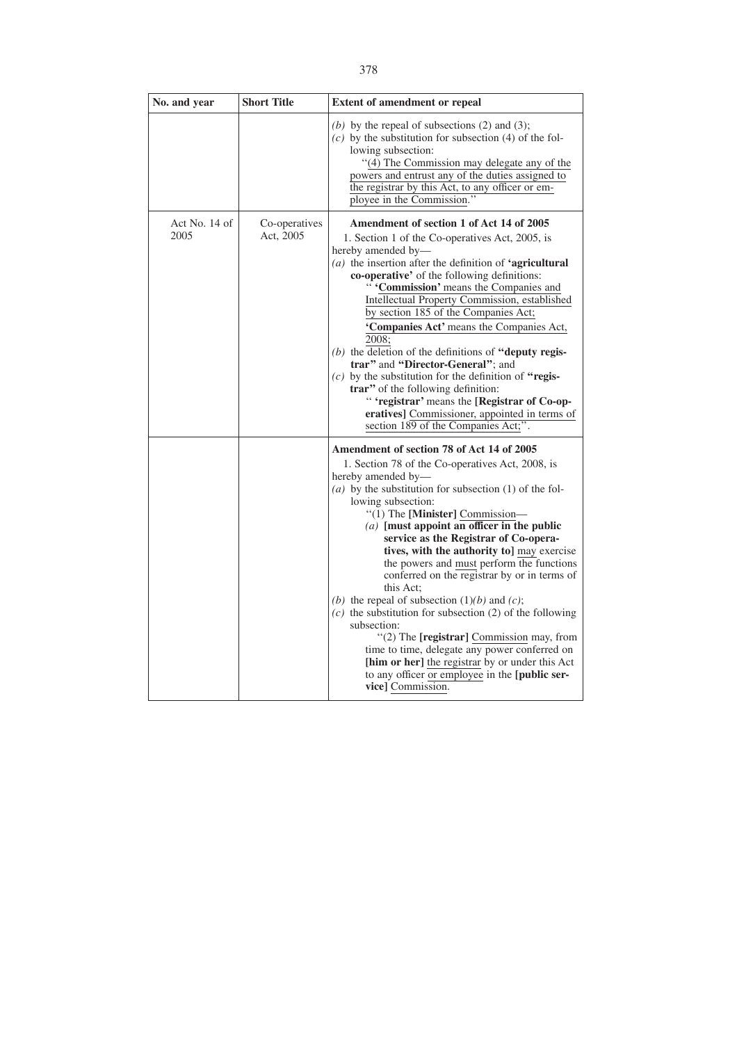| No. and year          | <b>Short Title</b>         | <b>Extent of amendment or repeal</b>                                                                                                                                                                                                                                                                                                                                                                                                                                                                                                                                                                                                                                                                                                                                                                                                                       |
|-----------------------|----------------------------|------------------------------------------------------------------------------------------------------------------------------------------------------------------------------------------------------------------------------------------------------------------------------------------------------------------------------------------------------------------------------------------------------------------------------------------------------------------------------------------------------------------------------------------------------------------------------------------------------------------------------------------------------------------------------------------------------------------------------------------------------------------------------------------------------------------------------------------------------------|
|                       |                            | (b) by the repeal of subsections $(2)$ and $(3)$ ;<br>$(c)$ by the substitution for subsection (4) of the fol-<br>lowing subsection:<br>"(4) The Commission may delegate any of the<br>powers and entrust any of the duties assigned to<br>the registrar by this Act, to any officer or em-<br>ployee in the Commission."                                                                                                                                                                                                                                                                                                                                                                                                                                                                                                                                  |
| Act No. 14 of<br>2005 | Co-operatives<br>Act, 2005 | Amendment of section 1 of Act 14 of 2005<br>1. Section 1 of the Co-operatives Act, 2005, is<br>hereby amended by—<br>$(a)$ the insertion after the definition of 'agricultural<br>co-operative' of the following definitions:<br>" 'Commission' means the Companies and<br>Intellectual Property Commission, established<br>by section 185 of the Companies Act;<br>'Companies Act' means the Companies Act,<br>2008;<br>(b) the deletion of the definitions of "deputy regis-<br>trar" and "Director-General"; and<br>$(c)$ by the substitution for the definition of "regis-<br>trar" of the following definition:<br>" 'registrar' means the [Registrar of Co-op-<br>eratives] Commissioner, appointed in terms of<br>section 189 of the Companies Act;".                                                                                               |
|                       |                            | Amendment of section 78 of Act 14 of 2005<br>1. Section 78 of the Co-operatives Act, 2008, is<br>hereby amended by—<br>(a) by the substitution for subsection $(1)$ of the fol-<br>lowing subsection:<br>"(1) The [Minister] Commission-<br>( <i>a</i> ) [must appoint an officer in the public<br>service as the Registrar of Co-opera-<br>tives, with the authority to] may exercise<br>the powers and must perform the functions<br>conferred on the registrar by or in terms of<br>this Act:<br>(b) the repeal of subsection $(1)(b)$ and $(c)$ ;<br>$(c)$ the substitution for subsection (2) of the following<br>subsection:<br>"(2) The [registrar] Commission may, from<br>time to time, delegate any power conferred on<br>[him or her] the registrar by or under this Act<br>to any officer or employee in the [public ser-<br>vice] Commission. |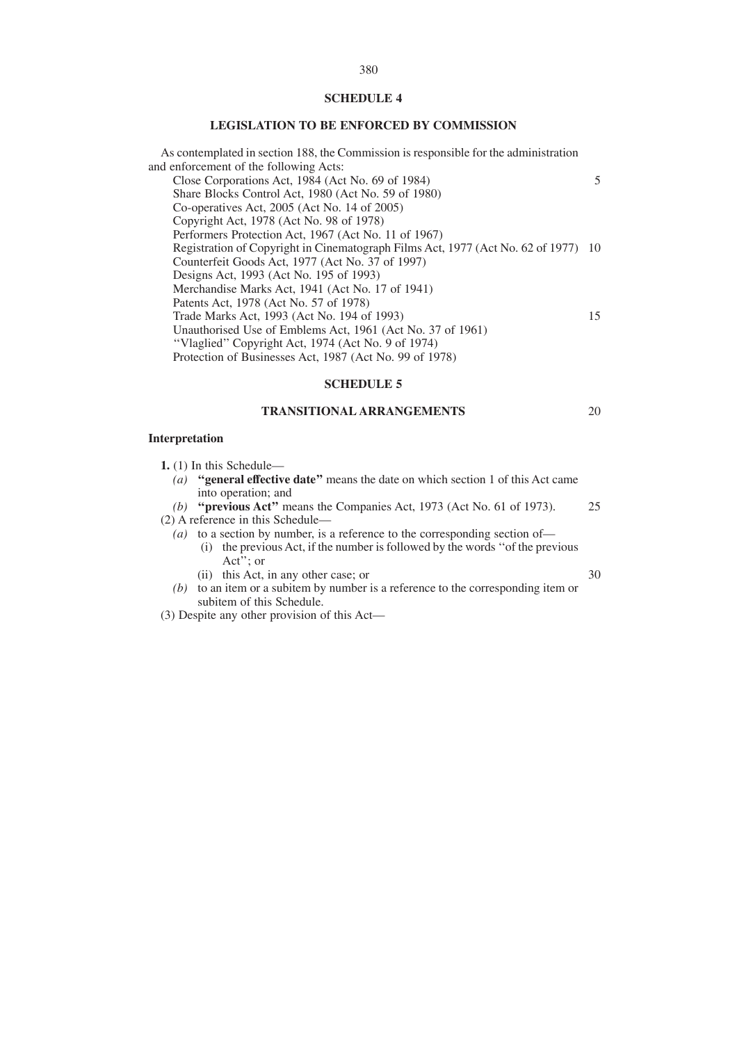# **SCHEDULE 4**

# **LEGISLATION TO BE ENFORCED BY COMMISSION**

| As contemplated in section 188, the Commission is responsible for the administration |    |
|--------------------------------------------------------------------------------------|----|
| and enforcement of the following Acts:                                               |    |
| Close Corporations Act, 1984 (Act No. 69 of 1984)                                    | 5. |
| Share Blocks Control Act, 1980 (Act No. 59 of 1980)                                  |    |
| Co-operatives Act, $2005$ (Act No. 14 of $2005$ )                                    |    |
| Copyright Act, 1978 (Act No. 98 of 1978)                                             |    |
| Performers Protection Act, 1967 (Act No. 11 of 1967)                                 |    |
| Registration of Copyright in Cinematograph Films Act, 1977 (Act No. 62 of 1977) 10   |    |
| Counterfeit Goods Act, 1977 (Act No. 37 of 1997)                                     |    |
| Designs Act, 1993 (Act No. 195 of 1993)                                              |    |
| Merchandise Marks Act, 1941 (Act No. 17 of 1941)                                     |    |
| Patents Act, 1978 (Act No. 57 of 1978)                                               |    |
| Trade Marks Act, 1993 (Act No. 194 of 1993)                                          | 15 |
| Unauthorised Use of Emblems Act, 1961 (Act No. 37 of 1961)                           |    |
| "Vlaglied" Copyright Act, 1974 (Act No. 9 of 1974)                                   |    |
| Protection of Businesses Act, 1987 (Act No. 99 of 1978)                              |    |
|                                                                                      |    |

#### **SCHEDULE 5**

# **TRANSITIONAL ARRANGEMENTS**

## **Interpretation**

**1.** (1) In this Schedule—

- *(a)* **''general effective date''** means the date on which section 1 of this Act came into operation; and
- *(b)* **''previous Act''** means the Companies Act, 1973 (Act No. 61 of 1973). (2) A reference in this Schedule— 25
	- $(a)$  to a section by number, is a reference to the corresponding section of-
		- (i) the previous Act, if the number is followed by the words ''of the previous Act''; or
		- (ii) this Act, in any other case; or
	- *(b)* to an item or a subitem by number is a reference to the corresponding item or subitem of this Schedule.
- (3) Despite any other provision of this Act—

30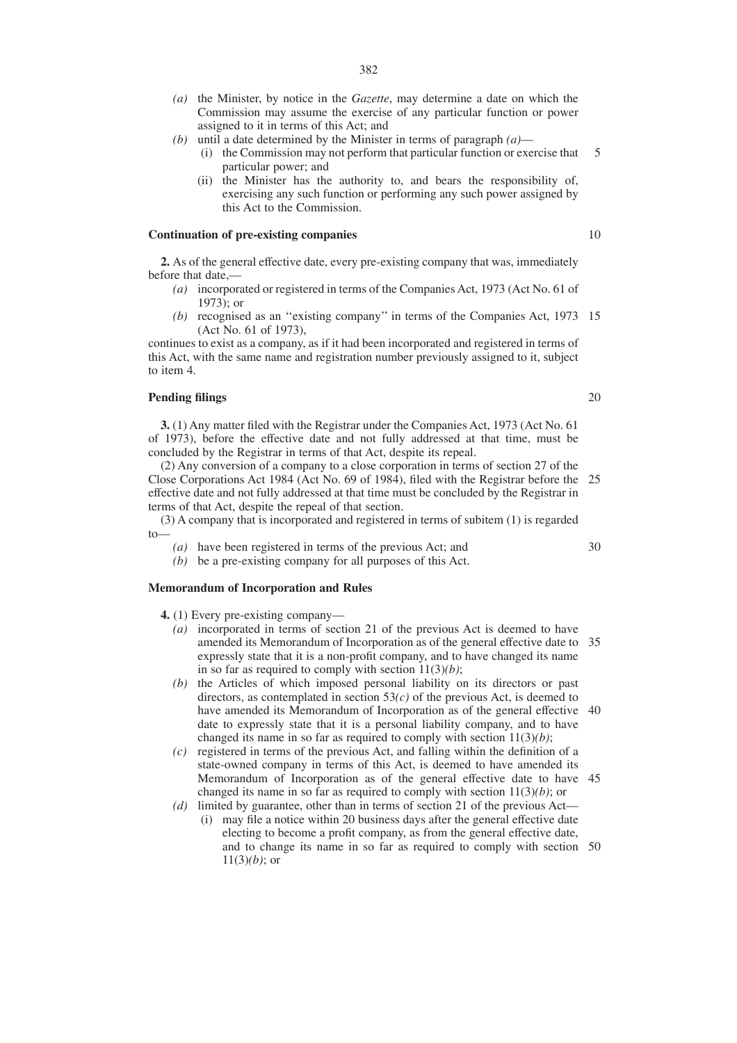- *(a)* the Minister, by notice in the *Gazette*, may determine a date on which the Commission may assume the exercise of any particular function or power assigned to it in terms of this Act; and
- *(b)* until a date determined by the Minister in terms of paragraph *(a)*
	- (i) the Commission may not perform that particular function or exercise that particular power; and 5
	- (ii) the Minister has the authority to, and bears the responsibility of, exercising any such function or performing any such power assigned by this Act to the Commission.

#### **Continuation of pre-existing companies**

**2.** As of the general effective date, every pre-existing company that was, immediately before that date,-

- *(a)* incorporated or registered in terms of the Companies Act, 1973 (Act No. 61 of 1973); or
- *(b)* recognised as an ''existing company'' in terms of the Companies Act, 1973 15 (Act No. 61 of 1973),

continues to exist as a company, as if it had been incorporated and registered in terms of this Act, with the same name and registration number previously assigned to it, subject to item 4.

# **Pending filings**

**3.** (1) Any matter filed with the Registrar under the Companies Act, 1973 (Act No. 61 of 1973), before the effective date and not fully addressed at that time, must be concluded by the Registrar in terms of that Act, despite its repeal.

(2) Any conversion of a company to a close corporation in terms of section 27 of the Close Corporations Act 1984 (Act No. 69 of 1984), filed with the Registrar before the 25 effective date and not fully addressed at that time must be concluded by the Registrar in terms of that Act, despite the repeal of that section.

(3) A company that is incorporated and registered in terms of subitem (1) is regarded to—

- *(a)* have been registered in terms of the previous Act; and
- *(b)* be a pre-existing company for all purposes of this Act.

# **Memorandum of Incorporation and Rules**

**4.** (1) Every pre-existing company—

- *(a)* incorporated in terms of section 21 of the previous Act is deemed to have amended its Memorandum of Incorporation as of the general effective date to 35 expressly state that it is a non-profit company, and to have changed its name in so far as required to comply with section 11(3)*(b)*;
- *(b)* the Articles of which imposed personal liability on its directors or past directors, as contemplated in section  $53(c)$  of the previous Act, is deemed to have amended its Memorandum of Incorporation as of the general effective 40 date to expressly state that it is a personal liability company, and to have changed its name in so far as required to comply with section 11(3)*(b)*;
- *(c)* registered in terms of the previous Act, and falling within the definition of a state-owned company in terms of this Act, is deemed to have amended its Memorandum of Incorporation as of the general effective date to have 45 changed its name in so far as required to comply with section  $11(3)(b)$ ; or
- *(d)* limited by guarantee, other than in terms of section 21 of the previous Act— (i) may file a notice within 20 business days after the general effective date
	- electing to become a profit company, as from the general effective date, and to change its name in so far as required to comply with section 5011(3)*(b)*; or

20

30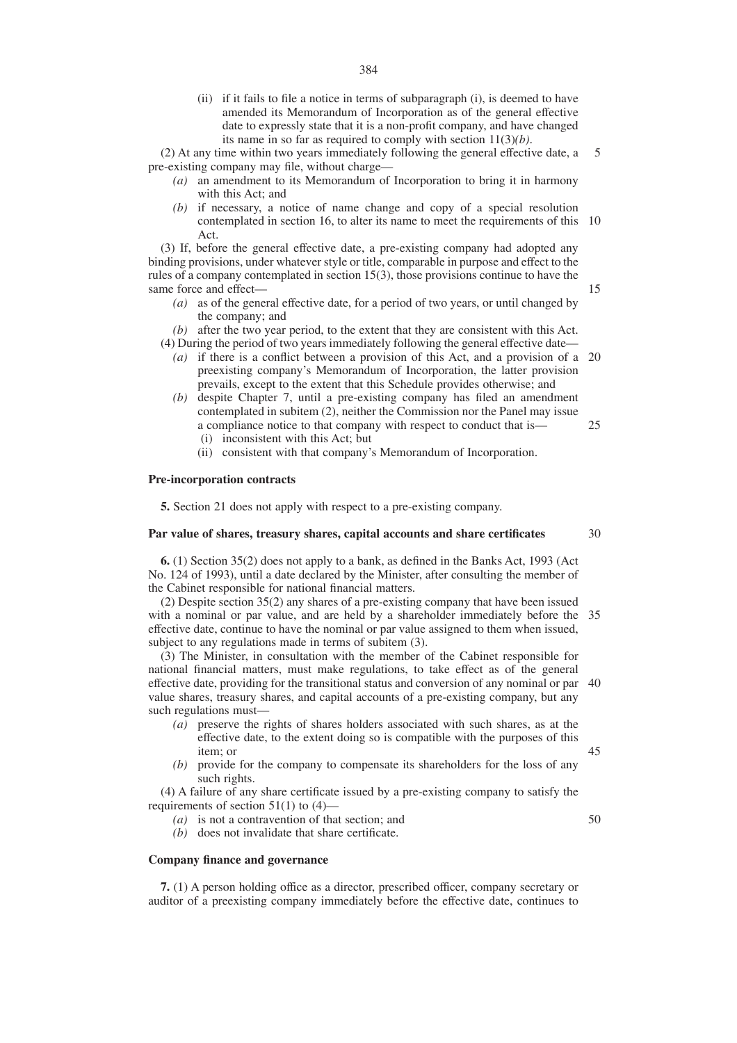(ii) if it fails to file a notice in terms of subparagraph (i), is deemed to have amended its Memorandum of Incorporation as of the general effective date to expressly state that it is a non-profit company, and have changed its name in so far as required to comply with section 11(3)*(b)*.

(2) At any time within two years immediately following the general effective date, a pre-existing company may file, without charge— 5

- *(a)* an amendment to its Memorandum of Incorporation to bring it in harmony with this Act; and
- *(b)* if necessary, a notice of name change and copy of a special resolution contemplated in section 16, to alter its name to meet the requirements of this 10 Act.

(3) If, before the general effective date, a pre-existing company had adopted any binding provisions, under whatever style or title, comparable in purpose and effect to the rules of a company contemplated in section 15(3), those provisions continue to have the same force and effect—

- *(a)* as of the general effective date, for a period of two years, or until changed by the company; and
- *(b)* after the two year period, to the extent that they are consistent with this Act.
- (4) During the period of two years immediately following the general effective date—
	- *(a)* if there is a conflict between a provision of this Act, and a provision of a 20 preexisting company's Memorandum of Incorporation, the latter provision prevails, except to the extent that this Schedule provides otherwise; and
	- *(b)* despite Chapter 7, until a pre-existing company has filed an amendment contemplated in subitem (2), neither the Commission nor the Panel may issue a compliance notice to that company with respect to conduct that is—
		- (i) inconsistent with this Act; but
		- (ii) consistent with that company's Memorandum of Incorporation.

#### **Pre-incorporation contracts**

**5.** Section 21 does not apply with respect to a pre-existing company.

#### **Par value of shares, treasury shares, capital accounts and share certificates**

**6.** (1) Section 35(2) does not apply to a bank, as defined in the Banks Act, 1993 (Act No. 124 of 1993), until a date declared by the Minister, after consulting the member of the Cabinet responsible for national financial matters.

(2) Despite section 35(2) any shares of a pre-existing company that have been issued with a nominal or par value, and are held by a shareholder immediately before the 35 effective date, continue to have the nominal or par value assigned to them when issued, subject to any regulations made in terms of subitem (3).

(3) The Minister, in consultation with the member of the Cabinet responsible for national financial matters, must make regulations, to take effect as of the general effective date, providing for the transitional status and conversion of any nominal or par 40 value shares, treasury shares, and capital accounts of a pre-existing company, but any such regulations must—

- *(a)* preserve the rights of shares holders associated with such shares, as at the effective date, to the extent doing so is compatible with the purposes of this item; or
- *(b)* provide for the company to compensate its shareholders for the loss of any such rights.

(4) A failure of any share certificate issued by a pre-existing company to satisfy the requirements of section  $51(1)$  to  $(4)$ —

- *(a)* is not a contravention of that section; and
- *(b)* does not invalidate that share certificate.

## **Company finance and governance**

**7.** (1) A person holding office as a director, prescribed officer, company secretary or auditor of a preexisting company immediately before the effective date, continues to

30

25

45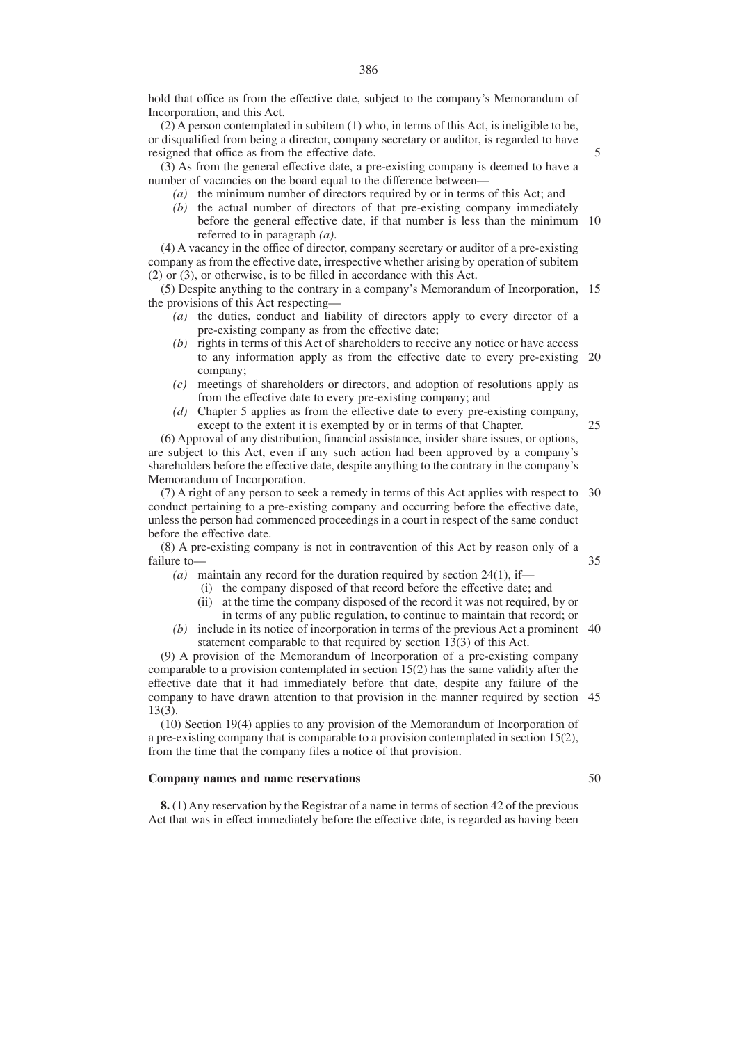hold that office as from the effective date, subject to the company's Memorandum of Incorporation, and this Act.

(2) A person contemplated in subitem (1) who, in terms of this Act, is ineligible to be, or disqualified from being a director, company secretary or auditor, is regarded to have resigned that office as from the effective date.

5

(3) As from the general effective date, a pre-existing company is deemed to have a number of vacancies on the board equal to the difference between—

- *(a)* the minimum number of directors required by or in terms of this Act; and
- *(b)* the actual number of directors of that pre-existing company immediately before the general effective date, if that number is less than the minimum 10 referred to in paragraph *(a)*.

(4) A vacancy in the office of director, company secretary or auditor of a pre-existing company as from the effective date, irrespective whether arising by operation of subitem (2) or (3), or otherwise, is to be filled in accordance with this Act.

(5) Despite anything to the contrary in a company's Memorandum of Incorporation, 15 the provisions of this Act respecting—

- *(a)* the duties, conduct and liability of directors apply to every director of a pre-existing company as from the effective date;
- *(b)* rights in terms of this Act of shareholders to receive any notice or have access to any information apply as from the effective date to every pre-existing 20 company;
- *(c)* meetings of shareholders or directors, and adoption of resolutions apply as from the effective date to every pre-existing company; and
- *(d)* Chapter 5 applies as from the effective date to every pre-existing company, except to the extent it is exempted by or in terms of that Chapter. 25

(6) Approval of any distribution, financial assistance, insider share issues, or options, are subject to this Act, even if any such action had been approved by a company's shareholders before the effective date, despite anything to the contrary in the company's Memorandum of Incorporation.

(7) A right of any person to seek a remedy in terms of this Act applies with respect to 30 conduct pertaining to a pre-existing company and occurring before the effective date, unless the person had commenced proceedings in a court in respect of the same conduct before the effective date.

(8) A pre-existing company is not in contravention of this Act by reason only of a failure to— 35

- (a) maintain any record for the duration required by section  $24(1)$ , if—
	- (i) the company disposed of that record before the effective date; and
	- (ii) at the time the company disposed of the record it was not required, by or in terms of any public regulation, to continue to maintain that record; or
- *(b)* include in its notice of incorporation in terms of the previous Act a prominent 40 statement comparable to that required by section 13(3) of this Act.

(9) A provision of the Memorandum of Incorporation of a pre-existing company comparable to a provision contemplated in section 15(2) has the same validity after the effective date that it had immediately before that date, despite any failure of the company to have drawn attention to that provision in the manner required by section 45 13(3).

(10) Section 19(4) applies to any provision of the Memorandum of Incorporation of a pre-existing company that is comparable to a provision contemplated in section 15(2), from the time that the company files a notice of that provision.

## **Company names and name reservations**

50

**8.** (1) Any reservation by the Registrar of a name in terms of section 42 of the previous Act that was in effect immediately before the effective date, is regarded as having been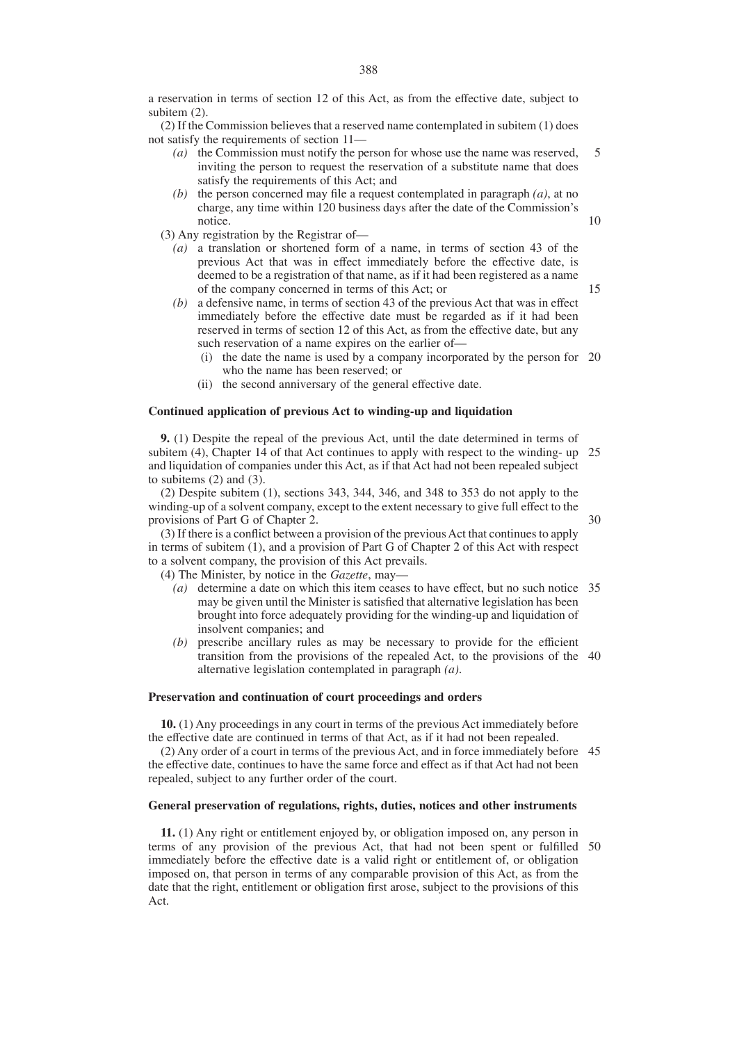a reservation in terms of section 12 of this Act, as from the effective date, subject to subitem (2).

(2) If the Commission believes that a reserved name contemplated in subitem (1) does not satisfy the requirements of section 11—

- *(a)* the Commission must notify the person for whose use the name was reserved, inviting the person to request the reservation of a substitute name that does satisfy the requirements of this Act; and 5
- *(b)* the person concerned may file a request contemplated in paragraph *(a)*, at no charge, any time within 120 business days after the date of the Commission's notice.

(3) Any registration by the Registrar of—

- *(a)* a translation or shortened form of a name, in terms of section 43 of the previous Act that was in effect immediately before the effective date, is deemed to be a registration of that name, as if it had been registered as a name of the company concerned in terms of this Act; or
- *(b)* a defensive name, in terms of section 43 of the previous Act that was in effect immediately before the effective date must be regarded as if it had been reserved in terms of section 12 of this Act, as from the effective date, but any such reservation of a name expires on the earlier of—
	- (i) the date the name is used by a company incorporated by the person for 20 who the name has been reserved; or
	- (ii) the second anniversary of the general effective date.

## **Continued application of previous Act to winding-up and liquidation**

**9.** (1) Despite the repeal of the previous Act, until the date determined in terms of subitem (4), Chapter 14 of that Act continues to apply with respect to the winding- up 25 and liquidation of companies under this Act, as if that Act had not been repealed subject to subitems  $(2)$  and  $(3)$ .

(2) Despite subitem (1), sections 343, 344, 346, and 348 to 353 do not apply to the winding-up of a solvent company, except to the extent necessary to give full effect to the provisions of Part G of Chapter 2.

(3) If there is a conflict between a provision of the previous Act that continues to apply in terms of subitem (1), and a provision of Part G of Chapter 2 of this Act with respect to a solvent company, the provision of this Act prevails.

(4) The Minister, by notice in the *Gazette*, may—

- *(a)* determine a date on which this item ceases to have effect, but no such notice 35 may be given until the Minister is satisfied that alternative legislation has been brought into force adequately providing for the winding-up and liquidation of insolvent companies; and
- *(b)* prescribe ancillary rules as may be necessary to provide for the efficient transition from the provisions of the repealed Act, to the provisions of the 40 alternative legislation contemplated in paragraph *(a)*.

## **Preservation and continuation of court proceedings and orders**

**10.** (1) Any proceedings in any court in terms of the previous Act immediately before the effective date are continued in terms of that Act, as if it had not been repealed.

(2) Any order of a court in terms of the previous Act, and in force immediately before 45 the effective date, continues to have the same force and effect as if that Act had not been repealed, subject to any further order of the court.

## **General preservation of regulations, rights, duties, notices and other instruments**

**11.** (1) Any right or entitlement enjoyed by, or obligation imposed on, any person in terms of any provision of the previous Act, that had not been spent or fulfilled 50immediately before the effective date is a valid right or entitlement of, or obligation imposed on, that person in terms of any comparable provision of this Act, as from the date that the right, entitlement or obligation first arose, subject to the provisions of this Act.

10

15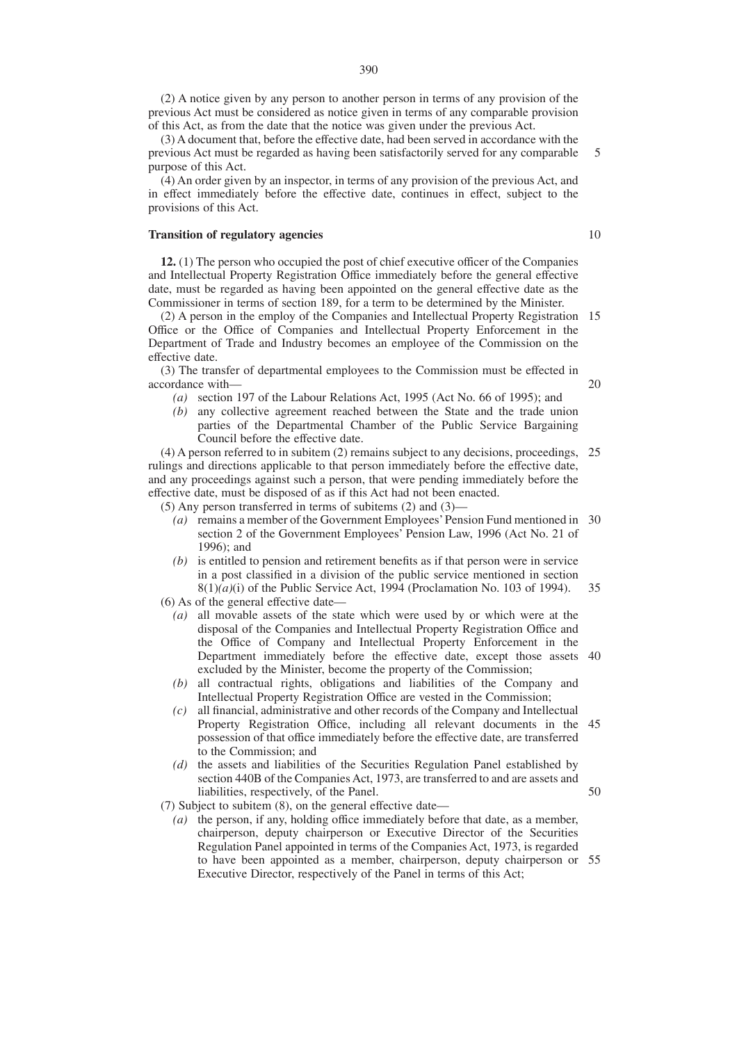(2) A notice given by any person to another person in terms of any provision of the previous Act must be considered as notice given in terms of any comparable provision of this Act, as from the date that the notice was given under the previous Act.

(3) A document that, before the effective date, had been served in accordance with the previous Act must be regarded as having been satisfactorily served for any comparable purpose of this Act. 5

(4) An order given by an inspector, in terms of any provision of the previous Act, and in effect immediately before the effective date, continues in effect, subject to the provisions of this Act.

#### **Transition of regulatory agencies**

**12.** (1) The person who occupied the post of chief executive officer of the Companies and Intellectual Property Registration Office immediately before the general effective date, must be regarded as having been appointed on the general effective date as the Commissioner in terms of section 189, for a term to be determined by the Minister.

(2) A person in the employ of the Companies and Intellectual Property Registration 15 Office or the Office of Companies and Intellectual Property Enforcement in the Department of Trade and Industry becomes an employee of the Commission on the effective date.

(3) The transfer of departmental employees to the Commission must be effected in accordance with— 20

- *(a)* section 197 of the Labour Relations Act, 1995 (Act No. 66 of 1995); and
- *(b)* any collective agreement reached between the State and the trade union parties of the Departmental Chamber of the Public Service Bargaining Council before the effective date.

(4) A person referred to in subitem (2) remains subject to any decisions, proceedings, 25 rulings and directions applicable to that person immediately before the effective date, and any proceedings against such a person, that were pending immediately before the effective date, must be disposed of as if this Act had not been enacted.

(5) Any person transferred in terms of subitems (2) and (3)—

- *(a)* remains a member of the Government Employees' Pension Fund mentioned in 30 section 2 of the Government Employees' Pension Law, 1996 (Act No. 21 of 1996); and
- *(b)* is entitled to pension and retirement benefits as if that person were in service in a post classified in a division of the public service mentioned in section 8(1)*(a)*(i) of the Public Service Act, 1994 (Proclamation No. 103 of 1994). 35

(6) As of the general effective date—

- *(a)* all movable assets of the state which were used by or which were at the disposal of the Companies and Intellectual Property Registration Office and the Office of Company and Intellectual Property Enforcement in the Department immediately before the effective date, except those assets 40 excluded by the Minister, become the property of the Commission;
- *(b)* all contractual rights, obligations and liabilities of the Company and Intellectual Property Registration Office are vested in the Commission;
- *(c)* all financial, administrative and other records of the Company and Intellectual Property Registration Office, including all relevant documents in the 45 possession of that office immediately before the effective date, are transferred to the Commission; and

*(d)* the assets and liabilities of the Securities Regulation Panel established by section 440B of the Companies Act, 1973, are transferred to and are assets and liabilities, respectively, of the Panel.

50

(7) Subject to subitem (8), on the general effective date—

*(a)* the person, if any, holding office immediately before that date, as a member, chairperson, deputy chairperson or Executive Director of the Securities Regulation Panel appointed in terms of the Companies Act, 1973, is regarded to have been appointed as a member, chairperson, deputy chairperson or 55Executive Director, respectively of the Panel in terms of this Act;